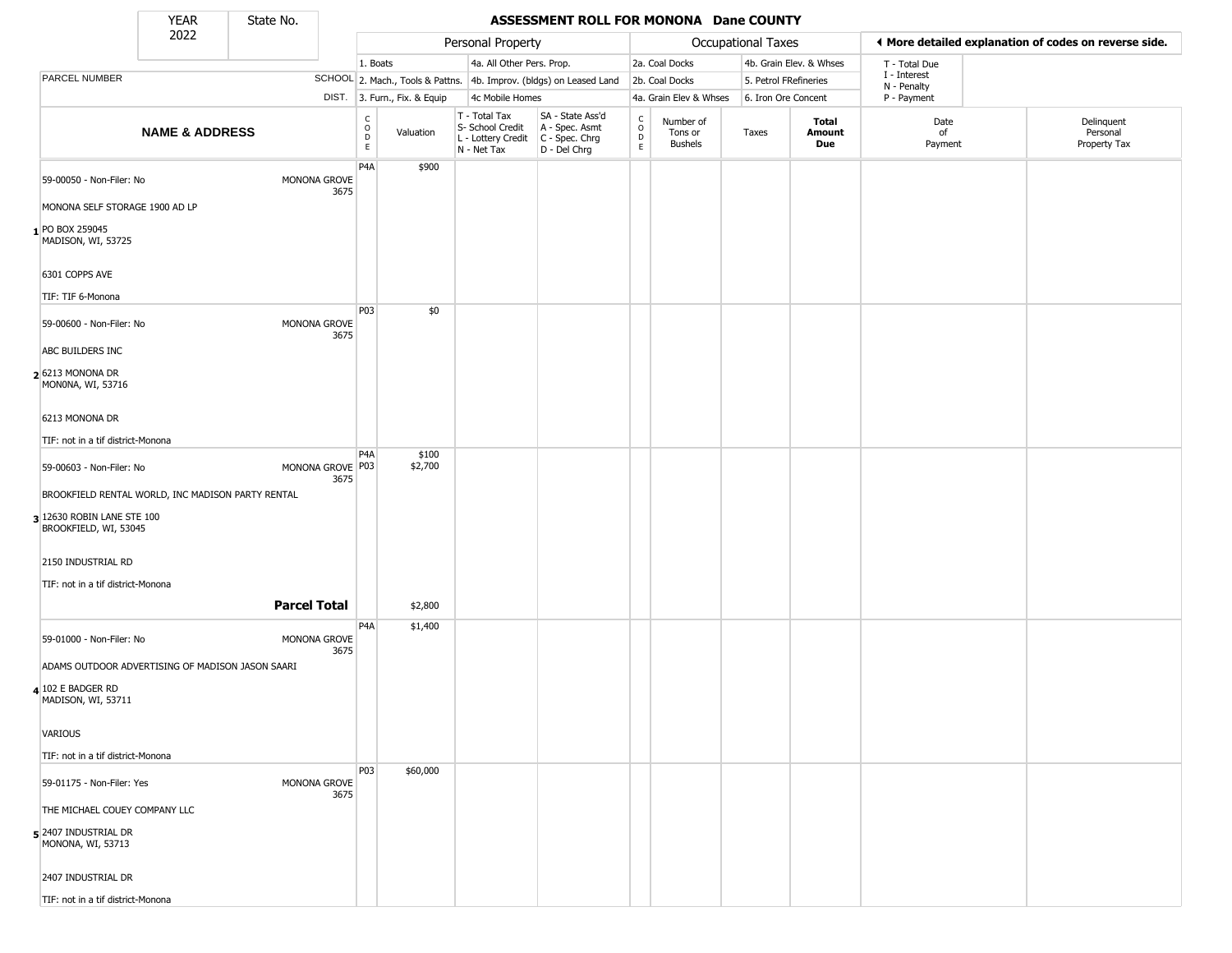State No.

Г

## YEAR State No. **ASSESSMENT ROLL FOR MONONA Dane COUNTY**

|                                                     | 2022                      |                     |                                              |          |                              | Personal Property                                                      |                                                                      |                                                 |                                        | Occupational Taxes    |                         |                            | ♦ More detailed explanation of codes on reverse side. |
|-----------------------------------------------------|---------------------------|---------------------|----------------------------------------------|----------|------------------------------|------------------------------------------------------------------------|----------------------------------------------------------------------|-------------------------------------------------|----------------------------------------|-----------------------|-------------------------|----------------------------|-------------------------------------------------------|
|                                                     |                           |                     |                                              | 1. Boats |                              | 4a. All Other Pers. Prop.                                              |                                                                      |                                                 | 2a. Coal Docks                         |                       | 4b. Grain Elev. & Whses | T - Total Due              |                                                       |
| PARCEL NUMBER                                       |                           |                     |                                              |          |                              |                                                                        | SCHOOL 2. Mach., Tools & Pattns. 4b. Improv. (bldgs) on Leased Land  |                                                 | 2b. Coal Docks                         | 5. Petrol FRefineries |                         | I - Interest               |                                                       |
|                                                     |                           |                     |                                              |          | DIST. 3. Furn., Fix. & Equip | 4c Mobile Homes                                                        |                                                                      |                                                 | 4a. Grain Elev & Whses                 | 6. Iron Ore Concent   |                         | N - Penalty<br>P - Payment |                                                       |
|                                                     | <b>NAME &amp; ADDRESS</b> |                     | $\begin{array}{c}\nC \\ O \\ D\n\end{array}$ |          | Valuation                    | T - Total Tax<br>S- School Credit<br>L - Lottery Credit<br>N - Net Tax | SA - State Ass'd<br>A - Spec. Asmt<br>C - Spec. Chrg<br>D - Del Chrg | $\begin{array}{c} C \\ C \\ D \\ E \end{array}$ | Number of<br>Tons or<br><b>Bushels</b> | Taxes                 | Total<br>Amount<br>Due  | Date<br>of<br>Payment      | Delinquent<br>Personal<br>Property Tax                |
| 59-00050 - Non-Filer: No                            |                           | MONONA GROVE        | P <sub>4</sub> A                             |          | \$900                        |                                                                        |                                                                      |                                                 |                                        |                       |                         |                            |                                                       |
| MONONA SELF STORAGE 1900 AD LP                      |                           |                     | 3675                                         |          |                              |                                                                        |                                                                      |                                                 |                                        |                       |                         |                            |                                                       |
| 1 PO BOX 259045<br>MADISON, WI, 53725               |                           |                     |                                              |          |                              |                                                                        |                                                                      |                                                 |                                        |                       |                         |                            |                                                       |
| 6301 COPPS AVE                                      |                           |                     |                                              |          |                              |                                                                        |                                                                      |                                                 |                                        |                       |                         |                            |                                                       |
| TIF: TIF 6-Monona                                   |                           |                     |                                              |          |                              |                                                                        |                                                                      |                                                 |                                        |                       |                         |                            |                                                       |
| 59-00600 - Non-Filer: No                            |                           | MONONA GROVE        | P03<br>3675                                  |          | \$0                          |                                                                        |                                                                      |                                                 |                                        |                       |                         |                            |                                                       |
| ABC BUILDERS INC                                    |                           |                     |                                              |          |                              |                                                                        |                                                                      |                                                 |                                        |                       |                         |                            |                                                       |
| 2 6213 MONONA DR<br>MONONA, WI, 53716               |                           |                     |                                              |          |                              |                                                                        |                                                                      |                                                 |                                        |                       |                         |                            |                                                       |
| 6213 MONONA DR                                      |                           |                     |                                              |          |                              |                                                                        |                                                                      |                                                 |                                        |                       |                         |                            |                                                       |
| TIF: not in a tif district-Monona                   |                           |                     |                                              |          |                              |                                                                        |                                                                      |                                                 |                                        |                       |                         |                            |                                                       |
| 59-00603 - Non-Filer: No                            |                           | MONONA GROVE P03    | P <sub>4</sub> A<br>3675                     |          | \$100<br>\$2,700             |                                                                        |                                                                      |                                                 |                                        |                       |                         |                            |                                                       |
| BROOKFIELD RENTAL WORLD, INC MADISON PARTY RENTAL   |                           |                     |                                              |          |                              |                                                                        |                                                                      |                                                 |                                        |                       |                         |                            |                                                       |
| 3 12630 ROBIN LANE STE 100<br>BROOKFIELD, WI, 53045 |                           |                     |                                              |          |                              |                                                                        |                                                                      |                                                 |                                        |                       |                         |                            |                                                       |
| 2150 INDUSTRIAL RD                                  |                           |                     |                                              |          |                              |                                                                        |                                                                      |                                                 |                                        |                       |                         |                            |                                                       |
| TIF: not in a tif district-Monona                   |                           |                     |                                              |          |                              |                                                                        |                                                                      |                                                 |                                        |                       |                         |                            |                                                       |
|                                                     |                           | <b>Parcel Total</b> |                                              |          | \$2,800                      |                                                                        |                                                                      |                                                 |                                        |                       |                         |                            |                                                       |
| 59-01000 - Non-Filer: No                            |                           | MONONA GROVE        | P4A<br>3675                                  |          | \$1,400                      |                                                                        |                                                                      |                                                 |                                        |                       |                         |                            |                                                       |
| ADAMS OUTDOOR ADVERTISING OF MADISON JASON SAARI    |                           |                     |                                              |          |                              |                                                                        |                                                                      |                                                 |                                        |                       |                         |                            |                                                       |
| 4 102 E BADGER RD<br>MADISON, WI, 53711             |                           |                     |                                              |          |                              |                                                                        |                                                                      |                                                 |                                        |                       |                         |                            |                                                       |
| <b>VARIOUS</b>                                      |                           |                     |                                              |          |                              |                                                                        |                                                                      |                                                 |                                        |                       |                         |                            |                                                       |
| TIF: not in a tif district-Monona                   |                           |                     |                                              |          |                              |                                                                        |                                                                      |                                                 |                                        |                       |                         |                            |                                                       |
| 59-01175 - Non-Filer: Yes                           |                           | MONONA GROVE        | P03<br>3675                                  |          | \$60,000                     |                                                                        |                                                                      |                                                 |                                        |                       |                         |                            |                                                       |
| THE MICHAEL COUEY COMPANY LLC                       |                           |                     |                                              |          |                              |                                                                        |                                                                      |                                                 |                                        |                       |                         |                            |                                                       |
| 5 2407 INDUSTRIAL DR<br>MONONA, WI, 53713           |                           |                     |                                              |          |                              |                                                                        |                                                                      |                                                 |                                        |                       |                         |                            |                                                       |
| 2407 INDUSTRIAL DR                                  |                           |                     |                                              |          |                              |                                                                        |                                                                      |                                                 |                                        |                       |                         |                            |                                                       |
| TIF: not in a tif district-Monona                   |                           |                     |                                              |          |                              |                                                                        |                                                                      |                                                 |                                        |                       |                         |                            |                                                       |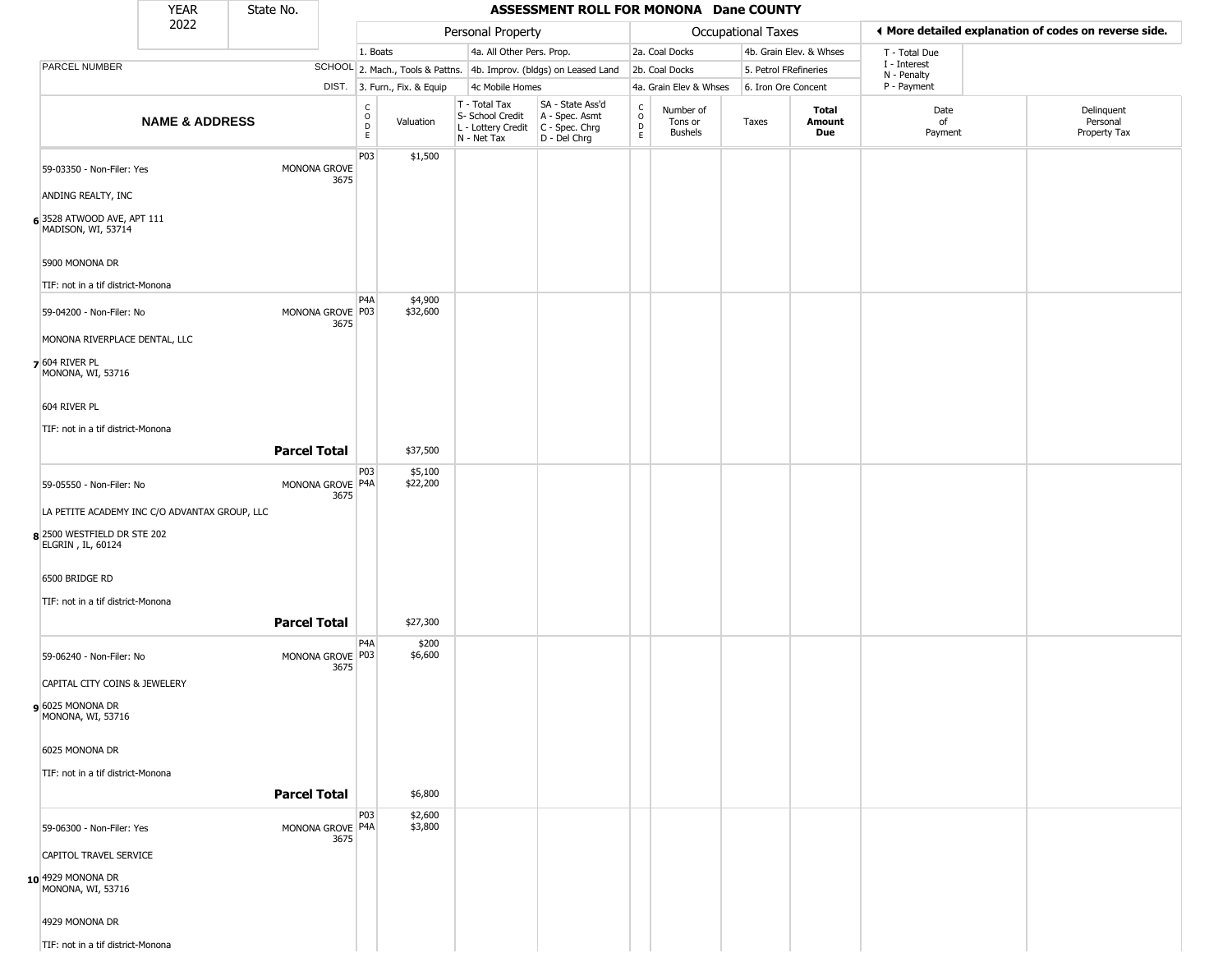|                                                  | <b>YEAR</b>                                   | State No.           |                          |                                                             |                                                                        | ASSESSMENT ROLL FOR MONONA Dane COUNTY                                 |                                 |                                        |                           |                         |                             |                                                       |
|--------------------------------------------------|-----------------------------------------------|---------------------|--------------------------|-------------------------------------------------------------|------------------------------------------------------------------------|------------------------------------------------------------------------|---------------------------------|----------------------------------------|---------------------------|-------------------------|-----------------------------|-------------------------------------------------------|
|                                                  | 2022                                          |                     |                          |                                                             | Personal Property                                                      |                                                                        |                                 |                                        | <b>Occupational Taxes</b> |                         |                             | ♦ More detailed explanation of codes on reverse side. |
|                                                  |                                               |                     |                          | 1. Boats                                                    | 4a. All Other Pers. Prop.                                              |                                                                        |                                 | 2a. Coal Docks                         |                           | 4b. Grain Elev. & Whses | T - Total Due               |                                                       |
| PARCEL NUMBER                                    |                                               |                     |                          |                                                             |                                                                        | SCHOOL 2. Mach., Tools & Pattns. 4b. Improv. (bldgs) on Leased Land    |                                 | 2b. Coal Docks                         |                           | 5. Petrol FRefineries   | I - Interest<br>N - Penalty |                                                       |
|                                                  |                                               |                     |                          | DIST. 3. Furn., Fix. & Equip                                | 4c Mobile Homes                                                        |                                                                        |                                 | 4a. Grain Elev & Whses                 |                           | 6. Iron Ore Concent     | P - Payment                 |                                                       |
|                                                  | <b>NAME &amp; ADDRESS</b>                     |                     |                          | $\begin{matrix} 0 \\ 0 \\ D \end{matrix}$<br>Valuation<br>E | T - Total Tax<br>S- School Credit<br>L - Lottery Credit<br>N - Net Tax | SA - State Ass'd<br>A - Spec. Asmt<br>$C - Spec. Chrg$<br>D - Del Chrg | $\rm ^c_o$<br>$\mathsf{D}$<br>E | Number of<br>Tons or<br><b>Bushels</b> | Taxes                     | Total<br>Amount<br>Due  | Date<br>of<br>Payment       | Delinquent<br>Personal<br>Property Tax                |
| 59-03350 - Non-Filer: Yes<br>ANDING REALTY, INC  |                                               |                     | MONONA GROVE<br>3675     | P03<br>\$1,500                                              |                                                                        |                                                                        |                                 |                                        |                           |                         |                             |                                                       |
| 63528 ATWOOD AVE, APT 111<br>MADISON, WI, 53714  |                                               |                     |                          |                                                             |                                                                        |                                                                        |                                 |                                        |                           |                         |                             |                                                       |
| 5900 MONONA DR                                   |                                               |                     |                          |                                                             |                                                                        |                                                                        |                                 |                                        |                           |                         |                             |                                                       |
| TIF: not in a tif district-Monona                |                                               |                     |                          | P <sub>4</sub> A<br>\$4,900                                 |                                                                        |                                                                        |                                 |                                        |                           |                         |                             |                                                       |
| 59-04200 - Non-Filer: No                         |                                               |                     | MONONA GROVE P03<br>3675 | \$32,600                                                    |                                                                        |                                                                        |                                 |                                        |                           |                         |                             |                                                       |
| MONONA RIVERPLACE DENTAL, LLC                    |                                               |                     |                          |                                                             |                                                                        |                                                                        |                                 |                                        |                           |                         |                             |                                                       |
| <b>7</b> 604 RIVER PL<br>MONONA, WI, 53716       |                                               |                     |                          |                                                             |                                                                        |                                                                        |                                 |                                        |                           |                         |                             |                                                       |
| 604 RIVER PL                                     |                                               |                     |                          |                                                             |                                                                        |                                                                        |                                 |                                        |                           |                         |                             |                                                       |
| TIF: not in a tif district-Monona                |                                               | <b>Parcel Total</b> |                          | \$37,500                                                    |                                                                        |                                                                        |                                 |                                        |                           |                         |                             |                                                       |
| 59-05550 - Non-Filer: No                         |                                               |                     | MONONA GROVE P4A<br>3675 | P03<br>\$5,100<br>\$22,200                                  |                                                                        |                                                                        |                                 |                                        |                           |                         |                             |                                                       |
|                                                  | LA PETITE ACADEMY INC C/O ADVANTAX GROUP, LLC |                     |                          |                                                             |                                                                        |                                                                        |                                 |                                        |                           |                         |                             |                                                       |
| 8 2500 WESTFIELD DR STE 202<br>ELGRIN, IL, 60124 |                                               |                     |                          |                                                             |                                                                        |                                                                        |                                 |                                        |                           |                         |                             |                                                       |
| 6500 BRIDGE RD                                   |                                               |                     |                          |                                                             |                                                                        |                                                                        |                                 |                                        |                           |                         |                             |                                                       |
| TIF: not in a tif district-Monona                |                                               |                     |                          |                                                             |                                                                        |                                                                        |                                 |                                        |                           |                         |                             |                                                       |
|                                                  |                                               | <b>Parcel Total</b> |                          | \$27,300                                                    |                                                                        |                                                                        |                                 |                                        |                           |                         |                             |                                                       |
| 59-06240 - Non-Filer: No                         |                                               |                     | MONONA GROVE P03<br>3675 | P <sub>4</sub> A<br>\$200<br>\$6,600                        |                                                                        |                                                                        |                                 |                                        |                           |                         |                             |                                                       |
| CAPITAL CITY COINS & JEWELERY                    |                                               |                     |                          |                                                             |                                                                        |                                                                        |                                 |                                        |                           |                         |                             |                                                       |
| 9 6025 MONONA DR<br>MONONA, WI, 53716            |                                               |                     |                          |                                                             |                                                                        |                                                                        |                                 |                                        |                           |                         |                             |                                                       |
| 6025 MONONA DR                                   |                                               |                     |                          |                                                             |                                                                        |                                                                        |                                 |                                        |                           |                         |                             |                                                       |
| TIF: not in a tif district-Monona                |                                               | <b>Parcel Total</b> |                          | \$6,800                                                     |                                                                        |                                                                        |                                 |                                        |                           |                         |                             |                                                       |
| 59-06300 - Non-Filer: Yes                        |                                               |                     | MONONA GROVE P4A         | P03<br>\$2,600<br>\$3,800                                   |                                                                        |                                                                        |                                 |                                        |                           |                         |                             |                                                       |
| CAPITOL TRAVEL SERVICE                           |                                               |                     | 3675                     |                                                             |                                                                        |                                                                        |                                 |                                        |                           |                         |                             |                                                       |
| 10 4929 MONONA DR<br>MONONA, WI, 53716           |                                               |                     |                          |                                                             |                                                                        |                                                                        |                                 |                                        |                           |                         |                             |                                                       |
| 4929 MONONA DR                                   |                                               |                     |                          |                                                             |                                                                        |                                                                        |                                 |                                        |                           |                         |                             |                                                       |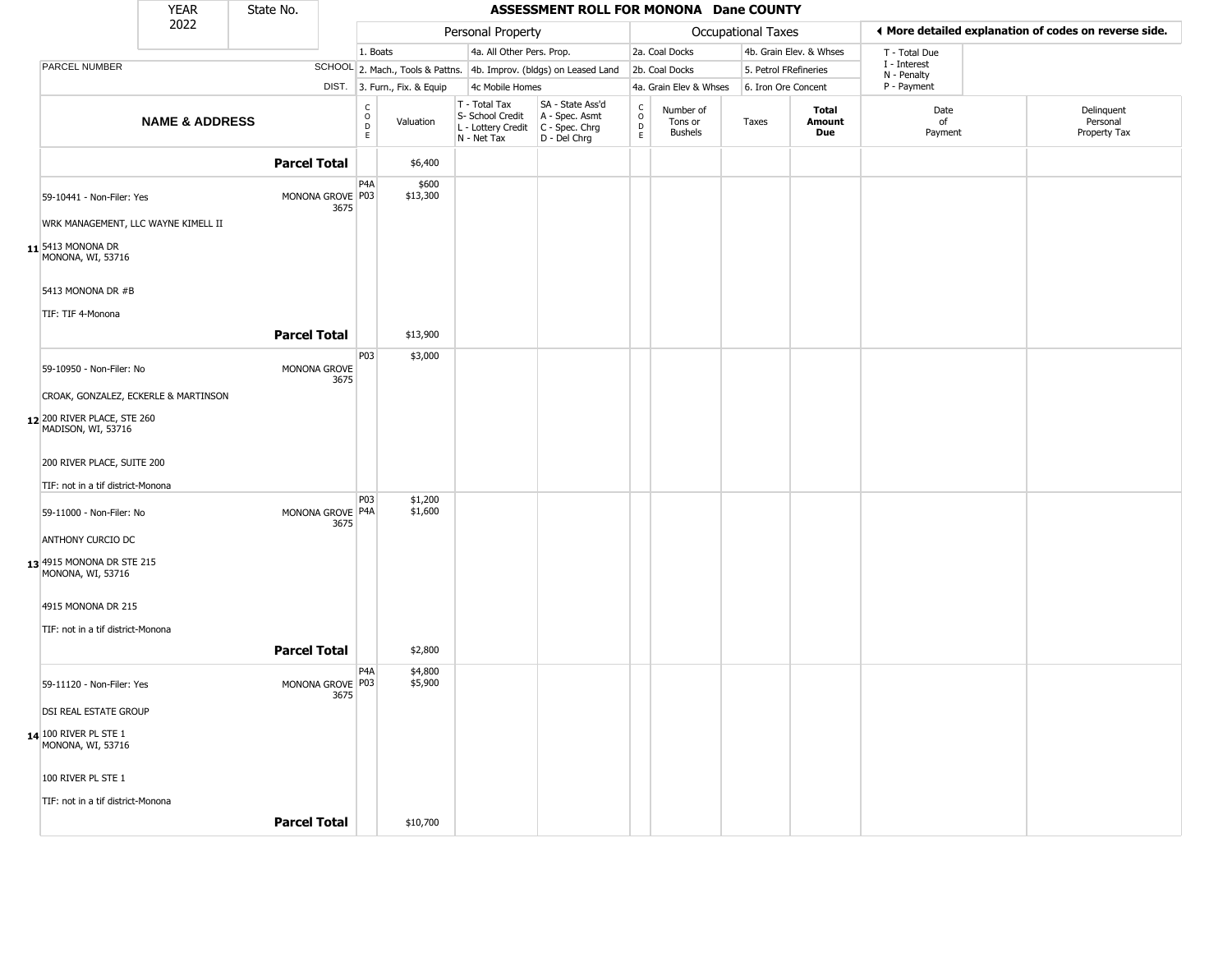|                                                     | <b>YEAR</b>               | State No.           |                          |                                      |                              |                                                                                         | ASSESSMENT ROLL FOR MONONA Dane COUNTY                              |                                                          |                                        |                    |                         |                            |                                                       |
|-----------------------------------------------------|---------------------------|---------------------|--------------------------|--------------------------------------|------------------------------|-----------------------------------------------------------------------------------------|---------------------------------------------------------------------|----------------------------------------------------------|----------------------------------------|--------------------|-------------------------|----------------------------|-------------------------------------------------------|
|                                                     | 2022                      |                     |                          |                                      |                              | Personal Property                                                                       |                                                                     |                                                          |                                        | Occupational Taxes |                         |                            | ◀ More detailed explanation of codes on reverse side. |
|                                                     |                           |                     |                          | 1. Boats                             |                              | 4a. All Other Pers. Prop.                                                               |                                                                     |                                                          | 2a. Coal Docks                         |                    | 4b. Grain Elev. & Whses | T - Total Due              |                                                       |
| <b>PARCEL NUMBER</b>                                |                           |                     |                          |                                      |                              |                                                                                         | SCHOOL 2. Mach., Tools & Pattns. 4b. Improv. (bldgs) on Leased Land |                                                          | 2b. Coal Docks                         |                    | 5. Petrol FRefineries   | I - Interest               |                                                       |
|                                                     |                           |                     |                          |                                      | DIST. 3. Furn., Fix. & Equip | 4c Mobile Homes                                                                         |                                                                     |                                                          | 4a. Grain Elev & Whses                 |                    | 6. Iron Ore Concent     | N - Penalty<br>P - Payment |                                                       |
|                                                     | <b>NAME &amp; ADDRESS</b> |                     |                          | C<br>$\mathsf O$<br>$\mathsf D$<br>E | Valuation                    | T - Total Tax<br>S- School Credit<br>L - Lottery Credit   C - Spec. Chrg<br>N - Net Tax | SA - State Ass'd<br>A - Spec. Asmt<br>D - Del Chrg                  | $\begin{matrix} 0 \\ 0 \\ D \end{matrix}$<br>$\mathsf E$ | Number of<br>Tons or<br><b>Bushels</b> | Taxes              | Total<br>Amount<br>Due  | Date<br>of<br>Payment      | Delinquent<br>Personal<br>Property Tax                |
|                                                     |                           | <b>Parcel Total</b> |                          |                                      | \$6,400                      |                                                                                         |                                                                     |                                                          |                                        |                    |                         |                            |                                                       |
| 59-10441 - Non-Filer: Yes                           |                           |                     | MONONA GROVE P03<br>3675 | P4A                                  | \$600<br>\$13,300            |                                                                                         |                                                                     |                                                          |                                        |                    |                         |                            |                                                       |
| WRK MANAGEMENT, LLC WAYNE KIMELL II                 |                           |                     |                          |                                      |                              |                                                                                         |                                                                     |                                                          |                                        |                    |                         |                            |                                                       |
| $11$ <sup>5413</sup> Monona Dr<br>MONONA, WI, 53716 |                           |                     |                          |                                      |                              |                                                                                         |                                                                     |                                                          |                                        |                    |                         |                            |                                                       |
| 5413 MONONA DR #B                                   |                           |                     |                          |                                      |                              |                                                                                         |                                                                     |                                                          |                                        |                    |                         |                            |                                                       |
| TIF: TIF 4-Monona                                   |                           |                     |                          |                                      |                              |                                                                                         |                                                                     |                                                          |                                        |                    |                         |                            |                                                       |
|                                                     |                           | <b>Parcel Total</b> |                          |                                      | \$13,900                     |                                                                                         |                                                                     |                                                          |                                        |                    |                         |                            |                                                       |
|                                                     |                           |                     |                          | P03                                  | \$3,000                      |                                                                                         |                                                                     |                                                          |                                        |                    |                         |                            |                                                       |
| 59-10950 - Non-Filer: No                            |                           |                     | MONONA GROVE<br>3675     |                                      |                              |                                                                                         |                                                                     |                                                          |                                        |                    |                         |                            |                                                       |
| CROAK, GONZALEZ, ECKERLE & MARTINSON                |                           |                     |                          |                                      |                              |                                                                                         |                                                                     |                                                          |                                        |                    |                         |                            |                                                       |
| 12 200 RIVER PLACE, STE 260<br>MADISON, WI, 53716   |                           |                     |                          |                                      |                              |                                                                                         |                                                                     |                                                          |                                        |                    |                         |                            |                                                       |
| 200 RIVER PLACE, SUITE 200                          |                           |                     |                          |                                      |                              |                                                                                         |                                                                     |                                                          |                                        |                    |                         |                            |                                                       |
| TIF: not in a tif district-Monona                   |                           |                     |                          |                                      |                              |                                                                                         |                                                                     |                                                          |                                        |                    |                         |                            |                                                       |
| 59-11000 - Non-Filer: No                            |                           |                     | MONONA GROVE P4A<br>3675 | P03                                  | \$1,200<br>\$1,600           |                                                                                         |                                                                     |                                                          |                                        |                    |                         |                            |                                                       |
| <b>ANTHONY CURCIO DC</b>                            |                           |                     |                          |                                      |                              |                                                                                         |                                                                     |                                                          |                                        |                    |                         |                            |                                                       |
| 13 4915 MONONA DR STE 215<br>MONONA, WI, 53716      |                           |                     |                          |                                      |                              |                                                                                         |                                                                     |                                                          |                                        |                    |                         |                            |                                                       |
| 4915 MONONA DR 215                                  |                           |                     |                          |                                      |                              |                                                                                         |                                                                     |                                                          |                                        |                    |                         |                            |                                                       |
| TIF: not in a tif district-Monona                   |                           |                     |                          |                                      |                              |                                                                                         |                                                                     |                                                          |                                        |                    |                         |                            |                                                       |
|                                                     |                           | <b>Parcel Total</b> |                          |                                      | \$2,800                      |                                                                                         |                                                                     |                                                          |                                        |                    |                         |                            |                                                       |
|                                                     |                           |                     |                          | P4A                                  | \$4,800                      |                                                                                         |                                                                     |                                                          |                                        |                    |                         |                            |                                                       |
| 59-11120 - Non-Filer: Yes                           |                           |                     | MONONA GROVE P03<br>3675 |                                      | \$5,900                      |                                                                                         |                                                                     |                                                          |                                        |                    |                         |                            |                                                       |
| <b>DSI REAL ESTATE GROUP</b>                        |                           |                     |                          |                                      |                              |                                                                                         |                                                                     |                                                          |                                        |                    |                         |                            |                                                       |
| 14 100 RIVER PL STE 1<br>MONONA, WI, 53716          |                           |                     |                          |                                      |                              |                                                                                         |                                                                     |                                                          |                                        |                    |                         |                            |                                                       |
| 100 RIVER PL STE 1                                  |                           |                     |                          |                                      |                              |                                                                                         |                                                                     |                                                          |                                        |                    |                         |                            |                                                       |
| TIF: not in a tif district-Monona                   |                           |                     |                          |                                      |                              |                                                                                         |                                                                     |                                                          |                                        |                    |                         |                            |                                                       |
|                                                     |                           | <b>Parcel Total</b> |                          |                                      | \$10,700                     |                                                                                         |                                                                     |                                                          |                                        |                    |                         |                            |                                                       |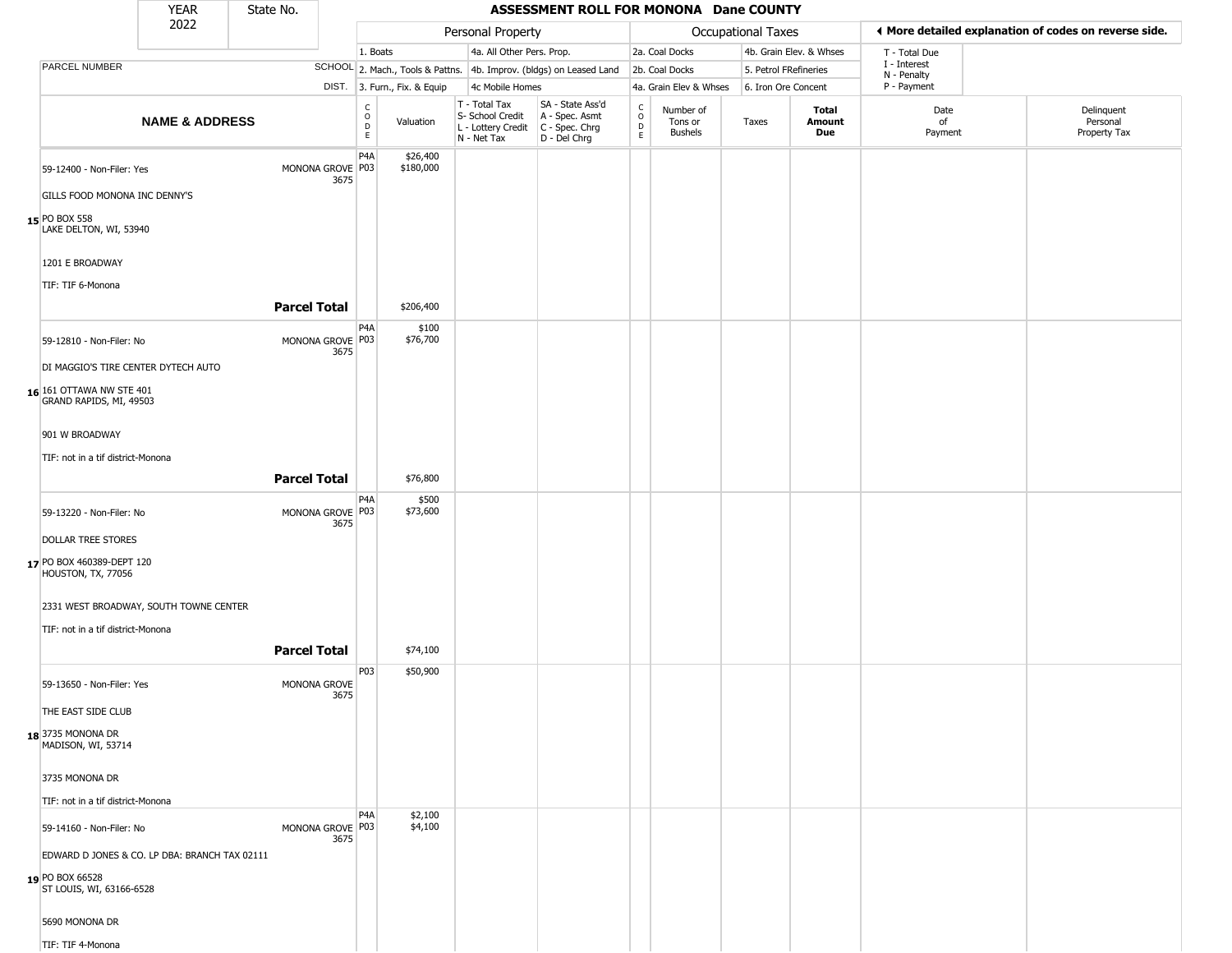|                                                     | <b>YEAR</b>                                   | State No.           |                          |                            |                              |                                                                        | ASSESSMENT ROLL FOR MONONA Dane COUNTY                               |                                              |                                        |                    |                         |                             |                                                       |
|-----------------------------------------------------|-----------------------------------------------|---------------------|--------------------------|----------------------------|------------------------------|------------------------------------------------------------------------|----------------------------------------------------------------------|----------------------------------------------|----------------------------------------|--------------------|-------------------------|-----------------------------|-------------------------------------------------------|
|                                                     | 2022                                          |                     |                          |                            |                              | Personal Property                                                      |                                                                      |                                              |                                        | Occupational Taxes |                         |                             | ◀ More detailed explanation of codes on reverse side. |
|                                                     |                                               |                     |                          | 1. Boats                   |                              |                                                                        | 4a. All Other Pers. Prop.                                            |                                              | 2a. Coal Docks                         |                    | 4b. Grain Elev. & Whses | T - Total Due               |                                                       |
| PARCEL NUMBER                                       |                                               |                     |                          |                            |                              |                                                                        | SCHOOL 2. Mach., Tools & Pattns. 4b. Improv. (bldgs) on Leased Land  |                                              | 2b. Coal Docks                         |                    | 5. Petrol FRefineries   | I - Interest<br>N - Penalty |                                                       |
|                                                     |                                               |                     |                          |                            | DIST. 3. Furn., Fix. & Equip | 4c Mobile Homes                                                        |                                                                      |                                              | 4a. Grain Elev & Whses                 |                    | 6. Iron Ore Concent     | P - Payment                 |                                                       |
|                                                     | <b>NAME &amp; ADDRESS</b>                     |                     |                          | C<br>$\mathsf O$<br>D<br>E | Valuation                    | T - Total Tax<br>S- School Credit<br>L - Lottery Credit<br>N - Net Tax | SA - State Ass'd<br>A - Spec. Asmt<br>C - Spec. Chrg<br>D - Del Chrg | $\mathsf{C}$<br>$\circ$<br>$\mathsf{D}$<br>E | Number of<br>Tons or<br><b>Bushels</b> | Taxes              | Total<br>Amount<br>Due  | Date<br>of<br>Payment       | Delinquent<br>Personal<br>Property Tax                |
| 59-12400 - Non-Filer: Yes                           | GILLS FOOD MONONA INC DENNY'S                 |                     | MONONA GROVE P03<br>3675 | P <sub>4</sub> A           | \$26,400<br>\$180,000        |                                                                        |                                                                      |                                              |                                        |                    |                         |                             |                                                       |
| 15 PO BOX 558<br>LAKE DELTON, WI, 53940             |                                               |                     |                          |                            |                              |                                                                        |                                                                      |                                              |                                        |                    |                         |                             |                                                       |
| 1201 E BROADWAY<br>TIF: TIF 6-Monona                |                                               |                     |                          |                            |                              |                                                                        |                                                                      |                                              |                                        |                    |                         |                             |                                                       |
|                                                     |                                               |                     | <b>Parcel Total</b>      |                            | \$206,400                    |                                                                        |                                                                      |                                              |                                        |                    |                         |                             |                                                       |
| 59-12810 - Non-Filer: No                            |                                               |                     | MONONA GROVE P03<br>3675 | P4A                        | \$100<br>\$76,700            |                                                                        |                                                                      |                                              |                                        |                    |                         |                             |                                                       |
| 16 161 OTTAWA NW STE 401<br>GRAND RAPIDS, MI, 49503 | DI MAGGIO'S TIRE CENTER DYTECH AUTO           |                     |                          |                            |                              |                                                                        |                                                                      |                                              |                                        |                    |                         |                             |                                                       |
| 901 W BROADWAY                                      |                                               |                     |                          |                            |                              |                                                                        |                                                                      |                                              |                                        |                    |                         |                             |                                                       |
|                                                     | TIF: not in a tif district-Monona             |                     |                          |                            |                              |                                                                        |                                                                      |                                              |                                        |                    |                         |                             |                                                       |
|                                                     |                                               |                     | <b>Parcel Total</b>      |                            | \$76,800                     |                                                                        |                                                                      |                                              |                                        |                    |                         |                             |                                                       |
| 59-13220 - Non-Filer: No                            |                                               |                     | MONONA GROVE P03<br>3675 | P4A                        | \$500<br>\$73,600            |                                                                        |                                                                      |                                              |                                        |                    |                         |                             |                                                       |
| DOLLAR TREE STORES                                  |                                               |                     |                          |                            |                              |                                                                        |                                                                      |                                              |                                        |                    |                         |                             |                                                       |
| 17 PO BOX 460389-DEPT 120<br>HOUSTON, TX, 77056     |                                               |                     |                          |                            |                              |                                                                        |                                                                      |                                              |                                        |                    |                         |                             |                                                       |
|                                                     | 2331 WEST BROADWAY, SOUTH TOWNE CENTER        |                     |                          |                            |                              |                                                                        |                                                                      |                                              |                                        |                    |                         |                             |                                                       |
|                                                     | TIF: not in a tif district-Monona             | <b>Parcel Total</b> |                          |                            | \$74,100                     |                                                                        |                                                                      |                                              |                                        |                    |                         |                             |                                                       |
| 59-13650 - Non-Filer: Yes                           |                                               |                     | MONONA GROVE<br>3675     | P03                        | \$50,900                     |                                                                        |                                                                      |                                              |                                        |                    |                         |                             |                                                       |
| THE EAST SIDE CLUB                                  |                                               |                     |                          |                            |                              |                                                                        |                                                                      |                                              |                                        |                    |                         |                             |                                                       |
| 18 3735 MONONA DR<br>MADISON, WI, 53714             |                                               |                     |                          |                            |                              |                                                                        |                                                                      |                                              |                                        |                    |                         |                             |                                                       |
| 3735 MONONA DR                                      |                                               |                     |                          |                            |                              |                                                                        |                                                                      |                                              |                                        |                    |                         |                             |                                                       |
|                                                     | TIF: not in a tif district-Monona             |                     |                          |                            |                              |                                                                        |                                                                      |                                              |                                        |                    |                         |                             |                                                       |
| 59-14160 - Non-Filer: No                            |                                               |                     | MONONA GROVE P03<br>3675 | P <sub>4</sub> A           | \$2,100<br>\$4,100           |                                                                        |                                                                      |                                              |                                        |                    |                         |                             |                                                       |
|                                                     | EDWARD D JONES & CO. LP DBA: BRANCH TAX 02111 |                     |                          |                            |                              |                                                                        |                                                                      |                                              |                                        |                    |                         |                             |                                                       |
| 19 PO BOX 66528<br>ST LOUIS, WI, 63166-6528         |                                               |                     |                          |                            |                              |                                                                        |                                                                      |                                              |                                        |                    |                         |                             |                                                       |
| 5690 MONONA DR                                      |                                               |                     |                          |                            |                              |                                                                        |                                                                      |                                              |                                        |                    |                         |                             |                                                       |

TIF: TIF 4-Monona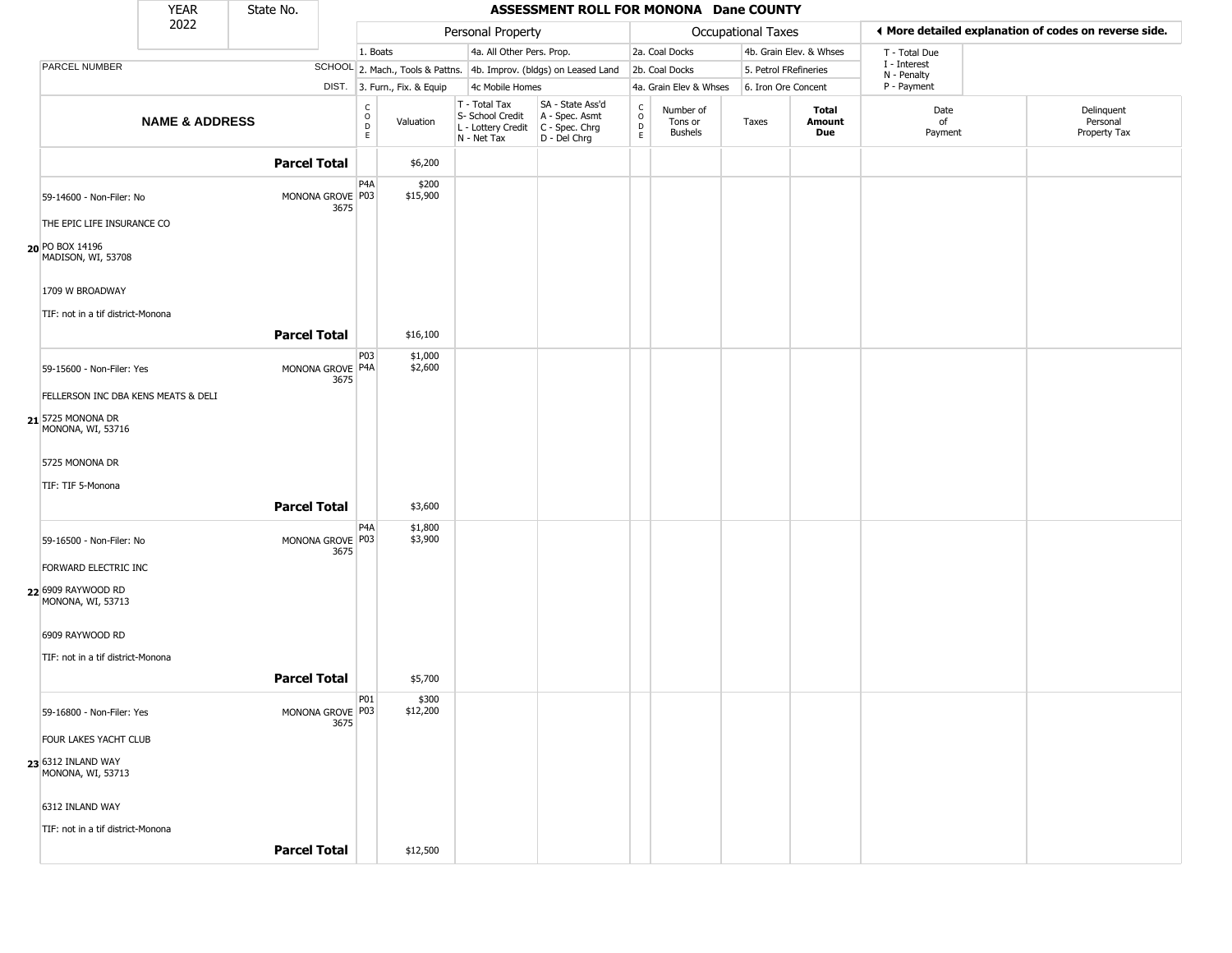|                                                      | <b>YEAR</b>               | State No.                |                                             |                              |                                                  | ASSESSMENT ROLL FOR MONONA Dane COUNTY                                                    |                                                          |                                        |                    |                         |                             |                                                       |
|------------------------------------------------------|---------------------------|--------------------------|---------------------------------------------|------------------------------|--------------------------------------------------|-------------------------------------------------------------------------------------------|----------------------------------------------------------|----------------------------------------|--------------------|-------------------------|-----------------------------|-------------------------------------------------------|
|                                                      | 2022                      |                          |                                             |                              | Personal Property                                |                                                                                           |                                                          |                                        | Occupational Taxes |                         |                             | ♦ More detailed explanation of codes on reverse side. |
|                                                      |                           |                          | 1. Boats                                    |                              | 4a. All Other Pers. Prop.                        |                                                                                           |                                                          | 2a. Coal Docks                         |                    | 4b. Grain Elev. & Whses | T - Total Due               |                                                       |
| PARCEL NUMBER                                        |                           |                          |                                             |                              |                                                  | SCHOOL 2. Mach., Tools & Pattns. 4b. Improv. (bldgs) on Leased Land                       |                                                          | 2b. Coal Docks                         |                    | 5. Petrol FRefineries   | I - Interest<br>N - Penalty |                                                       |
|                                                      |                           |                          |                                             | DIST. 3. Furn., Fix. & Equip | 4c Mobile Homes                                  |                                                                                           |                                                          | 4a. Grain Elev & Whses                 |                    | 6. Iron Ore Concent     | P - Payment                 |                                                       |
|                                                      | <b>NAME &amp; ADDRESS</b> |                          | $\frac{C}{O}$<br>$\mathsf D$<br>$\mathsf E$ | Valuation                    | T - Total Tax<br>S- School Credit<br>N - Net Tax | SA - State Ass'd<br>A - Spec. Asmt<br>L - Lottery Credit   C - Spec. Chrg<br>D - Del Chrg | $\begin{matrix} 0 \\ 0 \\ D \end{matrix}$<br>$\mathsf E$ | Number of<br>Tons or<br><b>Bushels</b> | Taxes              | Total<br>Amount<br>Due  | Date<br>of<br>Payment       | Delinquent<br>Personal<br>Property Tax                |
|                                                      |                           | <b>Parcel Total</b>      |                                             | \$6,200                      |                                                  |                                                                                           |                                                          |                                        |                    |                         |                             |                                                       |
| 59-14600 - Non-Filer: No                             |                           | MONONA GROVE P03<br>3675 | P4A                                         | \$200<br>\$15,900            |                                                  |                                                                                           |                                                          |                                        |                    |                         |                             |                                                       |
| THE EPIC LIFE INSURANCE CO<br>20 PO BOX 14196        |                           |                          |                                             |                              |                                                  |                                                                                           |                                                          |                                        |                    |                         |                             |                                                       |
| MADISON, WI, 53708                                   |                           |                          |                                             |                              |                                                  |                                                                                           |                                                          |                                        |                    |                         |                             |                                                       |
| 1709 W BROADWAY<br>TIF: not in a tif district-Monona |                           |                          |                                             |                              |                                                  |                                                                                           |                                                          |                                        |                    |                         |                             |                                                       |
|                                                      |                           | <b>Parcel Total</b>      |                                             | \$16,100                     |                                                  |                                                                                           |                                                          |                                        |                    |                         |                             |                                                       |
| 59-15600 - Non-Filer: Yes                            |                           | MONONA GROVE P4A<br>3675 | P03                                         | \$1,000<br>\$2,600           |                                                  |                                                                                           |                                                          |                                        |                    |                         |                             |                                                       |
| FELLERSON INC DBA KENS MEATS & DELI                  |                           |                          |                                             |                              |                                                  |                                                                                           |                                                          |                                        |                    |                         |                             |                                                       |
| 21 5725 MONONA DR<br>MONONA, WI, 53716               |                           |                          |                                             |                              |                                                  |                                                                                           |                                                          |                                        |                    |                         |                             |                                                       |
| 5725 MONONA DR                                       |                           |                          |                                             |                              |                                                  |                                                                                           |                                                          |                                        |                    |                         |                             |                                                       |
| TIF: TIF 5-Monona                                    |                           | <b>Parcel Total</b>      |                                             | \$3,600                      |                                                  |                                                                                           |                                                          |                                        |                    |                         |                             |                                                       |
|                                                      |                           |                          |                                             |                              |                                                  |                                                                                           |                                                          |                                        |                    |                         |                             |                                                       |
| 59-16500 - Non-Filer: No                             |                           | MONONA GROVE P03<br>3675 | P4A                                         | \$1,800<br>\$3,900           |                                                  |                                                                                           |                                                          |                                        |                    |                         |                             |                                                       |
| FORWARD ELECTRIC INC                                 |                           |                          |                                             |                              |                                                  |                                                                                           |                                                          |                                        |                    |                         |                             |                                                       |
| 22 6909 RAYWOOD RD<br>MONONA, WI, 53713              |                           |                          |                                             |                              |                                                  |                                                                                           |                                                          |                                        |                    |                         |                             |                                                       |
| 6909 RAYWOOD RD                                      |                           |                          |                                             |                              |                                                  |                                                                                           |                                                          |                                        |                    |                         |                             |                                                       |
| TIF: not in a tif district-Monona                    |                           | <b>Parcel Total</b>      |                                             | \$5,700                      |                                                  |                                                                                           |                                                          |                                        |                    |                         |                             |                                                       |
|                                                      |                           |                          | <b>P01</b>                                  | \$300                        |                                                  |                                                                                           |                                                          |                                        |                    |                         |                             |                                                       |
| 59-16800 - Non-Filer: Yes                            |                           | MONONA GROVE P03<br>3675 |                                             | \$12,200                     |                                                  |                                                                                           |                                                          |                                        |                    |                         |                             |                                                       |
| FOUR LAKES YACHT CLUB                                |                           |                          |                                             |                              |                                                  |                                                                                           |                                                          |                                        |                    |                         |                             |                                                       |
| 23 6312 INLAND WAY<br>MONONA, WI, 53713              |                           |                          |                                             |                              |                                                  |                                                                                           |                                                          |                                        |                    |                         |                             |                                                       |
| 6312 INLAND WAY                                      |                           |                          |                                             |                              |                                                  |                                                                                           |                                                          |                                        |                    |                         |                             |                                                       |
| TIF: not in a tif district-Monona                    |                           |                          |                                             |                              |                                                  |                                                                                           |                                                          |                                        |                    |                         |                             |                                                       |
|                                                      |                           | <b>Parcel Total</b>      |                                             | \$12,500                     |                                                  |                                                                                           |                                                          |                                        |                    |                         |                             |                                                       |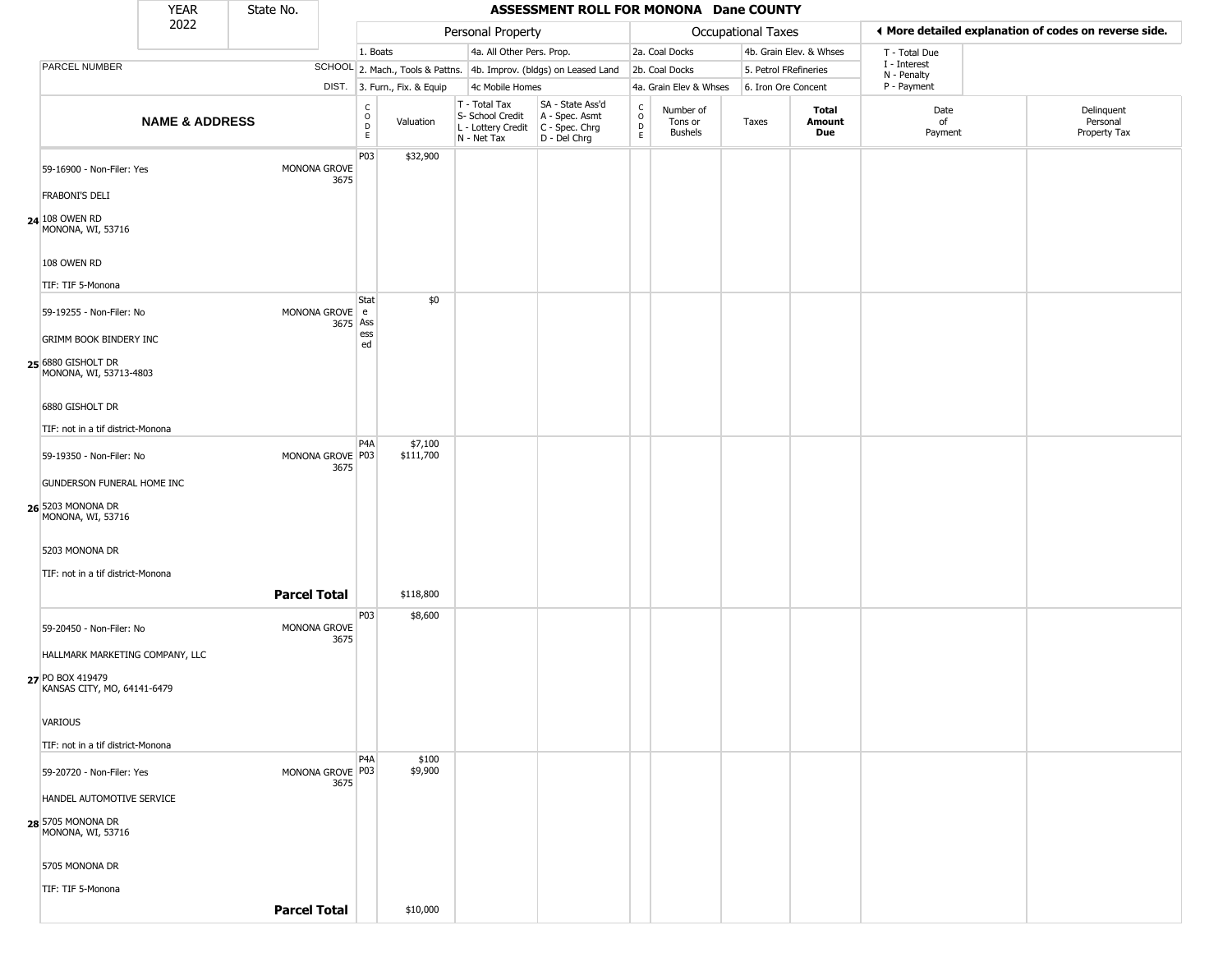|                                                                                                                                                                | <b>YEAR</b>               | State No.           |                            |                                             |                              |                                                                        | ASSESSMENT ROLL FOR MONONA Dane COUNTY                               |                                |                                        |                    |                         |                             |                                                       |
|----------------------------------------------------------------------------------------------------------------------------------------------------------------|---------------------------|---------------------|----------------------------|---------------------------------------------|------------------------------|------------------------------------------------------------------------|----------------------------------------------------------------------|--------------------------------|----------------------------------------|--------------------|-------------------------|-----------------------------|-------------------------------------------------------|
|                                                                                                                                                                | 2022                      |                     |                            |                                             |                              | Personal Property                                                      |                                                                      |                                |                                        | Occupational Taxes |                         |                             | I More detailed explanation of codes on reverse side. |
|                                                                                                                                                                |                           |                     |                            | 1. Boats                                    |                              | 4a. All Other Pers. Prop.                                              |                                                                      |                                | 2a. Coal Docks                         |                    | 4b. Grain Elev. & Whses | T - Total Due               |                                                       |
| PARCEL NUMBER                                                                                                                                                  |                           |                     |                            |                                             |                              |                                                                        | SCHOOL 2. Mach., Tools & Pattns. 4b. Improv. (bldgs) on Leased Land  |                                | 2b. Coal Docks                         |                    | 5. Petrol FRefineries   | I - Interest<br>N - Penalty |                                                       |
|                                                                                                                                                                |                           |                     |                            |                                             | DIST. 3. Furn., Fix. & Equip | 4c Mobile Homes                                                        |                                                                      |                                | 4a. Grain Elev & Whses                 |                    | 6. Iron Ore Concent     | P - Payment                 |                                                       |
|                                                                                                                                                                | <b>NAME &amp; ADDRESS</b> |                     |                            | $\mathsf{C}$<br>$\circ$<br>$\mathsf D$<br>E | Valuation                    | T - Total Tax<br>S- School Credit<br>L - Lottery Credit<br>N - Net Tax | SA - State Ass'd<br>A - Spec. Asmt<br>C - Spec. Chrg<br>D - Del Chrg | $\rm _o^c$<br>$\mathsf D$<br>E | Number of<br>Tons or<br><b>Bushels</b> | Taxes              | Total<br>Amount<br>Due  | Date<br>of<br>Payment       | Delinquent<br>Personal<br>Property Tax                |
| 59-16900 - Non-Filer: Yes<br><b>FRABONI'S DELI</b><br>24 108 OWEN RD<br>MONONA, WI, 53716                                                                      |                           |                     | MONONA GROVE<br>3675       | P03                                         | \$32,900                     |                                                                        |                                                                      |                                |                                        |                    |                         |                             |                                                       |
| 108 OWEN RD<br>TIF: TIF 5-Monona                                                                                                                               |                           |                     |                            |                                             |                              |                                                                        |                                                                      |                                |                                        |                    |                         |                             |                                                       |
| 59-19255 - Non-Filer: No<br>GRIMM BOOK BINDERY INC<br>25 6880 GISHOLT DR<br>MONONA, WI, 53713-4803<br>6880 GISHOLT DR<br>TIF: not in a tif district-Monona     |                           |                     | MONONA GROVE e<br>3675 Ass | Stat<br>ess<br>ed                           | \$0                          |                                                                        |                                                                      |                                |                                        |                    |                         |                             |                                                       |
| 59-19350 - Non-Filer: No<br>GUNDERSON FUNERAL HOME INC<br>26 5203 MONONA DR<br>MONONA, WI, 53716<br>5203 MONONA DR<br>TIF: not in a tif district-Monona        |                           |                     | MONONA GROVE P03<br>3675   | P <sub>4</sub> A                            | \$7,100<br>\$111,700         |                                                                        |                                                                      |                                |                                        |                    |                         |                             |                                                       |
|                                                                                                                                                                |                           | <b>Parcel Total</b> |                            |                                             | \$118,800                    |                                                                        |                                                                      |                                |                                        |                    |                         |                             |                                                       |
| 59-20450 - Non-Filer: No<br>HALLMARK MARKETING COMPANY, LLC<br>27 PO BOX 419479<br>KANSAS CITY, MO, 64141-6479<br>VARIOUS<br>TIF: not in a tif district-Monona |                           |                     | MONONA GROVE<br>3675       | P03                                         | \$8,600                      |                                                                        |                                                                      |                                |                                        |                    |                         |                             |                                                       |
| 59-20720 - Non-Filer: Yes<br>HANDEL AUTOMOTIVE SERVICE<br>28 5705 MONONA DR<br>MONONA, WI, 53716<br>5705 MONONA DR<br>TIF: TIF 5-Monona                        |                           |                     | MONONA GROVE   P03<br>3675 | P <sub>4</sub> A                            | \$100<br>\$9,900             |                                                                        |                                                                      |                                |                                        |                    |                         |                             |                                                       |
|                                                                                                                                                                |                           | <b>Parcel Total</b> |                            |                                             | \$10,000                     |                                                                        |                                                                      |                                |                                        |                    |                         |                             |                                                       |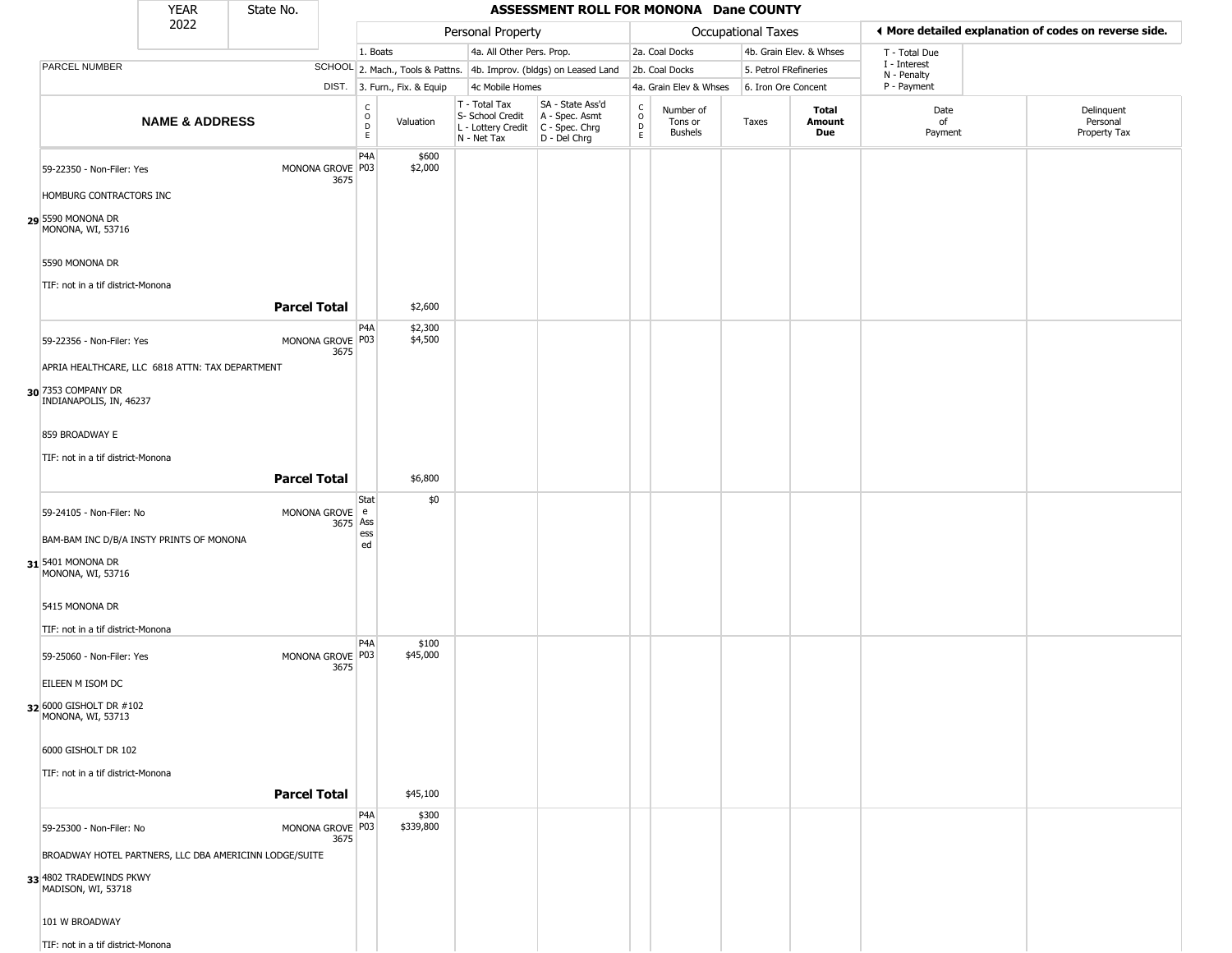|                                                                                    | <b>YEAR</b>               | State No.                                              |                                                |                              |                                                                                         | ASSESSMENT ROLL FOR MONONA Dane COUNTY                              |                                    |                                        |                       |                         |                             |                                                       |
|------------------------------------------------------------------------------------|---------------------------|--------------------------------------------------------|------------------------------------------------|------------------------------|-----------------------------------------------------------------------------------------|---------------------------------------------------------------------|------------------------------------|----------------------------------------|-----------------------|-------------------------|-----------------------------|-------------------------------------------------------|
|                                                                                    | 2022                      |                                                        |                                                |                              | Personal Property                                                                       |                                                                     |                                    |                                        | Occupational Taxes    |                         |                             | ◀ More detailed explanation of codes on reverse side. |
|                                                                                    |                           |                                                        | 1. Boats                                       |                              | 4a. All Other Pers. Prop.                                                               |                                                                     |                                    | 2a. Coal Docks                         |                       | 4b. Grain Elev. & Whses | T - Total Due               |                                                       |
| <b>PARCEL NUMBER</b>                                                               |                           |                                                        |                                                |                              |                                                                                         | SCHOOL 2. Mach., Tools & Pattns. 4b. Improv. (bldgs) on Leased Land |                                    | 2b. Coal Docks                         | 5. Petrol FRefineries |                         | I - Interest<br>N - Penalty |                                                       |
|                                                                                    |                           |                                                        |                                                | DIST. 3. Furn., Fix. & Equip | 4c Mobile Homes                                                                         |                                                                     |                                    | 4a. Grain Elev & Whses                 | 6. Iron Ore Concent   |                         | P - Payment                 |                                                       |
|                                                                                    | <b>NAME &amp; ADDRESS</b> |                                                        | $\begin{matrix} 0 \\ 0 \\ D \end{matrix}$<br>E | Valuation                    | T - Total Tax<br>S- School Credit<br>L - Lottery Credit   C - Spec. Chrg<br>N - Net Tax | SA - State Ass'd<br>A - Spec. Asmt<br>D - Del Chrg                  | $\frac{c}{0}$<br>$\mathsf{D}$<br>E | Number of<br>Tons or<br><b>Bushels</b> | Taxes                 | Total<br>Amount<br>Due  | Date<br>of<br>Payment       | Delinquent<br>Personal<br>Property Tax                |
| 59-22350 - Non-Filer: Yes                                                          |                           | MONONA GROVE P03                                       | P <sub>4</sub> A                               | \$600<br>\$2,000             |                                                                                         |                                                                     |                                    |                                        |                       |                         |                             |                                                       |
| HOMBURG CONTRACTORS INC                                                            |                           | 3675                                                   |                                                |                              |                                                                                         |                                                                     |                                    |                                        |                       |                         |                             |                                                       |
| 29 5590 MONONA DR<br>MONONA, WI, 53716                                             |                           |                                                        |                                                |                              |                                                                                         |                                                                     |                                    |                                        |                       |                         |                             |                                                       |
| 5590 MONONA DR                                                                     |                           |                                                        |                                                |                              |                                                                                         |                                                                     |                                    |                                        |                       |                         |                             |                                                       |
| TIF: not in a tif district-Monona                                                  |                           | <b>Parcel Total</b>                                    |                                                | \$2,600                      |                                                                                         |                                                                     |                                    |                                        |                       |                         |                             |                                                       |
| 59-22356 - Non-Filer: Yes                                                          |                           | MONONA GROVE P03<br>3675                               | P <sub>4</sub> A                               | \$2,300<br>\$4,500           |                                                                                         |                                                                     |                                    |                                        |                       |                         |                             |                                                       |
| APRIA HEALTHCARE, LLC 6818 ATTN: TAX DEPARTMENT                                    |                           |                                                        |                                                |                              |                                                                                         |                                                                     |                                    |                                        |                       |                         |                             |                                                       |
| 30 7353 COMPANY DR<br>INDIANAPOLIS, IN, 46237                                      |                           |                                                        |                                                |                              |                                                                                         |                                                                     |                                    |                                        |                       |                         |                             |                                                       |
| 859 BROADWAY E                                                                     |                           |                                                        |                                                |                              |                                                                                         |                                                                     |                                    |                                        |                       |                         |                             |                                                       |
| TIF: not in a tif district-Monona                                                  |                           | <b>Parcel Total</b>                                    |                                                | \$6,800                      |                                                                                         |                                                                     |                                    |                                        |                       |                         |                             |                                                       |
|                                                                                    |                           |                                                        | Stat                                           | \$0                          |                                                                                         |                                                                     |                                    |                                        |                       |                         |                             |                                                       |
| 59-24105 - Non-Filer: No                                                           |                           | MONONA GROVE e                                         | 3675 Ass<br>ess                                |                              |                                                                                         |                                                                     |                                    |                                        |                       |                         |                             |                                                       |
| BAM-BAM INC D/B/A INSTY PRINTS OF MONONA<br>31 5401 MONONA DR<br>MONONA, WI, 53716 |                           |                                                        | ed                                             |                              |                                                                                         |                                                                     |                                    |                                        |                       |                         |                             |                                                       |
| 5415 MONONA DR                                                                     |                           |                                                        |                                                |                              |                                                                                         |                                                                     |                                    |                                        |                       |                         |                             |                                                       |
| TIF: not in a tif district-Monona                                                  |                           |                                                        | P <sub>4</sub> A                               | \$100                        |                                                                                         |                                                                     |                                    |                                        |                       |                         |                             |                                                       |
| 59-25060 - Non-Filer: Yes                                                          |                           | MONONA GROVE P03<br>3675                               |                                                | \$45,000                     |                                                                                         |                                                                     |                                    |                                        |                       |                         |                             |                                                       |
| EILEEN M ISOM DC                                                                   |                           |                                                        |                                                |                              |                                                                                         |                                                                     |                                    |                                        |                       |                         |                             |                                                       |
| 32 6000 GISHOLT DR #102<br>MONONA, WI, 53713                                       |                           |                                                        |                                                |                              |                                                                                         |                                                                     |                                    |                                        |                       |                         |                             |                                                       |
| 6000 GISHOLT DR 102                                                                |                           |                                                        |                                                |                              |                                                                                         |                                                                     |                                    |                                        |                       |                         |                             |                                                       |
| TIF: not in a tif district-Monona                                                  |                           | <b>Parcel Total</b>                                    |                                                | \$45,100                     |                                                                                         |                                                                     |                                    |                                        |                       |                         |                             |                                                       |
| 59-25300 - Non-Filer: No                                                           |                           | MONONA GROVE P03<br>3675                               | P <sub>4</sub> A                               | \$300<br>\$339,800           |                                                                                         |                                                                     |                                    |                                        |                       |                         |                             |                                                       |
|                                                                                    |                           | BROADWAY HOTEL PARTNERS, LLC DBA AMERICINN LODGE/SUITE |                                                |                              |                                                                                         |                                                                     |                                    |                                        |                       |                         |                             |                                                       |
| 33 4802 TRADEWINDS PKWY<br>MADISON, WI, 53718                                      |                           |                                                        |                                                |                              |                                                                                         |                                                                     |                                    |                                        |                       |                         |                             |                                                       |
| 101 W BROADWAY                                                                     |                           |                                                        |                                                |                              |                                                                                         |                                                                     |                                    |                                        |                       |                         |                             |                                                       |
| TIF: not in a tif district-Monona                                                  |                           |                                                        |                                                |                              |                                                                                         |                                                                     |                                    |                                        |                       |                         |                             |                                                       |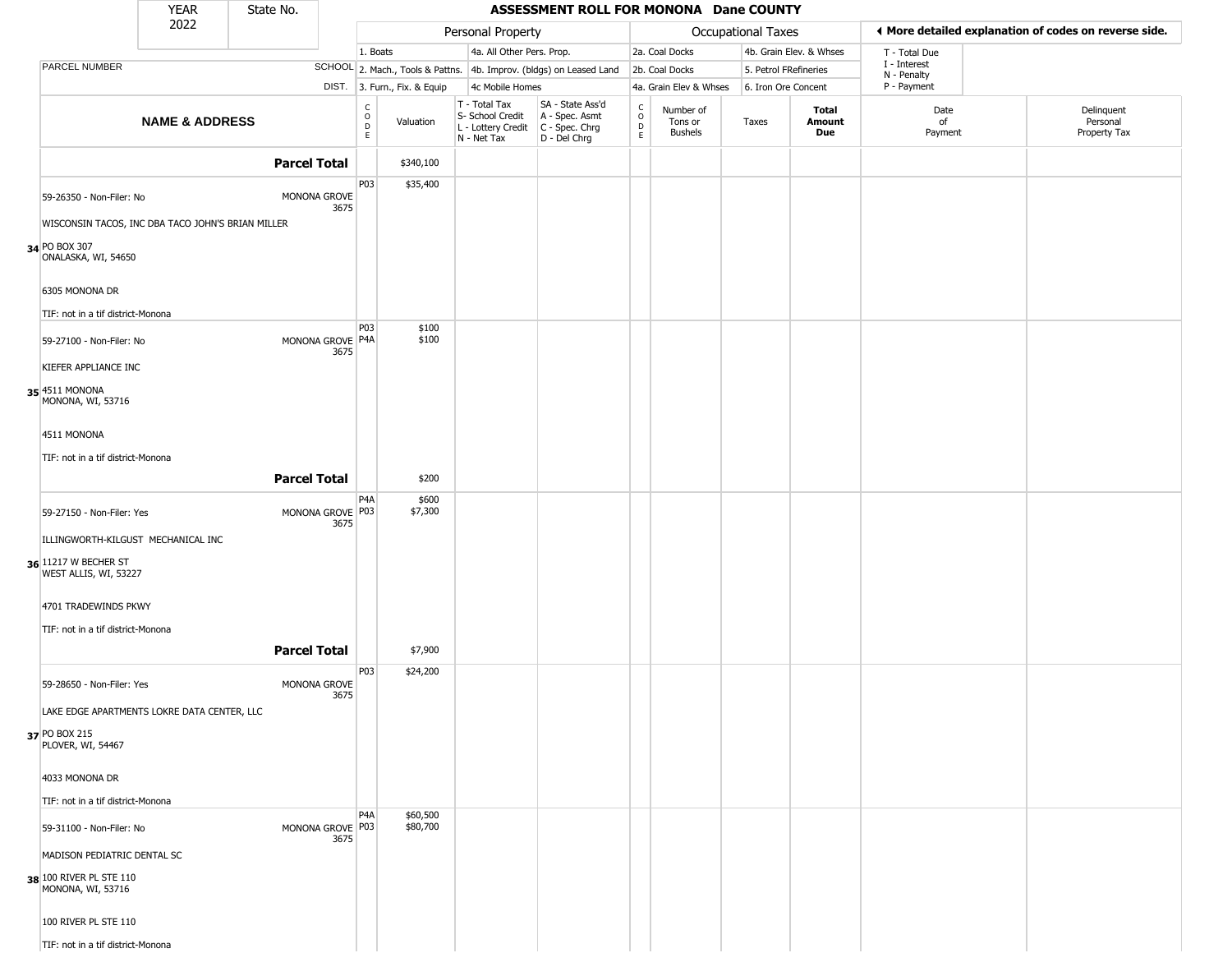|                                                     | <b>YEAR</b>                                       | State No.           |                                                |                              |                                                  | ASSESSMENT ROLL FOR MONONA Dane COUNTY                                                      |                          |                                 |                       |                         |                             |                                                       |
|-----------------------------------------------------|---------------------------------------------------|---------------------|------------------------------------------------|------------------------------|--------------------------------------------------|---------------------------------------------------------------------------------------------|--------------------------|---------------------------------|-----------------------|-------------------------|-----------------------------|-------------------------------------------------------|
|                                                     | 2022                                              |                     |                                                |                              | Personal Property                                |                                                                                             |                          |                                 | Occupational Taxes    |                         |                             | ◀ More detailed explanation of codes on reverse side. |
|                                                     |                                                   |                     |                                                | 1. Boats                     | 4a. All Other Pers. Prop.                        |                                                                                             |                          | 2a. Coal Docks                  |                       | 4b. Grain Elev. & Whses | T - Total Due               |                                                       |
| PARCEL NUMBER                                       |                                                   |                     |                                                |                              |                                                  | SCHOOL 2. Mach., Tools & Pattns. 4b. Improv. (bldgs) on Leased Land                         |                          | 2b. Coal Docks                  | 5. Petrol FRefineries |                         | I - Interest<br>N - Penalty |                                                       |
|                                                     |                                                   |                     |                                                | DIST. 3. Furn., Fix. & Equip | 4c Mobile Homes                                  |                                                                                             |                          | 4a. Grain Elev & Whses          | 6. Iron Ore Concent   |                         | P - Payment                 |                                                       |
|                                                     | <b>NAME &amp; ADDRESS</b>                         |                     | $\begin{matrix} 0 \\ 0 \\ D \end{matrix}$<br>E | Valuation                    | T - Total Tax<br>S- School Credit<br>N - Net Tax | SA - State Ass'd<br>A - Spec. Asmt<br>L - Lottery Credit   C - Spec. Chrg<br>$D - Del Chrg$ | $\int_{0}^{c}$<br>D<br>E | Number of<br>Tons or<br>Bushels | Taxes                 | Total<br>Amount<br>Due  | Date<br>of<br>Payment       | Delinquent<br>Personal<br>Property Tax                |
|                                                     |                                                   | <b>Parcel Total</b> |                                                | \$340,100                    |                                                  |                                                                                             |                          |                                 |                       |                         |                             |                                                       |
| 59-26350 - Non-Filer: No                            |                                                   | MONONA GROVE        | P03<br>3675                                    | \$35,400                     |                                                  |                                                                                             |                          |                                 |                       |                         |                             |                                                       |
|                                                     | WISCONSIN TACOS, INC DBA TACO JOHN'S BRIAN MILLER |                     |                                                |                              |                                                  |                                                                                             |                          |                                 |                       |                         |                             |                                                       |
| 34 PO BOX 307<br>ONALASKA, WI, 54650                |                                                   |                     |                                                |                              |                                                  |                                                                                             |                          |                                 |                       |                         |                             |                                                       |
| 6305 MONONA DR<br>TIF: not in a tif district-Monona |                                                   |                     |                                                |                              |                                                  |                                                                                             |                          |                                 |                       |                         |                             |                                                       |
| 59-27100 - Non-Filer: No                            |                                                   | MONONA GROVE P4A    | P03<br>3675                                    | \$100<br>\$100               |                                                  |                                                                                             |                          |                                 |                       |                         |                             |                                                       |
| KIEFER APPLIANCE INC                                |                                                   |                     |                                                |                              |                                                  |                                                                                             |                          |                                 |                       |                         |                             |                                                       |
| 35 4511 MONONA<br>MONONA, WI, 53716                 |                                                   |                     |                                                |                              |                                                  |                                                                                             |                          |                                 |                       |                         |                             |                                                       |
| 4511 MONONA                                         |                                                   |                     |                                                |                              |                                                  |                                                                                             |                          |                                 |                       |                         |                             |                                                       |
| TIF: not in a tif district-Monona                   |                                                   |                     |                                                |                              |                                                  |                                                                                             |                          |                                 |                       |                         |                             |                                                       |
|                                                     |                                                   | <b>Parcel Total</b> |                                                | \$200                        |                                                  |                                                                                             |                          |                                 |                       |                         |                             |                                                       |
|                                                     |                                                   |                     | P <sub>4</sub> A                               | \$600                        |                                                  |                                                                                             |                          |                                 |                       |                         |                             |                                                       |
| 59-27150 - Non-Filer: Yes                           |                                                   | MONONA GROVE P03    | 3675                                           | \$7,300                      |                                                  |                                                                                             |                          |                                 |                       |                         |                             |                                                       |
|                                                     | ILLINGWORTH-KILGUST MECHANICAL INC                |                     |                                                |                              |                                                  |                                                                                             |                          |                                 |                       |                         |                             |                                                       |
| 36 11217 W BECHER ST<br>WEST ALLIS, WI, 53227       |                                                   |                     |                                                |                              |                                                  |                                                                                             |                          |                                 |                       |                         |                             |                                                       |
| 4701 TRADEWINDS PKWY                                |                                                   |                     |                                                |                              |                                                  |                                                                                             |                          |                                 |                       |                         |                             |                                                       |
| TIF: not in a tif district-Monona                   |                                                   |                     |                                                |                              |                                                  |                                                                                             |                          |                                 |                       |                         |                             |                                                       |
|                                                     |                                                   | <b>Parcel Total</b> |                                                |                              |                                                  |                                                                                             |                          |                                 |                       |                         |                             |                                                       |
|                                                     |                                                   |                     |                                                | \$7,900                      |                                                  |                                                                                             |                          |                                 |                       |                         |                             |                                                       |
| 59-28650 - Non-Filer: Yes                           |                                                   | MONONA GROVE        | P03                                            | \$24,200                     |                                                  |                                                                                             |                          |                                 |                       |                         |                             |                                                       |
|                                                     | LAKE EDGE APARTMENTS LOKRE DATA CENTER, LLC       |                     | 3675                                           |                              |                                                  |                                                                                             |                          |                                 |                       |                         |                             |                                                       |
| 37 PO BOX 215                                       |                                                   |                     |                                                |                              |                                                  |                                                                                             |                          |                                 |                       |                         |                             |                                                       |
| PLOVER, WI, 54467                                   |                                                   |                     |                                                |                              |                                                  |                                                                                             |                          |                                 |                       |                         |                             |                                                       |
| 4033 MONONA DR                                      |                                                   |                     |                                                |                              |                                                  |                                                                                             |                          |                                 |                       |                         |                             |                                                       |
| TIF: not in a tif district-Monona                   |                                                   |                     |                                                |                              |                                                  |                                                                                             |                          |                                 |                       |                         |                             |                                                       |
| 59-31100 - Non-Filer: No                            |                                                   | MONONA GROVE P03    | P <sub>4</sub> A<br>3675                       | \$60,500<br>\$80,700         |                                                  |                                                                                             |                          |                                 |                       |                         |                             |                                                       |
| MADISON PEDIATRIC DENTAL SC                         |                                                   |                     |                                                |                              |                                                  |                                                                                             |                          |                                 |                       |                         |                             |                                                       |
| 38 100 RIVER PL STE 110<br>MONONA, WI, 53716        |                                                   |                     |                                                |                              |                                                  |                                                                                             |                          |                                 |                       |                         |                             |                                                       |
| 100 RIVER PL STE 110                                |                                                   |                     |                                                |                              |                                                  |                                                                                             |                          |                                 |                       |                         |                             |                                                       |
| TIF: not in a tif district-Monona                   |                                                   |                     |                                                |                              |                                                  |                                                                                             |                          |                                 |                       |                         |                             |                                                       |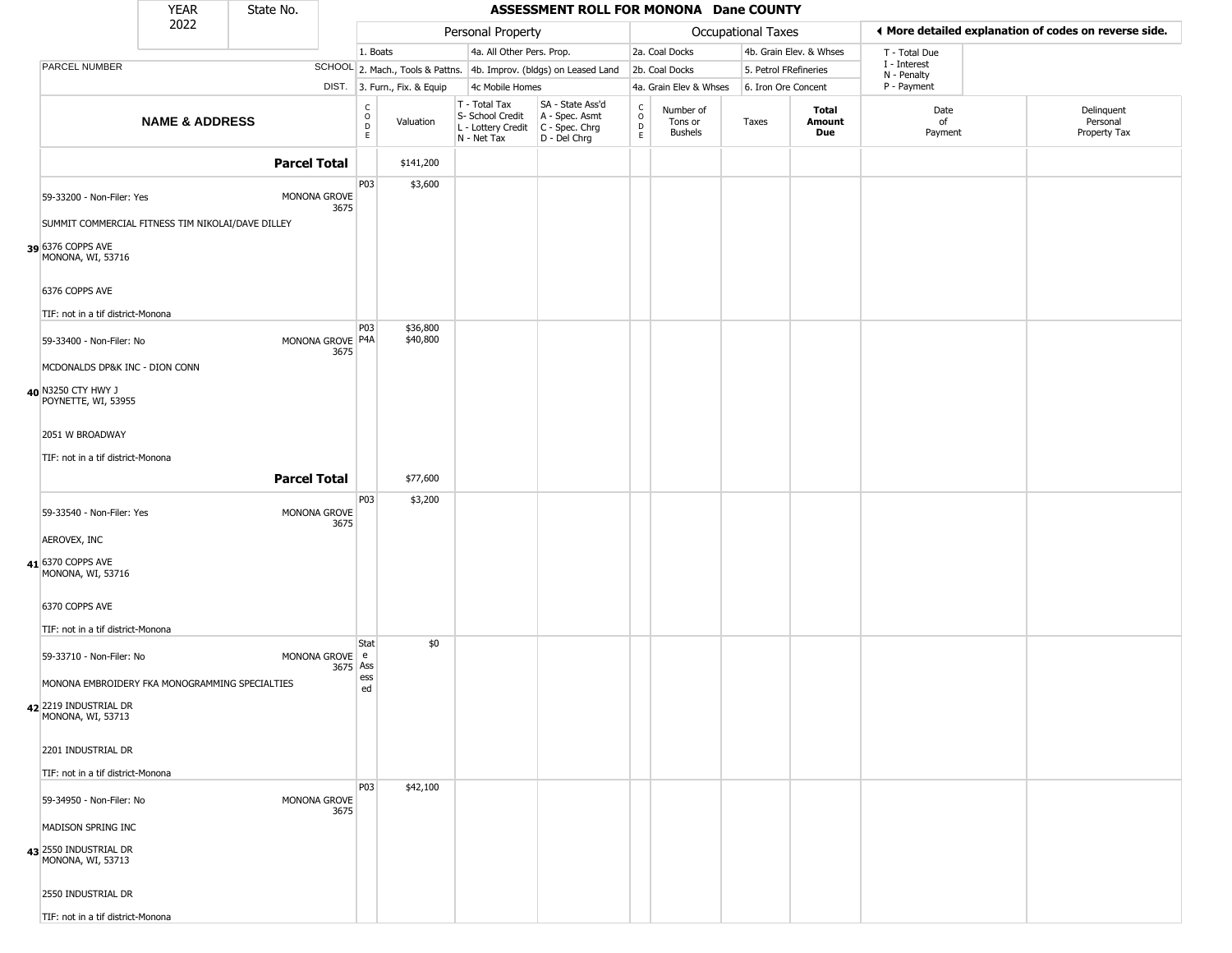|                                            | <b>YEAR</b>                                       | State No.           |                                                |                              |                                                                                         | ASSESSMENT ROLL FOR MONONA Dane COUNTY                              |                                                          |                                        |                    |                         |                                                       |                                        |
|--------------------------------------------|---------------------------------------------------|---------------------|------------------------------------------------|------------------------------|-----------------------------------------------------------------------------------------|---------------------------------------------------------------------|----------------------------------------------------------|----------------------------------------|--------------------|-------------------------|-------------------------------------------------------|----------------------------------------|
|                                            | 2022                                              |                     |                                                |                              | Personal Property                                                                       |                                                                     |                                                          |                                        | Occupational Taxes |                         | ◀ More detailed explanation of codes on reverse side. |                                        |
|                                            |                                                   |                     |                                                | 1. Boats                     | 4a. All Other Pers. Prop.                                                               |                                                                     |                                                          | 2a. Coal Docks                         |                    | 4b. Grain Elev. & Whses | T - Total Due                                         |                                        |
| PARCEL NUMBER                              |                                                   |                     |                                                |                              |                                                                                         | SCHOOL 2. Mach., Tools & Pattns. 4b. Improv. (bldgs) on Leased Land |                                                          | 2b. Coal Docks                         |                    | 5. Petrol FRefineries   | I - Interest<br>N - Penalty                           |                                        |
|                                            |                                                   |                     |                                                | DIST. 3. Furn., Fix. & Equip | 4c Mobile Homes                                                                         |                                                                     |                                                          | 4a. Grain Elev & Whses                 |                    | 6. Iron Ore Concent     | P - Payment                                           |                                        |
|                                            | <b>NAME &amp; ADDRESS</b>                         |                     | $\begin{matrix} 0 \\ 0 \\ D \end{matrix}$<br>E | Valuation                    | T - Total Tax<br>S- School Credit<br>L - Lottery Credit   C - Spec. Chrg<br>N - Net Tax | SA - State Ass'd<br>A - Spec. Asmt<br>D - Del Chrg                  | $\begin{matrix} 0 \\ 0 \\ 0 \end{matrix}$<br>$\mathsf E$ | Number of<br>Tons or<br><b>Bushels</b> | Taxes              | Total<br>Amount<br>Due  | Date<br>of<br>Payment                                 | Delinquent<br>Personal<br>Property Tax |
|                                            |                                                   | <b>Parcel Total</b> |                                                | \$141,200                    |                                                                                         |                                                                     |                                                          |                                        |                    |                         |                                                       |                                        |
| 59-33200 - Non-Filer: Yes                  |                                                   | MONONA GROVE        | P03<br>3675                                    | \$3,600                      |                                                                                         |                                                                     |                                                          |                                        |                    |                         |                                                       |                                        |
|                                            | SUMMIT COMMERCIAL FITNESS TIM NIKOLAI/DAVE DILLEY |                     |                                                |                              |                                                                                         |                                                                     |                                                          |                                        |                    |                         |                                                       |                                        |
| 39 6376 COPPS AVE<br>MONONA, WI, 53716     |                                                   |                     |                                                |                              |                                                                                         |                                                                     |                                                          |                                        |                    |                         |                                                       |                                        |
| 6376 COPPS AVE                             | TIF: not in a tif district-Monona                 |                     |                                                |                              |                                                                                         |                                                                     |                                                          |                                        |                    |                         |                                                       |                                        |
| 59-33400 - Non-Filer: No                   |                                                   | MONONA GROVE P4A    | P03<br>3675                                    | \$36,800<br>\$40,800         |                                                                                         |                                                                     |                                                          |                                        |                    |                         |                                                       |                                        |
| 40 N3250 CTY HWY J<br>POYNETTE, WI, 53955  | MCDONALDS DP&K INC - DION CONN                    |                     |                                                |                              |                                                                                         |                                                                     |                                                          |                                        |                    |                         |                                                       |                                        |
| 2051 W BROADWAY                            |                                                   |                     |                                                |                              |                                                                                         |                                                                     |                                                          |                                        |                    |                         |                                                       |                                        |
|                                            | TIF: not in a tif district-Monona                 |                     |                                                |                              |                                                                                         |                                                                     |                                                          |                                        |                    |                         |                                                       |                                        |
|                                            |                                                   | <b>Parcel Total</b> |                                                | \$77,600                     |                                                                                         |                                                                     |                                                          |                                        |                    |                         |                                                       |                                        |
| 59-33540 - Non-Filer: Yes                  |                                                   | MONONA GROVE        | P03<br>3675                                    | \$3,200                      |                                                                                         |                                                                     |                                                          |                                        |                    |                         |                                                       |                                        |
| AEROVEX, INC                               |                                                   |                     |                                                |                              |                                                                                         |                                                                     |                                                          |                                        |                    |                         |                                                       |                                        |
| 41 6370 COPPS AVE<br>MONONA, WI, 53716     |                                                   |                     |                                                |                              |                                                                                         |                                                                     |                                                          |                                        |                    |                         |                                                       |                                        |
| 6370 COPPS AVE                             |                                                   |                     |                                                |                              |                                                                                         |                                                                     |                                                          |                                        |                    |                         |                                                       |                                        |
|                                            | TIF: not in a tif district-Monona                 |                     |                                                |                              |                                                                                         |                                                                     |                                                          |                                        |                    |                         |                                                       |                                        |
| 59-33710 - Non-Filer: No                   |                                                   | MONONA GROVE e      | Stat<br>3675<br>Ass                            | \$0                          |                                                                                         |                                                                     |                                                          |                                        |                    |                         |                                                       |                                        |
|                                            | MONONA EMBROIDERY FKA MONOGRAMMING SPECIALTIES    |                     | ess<br>ed                                      |                              |                                                                                         |                                                                     |                                                          |                                        |                    |                         |                                                       |                                        |
| 42 2219 INDUSTRIAL DR<br>MONONA, WI, 53713 |                                                   |                     |                                                |                              |                                                                                         |                                                                     |                                                          |                                        |                    |                         |                                                       |                                        |
| 2201 INDUSTRIAL DR                         |                                                   |                     |                                                |                              |                                                                                         |                                                                     |                                                          |                                        |                    |                         |                                                       |                                        |
|                                            | TIF: not in a tif district-Monona                 |                     |                                                |                              |                                                                                         |                                                                     |                                                          |                                        |                    |                         |                                                       |                                        |
| 59-34950 - Non-Filer: No                   |                                                   | MONONA GROVE        | P03<br>3675                                    | \$42,100                     |                                                                                         |                                                                     |                                                          |                                        |                    |                         |                                                       |                                        |
| MADISON SPRING INC                         |                                                   |                     |                                                |                              |                                                                                         |                                                                     |                                                          |                                        |                    |                         |                                                       |                                        |
| 43 2550 INDUSTRIAL DR<br>MONONA, WI, 53713 |                                                   |                     |                                                |                              |                                                                                         |                                                                     |                                                          |                                        |                    |                         |                                                       |                                        |
| 2550 INDUSTRIAL DR                         |                                                   |                     |                                                |                              |                                                                                         |                                                                     |                                                          |                                        |                    |                         |                                                       |                                        |
|                                            | TIF: not in a tif district-Monona                 |                     |                                                |                              |                                                                                         |                                                                     |                                                          |                                        |                    |                         |                                                       |                                        |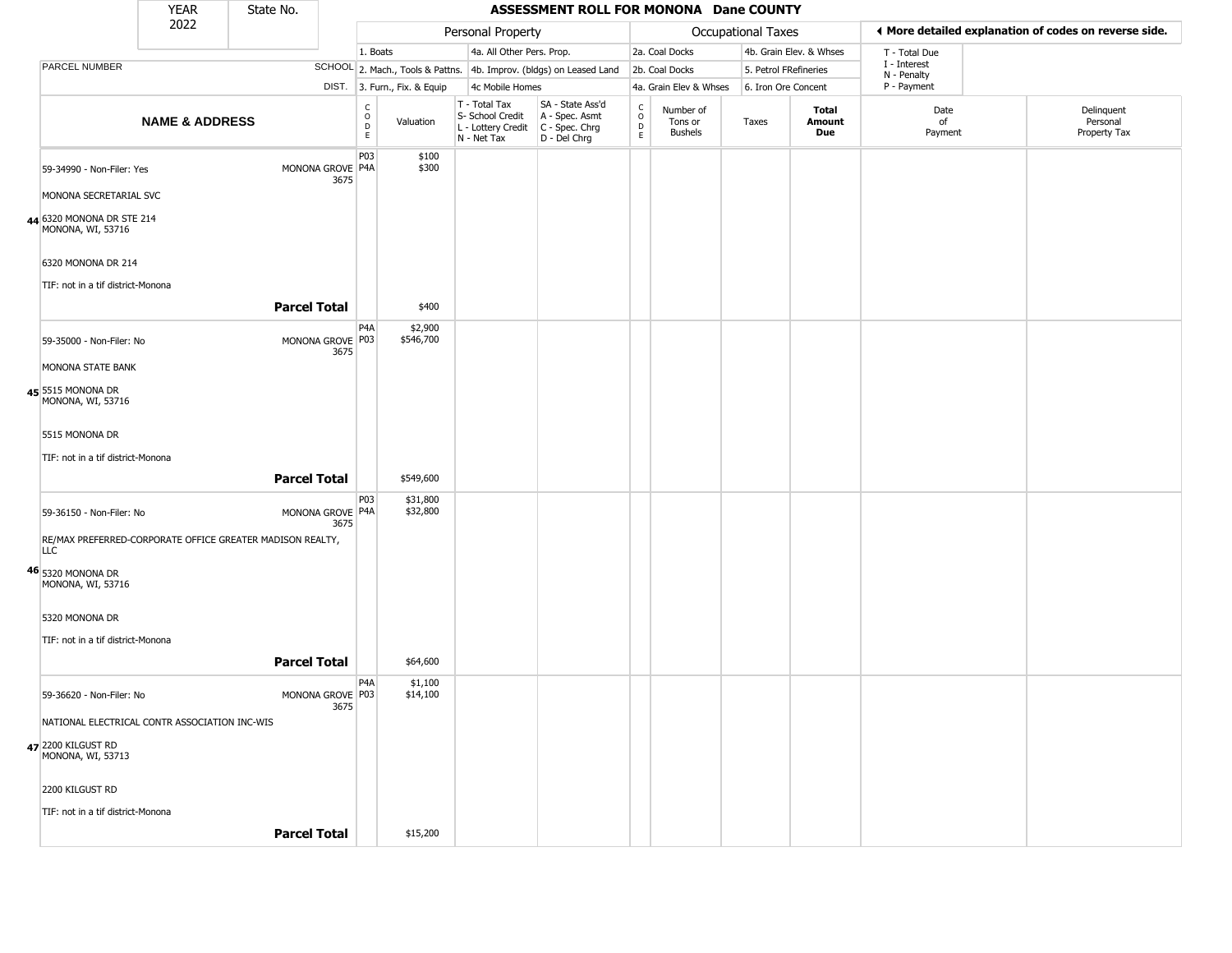|                                                | <b>YEAR</b>               | State No.                                                 |                          |                                             |                              |                                                                                         | ASSESSMENT ROLL FOR MONONA Dane COUNTY                              |                                |                                 |                    |                         |                             |                                                       |
|------------------------------------------------|---------------------------|-----------------------------------------------------------|--------------------------|---------------------------------------------|------------------------------|-----------------------------------------------------------------------------------------|---------------------------------------------------------------------|--------------------------------|---------------------------------|--------------------|-------------------------|-----------------------------|-------------------------------------------------------|
|                                                | 2022                      |                                                           |                          |                                             |                              | Personal Property                                                                       |                                                                     |                                |                                 | Occupational Taxes |                         |                             | ♦ More detailed explanation of codes on reverse side. |
|                                                |                           |                                                           |                          | 1. Boats                                    |                              | 4a. All Other Pers. Prop.                                                               |                                                                     |                                | 2a. Coal Docks                  |                    | 4b. Grain Elev. & Whses | T - Total Due               |                                                       |
| <b>PARCEL NUMBER</b>                           |                           |                                                           |                          |                                             |                              |                                                                                         | SCHOOL 2. Mach., Tools & Pattns. 4b. Improv. (bldgs) on Leased Land |                                | 2b. Coal Docks                  |                    | 5. Petrol FRefineries   | I - Interest<br>N - Penalty |                                                       |
|                                                |                           |                                                           |                          |                                             | DIST. 3. Furn., Fix. & Equip | 4c Mobile Homes                                                                         |                                                                     |                                | 4a. Grain Elev & Whses          |                    | 6. Iron Ore Concent     | P - Payment                 |                                                       |
|                                                | <b>NAME &amp; ADDRESS</b> |                                                           |                          | $\mathsf{C}$<br>$\circ$<br>$\mathsf D$<br>E | Valuation                    | T - Total Tax<br>S- School Credit<br>L - Lottery Credit   C - Spec. Chrg<br>N - Net Tax | SA - State Ass'd<br>A - Spec. Asmt<br>D - Del Chrg                  | $\rm _o^c$<br>$\mathsf D$<br>E | Number of<br>Tons or<br>Bushels | Taxes              | Total<br>Amount<br>Due  | Date<br>of<br>Payment       | Delinquent<br>Personal<br>Property Tax                |
| 59-34990 - Non-Filer: Yes                      |                           |                                                           | MONONA GROVE P4A<br>3675 | P03                                         | \$100<br>\$300               |                                                                                         |                                                                     |                                |                                 |                    |                         |                             |                                                       |
| MONONA SECRETARIAL SVC                         |                           |                                                           |                          |                                             |                              |                                                                                         |                                                                     |                                |                                 |                    |                         |                             |                                                       |
| 44 6320 MONONA DR STE 214<br>MONONA, WI, 53716 |                           |                                                           |                          |                                             |                              |                                                                                         |                                                                     |                                |                                 |                    |                         |                             |                                                       |
| 6320 MONONA DR 214                             |                           |                                                           |                          |                                             |                              |                                                                                         |                                                                     |                                |                                 |                    |                         |                             |                                                       |
| TIF: not in a tif district-Monona              |                           |                                                           |                          |                                             |                              |                                                                                         |                                                                     |                                |                                 |                    |                         |                             |                                                       |
|                                                |                           | <b>Parcel Total</b>                                       |                          |                                             | \$400                        |                                                                                         |                                                                     |                                |                                 |                    |                         |                             |                                                       |
| 59-35000 - Non-Filer: No                       |                           |                                                           | MONONA GROVE P03<br>3675 | P <sub>4</sub> A                            | \$2,900<br>\$546,700         |                                                                                         |                                                                     |                                |                                 |                    |                         |                             |                                                       |
| MONONA STATE BANK                              |                           |                                                           |                          |                                             |                              |                                                                                         |                                                                     |                                |                                 |                    |                         |                             |                                                       |
| 45 5515 MONONA DR<br>MONONA, WI, 53716         |                           |                                                           |                          |                                             |                              |                                                                                         |                                                                     |                                |                                 |                    |                         |                             |                                                       |
| 5515 MONONA DR                                 |                           |                                                           |                          |                                             |                              |                                                                                         |                                                                     |                                |                                 |                    |                         |                             |                                                       |
| TIF: not in a tif district-Monona              |                           |                                                           |                          |                                             |                              |                                                                                         |                                                                     |                                |                                 |                    |                         |                             |                                                       |
|                                                |                           | <b>Parcel Total</b>                                       |                          |                                             | \$549,600                    |                                                                                         |                                                                     |                                |                                 |                    |                         |                             |                                                       |
| 59-36150 - Non-Filer: No                       |                           |                                                           | MONONA GROVE P4A<br>3675 | P03                                         | \$31,800<br>\$32,800         |                                                                                         |                                                                     |                                |                                 |                    |                         |                             |                                                       |
| <b>LLC</b>                                     |                           | RE/MAX PREFERRED-CORPORATE OFFICE GREATER MADISON REALTY, |                          |                                             |                              |                                                                                         |                                                                     |                                |                                 |                    |                         |                             |                                                       |
| 46 5320 MONONA DR<br>MONONA, WI, 53716         |                           |                                                           |                          |                                             |                              |                                                                                         |                                                                     |                                |                                 |                    |                         |                             |                                                       |
| 5320 MONONA DR                                 |                           |                                                           |                          |                                             |                              |                                                                                         |                                                                     |                                |                                 |                    |                         |                             |                                                       |
| TIF: not in a tif district-Monona              |                           |                                                           |                          |                                             |                              |                                                                                         |                                                                     |                                |                                 |                    |                         |                             |                                                       |
|                                                |                           | <b>Parcel Total</b>                                       |                          |                                             | \$64,600                     |                                                                                         |                                                                     |                                |                                 |                    |                         |                             |                                                       |
|                                                |                           |                                                           |                          | P4A                                         | \$1,100                      |                                                                                         |                                                                     |                                |                                 |                    |                         |                             |                                                       |
| 59-36620 - Non-Filer: No                       |                           |                                                           | MONONA GROVE P03<br>3675 |                                             | \$14,100                     |                                                                                         |                                                                     |                                |                                 |                    |                         |                             |                                                       |
| NATIONAL ELECTRICAL CONTR ASSOCIATION INC-WIS  |                           |                                                           |                          |                                             |                              |                                                                                         |                                                                     |                                |                                 |                    |                         |                             |                                                       |
| 47 2200 KILGUST RD<br>MONONA, WI, 53713        |                           |                                                           |                          |                                             |                              |                                                                                         |                                                                     |                                |                                 |                    |                         |                             |                                                       |
| 2200 KILGUST RD                                |                           |                                                           |                          |                                             |                              |                                                                                         |                                                                     |                                |                                 |                    |                         |                             |                                                       |
| TIF: not in a tif district-Monona              |                           |                                                           |                          |                                             |                              |                                                                                         |                                                                     |                                |                                 |                    |                         |                             |                                                       |
|                                                |                           | <b>Parcel Total</b>                                       |                          |                                             | \$15,200                     |                                                                                         |                                                                     |                                |                                 |                    |                         |                             |                                                       |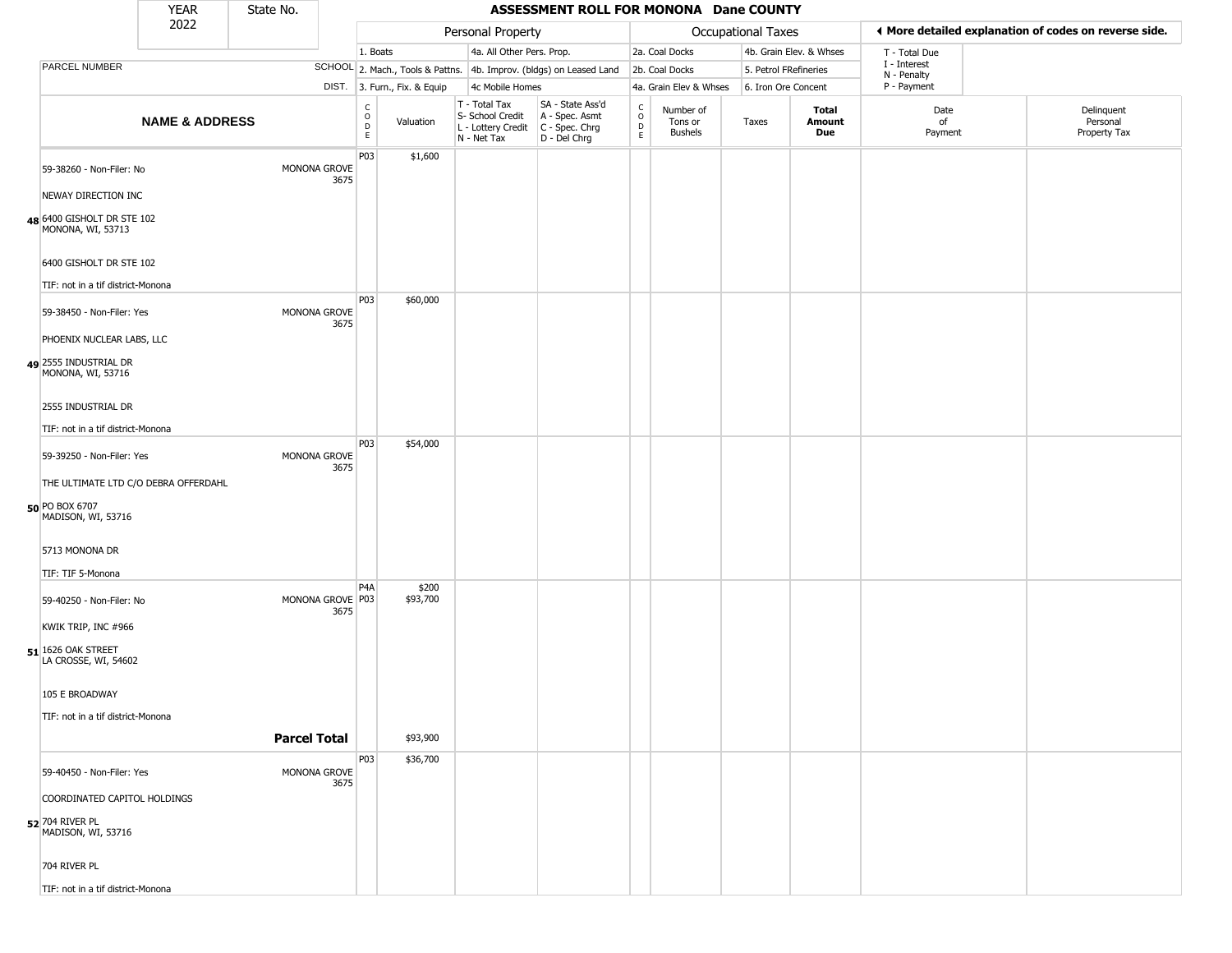|                                                 | <b>YEAR</b>                          | State No.           |                          |                         |                              |                                                                        | ASSESSMENT ROLL FOR MONONA Dane COUNTY                               |                                    |                                        |                       |                         |                             |                                                       |
|-------------------------------------------------|--------------------------------------|---------------------|--------------------------|-------------------------|------------------------------|------------------------------------------------------------------------|----------------------------------------------------------------------|------------------------------------|----------------------------------------|-----------------------|-------------------------|-----------------------------|-------------------------------------------------------|
|                                                 | 2022                                 |                     |                          |                         |                              | Personal Property                                                      |                                                                      |                                    |                                        | Occupational Taxes    |                         |                             | ◀ More detailed explanation of codes on reverse side. |
|                                                 |                                      |                     |                          | 1. Boats                |                              | 4a. All Other Pers. Prop.                                              |                                                                      |                                    | 2a. Coal Docks                         |                       | 4b. Grain Elev. & Whses | T - Total Due               |                                                       |
| PARCEL NUMBER                                   |                                      |                     |                          |                         |                              |                                                                        | SCHOOL 2. Mach., Tools & Pattns. 4b. Improv. (bldgs) on Leased Land  |                                    | 2b. Coal Docks                         | 5. Petrol FRefineries |                         | I - Interest<br>N - Penalty |                                                       |
|                                                 |                                      |                     |                          |                         | DIST. 3. Furn., Fix. & Equip | 4c Mobile Homes                                                        |                                                                      |                                    | 4a. Grain Elev & Whses                 | 6. Iron Ore Concent   |                         | P - Payment                 |                                                       |
|                                                 | <b>NAME &amp; ADDRESS</b>            |                     |                          | C<br>$\circ$<br>D<br>E. | Valuation                    | T - Total Tax<br>S- School Credit<br>L - Lottery Credit<br>N - Net Tax | SA - State Ass'd<br>A - Spec. Asmt<br>C - Spec. Chrg<br>D - Del Chrg | $\frac{c}{0}$<br>$\mathsf{D}$<br>E | Number of<br>Tons or<br><b>Bushels</b> | Taxes                 | Total<br>Amount<br>Due  | Date<br>of<br>Payment       | Delinquent<br>Personal<br>Property Tax                |
| 59-38260 - Non-Filer: No                        |                                      |                     | MONONA GROVE<br>3675     | P03                     | \$1,600                      |                                                                        |                                                                      |                                    |                                        |                       |                         |                             |                                                       |
| NEWAY DIRECTION INC                             |                                      |                     |                          |                         |                              |                                                                        |                                                                      |                                    |                                        |                       |                         |                             |                                                       |
| 48 6400 GISHOLT DR STE 102<br>MONONA, WI, 53713 |                                      |                     |                          |                         |                              |                                                                        |                                                                      |                                    |                                        |                       |                         |                             |                                                       |
| 6400 GISHOLT DR STE 102                         |                                      |                     |                          |                         |                              |                                                                        |                                                                      |                                    |                                        |                       |                         |                             |                                                       |
| TIF: not in a tif district-Monona               |                                      |                     |                          |                         |                              |                                                                        |                                                                      |                                    |                                        |                       |                         |                             |                                                       |
| 59-38450 - Non-Filer: Yes                       |                                      |                     | MONONA GROVE<br>3675     | P03                     | \$60,000                     |                                                                        |                                                                      |                                    |                                        |                       |                         |                             |                                                       |
| PHOENIX NUCLEAR LABS, LLC                       |                                      |                     |                          |                         |                              |                                                                        |                                                                      |                                    |                                        |                       |                         |                             |                                                       |
| 49 2555 INDUSTRIAL DR<br>MONONA, WI, 53716      |                                      |                     |                          |                         |                              |                                                                        |                                                                      |                                    |                                        |                       |                         |                             |                                                       |
| 2555 INDUSTRIAL DR                              |                                      |                     |                          |                         |                              |                                                                        |                                                                      |                                    |                                        |                       |                         |                             |                                                       |
| TIF: not in a tif district-Monona               |                                      |                     |                          |                         |                              |                                                                        |                                                                      |                                    |                                        |                       |                         |                             |                                                       |
| 59-39250 - Non-Filer: Yes                       |                                      |                     | MONONA GROVE<br>3675     | P03                     | \$54,000                     |                                                                        |                                                                      |                                    |                                        |                       |                         |                             |                                                       |
|                                                 | THE ULTIMATE LTD C/O DEBRA OFFERDAHL |                     |                          |                         |                              |                                                                        |                                                                      |                                    |                                        |                       |                         |                             |                                                       |
| 50 PO BOX 6707<br>MADISON, WI, 53716            |                                      |                     |                          |                         |                              |                                                                        |                                                                      |                                    |                                        |                       |                         |                             |                                                       |
| 5713 MONONA DR                                  |                                      |                     |                          |                         |                              |                                                                        |                                                                      |                                    |                                        |                       |                         |                             |                                                       |
| TIF: TIF 5-Monona                               |                                      |                     |                          |                         |                              |                                                                        |                                                                      |                                    |                                        |                       |                         |                             |                                                       |
| 59-40250 - Non-Filer: No                        |                                      |                     | MONONA GROVE P03<br>3675 | P <sub>4</sub> A        | \$200<br>\$93,700            |                                                                        |                                                                      |                                    |                                        |                       |                         |                             |                                                       |
| KWIK TRIP, INC #966                             |                                      |                     |                          |                         |                              |                                                                        |                                                                      |                                    |                                        |                       |                         |                             |                                                       |
| $51$ 1626 OAK STREET<br>LA CROSSE, WI, 54602    |                                      |                     |                          |                         |                              |                                                                        |                                                                      |                                    |                                        |                       |                         |                             |                                                       |
| 105 E BROADWAY                                  |                                      |                     |                          |                         |                              |                                                                        |                                                                      |                                    |                                        |                       |                         |                             |                                                       |
| TIF: not in a tif district-Monona               |                                      |                     |                          |                         |                              |                                                                        |                                                                      |                                    |                                        |                       |                         |                             |                                                       |
|                                                 |                                      | <b>Parcel Total</b> |                          |                         | \$93,900                     |                                                                        |                                                                      |                                    |                                        |                       |                         |                             |                                                       |
| 59-40450 - Non-Filer: Yes                       |                                      |                     | MONONA GROVE             | P03                     | \$36,700                     |                                                                        |                                                                      |                                    |                                        |                       |                         |                             |                                                       |
| COORDINATED CAPITOL HOLDINGS                    |                                      |                     | 3675                     |                         |                              |                                                                        |                                                                      |                                    |                                        |                       |                         |                             |                                                       |
| 52 704 RIVER PL<br>MADISON, WI, 53716           |                                      |                     |                          |                         |                              |                                                                        |                                                                      |                                    |                                        |                       |                         |                             |                                                       |
| 704 RIVER PL                                    |                                      |                     |                          |                         |                              |                                                                        |                                                                      |                                    |                                        |                       |                         |                             |                                                       |
| TIF: not in a tif district-Monona               |                                      |                     |                          |                         |                              |                                                                        |                                                                      |                                    |                                        |                       |                         |                             |                                                       |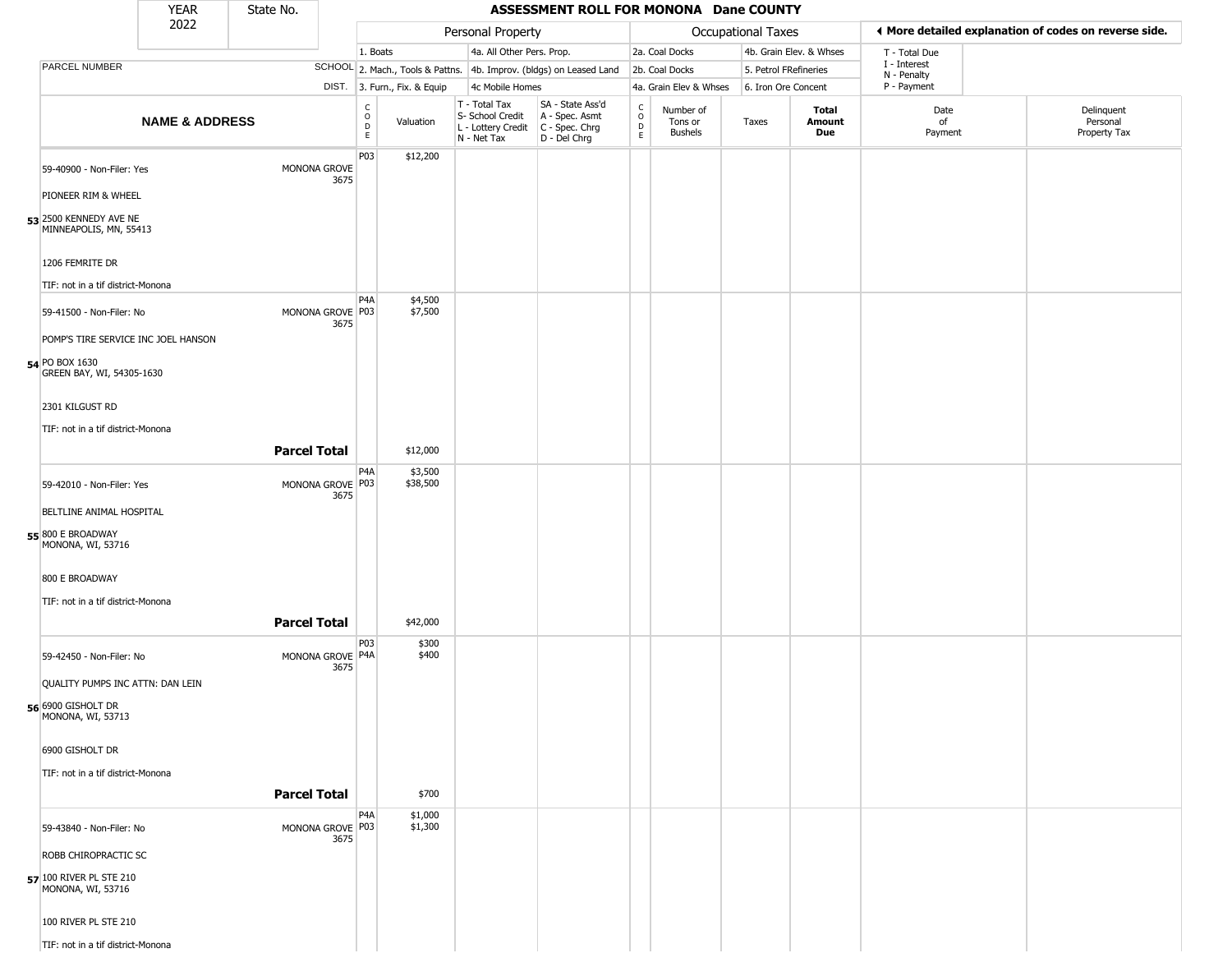|                                                                                    | <b>YEAR</b>               | State No.           |                                              |                                                                                 |                                                                                         | ASSESSMENT ROLL FOR MONONA Dane COUNTY                              |                               |                                        |                           |                         |                            |                                                       |
|------------------------------------------------------------------------------------|---------------------------|---------------------|----------------------------------------------|---------------------------------------------------------------------------------|-----------------------------------------------------------------------------------------|---------------------------------------------------------------------|-------------------------------|----------------------------------------|---------------------------|-------------------------|----------------------------|-------------------------------------------------------|
|                                                                                    | 2022                      |                     |                                              |                                                                                 | Personal Property                                                                       |                                                                     |                               |                                        | <b>Occupational Taxes</b> |                         |                            | ◀ More detailed explanation of codes on reverse side. |
|                                                                                    |                           |                     |                                              | 1. Boats                                                                        | 4a. All Other Pers. Prop.                                                               |                                                                     |                               | 2a. Coal Docks                         |                           | 4b. Grain Elev. & Whses | T - Total Due              |                                                       |
| PARCEL NUMBER                                                                      |                           |                     |                                              |                                                                                 |                                                                                         | SCHOOL 2. Mach., Tools & Pattns. 4b. Improv. (bldgs) on Leased Land |                               | 2b. Coal Docks                         | 5. Petrol FRefineries     |                         | I - Interest               |                                                       |
|                                                                                    |                           |                     |                                              | DIST. 3. Furn., Fix. & Equip                                                    | 4c Mobile Homes                                                                         |                                                                     |                               | 4a. Grain Elev & Whses                 | 6. Iron Ore Concent       |                         | N - Penalty<br>P - Payment |                                                       |
|                                                                                    | <b>NAME &amp; ADDRESS</b> |                     |                                              | $\begin{smallmatrix} C \\ O \\ D \end{smallmatrix}$<br>Valuation<br>$\mathsf E$ | T - Total Tax<br>S- School Credit<br>L - Lottery Credit   C - Spec. Chrg<br>N - Net Tax | SA - State Ass'd<br>A - Spec. Asmt<br>$D - Del Chrg$                | $\delta$<br>$\mathsf{D}$<br>E | Number of<br>Tons or<br><b>Bushels</b> | Taxes                     | Total<br>Amount<br>Due  | Date<br>of<br>Payment      | Delinquent<br>Personal<br>Property Tax                |
| 59-40900 - Non-Filer: Yes                                                          |                           |                     | P <sub>03</sub><br>MONONA GROVE<br>3675      | \$12,200                                                                        |                                                                                         |                                                                     |                               |                                        |                           |                         |                            |                                                       |
| PIONEER RIM & WHEEL                                                                |                           |                     |                                              |                                                                                 |                                                                                         |                                                                     |                               |                                        |                           |                         |                            |                                                       |
| 53 2500 KENNEDY AVE NE<br>MINNEAPOLIS, MN, 55413                                   |                           |                     |                                              |                                                                                 |                                                                                         |                                                                     |                               |                                        |                           |                         |                            |                                                       |
| 1206 FEMRITE DR                                                                    |                           |                     |                                              |                                                                                 |                                                                                         |                                                                     |                               |                                        |                           |                         |                            |                                                       |
| TIF: not in a tif district-Monona                                                  |                           |                     | P4A                                          | \$4,500                                                                         |                                                                                         |                                                                     |                               |                                        |                           |                         |                            |                                                       |
| 59-41500 - Non-Filer: No                                                           |                           |                     | MONONA GROVE P03<br>3675                     | \$7,500                                                                         |                                                                                         |                                                                     |                               |                                        |                           |                         |                            |                                                       |
| POMP'S TIRE SERVICE INC JOEL HANSON<br>54 PO BOX 1630<br>GREEN BAY, WI, 54305-1630 |                           |                     |                                              |                                                                                 |                                                                                         |                                                                     |                               |                                        |                           |                         |                            |                                                       |
| 2301 KILGUST RD                                                                    |                           |                     |                                              |                                                                                 |                                                                                         |                                                                     |                               |                                        |                           |                         |                            |                                                       |
| TIF: not in a tif district-Monona                                                  |                           |                     |                                              |                                                                                 |                                                                                         |                                                                     |                               |                                        |                           |                         |                            |                                                       |
|                                                                                    |                           | <b>Parcel Total</b> |                                              | \$12,000                                                                        |                                                                                         |                                                                     |                               |                                        |                           |                         |                            |                                                       |
| 59-42010 - Non-Filer: Yes                                                          |                           |                     | P4A<br>MONONA GROVE P03<br>3675              | \$3,500<br>\$38,500                                                             |                                                                                         |                                                                     |                               |                                        |                           |                         |                            |                                                       |
| BELTLINE ANIMAL HOSPITAL                                                           |                           |                     |                                              |                                                                                 |                                                                                         |                                                                     |                               |                                        |                           |                         |                            |                                                       |
| 55 800 E BROADWAY<br>MONONA, WI, 53716                                             |                           |                     |                                              |                                                                                 |                                                                                         |                                                                     |                               |                                        |                           |                         |                            |                                                       |
| 800 E BROADWAY                                                                     |                           |                     |                                              |                                                                                 |                                                                                         |                                                                     |                               |                                        |                           |                         |                            |                                                       |
| TIF: not in a tif district-Monona                                                  |                           |                     |                                              |                                                                                 |                                                                                         |                                                                     |                               |                                        |                           |                         |                            |                                                       |
|                                                                                    |                           | <b>Parcel Total</b> |                                              | \$42,000                                                                        |                                                                                         |                                                                     |                               |                                        |                           |                         |                            |                                                       |
| 59-42450 - Non-Filer: No                                                           |                           |                     | P <sub>0</sub> 3<br>MONONA GROVE P4A<br>3675 | \$300<br>\$400                                                                  |                                                                                         |                                                                     |                               |                                        |                           |                         |                            |                                                       |
| QUALITY PUMPS INC ATTN: DAN LEIN                                                   |                           |                     |                                              |                                                                                 |                                                                                         |                                                                     |                               |                                        |                           |                         |                            |                                                       |
| 56 6900 GISHOLT DR<br>MONONA, WI, 53713                                            |                           |                     |                                              |                                                                                 |                                                                                         |                                                                     |                               |                                        |                           |                         |                            |                                                       |
| 6900 GISHOLT DR                                                                    |                           |                     |                                              |                                                                                 |                                                                                         |                                                                     |                               |                                        |                           |                         |                            |                                                       |
| TIF: not in a tif district-Monona                                                  |                           | <b>Parcel Total</b> |                                              | \$700                                                                           |                                                                                         |                                                                     |                               |                                        |                           |                         |                            |                                                       |
| 59-43840 - Non-Filer: No                                                           |                           |                     | P <sub>4</sub> A<br>MONONA GROVE P03         | \$1,000<br>\$1,300                                                              |                                                                                         |                                                                     |                               |                                        |                           |                         |                            |                                                       |
| ROBB CHIROPRACTIC SC                                                               |                           |                     |                                              |                                                                                 |                                                                                         |                                                                     |                               |                                        |                           |                         |                            |                                                       |
| 57 100 RIVER PL STE 210<br>MONONA, WI, 53716                                       |                           |                     |                                              |                                                                                 |                                                                                         |                                                                     |                               |                                        |                           |                         |                            |                                                       |
| 100 RIVER PL STE 210                                                               |                           |                     |                                              |                                                                                 |                                                                                         |                                                                     |                               |                                        |                           |                         |                            |                                                       |
| TIF: not in a tif district-Monona                                                  |                           |                     |                                              |                                                                                 |                                                                                         |                                                                     |                               |                                        |                           |                         |                            |                                                       |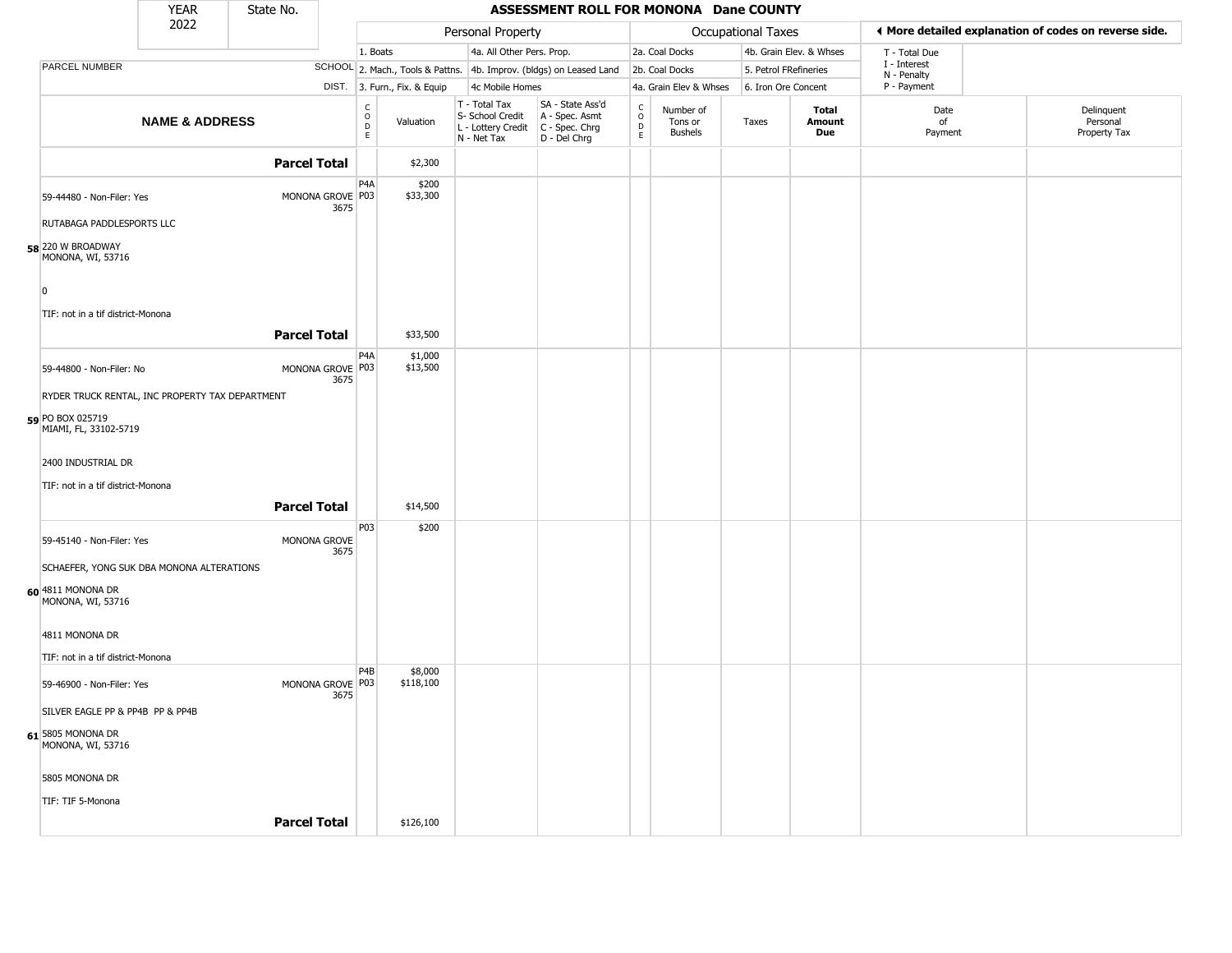|                                                  | <b>YEAR</b>               | State No.           |                          |                                                |         |                                                                                         | ASSESSMENT ROLL FOR MONONA Dane COUNTY                              |                                                          |                                        |                           |                         |                             |                                                       |
|--------------------------------------------------|---------------------------|---------------------|--------------------------|------------------------------------------------|---------|-----------------------------------------------------------------------------------------|---------------------------------------------------------------------|----------------------------------------------------------|----------------------------------------|---------------------------|-------------------------|-----------------------------|-------------------------------------------------------|
|                                                  | 2022                      |                     |                          |                                                |         | Personal Property                                                                       |                                                                     |                                                          |                                        | <b>Occupational Taxes</b> |                         |                             | ♦ More detailed explanation of codes on reverse side. |
|                                                  |                           |                     |                          | 1. Boats                                       |         | 4a. All Other Pers. Prop.                                                               |                                                                     |                                                          | 2a. Coal Docks                         |                           | 4b. Grain Elev. & Whses | T - Total Due               |                                                       |
| <b>PARCEL NUMBER</b>                             |                           |                     |                          |                                                |         |                                                                                         | SCHOOL 2. Mach., Tools & Pattns. 4b. Improv. (bldgs) on Leased Land |                                                          | 2b. Coal Docks                         |                           | 5. Petrol FRefineries   | I - Interest<br>N - Penalty |                                                       |
|                                                  |                           |                     |                          | DIST. 3. Furn., Fix. & Equip                   |         | 4c Mobile Homes                                                                         |                                                                     |                                                          | 4a. Grain Elev & Whses                 |                           | 6. Iron Ore Concent     | P - Payment                 |                                                       |
|                                                  | <b>NAME &amp; ADDRESS</b> |                     |                          | $\frac{C}{O}$<br>Valuation<br>$\mathsf D$<br>E |         | T - Total Tax<br>S- School Credit<br>L - Lottery Credit   C - Spec. Chrg<br>N - Net Tax | SA - State Ass'd<br>A - Spec. Asmt<br>D - Del Chrg                  | $\begin{matrix} 0 \\ 0 \\ D \end{matrix}$<br>$\mathsf E$ | Number of<br>Tons or<br><b>Bushels</b> | Taxes                     | Total<br>Amount<br>Due  | Date<br>of<br>Payment       | Delinquent<br>Personal<br>Property Tax                |
|                                                  |                           | <b>Parcel Total</b> |                          |                                                | \$2,300 |                                                                                         |                                                                     |                                                          |                                        |                           |                         |                             |                                                       |
| 59-44480 - Non-Filer: Yes                        |                           |                     | MONONA GROVE P03<br>3675 | P4A<br>\$33,300                                | \$200   |                                                                                         |                                                                     |                                                          |                                        |                           |                         |                             |                                                       |
| RUTABAGA PADDLESPORTS LLC                        |                           |                     |                          |                                                |         |                                                                                         |                                                                     |                                                          |                                        |                           |                         |                             |                                                       |
| 58 220 W BROADWAY<br>MONONA, WI, 53716           |                           |                     |                          |                                                |         |                                                                                         |                                                                     |                                                          |                                        |                           |                         |                             |                                                       |
| $\overline{0}$                                   |                           |                     |                          |                                                |         |                                                                                         |                                                                     |                                                          |                                        |                           |                         |                             |                                                       |
| TIF: not in a tif district-Monona                |                           |                     |                          |                                                |         |                                                                                         |                                                                     |                                                          |                                        |                           |                         |                             |                                                       |
|                                                  |                           | <b>Parcel Total</b> |                          | \$33,500                                       |         |                                                                                         |                                                                     |                                                          |                                        |                           |                         |                             |                                                       |
| 59-44800 - Non-Filer: No                         |                           |                     | MONONA GROVE P03<br>3675 | P4A<br>\$13,500                                | \$1,000 |                                                                                         |                                                                     |                                                          |                                        |                           |                         |                             |                                                       |
| RYDER TRUCK RENTAL, INC PROPERTY TAX DEPARTMENT  |                           |                     |                          |                                                |         |                                                                                         |                                                                     |                                                          |                                        |                           |                         |                             |                                                       |
| <b>59</b> PO BOX 025719<br>MIAMI, FL, 33102-5719 |                           |                     |                          |                                                |         |                                                                                         |                                                                     |                                                          |                                        |                           |                         |                             |                                                       |
| 2400 INDUSTRIAL DR                               |                           |                     |                          |                                                |         |                                                                                         |                                                                     |                                                          |                                        |                           |                         |                             |                                                       |
| TIF: not in a tif district-Monona                |                           |                     |                          |                                                |         |                                                                                         |                                                                     |                                                          |                                        |                           |                         |                             |                                                       |
|                                                  |                           | <b>Parcel Total</b> |                          | \$14,500                                       |         |                                                                                         |                                                                     |                                                          |                                        |                           |                         |                             |                                                       |
| 59-45140 - Non-Filer: Yes                        |                           |                     | MONONA GROVE<br>3675     | P03                                            | \$200   |                                                                                         |                                                                     |                                                          |                                        |                           |                         |                             |                                                       |
| SCHAEFER, YONG SUK DBA MONONA ALTERATIONS        |                           |                     |                          |                                                |         |                                                                                         |                                                                     |                                                          |                                        |                           |                         |                             |                                                       |
| 60 4811 MONONA DR<br>MONONA, WI, 53716           |                           |                     |                          |                                                |         |                                                                                         |                                                                     |                                                          |                                        |                           |                         |                             |                                                       |
| 4811 MONONA DR                                   |                           |                     |                          |                                                |         |                                                                                         |                                                                     |                                                          |                                        |                           |                         |                             |                                                       |
| TIF: not in a tif district-Monona                |                           |                     |                          |                                                |         |                                                                                         |                                                                     |                                                          |                                        |                           |                         |                             |                                                       |
| 59-46900 - Non-Filer: Yes                        |                           |                     | MONONA GROVE P03<br>3675 | P4B<br>\$118,100                               | \$8,000 |                                                                                         |                                                                     |                                                          |                                        |                           |                         |                             |                                                       |
| SILVER EAGLE PP & PP4B PP & PP4B                 |                           |                     |                          |                                                |         |                                                                                         |                                                                     |                                                          |                                        |                           |                         |                             |                                                       |
| 61 5805 MONONA DR<br>MONONA, WI, 53716           |                           |                     |                          |                                                |         |                                                                                         |                                                                     |                                                          |                                        |                           |                         |                             |                                                       |
| 5805 MONONA DR                                   |                           |                     |                          |                                                |         |                                                                                         |                                                                     |                                                          |                                        |                           |                         |                             |                                                       |
| TIF: TIF 5-Monona                                |                           |                     |                          |                                                |         |                                                                                         |                                                                     |                                                          |                                        |                           |                         |                             |                                                       |
|                                                  |                           | <b>Parcel Total</b> |                          | \$126,100                                      |         |                                                                                         |                                                                     |                                                          |                                        |                           |                         |                             |                                                       |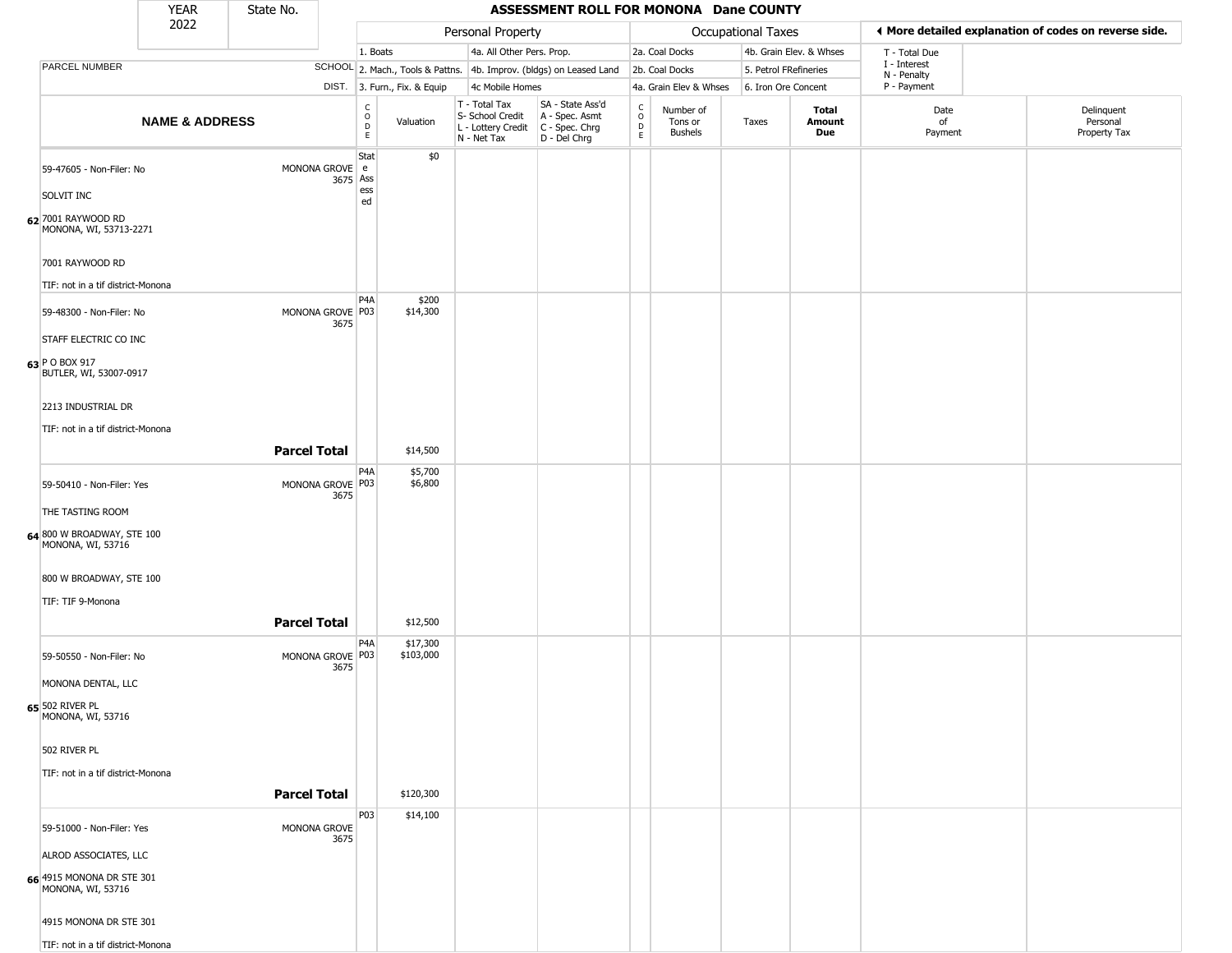|                                                                                                           | <b>YEAR</b>               | State No.           |                            |                                                 |                              |                                                                        | ASSESSMENT ROLL FOR MONONA Dane COUNTY                               |                                                 |                                        |                       |                         |                             |                                                       |
|-----------------------------------------------------------------------------------------------------------|---------------------------|---------------------|----------------------------|-------------------------------------------------|------------------------------|------------------------------------------------------------------------|----------------------------------------------------------------------|-------------------------------------------------|----------------------------------------|-----------------------|-------------------------|-----------------------------|-------------------------------------------------------|
|                                                                                                           | 2022                      |                     |                            |                                                 |                              | Personal Property                                                      |                                                                      |                                                 |                                        | Occupational Taxes    |                         |                             | ♦ More detailed explanation of codes on reverse side. |
|                                                                                                           |                           |                     |                            | 1. Boats                                        |                              | 4a. All Other Pers. Prop.                                              |                                                                      |                                                 | 2a. Coal Docks                         |                       | 4b. Grain Elev. & Whses | T - Total Due               |                                                       |
| PARCEL NUMBER                                                                                             |                           |                     |                            |                                                 |                              |                                                                        | SCHOOL 2. Mach., Tools & Pattns. 4b. Improv. (bldgs) on Leased Land  |                                                 | 2b. Coal Docks                         | 5. Petrol FRefineries |                         | I - Interest<br>N - Penalty |                                                       |
|                                                                                                           |                           |                     |                            |                                                 | DIST. 3. Furn., Fix. & Equip | 4c Mobile Homes                                                        |                                                                      |                                                 | 4a. Grain Elev & Whses                 | 6. Iron Ore Concent   |                         | P - Payment                 |                                                       |
|                                                                                                           | <b>NAME &amp; ADDRESS</b> |                     |                            | $\begin{array}{c} C \\ O \\ D \\ E \end{array}$ | Valuation                    | T - Total Tax<br>S- School Credit<br>L - Lottery Credit<br>N - Net Tax | SA - State Ass'd<br>A - Spec. Asmt<br>C - Spec. Chrg<br>D - Del Chrg | $\begin{array}{c} C \\ O \\ D \\ E \end{array}$ | Number of<br>Tons or<br><b>Bushels</b> | Taxes                 | Total<br>Amount<br>Due  | Date<br>of<br>Payment       | Delinquent<br>Personal<br>Property Tax                |
| 59-47605 - Non-Filer: No<br>SOLVIT INC<br>62 7001 RAYWOOD RD<br>MONONA, WI, 53713-2271<br>7001 RAYWOOD RD |                           |                     | MONONA GROVE e<br>3675 Ass | Stat<br>ess<br>ed                               | \$0                          |                                                                        |                                                                      |                                                 |                                        |                       |                         |                             |                                                       |
| TIF: not in a tif district-Monona                                                                         |                           |                     |                            |                                                 |                              |                                                                        |                                                                      |                                                 |                                        |                       |                         |                             |                                                       |
| 59-48300 - Non-Filer: No<br>STAFF ELECTRIC CO INC<br>63 P O BOX 917                                       |                           |                     | MONONA GROVE P03<br>3675   | P4A                                             | \$200<br>\$14,300            |                                                                        |                                                                      |                                                 |                                        |                       |                         |                             |                                                       |
| BUTLER, WI, 53007-0917                                                                                    |                           |                     |                            |                                                 |                              |                                                                        |                                                                      |                                                 |                                        |                       |                         |                             |                                                       |
| 2213 INDUSTRIAL DR                                                                                        |                           |                     |                            |                                                 |                              |                                                                        |                                                                      |                                                 |                                        |                       |                         |                             |                                                       |
| TIF: not in a tif district-Monona                                                                         |                           |                     |                            |                                                 |                              |                                                                        |                                                                      |                                                 |                                        |                       |                         |                             |                                                       |
|                                                                                                           |                           | <b>Parcel Total</b> |                            |                                                 | \$14,500                     |                                                                        |                                                                      |                                                 |                                        |                       |                         |                             |                                                       |
| 59-50410 - Non-Filer: Yes                                                                                 |                           |                     | MONONA GROVE P03<br>3675   | P4A                                             | \$5,700<br>\$6,800           |                                                                        |                                                                      |                                                 |                                        |                       |                         |                             |                                                       |
| THE TASTING ROOM                                                                                          |                           |                     |                            |                                                 |                              |                                                                        |                                                                      |                                                 |                                        |                       |                         |                             |                                                       |
| 64 800 W BROADWAY, STE 100<br>MONONA, WI, 53716                                                           |                           |                     |                            |                                                 |                              |                                                                        |                                                                      |                                                 |                                        |                       |                         |                             |                                                       |
| 800 W BROADWAY, STE 100                                                                                   |                           |                     |                            |                                                 |                              |                                                                        |                                                                      |                                                 |                                        |                       |                         |                             |                                                       |
| TIF: TIF 9-Monona                                                                                         |                           |                     |                            |                                                 |                              |                                                                        |                                                                      |                                                 |                                        |                       |                         |                             |                                                       |
|                                                                                                           |                           | <b>Parcel Total</b> |                            |                                                 | \$12,500                     |                                                                        |                                                                      |                                                 |                                        |                       |                         |                             |                                                       |
| 59-50550 - Non-Filer: No                                                                                  |                           |                     | MONONA GROVE P03<br>3675   | P4A                                             | \$17,300<br>\$103,000        |                                                                        |                                                                      |                                                 |                                        |                       |                         |                             |                                                       |
| MONONA DENTAL, LLC                                                                                        |                           |                     |                            |                                                 |                              |                                                                        |                                                                      |                                                 |                                        |                       |                         |                             |                                                       |
| 65 502 RIVER PL<br>MONONA, WI, 53716                                                                      |                           |                     |                            |                                                 |                              |                                                                        |                                                                      |                                                 |                                        |                       |                         |                             |                                                       |
| 502 RIVER PL                                                                                              |                           |                     |                            |                                                 |                              |                                                                        |                                                                      |                                                 |                                        |                       |                         |                             |                                                       |
| TIF: not in a tif district-Monona                                                                         |                           |                     |                            |                                                 |                              |                                                                        |                                                                      |                                                 |                                        |                       |                         |                             |                                                       |
|                                                                                                           |                           | <b>Parcel Total</b> |                            |                                                 | \$120,300                    |                                                                        |                                                                      |                                                 |                                        |                       |                         |                             |                                                       |
| 59-51000 - Non-Filer: Yes                                                                                 |                           |                     | MONONA GROVE               | P03                                             | \$14,100                     |                                                                        |                                                                      |                                                 |                                        |                       |                         |                             |                                                       |
| ALROD ASSOCIATES, LLC                                                                                     |                           |                     | 3675                       |                                                 |                              |                                                                        |                                                                      |                                                 |                                        |                       |                         |                             |                                                       |
| 66 4915 MONONA DR STE 301<br>MONONA, WI, 53716                                                            |                           |                     |                            |                                                 |                              |                                                                        |                                                                      |                                                 |                                        |                       |                         |                             |                                                       |
| 4915 MONONA DR STE 301                                                                                    |                           |                     |                            |                                                 |                              |                                                                        |                                                                      |                                                 |                                        |                       |                         |                             |                                                       |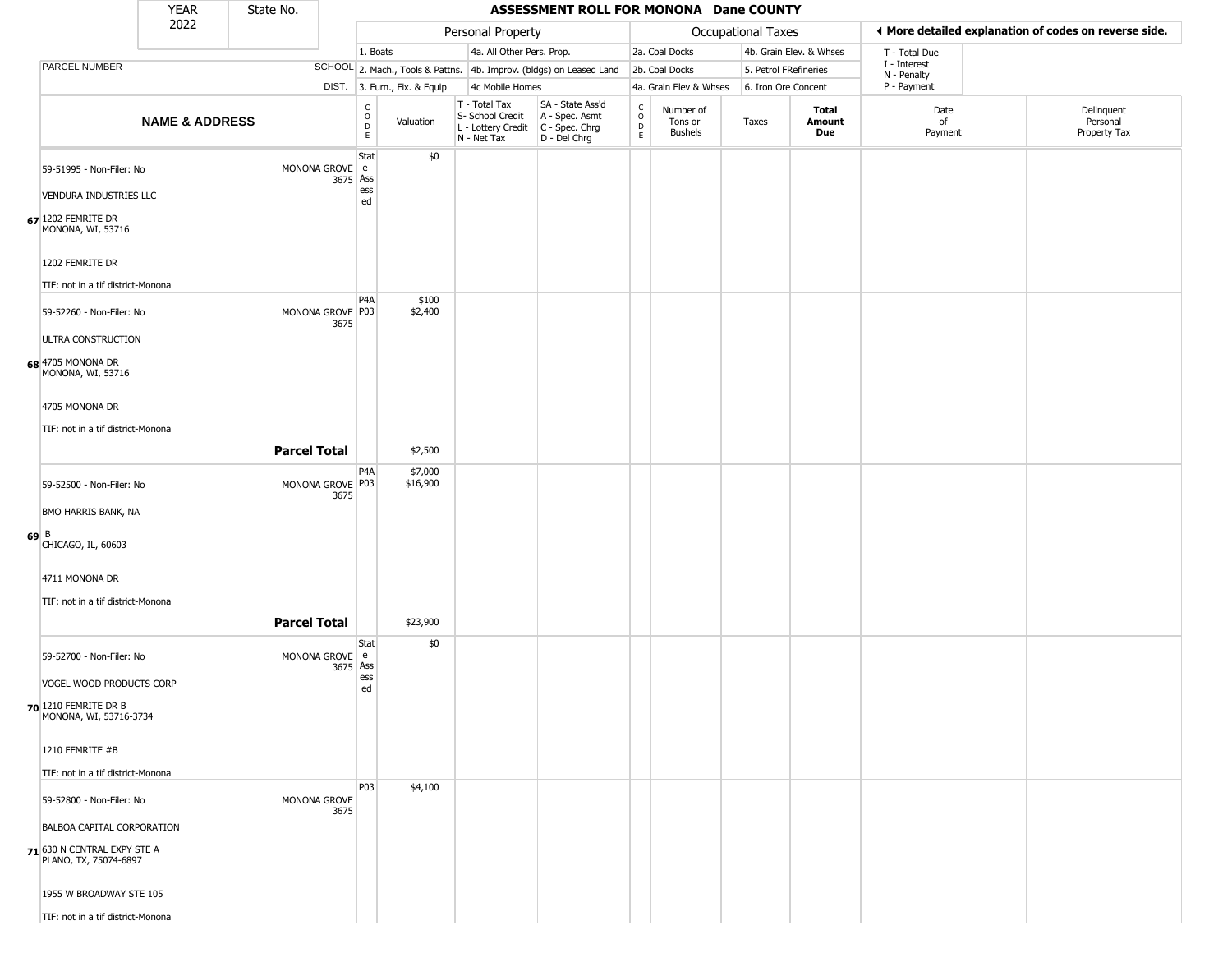|        |                                                                                           | <b>YEAR</b>               | State No.           |                              |                                                 |                              |                                                  | ASSESSMENT ROLL FOR MONONA Dane COUNTY                                                    |                                         |                                        |                       |                         |                             |                                                       |
|--------|-------------------------------------------------------------------------------------------|---------------------------|---------------------|------------------------------|-------------------------------------------------|------------------------------|--------------------------------------------------|-------------------------------------------------------------------------------------------|-----------------------------------------|----------------------------------------|-----------------------|-------------------------|-----------------------------|-------------------------------------------------------|
|        |                                                                                           | 2022                      |                     |                              |                                                 |                              | Personal Property                                |                                                                                           |                                         |                                        | Occupational Taxes    |                         |                             | ◀ More detailed explanation of codes on reverse side. |
|        |                                                                                           |                           |                     |                              | 1. Boats                                        |                              | 4a. All Other Pers. Prop.                        |                                                                                           |                                         | 2a. Coal Docks                         |                       | 4b. Grain Elev. & Whses | T - Total Due               |                                                       |
|        | PARCEL NUMBER                                                                             |                           |                     |                              |                                                 |                              |                                                  | SCHOOL 2. Mach., Tools & Pattns. 4b. Improv. (bldgs) on Leased Land                       |                                         | 2b. Coal Docks                         | 5. Petrol FRefineries |                         | I - Interest<br>N - Penalty |                                                       |
|        |                                                                                           |                           |                     |                              |                                                 | DIST. 3. Furn., Fix. & Equip | 4c Mobile Homes                                  |                                                                                           |                                         | 4a. Grain Elev & Whses                 | 6. Iron Ore Concent   |                         | P - Payment                 |                                                       |
|        |                                                                                           | <b>NAME &amp; ADDRESS</b> |                     |                              | $\mathsf{C}$<br>$\mathsf O$<br>D<br>$\mathsf E$ | Valuation                    | T - Total Tax<br>S- School Credit<br>N - Net Tax | SA - State Ass'd<br>A - Spec. Asmt<br>L - Lottery Credit   C - Spec. Chrg<br>D - Del Chrg | $\delta$<br>$\mathsf{D}$<br>$\mathsf E$ | Number of<br>Tons or<br><b>Bushels</b> | Taxes                 | Total<br>Amount<br>Due  | Date<br>of<br>Payment       | Delinquent<br>Personal<br>Property Tax                |
|        | 59-51995 - Non-Filer: No<br><b>VENDURA INDUSTRIES LLC</b>                                 |                           |                     | MONONA GROVE e<br>3675 Ass   | Stat<br>ess<br>ed                               | \$0                          |                                                  |                                                                                           |                                         |                                        |                       |                         |                             |                                                       |
|        | $67$ <sup>1202</sup> FEMRITE DR<br>MONONA, WI, 53716<br>1202 FEMRITE DR                   |                           |                     |                              |                                                 |                              |                                                  |                                                                                           |                                         |                                        |                       |                         |                             |                                                       |
|        | TIF: not in a tif district-Monona                                                         |                           |                     |                              |                                                 |                              |                                                  |                                                                                           |                                         |                                        |                       |                         |                             |                                                       |
|        | 59-52260 - Non-Filer: No<br>ULTRA CONSTRUCTION                                            |                           |                     | MONONA GROVE P03<br>3675     | P <sub>4</sub> A                                | \$100<br>\$2,400             |                                                  |                                                                                           |                                         |                                        |                       |                         |                             |                                                       |
|        | 68 4705 MONONA DR<br>MONONA, WI, 53716                                                    |                           |                     |                              |                                                 |                              |                                                  |                                                                                           |                                         |                                        |                       |                         |                             |                                                       |
|        | 4705 MONONA DR                                                                            |                           |                     |                              |                                                 |                              |                                                  |                                                                                           |                                         |                                        |                       |                         |                             |                                                       |
|        | TIF: not in a tif district-Monona                                                         |                           |                     |                              |                                                 |                              |                                                  |                                                                                           |                                         |                                        |                       |                         |                             |                                                       |
|        |                                                                                           |                           | <b>Parcel Total</b> |                              |                                                 | \$2,500                      |                                                  |                                                                                           |                                         |                                        |                       |                         |                             |                                                       |
|        | 59-52500 - Non-Filer: No                                                                  |                           |                     | MONONA GROVE P03<br>3675     | P4A                                             | \$7,000<br>\$16,900          |                                                  |                                                                                           |                                         |                                        |                       |                         |                             |                                                       |
|        | <b>BMO HARRIS BANK, NA</b>                                                                |                           |                     |                              |                                                 |                              |                                                  |                                                                                           |                                         |                                        |                       |                         |                             |                                                       |
| $69$ B | CHICAGO, IL, 60603                                                                        |                           |                     |                              |                                                 |                              |                                                  |                                                                                           |                                         |                                        |                       |                         |                             |                                                       |
|        | 4711 MONONA DR                                                                            |                           |                     |                              |                                                 |                              |                                                  |                                                                                           |                                         |                                        |                       |                         |                             |                                                       |
|        | TIF: not in a tif district-Monona                                                         |                           |                     |                              |                                                 |                              |                                                  |                                                                                           |                                         |                                        |                       |                         |                             |                                                       |
|        |                                                                                           |                           | <b>Parcel Total</b> |                              |                                                 | \$23,900                     |                                                  |                                                                                           |                                         |                                        |                       |                         |                             |                                                       |
|        | 59-52700 - Non-Filer: No                                                                  |                           |                     | MONONA GROVE   e<br>3675 Ass | Stat<br>ess                                     | \$0                          |                                                  |                                                                                           |                                         |                                        |                       |                         |                             |                                                       |
|        | VOGEL WOOD PRODUCTS CORP                                                                  |                           |                     |                              | ed                                              |                              |                                                  |                                                                                           |                                         |                                        |                       |                         |                             |                                                       |
|        | $70$ 1210 FEMRITE DR B<br>MONONA, WI, 53716-3734                                          |                           |                     |                              |                                                 |                              |                                                  |                                                                                           |                                         |                                        |                       |                         |                             |                                                       |
|        | 1210 FEMRITE #B                                                                           |                           |                     |                              |                                                 |                              |                                                  |                                                                                           |                                         |                                        |                       |                         |                             |                                                       |
|        | TIF: not in a tif district-Monona                                                         |                           |                     |                              |                                                 |                              |                                                  |                                                                                           |                                         |                                        |                       |                         |                             |                                                       |
|        | 59-52800 - Non-Filer: No                                                                  |                           |                     | MONONA GROVE<br>3675         | P03                                             | \$4,100                      |                                                  |                                                                                           |                                         |                                        |                       |                         |                             |                                                       |
|        | BALBOA CAPITAL CORPORATION<br><b>71</b> 630 N CENTRAL EXPY STE A<br>PLANO, TX, 75074-6897 |                           |                     |                              |                                                 |                              |                                                  |                                                                                           |                                         |                                        |                       |                         |                             |                                                       |
|        | 1955 W BROADWAY STE 105                                                                   |                           |                     |                              |                                                 |                              |                                                  |                                                                                           |                                         |                                        |                       |                         |                             |                                                       |
|        | TIF: not in a tif district-Monona                                                         |                           |                     |                              |                                                 |                              |                                                  |                                                                                           |                                         |                                        |                       |                         |                             |                                                       |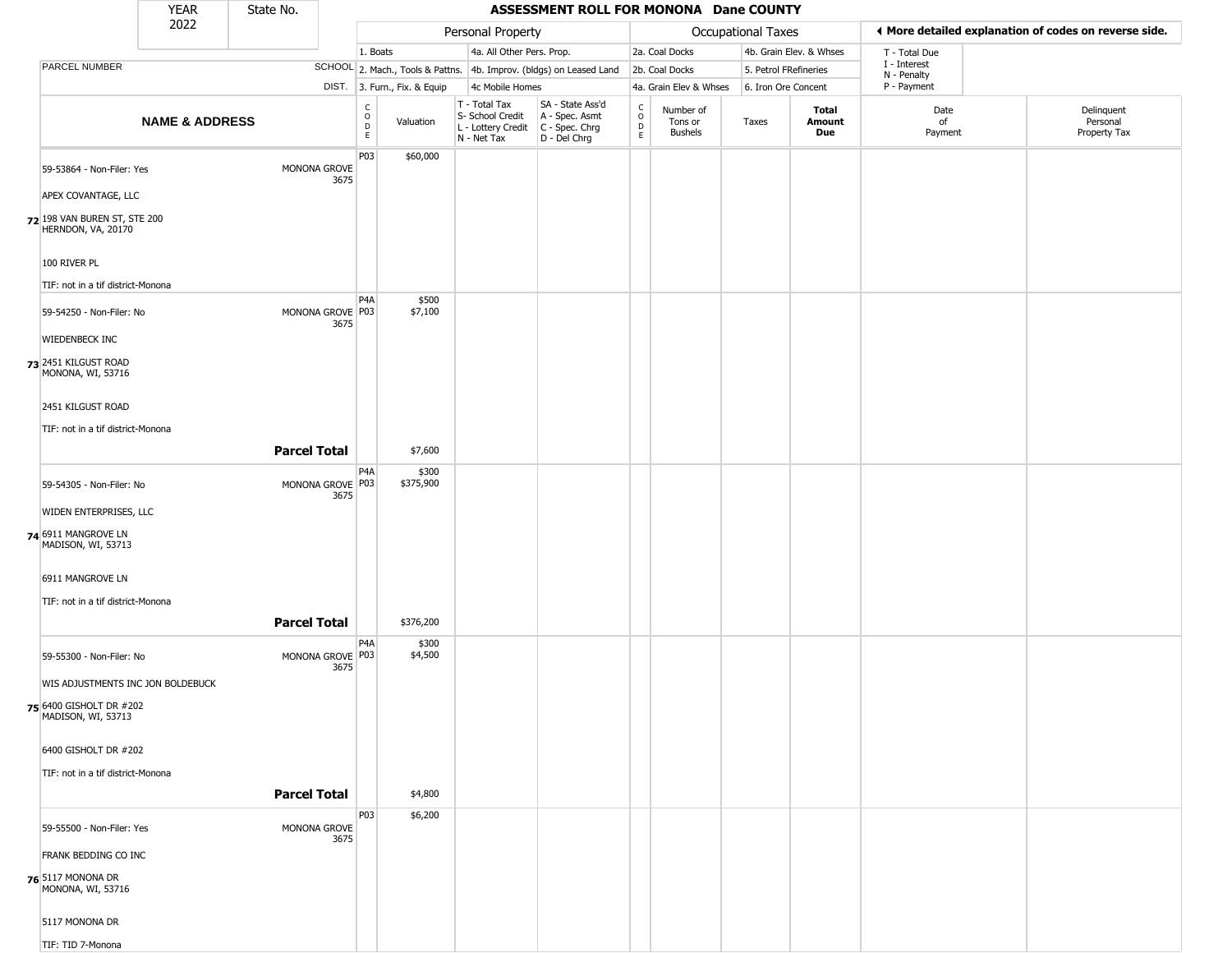|                                                    | YEAR                      | State No.           |                          |                                                                    |                              |                                                  | ASSESSMENT ROLL FOR MONONA Dane COUNTY                                                  |                                   |                                        |                       |                               |                             |                                                       |
|----------------------------------------------------|---------------------------|---------------------|--------------------------|--------------------------------------------------------------------|------------------------------|--------------------------------------------------|-----------------------------------------------------------------------------------------|-----------------------------------|----------------------------------------|-----------------------|-------------------------------|-----------------------------|-------------------------------------------------------|
|                                                    | 2022                      |                     |                          |                                                                    |                              | Personal Property                                |                                                                                         |                                   |                                        | Occupational Taxes    |                               |                             | ♦ More detailed explanation of codes on reverse side. |
|                                                    |                           |                     |                          | 1. Boats                                                           |                              | 4a. All Other Pers. Prop.                        |                                                                                         |                                   | 2a. Coal Docks                         |                       | 4b. Grain Elev. & Whses       | T - Total Due               |                                                       |
| PARCEL NUMBER                                      |                           |                     |                          |                                                                    |                              |                                                  | SCHOOL 2. Mach., Tools & Pattns. 4b. Improv. (bldgs) on Leased Land                     |                                   | 2b. Coal Docks                         | 5. Petrol FRefineries |                               | I - Interest<br>N - Penalty |                                                       |
|                                                    |                           |                     |                          |                                                                    | DIST. 3. Furn., Fix. & Equip | 4c Mobile Homes                                  |                                                                                         |                                   | 4a. Grain Elev & Whses                 | 6. Iron Ore Concent   |                               | P - Payment                 |                                                       |
|                                                    | <b>NAME &amp; ADDRESS</b> |                     |                          | $\begin{smallmatrix} C \\ O \\ D \end{smallmatrix}$<br>$\mathsf E$ | Valuation                    | T - Total Tax<br>S- School Credit<br>N - Net Tax | SA - State Ass'd<br>A - Spec. Asmt<br>L - Lottery Credit C - Spec. Chrg<br>D - Del Chrg | $\frac{c}{0}$<br>$\mathsf D$<br>E | Number of<br>Tons or<br><b>Bushels</b> | Taxes                 | <b>Total</b><br>Amount<br>Due | Date<br>of<br>Payment       | Delinquent<br>Personal<br>Property Tax                |
| 59-53864 - Non-Filer: Yes                          |                           |                     | MONONA GROVE             | P <sub>03</sub>                                                    | \$60,000                     |                                                  |                                                                                         |                                   |                                        |                       |                               |                             |                                                       |
| APEX COVANTAGE, LLC                                |                           |                     | 3675                     |                                                                    |                              |                                                  |                                                                                         |                                   |                                        |                       |                               |                             |                                                       |
| 72 198 VAN BUREN ST, STE 200<br>HERNDON, VA, 20170 |                           |                     |                          |                                                                    |                              |                                                  |                                                                                         |                                   |                                        |                       |                               |                             |                                                       |
| 100 RIVER PL                                       |                           |                     |                          |                                                                    |                              |                                                  |                                                                                         |                                   |                                        |                       |                               |                             |                                                       |
| TIF: not in a tif district-Monona                  |                           |                     |                          |                                                                    |                              |                                                  |                                                                                         |                                   |                                        |                       |                               |                             |                                                       |
| 59-54250 - Non-Filer: No                           |                           |                     | MONONA GROVE P03<br>3675 | P <sub>4</sub> A                                                   | \$500<br>\$7,100             |                                                  |                                                                                         |                                   |                                        |                       |                               |                             |                                                       |
| <b>WIEDENBECK INC</b>                              |                           |                     |                          |                                                                    |                              |                                                  |                                                                                         |                                   |                                        |                       |                               |                             |                                                       |
| 73 2451 KILGUST ROAD<br>MONONA, WI, 53716          |                           |                     |                          |                                                                    |                              |                                                  |                                                                                         |                                   |                                        |                       |                               |                             |                                                       |
| 2451 KILGUST ROAD                                  |                           |                     |                          |                                                                    |                              |                                                  |                                                                                         |                                   |                                        |                       |                               |                             |                                                       |
| TIF: not in a tif district-Monona                  |                           |                     |                          |                                                                    |                              |                                                  |                                                                                         |                                   |                                        |                       |                               |                             |                                                       |
|                                                    |                           | <b>Parcel Total</b> |                          |                                                                    | \$7,600                      |                                                  |                                                                                         |                                   |                                        |                       |                               |                             |                                                       |
|                                                    |                           |                     |                          | P4A                                                                | \$300                        |                                                  |                                                                                         |                                   |                                        |                       |                               |                             |                                                       |
| 59-54305 - Non-Filer: No                           |                           |                     | MONONA GROVE P03<br>3675 |                                                                    | \$375,900                    |                                                  |                                                                                         |                                   |                                        |                       |                               |                             |                                                       |
| WIDEN ENTERPRISES, LLC                             |                           |                     |                          |                                                                    |                              |                                                  |                                                                                         |                                   |                                        |                       |                               |                             |                                                       |
| 74 6911 MANGROVE LN<br>MADISON, WI, 53713          |                           |                     |                          |                                                                    |                              |                                                  |                                                                                         |                                   |                                        |                       |                               |                             |                                                       |
| 6911 MANGROVE LN                                   |                           |                     |                          |                                                                    |                              |                                                  |                                                                                         |                                   |                                        |                       |                               |                             |                                                       |
| TIF: not in a tif district-Monona                  |                           |                     |                          |                                                                    |                              |                                                  |                                                                                         |                                   |                                        |                       |                               |                             |                                                       |
|                                                    |                           | <b>Parcel Total</b> |                          |                                                                    | \$376,200                    |                                                  |                                                                                         |                                   |                                        |                       |                               |                             |                                                       |
| 59-55300 - Non-Filer: No                           |                           |                     | MONONA GROVE P03<br>3675 | P <sub>4</sub> A                                                   | \$300<br>\$4,500             |                                                  |                                                                                         |                                   |                                        |                       |                               |                             |                                                       |
| WIS ADJUSTMENTS INC JON BOLDEBUCK                  |                           |                     |                          |                                                                    |                              |                                                  |                                                                                         |                                   |                                        |                       |                               |                             |                                                       |
| 75 6400 GISHOLT DR #202<br>MADISON, WI, 53713      |                           |                     |                          |                                                                    |                              |                                                  |                                                                                         |                                   |                                        |                       |                               |                             |                                                       |
| 6400 GISHOLT DR #202                               |                           |                     |                          |                                                                    |                              |                                                  |                                                                                         |                                   |                                        |                       |                               |                             |                                                       |
| TIF: not in a tif district-Monona                  |                           |                     |                          |                                                                    |                              |                                                  |                                                                                         |                                   |                                        |                       |                               |                             |                                                       |
|                                                    |                           | <b>Parcel Total</b> |                          |                                                                    | \$4,800                      |                                                  |                                                                                         |                                   |                                        |                       |                               |                             |                                                       |
| 59-55500 - Non-Filer: Yes                          |                           |                     | MONONA GROVE<br>3675     | P03                                                                | \$6,200                      |                                                  |                                                                                         |                                   |                                        |                       |                               |                             |                                                       |
| <b>FRANK BEDDING CO INC</b>                        |                           |                     |                          |                                                                    |                              |                                                  |                                                                                         |                                   |                                        |                       |                               |                             |                                                       |
| 76 5117 MONONA DR<br>MONONA, WI, 53716             |                           |                     |                          |                                                                    |                              |                                                  |                                                                                         |                                   |                                        |                       |                               |                             |                                                       |
| 5117 MONONA DR                                     |                           |                     |                          |                                                                    |                              |                                                  |                                                                                         |                                   |                                        |                       |                               |                             |                                                       |
| TIF: TID 7-Monona                                  |                           |                     |                          |                                                                    |                              |                                                  |                                                                                         |                                   |                                        |                       |                               |                             |                                                       |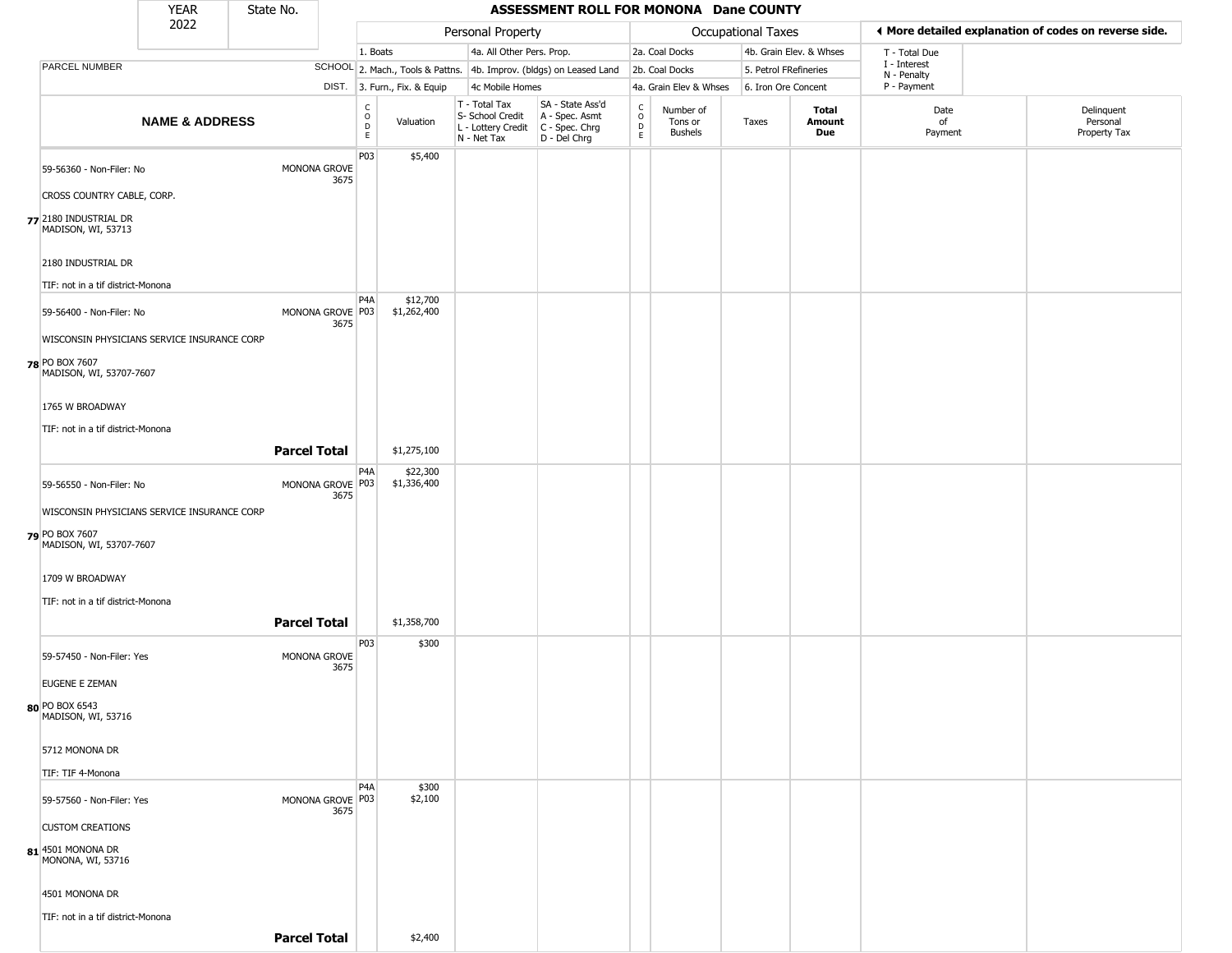|                                             | <b>YEAR</b>               | State No.           |                                              |                                                                       |                                                                        | ASSESSMENT ROLL FOR MONONA Dane COUNTY                               |                                              |                                        |                           |                         |                            |                                                       |
|---------------------------------------------|---------------------------|---------------------|----------------------------------------------|-----------------------------------------------------------------------|------------------------------------------------------------------------|----------------------------------------------------------------------|----------------------------------------------|----------------------------------------|---------------------------|-------------------------|----------------------------|-------------------------------------------------------|
|                                             | 2022                      |                     |                                              |                                                                       | Personal Property                                                      |                                                                      |                                              |                                        | <b>Occupational Taxes</b> |                         |                            | ◀ More detailed explanation of codes on reverse side. |
|                                             |                           |                     |                                              | 1. Boats                                                              | 4a. All Other Pers. Prop.                                              |                                                                      |                                              | 2a. Coal Docks                         |                           | 4b. Grain Elev. & Whses | T - Total Due              |                                                       |
| PARCEL NUMBER                               |                           |                     |                                              |                                                                       |                                                                        | SCHOOL 2. Mach., Tools & Pattns. 4b. Improv. (bldgs) on Leased Land  |                                              | 2b. Coal Docks                         | 5. Petrol FRefineries     |                         | I - Interest               |                                                       |
|                                             |                           |                     |                                              | DIST. 3. Furn., Fix. & Equip                                          | 4c Mobile Homes                                                        |                                                                      |                                              | 4a. Grain Elev & Whses                 | 6. Iron Ore Concent       |                         | N - Penalty<br>P - Payment |                                                       |
|                                             | <b>NAME &amp; ADDRESS</b> |                     |                                              | $\begin{matrix} 0 \\ 0 \\ D \end{matrix}$<br>Valuation<br>$\mathsf E$ | T - Total Tax<br>S- School Credit<br>L - Lottery Credit<br>N - Net Tax | SA - State Ass'd<br>A - Spec. Asmt<br>C - Spec. Chrg<br>D - Del Chrg | $\begin{array}{c}\nC \\ D \\ E\n\end{array}$ | Number of<br>Tons or<br><b>Bushels</b> | Taxes                     | Total<br>Amount<br>Due  | Date<br>of<br>Payment      | Delinquent<br>Personal<br>Property Tax                |
| 59-56360 - Non-Filer: No                    |                           |                     | P03<br>MONONA GROVE<br>3675                  | \$5,400                                                               |                                                                        |                                                                      |                                              |                                        |                           |                         |                            |                                                       |
| CROSS COUNTRY CABLE, CORP.                  |                           |                     |                                              |                                                                       |                                                                        |                                                                      |                                              |                                        |                           |                         |                            |                                                       |
| 77 2180 INDUSTRIAL DR<br>MADISON, WI, 53713 |                           |                     |                                              |                                                                       |                                                                        |                                                                      |                                              |                                        |                           |                         |                            |                                                       |
| 2180 INDUSTRIAL DR                          |                           |                     |                                              |                                                                       |                                                                        |                                                                      |                                              |                                        |                           |                         |                            |                                                       |
| TIF: not in a tif district-Monona           |                           |                     | P4A                                          | \$12,700                                                              |                                                                        |                                                                      |                                              |                                        |                           |                         |                            |                                                       |
| 59-56400 - Non-Filer: No                    |                           |                     | MONONA GROVE P03<br>3675                     | \$1,262,400                                                           |                                                                        |                                                                      |                                              |                                        |                           |                         |                            |                                                       |
| WISCONSIN PHYSICIANS SERVICE INSURANCE CORP |                           |                     |                                              |                                                                       |                                                                        |                                                                      |                                              |                                        |                           |                         |                            |                                                       |
| 78 PO BOX 7607<br>MADISON, WI, 53707-7607   |                           |                     |                                              |                                                                       |                                                                        |                                                                      |                                              |                                        |                           |                         |                            |                                                       |
| 1765 W BROADWAY                             |                           |                     |                                              |                                                                       |                                                                        |                                                                      |                                              |                                        |                           |                         |                            |                                                       |
| TIF: not in a tif district-Monona           |                           |                     |                                              |                                                                       |                                                                        |                                                                      |                                              |                                        |                           |                         |                            |                                                       |
|                                             |                           | <b>Parcel Total</b> |                                              | \$1,275,100                                                           |                                                                        |                                                                      |                                              |                                        |                           |                         |                            |                                                       |
|                                             |                           |                     | P <sub>4</sub> A                             | \$22,300                                                              |                                                                        |                                                                      |                                              |                                        |                           |                         |                            |                                                       |
| 59-56550 - Non-Filer: No                    |                           |                     | MONONA GROVE P03<br>3675                     | \$1,336,400                                                           |                                                                        |                                                                      |                                              |                                        |                           |                         |                            |                                                       |
| WISCONSIN PHYSICIANS SERVICE INSURANCE CORP |                           |                     |                                              |                                                                       |                                                                        |                                                                      |                                              |                                        |                           |                         |                            |                                                       |
| 79 PO BOX 7607<br>MADISON, WI, 53707-7607   |                           |                     |                                              |                                                                       |                                                                        |                                                                      |                                              |                                        |                           |                         |                            |                                                       |
| 1709 W BROADWAY                             |                           |                     |                                              |                                                                       |                                                                        |                                                                      |                                              |                                        |                           |                         |                            |                                                       |
| TIF: not in a tif district-Monona           |                           |                     |                                              |                                                                       |                                                                        |                                                                      |                                              |                                        |                           |                         |                            |                                                       |
|                                             |                           | <b>Parcel Total</b> |                                              | \$1,358,700                                                           |                                                                        |                                                                      |                                              |                                        |                           |                         |                            |                                                       |
| 59-57450 - Non-Filer: Yes                   |                           |                     | P03<br>MONONA GROVE<br>3675                  | \$300                                                                 |                                                                        |                                                                      |                                              |                                        |                           |                         |                            |                                                       |
| EUGENE E ZEMAN                              |                           |                     |                                              |                                                                       |                                                                        |                                                                      |                                              |                                        |                           |                         |                            |                                                       |
| 80 PO BOX 6543<br>MADISON, WI, 53716        |                           |                     |                                              |                                                                       |                                                                        |                                                                      |                                              |                                        |                           |                         |                            |                                                       |
| 5712 MONONA DR                              |                           |                     |                                              |                                                                       |                                                                        |                                                                      |                                              |                                        |                           |                         |                            |                                                       |
| TIF: TIF 4-Monona                           |                           |                     |                                              |                                                                       |                                                                        |                                                                      |                                              |                                        |                           |                         |                            |                                                       |
| 59-57560 - Non-Filer: Yes                   |                           |                     | P <sub>4</sub> A<br>MONONA GROVE P03<br>3675 | \$300<br>\$2,100                                                      |                                                                        |                                                                      |                                              |                                        |                           |                         |                            |                                                       |
| <b>CUSTOM CREATIONS</b>                     |                           |                     |                                              |                                                                       |                                                                        |                                                                      |                                              |                                        |                           |                         |                            |                                                       |
| 81 4501 MONONA DR<br>MONONA, WI, 53716      |                           |                     |                                              |                                                                       |                                                                        |                                                                      |                                              |                                        |                           |                         |                            |                                                       |
| 4501 MONONA DR                              |                           |                     |                                              |                                                                       |                                                                        |                                                                      |                                              |                                        |                           |                         |                            |                                                       |
| TIF: not in a tif district-Monona           |                           |                     |                                              |                                                                       |                                                                        |                                                                      |                                              |                                        |                           |                         |                            |                                                       |
|                                             |                           | <b>Parcel Total</b> |                                              | \$2,400                                                               |                                                                        |                                                                      |                                              |                                        |                           |                         |                            |                                                       |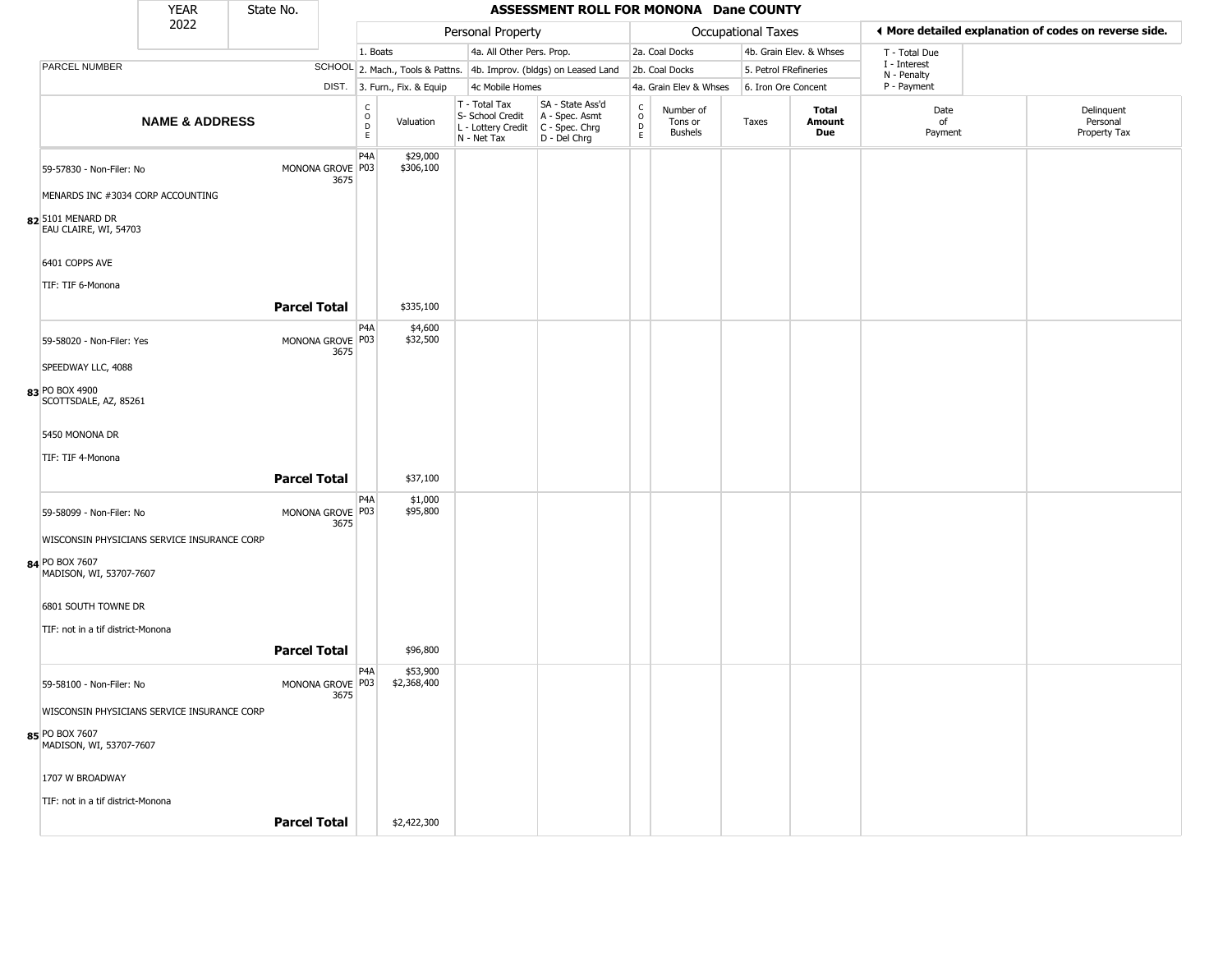|                                             | <b>YEAR</b>               | State No.           |                          |                                                |                              |                                                                                         | ASSESSMENT ROLL FOR MONONA Dane COUNTY                              |                                                      |                                        |                    |                         |                             |                                                       |
|---------------------------------------------|---------------------------|---------------------|--------------------------|------------------------------------------------|------------------------------|-----------------------------------------------------------------------------------------|---------------------------------------------------------------------|------------------------------------------------------|----------------------------------------|--------------------|-------------------------|-----------------------------|-------------------------------------------------------|
|                                             | 2022                      |                     |                          |                                                |                              | Personal Property                                                                       |                                                                     |                                                      |                                        | Occupational Taxes |                         |                             | ◀ More detailed explanation of codes on reverse side. |
|                                             |                           |                     |                          | 1. Boats                                       |                              | 4a. All Other Pers. Prop.                                                               |                                                                     |                                                      | 2a. Coal Docks                         |                    | 4b. Grain Elev. & Whses | T - Total Due               |                                                       |
| PARCEL NUMBER                               |                           |                     |                          |                                                |                              |                                                                                         | SCHOOL 2. Mach., Tools & Pattns. 4b. Improv. (bldgs) on Leased Land |                                                      | 2b. Coal Docks                         |                    | 5. Petrol FRefineries   | I - Interest<br>N - Penalty |                                                       |
|                                             |                           |                     |                          |                                                | DIST. 3. Furn., Fix. & Equip | 4c Mobile Homes                                                                         |                                                                     |                                                      | 4a. Grain Elev & Whses                 |                    | 6. Iron Ore Concent     | P - Payment                 |                                                       |
|                                             | <b>NAME &amp; ADDRESS</b> |                     |                          | $\begin{matrix} C \\ O \\ D \end{matrix}$<br>E | Valuation                    | T - Total Tax<br>S- School Credit<br>L - Lottery Credit   C - Spec. Chrg<br>N - Net Tax | SA - State Ass'd<br>A - Spec. Asmt<br>D - Del Chrg                  | $\mathsf{C}$<br>$\circ$<br>$\mathsf{D}_{\mathsf{E}}$ | Number of<br>Tons or<br><b>Bushels</b> | Taxes              | Total<br>Amount<br>Due  | Date<br>of<br>Payment       | Delinquent<br>Personal<br>Property Tax                |
| 59-57830 - Non-Filer: No                    |                           |                     | MONONA GROVE P03<br>3675 | P <sub>4</sub> A                               | \$29,000<br>\$306,100        |                                                                                         |                                                                     |                                                      |                                        |                    |                         |                             |                                                       |
| MENARDS INC #3034 CORP ACCOUNTING           |                           |                     |                          |                                                |                              |                                                                                         |                                                                     |                                                      |                                        |                    |                         |                             |                                                       |
| 82 5101 MENARD DR<br>EAU CLAIRE, WI, 54703  |                           |                     |                          |                                                |                              |                                                                                         |                                                                     |                                                      |                                        |                    |                         |                             |                                                       |
| 6401 COPPS AVE                              |                           |                     |                          |                                                |                              |                                                                                         |                                                                     |                                                      |                                        |                    |                         |                             |                                                       |
| TIF: TIF 6-Monona                           |                           |                     |                          |                                                |                              |                                                                                         |                                                                     |                                                      |                                        |                    |                         |                             |                                                       |
|                                             |                           | <b>Parcel Total</b> |                          |                                                | \$335,100                    |                                                                                         |                                                                     |                                                      |                                        |                    |                         |                             |                                                       |
| 59-58020 - Non-Filer: Yes                   |                           |                     | MONONA GROVE P03<br>3675 | P <sub>4</sub> A                               | \$4,600<br>\$32,500          |                                                                                         |                                                                     |                                                      |                                        |                    |                         |                             |                                                       |
| SPEEDWAY LLC, 4088                          |                           |                     |                          |                                                |                              |                                                                                         |                                                                     |                                                      |                                        |                    |                         |                             |                                                       |
| 83 PO BOX 4900<br>SCOTTSDALE, AZ, 85261     |                           |                     |                          |                                                |                              |                                                                                         |                                                                     |                                                      |                                        |                    |                         |                             |                                                       |
| 5450 MONONA DR                              |                           |                     |                          |                                                |                              |                                                                                         |                                                                     |                                                      |                                        |                    |                         |                             |                                                       |
| TIF: TIF 4-Monona                           |                           | <b>Parcel Total</b> |                          |                                                | \$37,100                     |                                                                                         |                                                                     |                                                      |                                        |                    |                         |                             |                                                       |
|                                             |                           |                     |                          | P4A                                            | \$1,000                      |                                                                                         |                                                                     |                                                      |                                        |                    |                         |                             |                                                       |
| 59-58099 - Non-Filer: No                    |                           |                     | MONONA GROVE P03<br>3675 |                                                | \$95,800                     |                                                                                         |                                                                     |                                                      |                                        |                    |                         |                             |                                                       |
| WISCONSIN PHYSICIANS SERVICE INSURANCE CORP |                           |                     |                          |                                                |                              |                                                                                         |                                                                     |                                                      |                                        |                    |                         |                             |                                                       |
| 84 PO BOX 7607<br>MADISON, WI, 53707-7607   |                           |                     |                          |                                                |                              |                                                                                         |                                                                     |                                                      |                                        |                    |                         |                             |                                                       |
| 6801 SOUTH TOWNE DR                         |                           |                     |                          |                                                |                              |                                                                                         |                                                                     |                                                      |                                        |                    |                         |                             |                                                       |
| TIF: not in a tif district-Monona           |                           |                     |                          |                                                |                              |                                                                                         |                                                                     |                                                      |                                        |                    |                         |                             |                                                       |
|                                             |                           | <b>Parcel Total</b> |                          |                                                | \$96,800                     |                                                                                         |                                                                     |                                                      |                                        |                    |                         |                             |                                                       |
| 59-58100 - Non-Filer: No                    |                           |                     | MONONA GROVE P03<br>3675 | P <sub>4</sub> A                               | \$53,900<br>\$2,368,400      |                                                                                         |                                                                     |                                                      |                                        |                    |                         |                             |                                                       |
| WISCONSIN PHYSICIANS SERVICE INSURANCE CORP |                           |                     |                          |                                                |                              |                                                                                         |                                                                     |                                                      |                                        |                    |                         |                             |                                                       |
| 85 PO BOX 7607<br>MADISON, WI, 53707-7607   |                           |                     |                          |                                                |                              |                                                                                         |                                                                     |                                                      |                                        |                    |                         |                             |                                                       |
| 1707 W BROADWAY                             |                           |                     |                          |                                                |                              |                                                                                         |                                                                     |                                                      |                                        |                    |                         |                             |                                                       |
| TIF: not in a tif district-Monona           |                           |                     |                          |                                                |                              |                                                                                         |                                                                     |                                                      |                                        |                    |                         |                             |                                                       |
|                                             |                           | <b>Parcel Total</b> |                          |                                                | \$2,422,300                  |                                                                                         |                                                                     |                                                      |                                        |                    |                         |                             |                                                       |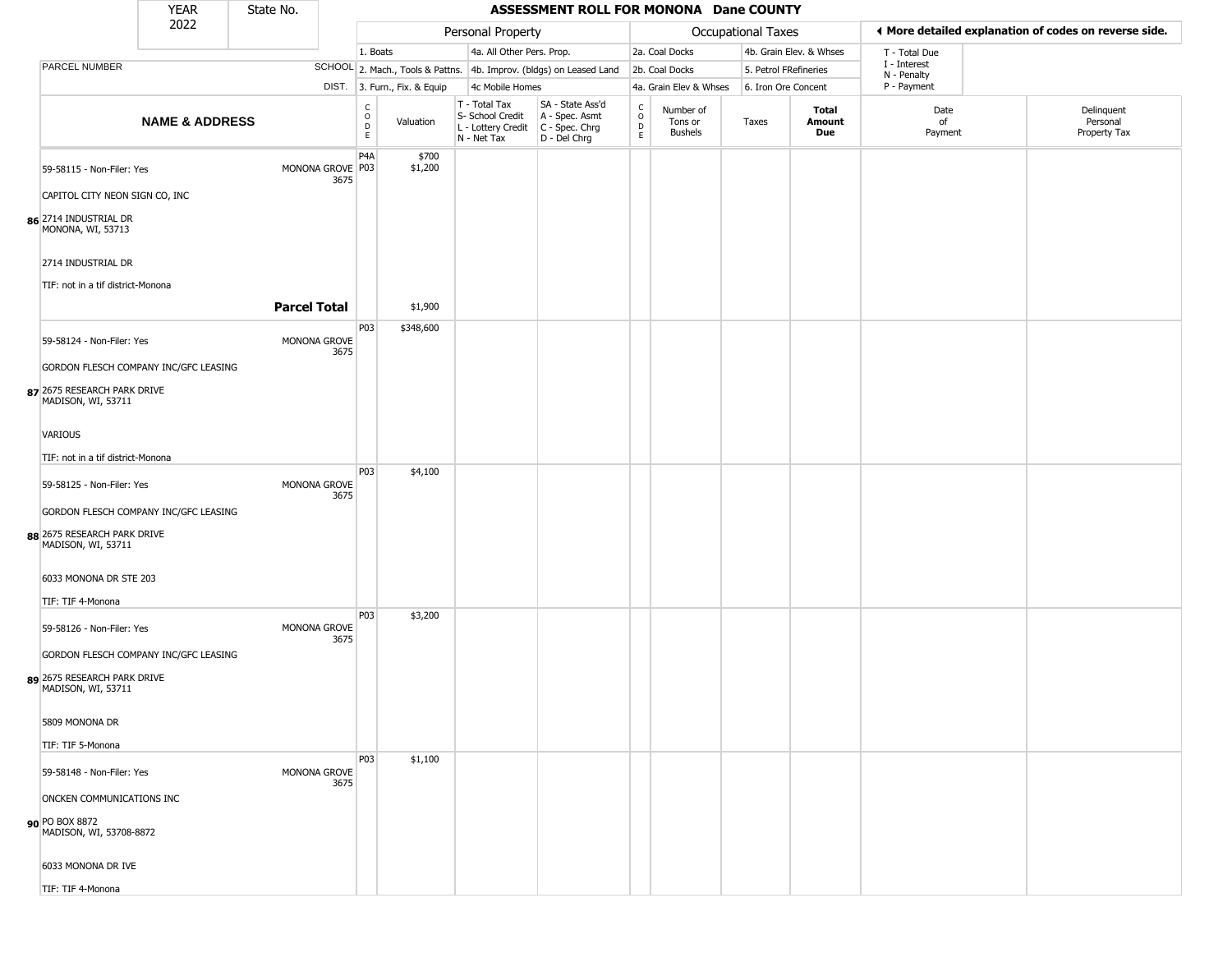|                                                   | <b>YEAR</b>                           | State No.           |                          |                                                          |                              |                                |                           | ASSESSMENT ROLL FOR MONONA Dane COUNTY                                                    |                                    |                                        |                       |                         |                                                       |          |                            |
|---------------------------------------------------|---------------------------------------|---------------------|--------------------------|----------------------------------------------------------|------------------------------|--------------------------------|---------------------------|-------------------------------------------------------------------------------------------|------------------------------------|----------------------------------------|-----------------------|-------------------------|-------------------------------------------------------|----------|----------------------------|
|                                                   | 2022                                  |                     |                          |                                                          |                              |                                | Personal Property         |                                                                                           |                                    |                                        | Occupational Taxes    |                         | ◀ More detailed explanation of codes on reverse side. |          |                            |
|                                                   |                                       |                     |                          | 1. Boats                                                 |                              |                                | 4a. All Other Pers. Prop. |                                                                                           |                                    | 2a. Coal Docks                         |                       | 4b. Grain Elev. & Whses | T - Total Due                                         |          |                            |
| PARCEL NUMBER                                     |                                       |                     |                          |                                                          |                              |                                |                           | SCHOOL 2. Mach., Tools & Pattns. 4b. Improv. (bldgs) on Leased Land                       |                                    | 2b. Coal Docks                         | 5. Petrol FRefineries |                         | I - Interest<br>N - Penalty                           |          |                            |
|                                                   |                                       |                     |                          |                                                          | DIST. 3. Furn., Fix. & Equip |                                | 4c Mobile Homes           |                                                                                           |                                    | 4a. Grain Elev & Whses                 | 6. Iron Ore Concent   |                         | P - Payment                                           |          |                            |
|                                                   | <b>NAME &amp; ADDRESS</b>             |                     |                          | $\begin{matrix} 0 \\ 0 \\ D \end{matrix}$<br>$\mathsf E$ | Valuation                    | $T - Total Tax$<br>N - Net Tax | S- School Credit          | SA - State Ass'd<br>A - Spec. Asmt<br>L - Lottery Credit   C - Spec. Chrg<br>D - Del Chrg | $\int_{0}^{c}$<br>$\mathsf D$<br>E | Number of<br>Tons or<br><b>Bushels</b> | Taxes                 | Total<br>Amount<br>Due  | Date<br>of<br>Payment                                 | Personal | Delinquent<br>Property Tax |
| 59-58115 - Non-Filer: Yes                         |                                       |                     | MONONA GROVE P03<br>3675 | P <sub>4</sub> A                                         | \$700<br>\$1,200             |                                |                           |                                                                                           |                                    |                                        |                       |                         |                                                       |          |                            |
| CAPITOL CITY NEON SIGN CO, INC                    |                                       |                     |                          |                                                          |                              |                                |                           |                                                                                           |                                    |                                        |                       |                         |                                                       |          |                            |
| 86 2714 INDUSTRIAL DR<br>MONONA, WI, 53713        |                                       |                     |                          |                                                          |                              |                                |                           |                                                                                           |                                    |                                        |                       |                         |                                                       |          |                            |
| 2714 INDUSTRIAL DR                                |                                       |                     |                          |                                                          |                              |                                |                           |                                                                                           |                                    |                                        |                       |                         |                                                       |          |                            |
| TIF: not in a tif district-Monona                 |                                       |                     |                          |                                                          |                              |                                |                           |                                                                                           |                                    |                                        |                       |                         |                                                       |          |                            |
|                                                   |                                       | <b>Parcel Total</b> |                          |                                                          | \$1,900                      |                                |                           |                                                                                           |                                    |                                        |                       |                         |                                                       |          |                            |
|                                                   |                                       |                     |                          | P03                                                      | \$348,600                    |                                |                           |                                                                                           |                                    |                                        |                       |                         |                                                       |          |                            |
| 59-58124 - Non-Filer: Yes                         |                                       |                     | MONONA GROVE<br>3675     |                                                          |                              |                                |                           |                                                                                           |                                    |                                        |                       |                         |                                                       |          |                            |
|                                                   | GORDON FLESCH COMPANY INC/GFC LEASING |                     |                          |                                                          |                              |                                |                           |                                                                                           |                                    |                                        |                       |                         |                                                       |          |                            |
| 87 2675 RESEARCH PARK DRIVE<br>MADISON, WI, 53711 |                                       |                     |                          |                                                          |                              |                                |                           |                                                                                           |                                    |                                        |                       |                         |                                                       |          |                            |
| <b>VARIOUS</b>                                    |                                       |                     |                          |                                                          |                              |                                |                           |                                                                                           |                                    |                                        |                       |                         |                                                       |          |                            |
| TIF: not in a tif district-Monona                 |                                       |                     |                          |                                                          |                              |                                |                           |                                                                                           |                                    |                                        |                       |                         |                                                       |          |                            |
| 59-58125 - Non-Filer: Yes                         |                                       |                     | MONONA GROVE<br>3675     | P03                                                      | \$4,100                      |                                |                           |                                                                                           |                                    |                                        |                       |                         |                                                       |          |                            |
|                                                   | GORDON FLESCH COMPANY INC/GFC LEASING |                     |                          |                                                          |                              |                                |                           |                                                                                           |                                    |                                        |                       |                         |                                                       |          |                            |
| 88 2675 RESEARCH PARK DRIVE<br>MADISON, WI, 53711 |                                       |                     |                          |                                                          |                              |                                |                           |                                                                                           |                                    |                                        |                       |                         |                                                       |          |                            |
| 6033 MONONA DR STE 203                            |                                       |                     |                          |                                                          |                              |                                |                           |                                                                                           |                                    |                                        |                       |                         |                                                       |          |                            |
| TIF: TIF 4-Monona                                 |                                       |                     |                          |                                                          |                              |                                |                           |                                                                                           |                                    |                                        |                       |                         |                                                       |          |                            |
| 59-58126 - Non-Filer: Yes                         |                                       |                     | MONONA GROVE<br>3675     | P03                                                      | \$3,200                      |                                |                           |                                                                                           |                                    |                                        |                       |                         |                                                       |          |                            |
|                                                   | GORDON FLESCH COMPANY INC/GFC LEASING |                     |                          |                                                          |                              |                                |                           |                                                                                           |                                    |                                        |                       |                         |                                                       |          |                            |
| 89 2675 RESEARCH PARK DRIVE<br>MADISON, WI, 53711 |                                       |                     |                          |                                                          |                              |                                |                           |                                                                                           |                                    |                                        |                       |                         |                                                       |          |                            |
| 5809 MONONA DR                                    |                                       |                     |                          |                                                          |                              |                                |                           |                                                                                           |                                    |                                        |                       |                         |                                                       |          |                            |
| TIF: TIF 5-Monona                                 |                                       |                     |                          |                                                          |                              |                                |                           |                                                                                           |                                    |                                        |                       |                         |                                                       |          |                            |
| 59-58148 - Non-Filer: Yes                         |                                       |                     | MONONA GROVE<br>3675     | <b>P03</b>                                               | \$1,100                      |                                |                           |                                                                                           |                                    |                                        |                       |                         |                                                       |          |                            |
| ONCKEN COMMUNICATIONS INC                         |                                       |                     |                          |                                                          |                              |                                |                           |                                                                                           |                                    |                                        |                       |                         |                                                       |          |                            |
| 90 PO BOX 8872<br>MADISON, WI, 53708-8872         |                                       |                     |                          |                                                          |                              |                                |                           |                                                                                           |                                    |                                        |                       |                         |                                                       |          |                            |
| 6033 MONONA DR IVE                                |                                       |                     |                          |                                                          |                              |                                |                           |                                                                                           |                                    |                                        |                       |                         |                                                       |          |                            |
| TIF: TIF 4-Monona                                 |                                       |                     |                          |                                                          |                              |                                |                           |                                                                                           |                                    |                                        |                       |                         |                                                       |          |                            |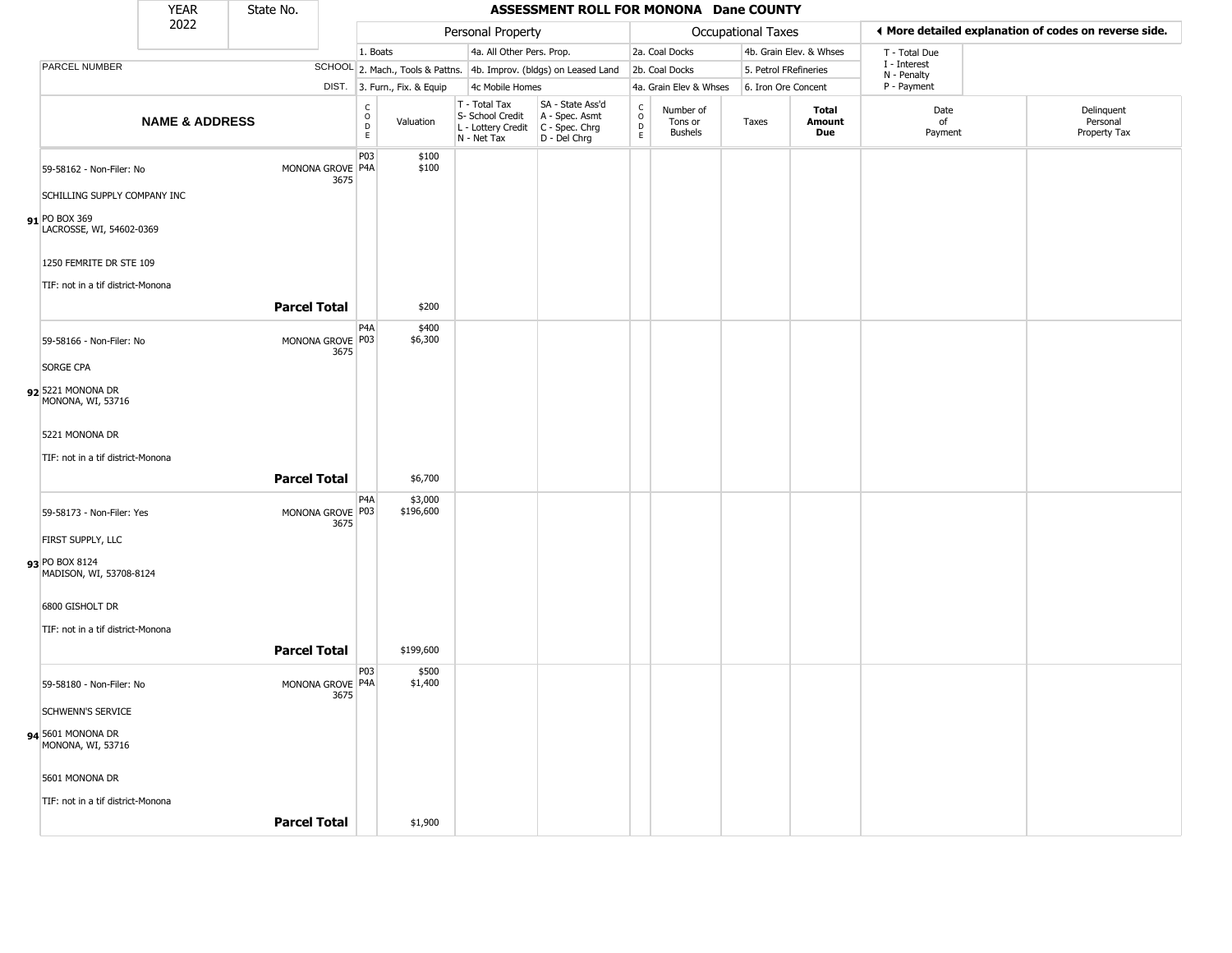|                                           | <b>YEAR</b>               | State No.           |                            |                                                          |                              |                                                                        | ASSESSMENT ROLL FOR MONONA Dane COUNTY                               |                                   |                                        |                           |                               |                            |                                                       |
|-------------------------------------------|---------------------------|---------------------|----------------------------|----------------------------------------------------------|------------------------------|------------------------------------------------------------------------|----------------------------------------------------------------------|-----------------------------------|----------------------------------------|---------------------------|-------------------------------|----------------------------|-------------------------------------------------------|
|                                           | 2022                      |                     |                            |                                                          |                              | Personal Property                                                      |                                                                      |                                   |                                        | <b>Occupational Taxes</b> |                               |                            | ♦ More detailed explanation of codes on reverse side. |
|                                           |                           |                     |                            | 1. Boats                                                 |                              | 4a. All Other Pers. Prop.                                              |                                                                      |                                   | 2a. Coal Docks                         |                           | 4b. Grain Elev. & Whses       | T - Total Due              |                                                       |
| PARCEL NUMBER                             |                           |                     |                            |                                                          |                              |                                                                        | SCHOOL 2. Mach., Tools & Pattns. 4b. Improv. (bldgs) on Leased Land  |                                   | 2b. Coal Docks                         | 5. Petrol FRefineries     |                               | I - Interest               |                                                       |
|                                           |                           |                     |                            |                                                          | DIST. 3. Furn., Fix. & Equip | 4c Mobile Homes                                                        |                                                                      |                                   | 4a. Grain Elev & Whses                 | 6. Iron Ore Concent       |                               | N - Penalty<br>P - Payment |                                                       |
|                                           | <b>NAME &amp; ADDRESS</b> |                     |                            | $\begin{matrix} 0 \\ 0 \\ D \end{matrix}$<br>$\mathsf E$ | Valuation                    | T - Total Tax<br>S- School Credit<br>L - Lottery Credit<br>N - Net Tax | SA - State Ass'd<br>A - Spec. Asmt<br>C - Spec. Chrg<br>D - Del Chrg | $\frac{c}{0}$<br>$\mathsf D$<br>E | Number of<br>Tons or<br><b>Bushels</b> | Taxes                     | <b>Total</b><br>Amount<br>Due | Date<br>of<br>Payment      | Delinquent<br>Personal<br>Property Tax                |
| 59-58162 - Non-Filer: No                  |                           |                     | MONONA GROVE P4A<br>3675   | P03                                                      | \$100<br>\$100               |                                                                        |                                                                      |                                   |                                        |                           |                               |                            |                                                       |
| SCHILLING SUPPLY COMPANY INC              |                           |                     |                            |                                                          |                              |                                                                        |                                                                      |                                   |                                        |                           |                               |                            |                                                       |
| 91 PO BOX 369<br>LACROSSE, WI, 54602-0369 |                           |                     |                            |                                                          |                              |                                                                        |                                                                      |                                   |                                        |                           |                               |                            |                                                       |
| 1250 FEMRITE DR STE 109                   |                           |                     |                            |                                                          |                              |                                                                        |                                                                      |                                   |                                        |                           |                               |                            |                                                       |
| TIF: not in a tif district-Monona         |                           | <b>Parcel Total</b> |                            |                                                          | \$200                        |                                                                        |                                                                      |                                   |                                        |                           |                               |                            |                                                       |
|                                           |                           |                     |                            |                                                          |                              |                                                                        |                                                                      |                                   |                                        |                           |                               |                            |                                                       |
| 59-58166 - Non-Filer: No                  |                           |                     | MONONA GROVE P03<br>3675   | P4A                                                      | \$400<br>\$6,300             |                                                                        |                                                                      |                                   |                                        |                           |                               |                            |                                                       |
| SORGE CPA                                 |                           |                     |                            |                                                          |                              |                                                                        |                                                                      |                                   |                                        |                           |                               |                            |                                                       |
| 92 5221 MONONA DR<br>MONONA, WI, 53716    |                           |                     |                            |                                                          |                              |                                                                        |                                                                      |                                   |                                        |                           |                               |                            |                                                       |
| 5221 MONONA DR                            |                           |                     |                            |                                                          |                              |                                                                        |                                                                      |                                   |                                        |                           |                               |                            |                                                       |
| TIF: not in a tif district-Monona         |                           |                     |                            |                                                          |                              |                                                                        |                                                                      |                                   |                                        |                           |                               |                            |                                                       |
|                                           |                           | <b>Parcel Total</b> |                            |                                                          | \$6,700                      |                                                                        |                                                                      |                                   |                                        |                           |                               |                            |                                                       |
| 59-58173 - Non-Filer: Yes                 |                           |                     | MONONA GROVE P03<br>3675   | P <sub>4</sub> A                                         | \$3,000<br>\$196,600         |                                                                        |                                                                      |                                   |                                        |                           |                               |                            |                                                       |
| FIRST SUPPLY, LLC                         |                           |                     |                            |                                                          |                              |                                                                        |                                                                      |                                   |                                        |                           |                               |                            |                                                       |
| 93 PO BOX 8124<br>MADISON, WI, 53708-8124 |                           |                     |                            |                                                          |                              |                                                                        |                                                                      |                                   |                                        |                           |                               |                            |                                                       |
| 6800 GISHOLT DR                           |                           |                     |                            |                                                          |                              |                                                                        |                                                                      |                                   |                                        |                           |                               |                            |                                                       |
| TIF: not in a tif district-Monona         |                           |                     |                            |                                                          |                              |                                                                        |                                                                      |                                   |                                        |                           |                               |                            |                                                       |
|                                           |                           | <b>Parcel Total</b> |                            |                                                          | \$199,600                    |                                                                        |                                                                      |                                   |                                        |                           |                               |                            |                                                       |
|                                           |                           |                     |                            |                                                          |                              |                                                                        |                                                                      |                                   |                                        |                           |                               |                            |                                                       |
| 59-58180 - Non-Filer: No                  |                           |                     | MONONA GROVE   P4A<br>3675 | P03                                                      | \$500<br>\$1,400             |                                                                        |                                                                      |                                   |                                        |                           |                               |                            |                                                       |
| <b>SCHWENN'S SERVICE</b>                  |                           |                     |                            |                                                          |                              |                                                                        |                                                                      |                                   |                                        |                           |                               |                            |                                                       |
| 94 5601 MONONA DR<br>MONONA, WI, 53716    |                           |                     |                            |                                                          |                              |                                                                        |                                                                      |                                   |                                        |                           |                               |                            |                                                       |
| 5601 MONONA DR                            |                           |                     |                            |                                                          |                              |                                                                        |                                                                      |                                   |                                        |                           |                               |                            |                                                       |
| TIF: not in a tif district-Monona         |                           |                     |                            |                                                          |                              |                                                                        |                                                                      |                                   |                                        |                           |                               |                            |                                                       |
|                                           |                           | <b>Parcel Total</b> |                            |                                                          | \$1,900                      |                                                                        |                                                                      |                                   |                                        |                           |                               |                            |                                                       |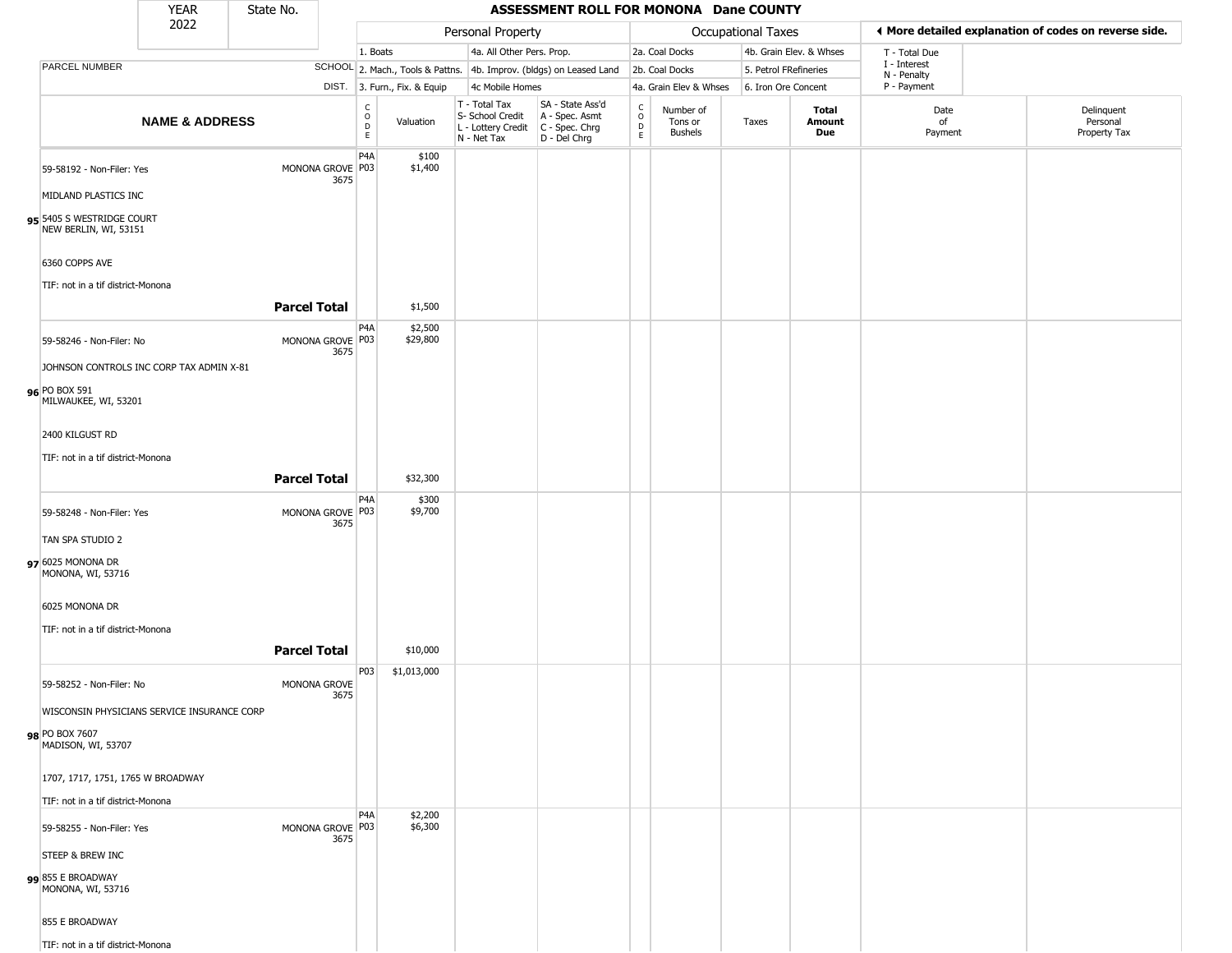|                                                     | <b>YEAR</b>               | State No.                |                                                 |                              |                                                                                         | ASSESSMENT ROLL FOR MONONA Dane COUNTY                              |                        |                                        |                       |                         |                             |                                                       |
|-----------------------------------------------------|---------------------------|--------------------------|-------------------------------------------------|------------------------------|-----------------------------------------------------------------------------------------|---------------------------------------------------------------------|------------------------|----------------------------------------|-----------------------|-------------------------|-----------------------------|-------------------------------------------------------|
|                                                     | 2022                      |                          |                                                 |                              | Personal Property                                                                       |                                                                     |                        |                                        | Occupational Taxes    |                         |                             | ◀ More detailed explanation of codes on reverse side. |
|                                                     |                           |                          | 1. Boats                                        |                              | 4a. All Other Pers. Prop.                                                               |                                                                     |                        | 2a. Coal Docks                         |                       | 4b. Grain Elev. & Whses | T - Total Due               |                                                       |
| <b>PARCEL NUMBER</b>                                |                           |                          |                                                 |                              |                                                                                         | SCHOOL 2. Mach., Tools & Pattns. 4b. Improv. (bldgs) on Leased Land |                        | 2b. Coal Docks                         | 5. Petrol FRefineries |                         | I - Interest<br>N - Penalty |                                                       |
|                                                     |                           |                          |                                                 | DIST. 3. Furn., Fix. & Equip | 4c Mobile Homes                                                                         |                                                                     |                        | 4a. Grain Elev & Whses                 | 6. Iron Ore Concent   |                         | P - Payment                 |                                                       |
|                                                     | <b>NAME &amp; ADDRESS</b> |                          | $\begin{array}{c} C \\ O \\ D \\ E \end{array}$ | Valuation                    | T - Total Tax<br>S- School Credit<br>L - Lottery Credit   C - Spec. Chrg<br>N - Net Tax | SA - State Ass'd<br>A - Spec. Asmt<br>D - Del Chrg                  | C<br>$\circ$<br>D<br>E | Number of<br>Tons or<br><b>Bushels</b> | Taxes                 | Total<br>Amount<br>Due  | Date<br>of<br>Payment       | Delinquent<br>Personal<br>Property Tax                |
| 59-58192 - Non-Filer: Yes                           |                           | MONONA GROVE P03<br>3675 | P <sub>4</sub> A                                | \$100<br>\$1,400             |                                                                                         |                                                                     |                        |                                        |                       |                         |                             |                                                       |
| MIDLAND PLASTICS INC                                |                           |                          |                                                 |                              |                                                                                         |                                                                     |                        |                                        |                       |                         |                             |                                                       |
| 5405 S WESTRIDGE COURT<br>NEW BERLIN, WI, 53151     |                           |                          |                                                 |                              |                                                                                         |                                                                     |                        |                                        |                       |                         |                             |                                                       |
| 6360 COPPS AVE<br>TIF: not in a tif district-Monona |                           |                          |                                                 |                              |                                                                                         |                                                                     |                        |                                        |                       |                         |                             |                                                       |
|                                                     |                           | <b>Parcel Total</b>      |                                                 | \$1,500                      |                                                                                         |                                                                     |                        |                                        |                       |                         |                             |                                                       |
| 59-58246 - Non-Filer: No                            |                           | MONONA GROVE P03<br>3675 | P4A                                             | \$2,500<br>\$29,800          |                                                                                         |                                                                     |                        |                                        |                       |                         |                             |                                                       |
| JOHNSON CONTROLS INC CORP TAX ADMIN X-81            |                           |                          |                                                 |                              |                                                                                         |                                                                     |                        |                                        |                       |                         |                             |                                                       |
| 96 PO BOX 591<br>MILWAUKEE, WI, 53201               |                           |                          |                                                 |                              |                                                                                         |                                                                     |                        |                                        |                       |                         |                             |                                                       |
| 2400 KILGUST RD                                     |                           |                          |                                                 |                              |                                                                                         |                                                                     |                        |                                        |                       |                         |                             |                                                       |
| TIF: not in a tif district-Monona                   |                           |                          |                                                 |                              |                                                                                         |                                                                     |                        |                                        |                       |                         |                             |                                                       |
|                                                     |                           | <b>Parcel Total</b>      |                                                 | \$32,300                     |                                                                                         |                                                                     |                        |                                        |                       |                         |                             |                                                       |
| 59-58248 - Non-Filer: Yes                           |                           | MONONA GROVE P03<br>3675 | P4A                                             | \$300<br>\$9,700             |                                                                                         |                                                                     |                        |                                        |                       |                         |                             |                                                       |
| TAN SPA STUDIO 2                                    |                           |                          |                                                 |                              |                                                                                         |                                                                     |                        |                                        |                       |                         |                             |                                                       |
| 97 6025 MONONA DR<br>MONONA, WI, 53716              |                           |                          |                                                 |                              |                                                                                         |                                                                     |                        |                                        |                       |                         |                             |                                                       |
| 6025 MONONA DR                                      |                           |                          |                                                 |                              |                                                                                         |                                                                     |                        |                                        |                       |                         |                             |                                                       |
| TIF: not in a tif district-Monona                   |                           |                          |                                                 |                              |                                                                                         |                                                                     |                        |                                        |                       |                         |                             |                                                       |
|                                                     |                           | <b>Parcel Total</b>      |                                                 | \$10,000                     |                                                                                         |                                                                     |                        |                                        |                       |                         |                             |                                                       |
| 59-58252 - Non-Filer: No                            |                           | MONONA GROVE<br>3675     | P03                                             | \$1,013,000                  |                                                                                         |                                                                     |                        |                                        |                       |                         |                             |                                                       |
| WISCONSIN PHYSICIANS SERVICE INSURANCE CORP         |                           |                          |                                                 |                              |                                                                                         |                                                                     |                        |                                        |                       |                         |                             |                                                       |
| 98 PO BOX 7607<br>MADISON, WI, 53707                |                           |                          |                                                 |                              |                                                                                         |                                                                     |                        |                                        |                       |                         |                             |                                                       |
| 1707, 1717, 1751, 1765 W BROADWAY                   |                           |                          |                                                 |                              |                                                                                         |                                                                     |                        |                                        |                       |                         |                             |                                                       |
| TIF: not in a tif district-Monona                   |                           |                          |                                                 |                              |                                                                                         |                                                                     |                        |                                        |                       |                         |                             |                                                       |
| 59-58255 - Non-Filer: Yes                           |                           | MONONA GROVE P03<br>3675 | P <sub>4</sub> A                                | \$2,200<br>\$6,300           |                                                                                         |                                                                     |                        |                                        |                       |                         |                             |                                                       |
| <b>STEEP &amp; BREW INC</b>                         |                           |                          |                                                 |                              |                                                                                         |                                                                     |                        |                                        |                       |                         |                             |                                                       |
| 855 E BROADWAY وو<br>MONONA, WI, 53716              |                           |                          |                                                 |                              |                                                                                         |                                                                     |                        |                                        |                       |                         |                             |                                                       |
| 855 E BROADWAY                                      |                           |                          |                                                 |                              |                                                                                         |                                                                     |                        |                                        |                       |                         |                             |                                                       |
| TIF: not in a tif district-Monona                   |                           |                          |                                                 |                              |                                                                                         |                                                                     |                        |                                        |                       |                         |                             |                                                       |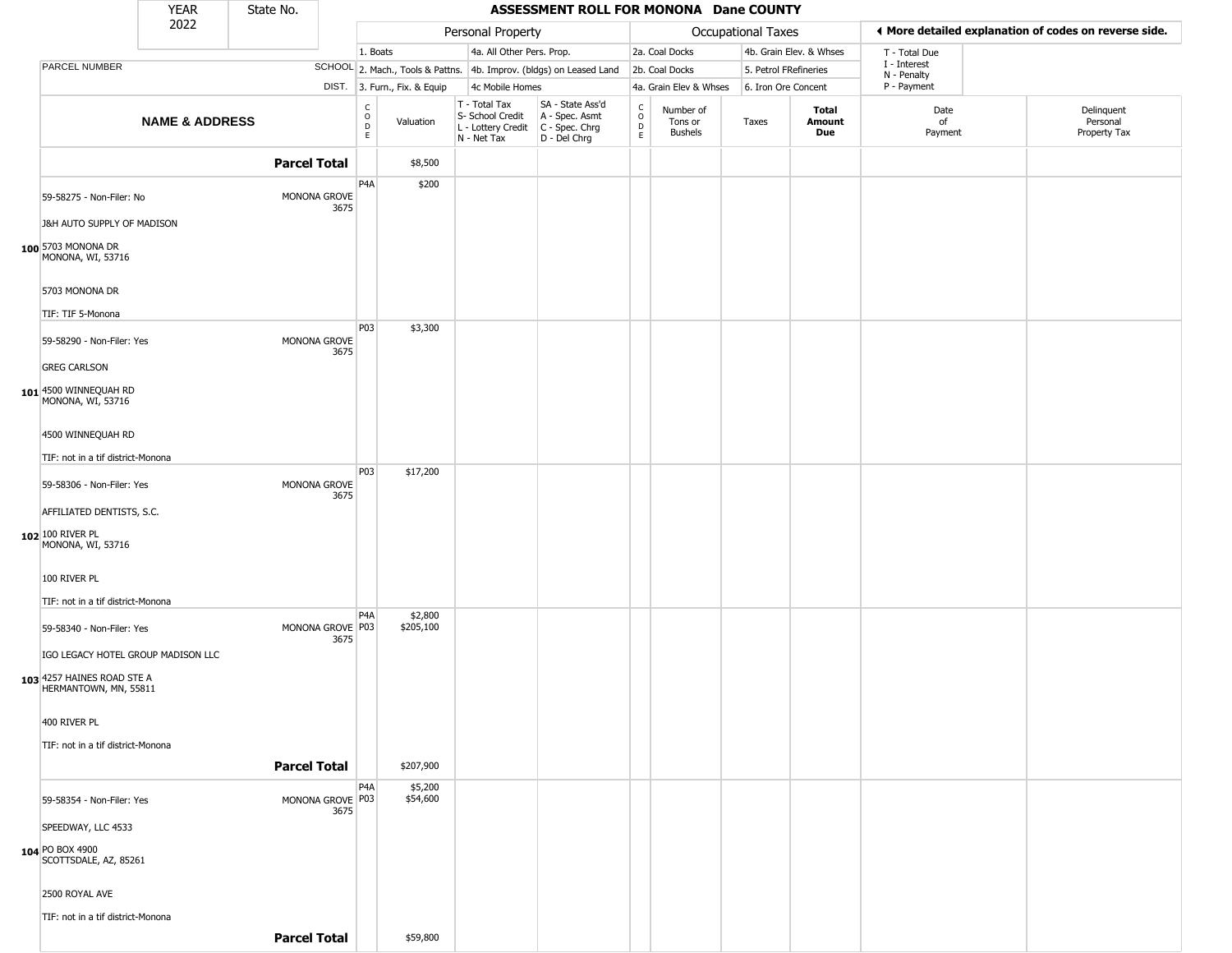|                                                                                           | YEAR                      | State No.           |                          |                        |                              |                                                                                         | ASSESSMENT ROLL FOR MONONA Dane COUNTY                              |                                                |                                        |                       |                         |                            |                                                       |
|-------------------------------------------------------------------------------------------|---------------------------|---------------------|--------------------------|------------------------|------------------------------|-----------------------------------------------------------------------------------------|---------------------------------------------------------------------|------------------------------------------------|----------------------------------------|-----------------------|-------------------------|----------------------------|-------------------------------------------------------|
|                                                                                           | 2022                      |                     |                          |                        |                              | Personal Property                                                                       |                                                                     |                                                |                                        | Occupational Taxes    |                         |                            | ◀ More detailed explanation of codes on reverse side. |
|                                                                                           |                           |                     |                          | 1. Boats               |                              | 4a. All Other Pers. Prop.                                                               |                                                                     |                                                | 2a. Coal Docks                         |                       | 4b. Grain Elev. & Whses | T - Total Due              |                                                       |
| PARCEL NUMBER                                                                             |                           |                     |                          |                        |                              |                                                                                         | SCHOOL 2. Mach., Tools & Pattns. 4b. Improv. (bldgs) on Leased Land |                                                | 2b. Coal Docks                         | 5. Petrol FRefineries |                         | I - Interest               |                                                       |
|                                                                                           |                           |                     |                          |                        | DIST. 3. Furn., Fix. & Equip | 4c Mobile Homes                                                                         |                                                                     |                                                | 4a. Grain Elev & Whses                 | 6. Iron Ore Concent   |                         | N - Penalty<br>P - Payment |                                                       |
|                                                                                           | <b>NAME &amp; ADDRESS</b> |                     |                          | c<br>$\circ$<br>D<br>E | Valuation                    | T - Total Tax<br>S- School Credit<br>L - Lottery Credit   C - Spec. Chrg<br>N - Net Tax | SA - State Ass'd<br>A - Spec. Asmt<br>D - Del Chrg                  | $\begin{matrix} 0 \\ 0 \\ D \end{matrix}$<br>E | Number of<br>Tons or<br><b>Bushels</b> | Taxes                 | Total<br>Amount<br>Due  | Date<br>of<br>Payment      | Delinquent<br>Personal<br>Property Tax                |
|                                                                                           |                           | <b>Parcel Total</b> |                          |                        | \$8,500                      |                                                                                         |                                                                     |                                                |                                        |                       |                         |                            |                                                       |
| 59-58275 - Non-Filer: No                                                                  |                           |                     | MONONA GROVE<br>3675     | P4A                    | \$200                        |                                                                                         |                                                                     |                                                |                                        |                       |                         |                            |                                                       |
| J&H AUTO SUPPLY OF MADISON<br>100 5703 MONONA DR<br>MONONA, WI, 53716                     |                           |                     |                          |                        |                              |                                                                                         |                                                                     |                                                |                                        |                       |                         |                            |                                                       |
| 5703 MONONA DR<br>TIF: TIF 5-Monona                                                       |                           |                     |                          |                        |                              |                                                                                         |                                                                     |                                                |                                        |                       |                         |                            |                                                       |
| 59-58290 - Non-Filer: Yes                                                                 |                           |                     | MONONA GROVE<br>3675     | P03                    | \$3,300                      |                                                                                         |                                                                     |                                                |                                        |                       |                         |                            |                                                       |
| <b>GREG CARLSON</b>                                                                       |                           |                     |                          |                        |                              |                                                                                         |                                                                     |                                                |                                        |                       |                         |                            |                                                       |
| 101 4500 WINNEQUAH RD<br>MONONA, WI, 53716                                                |                           |                     |                          |                        |                              |                                                                                         |                                                                     |                                                |                                        |                       |                         |                            |                                                       |
| 4500 WINNEQUAH RD                                                                         |                           |                     |                          |                        |                              |                                                                                         |                                                                     |                                                |                                        |                       |                         |                            |                                                       |
| TIF: not in a tif district-Monona                                                         |                           |                     |                          |                        |                              |                                                                                         |                                                                     |                                                |                                        |                       |                         |                            |                                                       |
| 59-58306 - Non-Filer: Yes                                                                 |                           |                     | MONONA GROVE<br>3675     | P03                    | \$17,200                     |                                                                                         |                                                                     |                                                |                                        |                       |                         |                            |                                                       |
| AFFILIATED DENTISTS, S.C.                                                                 |                           |                     |                          |                        |                              |                                                                                         |                                                                     |                                                |                                        |                       |                         |                            |                                                       |
| 102 100 RIVER PL<br>MONONA, WI, 53716                                                     |                           |                     |                          |                        |                              |                                                                                         |                                                                     |                                                |                                        |                       |                         |                            |                                                       |
| 100 RIVER PL                                                                              |                           |                     |                          |                        |                              |                                                                                         |                                                                     |                                                |                                        |                       |                         |                            |                                                       |
| TIF: not in a tif district-Monona                                                         |                           |                     |                          |                        |                              |                                                                                         |                                                                     |                                                |                                        |                       |                         |                            |                                                       |
| 59-58340 - Non-Filer: Yes                                                                 |                           |                     | MONONA GROVE P03<br>3675 | P <sub>4</sub> A       | \$2,800<br>\$205,100         |                                                                                         |                                                                     |                                                |                                        |                       |                         |                            |                                                       |
| IGO LEGACY HOTEL GROUP MADISON LLC<br>103 4257 HAINES ROAD STE A<br>HERMANTOWN, MN, 55811 |                           |                     |                          |                        |                              |                                                                                         |                                                                     |                                                |                                        |                       |                         |                            |                                                       |
| 400 RIVER PL                                                                              |                           |                     |                          |                        |                              |                                                                                         |                                                                     |                                                |                                        |                       |                         |                            |                                                       |
| TIF: not in a tif district-Monona                                                         |                           |                     |                          |                        |                              |                                                                                         |                                                                     |                                                |                                        |                       |                         |                            |                                                       |
|                                                                                           |                           | <b>Parcel Total</b> |                          |                        | \$207,900                    |                                                                                         |                                                                     |                                                |                                        |                       |                         |                            |                                                       |
|                                                                                           |                           |                     |                          | P4A                    | \$5,200                      |                                                                                         |                                                                     |                                                |                                        |                       |                         |                            |                                                       |
| 59-58354 - Non-Filer: Yes                                                                 |                           |                     | MONONA GROVE P03<br>3675 |                        | \$54,600                     |                                                                                         |                                                                     |                                                |                                        |                       |                         |                            |                                                       |
| SPEEDWAY, LLC 4533                                                                        |                           |                     |                          |                        |                              |                                                                                         |                                                                     |                                                |                                        |                       |                         |                            |                                                       |
| 104 PO BOX 4900<br>SCOTTSDALE, AZ, 85261                                                  |                           |                     |                          |                        |                              |                                                                                         |                                                                     |                                                |                                        |                       |                         |                            |                                                       |
| 2500 ROYAL AVE                                                                            |                           |                     |                          |                        |                              |                                                                                         |                                                                     |                                                |                                        |                       |                         |                            |                                                       |
| TIF: not in a tif district-Monona                                                         |                           |                     |                          |                        |                              |                                                                                         |                                                                     |                                                |                                        |                       |                         |                            |                                                       |
|                                                                                           |                           | <b>Parcel Total</b> |                          |                        | \$59,800                     |                                                                                         |                                                                     |                                                |                                        |                       |                         |                            |                                                       |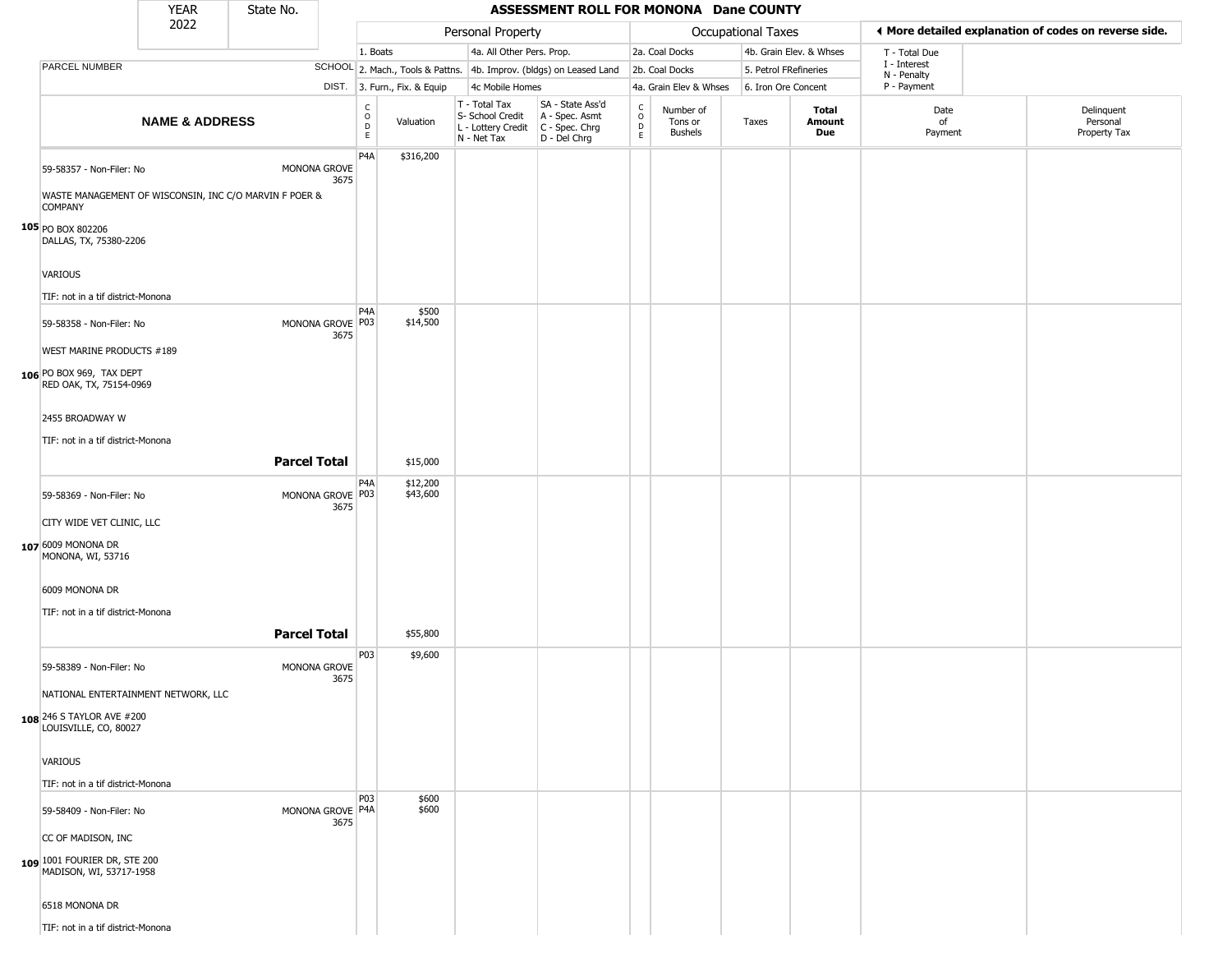|                                                                                                                                                                       | <b>YEAR</b>               | State No.           |                          |                                        |                              |                                                                        | ASSESSMENT ROLL FOR MONONA Dane COUNTY                               |                      |                                        |                           |                         |                             |                                                       |
|-----------------------------------------------------------------------------------------------------------------------------------------------------------------------|---------------------------|---------------------|--------------------------|----------------------------------------|------------------------------|------------------------------------------------------------------------|----------------------------------------------------------------------|----------------------|----------------------------------------|---------------------------|-------------------------|-----------------------------|-------------------------------------------------------|
|                                                                                                                                                                       | 2022                      |                     |                          |                                        |                              | Personal Property                                                      |                                                                      |                      |                                        | <b>Occupational Taxes</b> |                         |                             | ◀ More detailed explanation of codes on reverse side. |
|                                                                                                                                                                       |                           |                     |                          | 1. Boats                               |                              | 4a. All Other Pers. Prop.                                              |                                                                      |                      | 2a. Coal Docks                         |                           | 4b. Grain Elev. & Whses | T - Total Due               |                                                       |
| PARCEL NUMBER                                                                                                                                                         |                           |                     |                          |                                        |                              |                                                                        | SCHOOL 2. Mach., Tools & Pattns. 4b. Improv. (bldgs) on Leased Land  |                      | 2b. Coal Docks                         |                           | 5. Petrol FRefineries   | I - Interest<br>N - Penalty |                                                       |
|                                                                                                                                                                       |                           |                     |                          |                                        | DIST. 3. Furn., Fix. & Equip | 4c Mobile Homes                                                        |                                                                      |                      | 4a. Grain Elev & Whses                 |                           | 6. Iron Ore Concent     | P - Payment                 |                                                       |
|                                                                                                                                                                       | <b>NAME &amp; ADDRESS</b> |                     |                          | $_{\rm o}^{\rm c}$<br>$\mathsf D$<br>E | Valuation                    | T - Total Tax<br>S- School Credit<br>L - Lottery Credit<br>N - Net Tax | SA - State Ass'd<br>A - Spec. Asmt<br>C - Spec. Chrg<br>D - Del Chrg | $\rm ^c_o$<br>D<br>E | Number of<br>Tons or<br><b>Bushels</b> | Taxes                     | Total<br>Amount<br>Due  | Date<br>of<br>Payment       | Delinquent<br>Personal<br>Property Tax                |
| 59-58357 - Non-Filer: No<br>WASTE MANAGEMENT OF WISCONSIN, INC C/O MARVIN F POER &<br><b>COMPANY</b><br>105 PO BOX 802206<br>DALLAS, TX, 75380-2206<br>VARIOUS        |                           |                     | MONONA GROVE<br>3675     | P4A                                    | \$316,200                    |                                                                        |                                                                      |                      |                                        |                           |                         |                             |                                                       |
| TIF: not in a tif district-Monona                                                                                                                                     |                           |                     |                          |                                        |                              |                                                                        |                                                                      |                      |                                        |                           |                         |                             |                                                       |
| 59-58358 - Non-Filer: No<br>WEST MARINE PRODUCTS #189<br>106 PO BOX 969, TAX DEPT<br>RED OAK, TX, 75154-0969                                                          |                           |                     | MONONA GROVE P03<br>3675 | P <sub>4</sub> A                       | \$500<br>\$14,500            |                                                                        |                                                                      |                      |                                        |                           |                         |                             |                                                       |
| 2455 BROADWAY W<br>TIF: not in a tif district-Monona                                                                                                                  |                           | <b>Parcel Total</b> |                          |                                        | \$15,000                     |                                                                        |                                                                      |                      |                                        |                           |                         |                             |                                                       |
| 59-58369 - Non-Filer: No<br>CITY WIDE VET CLINIC, LLC<br>107 6009 MONONA DR<br>MONONA, WI, 53716<br>6009 MONONA DR<br>TIF: not in a tif district-Monona               |                           |                     | MONONA GROVE P03<br>3675 | P <sub>4</sub> A                       | \$12,200<br>\$43,600         |                                                                        |                                                                      |                      |                                        |                           |                         |                             |                                                       |
|                                                                                                                                                                       |                           | <b>Parcel Total</b> |                          |                                        | \$55,800                     |                                                                        |                                                                      |                      |                                        |                           |                         |                             |                                                       |
| 59-58389 - Non-Filer: No<br>NATIONAL ENTERTAINMENT NETWORK, LLC<br>108 246 S TAYLOR AVE #200<br>LOUISVILLE, CO, 80027<br>VARIOUS<br>TIF: not in a tif district-Monona |                           |                     | MONONA GROVE<br>3675     | P03                                    | \$9,600                      |                                                                        |                                                                      |                      |                                        |                           |                         |                             |                                                       |
| 59-58409 - Non-Filer: No<br>CC OF MADISON, INC<br>109 1001 FOURIER DR, STE 200<br>MADISON, WI, 53717-1958<br>6518 MONONA DR<br>TIF: not in a tif district-Monona      |                           |                     | MONONA GROVE P4A<br>3675 | <b>P03</b>                             | \$600<br>\$600               |                                                                        |                                                                      |                      |                                        |                           |                         |                             |                                                       |
|                                                                                                                                                                       |                           |                     |                          |                                        |                              |                                                                        |                                                                      |                      |                                        |                           |                         |                             |                                                       |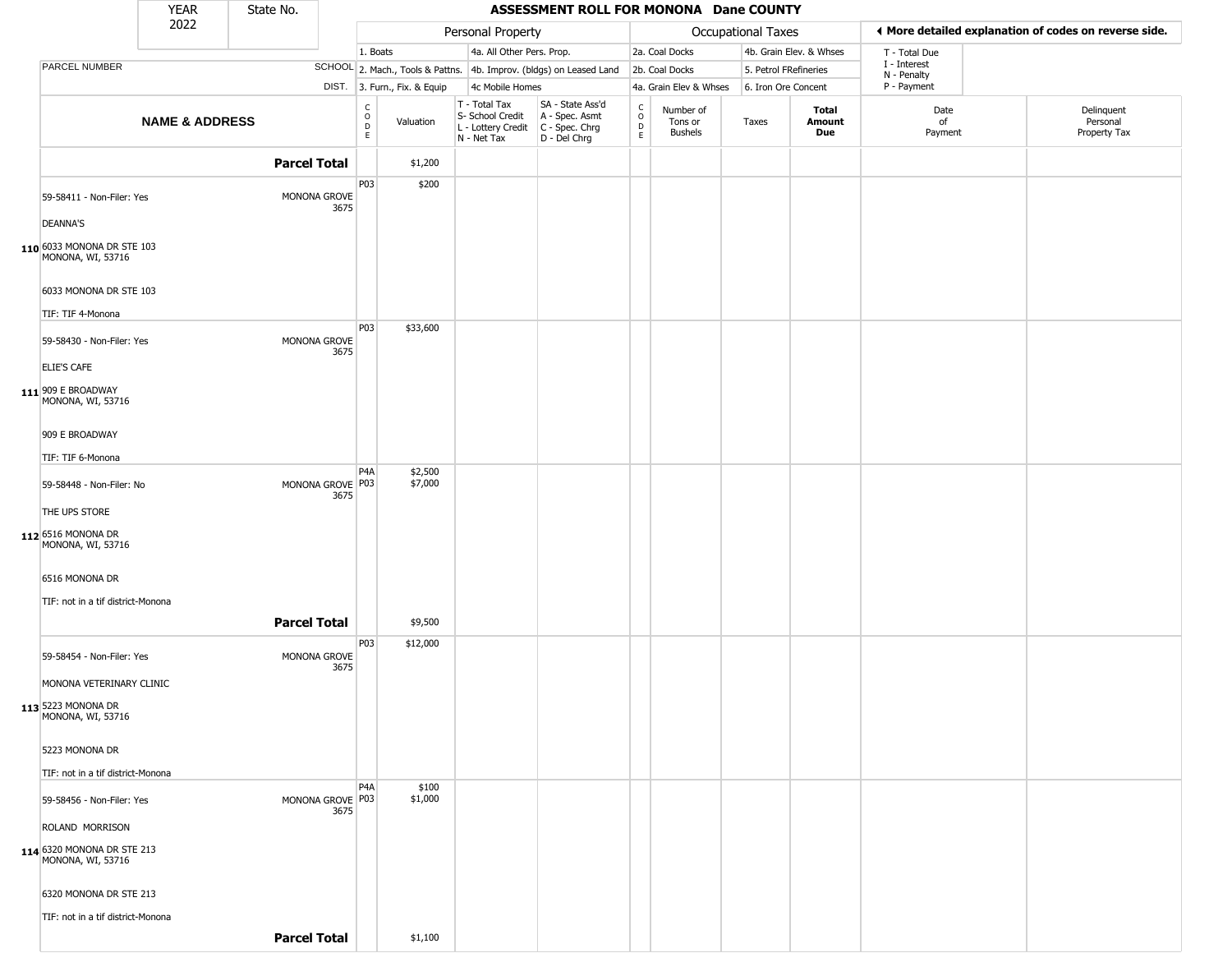|                                                 | <b>YEAR</b>               | State No.           |                          |                                                |                              |                                                                                         | ASSESSMENT ROLL FOR MONONA Dane COUNTY                              |                                                          |                                 |                       |                         |                             |                                                       |  |
|-------------------------------------------------|---------------------------|---------------------|--------------------------|------------------------------------------------|------------------------------|-----------------------------------------------------------------------------------------|---------------------------------------------------------------------|----------------------------------------------------------|---------------------------------|-----------------------|-------------------------|-----------------------------|-------------------------------------------------------|--|
|                                                 | 2022                      |                     |                          |                                                |                              | Personal Property                                                                       |                                                                     |                                                          |                                 | Occupational Taxes    |                         |                             | ◀ More detailed explanation of codes on reverse side. |  |
|                                                 |                           |                     |                          | 1. Boats                                       |                              | 4a. All Other Pers. Prop.                                                               |                                                                     |                                                          | 2a. Coal Docks                  |                       | 4b. Grain Elev. & Whses | T - Total Due               |                                                       |  |
| PARCEL NUMBER                                   |                           |                     |                          |                                                |                              |                                                                                         | SCHOOL 2. Mach., Tools & Pattns. 4b. Improv. (bldgs) on Leased Land |                                                          | 2b. Coal Docks                  | 5. Petrol FRefineries |                         | I - Interest<br>N - Penalty |                                                       |  |
|                                                 |                           |                     |                          |                                                | DIST. 3. Furn., Fix. & Equip | 4c Mobile Homes                                                                         |                                                                     |                                                          | 4a. Grain Elev & Whses          | 6. Iron Ore Concent   |                         | P - Payment                 |                                                       |  |
|                                                 | <b>NAME &amp; ADDRESS</b> |                     |                          | $\begin{matrix} 0 \\ 0 \\ 0 \end{matrix}$<br>E | Valuation                    | T - Total Tax<br>S- School Credit<br>L - Lottery Credit   C - Spec. Chrg<br>N - Net Tax | SA - State Ass'd<br>A - Spec. Asmt<br>D - Del Chrg                  | $\begin{smallmatrix} C \\ O \\ D \end{smallmatrix}$<br>E | Number of<br>Tons or<br>Bushels | Taxes                 | Total<br>Amount<br>Due  | Date<br>of<br>Payment       | Delinquent<br>Personal<br>Property Tax                |  |
|                                                 |                           | <b>Parcel Total</b> |                          |                                                | \$1,200                      |                                                                                         |                                                                     |                                                          |                                 |                       |                         |                             |                                                       |  |
|                                                 |                           |                     |                          | P03                                            | \$200                        |                                                                                         |                                                                     |                                                          |                                 |                       |                         |                             |                                                       |  |
| 59-58411 - Non-Filer: Yes                       |                           |                     | MONONA GROVE<br>3675     |                                                |                              |                                                                                         |                                                                     |                                                          |                                 |                       |                         |                             |                                                       |  |
| <b>DEANNA'S</b>                                 |                           |                     |                          |                                                |                              |                                                                                         |                                                                     |                                                          |                                 |                       |                         |                             |                                                       |  |
| 110 6033 MONONA DR STE 103<br>MONONA, WI, 53716 |                           |                     |                          |                                                |                              |                                                                                         |                                                                     |                                                          |                                 |                       |                         |                             |                                                       |  |
| 6033 MONONA DR STE 103                          |                           |                     |                          |                                                |                              |                                                                                         |                                                                     |                                                          |                                 |                       |                         |                             |                                                       |  |
| TIF: TIF 4-Monona                               |                           |                     |                          | P03                                            | \$33,600                     |                                                                                         |                                                                     |                                                          |                                 |                       |                         |                             |                                                       |  |
| 59-58430 - Non-Filer: Yes                       |                           |                     | MONONA GROVE<br>3675     |                                                |                              |                                                                                         |                                                                     |                                                          |                                 |                       |                         |                             |                                                       |  |
| ELIE'S CAFE                                     |                           |                     |                          |                                                |                              |                                                                                         |                                                                     |                                                          |                                 |                       |                         |                             |                                                       |  |
| 111 909 E BROADWAY<br>MONONA, WI, 53716         |                           |                     |                          |                                                |                              |                                                                                         |                                                                     |                                                          |                                 |                       |                         |                             |                                                       |  |
| 909 E BROADWAY                                  |                           |                     |                          |                                                |                              |                                                                                         |                                                                     |                                                          |                                 |                       |                         |                             |                                                       |  |
| TIF: TIF 6-Monona                               |                           |                     |                          |                                                |                              |                                                                                         |                                                                     |                                                          |                                 |                       |                         |                             |                                                       |  |
| 59-58448 - Non-Filer: No                        |                           |                     | MONONA GROVE P03<br>3675 | P4A                                            | \$2,500<br>\$7,000           |                                                                                         |                                                                     |                                                          |                                 |                       |                         |                             |                                                       |  |
| THE UPS STORE                                   |                           |                     |                          |                                                |                              |                                                                                         |                                                                     |                                                          |                                 |                       |                         |                             |                                                       |  |
| 112 6516 MONONA DR<br>MONONA, WI, 53716         |                           |                     |                          |                                                |                              |                                                                                         |                                                                     |                                                          |                                 |                       |                         |                             |                                                       |  |
| 6516 MONONA DR                                  |                           |                     |                          |                                                |                              |                                                                                         |                                                                     |                                                          |                                 |                       |                         |                             |                                                       |  |
| TIF: not in a tif district-Monona               |                           |                     |                          |                                                |                              |                                                                                         |                                                                     |                                                          |                                 |                       |                         |                             |                                                       |  |
|                                                 |                           | <b>Parcel Total</b> |                          |                                                | \$9,500                      |                                                                                         |                                                                     |                                                          |                                 |                       |                         |                             |                                                       |  |
| 59-58454 - Non-Filer: Yes                       |                           |                     | MONONA GROVE<br>3675     | P03                                            | \$12,000                     |                                                                                         |                                                                     |                                                          |                                 |                       |                         |                             |                                                       |  |
| MONONA VETERINARY CLINIC                        |                           |                     |                          |                                                |                              |                                                                                         |                                                                     |                                                          |                                 |                       |                         |                             |                                                       |  |
| 113 5223 MONONA DR<br>MONONA, WI, 53716         |                           |                     |                          |                                                |                              |                                                                                         |                                                                     |                                                          |                                 |                       |                         |                             |                                                       |  |
| 5223 MONONA DR                                  |                           |                     |                          |                                                |                              |                                                                                         |                                                                     |                                                          |                                 |                       |                         |                             |                                                       |  |
| TIF: not in a tif district-Monona               |                           |                     |                          |                                                |                              |                                                                                         |                                                                     |                                                          |                                 |                       |                         |                             |                                                       |  |
| 59-58456 - Non-Filer: Yes                       |                           |                     | MONONA GROVE P03<br>3675 | P <sub>4</sub> A                               | \$100<br>\$1,000             |                                                                                         |                                                                     |                                                          |                                 |                       |                         |                             |                                                       |  |
| ROLAND MORRISON                                 |                           |                     |                          |                                                |                              |                                                                                         |                                                                     |                                                          |                                 |                       |                         |                             |                                                       |  |
| 114 6320 MONONA DR STE 213<br>MONONA, WI, 53716 |                           |                     |                          |                                                |                              |                                                                                         |                                                                     |                                                          |                                 |                       |                         |                             |                                                       |  |
| 6320 MONONA DR STE 213                          |                           |                     |                          |                                                |                              |                                                                                         |                                                                     |                                                          |                                 |                       |                         |                             |                                                       |  |
| TIF: not in a tif district-Monona               |                           |                     |                          |                                                |                              |                                                                                         |                                                                     |                                                          |                                 |                       |                         |                             |                                                       |  |
|                                                 |                           | <b>Parcel Total</b> |                          |                                                | \$1,100                      |                                                                                         |                                                                     |                                                          |                                 |                       |                         |                             |                                                       |  |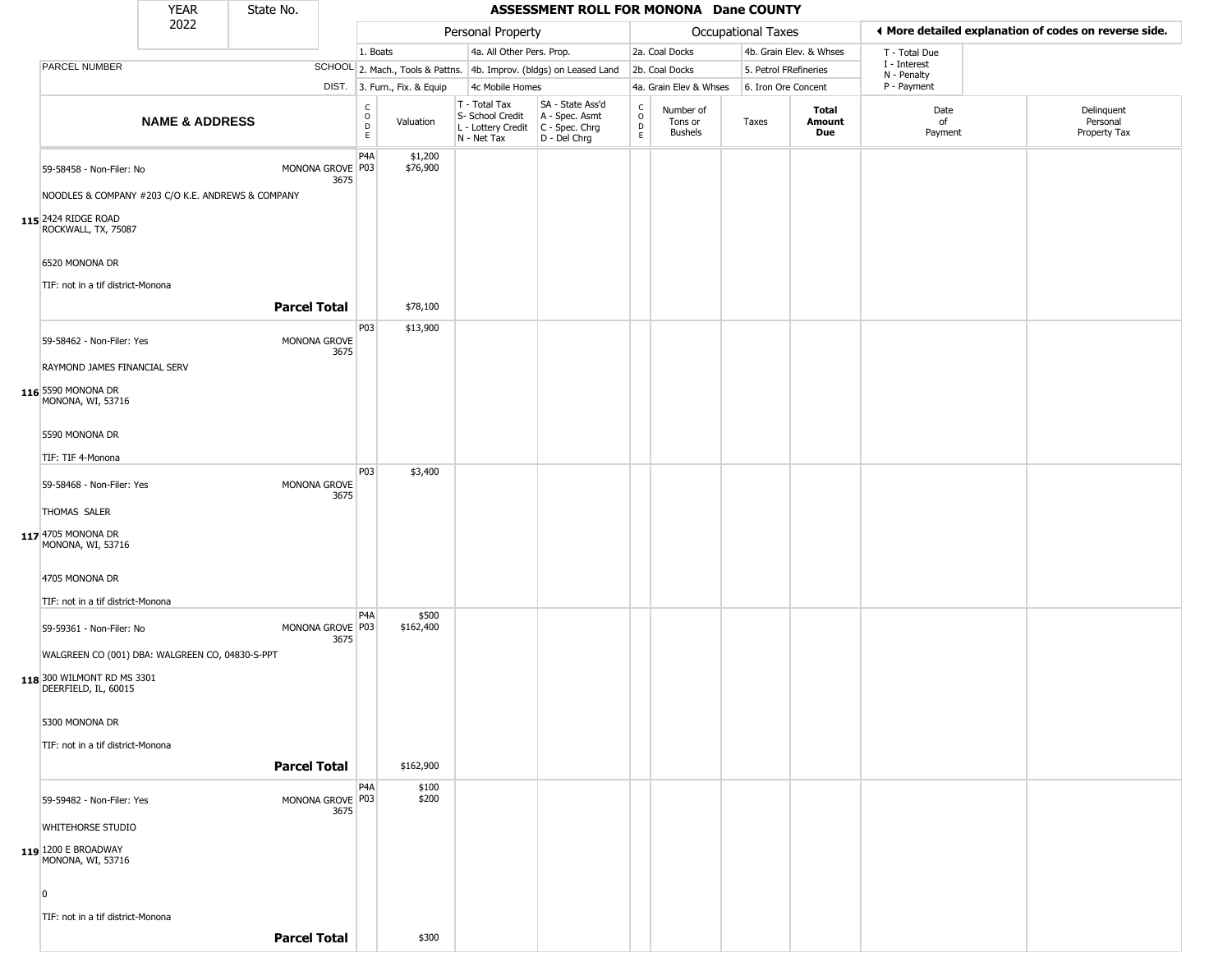|                                                                                                                                               | <b>YEAR</b>               | State No.           |                          |                         |                              |                                                                        | ASSESSMENT ROLL FOR MONONA Dane COUNTY                               |                                    |                                 |                           |                         |                                                       |                                        |
|-----------------------------------------------------------------------------------------------------------------------------------------------|---------------------------|---------------------|--------------------------|-------------------------|------------------------------|------------------------------------------------------------------------|----------------------------------------------------------------------|------------------------------------|---------------------------------|---------------------------|-------------------------|-------------------------------------------------------|----------------------------------------|
|                                                                                                                                               | 2022                      |                     |                          |                         |                              | Personal Property                                                      |                                                                      |                                    |                                 | <b>Occupational Taxes</b> |                         | ♦ More detailed explanation of codes on reverse side. |                                        |
|                                                                                                                                               |                           |                     |                          | 1. Boats                |                              | 4a. All Other Pers. Prop.                                              |                                                                      |                                    | 2a. Coal Docks                  |                           | 4b. Grain Elev. & Whses | T - Total Due                                         |                                        |
| <b>PARCEL NUMBER</b>                                                                                                                          |                           |                     |                          |                         |                              |                                                                        | SCHOOL 2. Mach., Tools & Pattns. 4b. Improv. (bldgs) on Leased Land  |                                    | 2b. Coal Docks                  | 5. Petrol FRefineries     |                         | I - Interest                                          |                                        |
|                                                                                                                                               |                           |                     |                          |                         | DIST. 3. Furn., Fix. & Equip | 4c Mobile Homes                                                        |                                                                      |                                    | 4a. Grain Elev & Whses          | 6. Iron Ore Concent       |                         | N - Penalty<br>P - Payment                            |                                        |
|                                                                                                                                               | <b>NAME &amp; ADDRESS</b> |                     |                          | C<br>$\circ$<br>D<br>E. | Valuation                    | T - Total Tax<br>S- School Credit<br>L - Lottery Credit<br>N - Net Tax | SA - State Ass'd<br>A - Spec. Asmt<br>C - Spec. Chrg<br>D - Del Chrg | $\frac{c}{0}$<br>$\mathsf{D}$<br>E | Number of<br>Tons or<br>Bushels | Taxes                     | Total<br>Amount<br>Due  | Date<br>of<br>Payment                                 | Delinquent<br>Personal<br>Property Tax |
| 59-58458 - Non-Filer: No<br>NOODLES & COMPANY #203 C/O K.E. ANDREWS & COMPANY<br>115 2424 RIDGE ROAD<br>ROCKWALL, TX, 75087<br>6520 MONONA DR |                           |                     | MONONA GROVE P03<br>3675 | P4A                     | \$1,200<br>\$76,900          |                                                                        |                                                                      |                                    |                                 |                           |                         |                                                       |                                        |
| TIF: not in a tif district-Monona                                                                                                             |                           | <b>Parcel Total</b> |                          |                         | \$78,100                     |                                                                        |                                                                      |                                    |                                 |                           |                         |                                                       |                                        |
|                                                                                                                                               |                           |                     |                          |                         |                              |                                                                        |                                                                      |                                    |                                 |                           |                         |                                                       |                                        |
| 59-58462 - Non-Filer: Yes<br>RAYMOND JAMES FINANCIAL SERV<br>116 5590 MONONA DR<br>MONONA, WI, 53716                                          |                           |                     | MONONA GROVE<br>3675     | P03                     | \$13,900                     |                                                                        |                                                                      |                                    |                                 |                           |                         |                                                       |                                        |
| 5590 MONONA DR                                                                                                                                |                           |                     |                          |                         |                              |                                                                        |                                                                      |                                    |                                 |                           |                         |                                                       |                                        |
| TIF: TIF 4-Monona                                                                                                                             |                           |                     |                          | P03                     | \$3,400                      |                                                                        |                                                                      |                                    |                                 |                           |                         |                                                       |                                        |
| 59-58468 - Non-Filer: Yes<br>THOMAS SALER<br>117 4705 MONONA DR<br>MONONA, WI, 53716                                                          |                           |                     | MONONA GROVE<br>3675     |                         |                              |                                                                        |                                                                      |                                    |                                 |                           |                         |                                                       |                                        |
| 4705 MONONA DR<br>TIF: not in a tif district-Monona                                                                                           |                           |                     |                          |                         |                              |                                                                        |                                                                      |                                    |                                 |                           |                         |                                                       |                                        |
| 59-59361 - Non-Filer: No<br>WALGREEN CO (001) DBA: WALGREEN CO, 04830-S-PPT                                                                   |                           |                     | MONONA GROVE P03<br>3675 | P <sub>4</sub> A        | \$500<br>\$162,400           |                                                                        |                                                                      |                                    |                                 |                           |                         |                                                       |                                        |
| 118 300 WILMONT RD MS 3301<br>DEERFIELD, IL, 60015                                                                                            |                           |                     |                          |                         |                              |                                                                        |                                                                      |                                    |                                 |                           |                         |                                                       |                                        |
| 5300 MONONA DR<br>TIF: not in a tif district-Monona                                                                                           |                           |                     |                          |                         |                              |                                                                        |                                                                      |                                    |                                 |                           |                         |                                                       |                                        |
|                                                                                                                                               |                           | <b>Parcel Total</b> |                          |                         | \$162,900                    |                                                                        |                                                                      |                                    |                                 |                           |                         |                                                       |                                        |
| 59-59482 - Non-Filer: Yes<br>WHITEHORSE STUDIO                                                                                                |                           |                     | MONONA GROVE P03<br>3675 | P <sub>4</sub> A        | \$100<br>\$200               |                                                                        |                                                                      |                                    |                                 |                           |                         |                                                       |                                        |
| 119 1200 E BROADWAY<br>MONONA, WI, 53716                                                                                                      |                           |                     |                          |                         |                              |                                                                        |                                                                      |                                    |                                 |                           |                         |                                                       |                                        |
| $\overline{0}$<br>TIF: not in a tif district-Monona                                                                                           |                           |                     |                          |                         |                              |                                                                        |                                                                      |                                    |                                 |                           |                         |                                                       |                                        |
|                                                                                                                                               |                           | <b>Parcel Total</b> |                          |                         | \$300                        |                                                                        |                                                                      |                                    |                                 |                           |                         |                                                       |                                        |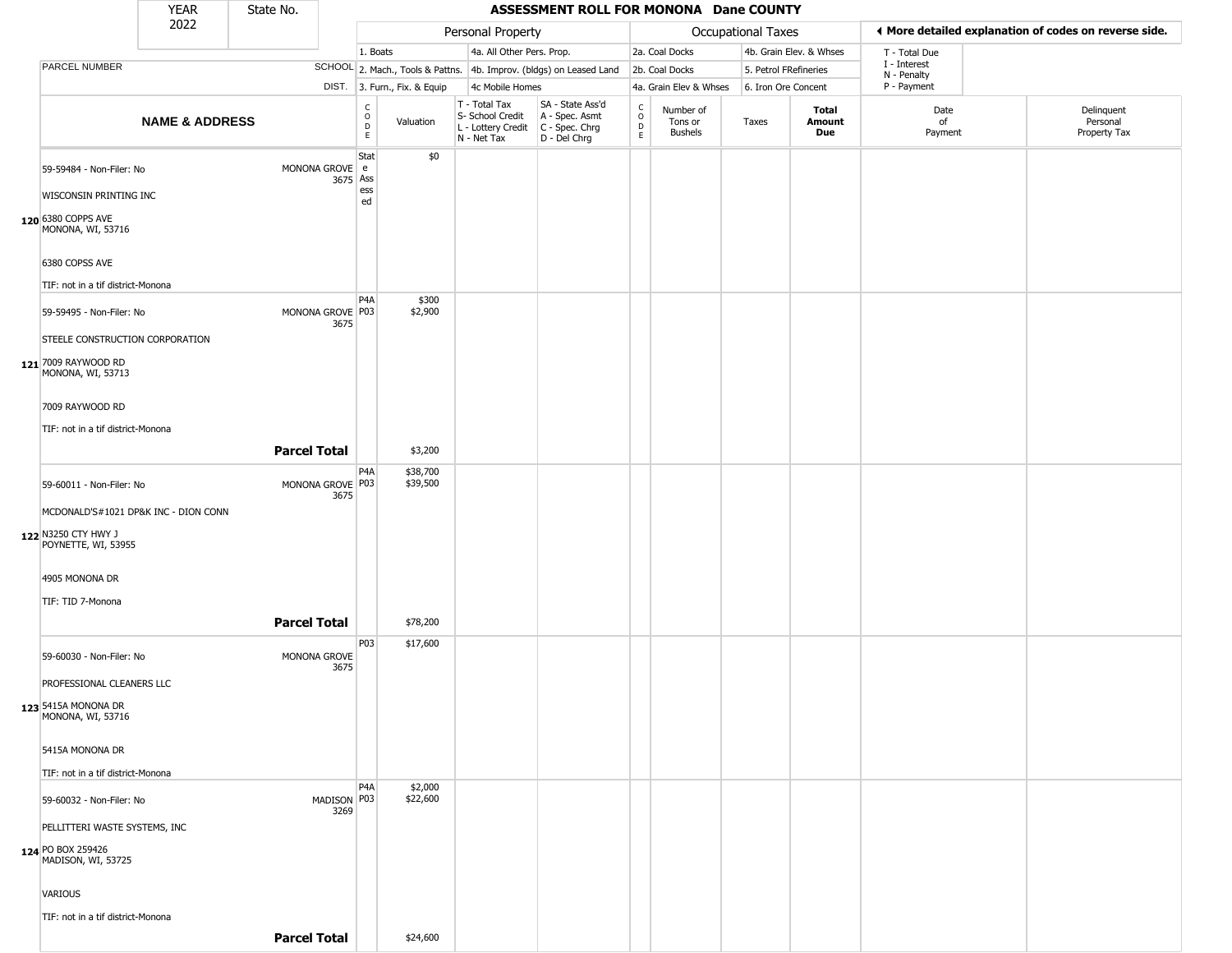|                                                                                                                | <b>YEAR</b>               | State No.           |                            |                                                          |                              |                                                                        | ASSESSMENT ROLL FOR MONONA Dane COUNTY                                 |                         |                                        |                           |                         |                            |                                                       |
|----------------------------------------------------------------------------------------------------------------|---------------------------|---------------------|----------------------------|----------------------------------------------------------|------------------------------|------------------------------------------------------------------------|------------------------------------------------------------------------|-------------------------|----------------------------------------|---------------------------|-------------------------|----------------------------|-------------------------------------------------------|
|                                                                                                                | 2022                      |                     |                            |                                                          |                              | Personal Property                                                      |                                                                        |                         |                                        | <b>Occupational Taxes</b> |                         |                            | I More detailed explanation of codes on reverse side. |
|                                                                                                                |                           |                     |                            | 1. Boats                                                 |                              | 4a. All Other Pers. Prop.                                              |                                                                        |                         | 2a. Coal Docks                         |                           | 4b. Grain Elev. & Whses | T - Total Due              |                                                       |
| PARCEL NUMBER                                                                                                  |                           |                     |                            |                                                          |                              |                                                                        | SCHOOL 2. Mach., Tools & Pattns. 4b. Improv. (bldgs) on Leased Land    |                         | 2b. Coal Docks                         | 5. Petrol FRefineries     |                         | I - Interest               |                                                       |
|                                                                                                                |                           |                     |                            |                                                          | DIST. 3. Furn., Fix. & Equip | 4c Mobile Homes                                                        |                                                                        |                         | 4a. Grain Elev & Whses                 | 6. Iron Ore Concent       |                         | N - Penalty<br>P - Payment |                                                       |
|                                                                                                                | <b>NAME &amp; ADDRESS</b> |                     |                            | $\begin{matrix} 0 \\ 0 \\ D \end{matrix}$<br>$\mathsf E$ | Valuation                    | T - Total Tax<br>S- School Credit<br>L - Lottery Credit<br>N - Net Tax | SA - State Ass'd<br>A - Spec. Asmt<br>$C - Spec. Chrg$<br>D - Del Chrg | $\frac{c}{0}$<br>D<br>E | Number of<br>Tons or<br><b>Bushels</b> | Taxes                     | Total<br>Amount<br>Due  | Date<br>of<br>Payment      | Delinquent<br>Personal<br>Property Tax                |
| 59-59484 - Non-Filer: No<br>WISCONSIN PRINTING INC<br>120 6380 COPPS AVE<br>MONONA, WI, 53716                  |                           |                     | MONONA GROVE e<br>3675 Ass | Stat<br>ess<br>ed                                        | \$0                          |                                                                        |                                                                        |                         |                                        |                           |                         |                            |                                                       |
| 6380 COPSS AVE<br>TIF: not in a tif district-Monona                                                            |                           |                     |                            |                                                          |                              |                                                                        |                                                                        |                         |                                        |                           |                         |                            |                                                       |
| 59-59495 - Non-Filer: No<br>STEELE CONSTRUCTION CORPORATION                                                    |                           |                     | MONONA GROVE P03<br>3675   | P <sub>4</sub> A                                         | \$300<br>\$2,900             |                                                                        |                                                                        |                         |                                        |                           |                         |                            |                                                       |
| 121 7009 RAYWOOD RD<br>MONONA, WI, 53713                                                                       |                           |                     |                            |                                                          |                              |                                                                        |                                                                        |                         |                                        |                           |                         |                            |                                                       |
| 7009 RAYWOOD RD<br>TIF: not in a tif district-Monona                                                           |                           |                     |                            |                                                          |                              |                                                                        |                                                                        |                         |                                        |                           |                         |                            |                                                       |
|                                                                                                                |                           | <b>Parcel Total</b> |                            | P4A                                                      | \$3,200<br>\$38,700          |                                                                        |                                                                        |                         |                                        |                           |                         |                            |                                                       |
| 59-60011 - Non-Filer: No<br>MCDONALD'S#1021 DP&K INC - DION CONN<br>122 N3250 CTY HWY J<br>POYNETTE, WI, 53955 |                           |                     | MONONA GROVE P03<br>3675   |                                                          | \$39,500                     |                                                                        |                                                                        |                         |                                        |                           |                         |                            |                                                       |
| 4905 MONONA DR<br>TIF: TID 7-Monona                                                                            |                           |                     |                            |                                                          |                              |                                                                        |                                                                        |                         |                                        |                           |                         |                            |                                                       |
|                                                                                                                |                           | <b>Parcel Total</b> |                            |                                                          | \$78,200                     |                                                                        |                                                                        |                         |                                        |                           |                         |                            |                                                       |
| 59-60030 - Non-Filer: No                                                                                       |                           |                     | MONONA GROVE<br>3675       | P03                                                      | \$17,600                     |                                                                        |                                                                        |                         |                                        |                           |                         |                            |                                                       |
| PROFESSIONAL CLEANERS LLC<br>123 5415A MONONA DR<br>MONONA, WI, 53716                                          |                           |                     |                            |                                                          |                              |                                                                        |                                                                        |                         |                                        |                           |                         |                            |                                                       |
| 5415A MONONA DR                                                                                                |                           |                     |                            |                                                          |                              |                                                                        |                                                                        |                         |                                        |                           |                         |                            |                                                       |
| TIF: not in a tif district-Monona                                                                              |                           |                     |                            | P <sub>4</sub> A                                         | \$2,000                      |                                                                        |                                                                        |                         |                                        |                           |                         |                            |                                                       |
| 59-60032 - Non-Filer: No<br>PELLITTERI WASTE SYSTEMS, INC<br>124 PO BOX 259426                                 |                           |                     | MADISON P03<br>3269        |                                                          | \$22,600                     |                                                                        |                                                                        |                         |                                        |                           |                         |                            |                                                       |
| MADISON, WI, 53725<br>VARIOUS                                                                                  |                           |                     |                            |                                                          |                              |                                                                        |                                                                        |                         |                                        |                           |                         |                            |                                                       |
| TIF: not in a tif district-Monona                                                                              |                           | <b>Parcel Total</b> |                            |                                                          | \$24,600                     |                                                                        |                                                                        |                         |                                        |                           |                         |                            |                                                       |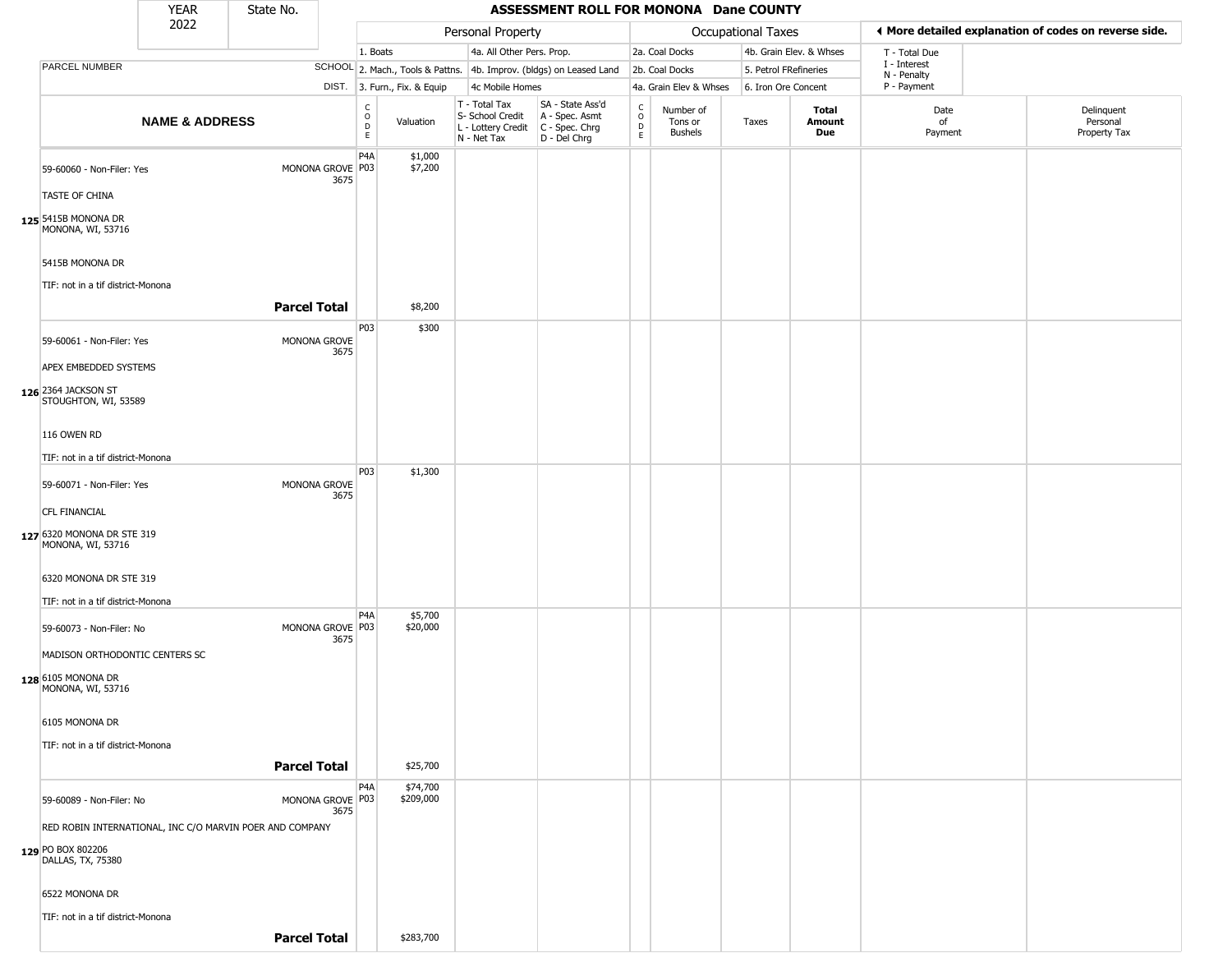|                                                                                                       | <b>YEAR</b>               | State No.                                                |                              |                                    |                       |                                                                        | ASSESSMENT ROLL FOR MONONA Dane COUNTY                               |                                   |                                 |                       |                         |                             |                                                       |
|-------------------------------------------------------------------------------------------------------|---------------------------|----------------------------------------------------------|------------------------------|------------------------------------|-----------------------|------------------------------------------------------------------------|----------------------------------------------------------------------|-----------------------------------|---------------------------------|-----------------------|-------------------------|-----------------------------|-------------------------------------------------------|
|                                                                                                       | 2022                      |                                                          |                              |                                    |                       | Personal Property                                                      |                                                                      |                                   |                                 | Occupational Taxes    |                         |                             | ◀ More detailed explanation of codes on reverse side. |
|                                                                                                       |                           |                                                          |                              | 1. Boats                           |                       | 4a. All Other Pers. Prop.                                              |                                                                      |                                   | 2a. Coal Docks                  |                       | 4b. Grain Elev. & Whses | T - Total Due               |                                                       |
| PARCEL NUMBER                                                                                         |                           |                                                          |                              |                                    |                       |                                                                        | SCHOOL 2. Mach., Tools & Pattns. 4b. Improv. (bldgs) on Leased Land  |                                   | 2b. Coal Docks                  | 5. Petrol FRefineries |                         | I - Interest<br>N - Penalty |                                                       |
|                                                                                                       |                           |                                                          | DIST. 3. Furn., Fix. & Equip |                                    |                       | 4c Mobile Homes                                                        |                                                                      |                                   | 4a. Grain Elev & Whses          | 6. Iron Ore Concent   |                         | P - Payment                 |                                                       |
|                                                                                                       | <b>NAME &amp; ADDRESS</b> |                                                          |                              | $\frac{c}{0}$<br>$\mathsf{D}$<br>E | Valuation             | T - Total Tax<br>S- School Credit<br>L - Lottery Credit<br>N - Net Tax | SA - State Ass'd<br>A - Spec. Asmt<br>C - Spec. Chrg<br>D - Del Chrg | C<br>$\circ$<br>$\mathsf{D}$<br>E | Number of<br>Tons or<br>Bushels | Taxes                 | Total<br>Amount<br>Due  | Date<br>of<br>Payment       | Delinquent<br>Personal<br>Property Tax                |
| 59-60060 - Non-Filer: Yes<br>TASTE OF CHINA<br>125 5415B MONONA DR<br>MONONA, WI, 53716               |                           |                                                          | MONONA GROVE P03<br>3675     | P <sub>4</sub> A                   | \$1,000<br>\$7,200    |                                                                        |                                                                      |                                   |                                 |                       |                         |                             |                                                       |
| 5415B MONONA DR<br>TIF: not in a tif district-Monona                                                  |                           |                                                          |                              |                                    |                       |                                                                        |                                                                      |                                   |                                 |                       |                         |                             |                                                       |
|                                                                                                       |                           | <b>Parcel Total</b>                                      |                              |                                    | \$8,200               |                                                                        |                                                                      |                                   |                                 |                       |                         |                             |                                                       |
| 59-60061 - Non-Filer: Yes<br>APEX EMBEDDED SYSTEMS                                                    |                           |                                                          | MONONA GROVE<br>3675         | P03                                | \$300                 |                                                                        |                                                                      |                                   |                                 |                       |                         |                             |                                                       |
| 126 2364 JACKSON ST<br>STOUGHTON, WI, 53589                                                           |                           |                                                          |                              |                                    |                       |                                                                        |                                                                      |                                   |                                 |                       |                         |                             |                                                       |
| 116 OWEN RD                                                                                           |                           |                                                          |                              |                                    |                       |                                                                        |                                                                      |                                   |                                 |                       |                         |                             |                                                       |
| TIF: not in a tif district-Monona                                                                     |                           |                                                          |                              |                                    |                       |                                                                        |                                                                      |                                   |                                 |                       |                         |                             |                                                       |
| 59-60071 - Non-Filer: Yes<br><b>CFL FINANCIAL</b><br>127 6320 MONONA DR STE 319<br>MONONA, WI, 53716  |                           |                                                          | MONONA GROVE<br>3675         | P03                                | \$1,300               |                                                                        |                                                                      |                                   |                                 |                       |                         |                             |                                                       |
| 6320 MONONA DR STE 319<br>TIF: not in a tif district-Monona                                           |                           |                                                          |                              | P <sub>4</sub> A                   | \$5,700               |                                                                        |                                                                      |                                   |                                 |                       |                         |                             |                                                       |
| 59-60073 - Non-Filer: No<br>MADISON ORTHODONTIC CENTERS SC<br>128 6105 MONONA DR<br>MONONA, WI, 53716 |                           |                                                          | MONONA GROVE P03<br>3675     |                                    | \$20,000              |                                                                        |                                                                      |                                   |                                 |                       |                         |                             |                                                       |
| 6105 MONONA DR<br>TIF: not in a tif district-Monona                                                   |                           |                                                          |                              |                                    |                       |                                                                        |                                                                      |                                   |                                 |                       |                         |                             |                                                       |
|                                                                                                       |                           | <b>Parcel Total</b>                                      |                              |                                    | \$25,700              |                                                                        |                                                                      |                                   |                                 |                       |                         |                             |                                                       |
| 59-60089 - Non-Filer: No                                                                              |                           |                                                          | MONONA GROVE P03<br>3675     | P <sub>4</sub> A                   | \$74,700<br>\$209,000 |                                                                        |                                                                      |                                   |                                 |                       |                         |                             |                                                       |
|                                                                                                       |                           | RED ROBIN INTERNATIONAL, INC C/O MARVIN POER AND COMPANY |                              |                                    |                       |                                                                        |                                                                      |                                   |                                 |                       |                         |                             |                                                       |
| 129 PO BOX 802206<br>DALLAS, TX, 75380                                                                |                           |                                                          |                              |                                    |                       |                                                                        |                                                                      |                                   |                                 |                       |                         |                             |                                                       |
| 6522 MONONA DR                                                                                        |                           |                                                          |                              |                                    |                       |                                                                        |                                                                      |                                   |                                 |                       |                         |                             |                                                       |
| TIF: not in a tif district-Monona                                                                     |                           |                                                          |                              |                                    |                       |                                                                        |                                                                      |                                   |                                 |                       |                         |                             |                                                       |
|                                                                                                       |                           | <b>Parcel Total</b>                                      |                              |                                    | \$283,700             |                                                                        |                                                                      |                                   |                                 |                       |                         |                             |                                                       |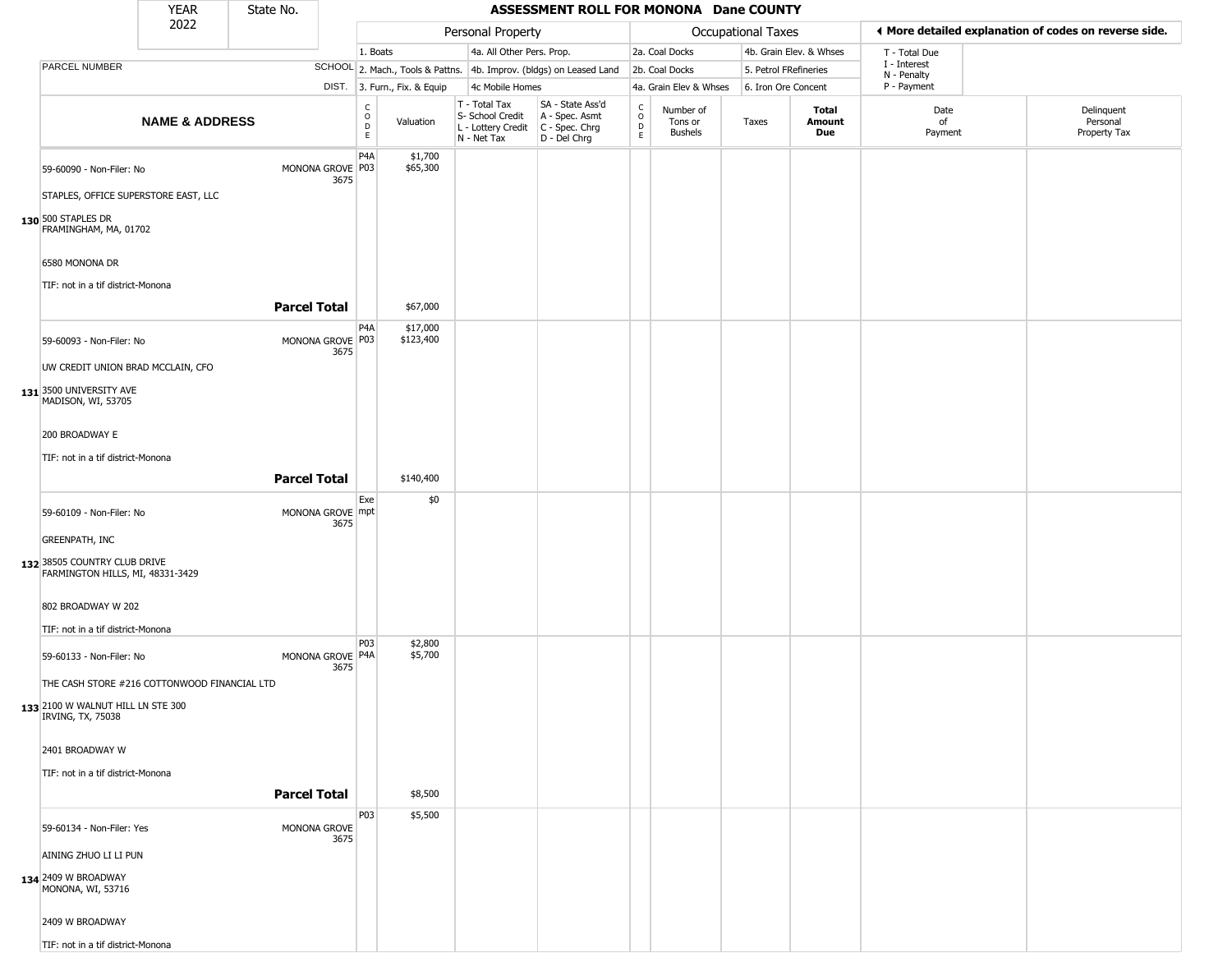|                                                                                                        | <b>YEAR</b>               | State No. |                          |                                                          |                        |                                                                        | ASSESSMENT ROLL FOR MONONA Dane COUNTY                               |                                    |                                        |                           |                         |                             |                                                       |
|--------------------------------------------------------------------------------------------------------|---------------------------|-----------|--------------------------|----------------------------------------------------------|------------------------|------------------------------------------------------------------------|----------------------------------------------------------------------|------------------------------------|----------------------------------------|---------------------------|-------------------------|-----------------------------|-------------------------------------------------------|
|                                                                                                        | 2022                      |           |                          |                                                          |                        | Personal Property                                                      |                                                                      |                                    |                                        | <b>Occupational Taxes</b> |                         |                             | I More detailed explanation of codes on reverse side. |
|                                                                                                        |                           |           |                          | 1. Boats                                                 |                        | 4a. All Other Pers. Prop.                                              |                                                                      |                                    | 2a. Coal Docks                         |                           | 4b. Grain Elev. & Whses | T - Total Due               |                                                       |
| PARCEL NUMBER                                                                                          |                           |           |                          |                                                          |                        |                                                                        | SCHOOL 2. Mach., Tools & Pattns. 4b. Improv. (bldgs) on Leased Land  |                                    | 2b. Coal Docks                         | 5. Petrol FRefineries     |                         | I - Interest<br>N - Penalty |                                                       |
|                                                                                                        |                           |           | DIST.                    |                                                          | 3. Furn., Fix. & Equip | 4c Mobile Homes                                                        |                                                                      |                                    | 4a. Grain Elev & Whses                 | 6. Iron Ore Concent       |                         | P - Payment                 |                                                       |
|                                                                                                        | <b>NAME &amp; ADDRESS</b> |           |                          | $\begin{smallmatrix} C \\ O \\ D \end{smallmatrix}$<br>E | Valuation              | T - Total Tax<br>S- School Credit<br>L - Lottery Credit<br>N - Net Tax | SA - State Ass'd<br>A - Spec. Asmt<br>C - Spec. Chrg<br>D - Del Chrg | $\rm_{o}^{c}$<br>$\mathsf{D}$<br>E | Number of<br>Tons or<br><b>Bushels</b> | Taxes                     | Total<br>Amount<br>Due  | Date<br>of<br>Payment       | Delinquent<br>Personal<br>Property Tax                |
| 59-60090 - Non-Filer: No<br>STAPLES, OFFICE SUPERSTORE EAST, LLC                                       |                           |           | MONONA GROVE P03<br>3675 | P4A                                                      | \$1,700<br>\$65,300    |                                                                        |                                                                      |                                    |                                        |                           |                         |                             |                                                       |
| 130 500 STAPLES DR<br>FRAMINGHAM, MA, 01702                                                            |                           |           |                          |                                                          |                        |                                                                        |                                                                      |                                    |                                        |                           |                         |                             |                                                       |
| 6580 MONONA DR<br>TIF: not in a tif district-Monona                                                    |                           |           |                          |                                                          |                        |                                                                        |                                                                      |                                    |                                        |                           |                         |                             |                                                       |
|                                                                                                        |                           |           | <b>Parcel Total</b>      |                                                          | \$67,000               |                                                                        |                                                                      |                                    |                                        |                           |                         |                             |                                                       |
| 59-60093 - Non-Filer: No                                                                               |                           |           | MONONA GROVE P03<br>3675 | P <sub>4</sub> A                                         | \$17,000<br>\$123,400  |                                                                        |                                                                      |                                    |                                        |                           |                         |                             |                                                       |
| UW CREDIT UNION BRAD MCCLAIN, CFO<br>131 3500 UNIVERSITY AVE<br>MADISON, WI, 53705                     |                           |           |                          |                                                          |                        |                                                                        |                                                                      |                                    |                                        |                           |                         |                             |                                                       |
| 200 BROADWAY E                                                                                         |                           |           |                          |                                                          |                        |                                                                        |                                                                      |                                    |                                        |                           |                         |                             |                                                       |
| TIF: not in a tif district-Monona                                                                      |                           |           |                          |                                                          |                        |                                                                        |                                                                      |                                    |                                        |                           |                         |                             |                                                       |
|                                                                                                        |                           |           | <b>Parcel Total</b>      |                                                          | \$140,400              |                                                                        |                                                                      |                                    |                                        |                           |                         |                             |                                                       |
| 59-60109 - Non-Filer: No                                                                               |                           |           | MONONA GROVE mpt<br>3675 | Exe                                                      | \$0                    |                                                                        |                                                                      |                                    |                                        |                           |                         |                             |                                                       |
| <b>GREENPATH, INC</b>                                                                                  |                           |           |                          |                                                          |                        |                                                                        |                                                                      |                                    |                                        |                           |                         |                             |                                                       |
| 132 38505 COUNTRY CLUB DRIVE<br>FARMINGTON HILLS, MI, 48331-3429                                       |                           |           |                          |                                                          |                        |                                                                        |                                                                      |                                    |                                        |                           |                         |                             |                                                       |
| 802 BROADWAY W 202                                                                                     |                           |           |                          |                                                          |                        |                                                                        |                                                                      |                                    |                                        |                           |                         |                             |                                                       |
| TIF: not in a tif district-Monona                                                                      |                           |           |                          | P03                                                      | \$2,800                |                                                                        |                                                                      |                                    |                                        |                           |                         |                             |                                                       |
| 59-60133 - Non-Filer: No                                                                               |                           |           | MONONA GROVE P4A<br>3675 |                                                          | \$5,700                |                                                                        |                                                                      |                                    |                                        |                           |                         |                             |                                                       |
| THE CASH STORE #216 COTTONWOOD FINANCIAL LTD<br>133 2100 W WALNUT HILL LN STE 300<br>IRVING, TX, 75038 |                           |           |                          |                                                          |                        |                                                                        |                                                                      |                                    |                                        |                           |                         |                             |                                                       |
| 2401 BROADWAY W                                                                                        |                           |           |                          |                                                          |                        |                                                                        |                                                                      |                                    |                                        |                           |                         |                             |                                                       |
| TIF: not in a tif district-Monona                                                                      |                           |           |                          |                                                          |                        |                                                                        |                                                                      |                                    |                                        |                           |                         |                             |                                                       |
|                                                                                                        |                           |           | <b>Parcel Total</b>      | P03                                                      | \$8,500<br>\$5,500     |                                                                        |                                                                      |                                    |                                        |                           |                         |                             |                                                       |
| 59-60134 - Non-Filer: Yes                                                                              |                           |           | MONONA GROVE<br>3675     |                                                          |                        |                                                                        |                                                                      |                                    |                                        |                           |                         |                             |                                                       |
| AINING ZHUO LI LI PUN                                                                                  |                           |           |                          |                                                          |                        |                                                                        |                                                                      |                                    |                                        |                           |                         |                             |                                                       |
| 134 2409 W BROADWAY<br>MONONA, WI, 53716                                                               |                           |           |                          |                                                          |                        |                                                                        |                                                                      |                                    |                                        |                           |                         |                             |                                                       |
| 2409 W BROADWAY                                                                                        |                           |           |                          |                                                          |                        |                                                                        |                                                                      |                                    |                                        |                           |                         |                             |                                                       |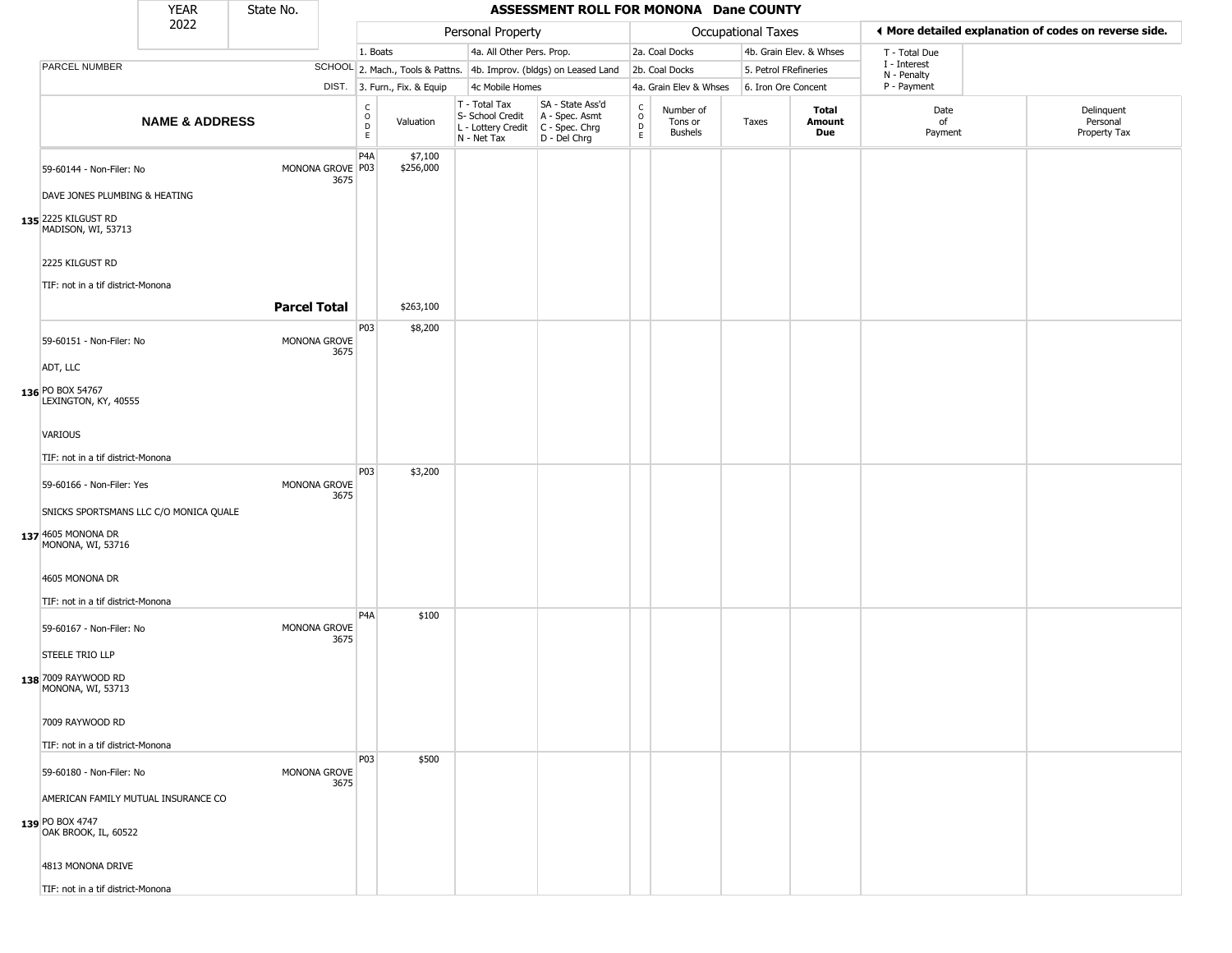|                                                                                                        | <b>YEAR</b>               | State No.           |                          |                                              |                              |                                                                        | ASSESSMENT ROLL FOR MONONA Dane COUNTY                               |                                              |                                        |                       |                         |                             |                                                       |
|--------------------------------------------------------------------------------------------------------|---------------------------|---------------------|--------------------------|----------------------------------------------|------------------------------|------------------------------------------------------------------------|----------------------------------------------------------------------|----------------------------------------------|----------------------------------------|-----------------------|-------------------------|-----------------------------|-------------------------------------------------------|
|                                                                                                        | 2022                      |                     |                          |                                              |                              | Personal Property                                                      |                                                                      |                                              |                                        | Occupational Taxes    |                         |                             | ◀ More detailed explanation of codes on reverse side. |
|                                                                                                        |                           |                     |                          | 1. Boats                                     |                              | 4a. All Other Pers. Prop.                                              |                                                                      |                                              | 2a. Coal Docks                         |                       | 4b. Grain Elev. & Whses | T - Total Due               |                                                       |
| PARCEL NUMBER                                                                                          |                           |                     |                          |                                              |                              |                                                                        | SCHOOL 2. Mach., Tools & Pattns. 4b. Improv. (bldgs) on Leased Land  |                                              | 2b. Coal Docks                         | 5. Petrol FRefineries |                         | I - Interest<br>N - Penalty |                                                       |
|                                                                                                        |                           |                     |                          |                                              | DIST. 3. Furn., Fix. & Equip | 4c Mobile Homes                                                        |                                                                      |                                              | 4a. Grain Elev & Whses                 | 6. Iron Ore Concent   |                         | P - Payment                 |                                                       |
|                                                                                                        | <b>NAME &amp; ADDRESS</b> |                     |                          | $\begin{array}{c}\nC \\ O \\ D\n\end{array}$ | Valuation                    | T - Total Tax<br>S- School Credit<br>L - Lottery Credit<br>N - Net Tax | SA - State Ass'd<br>A - Spec. Asmt<br>C - Spec. Chrg<br>D - Del Chrg | $\begin{array}{c}\nC \\ D \\ E\n\end{array}$ | Number of<br>Tons or<br><b>Bushels</b> | Taxes                 | Total<br>Amount<br>Due  | Date<br>of<br>Payment       | Delinquent<br>Personal<br>Property Tax                |
| 59-60144 - Non-Filer: No<br>DAVE JONES PLUMBING & HEATING<br>135 2225 KILGUST RD<br>MADISON, WI, 53713 |                           |                     | MONONA GROVE P03<br>3675 | P <sub>4</sub> A                             | \$7,100<br>\$256,000         |                                                                        |                                                                      |                                              |                                        |                       |                         |                             |                                                       |
| 2225 KILGUST RD<br>TIF: not in a tif district-Monona                                                   |                           | <b>Parcel Total</b> |                          |                                              | \$263,100                    |                                                                        |                                                                      |                                              |                                        |                       |                         |                             |                                                       |
| 59-60151 - Non-Filer: No                                                                               |                           |                     | MONONA GROVE<br>3675     | P03                                          | \$8,200                      |                                                                        |                                                                      |                                              |                                        |                       |                         |                             |                                                       |
| ADT, LLC<br>136 PO BOX 54767<br>LEXINGTON, KY, 40555                                                   |                           |                     |                          |                                              |                              |                                                                        |                                                                      |                                              |                                        |                       |                         |                             |                                                       |
| VARIOUS                                                                                                |                           |                     |                          |                                              |                              |                                                                        |                                                                      |                                              |                                        |                       |                         |                             |                                                       |
| TIF: not in a tif district-Monona                                                                      |                           |                     |                          | P03                                          | \$3,200                      |                                                                        |                                                                      |                                              |                                        |                       |                         |                             |                                                       |
| 59-60166 - Non-Filer: Yes<br>SNICKS SPORTSMANS LLC C/O MONICA QUALE                                    |                           |                     | MONONA GROVE<br>3675     |                                              |                              |                                                                        |                                                                      |                                              |                                        |                       |                         |                             |                                                       |
| 137 4605 MONONA DR<br>MONONA, WI, 53716                                                                |                           |                     |                          |                                              |                              |                                                                        |                                                                      |                                              |                                        |                       |                         |                             |                                                       |
| 4605 MONONA DR<br>TIF: not in a tif district-Monona                                                    |                           |                     |                          |                                              |                              |                                                                        |                                                                      |                                              |                                        |                       |                         |                             |                                                       |
| 59-60167 - Non-Filer: No                                                                               |                           |                     | MONONA GROVE<br>3675     | P <sub>4</sub> A                             | \$100                        |                                                                        |                                                                      |                                              |                                        |                       |                         |                             |                                                       |
| STEELE TRIO LLP<br>138 7009 RAYWOOD RD<br>MONONA, WI, 53713                                            |                           |                     |                          |                                              |                              |                                                                        |                                                                      |                                              |                                        |                       |                         |                             |                                                       |
| 7009 RAYWOOD RD<br>TIF: not in a tif district-Monona                                                   |                           |                     |                          |                                              |                              |                                                                        |                                                                      |                                              |                                        |                       |                         |                             |                                                       |
| 59-60180 - Non-Filer: No                                                                               |                           |                     | MONONA GROVE<br>3675     | P03                                          | \$500                        |                                                                        |                                                                      |                                              |                                        |                       |                         |                             |                                                       |
| AMERICAN FAMILY MUTUAL INSURANCE CO<br>139 PO BOX 4747<br>OAK BROOK, IL, 60522                         |                           |                     |                          |                                              |                              |                                                                        |                                                                      |                                              |                                        |                       |                         |                             |                                                       |
| 4813 MONONA DRIVE                                                                                      |                           |                     |                          |                                              |                              |                                                                        |                                                                      |                                              |                                        |                       |                         |                             |                                                       |
| TIF: not in a tif district-Monona                                                                      |                           |                     |                          |                                              |                              |                                                                        |                                                                      |                                              |                                        |                       |                         |                             |                                                       |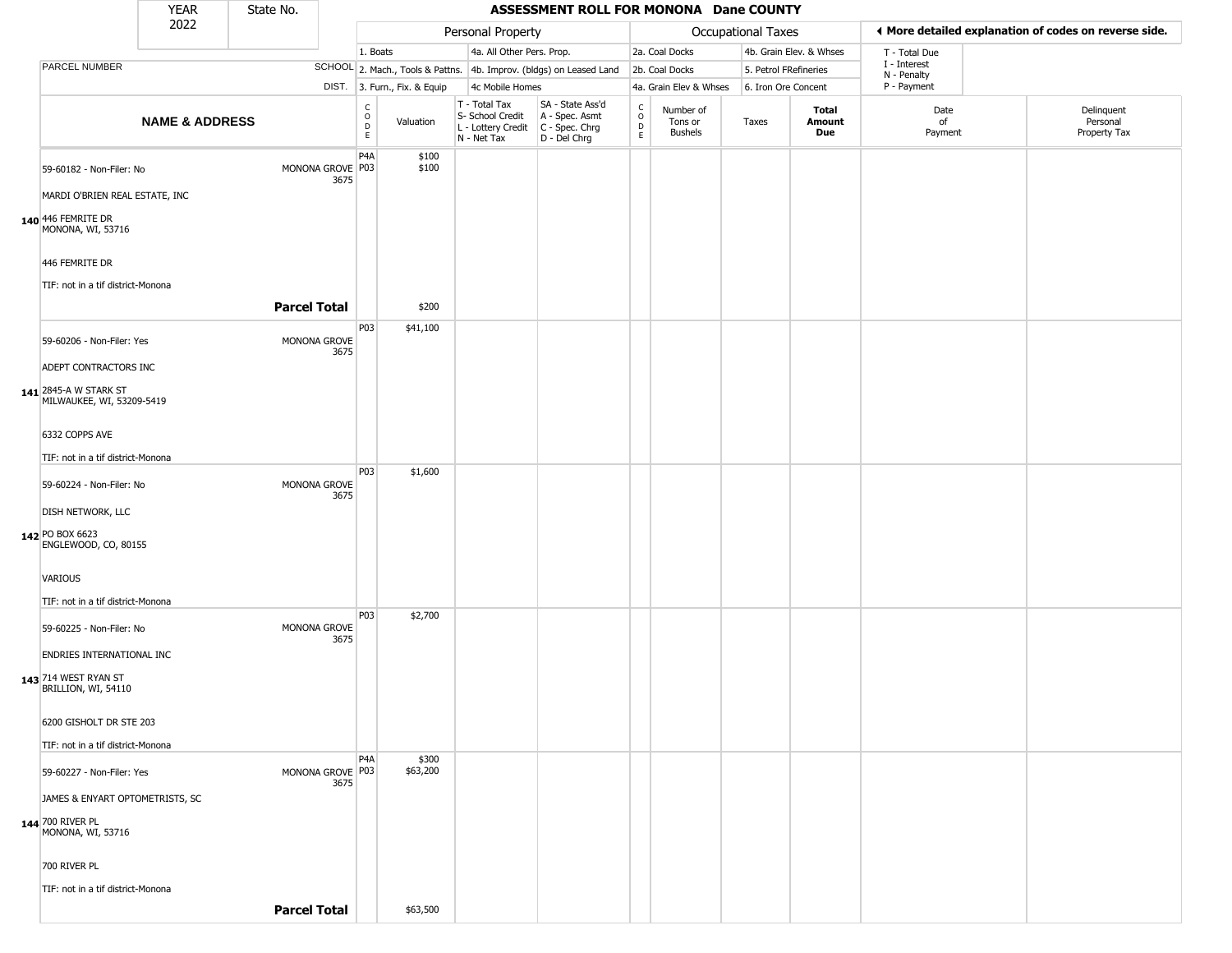|                                                                                                                         | <b>YEAR</b>               | State No.           |                          |                                                |                              |                                                                                         | ASSESSMENT ROLL FOR MONONA Dane COUNTY                              |                                    |                                        |                    |                         |                             |                                                       |
|-------------------------------------------------------------------------------------------------------------------------|---------------------------|---------------------|--------------------------|------------------------------------------------|------------------------------|-----------------------------------------------------------------------------------------|---------------------------------------------------------------------|------------------------------------|----------------------------------------|--------------------|-------------------------|-----------------------------|-------------------------------------------------------|
|                                                                                                                         | 2022                      |                     |                          |                                                |                              | Personal Property                                                                       |                                                                     |                                    |                                        | Occupational Taxes |                         |                             | ♦ More detailed explanation of codes on reverse side. |
|                                                                                                                         |                           |                     |                          | 1. Boats                                       |                              | 4a. All Other Pers. Prop.                                                               |                                                                     |                                    | 2a. Coal Docks                         |                    | 4b. Grain Elev. & Whses | T - Total Due               |                                                       |
| PARCEL NUMBER                                                                                                           |                           |                     |                          |                                                |                              |                                                                                         | SCHOOL 2. Mach., Tools & Pattns. 4b. Improv. (bldgs) on Leased Land |                                    | 2b. Coal Docks                         |                    | 5. Petrol FRefineries   | I - Interest<br>N - Penalty |                                                       |
|                                                                                                                         |                           |                     |                          |                                                | DIST. 3. Furn., Fix. & Equip | 4c Mobile Homes                                                                         |                                                                     |                                    | 4a. Grain Elev & Whses                 |                    | 6. Iron Ore Concent     | P - Payment                 |                                                       |
|                                                                                                                         | <b>NAME &amp; ADDRESS</b> |                     |                          | C<br>$\mathsf O$<br>$\mathsf D$<br>$\mathsf E$ | Valuation                    | T - Total Tax<br>S- School Credit<br>L - Lottery Credit   C - Spec. Chrg<br>N - Net Tax | SA - State Ass'd<br>A - Spec. Asmt<br>D - Del Chrg                  | $\frac{c}{0}$<br>$\mathsf{D}$<br>E | Number of<br>Tons or<br><b>Bushels</b> | Taxes              | Total<br>Amount<br>Due  | Date<br>of<br>Payment       | Delinquent<br>Personal<br>Property Tax                |
| 59-60182 - Non-Filer: No<br>MARDI O'BRIEN REAL ESTATE, INC<br>140 446 FEMRITE DR<br>MONONA, WI, 53716<br>446 FEMRITE DR |                           |                     | MONONA GROVE P03<br>3675 | P <sub>4</sub> A                               | \$100<br>\$100               |                                                                                         |                                                                     |                                    |                                        |                    |                         |                             |                                                       |
| TIF: not in a tif district-Monona                                                                                       |                           | <b>Parcel Total</b> |                          |                                                | \$200                        |                                                                                         |                                                                     |                                    |                                        |                    |                         |                             |                                                       |
|                                                                                                                         |                           |                     |                          | P03                                            | \$41,100                     |                                                                                         |                                                                     |                                    |                                        |                    |                         |                             |                                                       |
| 59-60206 - Non-Filer: Yes                                                                                               |                           |                     | MONONA GROVE<br>3675     |                                                |                              |                                                                                         |                                                                     |                                    |                                        |                    |                         |                             |                                                       |
| ADEPT CONTRACTORS INC<br>141 2845-A W STARK ST<br>MILWAUKEE, WI, 53209-5419                                             |                           |                     |                          |                                                |                              |                                                                                         |                                                                     |                                    |                                        |                    |                         |                             |                                                       |
| 6332 COPPS AVE                                                                                                          |                           |                     |                          |                                                |                              |                                                                                         |                                                                     |                                    |                                        |                    |                         |                             |                                                       |
| TIF: not in a tif district-Monona                                                                                       |                           |                     |                          |                                                |                              |                                                                                         |                                                                     |                                    |                                        |                    |                         |                             |                                                       |
| 59-60224 - Non-Filer: No                                                                                                |                           |                     | MONONA GROVE<br>3675     | P03                                            | \$1,600                      |                                                                                         |                                                                     |                                    |                                        |                    |                         |                             |                                                       |
| DISH NETWORK, LLC                                                                                                       |                           |                     |                          |                                                |                              |                                                                                         |                                                                     |                                    |                                        |                    |                         |                             |                                                       |
| 142 PO BOX 6623<br>ENGLEWOOD, CO, 80155                                                                                 |                           |                     |                          |                                                |                              |                                                                                         |                                                                     |                                    |                                        |                    |                         |                             |                                                       |
| VARIOUS                                                                                                                 |                           |                     |                          |                                                |                              |                                                                                         |                                                                     |                                    |                                        |                    |                         |                             |                                                       |
| TIF: not in a tif district-Monona                                                                                       |                           |                     |                          |                                                |                              |                                                                                         |                                                                     |                                    |                                        |                    |                         |                             |                                                       |
| 59-60225 - Non-Filer: No                                                                                                |                           |                     | MONONA GROVE<br>3675     | P03                                            | \$2,700                      |                                                                                         |                                                                     |                                    |                                        |                    |                         |                             |                                                       |
| ENDRIES INTERNATIONAL INC<br>143 714 WEST RYAN ST<br>BRILLION, WI, 54110                                                |                           |                     |                          |                                                |                              |                                                                                         |                                                                     |                                    |                                        |                    |                         |                             |                                                       |
| 6200 GISHOLT DR STE 203                                                                                                 |                           |                     |                          |                                                |                              |                                                                                         |                                                                     |                                    |                                        |                    |                         |                             |                                                       |
| TIF: not in a tif district-Monona                                                                                       |                           |                     |                          |                                                |                              |                                                                                         |                                                                     |                                    |                                        |                    |                         |                             |                                                       |
| 59-60227 - Non-Filer: Yes                                                                                               |                           |                     | MONONA GROVE P03<br>3675 | P4A                                            | \$300<br>\$63,200            |                                                                                         |                                                                     |                                    |                                        |                    |                         |                             |                                                       |
| JAMES & ENYART OPTOMETRISTS, SC                                                                                         |                           |                     |                          |                                                |                              |                                                                                         |                                                                     |                                    |                                        |                    |                         |                             |                                                       |
| 144 700 RIVER PL<br>MONONA, WI, 53716                                                                                   |                           |                     |                          |                                                |                              |                                                                                         |                                                                     |                                    |                                        |                    |                         |                             |                                                       |
| 700 RIVER PL                                                                                                            |                           |                     |                          |                                                |                              |                                                                                         |                                                                     |                                    |                                        |                    |                         |                             |                                                       |
| TIF: not in a tif district-Monona                                                                                       |                           |                     |                          |                                                |                              |                                                                                         |                                                                     |                                    |                                        |                    |                         |                             |                                                       |
|                                                                                                                         |                           | <b>Parcel Total</b> |                          |                                                | \$63,500                     |                                                                                         |                                                                     |                                    |                                        |                    |                         |                             |                                                       |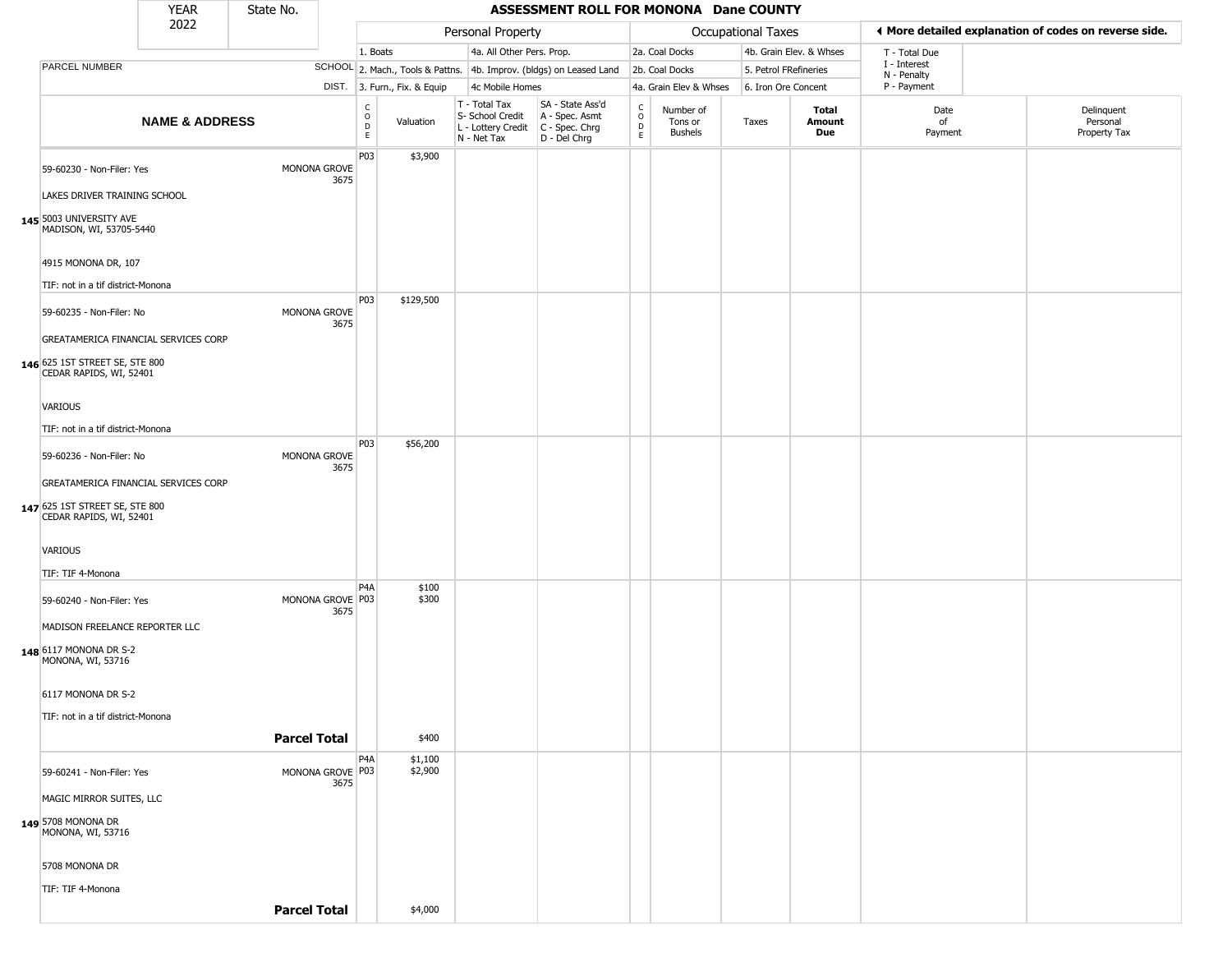|                                                                                                                | <b>YEAR</b>               | State No.           |                          |                                        |                              |                                                                        | ASSESSMENT ROLL FOR MONONA Dane COUNTY                                 |                                                          |                                        |                       |                         |                             |                                                       |
|----------------------------------------------------------------------------------------------------------------|---------------------------|---------------------|--------------------------|----------------------------------------|------------------------------|------------------------------------------------------------------------|------------------------------------------------------------------------|----------------------------------------------------------|----------------------------------------|-----------------------|-------------------------|-----------------------------|-------------------------------------------------------|
|                                                                                                                | 2022                      |                     |                          |                                        |                              | Personal Property                                                      |                                                                        |                                                          |                                        | Occupational Taxes    |                         |                             | 4 More detailed explanation of codes on reverse side. |
|                                                                                                                |                           |                     |                          | 1. Boats                               |                              | 4a. All Other Pers. Prop.                                              |                                                                        |                                                          | 2a. Coal Docks                         |                       | 4b. Grain Elev. & Whses | T - Total Due               |                                                       |
| PARCEL NUMBER                                                                                                  |                           |                     |                          |                                        |                              |                                                                        | SCHOOL 2. Mach., Tools & Pattns. 4b. Improv. (bldgs) on Leased Land    |                                                          | 2b. Coal Docks                         | 5. Petrol FRefineries |                         | I - Interest<br>N - Penalty |                                                       |
|                                                                                                                |                           |                     |                          |                                        | DIST. 3. Furn., Fix. & Equip | 4c Mobile Homes                                                        |                                                                        |                                                          | 4a. Grain Elev & Whses                 | 6. Iron Ore Concent   |                         | P - Payment                 |                                                       |
|                                                                                                                | <b>NAME &amp; ADDRESS</b> |                     |                          | $_{\rm o}^{\rm c}$<br>$\mathsf D$<br>E | Valuation                    | T - Total Tax<br>S- School Credit<br>L - Lottery Credit<br>N - Net Tax | SA - State Ass'd<br>A - Spec. Asmt<br>$C - Spec. Chrg$<br>D - Del Chrg | $\begin{smallmatrix} C \\ 0 \\ D \end{smallmatrix}$<br>E | Number of<br>Tons or<br><b>Bushels</b> | Taxes                 | Total<br>Amount<br>Due  | Date<br>of<br>Payment       | Delinquent<br>Personal<br>Property Tax                |
| 59-60230 - Non-Filer: Yes<br>LAKES DRIVER TRAINING SCHOOL                                                      |                           |                     | MONONA GROVE<br>3675     | P03                                    | \$3,900                      |                                                                        |                                                                        |                                                          |                                        |                       |                         |                             |                                                       |
| 145 5003 UNIVERSITY AVE<br>MADISON, WI, 53705-5440<br>4915 MONONA DR, 107<br>TIF: not in a tif district-Monona |                           |                     |                          |                                        |                              |                                                                        |                                                                        |                                                          |                                        |                       |                         |                             |                                                       |
|                                                                                                                |                           |                     |                          | P03                                    | \$129,500                    |                                                                        |                                                                        |                                                          |                                        |                       |                         |                             |                                                       |
| 59-60235 - Non-Filer: No                                                                                       |                           |                     | MONONA GROVE<br>3675     |                                        |                              |                                                                        |                                                                        |                                                          |                                        |                       |                         |                             |                                                       |
| GREATAMERICA FINANCIAL SERVICES CORP                                                                           |                           |                     |                          |                                        |                              |                                                                        |                                                                        |                                                          |                                        |                       |                         |                             |                                                       |
| 146 625 1ST STREET SE, STE 800<br>CEDAR RAPIDS, WI, 52401                                                      |                           |                     |                          |                                        |                              |                                                                        |                                                                        |                                                          |                                        |                       |                         |                             |                                                       |
| <b>VARIOUS</b>                                                                                                 |                           |                     |                          |                                        |                              |                                                                        |                                                                        |                                                          |                                        |                       |                         |                             |                                                       |
| TIF: not in a tif district-Monona                                                                              |                           |                     |                          |                                        |                              |                                                                        |                                                                        |                                                          |                                        |                       |                         |                             |                                                       |
|                                                                                                                |                           |                     |                          | P03                                    | \$56,200                     |                                                                        |                                                                        |                                                          |                                        |                       |                         |                             |                                                       |
| 59-60236 - Non-Filer: No                                                                                       |                           |                     | MONONA GROVE<br>3675     |                                        |                              |                                                                        |                                                                        |                                                          |                                        |                       |                         |                             |                                                       |
| GREATAMERICA FINANCIAL SERVICES CORP                                                                           |                           |                     |                          |                                        |                              |                                                                        |                                                                        |                                                          |                                        |                       |                         |                             |                                                       |
| 147 625 1ST STREET SE, STE 800<br>CEDAR RAPIDS, WI, 52401                                                      |                           |                     |                          |                                        |                              |                                                                        |                                                                        |                                                          |                                        |                       |                         |                             |                                                       |
| <b>VARIOUS</b>                                                                                                 |                           |                     |                          |                                        |                              |                                                                        |                                                                        |                                                          |                                        |                       |                         |                             |                                                       |
| TIF: TIF 4-Monona                                                                                              |                           |                     |                          |                                        |                              |                                                                        |                                                                        |                                                          |                                        |                       |                         |                             |                                                       |
| 59-60240 - Non-Filer: Yes                                                                                      |                           |                     | MONONA GROVE P03<br>3675 | P4A                                    | \$100<br>\$300               |                                                                        |                                                                        |                                                          |                                        |                       |                         |                             |                                                       |
| MADISON FREELANCE REPORTER LLC                                                                                 |                           |                     |                          |                                        |                              |                                                                        |                                                                        |                                                          |                                        |                       |                         |                             |                                                       |
| 148 6117 MONONA DR S-2<br>MONONA, WI, 53716                                                                    |                           |                     |                          |                                        |                              |                                                                        |                                                                        |                                                          |                                        |                       |                         |                             |                                                       |
| 6117 MONONA DR S-2                                                                                             |                           |                     |                          |                                        |                              |                                                                        |                                                                        |                                                          |                                        |                       |                         |                             |                                                       |
| TIF: not in a tif district-Monona                                                                              |                           |                     |                          |                                        |                              |                                                                        |                                                                        |                                                          |                                        |                       |                         |                             |                                                       |
|                                                                                                                |                           | <b>Parcel Total</b> |                          |                                        | \$400                        |                                                                        |                                                                        |                                                          |                                        |                       |                         |                             |                                                       |
| 59-60241 - Non-Filer: Yes                                                                                      |                           |                     | MONONA GROVE P03<br>3675 | P4A                                    | \$1,100<br>\$2,900           |                                                                        |                                                                        |                                                          |                                        |                       |                         |                             |                                                       |
| MAGIC MIRROR SUITES, LLC                                                                                       |                           |                     |                          |                                        |                              |                                                                        |                                                                        |                                                          |                                        |                       |                         |                             |                                                       |
| 149 5708 MONONA DR<br>MONONA, WI, 53716                                                                        |                           |                     |                          |                                        |                              |                                                                        |                                                                        |                                                          |                                        |                       |                         |                             |                                                       |
| 5708 MONONA DR                                                                                                 |                           |                     |                          |                                        |                              |                                                                        |                                                                        |                                                          |                                        |                       |                         |                             |                                                       |
| TIF: TIF 4-Monona                                                                                              |                           |                     |                          |                                        |                              |                                                                        |                                                                        |                                                          |                                        |                       |                         |                             |                                                       |
|                                                                                                                |                           | <b>Parcel Total</b> |                          |                                        | \$4,000                      |                                                                        |                                                                        |                                                          |                                        |                       |                         |                             |                                                       |
|                                                                                                                |                           |                     |                          |                                        |                              |                                                                        |                                                                        |                                                          |                                        |                       |                         |                             |                                                       |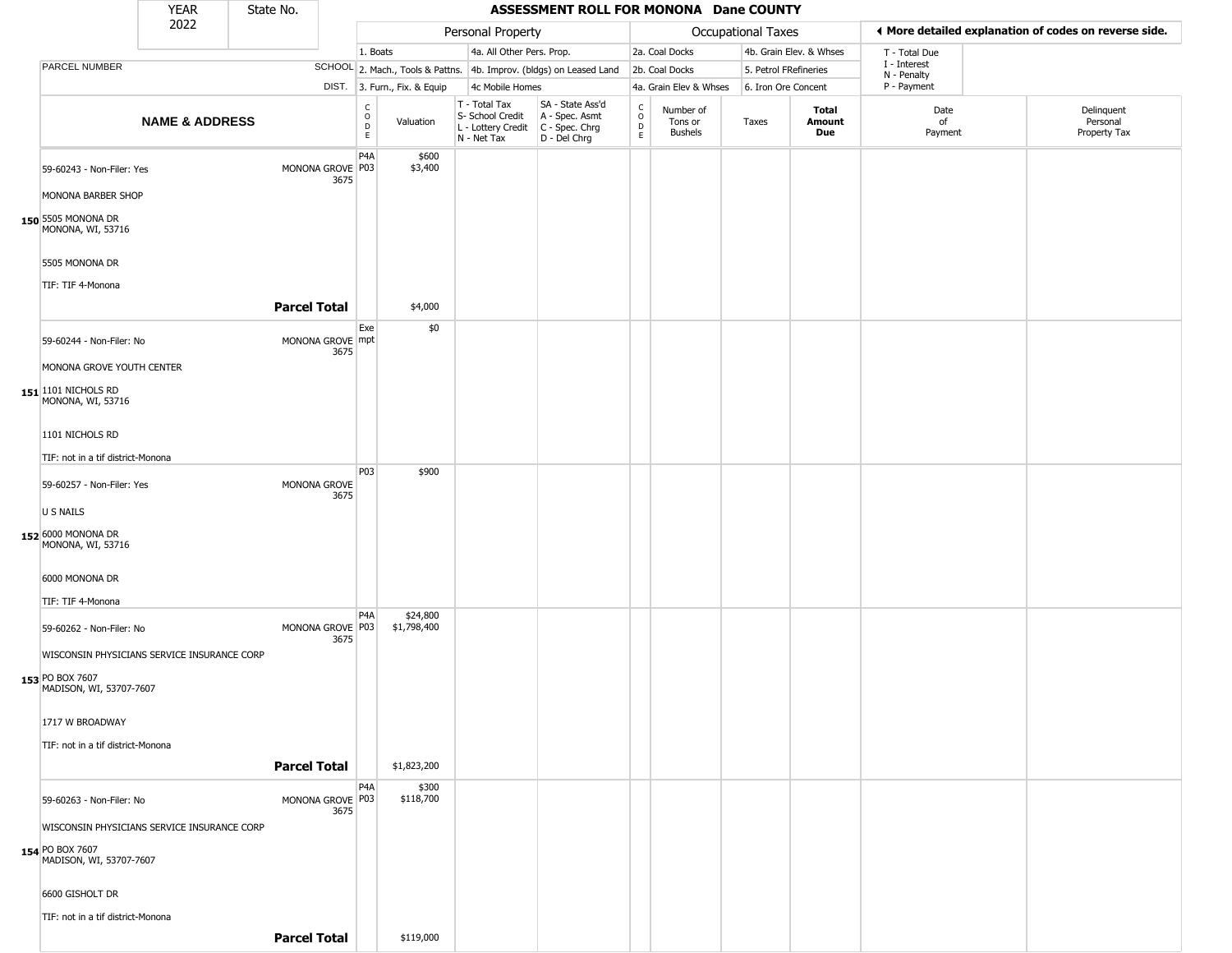|                                                                                           | <b>YEAR</b>               | State No.           |                          |                                          |                              |                                                                                         | ASSESSMENT ROLL FOR MONONA Dane COUNTY                              |                                                 |                                        |                           |                         |                             |                                                       |
|-------------------------------------------------------------------------------------------|---------------------------|---------------------|--------------------------|------------------------------------------|------------------------------|-----------------------------------------------------------------------------------------|---------------------------------------------------------------------|-------------------------------------------------|----------------------------------------|---------------------------|-------------------------|-----------------------------|-------------------------------------------------------|
|                                                                                           | 2022                      |                     |                          |                                          |                              | Personal Property                                                                       |                                                                     |                                                 |                                        | <b>Occupational Taxes</b> |                         |                             | ◀ More detailed explanation of codes on reverse side. |
|                                                                                           |                           |                     |                          | 1. Boats                                 |                              | 4a. All Other Pers. Prop.                                                               |                                                                     |                                                 | 2a. Coal Docks                         |                           | 4b. Grain Elev. & Whses | T - Total Due               |                                                       |
| PARCEL NUMBER                                                                             |                           |                     |                          |                                          |                              |                                                                                         | SCHOOL 2. Mach., Tools & Pattns. 4b. Improv. (bldgs) on Leased Land |                                                 | 2b. Coal Docks                         | 5. Petrol FRefineries     |                         | I - Interest<br>N - Penalty |                                                       |
|                                                                                           |                           |                     |                          |                                          | DIST. 3. Furn., Fix. & Equip | 4c Mobile Homes                                                                         |                                                                     |                                                 | 4a. Grain Elev & Whses                 | 6. Iron Ore Concent       |                         | P - Payment                 |                                                       |
|                                                                                           | <b>NAME &amp; ADDRESS</b> |                     |                          | $\mathsf{C}$<br>$\circ$<br>$\frac{D}{E}$ | Valuation                    | T - Total Tax<br>S- School Credit<br>L - Lottery Credit   C - Spec. Chrg<br>N - Net Tax | SA - State Ass'd<br>A - Spec. Asmt<br>D - Del Chrg                  | $\begin{array}{c} C \\ O \\ D \\ E \end{array}$ | Number of<br>Tons or<br><b>Bushels</b> | Taxes                     | Total<br>Amount<br>Due  | Date<br>of<br>Payment       | Delinquent<br>Personal<br>Property Tax                |
| 59-60243 - Non-Filer: Yes<br>MONONA BARBER SHOP                                           |                           |                     | MONONA GROVE P03<br>3675 | P4A                                      | \$600<br>\$3,400             |                                                                                         |                                                                     |                                                 |                                        |                           |                         |                             |                                                       |
| 150 5505 MONONA DR<br>MONONA, WI, 53716                                                   |                           |                     |                          |                                          |                              |                                                                                         |                                                                     |                                                 |                                        |                           |                         |                             |                                                       |
| 5505 MONONA DR<br>TIF: TIF 4-Monona                                                       |                           |                     |                          |                                          |                              |                                                                                         |                                                                     |                                                 |                                        |                           |                         |                             |                                                       |
|                                                                                           |                           | <b>Parcel Total</b> |                          |                                          | \$4,000                      |                                                                                         |                                                                     |                                                 |                                        |                           |                         |                             |                                                       |
| 59-60244 - Non-Filer: No                                                                  |                           |                     | MONONA GROVE mpt<br>3675 | Exe                                      | \$0                          |                                                                                         |                                                                     |                                                 |                                        |                           |                         |                             |                                                       |
| MONONA GROVE YOUTH CENTER                                                                 |                           |                     |                          |                                          |                              |                                                                                         |                                                                     |                                                 |                                        |                           |                         |                             |                                                       |
| 151 101 NICHOLS RD<br>MONONA, WI, 53716                                                   |                           |                     |                          |                                          |                              |                                                                                         |                                                                     |                                                 |                                        |                           |                         |                             |                                                       |
| 1101 NICHOLS RD                                                                           |                           |                     |                          |                                          |                              |                                                                                         |                                                                     |                                                 |                                        |                           |                         |                             |                                                       |
| TIF: not in a tif district-Monona                                                         |                           |                     |                          |                                          |                              |                                                                                         |                                                                     |                                                 |                                        |                           |                         |                             |                                                       |
| 59-60257 - Non-Filer: Yes                                                                 |                           |                     | MONONA GROVE             | P03                                      | \$900                        |                                                                                         |                                                                     |                                                 |                                        |                           |                         |                             |                                                       |
| U S NAILS                                                                                 |                           |                     | 3675                     |                                          |                              |                                                                                         |                                                                     |                                                 |                                        |                           |                         |                             |                                                       |
| 152 6000 MONONA DR<br>MONONA, WI, 53716                                                   |                           |                     |                          |                                          |                              |                                                                                         |                                                                     |                                                 |                                        |                           |                         |                             |                                                       |
| 6000 MONONA DR                                                                            |                           |                     |                          |                                          |                              |                                                                                         |                                                                     |                                                 |                                        |                           |                         |                             |                                                       |
| TIF: TIF 4-Monona                                                                         |                           |                     |                          |                                          |                              |                                                                                         |                                                                     |                                                 |                                        |                           |                         |                             |                                                       |
| 59-60262 - Non-Filer: No                                                                  |                           |                     | MONONA GROVE P03<br>3675 | P <sub>4</sub> A                         | \$24,800<br>\$1,798,400      |                                                                                         |                                                                     |                                                 |                                        |                           |                         |                             |                                                       |
| WISCONSIN PHYSICIANS SERVICE INSURANCE CORP<br>153 PO BOX 7607<br>MADISON, WI, 53707-7607 |                           |                     |                          |                                          |                              |                                                                                         |                                                                     |                                                 |                                        |                           |                         |                             |                                                       |
| 1717 W BROADWAY                                                                           |                           |                     |                          |                                          |                              |                                                                                         |                                                                     |                                                 |                                        |                           |                         |                             |                                                       |
| TIF: not in a tif district-Monona                                                         |                           | <b>Parcel Total</b> |                          |                                          | \$1,823,200                  |                                                                                         |                                                                     |                                                 |                                        |                           |                         |                             |                                                       |
| 59-60263 - Non-Filer: No                                                                  |                           |                     | MONONA GROVE P03         | P <sub>4</sub> A                         | \$300<br>\$118,700           |                                                                                         |                                                                     |                                                 |                                        |                           |                         |                             |                                                       |
| WISCONSIN PHYSICIANS SERVICE INSURANCE CORP                                               |                           |                     | 3675                     |                                          |                              |                                                                                         |                                                                     |                                                 |                                        |                           |                         |                             |                                                       |
|                                                                                           |                           |                     |                          |                                          |                              |                                                                                         |                                                                     |                                                 |                                        |                           |                         |                             |                                                       |
| 154 PO BOX 7607<br>MADISON, WI, 53707-7607                                                |                           |                     |                          |                                          |                              |                                                                                         |                                                                     |                                                 |                                        |                           |                         |                             |                                                       |
| 6600 GISHOLT DR                                                                           |                           |                     |                          |                                          |                              |                                                                                         |                                                                     |                                                 |                                        |                           |                         |                             |                                                       |
| TIF: not in a tif district-Monona                                                         |                           |                     |                          |                                          |                              |                                                                                         |                                                                     |                                                 |                                        |                           |                         |                             |                                                       |
|                                                                                           |                           | <b>Parcel Total</b> |                          |                                          | \$119,000                    |                                                                                         |                                                                     |                                                 |                                        |                           |                         |                             |                                                       |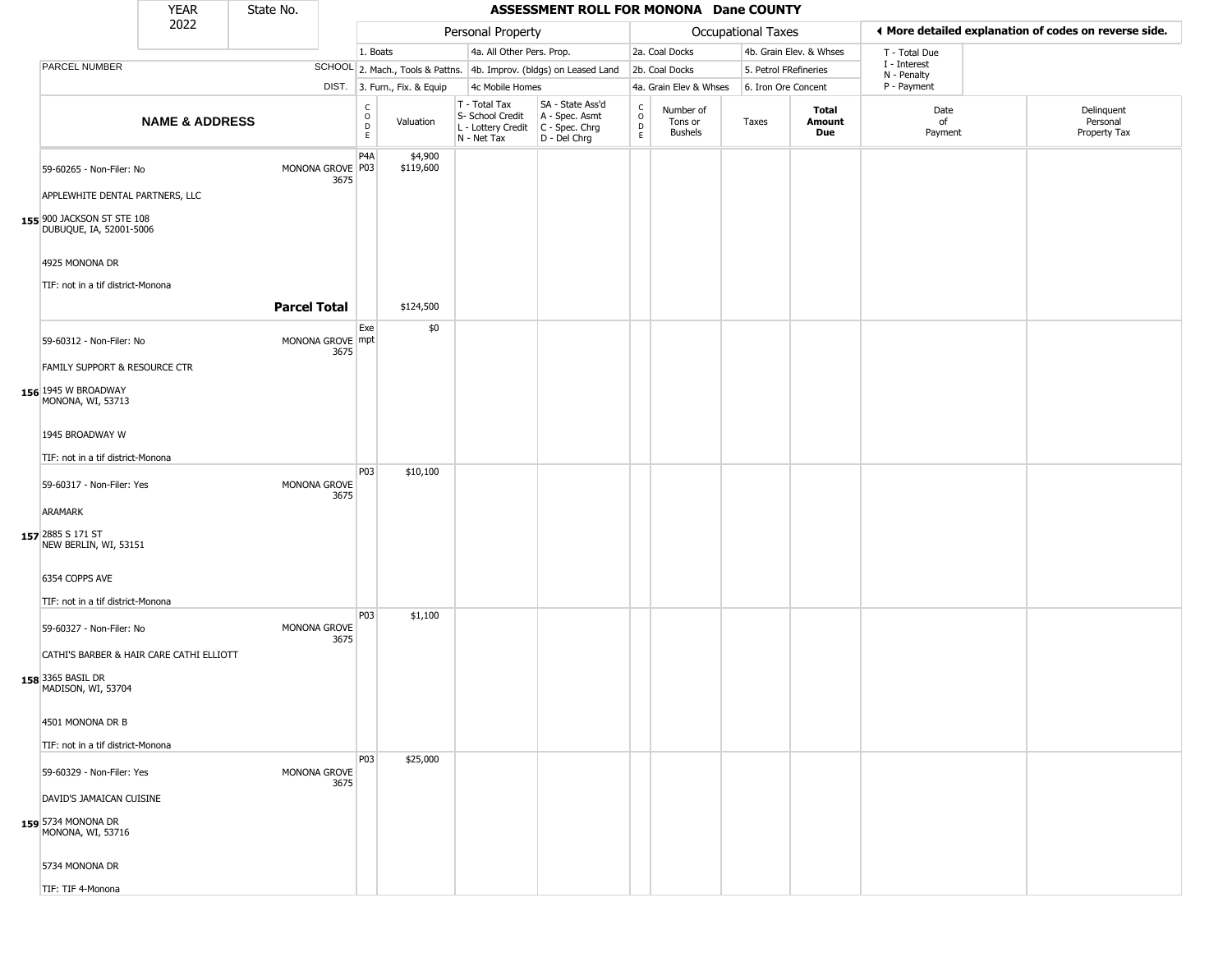|                                                                                     | <b>YEAR</b>               | State No.           |                          |                                                |                              |                                                                        | ASSESSMENT ROLL FOR MONONA Dane COUNTY                               |                                                 |                                 |                       |                         |                             |                                                       |
|-------------------------------------------------------------------------------------|---------------------------|---------------------|--------------------------|------------------------------------------------|------------------------------|------------------------------------------------------------------------|----------------------------------------------------------------------|-------------------------------------------------|---------------------------------|-----------------------|-------------------------|-----------------------------|-------------------------------------------------------|
|                                                                                     | 2022                      |                     |                          |                                                |                              | Personal Property                                                      |                                                                      |                                                 |                                 | Occupational Taxes    |                         |                             | ♦ More detailed explanation of codes on reverse side. |
|                                                                                     |                           |                     |                          | 1. Boats                                       |                              | 4a. All Other Pers. Prop.                                              |                                                                      |                                                 | 2a. Coal Docks                  |                       | 4b. Grain Elev. & Whses | T - Total Due               |                                                       |
| PARCEL NUMBER                                                                       |                           |                     |                          |                                                |                              |                                                                        | SCHOOL 2. Mach., Tools & Pattns. 4b. Improv. (bldgs) on Leased Land  |                                                 | 2b. Coal Docks                  | 5. Petrol FRefineries |                         | I - Interest<br>N - Penalty |                                                       |
|                                                                                     |                           |                     |                          |                                                | DIST. 3. Furn., Fix. & Equip | 4c Mobile Homes                                                        |                                                                      |                                                 | 4a. Grain Elev & Whses          | 6. Iron Ore Concent   |                         | P - Payment                 |                                                       |
|                                                                                     | <b>NAME &amp; ADDRESS</b> |                     |                          | $\begin{matrix} 0 \\ 0 \\ 0 \end{matrix}$<br>E | Valuation                    | T - Total Tax<br>S- School Credit<br>L - Lottery Credit<br>N - Net Tax | SA - State Ass'd<br>A - Spec. Asmt<br>C - Spec. Chrg<br>D - Del Chrg | $\begin{array}{c} C \\ O \\ D \\ E \end{array}$ | Number of<br>Tons or<br>Bushels | Taxes                 | Total<br>Amount<br>Due  | Date<br>of<br>Payment       | Delinquent<br>Personal<br>Property Tax                |
| 59-60265 - Non-Filer: No<br>APPLEWHITE DENTAL PARTNERS, LLC                         |                           |                     | MONONA GROVE P03<br>3675 | P <sub>4</sub> A                               | \$4,900<br>\$119,600         |                                                                        |                                                                      |                                                 |                                 |                       |                         |                             |                                                       |
| 155 900 JACKSON ST STE 108<br>DUBUQUE, IA, 52001-5006<br>4925 MONONA DR             |                           |                     |                          |                                                |                              |                                                                        |                                                                      |                                                 |                                 |                       |                         |                             |                                                       |
|                                                                                     |                           |                     |                          |                                                |                              |                                                                        |                                                                      |                                                 |                                 |                       |                         |                             |                                                       |
| TIF: not in a tif district-Monona                                                   |                           | <b>Parcel Total</b> |                          |                                                | \$124,500                    |                                                                        |                                                                      |                                                 |                                 |                       |                         |                             |                                                       |
| 59-60312 - Non-Filer: No                                                            |                           |                     | MONONA GROVE mpt<br>3675 | Exe                                            | \$0                          |                                                                        |                                                                      |                                                 |                                 |                       |                         |                             |                                                       |
| FAMILY SUPPORT & RESOURCE CTR<br>156 1945 W BROADWAY<br>MONONA, WI, 53713           |                           |                     |                          |                                                |                              |                                                                        |                                                                      |                                                 |                                 |                       |                         |                             |                                                       |
| 1945 BROADWAY W                                                                     |                           |                     |                          |                                                |                              |                                                                        |                                                                      |                                                 |                                 |                       |                         |                             |                                                       |
| TIF: not in a tif district-Monona                                                   |                           |                     |                          |                                                |                              |                                                                        |                                                                      |                                                 |                                 |                       |                         |                             |                                                       |
| 59-60317 - Non-Filer: Yes                                                           |                           |                     | MONONA GROVE<br>3675     | <b>P03</b>                                     | \$10,100                     |                                                                        |                                                                      |                                                 |                                 |                       |                         |                             |                                                       |
| <b>ARAMARK</b>                                                                      |                           |                     |                          |                                                |                              |                                                                        |                                                                      |                                                 |                                 |                       |                         |                             |                                                       |
| 157 2885 S 171 ST<br>NEW BERLIN, WI, 53151                                          |                           |                     |                          |                                                |                              |                                                                        |                                                                      |                                                 |                                 |                       |                         |                             |                                                       |
| 6354 COPPS AVE<br>TIF: not in a tif district-Monona                                 |                           |                     |                          |                                                |                              |                                                                        |                                                                      |                                                 |                                 |                       |                         |                             |                                                       |
| 59-60327 - Non-Filer: No                                                            |                           |                     | MONONA GROVE<br>3675     | P03                                            | \$1,100                      |                                                                        |                                                                      |                                                 |                                 |                       |                         |                             |                                                       |
| CATHI'S BARBER & HAIR CARE CATHI ELLIOTT<br>158 3365 BASIL DR<br>MADISON, WI, 53704 |                           |                     |                          |                                                |                              |                                                                        |                                                                      |                                                 |                                 |                       |                         |                             |                                                       |
| 4501 MONONA DR B<br>TIF: not in a tif district-Monona                               |                           |                     |                          |                                                |                              |                                                                        |                                                                      |                                                 |                                 |                       |                         |                             |                                                       |
| 59-60329 - Non-Filer: Yes                                                           |                           |                     | MONONA GROVE<br>3675     | P03                                            | \$25,000                     |                                                                        |                                                                      |                                                 |                                 |                       |                         |                             |                                                       |
| DAVID'S JAMAICAN CUISINE<br>159 5734 MONONA DR<br>MONONA, WI, 53716                 |                           |                     |                          |                                                |                              |                                                                        |                                                                      |                                                 |                                 |                       |                         |                             |                                                       |
| 5734 MONONA DR                                                                      |                           |                     |                          |                                                |                              |                                                                        |                                                                      |                                                 |                                 |                       |                         |                             |                                                       |
| TIF: TIF 4-Monona                                                                   |                           |                     |                          |                                                |                              |                                                                        |                                                                      |                                                 |                                 |                       |                         |                             |                                                       |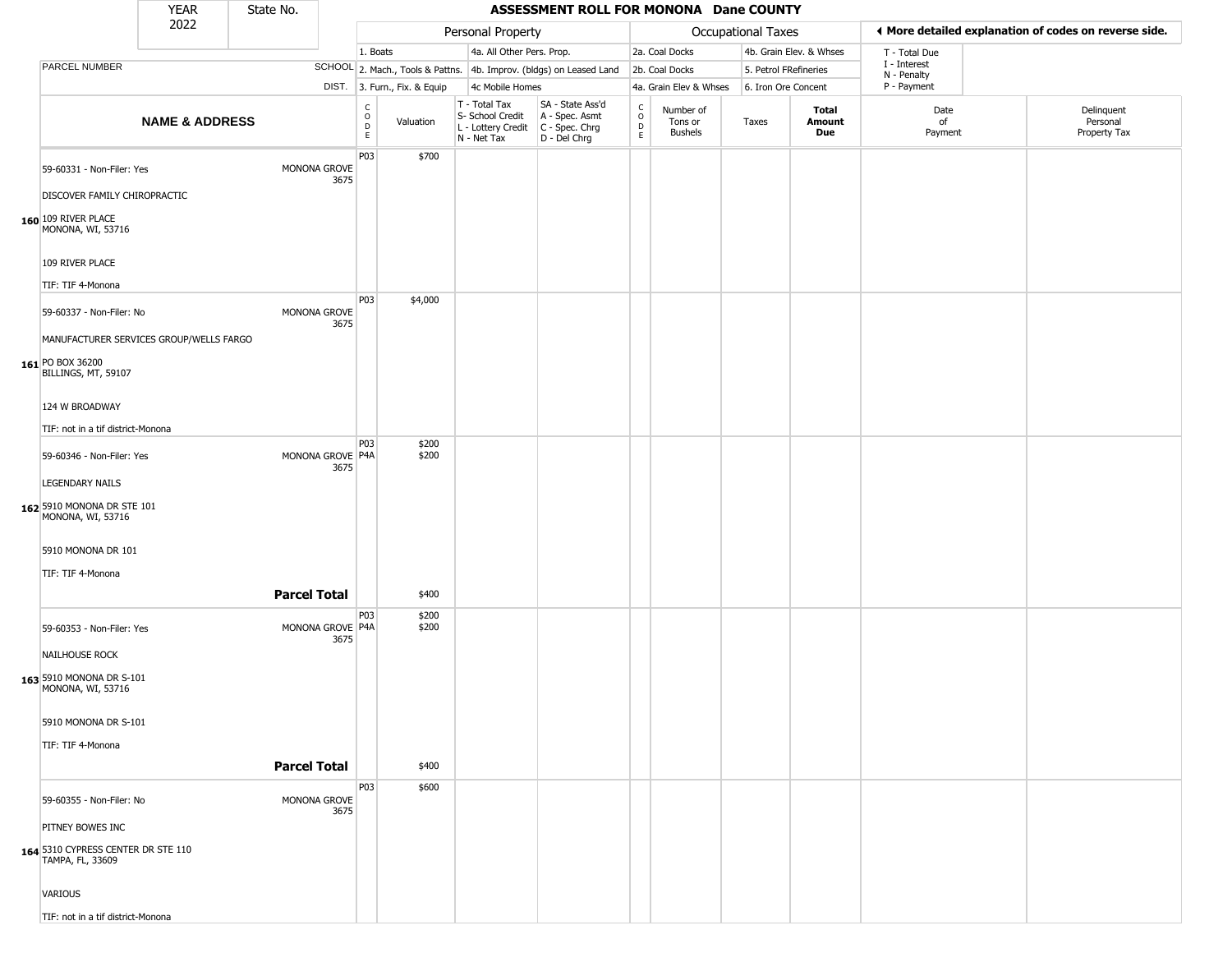|                                                                                  | YEAR                      | State No.           |                          |                                                          |                              |                                                                        | ASSESSMENT ROLL FOR MONONA Dane COUNTY                               |                        |                                 |                    |                         |                             |                                                       |
|----------------------------------------------------------------------------------|---------------------------|---------------------|--------------------------|----------------------------------------------------------|------------------------------|------------------------------------------------------------------------|----------------------------------------------------------------------|------------------------|---------------------------------|--------------------|-------------------------|-----------------------------|-------------------------------------------------------|
|                                                                                  | 2022                      |                     |                          |                                                          |                              | Personal Property                                                      |                                                                      |                        |                                 | Occupational Taxes |                         |                             | ◀ More detailed explanation of codes on reverse side. |
|                                                                                  |                           |                     |                          | 1. Boats                                                 |                              | 4a. All Other Pers. Prop.                                              |                                                                      |                        | 2a. Coal Docks                  |                    | 4b. Grain Elev. & Whses | T - Total Due               |                                                       |
| PARCEL NUMBER                                                                    |                           |                     |                          |                                                          |                              |                                                                        | SCHOOL 2. Mach., Tools & Pattns. 4b. Improv. (bldgs) on Leased Land  |                        | 2b. Coal Docks                  |                    | 5. Petrol FRefineries   | I - Interest<br>N - Penalty |                                                       |
|                                                                                  |                           |                     |                          |                                                          | DIST. 3. Furn., Fix. & Equip | 4c Mobile Homes                                                        |                                                                      |                        | 4a. Grain Elev & Whses          |                    | 6. Iron Ore Concent     | P - Payment                 |                                                       |
|                                                                                  | <b>NAME &amp; ADDRESS</b> |                     |                          | $\begin{matrix} 0 \\ 0 \\ D \end{matrix}$<br>$\mathsf E$ | Valuation                    | T - Total Tax<br>S- School Credit<br>L - Lottery Credit<br>N - Net Tax | SA - State Ass'd<br>A - Spec. Asmt<br>C - Spec. Chrg<br>D - Del Chrg | C<br>$\circ$<br>D<br>E | Number of<br>Tons or<br>Bushels | Taxes              | Total<br>Amount<br>Due  | Date<br>of<br>Payment       | Delinquent<br>Personal<br>Property Tax                |
| 59-60331 - Non-Filer: Yes<br>DISCOVER FAMILY CHIROPRACTIC<br>160 109 RIVER PLACE |                           |                     | MONONA GROVE<br>3675     | P03                                                      | \$700                        |                                                                        |                                                                      |                        |                                 |                    |                         |                             |                                                       |
| MONONA, WI, 53716<br>109 RIVER PLACE<br>TIF: TIF 4-Monona                        |                           |                     |                          |                                                          |                              |                                                                        |                                                                      |                        |                                 |                    |                         |                             |                                                       |
| 59-60337 - Non-Filer: No<br>MANUFACTURER SERVICES GROUP/WELLS FARGO              |                           |                     | MONONA GROVE<br>3675     | P03                                                      | \$4,000                      |                                                                        |                                                                      |                        |                                 |                    |                         |                             |                                                       |
| 161 PO BOX 36200<br>BILLINGS, MT, 59107<br>124 W BROADWAY                        |                           |                     |                          |                                                          |                              |                                                                        |                                                                      |                        |                                 |                    |                         |                             |                                                       |
| TIF: not in a tif district-Monona                                                |                           |                     |                          |                                                          |                              |                                                                        |                                                                      |                        |                                 |                    |                         |                             |                                                       |
| 59-60346 - Non-Filer: Yes                                                        |                           |                     | MONONA GROVE P4A<br>3675 | P03                                                      | \$200<br>\$200               |                                                                        |                                                                      |                        |                                 |                    |                         |                             |                                                       |
| <b>LEGENDARY NAILS</b>                                                           |                           |                     |                          |                                                          |                              |                                                                        |                                                                      |                        |                                 |                    |                         |                             |                                                       |
| 162 5910 MONONA DR STE 101<br>MONONA, WI, 53716                                  |                           |                     |                          |                                                          |                              |                                                                        |                                                                      |                        |                                 |                    |                         |                             |                                                       |
| 5910 MONONA DR 101                                                               |                           |                     |                          |                                                          |                              |                                                                        |                                                                      |                        |                                 |                    |                         |                             |                                                       |
| TIF: TIF 4-Monona                                                                |                           |                     |                          |                                                          |                              |                                                                        |                                                                      |                        |                                 |                    |                         |                             |                                                       |
|                                                                                  |                           | <b>Parcel Total</b> |                          |                                                          | \$400                        |                                                                        |                                                                      |                        |                                 |                    |                         |                             |                                                       |
| 59-60353 - Non-Filer: Yes                                                        |                           |                     | MONONA GROVE P4A<br>3675 | P03                                                      | \$200<br>\$200               |                                                                        |                                                                      |                        |                                 |                    |                         |                             |                                                       |
| NAILHOUSE ROCK                                                                   |                           |                     |                          |                                                          |                              |                                                                        |                                                                      |                        |                                 |                    |                         |                             |                                                       |
| 163 5910 MONONA DR S-101<br>MONONA, WI, 53716                                    |                           |                     |                          |                                                          |                              |                                                                        |                                                                      |                        |                                 |                    |                         |                             |                                                       |
| 5910 MONONA DR S-101                                                             |                           |                     |                          |                                                          |                              |                                                                        |                                                                      |                        |                                 |                    |                         |                             |                                                       |
| TIF: TIF 4-Monona                                                                |                           |                     |                          |                                                          |                              |                                                                        |                                                                      |                        |                                 |                    |                         |                             |                                                       |
|                                                                                  |                           | <b>Parcel Total</b> |                          |                                                          | \$400                        |                                                                        |                                                                      |                        |                                 |                    |                         |                             |                                                       |
| 59-60355 - Non-Filer: No                                                         |                           |                     | MONONA GROVE<br>3675     | P03                                                      | \$600                        |                                                                        |                                                                      |                        |                                 |                    |                         |                             |                                                       |
| PITNEY BOWES INC                                                                 |                           |                     |                          |                                                          |                              |                                                                        |                                                                      |                        |                                 |                    |                         |                             |                                                       |
| 164 5310 CYPRESS CENTER DR STE 110<br>TAMPA, FL, 33609                           |                           |                     |                          |                                                          |                              |                                                                        |                                                                      |                        |                                 |                    |                         |                             |                                                       |
| VARIOUS                                                                          |                           |                     |                          |                                                          |                              |                                                                        |                                                                      |                        |                                 |                    |                         |                             |                                                       |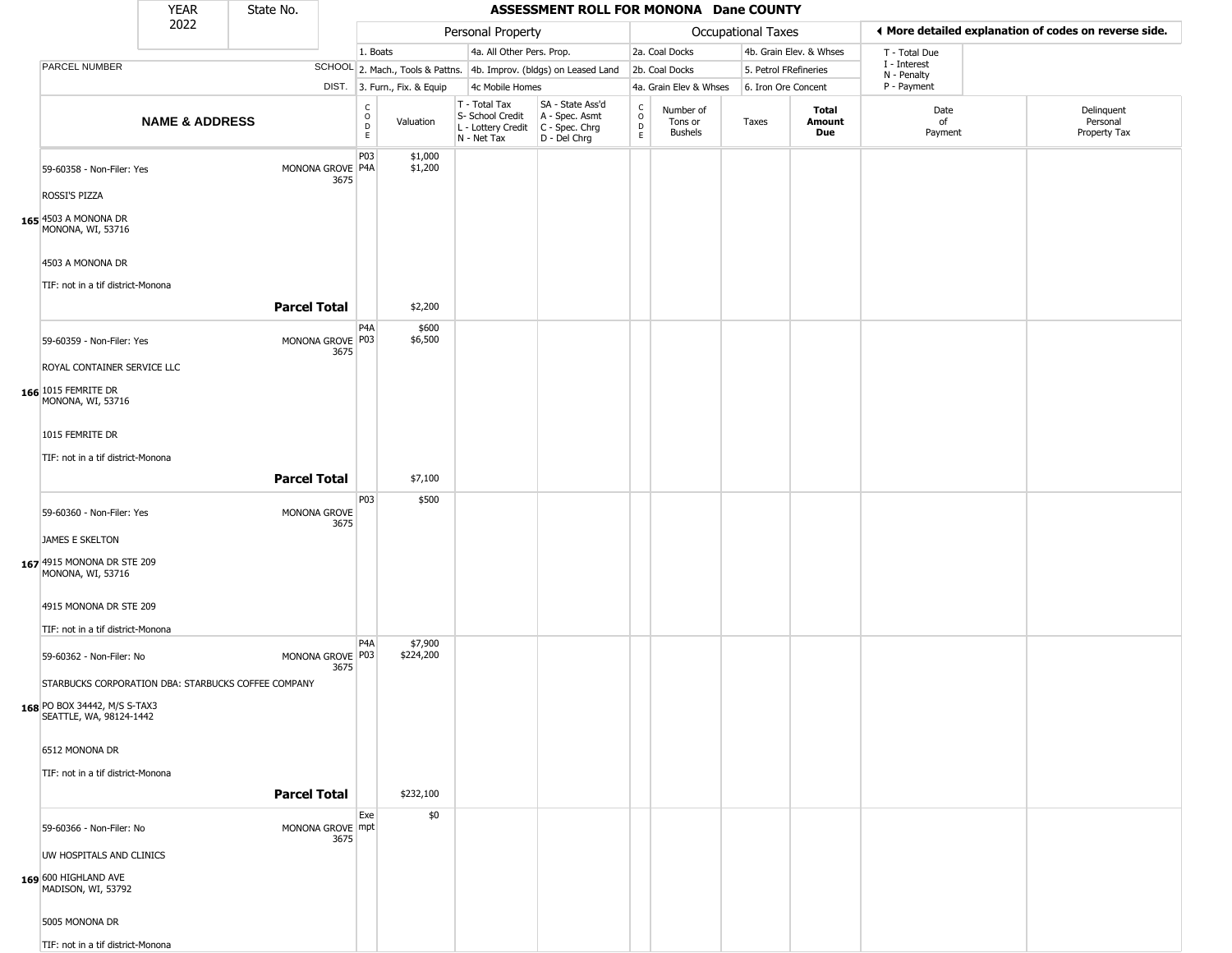|                                                                                 | <b>YEAR</b>               | State No.           |      |                              |                              |                                                                                         | ASSESSMENT ROLL FOR MONONA Dane COUNTY                              |                                                 |                                        |                       |                         |                             |                                                       |
|---------------------------------------------------------------------------------|---------------------------|---------------------|------|------------------------------|------------------------------|-----------------------------------------------------------------------------------------|---------------------------------------------------------------------|-------------------------------------------------|----------------------------------------|-----------------------|-------------------------|-----------------------------|-------------------------------------------------------|
|                                                                                 | 2022                      |                     |      |                              |                              | Personal Property                                                                       |                                                                     |                                                 |                                        | Occupational Taxes    |                         |                             | ◀ More detailed explanation of codes on reverse side. |
|                                                                                 |                           |                     |      | 1. Boats                     |                              | 4a. All Other Pers. Prop.                                                               |                                                                     |                                                 | 2a. Coal Docks                         |                       | 4b. Grain Elev. & Whses | T - Total Due               |                                                       |
| PARCEL NUMBER                                                                   |                           |                     |      |                              |                              |                                                                                         | SCHOOL 2. Mach., Tools & Pattns. 4b. Improv. (bldgs) on Leased Land |                                                 | 2b. Coal Docks                         | 5. Petrol FRefineries |                         | I - Interest<br>N - Penalty |                                                       |
|                                                                                 |                           |                     |      |                              | DIST. 3. Furn., Fix. & Equip | 4c Mobile Homes                                                                         |                                                                     |                                                 | 4a. Grain Elev & Whses                 | 6. Iron Ore Concent   |                         | P - Payment                 |                                                       |
|                                                                                 | <b>NAME &amp; ADDRESS</b> |                     |      | C<br>$_{\rm D}^{\rm O}$<br>E | Valuation                    | T - Total Tax<br>S- School Credit<br>L - Lottery Credit   C - Spec. Chrg<br>N - Net Tax | SA - State Ass'd<br>A - Spec. Asmt<br>D - Del Chrg                  | $\begin{array}{c} C \\ O \\ D \\ E \end{array}$ | Number of<br>Tons or<br><b>Bushels</b> | Taxes                 | Total<br>Amount<br>Due  | Date<br>of<br>Payment       | Delinquent<br>Personal<br>Property Tax                |
| 59-60358 - Non-Filer: Yes                                                       |                           | MONONA GROVE   P4A  | 3675 | P03                          | \$1,000<br>\$1,200           |                                                                                         |                                                                     |                                                 |                                        |                       |                         |                             |                                                       |
| ROSSI'S PIZZA                                                                   |                           |                     |      |                              |                              |                                                                                         |                                                                     |                                                 |                                        |                       |                         |                             |                                                       |
| 165 4503 A MONONA DR<br>MONONA, WI, 53716                                       |                           |                     |      |                              |                              |                                                                                         |                                                                     |                                                 |                                        |                       |                         |                             |                                                       |
| 4503 A MONONA DR                                                                |                           |                     |      |                              |                              |                                                                                         |                                                                     |                                                 |                                        |                       |                         |                             |                                                       |
| TIF: not in a tif district-Monona                                               |                           | <b>Parcel Total</b> |      |                              | \$2,200                      |                                                                                         |                                                                     |                                                 |                                        |                       |                         |                             |                                                       |
|                                                                                 |                           |                     |      | P <sub>4</sub> A             | \$600                        |                                                                                         |                                                                     |                                                 |                                        |                       |                         |                             |                                                       |
| 59-60359 - Non-Filer: Yes                                                       |                           | MONONA GROVE P03    | 3675 |                              | \$6,500                      |                                                                                         |                                                                     |                                                 |                                        |                       |                         |                             |                                                       |
| ROYAL CONTAINER SERVICE LLC                                                     |                           |                     |      |                              |                              |                                                                                         |                                                                     |                                                 |                                        |                       |                         |                             |                                                       |
| 166 1015 FEMRITE DR<br>MONONA, WI, 53716                                        |                           |                     |      |                              |                              |                                                                                         |                                                                     |                                                 |                                        |                       |                         |                             |                                                       |
| 1015 FEMRITE DR                                                                 |                           |                     |      |                              |                              |                                                                                         |                                                                     |                                                 |                                        |                       |                         |                             |                                                       |
| TIF: not in a tif district-Monona                                               |                           |                     |      |                              |                              |                                                                                         |                                                                     |                                                 |                                        |                       |                         |                             |                                                       |
|                                                                                 |                           | <b>Parcel Total</b> |      |                              | \$7,100                      |                                                                                         |                                                                     |                                                 |                                        |                       |                         |                             |                                                       |
|                                                                                 |                           |                     |      | P03                          | \$500                        |                                                                                         |                                                                     |                                                 |                                        |                       |                         |                             |                                                       |
| 59-60360 - Non-Filer: Yes                                                       |                           | MONONA GROVE        | 3675 |                              |                              |                                                                                         |                                                                     |                                                 |                                        |                       |                         |                             |                                                       |
| <b>JAMES E SKELTON</b>                                                          |                           |                     |      |                              |                              |                                                                                         |                                                                     |                                                 |                                        |                       |                         |                             |                                                       |
| 167 4915 MONONA DR STE 209<br>MONONA, WI, 53716                                 |                           |                     |      |                              |                              |                                                                                         |                                                                     |                                                 |                                        |                       |                         |                             |                                                       |
| 4915 MONONA DR STE 209                                                          |                           |                     |      |                              |                              |                                                                                         |                                                                     |                                                 |                                        |                       |                         |                             |                                                       |
| TIF: not in a tif district-Monona                                               |                           |                     |      | P4A                          | \$7,900                      |                                                                                         |                                                                     |                                                 |                                        |                       |                         |                             |                                                       |
| 59-60362 - Non-Filer: No<br>STARBUCKS CORPORATION DBA: STARBUCKS COFFEE COMPANY |                           | MONONA GROVE P03    | 3675 |                              | \$224,200                    |                                                                                         |                                                                     |                                                 |                                        |                       |                         |                             |                                                       |
|                                                                                 |                           |                     |      |                              |                              |                                                                                         |                                                                     |                                                 |                                        |                       |                         |                             |                                                       |
| 168 PO BOX 34442, M/S S-TAX3<br>SEATTLE, WA, 98124-1442                         |                           |                     |      |                              |                              |                                                                                         |                                                                     |                                                 |                                        |                       |                         |                             |                                                       |
| 6512 MONONA DR                                                                  |                           |                     |      |                              |                              |                                                                                         |                                                                     |                                                 |                                        |                       |                         |                             |                                                       |
| TIF: not in a tif district-Monona                                               |                           |                     |      |                              |                              |                                                                                         |                                                                     |                                                 |                                        |                       |                         |                             |                                                       |
|                                                                                 |                           | <b>Parcel Total</b> |      |                              | \$232,100                    |                                                                                         |                                                                     |                                                 |                                        |                       |                         |                             |                                                       |
| 59-60366 - Non-Filer: No                                                        |                           | MONONA GROVE mpt    | 3675 | Exe                          | \$0                          |                                                                                         |                                                                     |                                                 |                                        |                       |                         |                             |                                                       |
| UW HOSPITALS AND CLINICS                                                        |                           |                     |      |                              |                              |                                                                                         |                                                                     |                                                 |                                        |                       |                         |                             |                                                       |
| 169 600 HIGHLAND AVE<br>MADISON, WI, 53792                                      |                           |                     |      |                              |                              |                                                                                         |                                                                     |                                                 |                                        |                       |                         |                             |                                                       |
| 5005 MONONA DR                                                                  |                           |                     |      |                              |                              |                                                                                         |                                                                     |                                                 |                                        |                       |                         |                             |                                                       |
| TIF: not in a tif district-Monona                                               |                           |                     |      |                              |                              |                                                                                         |                                                                     |                                                 |                                        |                       |                         |                             |                                                       |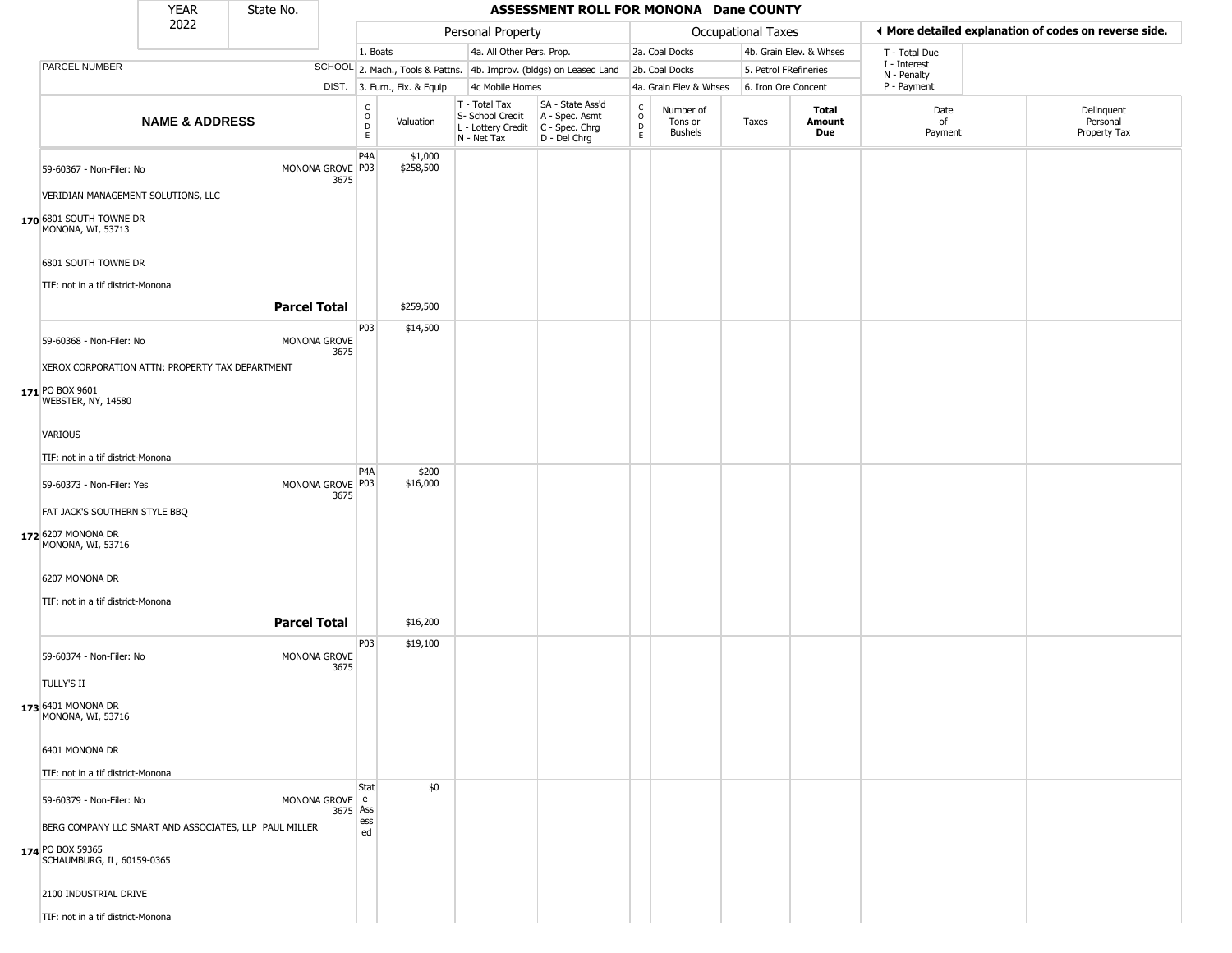|                                                                                                                                      | <b>YEAR</b>               | State No. |                              |                        |                              |                                                                        | ASSESSMENT ROLL FOR MONONA Dane COUNTY                               |                                        |                                        |                       |                         |                             |                                                       |
|--------------------------------------------------------------------------------------------------------------------------------------|---------------------------|-----------|------------------------------|------------------------|------------------------------|------------------------------------------------------------------------|----------------------------------------------------------------------|----------------------------------------|----------------------------------------|-----------------------|-------------------------|-----------------------------|-------------------------------------------------------|
|                                                                                                                                      | 2022                      |           |                              |                        |                              | Personal Property                                                      |                                                                      |                                        |                                        | Occupational Taxes    |                         |                             | ◀ More detailed explanation of codes on reverse side. |
|                                                                                                                                      |                           |           |                              | 1. Boats               |                              | 4a. All Other Pers. Prop.                                              |                                                                      |                                        | 2a. Coal Docks                         |                       | 4b. Grain Elev. & Whses | T - Total Due               |                                                       |
| PARCEL NUMBER                                                                                                                        |                           |           |                              |                        |                              |                                                                        | SCHOOL 2. Mach., Tools & Pattns. 4b. Improv. (bldgs) on Leased Land  |                                        | 2b. Coal Docks                         | 5. Petrol FRefineries |                         | I - Interest<br>N - Penalty |                                                       |
|                                                                                                                                      |                           |           |                              |                        | DIST. 3. Furn., Fix. & Equip | 4c Mobile Homes                                                        |                                                                      |                                        | 4a. Grain Elev & Whses                 | 6. Iron Ore Concent   |                         | P - Payment                 |                                                       |
|                                                                                                                                      | <b>NAME &amp; ADDRESS</b> |           |                              | C<br>$\circ$<br>D<br>E | Valuation                    | T - Total Tax<br>S- School Credit<br>L - Lottery Credit<br>N - Net Tax | SA - State Ass'd<br>A - Spec. Asmt<br>C - Spec. Chrg<br>D - Del Chrg | $\rm_{o}^{\rm c}$<br>$\mathsf{D}$<br>E | Number of<br>Tons or<br><b>Bushels</b> | Taxes                 | Total<br>Amount<br>Due  | Date<br>of<br>Payment       | Delinquent<br>Personal<br>Property Tax                |
| 59-60367 - Non-Filer: No<br>VERIDIAN MANAGEMENT SOLUTIONS, LLC<br>170 6801 SOUTH TOWNE DR<br>MONONA, WI, 53713                       |                           |           | MONONA GROVE P03<br>3675     | P <sub>4</sub> A       | \$1,000<br>\$258,500         |                                                                        |                                                                      |                                        |                                        |                       |                         |                             |                                                       |
| 6801 SOUTH TOWNE DR<br>TIF: not in a tif district-Monona                                                                             |                           |           |                              |                        |                              |                                                                        |                                                                      |                                        |                                        |                       |                         |                             |                                                       |
|                                                                                                                                      |                           |           | <b>Parcel Total</b>          |                        | \$259,500                    |                                                                        |                                                                      |                                        |                                        |                       |                         |                             |                                                       |
| 59-60368 - Non-Filer: No<br>XEROX CORPORATION ATTN: PROPERTY TAX DEPARTMENT<br>171 PO BOX 9601<br>WEBSTER, NY, 14580                 |                           |           | MONONA GROVE<br>3675         | P03                    | \$14,500                     |                                                                        |                                                                      |                                        |                                        |                       |                         |                             |                                                       |
| <b>VARIOUS</b>                                                                                                                       |                           |           |                              |                        |                              |                                                                        |                                                                      |                                        |                                        |                       |                         |                             |                                                       |
| TIF: not in a tif district-Monona                                                                                                    |                           |           |                              |                        |                              |                                                                        |                                                                      |                                        |                                        |                       |                         |                             |                                                       |
| 59-60373 - Non-Filer: Yes                                                                                                            |                           |           | MONONA GROVE P03<br>3675     | P <sub>4</sub> A       | \$200<br>\$16,000            |                                                                        |                                                                      |                                        |                                        |                       |                         |                             |                                                       |
| FAT JACK'S SOUTHERN STYLE BBQ<br>172 6207 MONONA DR<br>MONONA, WI, 53716                                                             |                           |           |                              |                        |                              |                                                                        |                                                                      |                                        |                                        |                       |                         |                             |                                                       |
| 6207 MONONA DR                                                                                                                       |                           |           |                              |                        |                              |                                                                        |                                                                      |                                        |                                        |                       |                         |                             |                                                       |
| TIF: not in a tif district-Monona                                                                                                    |                           |           |                              |                        |                              |                                                                        |                                                                      |                                        |                                        |                       |                         |                             |                                                       |
|                                                                                                                                      |                           |           | <b>Parcel Total</b>          |                        | \$16,200                     |                                                                        |                                                                      |                                        |                                        |                       |                         |                             |                                                       |
| 59-60374 - Non-Filer: No<br><b>TULLY'S II</b>                                                                                        |                           |           | MONONA GROVE<br>3675         | P03                    | \$19,100                     |                                                                        |                                                                      |                                        |                                        |                       |                         |                             |                                                       |
| 173 6401 MONONA DR<br>MONONA, WI, 53716                                                                                              |                           |           |                              |                        |                              |                                                                        |                                                                      |                                        |                                        |                       |                         |                             |                                                       |
| 6401 MONONA DR                                                                                                                       |                           |           |                              |                        |                              |                                                                        |                                                                      |                                        |                                        |                       |                         |                             |                                                       |
| TIF: not in a tif district-Monona                                                                                                    |                           |           |                              |                        |                              |                                                                        |                                                                      |                                        |                                        |                       |                         |                             |                                                       |
| 59-60379 - Non-Filer: No<br>BERG COMPANY LLC SMART AND ASSOCIATES, LLP PAUL MILLER<br>174 PO BOX 59365<br>SCHAUMBURG, IL, 60159-0365 |                           |           | MONONA GROVE   e<br>3675 Ass | Stat<br>ess<br>ed      | \$0                          |                                                                        |                                                                      |                                        |                                        |                       |                         |                             |                                                       |
| 2100 INDUSTRIAL DRIVE                                                                                                                |                           |           |                              |                        |                              |                                                                        |                                                                      |                                        |                                        |                       |                         |                             |                                                       |
| TIF: not in a tif district-Monona                                                                                                    |                           |           |                              |                        |                              |                                                                        |                                                                      |                                        |                                        |                       |                         |                             |                                                       |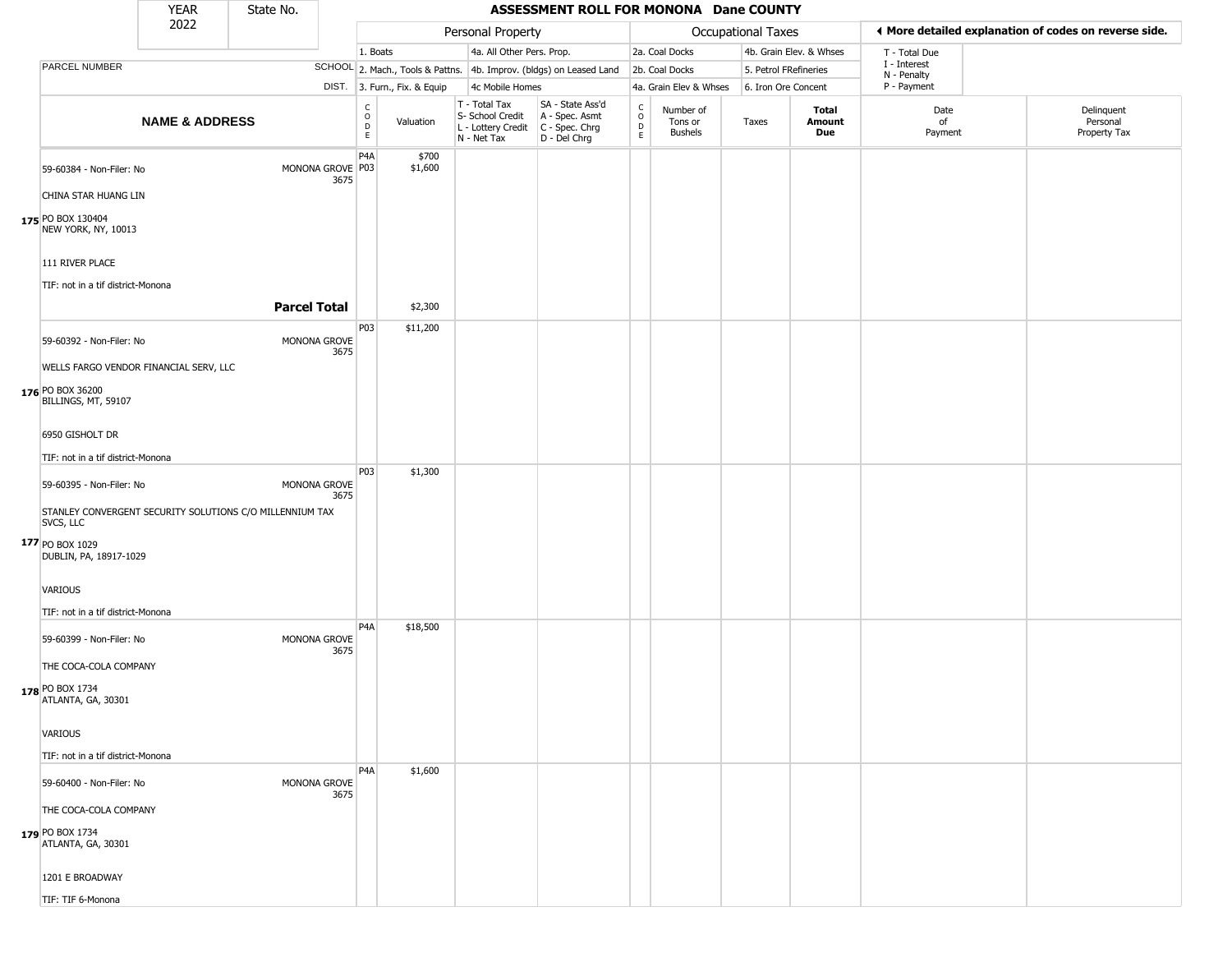|                                                                       | <b>YEAR</b>               | State No.           |                          |                  |                              |                                                                        | ASSESSMENT ROLL FOR MONONA Dane COUNTY                               |                                            |                                        |                       |                         |                             |                                                       |
|-----------------------------------------------------------------------|---------------------------|---------------------|--------------------------|------------------|------------------------------|------------------------------------------------------------------------|----------------------------------------------------------------------|--------------------------------------------|----------------------------------------|-----------------------|-------------------------|-----------------------------|-------------------------------------------------------|
|                                                                       | 2022                      |                     |                          |                  |                              | Personal Property                                                      |                                                                      |                                            |                                        | Occupational Taxes    |                         |                             | ◀ More detailed explanation of codes on reverse side. |
|                                                                       |                           |                     |                          | 1. Boats         |                              | 4a. All Other Pers. Prop.                                              |                                                                      |                                            | 2a. Coal Docks                         |                       | 4b. Grain Elev. & Whses | T - Total Due               |                                                       |
| PARCEL NUMBER                                                         |                           |                     |                          |                  |                              |                                                                        | SCHOOL 2. Mach., Tools & Pattns. 4b. Improv. (bldgs) on Leased Land  |                                            | 2b. Coal Docks                         | 5. Petrol FRefineries |                         | I - Interest<br>N - Penalty |                                                       |
|                                                                       |                           |                     |                          |                  | DIST. 3. Furn., Fix. & Equip | 4c Mobile Homes                                                        |                                                                      |                                            | 4a. Grain Elev & Whses                 | 6. Iron Ore Concent   |                         | P - Payment                 |                                                       |
|                                                                       | <b>NAME &amp; ADDRESS</b> |                     |                          | C<br>D<br>D<br>E | Valuation                    | T - Total Tax<br>S- School Credit<br>L - Lottery Credit<br>N - Net Tax | SA - State Ass'd<br>A - Spec. Asmt<br>C - Spec. Chrg<br>D - Del Chrg | $\begin{array}{c} C \\ 0 \\ E \end{array}$ | Number of<br>Tons or<br><b>Bushels</b> | Taxes                 | Total<br>Amount<br>Due  | Date<br>of<br>Payment       | Delinquent<br>Personal<br>Property Tax                |
| 59-60384 - Non-Filer: No                                              |                           |                     | MONONA GROVE P03<br>3675 | P4A              | \$700<br>\$1,600             |                                                                        |                                                                      |                                            |                                        |                       |                         |                             |                                                       |
| CHINA STAR HUANG LIN                                                  |                           |                     |                          |                  |                              |                                                                        |                                                                      |                                            |                                        |                       |                         |                             |                                                       |
| 175 PO BOX 130404<br>NEW YORK, NY, 10013                              |                           |                     |                          |                  |                              |                                                                        |                                                                      |                                            |                                        |                       |                         |                             |                                                       |
| 111 RIVER PLACE                                                       |                           |                     |                          |                  |                              |                                                                        |                                                                      |                                            |                                        |                       |                         |                             |                                                       |
| TIF: not in a tif district-Monona                                     |                           |                     |                          |                  |                              |                                                                        |                                                                      |                                            |                                        |                       |                         |                             |                                                       |
|                                                                       |                           | <b>Parcel Total</b> |                          |                  | \$2,300                      |                                                                        |                                                                      |                                            |                                        |                       |                         |                             |                                                       |
|                                                                       |                           |                     |                          | P03              | \$11,200                     |                                                                        |                                                                      |                                            |                                        |                       |                         |                             |                                                       |
| 59-60392 - Non-Filer: No                                              |                           |                     | MONONA GROVE             |                  |                              |                                                                        |                                                                      |                                            |                                        |                       |                         |                             |                                                       |
| WELLS FARGO VENDOR FINANCIAL SERV, LLC                                |                           |                     | 3675                     |                  |                              |                                                                        |                                                                      |                                            |                                        |                       |                         |                             |                                                       |
|                                                                       |                           |                     |                          |                  |                              |                                                                        |                                                                      |                                            |                                        |                       |                         |                             |                                                       |
| 176 PO BOX 36200<br>BILLINGS, MT, 59107                               |                           |                     |                          |                  |                              |                                                                        |                                                                      |                                            |                                        |                       |                         |                             |                                                       |
| 6950 GISHOLT DR                                                       |                           |                     |                          |                  |                              |                                                                        |                                                                      |                                            |                                        |                       |                         |                             |                                                       |
| TIF: not in a tif district-Monona                                     |                           |                     |                          |                  |                              |                                                                        |                                                                      |                                            |                                        |                       |                         |                             |                                                       |
| 59-60395 - Non-Filer: No                                              |                           |                     | MONONA GROVE             | P03              | \$1,300                      |                                                                        |                                                                      |                                            |                                        |                       |                         |                             |                                                       |
|                                                                       |                           |                     | 3675                     |                  |                              |                                                                        |                                                                      |                                            |                                        |                       |                         |                             |                                                       |
| STANLEY CONVERGENT SECURITY SOLUTIONS C/O MILLENNIUM TAX<br>SVCS, LLC |                           |                     |                          |                  |                              |                                                                        |                                                                      |                                            |                                        |                       |                         |                             |                                                       |
| 177 PO BOX 1029<br>DUBLIN, PA, 18917-1029                             |                           |                     |                          |                  |                              |                                                                        |                                                                      |                                            |                                        |                       |                         |                             |                                                       |
|                                                                       |                           |                     |                          |                  |                              |                                                                        |                                                                      |                                            |                                        |                       |                         |                             |                                                       |
| VARIOUS                                                               |                           |                     |                          |                  |                              |                                                                        |                                                                      |                                            |                                        |                       |                         |                             |                                                       |
| TIF: not in a tif district-Monona                                     |                           |                     |                          |                  |                              |                                                                        |                                                                      |                                            |                                        |                       |                         |                             |                                                       |
| 59-60399 - Non-Filer: No                                              |                           |                     | MONONA GROVE             | P4A              | \$18,500                     |                                                                        |                                                                      |                                            |                                        |                       |                         |                             |                                                       |
| THE COCA-COLA COMPANY                                                 |                           |                     | 3675                     |                  |                              |                                                                        |                                                                      |                                            |                                        |                       |                         |                             |                                                       |
| 178 PO BOX 1734<br>ATLANTA, GA, 30301                                 |                           |                     |                          |                  |                              |                                                                        |                                                                      |                                            |                                        |                       |                         |                             |                                                       |
| VARIOUS                                                               |                           |                     |                          |                  |                              |                                                                        |                                                                      |                                            |                                        |                       |                         |                             |                                                       |
| TIF: not in a tif district-Monona                                     |                           |                     |                          |                  |                              |                                                                        |                                                                      |                                            |                                        |                       |                         |                             |                                                       |
|                                                                       |                           |                     |                          | P <sub>4</sub> A | \$1,600                      |                                                                        |                                                                      |                                            |                                        |                       |                         |                             |                                                       |
| 59-60400 - Non-Filer: No                                              |                           |                     | MONONA GROVE<br>3675     |                  |                              |                                                                        |                                                                      |                                            |                                        |                       |                         |                             |                                                       |
| THE COCA-COLA COMPANY                                                 |                           |                     |                          |                  |                              |                                                                        |                                                                      |                                            |                                        |                       |                         |                             |                                                       |
| 179 PO BOX 1734<br>ATLANTA, GA, 30301                                 |                           |                     |                          |                  |                              |                                                                        |                                                                      |                                            |                                        |                       |                         |                             |                                                       |
| 1201 E BROADWAY                                                       |                           |                     |                          |                  |                              |                                                                        |                                                                      |                                            |                                        |                       |                         |                             |                                                       |
| TIF: TIF 6-Monona                                                     |                           |                     |                          |                  |                              |                                                                        |                                                                      |                                            |                                        |                       |                         |                             |                                                       |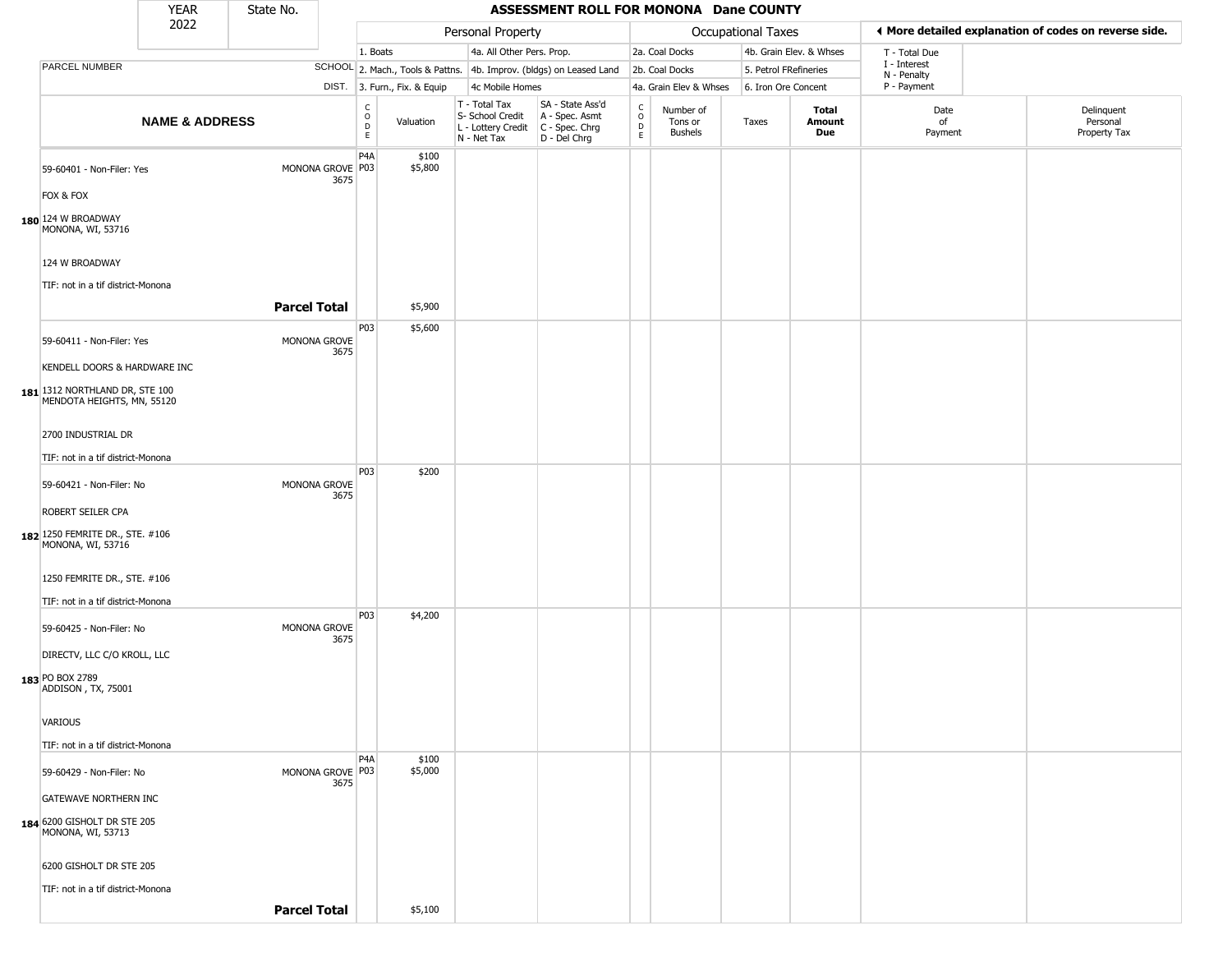|                                                                                              | <b>YEAR</b>               | State No. |                          |                        |                              |                                                                        | ASSESSMENT ROLL FOR MONONA Dane COUNTY                                 |                                   |                                        |                       |                         |                             |                                                       |
|----------------------------------------------------------------------------------------------|---------------------------|-----------|--------------------------|------------------------|------------------------------|------------------------------------------------------------------------|------------------------------------------------------------------------|-----------------------------------|----------------------------------------|-----------------------|-------------------------|-----------------------------|-------------------------------------------------------|
|                                                                                              | 2022                      |           |                          |                        |                              | Personal Property                                                      |                                                                        |                                   |                                        | Occupational Taxes    |                         |                             | ♦ More detailed explanation of codes on reverse side. |
|                                                                                              |                           |           |                          | 1. Boats               |                              | 4a. All Other Pers. Prop.                                              |                                                                        |                                   | 2a. Coal Docks                         |                       | 4b. Grain Elev. & Whses | T - Total Due               |                                                       |
| PARCEL NUMBER                                                                                |                           |           |                          |                        |                              |                                                                        | SCHOOL 2. Mach., Tools & Pattns. 4b. Improv. (bldgs) on Leased Land    |                                   | 2b. Coal Docks                         | 5. Petrol FRefineries |                         | I - Interest<br>N - Penalty |                                                       |
|                                                                                              |                           |           |                          |                        | DIST. 3. Furn., Fix. & Equip | 4c Mobile Homes                                                        |                                                                        |                                   | 4a. Grain Elev & Whses                 | 6. Iron Ore Concent   |                         | P - Payment                 |                                                       |
|                                                                                              | <b>NAME &amp; ADDRESS</b> |           |                          | C<br>$\circ$<br>D<br>E | Valuation                    | T - Total Tax<br>S- School Credit<br>L - Lottery Credit<br>N - Net Tax | SA - State Ass'd<br>A - Spec. Asmt<br>$C - Spec. Chrg$<br>D - Del Chrg | C<br>$\circ$<br>$\mathsf{D}$<br>E | Number of<br>Tons or<br><b>Bushels</b> | Taxes                 | Total<br>Amount<br>Due  | Date<br>of<br>Payment       | Delinquent<br>Personal<br>Property Tax                |
| 59-60401 - Non-Filer: Yes                                                                    |                           |           | MONONA GROVE P03<br>3675 | P4A                    | \$100<br>\$5,800             |                                                                        |                                                                        |                                   |                                        |                       |                         |                             |                                                       |
| FOX & FOX                                                                                    |                           |           |                          |                        |                              |                                                                        |                                                                        |                                   |                                        |                       |                         |                             |                                                       |
| 180 124 W BROADWAY<br>MONONA, WI, 53716                                                      |                           |           |                          |                        |                              |                                                                        |                                                                        |                                   |                                        |                       |                         |                             |                                                       |
| 124 W BROADWAY<br>TIF: not in a tif district-Monona                                          |                           |           |                          |                        |                              |                                                                        |                                                                        |                                   |                                        |                       |                         |                             |                                                       |
|                                                                                              |                           |           | <b>Parcel Total</b>      |                        | \$5,900                      |                                                                        |                                                                        |                                   |                                        |                       |                         |                             |                                                       |
| 59-60411 - Non-Filer: Yes                                                                    |                           |           | MONONA GROVE<br>3675     | P03                    | \$5,600                      |                                                                        |                                                                        |                                   |                                        |                       |                         |                             |                                                       |
| KENDELL DOORS & HARDWARE INC<br>181 1312 NORTHLAND DR, STE 100<br>MENDOTA HEIGHTS, MN, 55120 |                           |           |                          |                        |                              |                                                                        |                                                                        |                                   |                                        |                       |                         |                             |                                                       |
| 2700 INDUSTRIAL DR                                                                           |                           |           |                          |                        |                              |                                                                        |                                                                        |                                   |                                        |                       |                         |                             |                                                       |
| TIF: not in a tif district-Monona                                                            |                           |           |                          | P03                    | \$200                        |                                                                        |                                                                        |                                   |                                        |                       |                         |                             |                                                       |
| 59-60421 - Non-Filer: No                                                                     |                           |           | MONONA GROVE<br>3675     |                        |                              |                                                                        |                                                                        |                                   |                                        |                       |                         |                             |                                                       |
| ROBERT SEILER CPA                                                                            |                           |           |                          |                        |                              |                                                                        |                                                                        |                                   |                                        |                       |                         |                             |                                                       |
| 182 1250 FEMRITE DR., STE. #106<br>MONONA, WI, 53716                                         |                           |           |                          |                        |                              |                                                                        |                                                                        |                                   |                                        |                       |                         |                             |                                                       |
| 1250 FEMRITE DR., STE. #106                                                                  |                           |           |                          |                        |                              |                                                                        |                                                                        |                                   |                                        |                       |                         |                             |                                                       |
| TIF: not in a tif district-Monona                                                            |                           |           |                          |                        |                              |                                                                        |                                                                        |                                   |                                        |                       |                         |                             |                                                       |
| 59-60425 - Non-Filer: No                                                                     |                           |           | MONONA GROVE             | P03                    | \$4,200                      |                                                                        |                                                                        |                                   |                                        |                       |                         |                             |                                                       |
| DIRECTV, LLC C/O KROLL, LLC                                                                  |                           |           | 3675                     |                        |                              |                                                                        |                                                                        |                                   |                                        |                       |                         |                             |                                                       |
| 183 PO BOX 2789<br>ADDISON, TX, 75001                                                        |                           |           |                          |                        |                              |                                                                        |                                                                        |                                   |                                        |                       |                         |                             |                                                       |
| VARIOUS                                                                                      |                           |           |                          |                        |                              |                                                                        |                                                                        |                                   |                                        |                       |                         |                             |                                                       |
| TIF: not in a tif district-Monona                                                            |                           |           |                          |                        |                              |                                                                        |                                                                        |                                   |                                        |                       |                         |                             |                                                       |
| 59-60429 - Non-Filer: No                                                                     |                           |           | MONONA GROVE P03<br>3675 | P4A                    | \$100<br>\$5,000             |                                                                        |                                                                        |                                   |                                        |                       |                         |                             |                                                       |
| <b>GATEWAVE NORTHERN INC</b>                                                                 |                           |           |                          |                        |                              |                                                                        |                                                                        |                                   |                                        |                       |                         |                             |                                                       |
| 184 6200 GISHOLT DR STE 205<br>MONONA, WI, 53713                                             |                           |           |                          |                        |                              |                                                                        |                                                                        |                                   |                                        |                       |                         |                             |                                                       |
| 6200 GISHOLT DR STE 205                                                                      |                           |           |                          |                        |                              |                                                                        |                                                                        |                                   |                                        |                       |                         |                             |                                                       |
| TIF: not in a tif district-Monona                                                            |                           |           | <b>Parcel Total</b>      |                        |                              |                                                                        |                                                                        |                                   |                                        |                       |                         |                             |                                                       |
|                                                                                              |                           |           |                          |                        | \$5,100                      |                                                                        |                                                                        |                                   |                                        |                       |                         |                             |                                                       |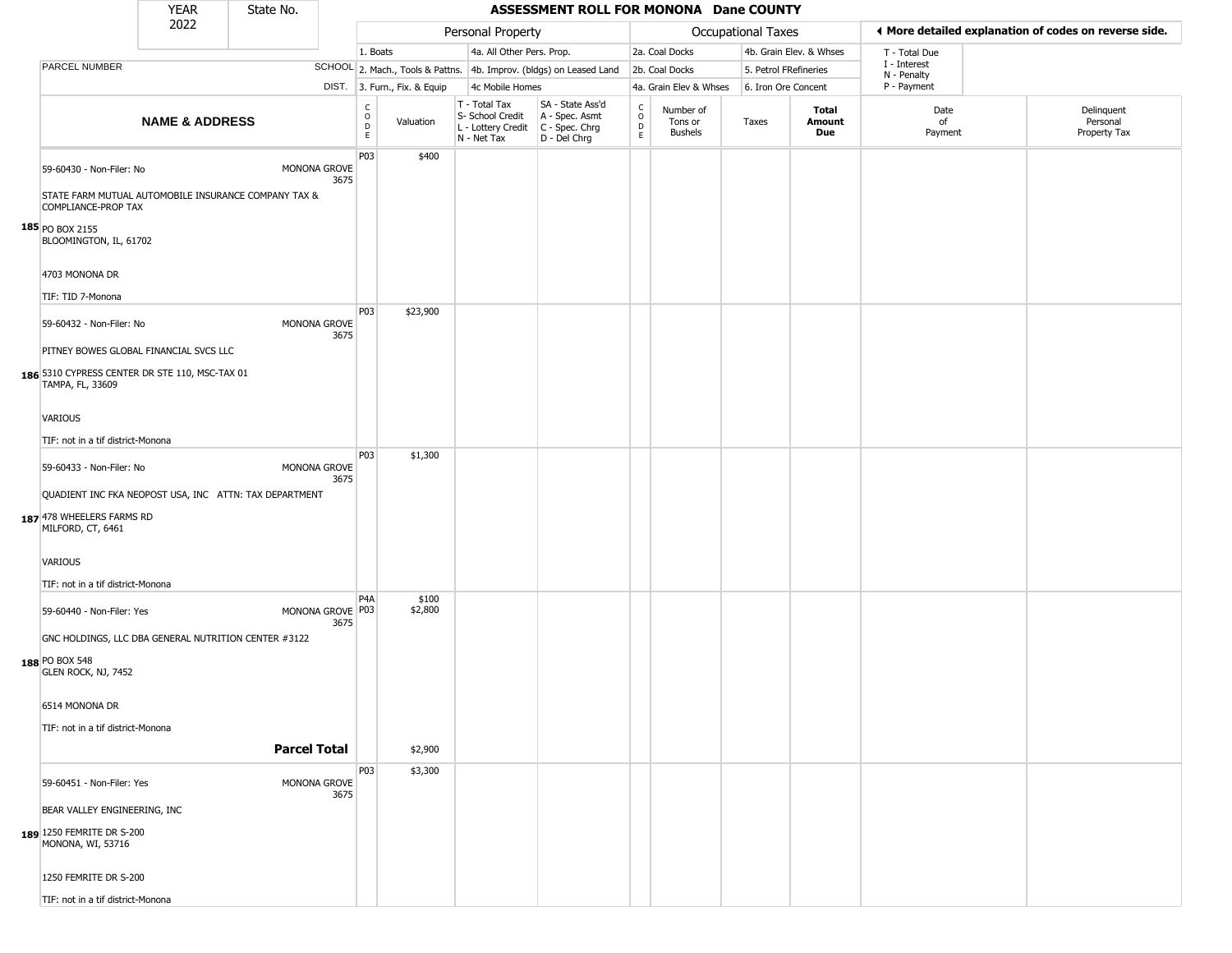|                                                                                                | <b>YEAR</b>               | State No. |                          |                                            |                              |                                                                        | ASSESSMENT ROLL FOR MONONA Dane COUNTY                                 |                                              |                                        |                       |                               |                             |                                                       |
|------------------------------------------------------------------------------------------------|---------------------------|-----------|--------------------------|--------------------------------------------|------------------------------|------------------------------------------------------------------------|------------------------------------------------------------------------|----------------------------------------------|----------------------------------------|-----------------------|-------------------------------|-----------------------------|-------------------------------------------------------|
|                                                                                                | 2022                      |           |                          |                                            |                              | Personal Property                                                      |                                                                        |                                              |                                        | Occupational Taxes    |                               |                             | ◀ More detailed explanation of codes on reverse side. |
|                                                                                                |                           |           |                          | 1. Boats                                   |                              | 4a. All Other Pers. Prop.                                              |                                                                        |                                              | 2a. Coal Docks                         |                       | 4b. Grain Elev. & Whses       | T - Total Due               |                                                       |
| PARCEL NUMBER                                                                                  |                           |           |                          |                                            |                              |                                                                        | SCHOOL 2. Mach., Tools & Pattns. 4b. Improv. (bldgs) on Leased Land    |                                              | 2b. Coal Docks                         | 5. Petrol FRefineries |                               | I - Interest<br>N - Penalty |                                                       |
|                                                                                                |                           |           |                          |                                            | DIST. 3. Furn., Fix. & Equip | 4c Mobile Homes                                                        |                                                                        |                                              | 4a. Grain Elev & Whses                 | 6. Iron Ore Concent   |                               | P - Payment                 |                                                       |
|                                                                                                | <b>NAME &amp; ADDRESS</b> |           |                          | $\mathsf C$<br>$\circ$<br>$\mathsf D$<br>E | Valuation                    | T - Total Tax<br>S- School Credit<br>L - Lottery Credit<br>N - Net Tax | SA - State Ass'd<br>A - Spec. Asmt<br>$C - Spec. Chrg$<br>D - Del Chrg | $\mathsf{C}$<br>$\circ$<br>$\mathsf{D}$<br>E | Number of<br>Tons or<br><b>Bushels</b> | Taxes                 | <b>Total</b><br>Amount<br>Due | Date<br>of<br>Payment       | Delinquent<br>Personal<br>Property Tax                |
| 59-60430 - Non-Filer: No                                                                       |                           |           | MONONA GROVE<br>3675     | P <sub>0</sub> 3                           | \$400                        |                                                                        |                                                                        |                                              |                                        |                       |                               |                             |                                                       |
| STATE FARM MUTUAL AUTOMOBILE INSURANCE COMPANY TAX &<br>COMPLIANCE-PROP TAX<br>185 PO BOX 2155 |                           |           |                          |                                            |                              |                                                                        |                                                                        |                                              |                                        |                       |                               |                             |                                                       |
| BLOOMINGTON, IL, 61702                                                                         |                           |           |                          |                                            |                              |                                                                        |                                                                        |                                              |                                        |                       |                               |                             |                                                       |
| 4703 MONONA DR                                                                                 |                           |           |                          |                                            |                              |                                                                        |                                                                        |                                              |                                        |                       |                               |                             |                                                       |
| TIF: TID 7-Monona<br>59-60432 - Non-Filer: No                                                  |                           |           | MONONA GROVE<br>3675     | P03                                        | \$23,900                     |                                                                        |                                                                        |                                              |                                        |                       |                               |                             |                                                       |
| PITNEY BOWES GLOBAL FINANCIAL SVCS LLC                                                         |                           |           |                          |                                            |                              |                                                                        |                                                                        |                                              |                                        |                       |                               |                             |                                                       |
| 186 5310 CYPRESS CENTER DR STE 110, MSC-TAX 01<br>TAMPA, FL, 33609                             |                           |           |                          |                                            |                              |                                                                        |                                                                        |                                              |                                        |                       |                               |                             |                                                       |
| VARIOUS                                                                                        |                           |           |                          |                                            |                              |                                                                        |                                                                        |                                              |                                        |                       |                               |                             |                                                       |
| TIF: not in a tif district-Monona                                                              |                           |           |                          |                                            |                              |                                                                        |                                                                        |                                              |                                        |                       |                               |                             |                                                       |
| 59-60433 - Non-Filer: No                                                                       |                           |           | MONONA GROVE<br>3675     | P03                                        | \$1,300                      |                                                                        |                                                                        |                                              |                                        |                       |                               |                             |                                                       |
| QUADIENT INC FKA NEOPOST USA, INC ATTN: TAX DEPARTMENT<br>187 478 WHEELERS FARMS RD            |                           |           |                          |                                            |                              |                                                                        |                                                                        |                                              |                                        |                       |                               |                             |                                                       |
| MILFORD, CT, 6461                                                                              |                           |           |                          |                                            |                              |                                                                        |                                                                        |                                              |                                        |                       |                               |                             |                                                       |
| VARIOUS                                                                                        |                           |           |                          |                                            |                              |                                                                        |                                                                        |                                              |                                        |                       |                               |                             |                                                       |
| TIF: not in a tif district-Monona                                                              |                           |           |                          | P <sub>4</sub> A                           | \$100                        |                                                                        |                                                                        |                                              |                                        |                       |                               |                             |                                                       |
| 59-60440 - Non-Filer: Yes                                                                      |                           |           | MONONA GROVE P03<br>3675 |                                            | \$2,800                      |                                                                        |                                                                        |                                              |                                        |                       |                               |                             |                                                       |
| GNC HOLDINGS, LLC DBA GENERAL NUTRITION CENTER #3122<br>188 PO BOX 548<br>GLEN ROCK, NJ, 7452  |                           |           |                          |                                            |                              |                                                                        |                                                                        |                                              |                                        |                       |                               |                             |                                                       |
| 6514 MONONA DR                                                                                 |                           |           |                          |                                            |                              |                                                                        |                                                                        |                                              |                                        |                       |                               |                             |                                                       |
| TIF: not in a tif district-Monona                                                              |                           |           | <b>Parcel Total</b>      |                                            |                              |                                                                        |                                                                        |                                              |                                        |                       |                               |                             |                                                       |
|                                                                                                |                           |           |                          |                                            | \$2,900                      |                                                                        |                                                                        |                                              |                                        |                       |                               |                             |                                                       |
| 59-60451 - Non-Filer: Yes                                                                      |                           |           | MONONA GROVE<br>3675     | P03                                        | \$3,300                      |                                                                        |                                                                        |                                              |                                        |                       |                               |                             |                                                       |
| BEAR VALLEY ENGINEERING, INC<br>189 1250 FEMRITE DR S-200<br>MONONA, WI, 53716                 |                           |           |                          |                                            |                              |                                                                        |                                                                        |                                              |                                        |                       |                               |                             |                                                       |
| 1250 FEMRITE DR S-200                                                                          |                           |           |                          |                                            |                              |                                                                        |                                                                        |                                              |                                        |                       |                               |                             |                                                       |
| TIF: not in a tif district-Monona                                                              |                           |           |                          |                                            |                              |                                                                        |                                                                        |                                              |                                        |                       |                               |                             |                                                       |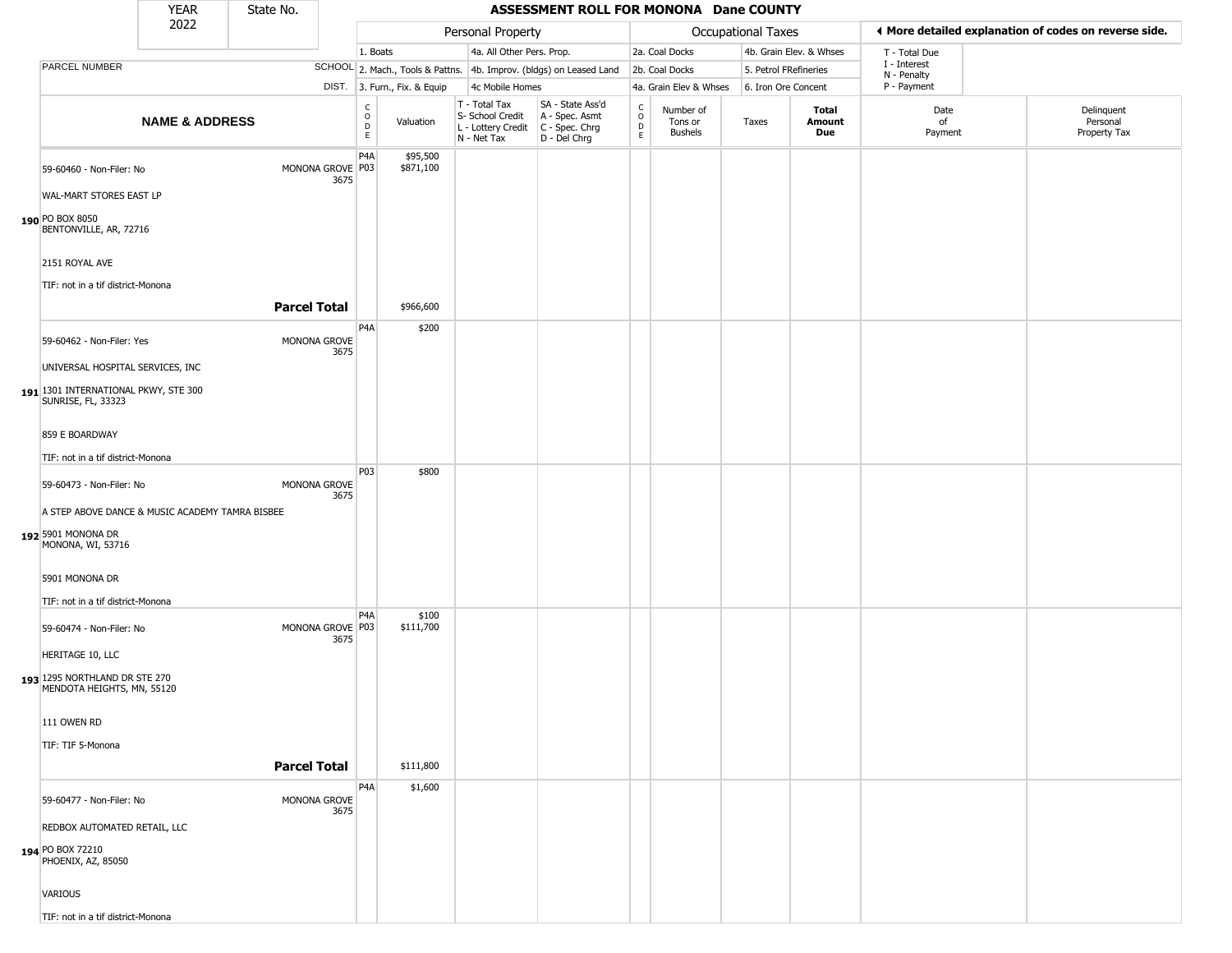|                                                                                            | <b>YEAR</b>               | State No.           |                          |                                             |                              |                                                                        | ASSESSMENT ROLL FOR MONONA Dane COUNTY                                 |                                    |                                        |                       |                         |                             |                                                       |
|--------------------------------------------------------------------------------------------|---------------------------|---------------------|--------------------------|---------------------------------------------|------------------------------|------------------------------------------------------------------------|------------------------------------------------------------------------|------------------------------------|----------------------------------------|-----------------------|-------------------------|-----------------------------|-------------------------------------------------------|
|                                                                                            | 2022                      |                     |                          |                                             |                              | Personal Property                                                      |                                                                        |                                    |                                        | Occupational Taxes    |                         |                             | ◀ More detailed explanation of codes on reverse side. |
|                                                                                            |                           |                     |                          | 1. Boats                                    |                              | 4a. All Other Pers. Prop.                                              |                                                                        |                                    | 2a. Coal Docks                         |                       | 4b. Grain Elev. & Whses | T - Total Due               |                                                       |
| PARCEL NUMBER                                                                              |                           |                     |                          |                                             |                              |                                                                        | SCHOOL 2. Mach., Tools & Pattns. 4b. Improv. (bldgs) on Leased Land    |                                    | 2b. Coal Docks                         | 5. Petrol FRefineries |                         | I - Interest<br>N - Penalty |                                                       |
|                                                                                            |                           |                     |                          |                                             | DIST. 3. Furn., Fix. & Equip | 4c Mobile Homes                                                        |                                                                        |                                    | 4a. Grain Elev & Whses                 | 6. Iron Ore Concent   |                         | P - Payment                 |                                                       |
|                                                                                            | <b>NAME &amp; ADDRESS</b> |                     |                          | $\frac{c}{0}$<br>$\mathsf D$<br>$\mathsf E$ | Valuation                    | T - Total Tax<br>S- School Credit<br>L - Lottery Credit<br>N - Net Tax | SA - State Ass'd<br>A - Spec. Asmt<br>$C - Spec. Chrg$<br>D - Del Chrg | $\rm_{o}^{c}$<br>$\mathsf{D}$<br>E | Number of<br>Tons or<br><b>Bushels</b> | Taxes                 | Total<br>Amount<br>Due  | Date<br>of<br>Payment       | Delinquent<br>Personal<br>Property Tax                |
| 59-60460 - Non-Filer: No<br>WAL-MART STORES EAST LP                                        |                           |                     | MONONA GROVE P03<br>3675 | P4A                                         | \$95,500<br>\$871,100        |                                                                        |                                                                        |                                    |                                        |                       |                         |                             |                                                       |
| 190 PO BOX 8050<br>BENTONVILLE, AR, 72716                                                  |                           |                     |                          |                                             |                              |                                                                        |                                                                        |                                    |                                        |                       |                         |                             |                                                       |
| 2151 ROYAL AVE<br>TIF: not in a tif district-Monona                                        |                           |                     |                          |                                             |                              |                                                                        |                                                                        |                                    |                                        |                       |                         |                             |                                                       |
|                                                                                            |                           | <b>Parcel Total</b> |                          |                                             | \$966,600                    |                                                                        |                                                                        |                                    |                                        |                       |                         |                             |                                                       |
| 59-60462 - Non-Filer: Yes                                                                  |                           |                     | MONONA GROVE<br>3675     | P <sub>4</sub> A                            | \$200                        |                                                                        |                                                                        |                                    |                                        |                       |                         |                             |                                                       |
| UNIVERSAL HOSPITAL SERVICES, INC                                                           |                           |                     |                          |                                             |                              |                                                                        |                                                                        |                                    |                                        |                       |                         |                             |                                                       |
| 191 1301 INTERNATIONAL PKWY, STE 300<br>SUNRISE, FL, 33323                                 |                           |                     |                          |                                             |                              |                                                                        |                                                                        |                                    |                                        |                       |                         |                             |                                                       |
| 859 E BOARDWAY                                                                             |                           |                     |                          |                                             |                              |                                                                        |                                                                        |                                    |                                        |                       |                         |                             |                                                       |
| TIF: not in a tif district-Monona                                                          |                           |                     |                          |                                             |                              |                                                                        |                                                                        |                                    |                                        |                       |                         |                             |                                                       |
| 59-60473 - Non-Filer: No                                                                   |                           |                     | MONONA GROVE<br>3675     | P03                                         | \$800                        |                                                                        |                                                                        |                                    |                                        |                       |                         |                             |                                                       |
| A STEP ABOVE DANCE & MUSIC ACADEMY TAMRA BISBEE<br>192 5901 MONONA DR<br>MONONA, WI, 53716 |                           |                     |                          |                                             |                              |                                                                        |                                                                        |                                    |                                        |                       |                         |                             |                                                       |
| 5901 MONONA DR<br>TIF: not in a tif district-Monona                                        |                           |                     |                          |                                             |                              |                                                                        |                                                                        |                                    |                                        |                       |                         |                             |                                                       |
| 59-60474 - Non-Filer: No                                                                   |                           |                     | MONONA GROVE P03<br>3675 | P4A                                         | \$100<br>\$111,700           |                                                                        |                                                                        |                                    |                                        |                       |                         |                             |                                                       |
| HERITAGE 10, LLC                                                                           |                           |                     |                          |                                             |                              |                                                                        |                                                                        |                                    |                                        |                       |                         |                             |                                                       |
| 193 1295 NORTHLAND DR STE 270<br>MENDOTA HEIGHTS, MN, 55120                                |                           |                     |                          |                                             |                              |                                                                        |                                                                        |                                    |                                        |                       |                         |                             |                                                       |
| 111 OWEN RD                                                                                |                           |                     |                          |                                             |                              |                                                                        |                                                                        |                                    |                                        |                       |                         |                             |                                                       |
| TIF: TIF 5-Monona                                                                          |                           |                     |                          |                                             |                              |                                                                        |                                                                        |                                    |                                        |                       |                         |                             |                                                       |
|                                                                                            |                           | <b>Parcel Total</b> |                          |                                             | \$111,800                    |                                                                        |                                                                        |                                    |                                        |                       |                         |                             |                                                       |
| 59-60477 - Non-Filer: No                                                                   |                           |                     | MONONA GROVE<br>3675     | P4A                                         | \$1,600                      |                                                                        |                                                                        |                                    |                                        |                       |                         |                             |                                                       |
| REDBOX AUTOMATED RETAIL, LLC                                                               |                           |                     |                          |                                             |                              |                                                                        |                                                                        |                                    |                                        |                       |                         |                             |                                                       |
| 194 PO BOX 72210<br>PHOENIX, AZ, 85050                                                     |                           |                     |                          |                                             |                              |                                                                        |                                                                        |                                    |                                        |                       |                         |                             |                                                       |
| VARIOUS                                                                                    |                           |                     |                          |                                             |                              |                                                                        |                                                                        |                                    |                                        |                       |                         |                             |                                                       |

TIF: not in a tif district-Monona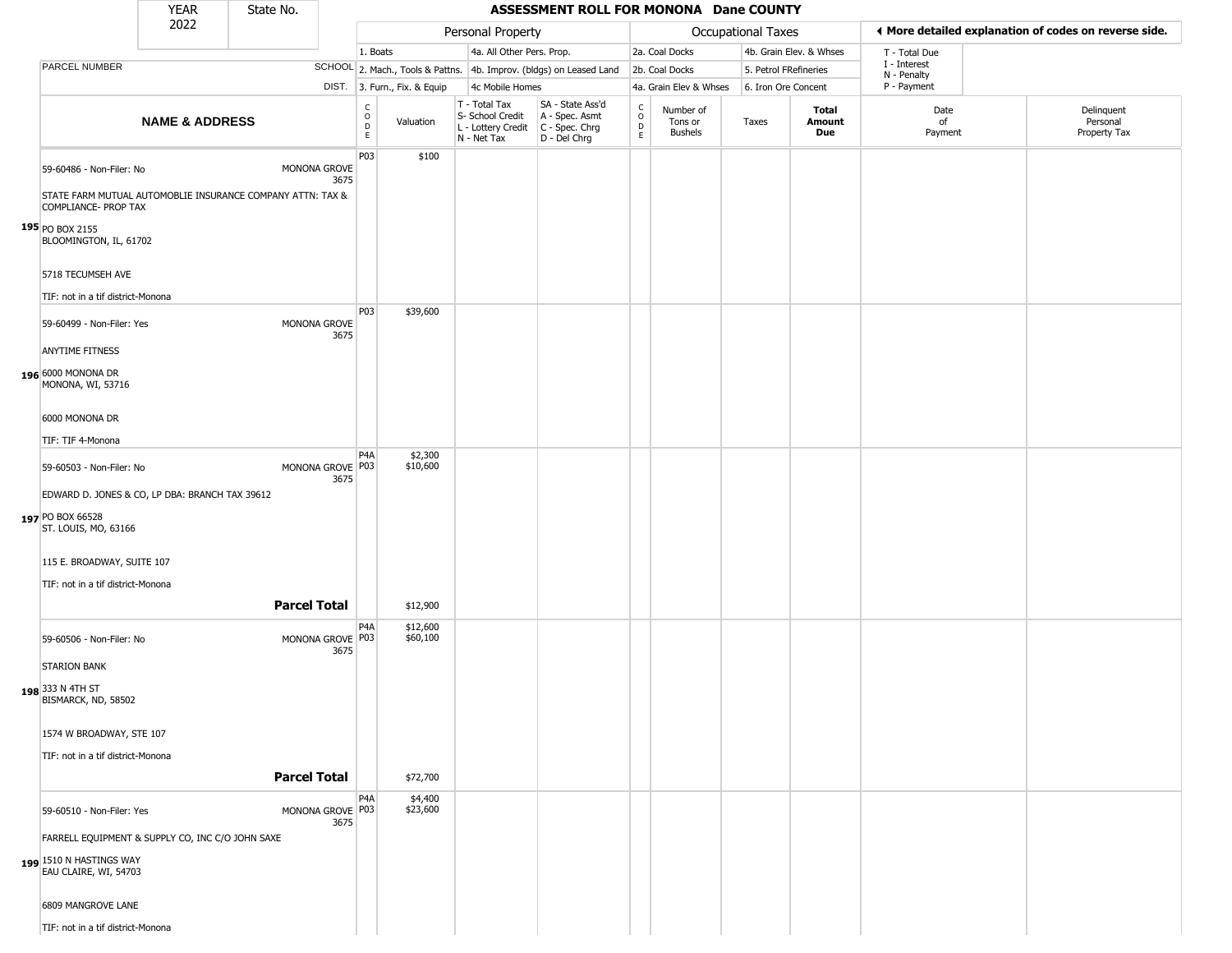|                                                                                                                                                               | <b>YEAR</b>               | State No.           |                          |                         |                              |                                                                        | ASSESSMENT ROLL FOR MONONA Dane COUNTY                                 |                         |                                        |                       |                         |                             |                                                       |
|---------------------------------------------------------------------------------------------------------------------------------------------------------------|---------------------------|---------------------|--------------------------|-------------------------|------------------------------|------------------------------------------------------------------------|------------------------------------------------------------------------|-------------------------|----------------------------------------|-----------------------|-------------------------|-----------------------------|-------------------------------------------------------|
|                                                                                                                                                               | 2022                      |                     |                          |                         |                              | Personal Property                                                      |                                                                        |                         |                                        | Occupational Taxes    |                         |                             | I More detailed explanation of codes on reverse side. |
|                                                                                                                                                               |                           |                     |                          | 1. Boats                |                              | 4a. All Other Pers. Prop.                                              |                                                                        |                         | 2a. Coal Docks                         |                       | 4b. Grain Elev. & Whses | T - Total Due               |                                                       |
| PARCEL NUMBER                                                                                                                                                 |                           |                     |                          |                         |                              |                                                                        | SCHOOL 2. Mach., Tools & Pattns. 4b. Improv. (bldgs) on Leased Land    |                         | 2b. Coal Docks                         | 5. Petrol FRefineries |                         | I - Interest<br>N - Penalty |                                                       |
|                                                                                                                                                               |                           |                     |                          |                         | DIST. 3. Furn., Fix. & Equip | 4c Mobile Homes                                                        |                                                                        |                         | 4a. Grain Elev & Whses                 | 6. Iron Ore Concent   |                         | P - Payment                 |                                                       |
|                                                                                                                                                               | <b>NAME &amp; ADDRESS</b> |                     |                          | C<br>$\circ$<br>D<br>E. | Valuation                    | T - Total Tax<br>S- School Credit<br>L - Lottery Credit<br>N - Net Tax | SA - State Ass'd<br>A - Spec. Asmt<br>$C - Spec. Chrg$<br>D - Del Chrg | $\frac{C}{O}$<br>D<br>E | Number of<br>Tons or<br><b>Bushels</b> | Taxes                 | Total<br>Amount<br>Due  | Date<br>of<br>Payment       | Delinquent<br>Personal<br>Property Tax                |
| 59-60486 - Non-Filer: No<br>STATE FARM MUTUAL AUTOMOBLIE INSURANCE COMPANY ATTN: TAX &<br>COMPLIANCE- PROP TAX<br>$195$ PO BOX 2155<br>BLOOMINGTON, IL, 61702 |                           |                     | MONONA GROVE<br>3675     | P03                     | \$100                        |                                                                        |                                                                        |                         |                                        |                       |                         |                             |                                                       |
| 5718 TECUMSEH AVE<br>TIF: not in a tif district-Monona                                                                                                        |                           |                     |                          |                         |                              |                                                                        |                                                                        |                         |                                        |                       |                         |                             |                                                       |
| 59-60499 - Non-Filer: Yes<br><b>ANYTIME FITNESS</b><br>196 6000 MONONA DR                                                                                     |                           |                     | MONONA GROVE<br>3675     | P03                     | \$39,600                     |                                                                        |                                                                        |                         |                                        |                       |                         |                             |                                                       |
| MONONA, WI, 53716<br>6000 MONONA DR<br>TIF: TIF 4-Monona                                                                                                      |                           |                     |                          |                         |                              |                                                                        |                                                                        |                         |                                        |                       |                         |                             |                                                       |
| 59-60503 - Non-Filer: No<br>EDWARD D. JONES & CO, LP DBA: BRANCH TAX 39612<br>197 PO BOX 66528<br>ST. LOUIS, MO, 63166                                        |                           |                     | MONONA GROVE P03<br>3675 | P4A                     | \$2,300<br>\$10,600          |                                                                        |                                                                        |                         |                                        |                       |                         |                             |                                                       |
| 115 E. BROADWAY, SUITE 107<br>TIF: not in a tif district-Monona                                                                                               |                           | <b>Parcel Total</b> |                          |                         | \$12,900                     |                                                                        |                                                                        |                         |                                        |                       |                         |                             |                                                       |
| 59-60506 - Non-Filer: No<br><b>STARION BANK</b><br>198 333 N 4TH ST                                                                                           |                           |                     | MONONA GROVE P03<br>3675 | P <sub>4</sub> A        | \$12,600<br>\$60,100         |                                                                        |                                                                        |                         |                                        |                       |                         |                             |                                                       |
| BISMARCK, ND, 58502<br>1574 W BROADWAY, STE 107<br>TIF: not in a tif district-Monona                                                                          |                           |                     |                          |                         |                              |                                                                        |                                                                        |                         |                                        |                       |                         |                             |                                                       |
|                                                                                                                                                               |                           | <b>Parcel Total</b> |                          | P <sub>4</sub> A        | \$72,700<br>\$4,400          |                                                                        |                                                                        |                         |                                        |                       |                         |                             |                                                       |
| 59-60510 - Non-Filer: Yes<br>FARRELL EQUIPMENT & SUPPLY CO, INC C/O JOHN SAXE<br>199 1510 N HASTINGS WAY<br>6809 MANGROVE LANE                                |                           |                     | MONONA GROVE P03<br>3675 |                         | \$23,600                     |                                                                        |                                                                        |                         |                                        |                       |                         |                             |                                                       |
| TIF: not in a tif district-Monona                                                                                                                             |                           |                     |                          |                         |                              |                                                                        |                                                                        |                         |                                        |                       |                         |                             |                                                       |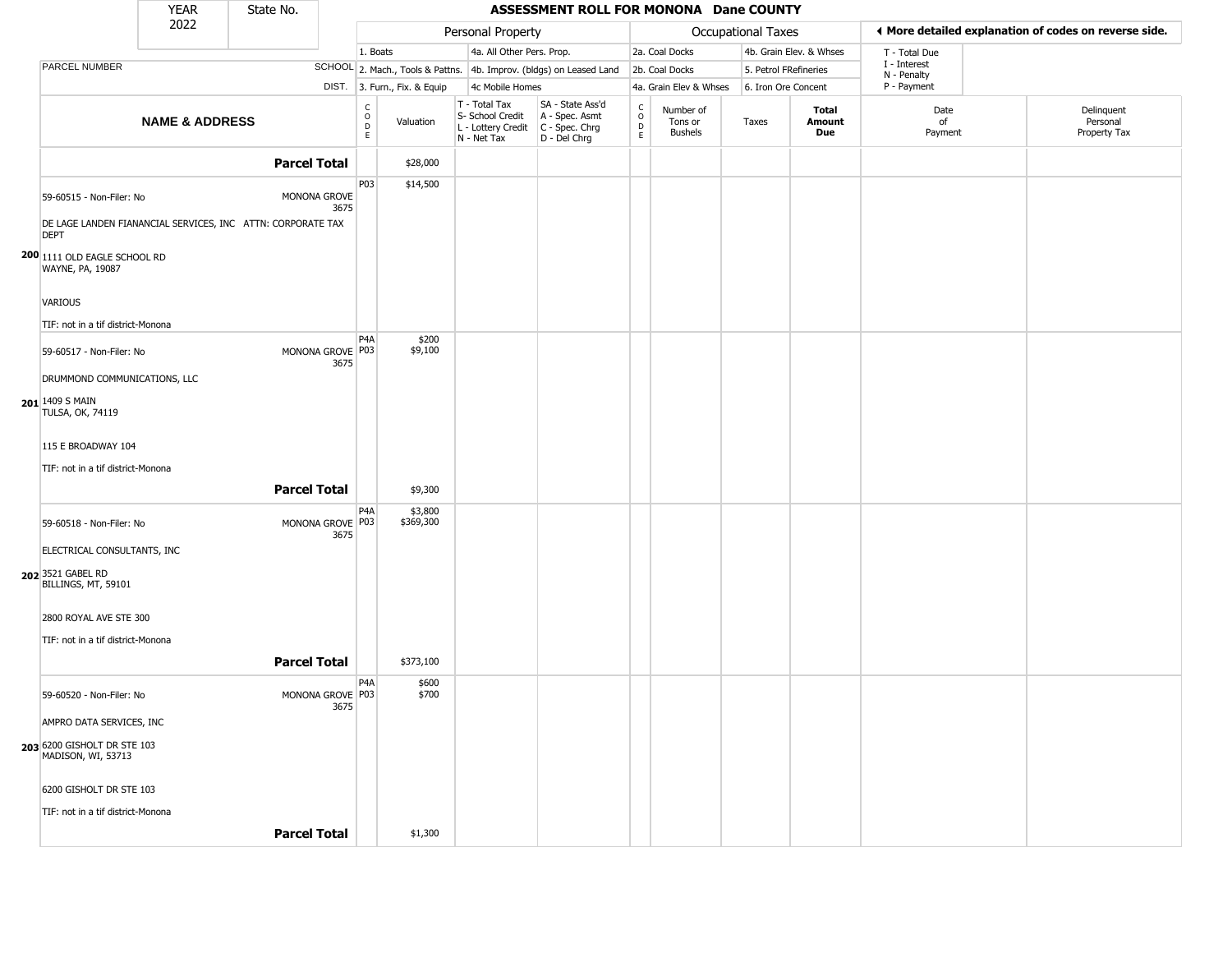|                                                                            | <b>YEAR</b>               | State No.           |                          |                                                             |                                                                        | ASSESSMENT ROLL FOR MONONA Dane COUNTY                               |                                    |                                        |                    |                         |                             |                                                       |
|----------------------------------------------------------------------------|---------------------------|---------------------|--------------------------|-------------------------------------------------------------|------------------------------------------------------------------------|----------------------------------------------------------------------|------------------------------------|----------------------------------------|--------------------|-------------------------|-----------------------------|-------------------------------------------------------|
|                                                                            | 2022                      |                     |                          |                                                             | Personal Property                                                      |                                                                      |                                    |                                        | Occupational Taxes |                         |                             | ♦ More detailed explanation of codes on reverse side. |
|                                                                            |                           |                     |                          | 1. Boats                                                    | 4a. All Other Pers. Prop.                                              |                                                                      |                                    | 2a. Coal Docks                         |                    | 4b. Grain Elev. & Whses | T - Total Due               |                                                       |
| PARCEL NUMBER                                                              |                           |                     |                          |                                                             |                                                                        | SCHOOL 2. Mach., Tools & Pattns. 4b. Improv. (bldgs) on Leased Land  |                                    | 2b. Coal Docks                         |                    | 5. Petrol FRefineries   | I - Interest<br>N - Penalty |                                                       |
|                                                                            |                           |                     |                          | DIST. 3. Furn., Fix. & Equip                                | 4c Mobile Homes                                                        |                                                                      |                                    | 4a. Grain Elev & Whses                 |                    | 6. Iron Ore Concent     | P - Payment                 |                                                       |
|                                                                            | <b>NAME &amp; ADDRESS</b> |                     |                          | $\begin{matrix} 0 \\ 0 \\ D \end{matrix}$<br>Valuation<br>E | T - Total Tax<br>S- School Credit<br>L - Lottery Credit<br>N - Net Tax | SA - State Ass'd<br>A - Spec. Asmt<br>C - Spec. Chrg<br>D - Del Chrg | $\rm_{o}^{c}$<br>$\mathsf{D}$<br>E | Number of<br>Tons or<br><b>Bushels</b> | Taxes              | Total<br>Amount<br>Due  | Date<br>of<br>Payment       | Delinquent<br>Personal<br>Property Tax                |
|                                                                            |                           | <b>Parcel Total</b> |                          | \$28,000                                                    |                                                                        |                                                                      |                                    |                                        |                    |                         |                             |                                                       |
| 59-60515 - Non-Filer: No                                                   |                           |                     | MONONA GROVE<br>3675     | P03<br>\$14,500                                             |                                                                        |                                                                      |                                    |                                        |                    |                         |                             |                                                       |
| DE LAGE LANDEN FIANANCIAL SERVICES, INC ATTN: CORPORATE TAX<br><b>DEPT</b> |                           |                     |                          |                                                             |                                                                        |                                                                      |                                    |                                        |                    |                         |                             |                                                       |
| 200 1111 OLD EAGLE SCHOOL RD<br>WAYNE, PA, 19087                           |                           |                     |                          |                                                             |                                                                        |                                                                      |                                    |                                        |                    |                         |                             |                                                       |
| VARIOUS                                                                    |                           |                     |                          |                                                             |                                                                        |                                                                      |                                    |                                        |                    |                         |                             |                                                       |
| TIF: not in a tif district-Monona                                          |                           |                     |                          |                                                             |                                                                        |                                                                      |                                    |                                        |                    |                         |                             |                                                       |
| 59-60517 - Non-Filer: No                                                   |                           |                     | MONONA GROVE P03<br>3675 | P4A<br>\$200<br>\$9,100                                     |                                                                        |                                                                      |                                    |                                        |                    |                         |                             |                                                       |
| DRUMMOND COMMUNICATIONS, LLC                                               |                           |                     |                          |                                                             |                                                                        |                                                                      |                                    |                                        |                    |                         |                             |                                                       |
| 201 1409 S MAIN<br><b>TULSA, OK, 74119</b>                                 |                           |                     |                          |                                                             |                                                                        |                                                                      |                                    |                                        |                    |                         |                             |                                                       |
| 115 E BROADWAY 104                                                         |                           |                     |                          |                                                             |                                                                        |                                                                      |                                    |                                        |                    |                         |                             |                                                       |
| TIF: not in a tif district-Monona                                          |                           |                     |                          |                                                             |                                                                        |                                                                      |                                    |                                        |                    |                         |                             |                                                       |
|                                                                            |                           | <b>Parcel Total</b> |                          | \$9,300                                                     |                                                                        |                                                                      |                                    |                                        |                    |                         |                             |                                                       |
| 59-60518 - Non-Filer: No                                                   |                           |                     | MONONA GROVE P03<br>3675 | P <sub>4</sub> A<br>\$3,800<br>\$369,300                    |                                                                        |                                                                      |                                    |                                        |                    |                         |                             |                                                       |
| ELECTRICAL CONSULTANTS, INC                                                |                           |                     |                          |                                                             |                                                                        |                                                                      |                                    |                                        |                    |                         |                             |                                                       |
| 202 3521 GABEL RD<br>BILLINGS, MT, 59101                                   |                           |                     |                          |                                                             |                                                                        |                                                                      |                                    |                                        |                    |                         |                             |                                                       |
| 2800 ROYAL AVE STE 300                                                     |                           |                     |                          |                                                             |                                                                        |                                                                      |                                    |                                        |                    |                         |                             |                                                       |
| TIF: not in a tif district-Monona                                          |                           |                     |                          |                                                             |                                                                        |                                                                      |                                    |                                        |                    |                         |                             |                                                       |
|                                                                            |                           | <b>Parcel Total</b> |                          | \$373,100                                                   |                                                                        |                                                                      |                                    |                                        |                    |                         |                             |                                                       |
| 59-60520 - Non-Filer: No                                                   |                           |                     | MONONA GROVE P03         | P4A<br>\$600<br>\$700                                       |                                                                        |                                                                      |                                    |                                        |                    |                         |                             |                                                       |
| AMPRO DATA SERVICES, INC                                                   |                           |                     | 3675                     |                                                             |                                                                        |                                                                      |                                    |                                        |                    |                         |                             |                                                       |
| 203 6200 GISHOLT DR STE 103<br>MADISON, WI, 53713                          |                           |                     |                          |                                                             |                                                                        |                                                                      |                                    |                                        |                    |                         |                             |                                                       |
| 6200 GISHOLT DR STE 103                                                    |                           |                     |                          |                                                             |                                                                        |                                                                      |                                    |                                        |                    |                         |                             |                                                       |
| TIF: not in a tif district-Monona                                          |                           |                     |                          |                                                             |                                                                        |                                                                      |                                    |                                        |                    |                         |                             |                                                       |
|                                                                            |                           | <b>Parcel Total</b> |                          | \$1,300                                                     |                                                                        |                                                                      |                                    |                                        |                    |                         |                             |                                                       |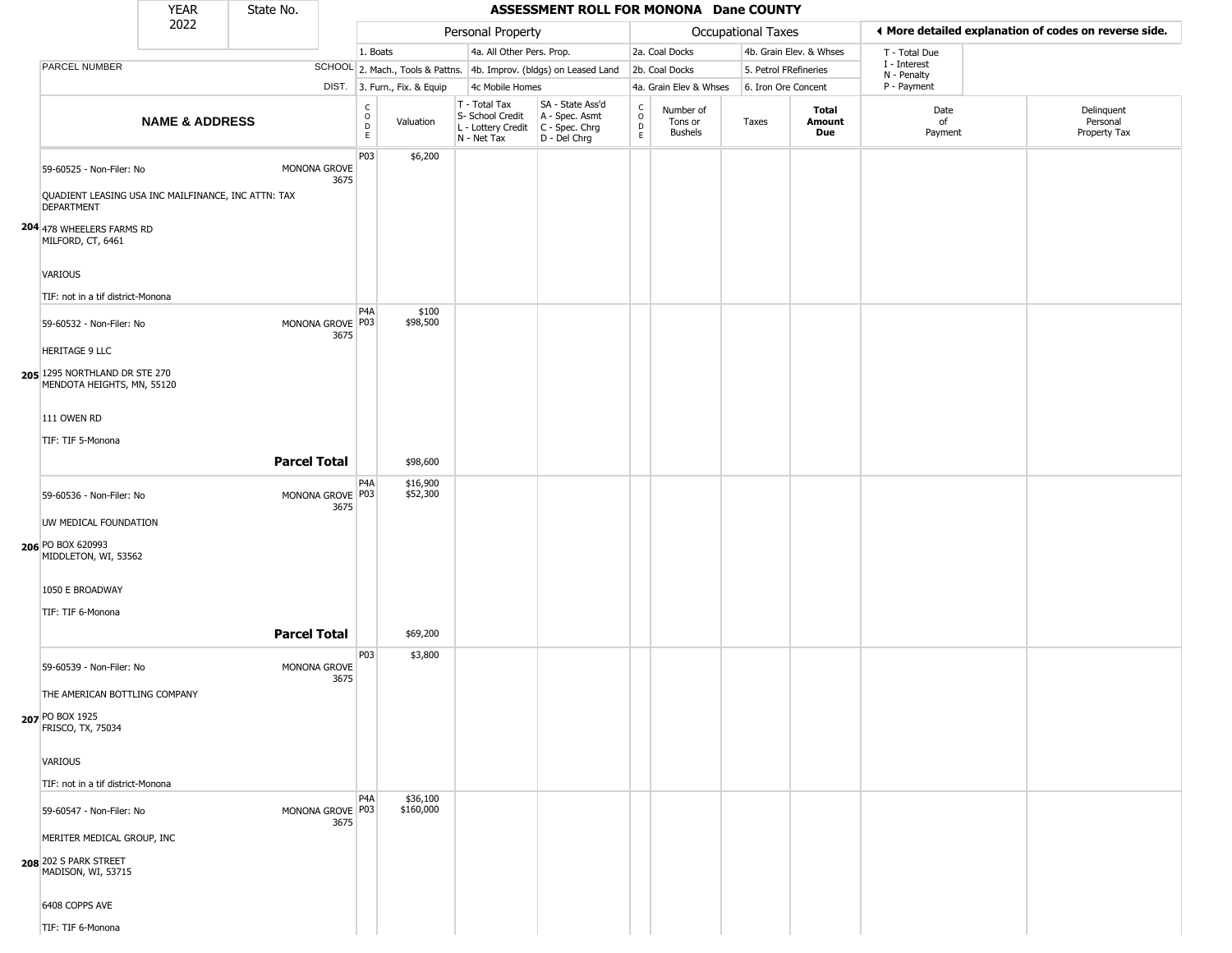|                                                                                                                                   | <b>YEAR</b>               | State No.           |                          |                        |                              |                                                                        | ASSESSMENT ROLL FOR MONONA Dane COUNTY                               |                                         |                                        |                       |                         |                             |                                                       |
|-----------------------------------------------------------------------------------------------------------------------------------|---------------------------|---------------------|--------------------------|------------------------|------------------------------|------------------------------------------------------------------------|----------------------------------------------------------------------|-----------------------------------------|----------------------------------------|-----------------------|-------------------------|-----------------------------|-------------------------------------------------------|
|                                                                                                                                   | 2022                      |                     |                          |                        |                              | Personal Property                                                      |                                                                      |                                         |                                        | Occupational Taxes    |                         |                             | ♦ More detailed explanation of codes on reverse side. |
|                                                                                                                                   |                           |                     |                          | 1. Boats               |                              | 4a. All Other Pers. Prop.                                              |                                                                      |                                         | 2a. Coal Docks                         |                       | 4b. Grain Elev. & Whses | T - Total Due               |                                                       |
| PARCEL NUMBER                                                                                                                     |                           |                     |                          |                        |                              |                                                                        | SCHOOL 2. Mach., Tools & Pattns. 4b. Improv. (bldgs) on Leased Land  |                                         | 2b. Coal Docks                         | 5. Petrol FRefineries |                         | I - Interest<br>N - Penalty |                                                       |
|                                                                                                                                   |                           |                     |                          |                        | DIST. 3. Furn., Fix. & Equip | 4c Mobile Homes                                                        |                                                                      |                                         | 4a. Grain Elev & Whses                 | 6. Iron Ore Concent   |                         | P - Payment                 |                                                       |
|                                                                                                                                   | <b>NAME &amp; ADDRESS</b> |                     |                          | C<br>$\circ$<br>D<br>E | Valuation                    | T - Total Tax<br>S- School Credit<br>L - Lottery Credit<br>N - Net Tax | SA - State Ass'd<br>A - Spec. Asmt<br>C - Spec. Chrg<br>D - Del Chrg | $_{\rm o}^{\rm c}$<br>$\mathsf{D}$<br>E | Number of<br>Tons or<br><b>Bushels</b> | Taxes                 | Total<br>Amount<br>Due  | Date<br>of<br>Payment       | Delinquent<br>Personal<br>Property Tax                |
| 59-60525 - Non-Filer: No<br>QUADIENT LEASING USA INC MAILFINANCE, INC ATTN: TAX<br><b>DEPARTMENT</b><br>204 478 WHEELERS FARMS RD |                           |                     | MONONA GROVE<br>3675     | P03                    | \$6,200                      |                                                                        |                                                                      |                                         |                                        |                       |                         |                             |                                                       |
| MILFORD, CT, 6461<br>VARIOUS<br>TIF: not in a tif district-Monona                                                                 |                           |                     |                          | P <sub>4</sub> A       | \$100                        |                                                                        |                                                                      |                                         |                                        |                       |                         |                             |                                                       |
| 59-60532 - Non-Filer: No<br><b>HERITAGE 9 LLC</b>                                                                                 |                           |                     | MONONA GROVE P03<br>3675 |                        | \$98,500                     |                                                                        |                                                                      |                                         |                                        |                       |                         |                             |                                                       |
| 205 1295 NORTHLAND DR STE 270<br>MENDOTA HEIGHTS, MN, 55120<br>111 OWEN RD<br>TIF: TIF 5-Monona                                   |                           |                     |                          |                        |                              |                                                                        |                                                                      |                                         |                                        |                       |                         |                             |                                                       |
|                                                                                                                                   |                           | <b>Parcel Total</b> |                          |                        | \$98,600                     |                                                                        |                                                                      |                                         |                                        |                       |                         |                             |                                                       |
| 59-60536 - Non-Filer: No<br>UW MEDICAL FOUNDATION                                                                                 |                           |                     | MONONA GROVE P03<br>3675 | P <sub>4</sub> A       | \$16,900<br>\$52,300         |                                                                        |                                                                      |                                         |                                        |                       |                         |                             |                                                       |
| 206 PO BOX 620993<br>MIDDLETON, WI, 53562<br>1050 E BROADWAY<br>TIF: TIF 6-Monona                                                 |                           |                     |                          |                        |                              |                                                                        |                                                                      |                                         |                                        |                       |                         |                             |                                                       |
|                                                                                                                                   |                           | <b>Parcel Total</b> |                          |                        | \$69,200                     |                                                                        |                                                                      |                                         |                                        |                       |                         |                             |                                                       |
| 59-60539 - Non-Filer: No<br>THE AMERICAN BOTTLING COMPANY<br>207 PO BOX 1925<br>FRISCO, TX, 75034                                 |                           |                     | MONONA GROVE<br>3675     | P03                    | \$3,800                      |                                                                        |                                                                      |                                         |                                        |                       |                         |                             |                                                       |
| VARIOUS                                                                                                                           |                           |                     |                          |                        |                              |                                                                        |                                                                      |                                         |                                        |                       |                         |                             |                                                       |
| TIF: not in a tif district-Monona                                                                                                 |                           |                     |                          |                        |                              |                                                                        |                                                                      |                                         |                                        |                       |                         |                             |                                                       |
| 59-60547 - Non-Filer: No<br>MERITER MEDICAL GROUP, INC                                                                            |                           |                     | MONONA GROVE P03<br>3675 | P <sub>4</sub> A       | \$36,100<br>\$160,000        |                                                                        |                                                                      |                                         |                                        |                       |                         |                             |                                                       |
| 208 202 S PARK STREET<br>MADISON, WI, 53715                                                                                       |                           |                     |                          |                        |                              |                                                                        |                                                                      |                                         |                                        |                       |                         |                             |                                                       |
| 6408 COPPS AVE<br>TIF: TIF 6-Monona                                                                                               |                           |                     |                          |                        |                              |                                                                        |                                                                      |                                         |                                        |                       |                         |                             |                                                       |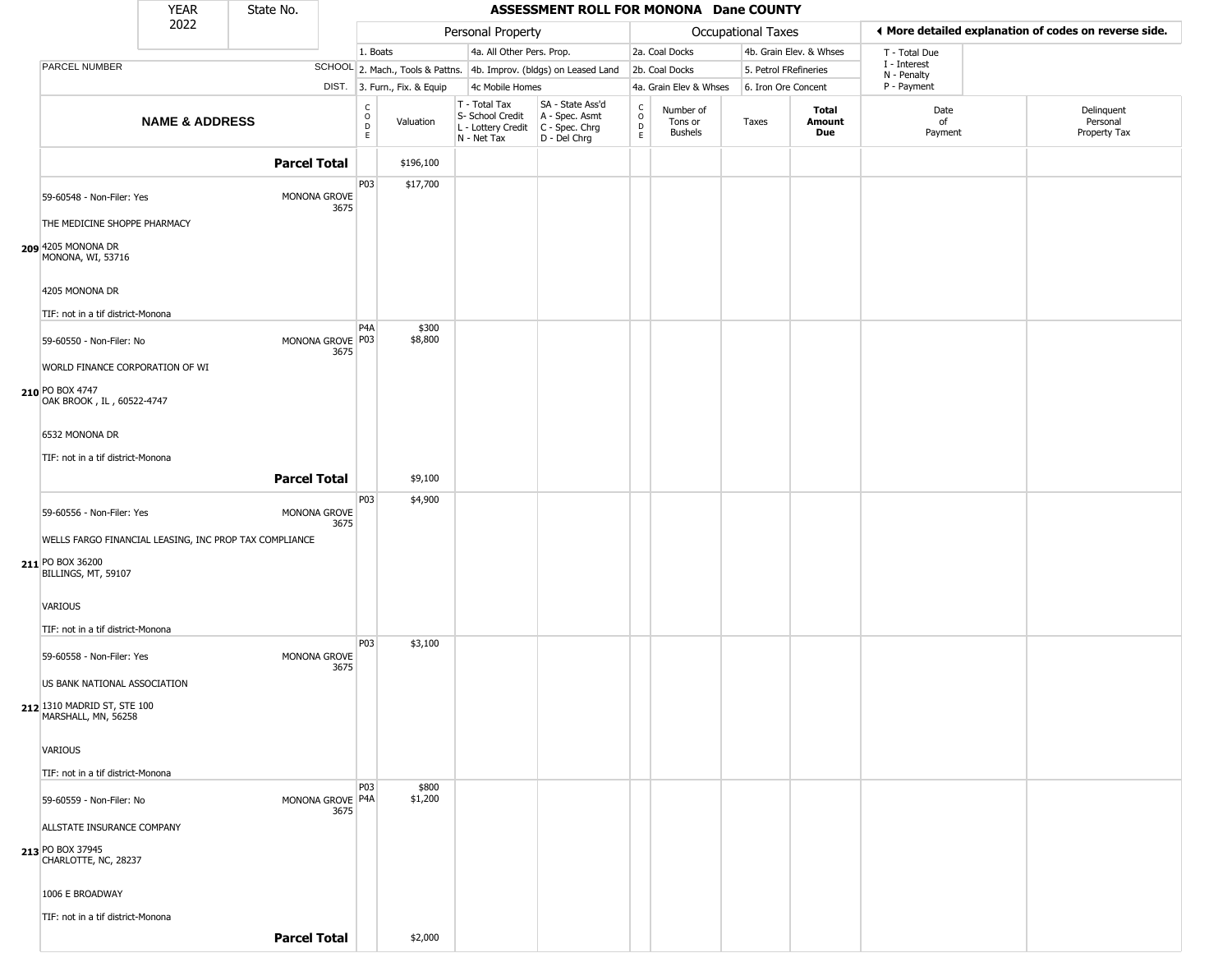|                                                                         | <b>YEAR</b>               | State No.           |                            |                                      |                              |                                                                                         | ASSESSMENT ROLL FOR MONONA Dane COUNTY                              |                                   |                                 |                           |                         |                             |                                                       |
|-------------------------------------------------------------------------|---------------------------|---------------------|----------------------------|--------------------------------------|------------------------------|-----------------------------------------------------------------------------------------|---------------------------------------------------------------------|-----------------------------------|---------------------------------|---------------------------|-------------------------|-----------------------------|-------------------------------------------------------|
|                                                                         | 2022                      |                     |                            |                                      |                              | Personal Property                                                                       |                                                                     |                                   |                                 | <b>Occupational Taxes</b> |                         |                             | ♦ More detailed explanation of codes on reverse side. |
|                                                                         |                           |                     |                            | 1. Boats                             |                              | 4a. All Other Pers. Prop.                                                               |                                                                     |                                   | 2a. Coal Docks                  |                           | 4b. Grain Elev. & Whses | T - Total Due               |                                                       |
| PARCEL NUMBER                                                           |                           |                     |                            |                                      |                              |                                                                                         | SCHOOL 2. Mach., Tools & Pattns. 4b. Improv. (bldgs) on Leased Land |                                   | 2b. Coal Docks                  | 5. Petrol FRefineries     |                         | I - Interest<br>N - Penalty |                                                       |
|                                                                         |                           |                     |                            |                                      | DIST. 3. Furn., Fix. & Equip | 4c Mobile Homes                                                                         |                                                                     |                                   | 4a. Grain Elev & Whses          | 6. Iron Ore Concent       |                         | P - Payment                 |                                                       |
|                                                                         | <b>NAME &amp; ADDRESS</b> |                     |                            | c<br>$\mathsf O$<br>$\mathsf D$<br>E | Valuation                    | $T - Total Tax$<br>S- School Credit<br>L - Lottery Credit C - Spec. Chrg<br>N - Net Tax | SA - State Ass'd<br>A - Spec. Asmt<br>D - Del Chrg                  | $\frac{c}{0}$<br>$\mathsf D$<br>E | Number of<br>Tons or<br>Bushels | Taxes                     | Total<br>Amount<br>Due  | Date<br>of<br>Payment       | Delinquent<br>Personal<br>Property Tax                |
|                                                                         |                           | <b>Parcel Total</b> |                            |                                      | \$196,100                    |                                                                                         |                                                                     |                                   |                                 |                           |                         |                             |                                                       |
| 59-60548 - Non-Filer: Yes                                               |                           |                     | MONONA GROVE<br>3675       | P03                                  | \$17,700                     |                                                                                         |                                                                     |                                   |                                 |                           |                         |                             |                                                       |
| THE MEDICINE SHOPPE PHARMACY<br>209 4205 MONONA DR<br>MONONA, WI, 53716 |                           |                     |                            |                                      |                              |                                                                                         |                                                                     |                                   |                                 |                           |                         |                             |                                                       |
| 4205 MONONA DR                                                          |                           |                     |                            |                                      |                              |                                                                                         |                                                                     |                                   |                                 |                           |                         |                             |                                                       |
| TIF: not in a tif district-Monona<br>59-60550 - Non-Filer: No           |                           |                     | MONONA GROVE P03           | P <sub>4</sub> A                     | \$300<br>\$8,800             |                                                                                         |                                                                     |                                   |                                 |                           |                         |                             |                                                       |
| WORLD FINANCE CORPORATION OF WI                                         |                           |                     | 3675                       |                                      |                              |                                                                                         |                                                                     |                                   |                                 |                           |                         |                             |                                                       |
| 210 PO BOX 4747<br>OAK BROOK, IL, 60522-4747                            |                           |                     |                            |                                      |                              |                                                                                         |                                                                     |                                   |                                 |                           |                         |                             |                                                       |
| 6532 MONONA DR                                                          |                           |                     |                            |                                      |                              |                                                                                         |                                                                     |                                   |                                 |                           |                         |                             |                                                       |
| TIF: not in a tif district-Monona                                       |                           | <b>Parcel Total</b> |                            |                                      | \$9,100                      |                                                                                         |                                                                     |                                   |                                 |                           |                         |                             |                                                       |
|                                                                         |                           |                     |                            | P03                                  | \$4,900                      |                                                                                         |                                                                     |                                   |                                 |                           |                         |                             |                                                       |
| 59-60556 - Non-Filer: Yes                                               |                           |                     | MONONA GROVE<br>3675       |                                      |                              |                                                                                         |                                                                     |                                   |                                 |                           |                         |                             |                                                       |
| WELLS FARGO FINANCIAL LEASING, INC PROP TAX COMPLIANCE                  |                           |                     |                            |                                      |                              |                                                                                         |                                                                     |                                   |                                 |                           |                         |                             |                                                       |
| 211 PO BOX 36200<br>BILLINGS, MT, 59107                                 |                           |                     |                            |                                      |                              |                                                                                         |                                                                     |                                   |                                 |                           |                         |                             |                                                       |
| <b>VARIOUS</b>                                                          |                           |                     |                            |                                      |                              |                                                                                         |                                                                     |                                   |                                 |                           |                         |                             |                                                       |
| TIF: not in a tif district-Monona                                       |                           |                     |                            |                                      |                              |                                                                                         |                                                                     |                                   |                                 |                           |                         |                             |                                                       |
| 59-60558 - Non-Filer: Yes                                               |                           |                     | MONONA GROVE<br>3675       | P03                                  | \$3,100                      |                                                                                         |                                                                     |                                   |                                 |                           |                         |                             |                                                       |
| US BANK NATIONAL ASSOCIATION                                            |                           |                     |                            |                                      |                              |                                                                                         |                                                                     |                                   |                                 |                           |                         |                             |                                                       |
| 212 1310 MADRID ST, STE 100<br>MARSHALL, MN, 56258                      |                           |                     |                            |                                      |                              |                                                                                         |                                                                     |                                   |                                 |                           |                         |                             |                                                       |
| VARIOUS                                                                 |                           |                     |                            |                                      |                              |                                                                                         |                                                                     |                                   |                                 |                           |                         |                             |                                                       |
| TIF: not in a tif district-Monona                                       |                           |                     |                            |                                      |                              |                                                                                         |                                                                     |                                   |                                 |                           |                         |                             |                                                       |
| 59-60559 - Non-Filer: No                                                |                           |                     | MONONA GROVE   P4A<br>3675 | <b>P03</b>                           | \$800<br>\$1,200             |                                                                                         |                                                                     |                                   |                                 |                           |                         |                             |                                                       |
| ALLSTATE INSURANCE COMPANY                                              |                           |                     |                            |                                      |                              |                                                                                         |                                                                     |                                   |                                 |                           |                         |                             |                                                       |
| 213 PO BOX 37945<br>CHARLOTTE, NC, 28237                                |                           |                     |                            |                                      |                              |                                                                                         |                                                                     |                                   |                                 |                           |                         |                             |                                                       |
| 1006 E BROADWAY                                                         |                           |                     |                            |                                      |                              |                                                                                         |                                                                     |                                   |                                 |                           |                         |                             |                                                       |
| TIF: not in a tif district-Monona                                       |                           |                     |                            |                                      |                              |                                                                                         |                                                                     |                                   |                                 |                           |                         |                             |                                                       |
|                                                                         |                           | <b>Parcel Total</b> |                            |                                      | \$2,000                      |                                                                                         |                                                                     |                                   |                                 |                           |                         |                             |                                                       |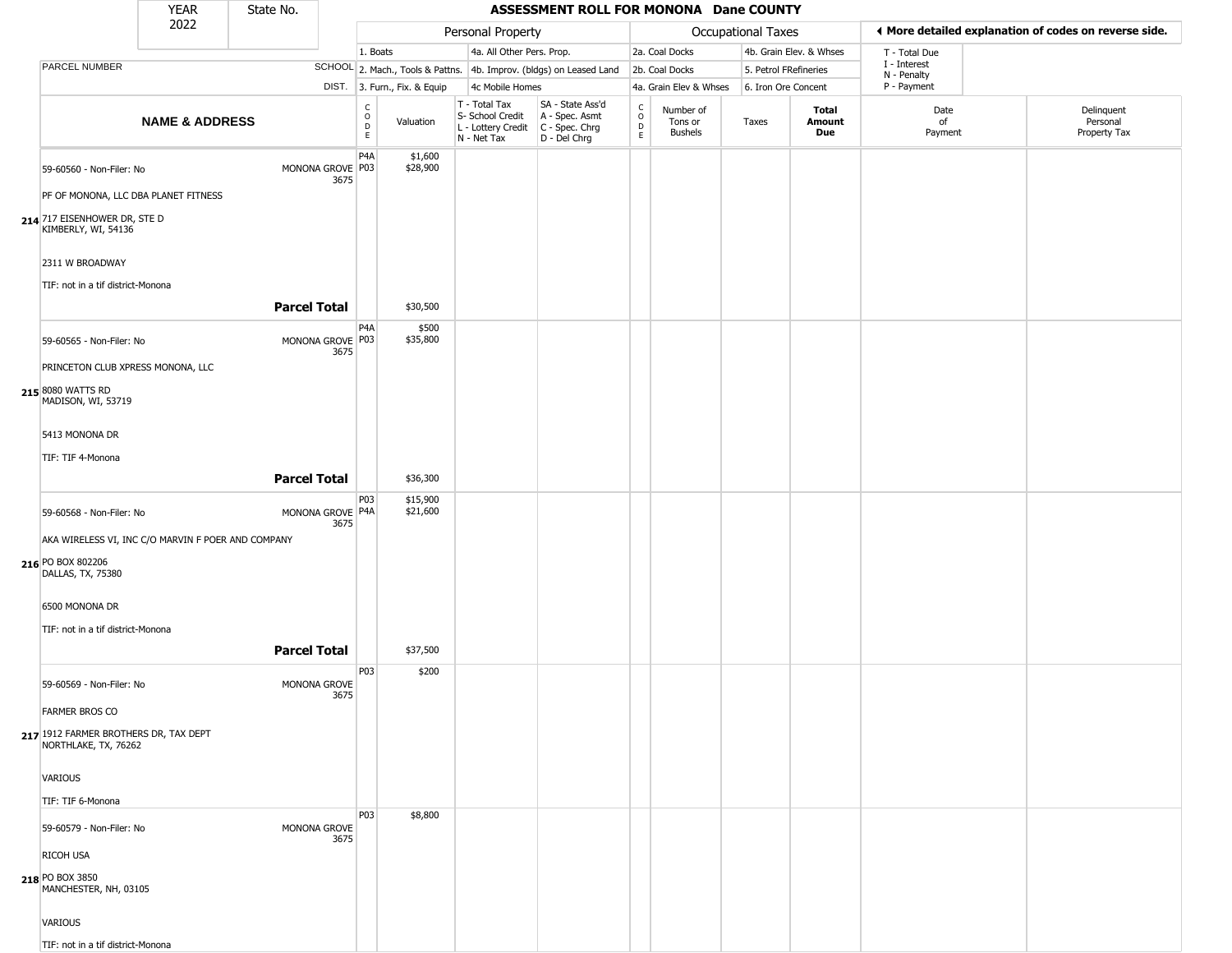|                                                                                              | <b>YEAR</b>               | State No.           |      |                                    |                              |                                                                                         | ASSESSMENT ROLL FOR MONONA Dane COUNTY                              |                                                                    |                                        |                           |                         |                                                       |                                        |
|----------------------------------------------------------------------------------------------|---------------------------|---------------------|------|------------------------------------|------------------------------|-----------------------------------------------------------------------------------------|---------------------------------------------------------------------|--------------------------------------------------------------------|----------------------------------------|---------------------------|-------------------------|-------------------------------------------------------|----------------------------------------|
|                                                                                              | 2022                      |                     |      |                                    |                              | Personal Property                                                                       |                                                                     |                                                                    |                                        | <b>Occupational Taxes</b> |                         | ◀ More detailed explanation of codes on reverse side. |                                        |
|                                                                                              |                           |                     |      | 1. Boats                           |                              | 4a. All Other Pers. Prop.                                                               |                                                                     |                                                                    | 2a. Coal Docks                         |                           | 4b. Grain Elev. & Whses | T - Total Due                                         |                                        |
| PARCEL NUMBER                                                                                |                           |                     |      |                                    |                              |                                                                                         | SCHOOL 2. Mach., Tools & Pattns. 4b. Improv. (bldgs) on Leased Land |                                                                    | 2b. Coal Docks                         | 5. Petrol FRefineries     |                         | I - Interest<br>N - Penalty                           |                                        |
|                                                                                              |                           |                     |      |                                    | DIST. 3. Furn., Fix. & Equip | 4c Mobile Homes                                                                         |                                                                     |                                                                    | 4a. Grain Elev & Whses                 | 6. Iron Ore Concent       |                         | P - Payment                                           |                                        |
|                                                                                              | <b>NAME &amp; ADDRESS</b> |                     |      | C<br>$\circ$<br>$\mathsf{D}$<br>E. | Valuation                    | T - Total Tax<br>S- School Credit<br>L - Lottery Credit   C - Spec. Chrg<br>N - Net Tax | SA - State Ass'd<br>A - Spec. Asmt<br>D - Del Chrg                  | $\begin{smallmatrix} C \\ 0 \\ D \end{smallmatrix}$<br>$\mathsf E$ | Number of<br>Tons or<br><b>Bushels</b> | Taxes                     | Total<br>Amount<br>Due  | Date<br>of<br>Payment                                 | Delinquent<br>Personal<br>Property Tax |
| 59-60560 - Non-Filer: No<br>PF OF MONONA, LLC DBA PLANET FITNESS                             |                           | MONONA GROVE P03    | 3675 | P <sub>4</sub> A                   | \$1,600<br>\$28,900          |                                                                                         |                                                                     |                                                                    |                                        |                           |                         |                                                       |                                        |
| 214 717 EISENHOWER DR, STE D<br>KIMBERLY, WI, 54136                                          |                           |                     |      |                                    |                              |                                                                                         |                                                                     |                                                                    |                                        |                           |                         |                                                       |                                        |
| 2311 W BROADWAY<br>TIF: not in a tif district-Monona                                         |                           |                     |      |                                    |                              |                                                                                         |                                                                     |                                                                    |                                        |                           |                         |                                                       |                                        |
|                                                                                              |                           | <b>Parcel Total</b> |      |                                    | \$30,500                     |                                                                                         |                                                                     |                                                                    |                                        |                           |                         |                                                       |                                        |
| 59-60565 - Non-Filer: No                                                                     |                           | MONONA GROVE P03    | 3675 | P4A                                | \$500<br>\$35,800            |                                                                                         |                                                                     |                                                                    |                                        |                           |                         |                                                       |                                        |
| PRINCETON CLUB XPRESS MONONA, LLC                                                            |                           |                     |      |                                    |                              |                                                                                         |                                                                     |                                                                    |                                        |                           |                         |                                                       |                                        |
| 215 8080 WATTS RD<br>MADISON, WI, 53719                                                      |                           |                     |      |                                    |                              |                                                                                         |                                                                     |                                                                    |                                        |                           |                         |                                                       |                                        |
| 5413 MONONA DR                                                                               |                           |                     |      |                                    |                              |                                                                                         |                                                                     |                                                                    |                                        |                           |                         |                                                       |                                        |
| TIF: TIF 4-Monona                                                                            |                           |                     |      |                                    |                              |                                                                                         |                                                                     |                                                                    |                                        |                           |                         |                                                       |                                        |
|                                                                                              |                           | <b>Parcel Total</b> |      |                                    | \$36,300                     |                                                                                         |                                                                     |                                                                    |                                        |                           |                         |                                                       |                                        |
| 59-60568 - Non-Filer: No                                                                     |                           | MONONA GROVE P4A    | 3675 | P03                                | \$15,900<br>\$21,600         |                                                                                         |                                                                     |                                                                    |                                        |                           |                         |                                                       |                                        |
| AKA WIRELESS VI, INC C/O MARVIN F POER AND COMPANY<br>216 PO BOX 802206<br>DALLAS, TX, 75380 |                           |                     |      |                                    |                              |                                                                                         |                                                                     |                                                                    |                                        |                           |                         |                                                       |                                        |
| 6500 MONONA DR                                                                               |                           |                     |      |                                    |                              |                                                                                         |                                                                     |                                                                    |                                        |                           |                         |                                                       |                                        |
| TIF: not in a tif district-Monona                                                            |                           |                     |      |                                    |                              |                                                                                         |                                                                     |                                                                    |                                        |                           |                         |                                                       |                                        |
|                                                                                              |                           | <b>Parcel Total</b> |      |                                    | \$37,500                     |                                                                                         |                                                                     |                                                                    |                                        |                           |                         |                                                       |                                        |
| 59-60569 - Non-Filer: No                                                                     |                           | MONONA GROVE        | 3675 | P03                                | \$200                        |                                                                                         |                                                                     |                                                                    |                                        |                           |                         |                                                       |                                        |
| <b>FARMER BROS CO</b>                                                                        |                           |                     |      |                                    |                              |                                                                                         |                                                                     |                                                                    |                                        |                           |                         |                                                       |                                        |
| 217 1912 FARMER BROTHERS DR, TAX DEPT<br>NORTHLAKE, TX, 76262                                |                           |                     |      |                                    |                              |                                                                                         |                                                                     |                                                                    |                                        |                           |                         |                                                       |                                        |
| VARIOUS                                                                                      |                           |                     |      |                                    |                              |                                                                                         |                                                                     |                                                                    |                                        |                           |                         |                                                       |                                        |
| TIF: TIF 6-Monona                                                                            |                           |                     |      |                                    |                              |                                                                                         |                                                                     |                                                                    |                                        |                           |                         |                                                       |                                        |
| 59-60579 - Non-Filer: No                                                                     |                           | MONONA GROVE        | 3675 | P <sub>0</sub> 3                   | \$8,800                      |                                                                                         |                                                                     |                                                                    |                                        |                           |                         |                                                       |                                        |
| <b>RICOH USA</b><br>218 PO BOX 3850<br>MANCHESTER, NH, 03105                                 |                           |                     |      |                                    |                              |                                                                                         |                                                                     |                                                                    |                                        |                           |                         |                                                       |                                        |
| VARIOUS                                                                                      |                           |                     |      |                                    |                              |                                                                                         |                                                                     |                                                                    |                                        |                           |                         |                                                       |                                        |
| TIF: not in a tif district-Monona                                                            |                           |                     |      |                                    |                              |                                                                                         |                                                                     |                                                                    |                                        |                           |                         |                                                       |                                        |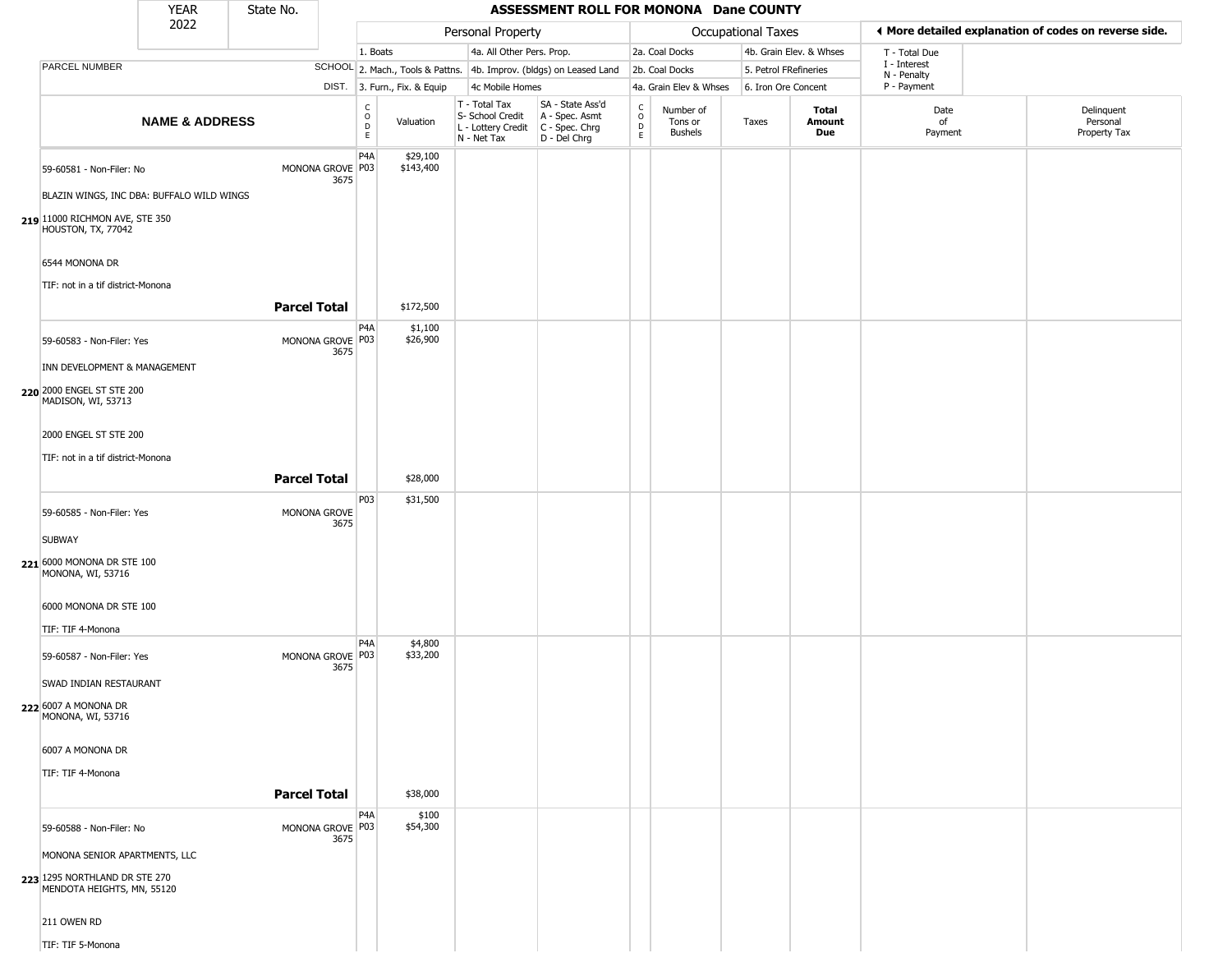|                                                                       | <b>YEAR</b>               | State No.           |                                              |                              |                                                  | ASSESSMENT ROLL FOR MONONA Dane COUNTY                                                    |                                        |                                        |                       |                         |                            |                                                       |
|-----------------------------------------------------------------------|---------------------------|---------------------|----------------------------------------------|------------------------------|--------------------------------------------------|-------------------------------------------------------------------------------------------|----------------------------------------|----------------------------------------|-----------------------|-------------------------|----------------------------|-------------------------------------------------------|
|                                                                       | 2022                      |                     |                                              |                              | Personal Property                                |                                                                                           |                                        |                                        | Occupational Taxes    |                         |                            | ♦ More detailed explanation of codes on reverse side. |
|                                                                       |                           |                     | 1. Boats                                     |                              | 4a. All Other Pers. Prop.                        |                                                                                           |                                        | 2a. Coal Docks                         |                       | 4b. Grain Elev. & Whses | T - Total Due              |                                                       |
| PARCEL NUMBER                                                         |                           |                     |                                              |                              |                                                  | SCHOOL 2. Mach., Tools & Pattns. 4b. Improv. (bldgs) on Leased Land                       |                                        | 2b. Coal Docks                         | 5. Petrol FRefineries |                         | I - Interest               |                                                       |
|                                                                       |                           |                     |                                              | DIST. 3. Furn., Fix. & Equip | 4c Mobile Homes                                  |                                                                                           |                                        | 4a. Grain Elev & Whses                 | 6. Iron Ore Concent   |                         | N - Penalty<br>P - Payment |                                                       |
|                                                                       | <b>NAME &amp; ADDRESS</b> |                     | $_{\rm o}^{\rm c}$<br>$\frac{D}{E}$          | Valuation                    | T - Total Tax<br>S- School Credit<br>N - Net Tax | SA - State Ass'd<br>A - Spec. Asmt<br>L - Lottery Credit   C - Spec. Chrg<br>D - Del Chrg | $_{\rm o}^{\rm c}$<br>D<br>$\mathsf E$ | Number of<br>Tons or<br><b>Bushels</b> | Taxes                 | Total<br>Amount<br>Due  | Date<br>of<br>Payment      | Delinguent<br>Personal<br>Property Tax                |
| 59-60581 - Non-Filer: No<br>BLAZIN WINGS, INC DBA: BUFFALO WILD WINGS |                           |                     | P4A<br>MONONA GROVE P03<br>3675              | \$29,100<br>\$143,400        |                                                  |                                                                                           |                                        |                                        |                       |                         |                            |                                                       |
| 219 11000 RICHMON AVE, STE 350<br>HOUSTON, TX, 77042                  |                           |                     |                                              |                              |                                                  |                                                                                           |                                        |                                        |                       |                         |                            |                                                       |
| 6544 MONONA DR<br>TIF: not in a tif district-Monona                   |                           |                     |                                              |                              |                                                  |                                                                                           |                                        |                                        |                       |                         |                            |                                                       |
|                                                                       |                           | <b>Parcel Total</b> |                                              | \$172,500                    |                                                  |                                                                                           |                                        |                                        |                       |                         |                            |                                                       |
| 59-60583 - Non-Filer: Yes                                             |                           |                     | P <sub>4</sub> A<br>MONONA GROVE P03<br>3675 | \$1,100<br>\$26,900          |                                                  |                                                                                           |                                        |                                        |                       |                         |                            |                                                       |
| INN DEVELOPMENT & MANAGEMENT                                          |                           |                     |                                              |                              |                                                  |                                                                                           |                                        |                                        |                       |                         |                            |                                                       |
| 220 2000 ENGEL ST STE 200<br>MADISON, WI, 53713                       |                           |                     |                                              |                              |                                                  |                                                                                           |                                        |                                        |                       |                         |                            |                                                       |
| 2000 ENGEL ST STE 200                                                 |                           |                     |                                              |                              |                                                  |                                                                                           |                                        |                                        |                       |                         |                            |                                                       |
| TIF: not in a tif district-Monona                                     |                           |                     |                                              |                              |                                                  |                                                                                           |                                        |                                        |                       |                         |                            |                                                       |
|                                                                       |                           | <b>Parcel Total</b> |                                              | \$28,000                     |                                                  |                                                                                           |                                        |                                        |                       |                         |                            |                                                       |
|                                                                       |                           |                     | P03                                          | \$31,500                     |                                                  |                                                                                           |                                        |                                        |                       |                         |                            |                                                       |
| 59-60585 - Non-Filer: Yes                                             |                           |                     | MONONA GROVE<br>3675                         |                              |                                                  |                                                                                           |                                        |                                        |                       |                         |                            |                                                       |
| <b>SUBWAY</b>                                                         |                           |                     |                                              |                              |                                                  |                                                                                           |                                        |                                        |                       |                         |                            |                                                       |
| 221 6000 MONONA DR STE 100<br>MONONA, WI, 53716                       |                           |                     |                                              |                              |                                                  |                                                                                           |                                        |                                        |                       |                         |                            |                                                       |
| 6000 MONONA DR STE 100                                                |                           |                     |                                              |                              |                                                  |                                                                                           |                                        |                                        |                       |                         |                            |                                                       |
| TIF: TIF 4-Monona                                                     |                           |                     |                                              |                              |                                                  |                                                                                           |                                        |                                        |                       |                         |                            |                                                       |
| 59-60587 - Non-Filer: Yes                                             |                           |                     | P4A<br>MONONA GROVE P03<br>3675              | \$4,800<br>\$33,200          |                                                  |                                                                                           |                                        |                                        |                       |                         |                            |                                                       |
| SWAD INDIAN RESTAURANT                                                |                           |                     |                                              |                              |                                                  |                                                                                           |                                        |                                        |                       |                         |                            |                                                       |
| 222 6007 A MONONA DR<br>MONONA, WI, 53716                             |                           |                     |                                              |                              |                                                  |                                                                                           |                                        |                                        |                       |                         |                            |                                                       |
| 6007 A MONONA DR                                                      |                           |                     |                                              |                              |                                                  |                                                                                           |                                        |                                        |                       |                         |                            |                                                       |
| TIF: TIF 4-Monona                                                     |                           |                     |                                              |                              |                                                  |                                                                                           |                                        |                                        |                       |                         |                            |                                                       |
|                                                                       |                           | <b>Parcel Total</b> |                                              | \$38,000                     |                                                  |                                                                                           |                                        |                                        |                       |                         |                            |                                                       |
| 59-60588 - Non-Filer: No                                              |                           |                     | P4A<br>MONONA GROVE P03<br>3675              | \$100<br>\$54,300            |                                                  |                                                                                           |                                        |                                        |                       |                         |                            |                                                       |
| MONONA SENIOR APARTMENTS, LLC                                         |                           |                     |                                              |                              |                                                  |                                                                                           |                                        |                                        |                       |                         |                            |                                                       |
| 223 1295 NORTHLAND DR STE 270<br>MENDOTA HEIGHTS, MN, 55120           |                           |                     |                                              |                              |                                                  |                                                                                           |                                        |                                        |                       |                         |                            |                                                       |
| 211 OWEN RD                                                           |                           |                     |                                              |                              |                                                  |                                                                                           |                                        |                                        |                       |                         |                            |                                                       |
| TIF: TIF 5-Monona                                                     |                           |                     |                                              |                              |                                                  |                                                                                           |                                        |                                        |                       |                         |                            |                                                       |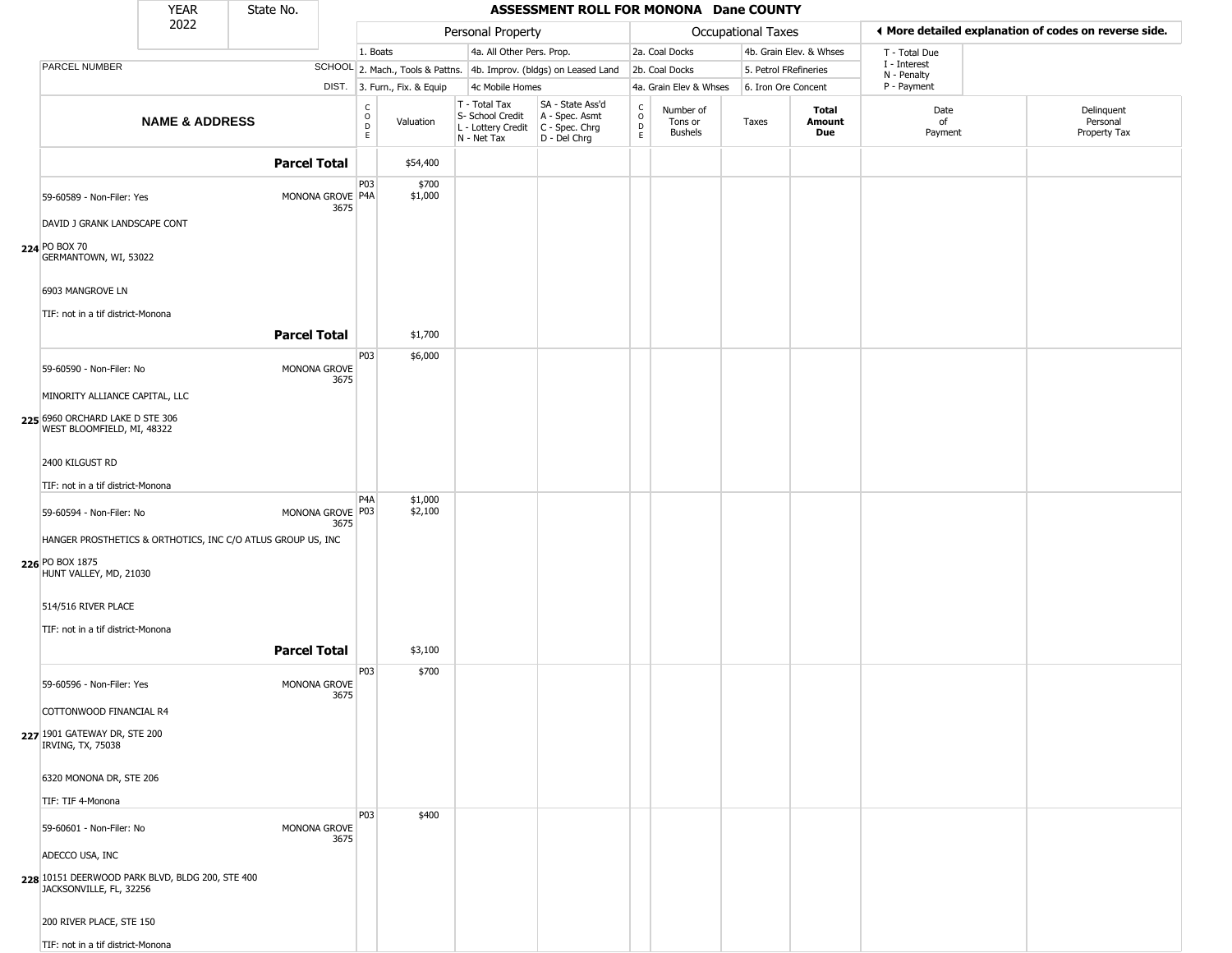|                                                                                                          | <b>YEAR</b>               | State No.           |                          |                                                |                              |                                                                                         | ASSESSMENT ROLL FOR MONONA Dane COUNTY                              |                         |                                        |                       |                         |                            |                                                       |
|----------------------------------------------------------------------------------------------------------|---------------------------|---------------------|--------------------------|------------------------------------------------|------------------------------|-----------------------------------------------------------------------------------------|---------------------------------------------------------------------|-------------------------|----------------------------------------|-----------------------|-------------------------|----------------------------|-------------------------------------------------------|
|                                                                                                          | 2022                      |                     |                          |                                                |                              | Personal Property                                                                       |                                                                     |                         |                                        | Occupational Taxes    |                         |                            | ♦ More detailed explanation of codes on reverse side. |
|                                                                                                          |                           |                     |                          | 1. Boats                                       |                              | 4a. All Other Pers. Prop.                                                               |                                                                     |                         | 2a. Coal Docks                         |                       | 4b. Grain Elev. & Whses | T - Total Due              |                                                       |
| <b>PARCEL NUMBER</b>                                                                                     |                           |                     |                          |                                                |                              |                                                                                         | SCHOOL 2. Mach., Tools & Pattns. 4b. Improv. (bldgs) on Leased Land |                         | 2b. Coal Docks                         | 5. Petrol FRefineries |                         | I - Interest               |                                                       |
|                                                                                                          |                           |                     |                          |                                                | DIST. 3. Furn., Fix. & Equip | 4c Mobile Homes                                                                         |                                                                     |                         | 4a. Grain Elev & Whses                 | 6. Iron Ore Concent   |                         | N - Penalty<br>P - Payment |                                                       |
|                                                                                                          | <b>NAME &amp; ADDRESS</b> |                     |                          | $\begin{matrix} 0 \\ 0 \\ D \end{matrix}$<br>E | Valuation                    | T - Total Tax<br>S- School Credit<br>L - Lottery Credit   C - Spec. Chrg<br>N - Net Tax | SA - State Ass'd<br>A - Spec. Asmt<br>D - Del Chrg                  | $\frac{c}{0}$<br>D<br>E | Number of<br>Tons or<br><b>Bushels</b> | Taxes                 | Total<br>Amount<br>Due  | Date<br>of<br>Payment      | Delinquent<br>Personal<br>Property Tax                |
|                                                                                                          |                           |                     |                          |                                                |                              |                                                                                         |                                                                     |                         |                                        |                       |                         |                            |                                                       |
|                                                                                                          |                           | <b>Parcel Total</b> |                          |                                                | \$54,400                     |                                                                                         |                                                                     |                         |                                        |                       |                         |                            |                                                       |
| 59-60589 - Non-Filer: Yes<br>DAVID J GRANK LANDSCAPE CONT                                                |                           |                     | MONONA GROVE P4A<br>3675 | P03                                            | \$700<br>\$1,000             |                                                                                         |                                                                     |                         |                                        |                       |                         |                            |                                                       |
| 224 PO BOX 70<br>GERMANTOWN, WI, 53022                                                                   |                           |                     |                          |                                                |                              |                                                                                         |                                                                     |                         |                                        |                       |                         |                            |                                                       |
| 6903 MANGROVE LN<br>TIF: not in a tif district-Monona                                                    |                           |                     |                          |                                                |                              |                                                                                         |                                                                     |                         |                                        |                       |                         |                            |                                                       |
|                                                                                                          |                           | <b>Parcel Total</b> |                          |                                                | \$1,700                      |                                                                                         |                                                                     |                         |                                        |                       |                         |                            |                                                       |
| 59-60590 - Non-Filer: No                                                                                 |                           |                     | MONONA GROVE<br>3675     | P03                                            | \$6,000                      |                                                                                         |                                                                     |                         |                                        |                       |                         |                            |                                                       |
| MINORITY ALLIANCE CAPITAL, LLC                                                                           |                           |                     |                          |                                                |                              |                                                                                         |                                                                     |                         |                                        |                       |                         |                            |                                                       |
| 225 6960 ORCHARD LAKE D STE 306<br>WEST BLOOMFIELD, MI, 48322                                            |                           |                     |                          |                                                |                              |                                                                                         |                                                                     |                         |                                        |                       |                         |                            |                                                       |
| 2400 KILGUST RD                                                                                          |                           |                     |                          |                                                |                              |                                                                                         |                                                                     |                         |                                        |                       |                         |                            |                                                       |
| TIF: not in a tif district-Monona                                                                        |                           |                     |                          | P <sub>4</sub> A                               | \$1,000                      |                                                                                         |                                                                     |                         |                                        |                       |                         |                            |                                                       |
| 59-60594 - Non-Filer: No                                                                                 |                           |                     | MONONA GROVE P03<br>3675 |                                                | \$2,100                      |                                                                                         |                                                                     |                         |                                        |                       |                         |                            |                                                       |
| HANGER PROSTHETICS & ORTHOTICS, INC C/O ATLUS GROUP US, INC<br>226 PO BOX 1875<br>HUNT VALLEY, MD, 21030 |                           |                     |                          |                                                |                              |                                                                                         |                                                                     |                         |                                        |                       |                         |                            |                                                       |
| 514/516 RIVER PLACE                                                                                      |                           |                     |                          |                                                |                              |                                                                                         |                                                                     |                         |                                        |                       |                         |                            |                                                       |
| TIF: not in a tif district-Monona                                                                        |                           |                     |                          |                                                |                              |                                                                                         |                                                                     |                         |                                        |                       |                         |                            |                                                       |
|                                                                                                          |                           | <b>Parcel Total</b> |                          |                                                | \$3,100                      |                                                                                         |                                                                     |                         |                                        |                       |                         |                            |                                                       |
| 59-60596 - Non-Filer: Yes                                                                                |                           |                     | MONONA GROVE<br>3675     | P03                                            | \$700                        |                                                                                         |                                                                     |                         |                                        |                       |                         |                            |                                                       |
| COTTONWOOD FINANCIAL R4                                                                                  |                           |                     |                          |                                                |                              |                                                                                         |                                                                     |                         |                                        |                       |                         |                            |                                                       |
| 227 1901 GATEWAY DR, STE 200<br>IRVING, TX, 75038                                                        |                           |                     |                          |                                                |                              |                                                                                         |                                                                     |                         |                                        |                       |                         |                            |                                                       |
| 6320 MONONA DR, STE 206                                                                                  |                           |                     |                          |                                                |                              |                                                                                         |                                                                     |                         |                                        |                       |                         |                            |                                                       |
| TIF: TIF 4-Monona                                                                                        |                           |                     |                          |                                                |                              |                                                                                         |                                                                     |                         |                                        |                       |                         |                            |                                                       |
| 59-60601 - Non-Filer: No                                                                                 |                           |                     | MONONA GROVE<br>3675     | <b>P03</b>                                     | \$400                        |                                                                                         |                                                                     |                         |                                        |                       |                         |                            |                                                       |
| ADECCO USA, INC                                                                                          |                           |                     |                          |                                                |                              |                                                                                         |                                                                     |                         |                                        |                       |                         |                            |                                                       |
| 228 10151 DEERWOOD PARK BLVD, BLDG 200, STE 400<br>JACKSONVILLE, FL, 32256                               |                           |                     |                          |                                                |                              |                                                                                         |                                                                     |                         |                                        |                       |                         |                            |                                                       |
| 200 RIVER PLACE, STE 150                                                                                 |                           |                     |                          |                                                |                              |                                                                                         |                                                                     |                         |                                        |                       |                         |                            |                                                       |
| TIF: not in a tif district-Monona                                                                        |                           |                     |                          |                                                |                              |                                                                                         |                                                                     |                         |                                        |                       |                         |                            |                                                       |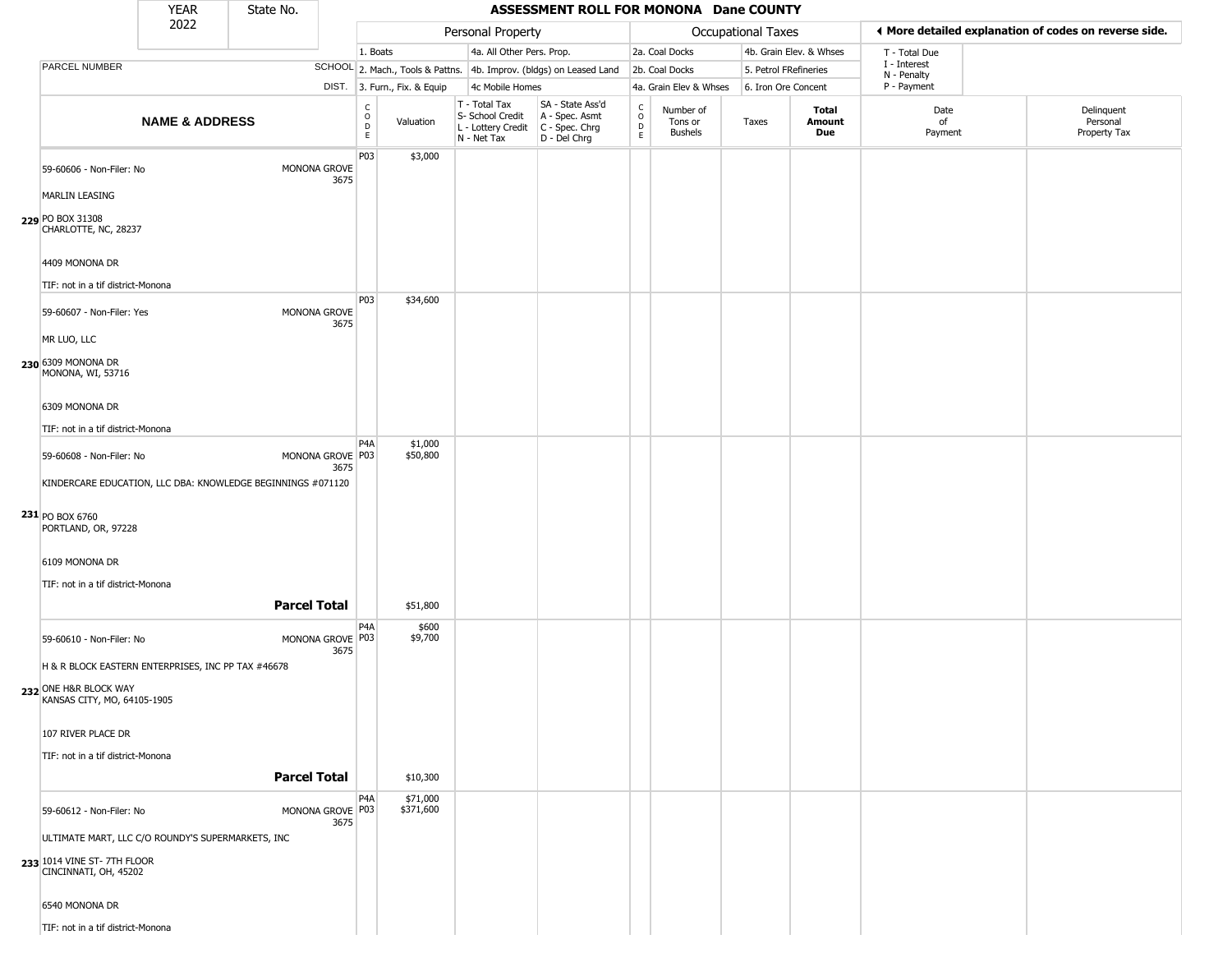|                                                                                                                                        | <b>YEAR</b>               | State No.           |                          |                                  |                              |                                                                        | <b>ASSESSMENT ROLL FOR MONONA Dane COUNTY</b>                          |                                                          |                                        |                    |                         |                             |                                                       |
|----------------------------------------------------------------------------------------------------------------------------------------|---------------------------|---------------------|--------------------------|----------------------------------|------------------------------|------------------------------------------------------------------------|------------------------------------------------------------------------|----------------------------------------------------------|----------------------------------------|--------------------|-------------------------|-----------------------------|-------------------------------------------------------|
|                                                                                                                                        | 2022                      |                     |                          |                                  |                              | Personal Property                                                      |                                                                        |                                                          |                                        | Occupational Taxes |                         |                             | I More detailed explanation of codes on reverse side. |
|                                                                                                                                        |                           |                     |                          | 1. Boats                         |                              | 4a. All Other Pers. Prop.                                              |                                                                        |                                                          | 2a. Coal Docks                         |                    | 4b. Grain Elev. & Whses | T - Total Due               |                                                       |
| PARCEL NUMBER                                                                                                                          |                           |                     |                          |                                  |                              |                                                                        | SCHOOL 2. Mach., Tools & Pattns. 4b. Improv. (bldgs) on Leased Land    |                                                          | 2b. Coal Docks                         |                    | 5. Petrol FRefineries   | I - Interest<br>N - Penalty |                                                       |
|                                                                                                                                        |                           |                     |                          |                                  | DIST. 3. Furn., Fix. & Equip | 4c Mobile Homes                                                        |                                                                        |                                                          | 4a. Grain Elev & Whses                 |                    | 6. Iron Ore Concent     | P - Payment                 |                                                       |
|                                                                                                                                        | <b>NAME &amp; ADDRESS</b> |                     |                          | C<br>$\circ$<br>D<br>$\mathsf E$ | Valuation                    | T - Total Tax<br>S- School Credit<br>L - Lottery Credit<br>N - Net Tax | SA - State Ass'd<br>A - Spec. Asmt<br>$C - Spec. Chrg$<br>D - Del Chrg | $\begin{matrix} 0 \\ 0 \\ D \end{matrix}$<br>$\mathsf E$ | Number of<br>Tons or<br><b>Bushels</b> | Taxes              | Total<br>Amount<br>Due  | Date<br>of<br>Payment       | Delinquent<br>Personal<br>Property Tax                |
| 59-60606 - Non-Filer: No<br><b>MARLIN LEASING</b><br>229 PO BOX 31308<br>CHARLOTTE, NC, 28237                                          |                           |                     | MONONA GROVE<br>3675     | P03                              | \$3,000                      |                                                                        |                                                                        |                                                          |                                        |                    |                         |                             |                                                       |
| 4409 MONONA DR<br>TIF: not in a tif district-Monona                                                                                    |                           |                     |                          |                                  |                              |                                                                        |                                                                        |                                                          |                                        |                    |                         |                             |                                                       |
| 59-60607 - Non-Filer: Yes<br>MR LUO, LLC                                                                                               |                           |                     | MONONA GROVE<br>3675     | P03                              | \$34,600                     |                                                                        |                                                                        |                                                          |                                        |                    |                         |                             |                                                       |
| 230 6309 MONONA DR<br>MONONA, WI, 53716<br>6309 MONONA DR                                                                              |                           |                     |                          |                                  |                              |                                                                        |                                                                        |                                                          |                                        |                    |                         |                             |                                                       |
| TIF: not in a tif district-Monona                                                                                                      |                           |                     |                          |                                  |                              |                                                                        |                                                                        |                                                          |                                        |                    |                         |                             |                                                       |
| 59-60608 - Non-Filer: No<br>KINDERCARE EDUCATION, LLC DBA: KNOWLEDGE BEGINNINGS #071120                                                |                           |                     | MONONA GROVE P03<br>3675 | P <sub>4</sub> A                 | \$1,000<br>\$50,800          |                                                                        |                                                                        |                                                          |                                        |                    |                         |                             |                                                       |
| $231$ PO BOX 6760<br>PORTLAND, OR, 97228                                                                                               |                           |                     |                          |                                  |                              |                                                                        |                                                                        |                                                          |                                        |                    |                         |                             |                                                       |
| 6109 MONONA DR<br>TIF: not in a tif district-Monona                                                                                    |                           |                     |                          |                                  |                              |                                                                        |                                                                        |                                                          |                                        |                    |                         |                             |                                                       |
|                                                                                                                                        |                           | <b>Parcel Total</b> |                          |                                  | \$51,800                     |                                                                        |                                                                        |                                                          |                                        |                    |                         |                             |                                                       |
| 59-60610 - Non-Filer: No<br>H & R BLOCK EASTERN ENTERPRISES, INC PP TAX #46678<br>232 ONE H&R BLOCK WAY<br>KANSAS CITY, MO, 64105-1905 |                           |                     | MONONA GROVE P03<br>3675 | P4A                              | \$600<br>\$9,700             |                                                                        |                                                                        |                                                          |                                        |                    |                         |                             |                                                       |
| 107 RIVER PLACE DR<br>TIF: not in a tif district-Monona                                                                                |                           | <b>Parcel Total</b> |                          |                                  | \$10,300                     |                                                                        |                                                                        |                                                          |                                        |                    |                         |                             |                                                       |
| 59-60612 - Non-Filer: No<br>ULTIMATE MART, LLC C/O ROUNDY'S SUPERMARKETS, INC                                                          |                           |                     | MONONA GROVE P03<br>3675 | P4A                              | \$71,000<br>\$371,600        |                                                                        |                                                                        |                                                          |                                        |                    |                         |                             |                                                       |
| 233 1014 VINE ST-7TH FLOOR<br>CINCINNATI, OH, 45202                                                                                    |                           |                     |                          |                                  |                              |                                                                        |                                                                        |                                                          |                                        |                    |                         |                             |                                                       |
| 6540 MONONA DR<br>TIF: not in a tif district-Monona                                                                                    |                           |                     |                          |                                  |                              |                                                                        |                                                                        |                                                          |                                        |                    |                         |                             |                                                       |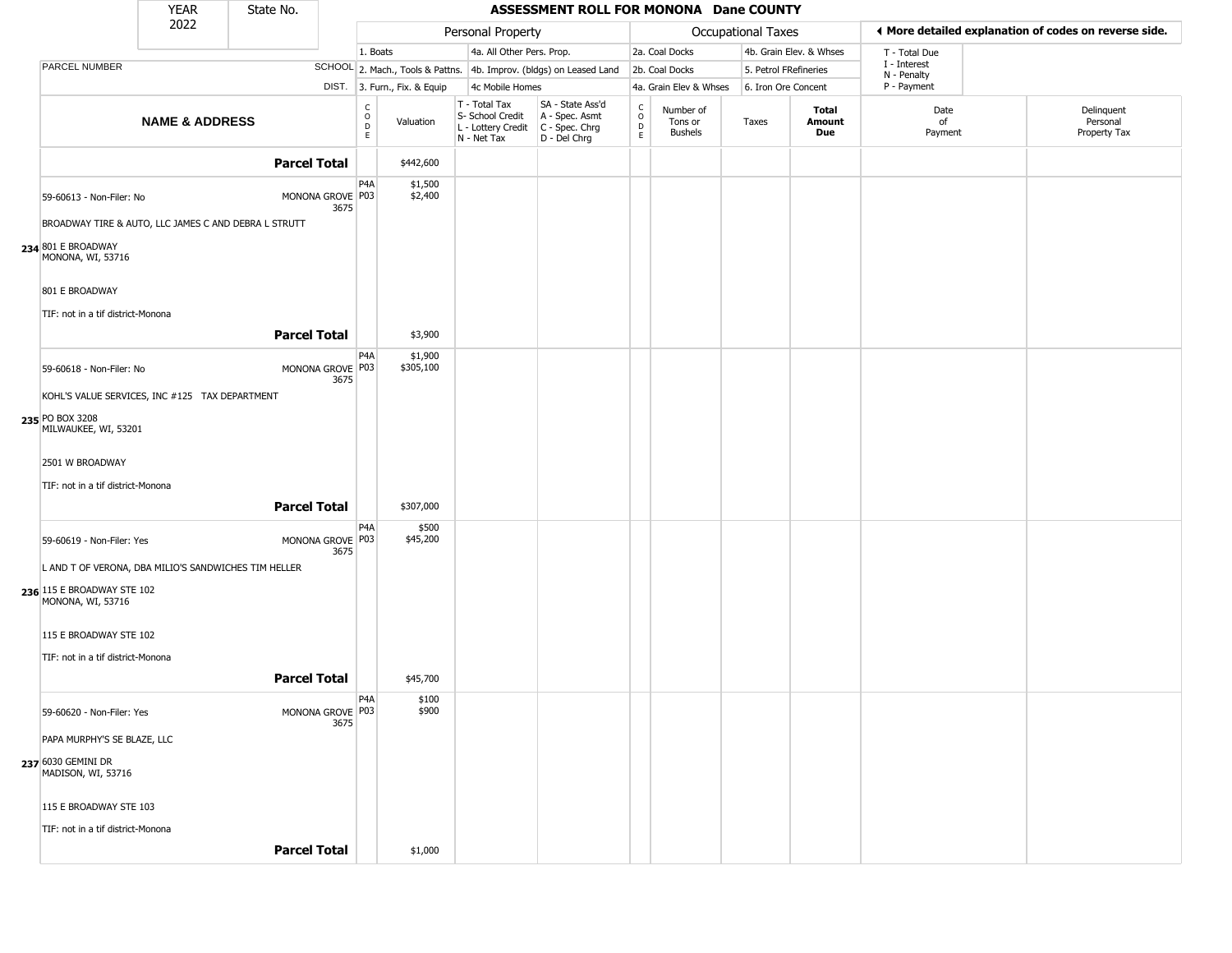|                                                                                  | <b>YEAR</b>               | State No.           |                          |                                                                     |                                                                        | ASSESSMENT ROLL FOR MONONA Dane COUNTY                               |                                    |                                        |                       |                         |                             |                                                       |
|----------------------------------------------------------------------------------|---------------------------|---------------------|--------------------------|---------------------------------------------------------------------|------------------------------------------------------------------------|----------------------------------------------------------------------|------------------------------------|----------------------------------------|-----------------------|-------------------------|-----------------------------|-------------------------------------------------------|
|                                                                                  | 2022                      |                     |                          |                                                                     | Personal Property                                                      |                                                                      |                                    |                                        | Occupational Taxes    |                         |                             | I More detailed explanation of codes on reverse side. |
|                                                                                  |                           |                     |                          | 1. Boats                                                            | 4a. All Other Pers. Prop.                                              |                                                                      |                                    | 2a. Coal Docks                         |                       | 4b. Grain Elev. & Whses | T - Total Due               |                                                       |
| PARCEL NUMBER                                                                    |                           |                     |                          | SCHOOL 2. Mach., Tools & Pattns. 4b. Improv. (bldgs) on Leased Land |                                                                        |                                                                      |                                    | 2b. Coal Docks                         | 5. Petrol FRefineries |                         | I - Interest<br>N - Penalty |                                                       |
|                                                                                  |                           |                     |                          | DIST. 3. Furn., Fix. & Equip                                        | 4c Mobile Homes                                                        |                                                                      |                                    | 4a. Grain Elev & Whses                 | 6. Iron Ore Concent   |                         | P - Payment                 |                                                       |
|                                                                                  | <b>NAME &amp; ADDRESS</b> |                     |                          | $\frac{c}{0}$<br>Valuation<br>$\mathsf D$<br>E                      | T - Total Tax<br>S- School Credit<br>L - Lottery Credit<br>N - Net Tax | SA - State Ass'd<br>A - Spec. Asmt<br>C - Spec. Chrg<br>D - Del Chrg | $\frac{c}{0}$<br>$\mathsf{D}$<br>E | Number of<br>Tons or<br><b>Bushels</b> | Taxes                 | Total<br>Amount<br>Due  | Date<br>of<br>Payment       | Delinquent<br>Personal<br>Property Tax                |
|                                                                                  |                           | <b>Parcel Total</b> |                          | \$442,600                                                           |                                                                        |                                                                      |                                    |                                        |                       |                         |                             |                                                       |
| 59-60613 - Non-Filer: No<br>BROADWAY TIRE & AUTO, LLC JAMES C AND DEBRA L STRUTT |                           |                     | MONONA GROVE P03<br>3675 | P <sub>4</sub> A<br>\$1,500<br>\$2,400                              |                                                                        |                                                                      |                                    |                                        |                       |                         |                             |                                                       |
| 234 801 E BROADWAY<br>MONONA, WI, 53716                                          |                           |                     |                          |                                                                     |                                                                        |                                                                      |                                    |                                        |                       |                         |                             |                                                       |
| 801 E BROADWAY                                                                   |                           |                     |                          |                                                                     |                                                                        |                                                                      |                                    |                                        |                       |                         |                             |                                                       |
| TIF: not in a tif district-Monona                                                |                           |                     |                          |                                                                     |                                                                        |                                                                      |                                    |                                        |                       |                         |                             |                                                       |
|                                                                                  |                           | <b>Parcel Total</b> |                          | \$3,900                                                             |                                                                        |                                                                      |                                    |                                        |                       |                         |                             |                                                       |
| 59-60618 - Non-Filer: No                                                         |                           |                     | MONONA GROVE P03<br>3675 | P4A<br>\$1,900<br>\$305,100                                         |                                                                        |                                                                      |                                    |                                        |                       |                         |                             |                                                       |
| KOHL'S VALUE SERVICES, INC #125 TAX DEPARTMENT                                   |                           |                     |                          |                                                                     |                                                                        |                                                                      |                                    |                                        |                       |                         |                             |                                                       |
| 235 PO BOX 3208<br>MILWAUKEE, WI, 53201                                          |                           |                     |                          |                                                                     |                                                                        |                                                                      |                                    |                                        |                       |                         |                             |                                                       |
| 2501 W BROADWAY                                                                  |                           |                     |                          |                                                                     |                                                                        |                                                                      |                                    |                                        |                       |                         |                             |                                                       |
| TIF: not in a tif district-Monona                                                |                           |                     |                          |                                                                     |                                                                        |                                                                      |                                    |                                        |                       |                         |                             |                                                       |
|                                                                                  |                           | <b>Parcel Total</b> |                          | \$307,000                                                           |                                                                        |                                                                      |                                    |                                        |                       |                         |                             |                                                       |
| 59-60619 - Non-Filer: Yes                                                        |                           |                     | MONONA GROVE P03<br>3675 | P4A<br>\$500<br>\$45,200                                            |                                                                        |                                                                      |                                    |                                        |                       |                         |                             |                                                       |
| L AND T OF VERONA, DBA MILIO'S SANDWICHES TIM HELLER                             |                           |                     |                          |                                                                     |                                                                        |                                                                      |                                    |                                        |                       |                         |                             |                                                       |
| 236 115 E BROADWAY STE 102<br>MONONA, WI, 53716                                  |                           |                     |                          |                                                                     |                                                                        |                                                                      |                                    |                                        |                       |                         |                             |                                                       |
| 115 E BROADWAY STE 102                                                           |                           |                     |                          |                                                                     |                                                                        |                                                                      |                                    |                                        |                       |                         |                             |                                                       |
| TIF: not in a tif district-Monona                                                |                           |                     |                          |                                                                     |                                                                        |                                                                      |                                    |                                        |                       |                         |                             |                                                       |
|                                                                                  |                           | <b>Parcel Total</b> |                          | \$45,700                                                            |                                                                        |                                                                      |                                    |                                        |                       |                         |                             |                                                       |
| 59-60620 - Non-Filer: Yes                                                        |                           |                     | MONONA GROVE P03<br>3675 | P <sub>4</sub> A<br>\$100<br>\$900                                  |                                                                        |                                                                      |                                    |                                        |                       |                         |                             |                                                       |
| PAPA MURPHY'S SE BLAZE, LLC                                                      |                           |                     |                          |                                                                     |                                                                        |                                                                      |                                    |                                        |                       |                         |                             |                                                       |
| 237 6030 GEMINI DR<br>MADISON, WI, 53716                                         |                           |                     |                          |                                                                     |                                                                        |                                                                      |                                    |                                        |                       |                         |                             |                                                       |
| 115 E BROADWAY STE 103                                                           |                           |                     |                          |                                                                     |                                                                        |                                                                      |                                    |                                        |                       |                         |                             |                                                       |
| TIF: not in a tif district-Monona                                                |                           |                     |                          |                                                                     |                                                                        |                                                                      |                                    |                                        |                       |                         |                             |                                                       |
|                                                                                  |                           | <b>Parcel Total</b> |                          | \$1,000                                                             |                                                                        |                                                                      |                                    |                                        |                       |                         |                             |                                                       |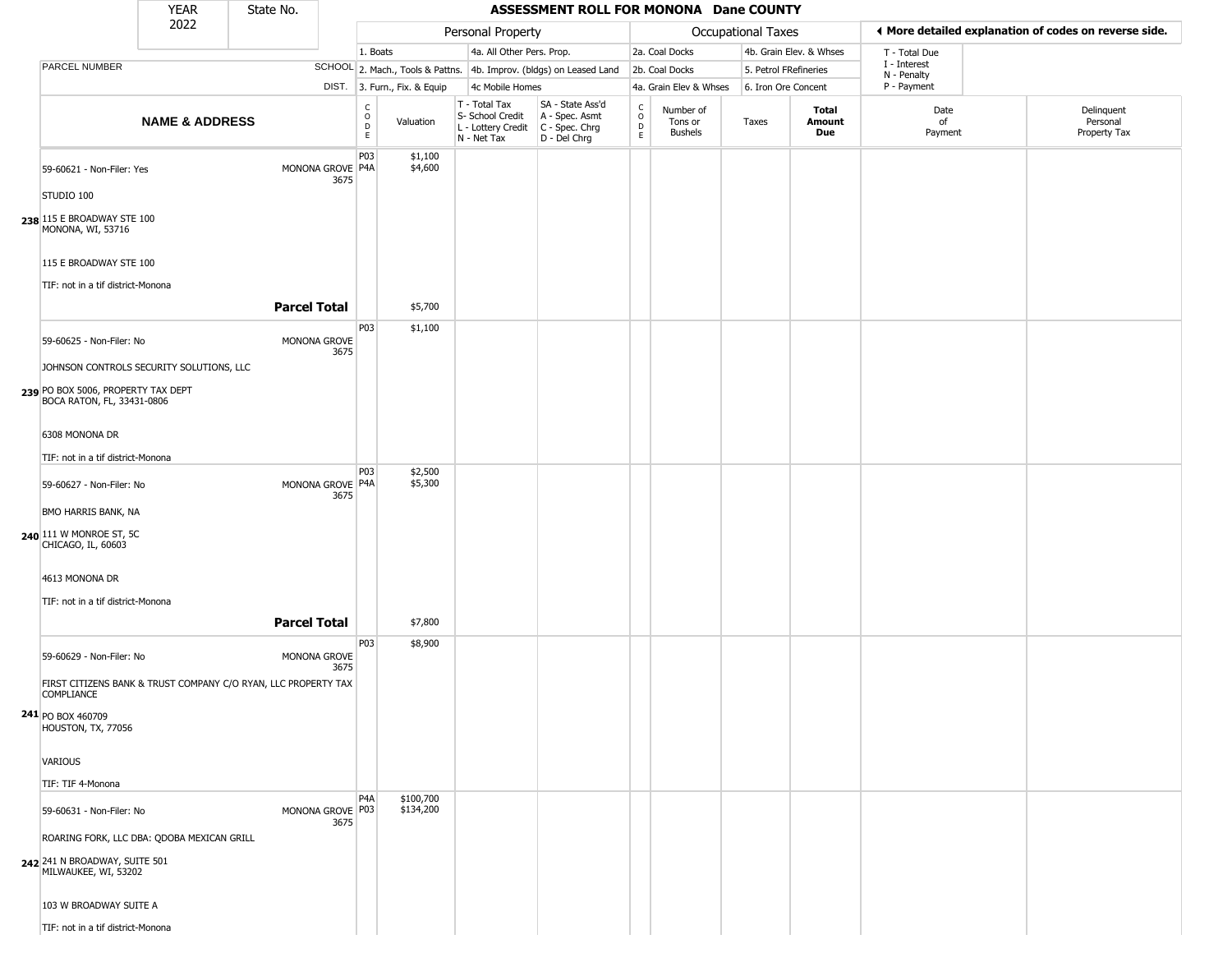|                                                                                                            | <b>YEAR</b>                                | State No.                                                      |                          |                                            |                              |                                                                        | ASSESSMENT ROLL FOR MONONA Dane COUNTY                               |                         |                                        |       |                         |                             |                                                       |
|------------------------------------------------------------------------------------------------------------|--------------------------------------------|----------------------------------------------------------------|--------------------------|--------------------------------------------|------------------------------|------------------------------------------------------------------------|----------------------------------------------------------------------|-------------------------|----------------------------------------|-------|-------------------------|-----------------------------|-------------------------------------------------------|
|                                                                                                            | 2022                                       |                                                                |                          |                                            |                              | Personal Property                                                      |                                                                      |                         | Occupational Taxes                     |       |                         |                             | I More detailed explanation of codes on reverse side. |
|                                                                                                            |                                            |                                                                |                          | 1. Boats                                   |                              | 4a. All Other Pers. Prop.                                              |                                                                      |                         | 2a. Coal Docks                         |       | 4b. Grain Elev. & Whses | T - Total Due               |                                                       |
| PARCEL NUMBER                                                                                              |                                            |                                                                |                          |                                            |                              |                                                                        | SCHOOL 2. Mach., Tools & Pattns. 4b. Improv. (bldgs) on Leased Land  |                         | 2b. Coal Docks                         |       | 5. Petrol FRefineries   | I - Interest<br>N - Penalty |                                                       |
|                                                                                                            |                                            |                                                                |                          |                                            | DIST. 3. Furn., Fix. & Equip | 4c Mobile Homes                                                        |                                                                      |                         | 4a. Grain Elev & Whses                 |       | 6. Iron Ore Concent     | P - Payment                 |                                                       |
|                                                                                                            | <b>NAME &amp; ADDRESS</b>                  |                                                                |                          | C<br>$\circ$<br>$\mathsf D$<br>$\mathsf E$ | Valuation                    | T - Total Tax<br>S- School Credit<br>L - Lottery Credit<br>N - Net Tax | SA - State Ass'd<br>A - Spec. Asmt<br>C - Spec. Chrg<br>D - Del Chrg | $\frac{c}{0}$<br>D<br>E | Number of<br>Tons or<br><b>Bushels</b> | Taxes | Total<br>Amount<br>Due  | Date<br>of<br>Payment       | Delinquent<br>Personal<br>Property Tax                |
| 59-60621 - Non-Filer: Yes                                                                                  |                                            |                                                                | MONONA GROVE P4A<br>3675 | P03                                        | \$1,100<br>\$4,600           |                                                                        |                                                                      |                         |                                        |       |                         |                             |                                                       |
| STUDIO 100<br>238 115 E BROADWAY STE 100<br>MONONA, WI, 53716                                              |                                            |                                                                |                          |                                            |                              |                                                                        |                                                                      |                         |                                        |       |                         |                             |                                                       |
| 115 E BROADWAY STE 100                                                                                     |                                            |                                                                |                          |                                            |                              |                                                                        |                                                                      |                         |                                        |       |                         |                             |                                                       |
| TIF: not in a tif district-Monona                                                                          |                                            | <b>Parcel Total</b>                                            |                          |                                            | \$5,700                      |                                                                        |                                                                      |                         |                                        |       |                         |                             |                                                       |
| 59-60625 - Non-Filer: No<br>JOHNSON CONTROLS SECURITY SOLUTIONS, LLC<br>239 PO BOX 5006, PROPERTY TAX DEPT |                                            |                                                                | MONONA GROVE<br>3675     | P03                                        | \$1,100                      |                                                                        |                                                                      |                         |                                        |       |                         |                             |                                                       |
| BOCA RATON, FL, 33431-0806<br>6308 MONONA DR                                                               |                                            |                                                                |                          |                                            |                              |                                                                        |                                                                      |                         |                                        |       |                         |                             |                                                       |
| TIF: not in a tif district-Monona                                                                          |                                            |                                                                |                          |                                            |                              |                                                                        |                                                                      |                         |                                        |       |                         |                             |                                                       |
| 59-60627 - Non-Filer: No                                                                                   |                                            |                                                                | MONONA GROVE P4A<br>3675 | P03                                        | \$2,500<br>\$5,300           |                                                                        |                                                                      |                         |                                        |       |                         |                             |                                                       |
| BMO HARRIS BANK, NA<br>240 111 W MONROE ST, 5C<br>CHICAGO, IL, 60603                                       |                                            |                                                                |                          |                                            |                              |                                                                        |                                                                      |                         |                                        |       |                         |                             |                                                       |
| 4613 MONONA DR                                                                                             |                                            |                                                                |                          |                                            |                              |                                                                        |                                                                      |                         |                                        |       |                         |                             |                                                       |
| TIF: not in a tif district-Monona                                                                          |                                            | <b>Parcel Total</b>                                            |                          |                                            | \$7,800                      |                                                                        |                                                                      |                         |                                        |       |                         |                             |                                                       |
| 59-60629 - Non-Filer: No                                                                                   |                                            |                                                                | MONONA GROVE<br>3675     | P03                                        | \$8,900                      |                                                                        |                                                                      |                         |                                        |       |                         |                             |                                                       |
| COMPLIANCE                                                                                                 |                                            | FIRST CITIZENS BANK & TRUST COMPANY C/O RYAN, LLC PROPERTY TAX |                          |                                            |                              |                                                                        |                                                                      |                         |                                        |       |                         |                             |                                                       |
| 241 PO BOX 460709<br><b>HOUSTON, TX, 77056</b>                                                             |                                            |                                                                |                          |                                            |                              |                                                                        |                                                                      |                         |                                        |       |                         |                             |                                                       |
| VARIOUS                                                                                                    |                                            |                                                                |                          |                                            |                              |                                                                        |                                                                      |                         |                                        |       |                         |                             |                                                       |
| TIF: TIF 4-Monona                                                                                          |                                            |                                                                |                          |                                            |                              |                                                                        |                                                                      |                         |                                        |       |                         |                             |                                                       |
| 59-60631 - Non-Filer: No                                                                                   |                                            |                                                                | MONONA GROVE P03<br>3675 | P <sub>4</sub> A                           | \$100,700<br>\$134,200       |                                                                        |                                                                      |                         |                                        |       |                         |                             |                                                       |
| 242 241 N BROADWAY, SUITE 501<br>MILWAUKEE, WI, 53202                                                      | ROARING FORK, LLC DBA: QDOBA MEXICAN GRILL |                                                                |                          |                                            |                              |                                                                        |                                                                      |                         |                                        |       |                         |                             |                                                       |
| 103 W BROADWAY SUITE A                                                                                     |                                            |                                                                |                          |                                            |                              |                                                                        |                                                                      |                         |                                        |       |                         |                             |                                                       |
| TIF: not in a tif district-Monona                                                                          |                                            |                                                                |                          |                                            |                              |                                                                        |                                                                      |                         |                                        |       |                         |                             |                                                       |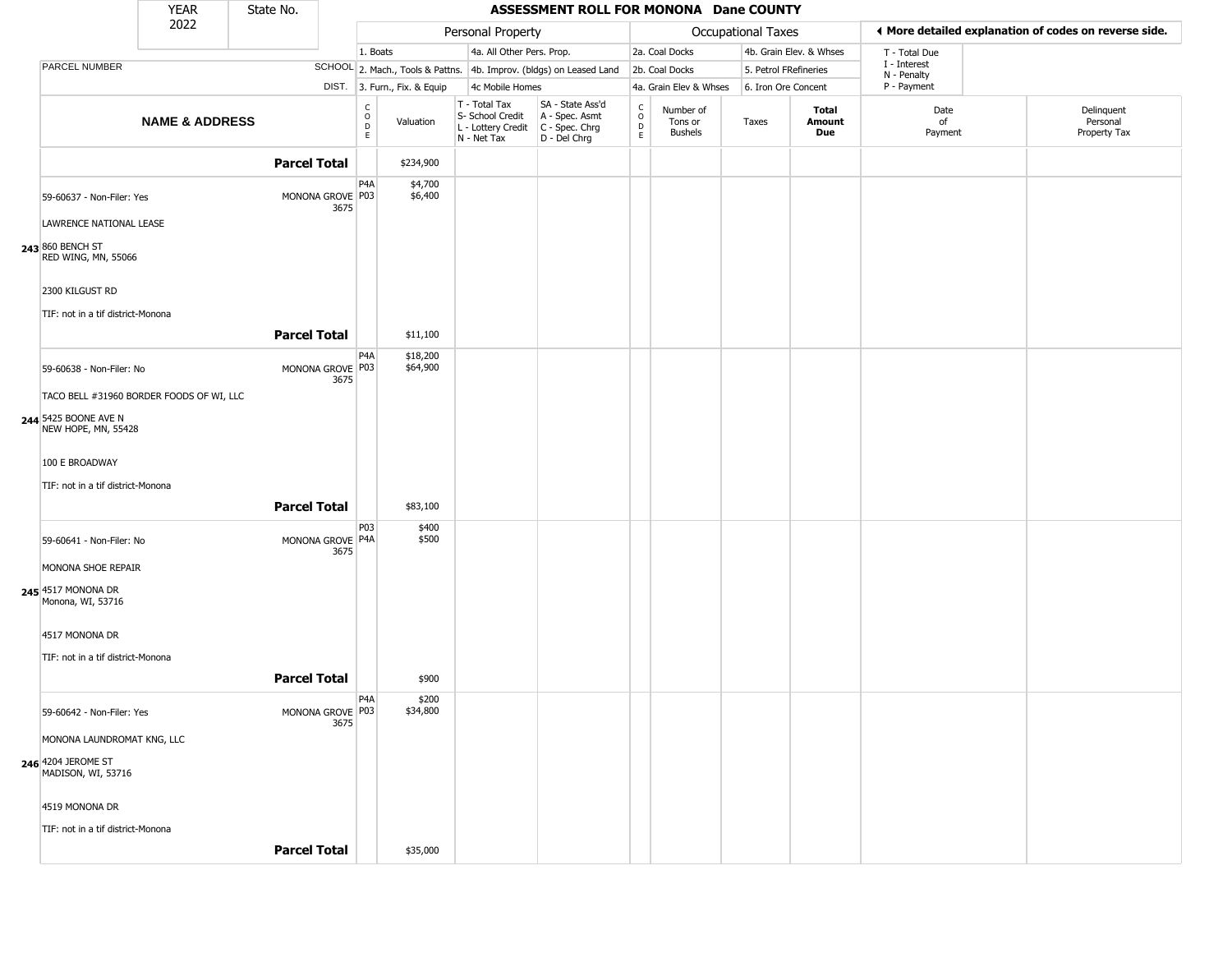|                                             | <b>YEAR</b>               | State No.           |                          |                                            |                              |                                                                        | ASSESSMENT ROLL FOR MONONA Dane COUNTY                               |                                             |                                        |                       |                         |                             |                                                       |
|---------------------------------------------|---------------------------|---------------------|--------------------------|--------------------------------------------|------------------------------|------------------------------------------------------------------------|----------------------------------------------------------------------|---------------------------------------------|----------------------------------------|-----------------------|-------------------------|-----------------------------|-------------------------------------------------------|
|                                             | 2022                      |                     |                          |                                            |                              | Personal Property                                                      |                                                                      |                                             |                                        | Occupational Taxes    |                         |                             | ♦ More detailed explanation of codes on reverse side. |
|                                             |                           |                     |                          | 1. Boats                                   |                              | 4a. All Other Pers. Prop.                                              |                                                                      |                                             | 2a. Coal Docks                         |                       | 4b. Grain Elev. & Whses | T - Total Due               |                                                       |
| PARCEL NUMBER                               |                           |                     |                          |                                            |                              |                                                                        | SCHOOL 2. Mach., Tools & Pattns. 4b. Improv. (bldgs) on Leased Land  |                                             | 2b. Coal Docks                         | 5. Petrol FRefineries |                         | I - Interest<br>N - Penalty |                                                       |
|                                             |                           |                     |                          |                                            | DIST. 3. Furn., Fix. & Equip | 4c Mobile Homes                                                        |                                                                      |                                             | 4a. Grain Elev & Whses                 | 6. Iron Ore Concent   |                         | P - Payment                 |                                                       |
|                                             | <b>NAME &amp; ADDRESS</b> |                     |                          | C<br>$\circ$<br>$\mathsf D$<br>$\mathsf E$ | Valuation                    | T - Total Tax<br>S- School Credit<br>L - Lottery Credit<br>N - Net Tax | SA - State Ass'd<br>A - Spec. Asmt<br>C - Spec. Chrg<br>D - Del Chrg | $\frac{c}{0}$<br>$\mathsf D$<br>$\mathsf E$ | Number of<br>Tons or<br><b>Bushels</b> | Taxes                 | Total<br>Amount<br>Due  | Date<br>of<br>Payment       | Delinquent<br>Personal<br>Property Tax                |
|                                             |                           | <b>Parcel Total</b> |                          |                                            | \$234,900                    |                                                                        |                                                                      |                                             |                                        |                       |                         |                             |                                                       |
| 59-60637 - Non-Filer: Yes                   |                           |                     | MONONA GROVE P03<br>3675 | PAA                                        | \$4,700<br>\$6,400           |                                                                        |                                                                      |                                             |                                        |                       |                         |                             |                                                       |
| LAWRENCE NATIONAL LEASE                     |                           |                     |                          |                                            |                              |                                                                        |                                                                      |                                             |                                        |                       |                         |                             |                                                       |
| 243 860 BENCH ST<br>RED WING, MN, 55066     |                           |                     |                          |                                            |                              |                                                                        |                                                                      |                                             |                                        |                       |                         |                             |                                                       |
| 2300 KILGUST RD                             |                           |                     |                          |                                            |                              |                                                                        |                                                                      |                                             |                                        |                       |                         |                             |                                                       |
| TIF: not in a tif district-Monona           |                           |                     |                          |                                            |                              |                                                                        |                                                                      |                                             |                                        |                       |                         |                             |                                                       |
|                                             |                           | <b>Parcel Total</b> |                          |                                            | \$11,100                     |                                                                        |                                                                      |                                             |                                        |                       |                         |                             |                                                       |
| 59-60638 - Non-Filer: No                    |                           |                     | MONONA GROVE P03<br>3675 | P <sub>4</sub> A                           | \$18,200<br>\$64,900         |                                                                        |                                                                      |                                             |                                        |                       |                         |                             |                                                       |
| TACO BELL #31960 BORDER FOODS OF WI, LLC    |                           |                     |                          |                                            |                              |                                                                        |                                                                      |                                             |                                        |                       |                         |                             |                                                       |
| 244 5425 BOONE AVE N<br>NEW HOPE, MN, 55428 |                           |                     |                          |                                            |                              |                                                                        |                                                                      |                                             |                                        |                       |                         |                             |                                                       |
| 100 E BROADWAY                              |                           |                     |                          |                                            |                              |                                                                        |                                                                      |                                             |                                        |                       |                         |                             |                                                       |
| TIF: not in a tif district-Monona           |                           |                     |                          |                                            |                              |                                                                        |                                                                      |                                             |                                        |                       |                         |                             |                                                       |
|                                             |                           | <b>Parcel Total</b> |                          |                                            | \$83,100                     |                                                                        |                                                                      |                                             |                                        |                       |                         |                             |                                                       |
| 59-60641 - Non-Filer: No                    |                           |                     | MONONA GROVE P4A<br>3675 | P03                                        | \$400<br>\$500               |                                                                        |                                                                      |                                             |                                        |                       |                         |                             |                                                       |
| MONONA SHOE REPAIR                          |                           |                     |                          |                                            |                              |                                                                        |                                                                      |                                             |                                        |                       |                         |                             |                                                       |
| 245 4517 MONONA DR<br>Monona, WI, 53716     |                           |                     |                          |                                            |                              |                                                                        |                                                                      |                                             |                                        |                       |                         |                             |                                                       |
| 4517 MONONA DR                              |                           |                     |                          |                                            |                              |                                                                        |                                                                      |                                             |                                        |                       |                         |                             |                                                       |
| TIF: not in a tif district-Monona           |                           |                     |                          |                                            |                              |                                                                        |                                                                      |                                             |                                        |                       |                         |                             |                                                       |
|                                             |                           | <b>Parcel Total</b> |                          |                                            | \$900                        |                                                                        |                                                                      |                                             |                                        |                       |                         |                             |                                                       |
| 59-60642 - Non-Filer: Yes                   |                           |                     | MONONA GROVE P03         | P4A                                        | \$200<br>\$34,800            |                                                                        |                                                                      |                                             |                                        |                       |                         |                             |                                                       |
| MONONA LAUNDROMAT KNG, LLC                  |                           |                     | 3675                     |                                            |                              |                                                                        |                                                                      |                                             |                                        |                       |                         |                             |                                                       |
| 246 4204 JEROME ST<br>MADISON, WI, 53716    |                           |                     |                          |                                            |                              |                                                                        |                                                                      |                                             |                                        |                       |                         |                             |                                                       |
| 4519 MONONA DR                              |                           |                     |                          |                                            |                              |                                                                        |                                                                      |                                             |                                        |                       |                         |                             |                                                       |
| TIF: not in a tif district-Monona           |                           |                     |                          |                                            |                              |                                                                        |                                                                      |                                             |                                        |                       |                         |                             |                                                       |
|                                             |                           | <b>Parcel Total</b> |                          |                                            | \$35,000                     |                                                                        |                                                                      |                                             |                                        |                       |                         |                             |                                                       |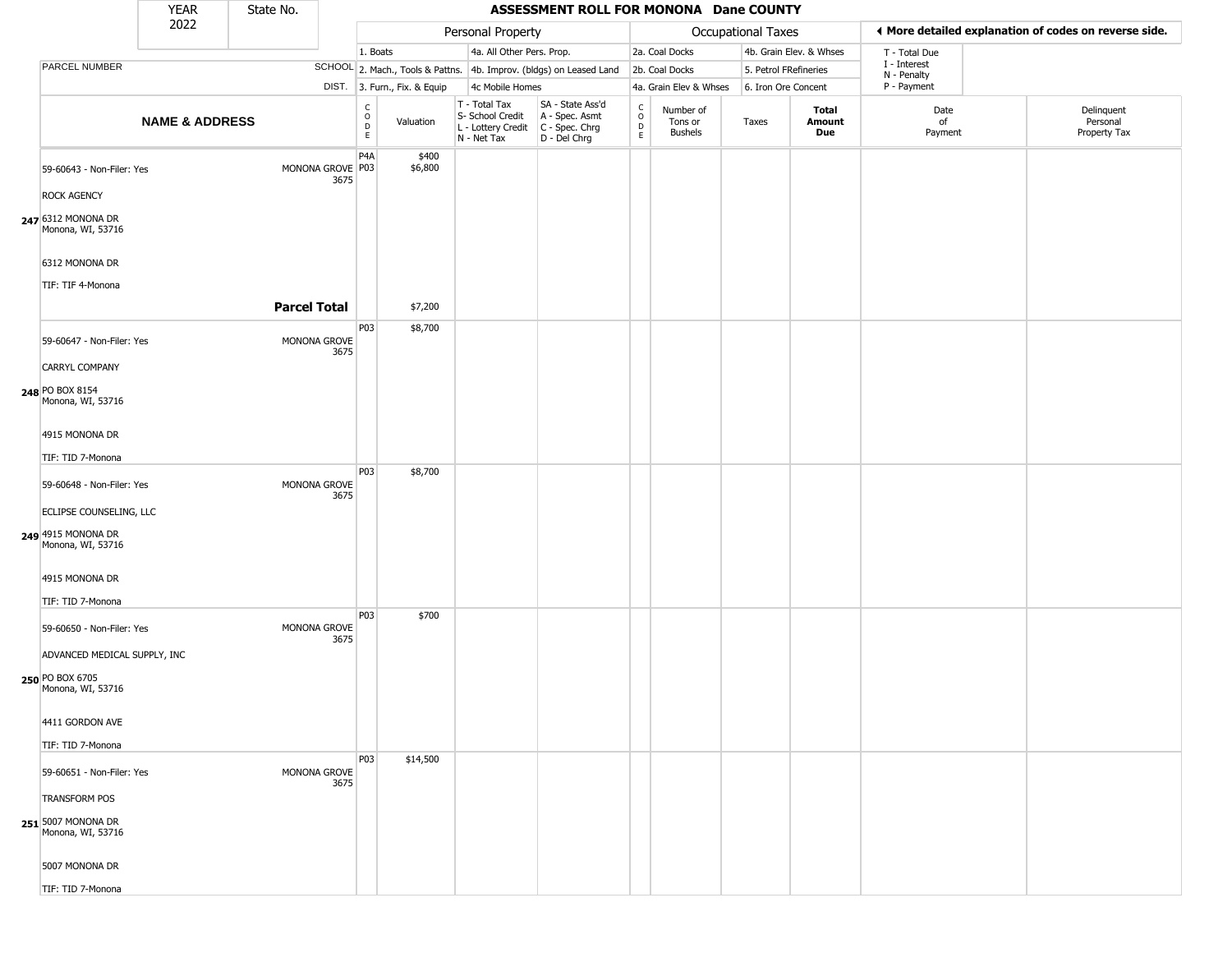|                                                                      | <b>YEAR</b>               | State No.           |                                                 |                              |                                                                        | ASSESSMENT ROLL FOR MONONA Dane COUNTY                                 |                                                   |                                        |                       |                         |                             |                                                       |
|----------------------------------------------------------------------|---------------------------|---------------------|-------------------------------------------------|------------------------------|------------------------------------------------------------------------|------------------------------------------------------------------------|---------------------------------------------------|----------------------------------------|-----------------------|-------------------------|-----------------------------|-------------------------------------------------------|
|                                                                      | 2022                      |                     |                                                 |                              | Personal Property                                                      |                                                                        |                                                   |                                        | Occupational Taxes    |                         |                             | ♦ More detailed explanation of codes on reverse side. |
|                                                                      |                           |                     |                                                 | 1. Boats                     | 4a. All Other Pers. Prop.                                              |                                                                        |                                                   | 2a. Coal Docks                         |                       | 4b. Grain Elev. & Whses | T - Total Due               |                                                       |
| PARCEL NUMBER                                                        |                           |                     |                                                 |                              |                                                                        | SCHOOL 2. Mach., Tools & Pattns. 4b. Improv. (bldgs) on Leased Land    |                                                   | 2b. Coal Docks                         | 5. Petrol FRefineries |                         | I - Interest<br>N - Penalty |                                                       |
|                                                                      |                           |                     |                                                 | DIST. 3. Furn., Fix. & Equip | 4c Mobile Homes                                                        |                                                                        |                                                   | 4a. Grain Elev & Whses                 | 6. Iron Ore Concent   |                         | P - Payment                 |                                                       |
|                                                                      | <b>NAME &amp; ADDRESS</b> |                     | $\begin{array}{c} C \\ O \\ D \\ E \end{array}$ | Valuation                    | T - Total Tax<br>S- School Credit<br>L - Lottery Credit<br>N - Net Tax | SA - State Ass'd<br>A - Spec. Asmt<br>$C - Spec. Chrg$<br>D - Del Chrg | $\begin{array}{c}\nC \\ O \\ D \\ E\n\end{array}$ | Number of<br>Tons or<br><b>Bushels</b> | Taxes                 | Total<br>Amount<br>Due  | Date<br>of<br>Payment       | Delinquent<br>Personal<br>Property Tax                |
| 59-60643 - Non-Filer: Yes                                            |                           |                     | P <sub>4</sub> A<br>MONONA GROVE P03<br>3675    | \$400<br>\$6,800             |                                                                        |                                                                        |                                                   |                                        |                       |                         |                             |                                                       |
| <b>ROCK AGENCY</b>                                                   |                           |                     |                                                 |                              |                                                                        |                                                                        |                                                   |                                        |                       |                         |                             |                                                       |
| 247 6312 MONONA DR<br>Monona, WI, 53716                              |                           |                     |                                                 |                              |                                                                        |                                                                        |                                                   |                                        |                       |                         |                             |                                                       |
| 6312 MONONA DR                                                       |                           |                     |                                                 |                              |                                                                        |                                                                        |                                                   |                                        |                       |                         |                             |                                                       |
| TIF: TIF 4-Monona                                                    |                           |                     |                                                 |                              |                                                                        |                                                                        |                                                   |                                        |                       |                         |                             |                                                       |
|                                                                      |                           | <b>Parcel Total</b> |                                                 | \$7,200                      |                                                                        |                                                                        |                                                   |                                        |                       |                         |                             |                                                       |
| 59-60647 - Non-Filer: Yes                                            |                           |                     | P03<br>MONONA GROVE<br>3675                     | \$8,700                      |                                                                        |                                                                        |                                                   |                                        |                       |                         |                             |                                                       |
| <b>CARRYL COMPANY</b>                                                |                           |                     |                                                 |                              |                                                                        |                                                                        |                                                   |                                        |                       |                         |                             |                                                       |
| 248 PO BOX 8154<br>Monona, WI, 53716                                 |                           |                     |                                                 |                              |                                                                        |                                                                        |                                                   |                                        |                       |                         |                             |                                                       |
| 4915 MONONA DR                                                       |                           |                     |                                                 |                              |                                                                        |                                                                        |                                                   |                                        |                       |                         |                             |                                                       |
| TIF: TID 7-Monona                                                    |                           |                     | P03                                             | \$8,700                      |                                                                        |                                                                        |                                                   |                                        |                       |                         |                             |                                                       |
| 59-60648 - Non-Filer: Yes                                            |                           |                     | MONONA GROVE<br>3675                            |                              |                                                                        |                                                                        |                                                   |                                        |                       |                         |                             |                                                       |
| ECLIPSE COUNSELING, LLC                                              |                           |                     |                                                 |                              |                                                                        |                                                                        |                                                   |                                        |                       |                         |                             |                                                       |
| 249 4915 MONONA DR<br>Monona, WI, 53716                              |                           |                     |                                                 |                              |                                                                        |                                                                        |                                                   |                                        |                       |                         |                             |                                                       |
| 4915 MONONA DR<br>TIF: TID 7-Monona                                  |                           |                     |                                                 |                              |                                                                        |                                                                        |                                                   |                                        |                       |                         |                             |                                                       |
| 59-60650 - Non-Filer: Yes                                            |                           |                     | P03<br>MONONA GROVE                             | \$700                        |                                                                        |                                                                        |                                                   |                                        |                       |                         |                             |                                                       |
|                                                                      |                           |                     | 3675                                            |                              |                                                                        |                                                                        |                                                   |                                        |                       |                         |                             |                                                       |
| ADVANCED MEDICAL SUPPLY, INC<br>250 PO BOX 6705<br>Monona, WI, 53716 |                           |                     |                                                 |                              |                                                                        |                                                                        |                                                   |                                        |                       |                         |                             |                                                       |
| 4411 GORDON AVE                                                      |                           |                     |                                                 |                              |                                                                        |                                                                        |                                                   |                                        |                       |                         |                             |                                                       |
| TIF: TID 7-Monona                                                    |                           |                     |                                                 |                              |                                                                        |                                                                        |                                                   |                                        |                       |                         |                             |                                                       |
| 59-60651 - Non-Filer: Yes                                            |                           |                     | P03<br>MONONA GROVE<br>3675                     | \$14,500                     |                                                                        |                                                                        |                                                   |                                        |                       |                         |                             |                                                       |
| <b>TRANSFORM POS</b>                                                 |                           |                     |                                                 |                              |                                                                        |                                                                        |                                                   |                                        |                       |                         |                             |                                                       |
| 251 5007 MONONA DR<br>Monona, WI, 53716                              |                           |                     |                                                 |                              |                                                                        |                                                                        |                                                   |                                        |                       |                         |                             |                                                       |
| 5007 MONONA DR                                                       |                           |                     |                                                 |                              |                                                                        |                                                                        |                                                   |                                        |                       |                         |                             |                                                       |
| TIF: TID 7-Monona                                                    |                           |                     |                                                 |                              |                                                                        |                                                                        |                                                   |                                        |                       |                         |                             |                                                       |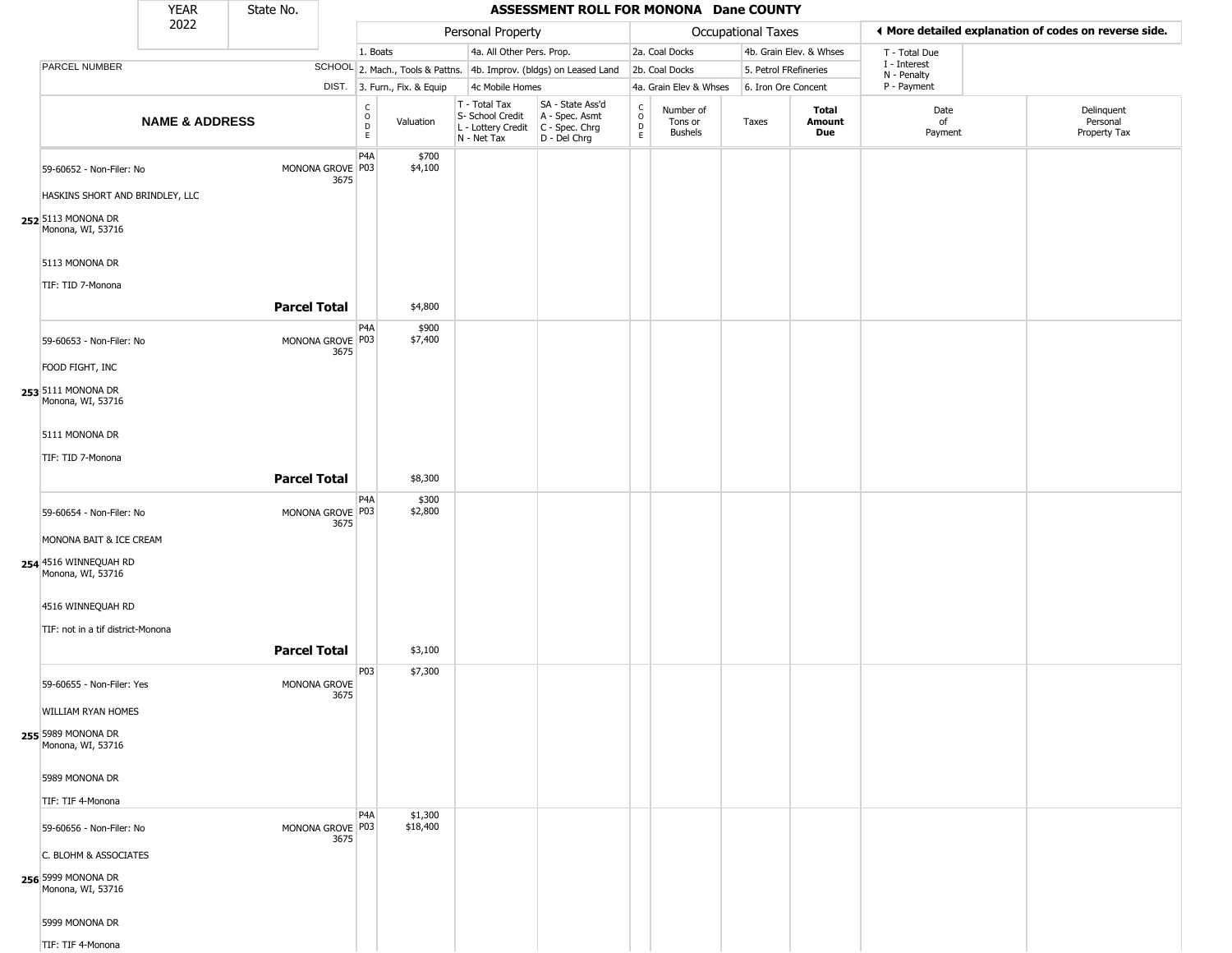|                                                                            | <b>YEAR</b>               | State No.           |                          |                                   |                              |                                                                        | ASSESSMENT ROLL FOR MONONA Dane COUNTY                               |                                                |                                        |                           |                         |                            |                                                       |
|----------------------------------------------------------------------------|---------------------------|---------------------|--------------------------|-----------------------------------|------------------------------|------------------------------------------------------------------------|----------------------------------------------------------------------|------------------------------------------------|----------------------------------------|---------------------------|-------------------------|----------------------------|-------------------------------------------------------|
|                                                                            | 2022                      |                     |                          |                                   |                              | Personal Property                                                      |                                                                      |                                                |                                        | <b>Occupational Taxes</b> |                         |                            | ♦ More detailed explanation of codes on reverse side. |
|                                                                            |                           |                     |                          | 1. Boats                          |                              | 4a. All Other Pers. Prop.                                              |                                                                      |                                                | 2a. Coal Docks                         |                           | 4b. Grain Elev. & Whses | T - Total Due              |                                                       |
| PARCEL NUMBER                                                              |                           |                     |                          |                                   |                              |                                                                        | SCHOOL 2. Mach., Tools & Pattns. 4b. Improv. (bldgs) on Leased Land  |                                                | 2b. Coal Docks                         | 5. Petrol FRefineries     |                         | I - Interest               |                                                       |
|                                                                            |                           |                     |                          |                                   | DIST. 3. Furn., Fix. & Equip | 4c Mobile Homes                                                        |                                                                      |                                                | 4a. Grain Elev & Whses                 | 6. Iron Ore Concent       |                         | N - Penalty<br>P - Payment |                                                       |
|                                                                            | <b>NAME &amp; ADDRESS</b> |                     |                          | $\frac{C}{O}$<br>D<br>$\mathsf E$ | Valuation                    | T - Total Tax<br>S- School Credit<br>L - Lottery Credit<br>N - Net Tax | SA - State Ass'd<br>A - Spec. Asmt<br>C - Spec. Chrg<br>D - Del Chrg | $\begin{matrix} 0 \\ 0 \\ D \end{matrix}$<br>E | Number of<br>Tons or<br><b>Bushels</b> | Taxes                     | Total<br>Amount<br>Due  | Date<br>of<br>Payment      | Delinquent<br>Personal<br>Property Tax                |
| 59-60652 - Non-Filer: No                                                   |                           |                     | MONONA GROVE P03<br>3675 | P <sub>4</sub> A                  | \$700<br>\$4,100             |                                                                        |                                                                      |                                                |                                        |                           |                         |                            |                                                       |
| HASKINS SHORT AND BRINDLEY, LLC<br>252 5113 MONONA DR<br>Monona, WI, 53716 |                           |                     |                          |                                   |                              |                                                                        |                                                                      |                                                |                                        |                           |                         |                            |                                                       |
| 5113 MONONA DR<br>TIF: TID 7-Monona                                        |                           |                     |                          |                                   |                              |                                                                        |                                                                      |                                                |                                        |                           |                         |                            |                                                       |
|                                                                            |                           | <b>Parcel Total</b> |                          |                                   | \$4,800                      |                                                                        |                                                                      |                                                |                                        |                           |                         |                            |                                                       |
| 59-60653 - Non-Filer: No                                                   |                           |                     | MONONA GROVE P03<br>3675 | P4A                               | \$900<br>\$7,400             |                                                                        |                                                                      |                                                |                                        |                           |                         |                            |                                                       |
| FOOD FIGHT, INC                                                            |                           |                     |                          |                                   |                              |                                                                        |                                                                      |                                                |                                        |                           |                         |                            |                                                       |
| 253 5111 MONONA DR<br>Monona, WI, 53716                                    |                           |                     |                          |                                   |                              |                                                                        |                                                                      |                                                |                                        |                           |                         |                            |                                                       |
| 5111 MONONA DR                                                             |                           |                     |                          |                                   |                              |                                                                        |                                                                      |                                                |                                        |                           |                         |                            |                                                       |
| TIF: TID 7-Monona                                                          |                           |                     |                          |                                   |                              |                                                                        |                                                                      |                                                |                                        |                           |                         |                            |                                                       |
|                                                                            |                           | <b>Parcel Total</b> |                          |                                   | \$8,300                      |                                                                        |                                                                      |                                                |                                        |                           |                         |                            |                                                       |
| 59-60654 - Non-Filer: No                                                   |                           |                     | MONONA GROVE P03<br>3675 | P <sub>4</sub> A                  | \$300<br>\$2,800             |                                                                        |                                                                      |                                                |                                        |                           |                         |                            |                                                       |
| MONONA BAIT & ICE CREAM<br>254 4516 WINNEQUAH RD<br>Monona, WI, 53716      |                           |                     |                          |                                   |                              |                                                                        |                                                                      |                                                |                                        |                           |                         |                            |                                                       |
| 4516 WINNEQUAH RD<br>TIF: not in a tif district-Monona                     |                           |                     |                          |                                   |                              |                                                                        |                                                                      |                                                |                                        |                           |                         |                            |                                                       |
|                                                                            |                           | <b>Parcel Total</b> |                          |                                   | \$3,100                      |                                                                        |                                                                      |                                                |                                        |                           |                         |                            |                                                       |
| 59-60655 - Non-Filer: Yes                                                  |                           |                     | MONONA GROVE<br>3675     | P03                               | \$7,300                      |                                                                        |                                                                      |                                                |                                        |                           |                         |                            |                                                       |
| WILLIAM RYAN HOMES                                                         |                           |                     |                          |                                   |                              |                                                                        |                                                                      |                                                |                                        |                           |                         |                            |                                                       |
| 255 5989 MONONA DR<br>Monona, WI, 53716                                    |                           |                     |                          |                                   |                              |                                                                        |                                                                      |                                                |                                        |                           |                         |                            |                                                       |
| 5989 MONONA DR                                                             |                           |                     |                          |                                   |                              |                                                                        |                                                                      |                                                |                                        |                           |                         |                            |                                                       |
| TIF: TIF 4-Monona                                                          |                           |                     |                          | P <sub>4</sub> A                  | \$1,300                      |                                                                        |                                                                      |                                                |                                        |                           |                         |                            |                                                       |
| 59-60656 - Non-Filer: No                                                   |                           |                     | MONONA GROVE P03<br>3675 |                                   | \$18,400                     |                                                                        |                                                                      |                                                |                                        |                           |                         |                            |                                                       |
| C. BLOHM & ASSOCIATES<br>256 5999 MONONA DR<br>Monona, WI, 53716           |                           |                     |                          |                                   |                              |                                                                        |                                                                      |                                                |                                        |                           |                         |                            |                                                       |
| 5999 MONONA DR                                                             |                           |                     |                          |                                   |                              |                                                                        |                                                                      |                                                |                                        |                           |                         |                            |                                                       |
| TIF: TIF 4-Monona                                                          |                           |                     |                          |                                   |                              |                                                                        |                                                                      |                                                |                                        |                           |                         |                            |                                                       |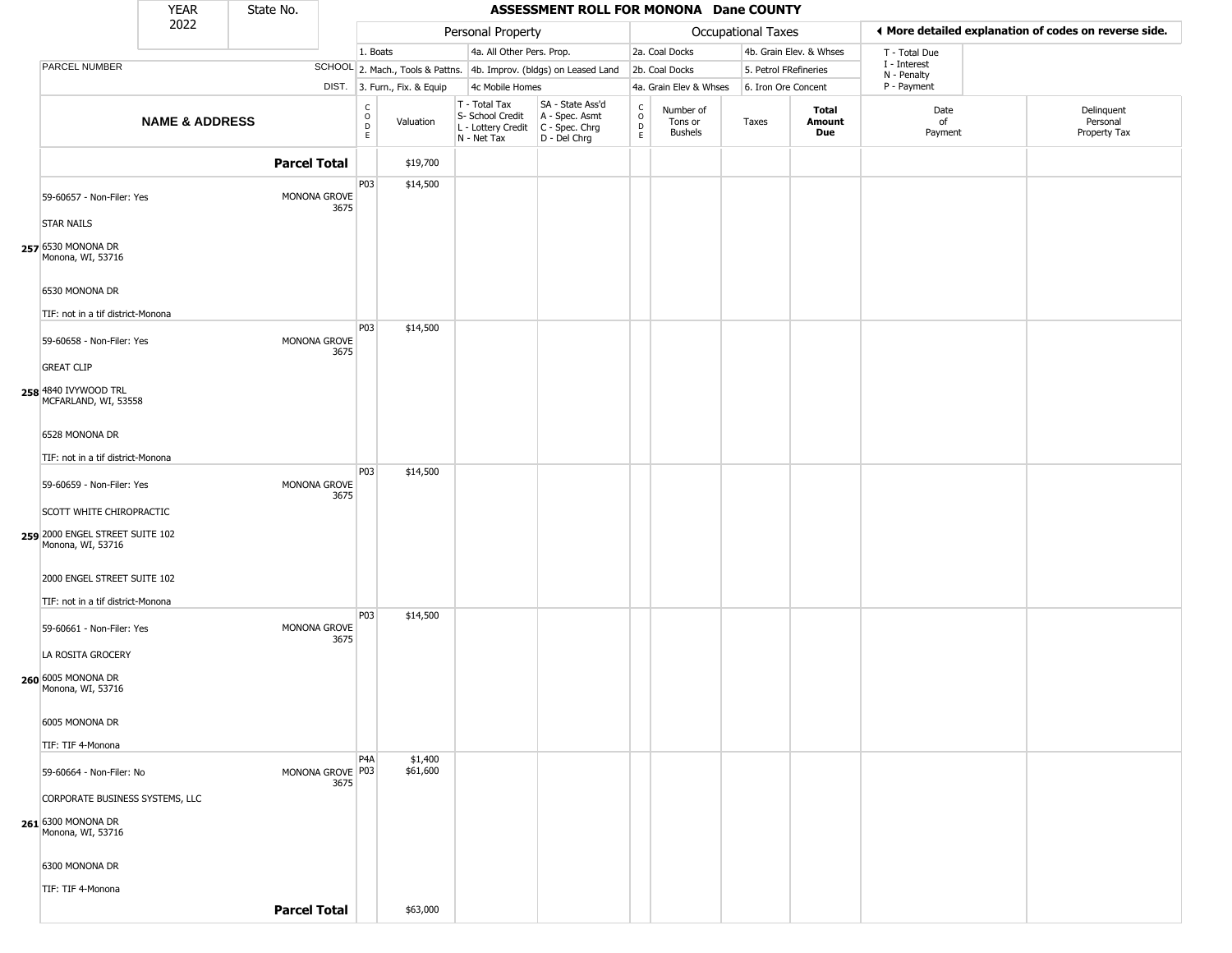|                                                                                  | <b>YEAR</b>               | State No.           |                          |                                 |                              |                                                                                       | ASSESSMENT ROLL FOR MONONA Dane COUNTY                              |                                          |                                        |                           |                         |                             |                                                       |  |
|----------------------------------------------------------------------------------|---------------------------|---------------------|--------------------------|---------------------------------|------------------------------|---------------------------------------------------------------------------------------|---------------------------------------------------------------------|------------------------------------------|----------------------------------------|---------------------------|-------------------------|-----------------------------|-------------------------------------------------------|--|
|                                                                                  | 2022                      |                     |                          |                                 |                              | Personal Property                                                                     |                                                                     |                                          |                                        | <b>Occupational Taxes</b> |                         |                             | ◀ More detailed explanation of codes on reverse side. |  |
|                                                                                  |                           |                     |                          | 1. Boats                        |                              | 4a. All Other Pers. Prop.                                                             |                                                                     |                                          | 2a. Coal Docks                         |                           | 4b. Grain Elev. & Whses | T - Total Due               |                                                       |  |
| PARCEL NUMBER                                                                    |                           |                     |                          |                                 |                              |                                                                                       | SCHOOL 2. Mach., Tools & Pattns. 4b. Improv. (bldgs) on Leased Land |                                          | 2b. Coal Docks                         | 5. Petrol FRefineries     |                         | I - Interest<br>N - Penalty |                                                       |  |
|                                                                                  |                           |                     |                          |                                 | DIST. 3. Furn., Fix. & Equip | 4c Mobile Homes                                                                       |                                                                     |                                          | 4a. Grain Elev & Whses                 | 6. Iron Ore Concent       |                         | P - Payment                 |                                                       |  |
|                                                                                  | <b>NAME &amp; ADDRESS</b> |                     |                          | $\rm _o^C$<br>$\mathsf{D}$<br>E | Valuation                    | T - Total Tax<br>S- School Credit<br>L - Lottery Credit C - Spec. Chrg<br>N - Net Tax | SA - State Ass'd<br>A - Spec. Asmt<br>D - Del Chrg                  | $\rm _o^c$<br>$\mathsf D$<br>$\mathsf E$ | Number of<br>Tons or<br><b>Bushels</b> | Taxes                     | Total<br>Amount<br>Due  | Date<br>of<br>Payment       | Delinquent<br>Personal<br>Property Tax                |  |
|                                                                                  |                           |                     | <b>Parcel Total</b>      |                                 | \$19,700                     |                                                                                       |                                                                     |                                          |                                        |                           |                         |                             |                                                       |  |
| 59-60657 - Non-Filer: Yes                                                        |                           |                     | MONONA GROVE<br>3675     | P03                             | \$14,500                     |                                                                                       |                                                                     |                                          |                                        |                           |                         |                             |                                                       |  |
| <b>STAR NAILS</b><br>257 6530 MONONA DR<br>Monona, WI, 53716                     |                           |                     |                          |                                 |                              |                                                                                       |                                                                     |                                          |                                        |                           |                         |                             |                                                       |  |
| 6530 MONONA DR<br>TIF: not in a tif district-Monona                              |                           |                     |                          |                                 |                              |                                                                                       |                                                                     |                                          |                                        |                           |                         |                             |                                                       |  |
| 59-60658 - Non-Filer: Yes<br><b>GREAT CLIP</b>                                   |                           |                     | MONONA GROVE<br>3675     | <b>P03</b>                      | \$14,500                     |                                                                                       |                                                                     |                                          |                                        |                           |                         |                             |                                                       |  |
| 258 4840 IVYWOOD TRL<br>MCFARLAND, WI, 53558                                     |                           |                     |                          |                                 |                              |                                                                                       |                                                                     |                                          |                                        |                           |                         |                             |                                                       |  |
| 6528 MONONA DR                                                                   |                           |                     |                          |                                 |                              |                                                                                       |                                                                     |                                          |                                        |                           |                         |                             |                                                       |  |
| TIF: not in a tif district-Monona                                                |                           |                     |                          |                                 |                              |                                                                                       |                                                                     |                                          |                                        |                           |                         |                             |                                                       |  |
| 59-60659 - Non-Filer: Yes                                                        |                           |                     | MONONA GROVE<br>3675     | P03                             | \$14,500                     |                                                                                       |                                                                     |                                          |                                        |                           |                         |                             |                                                       |  |
| SCOTT WHITE CHIROPRACTIC<br>259 2000 ENGEL STREET SUITE 102<br>Monona, WI, 53716 |                           |                     |                          |                                 |                              |                                                                                       |                                                                     |                                          |                                        |                           |                         |                             |                                                       |  |
| 2000 ENGEL STREET SUITE 102<br>TIF: not in a tif district-Monona                 |                           |                     |                          |                                 |                              |                                                                                       |                                                                     |                                          |                                        |                           |                         |                             |                                                       |  |
| 59-60661 - Non-Filer: Yes                                                        |                           |                     | MONONA GROVE<br>3675     | P03                             | \$14,500                     |                                                                                       |                                                                     |                                          |                                        |                           |                         |                             |                                                       |  |
| LA ROSITA GROCERY<br>260 6005 MONONA DR<br>Monona, WI, 53716                     |                           |                     |                          |                                 |                              |                                                                                       |                                                                     |                                          |                                        |                           |                         |                             |                                                       |  |
| 6005 MONONA DR                                                                   |                           |                     |                          |                                 |                              |                                                                                       |                                                                     |                                          |                                        |                           |                         |                             |                                                       |  |
| TIF: TIF 4-Monona                                                                |                           |                     |                          | P <sub>4</sub> A                | \$1,400                      |                                                                                       |                                                                     |                                          |                                        |                           |                         |                             |                                                       |  |
| 59-60664 - Non-Filer: No                                                         |                           |                     | MONONA GROVE P03<br>3675 |                                 | \$61,600                     |                                                                                       |                                                                     |                                          |                                        |                           |                         |                             |                                                       |  |
| CORPORATE BUSINESS SYSTEMS, LLC                                                  |                           |                     |                          |                                 |                              |                                                                                       |                                                                     |                                          |                                        |                           |                         |                             |                                                       |  |
| 261 6300 MONONA DR<br>Monona, WI, 53716                                          |                           |                     |                          |                                 |                              |                                                                                       |                                                                     |                                          |                                        |                           |                         |                             |                                                       |  |
| 6300 MONONA DR                                                                   |                           |                     |                          |                                 |                              |                                                                                       |                                                                     |                                          |                                        |                           |                         |                             |                                                       |  |
| TIF: TIF 4-Monona                                                                |                           |                     |                          |                                 |                              |                                                                                       |                                                                     |                                          |                                        |                           |                         |                             |                                                       |  |
|                                                                                  |                           | <b>Parcel Total</b> |                          |                                 | \$63,000                     |                                                                                       |                                                                     |                                          |                                        |                           |                         |                             |                                                       |  |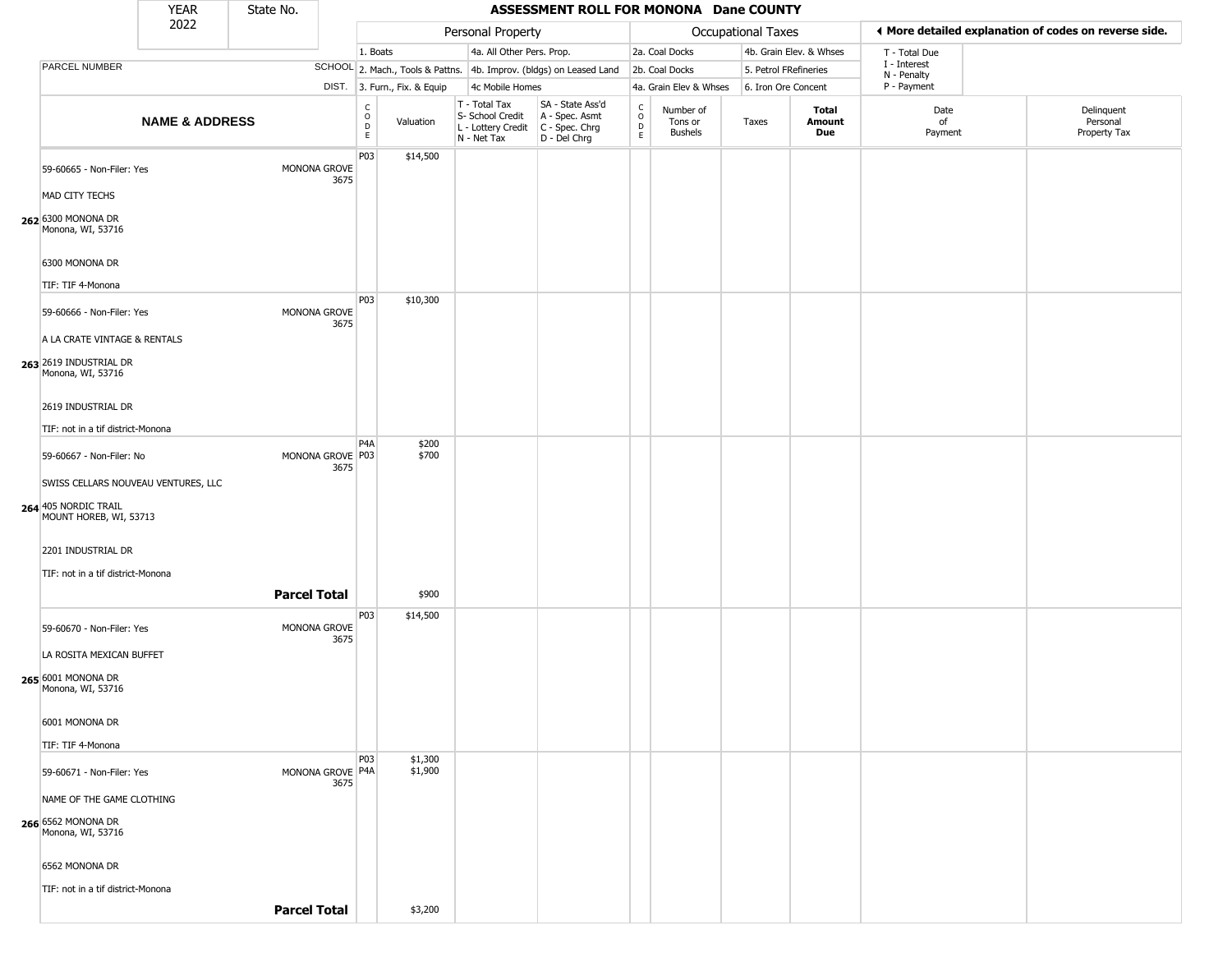|                                                                                                          | <b>YEAR</b>               | State No.           |                          |                                             |                              |                                                                        | <b>ASSESSMENT ROLL FOR MONONA Dane COUNTY</b>                        |                                                           |                                        |                       |                         |                             |                                                       |
|----------------------------------------------------------------------------------------------------------|---------------------------|---------------------|--------------------------|---------------------------------------------|------------------------------|------------------------------------------------------------------------|----------------------------------------------------------------------|-----------------------------------------------------------|----------------------------------------|-----------------------|-------------------------|-----------------------------|-------------------------------------------------------|
|                                                                                                          | 2022                      |                     |                          |                                             |                              | Personal Property                                                      |                                                                      |                                                           |                                        | Occupational Taxes    |                         |                             | ◀ More detailed explanation of codes on reverse side. |
|                                                                                                          |                           |                     |                          | 1. Boats                                    |                              | 4a. All Other Pers. Prop.                                              |                                                                      |                                                           | 2a. Coal Docks                         |                       | 4b. Grain Elev. & Whses | T - Total Due               |                                                       |
| PARCEL NUMBER                                                                                            |                           |                     |                          |                                             |                              |                                                                        | SCHOOL 2. Mach., Tools & Pattns. 4b. Improv. (bldgs) on Leased Land  |                                                           | 2b. Coal Docks                         | 5. Petrol FRefineries |                         | I - Interest<br>N - Penalty |                                                       |
|                                                                                                          |                           |                     |                          |                                             | DIST. 3. Furn., Fix. & Equip | 4c Mobile Homes                                                        |                                                                      |                                                           | 4a. Grain Elev & Whses                 | 6. Iron Ore Concent   |                         | P - Payment                 |                                                       |
|                                                                                                          | <b>NAME &amp; ADDRESS</b> |                     |                          | $\mathsf{C}$<br>$\circ$<br>D<br>$\mathsf E$ | Valuation                    | T - Total Tax<br>S- School Credit<br>L - Lottery Credit<br>N - Net Tax | SA - State Ass'd<br>A - Spec. Asmt<br>C - Spec. Chrg<br>D - Del Chrg | $\begin{smallmatrix}&&C\\&0\\0\\D&\end{smallmatrix}$<br>E | Number of<br>Tons or<br><b>Bushels</b> | Taxes                 | Total<br>Amount<br>Due  | Date<br>of<br>Payment       | Delinquent<br>Personal<br>Property Tax                |
| 59-60665 - Non-Filer: Yes<br>MAD CITY TECHS                                                              |                           |                     | MONONA GROVE<br>3675     | P03                                         | \$14,500                     |                                                                        |                                                                      |                                                           |                                        |                       |                         |                             |                                                       |
| 262 6300 MONONA DR<br>Monona, WI, 53716<br>6300 MONONA DR<br>TIF: TIF 4-Monona                           |                           |                     |                          |                                             |                              |                                                                        |                                                                      |                                                           |                                        |                       |                         |                             |                                                       |
|                                                                                                          |                           |                     |                          | P03                                         | \$10,300                     |                                                                        |                                                                      |                                                           |                                        |                       |                         |                             |                                                       |
| 59-60666 - Non-Filer: Yes<br>A LA CRATE VINTAGE & RENTALS<br>263 2619 INDUSTRIAL DR<br>Monona, WI, 53716 |                           |                     | MONONA GROVE<br>3675     |                                             |                              |                                                                        |                                                                      |                                                           |                                        |                       |                         |                             |                                                       |
| 2619 INDUSTRIAL DR                                                                                       |                           |                     |                          |                                             |                              |                                                                        |                                                                      |                                                           |                                        |                       |                         |                             |                                                       |
|                                                                                                          |                           |                     |                          |                                             |                              |                                                                        |                                                                      |                                                           |                                        |                       |                         |                             |                                                       |
| TIF: not in a tif district-Monona                                                                        |                           |                     |                          | P4A                                         | \$200                        |                                                                        |                                                                      |                                                           |                                        |                       |                         |                             |                                                       |
| 59-60667 - Non-Filer: No                                                                                 |                           |                     | MONONA GROVE P03         |                                             | \$700                        |                                                                        |                                                                      |                                                           |                                        |                       |                         |                             |                                                       |
| SWISS CELLARS NOUVEAU VENTURES, LLC                                                                      |                           |                     | 3675                     |                                             |                              |                                                                        |                                                                      |                                                           |                                        |                       |                         |                             |                                                       |
| 264 405 NORDIC TRAIL<br>MOUNT HOREB, WI, 53713                                                           |                           |                     |                          |                                             |                              |                                                                        |                                                                      |                                                           |                                        |                       |                         |                             |                                                       |
| 2201 INDUSTRIAL DR<br>TIF: not in a tif district-Monona                                                  |                           |                     |                          |                                             |                              |                                                                        |                                                                      |                                                           |                                        |                       |                         |                             |                                                       |
|                                                                                                          |                           |                     |                          |                                             |                              |                                                                        |                                                                      |                                                           |                                        |                       |                         |                             |                                                       |
|                                                                                                          |                           | <b>Parcel Total</b> |                          |                                             | \$900                        |                                                                        |                                                                      |                                                           |                                        |                       |                         |                             |                                                       |
| 59-60670 - Non-Filer: Yes<br>LA ROSITA MEXICAN BUFFET                                                    |                           |                     | MONONA GROVE<br>3675     | P03                                         | \$14,500                     |                                                                        |                                                                      |                                                           |                                        |                       |                         |                             |                                                       |
| 265 6001 MONONA DR<br>Monona, WI, 53716                                                                  |                           |                     |                          |                                             |                              |                                                                        |                                                                      |                                                           |                                        |                       |                         |                             |                                                       |
| 6001 MONONA DR                                                                                           |                           |                     |                          |                                             |                              |                                                                        |                                                                      |                                                           |                                        |                       |                         |                             |                                                       |
| TIF: TIF 4-Monona                                                                                        |                           |                     |                          |                                             |                              |                                                                        |                                                                      |                                                           |                                        |                       |                         |                             |                                                       |
| 59-60671 - Non-Filer: Yes                                                                                |                           |                     | MONONA GROVE P4A<br>3675 | P03                                         | \$1,300<br>\$1,900           |                                                                        |                                                                      |                                                           |                                        |                       |                         |                             |                                                       |
| NAME OF THE GAME CLOTHING                                                                                |                           |                     |                          |                                             |                              |                                                                        |                                                                      |                                                           |                                        |                       |                         |                             |                                                       |
| 266 6562 MONONA DR<br>Monona, WI, 53716                                                                  |                           |                     |                          |                                             |                              |                                                                        |                                                                      |                                                           |                                        |                       |                         |                             |                                                       |
| 6562 MONONA DR                                                                                           |                           |                     |                          |                                             |                              |                                                                        |                                                                      |                                                           |                                        |                       |                         |                             |                                                       |
| TIF: not in a tif district-Monona                                                                        |                           |                     |                          |                                             |                              |                                                                        |                                                                      |                                                           |                                        |                       |                         |                             |                                                       |
|                                                                                                          |                           | <b>Parcel Total</b> |                          |                                             | \$3,200                      |                                                                        |                                                                      |                                                           |                                        |                       |                         |                             |                                                       |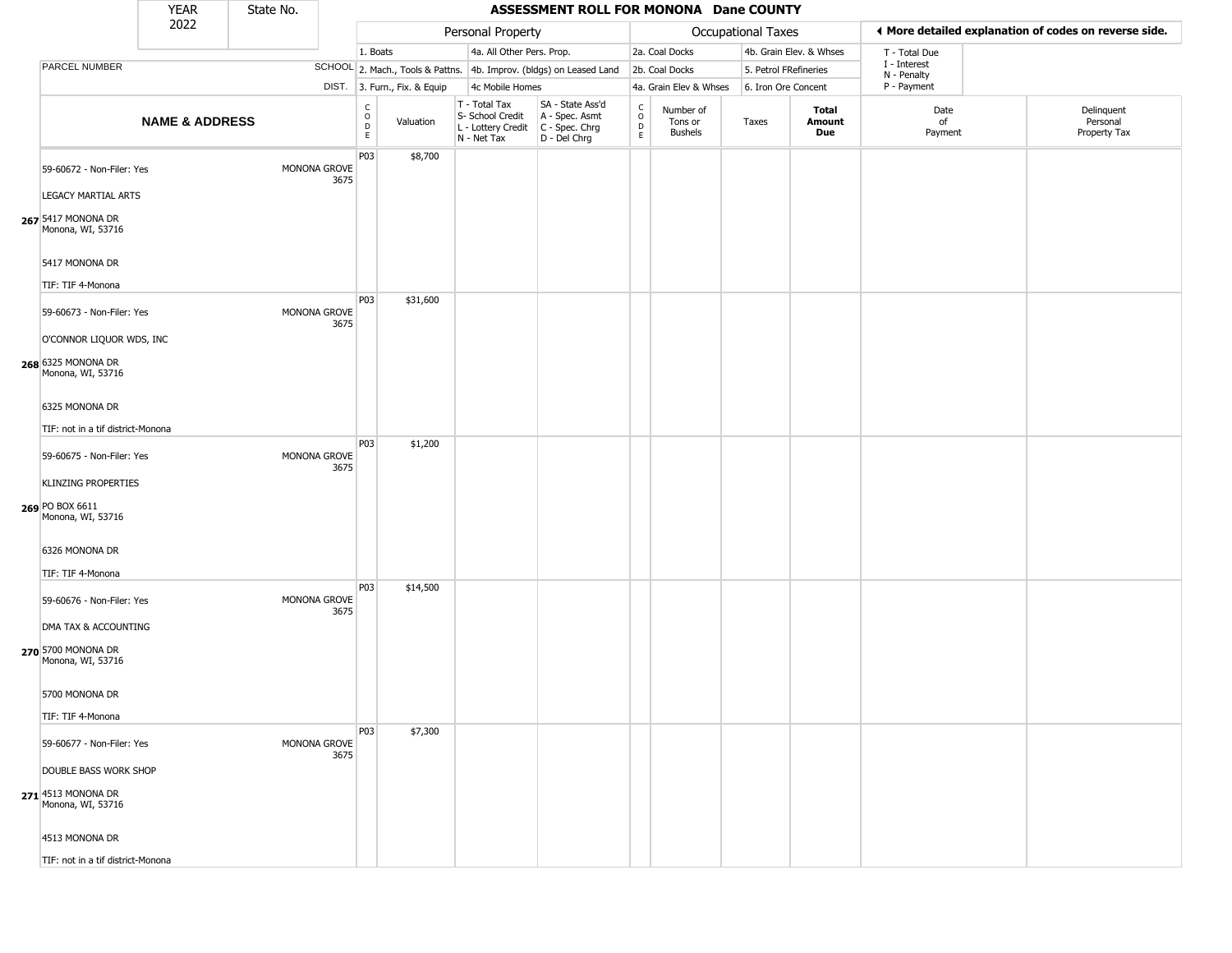|                                                                                                  | YEAR                      | State No. |                      |                                                          |                              |                                                                        | ASSESSMENT ROLL FOR MONONA Dane COUNTY                               |                                              |                                        |                       |                         |                             |                                                       |
|--------------------------------------------------------------------------------------------------|---------------------------|-----------|----------------------|----------------------------------------------------------|------------------------------|------------------------------------------------------------------------|----------------------------------------------------------------------|----------------------------------------------|----------------------------------------|-----------------------|-------------------------|-----------------------------|-------------------------------------------------------|
|                                                                                                  | 2022                      |           |                      |                                                          |                              | Personal Property                                                      |                                                                      |                                              |                                        | Occupational Taxes    |                         |                             | ♦ More detailed explanation of codes on reverse side. |
|                                                                                                  |                           |           |                      | 1. Boats                                                 |                              | 4a. All Other Pers. Prop.                                              |                                                                      |                                              | 2a. Coal Docks                         |                       | 4b. Grain Elev. & Whses | T - Total Due               |                                                       |
| PARCEL NUMBER                                                                                    |                           |           |                      |                                                          |                              |                                                                        | SCHOOL 2. Mach., Tools & Pattns. 4b. Improv. (bldgs) on Leased Land  |                                              | 2b. Coal Docks                         | 5. Petrol FRefineries |                         | I - Interest<br>N - Penalty |                                                       |
|                                                                                                  |                           |           |                      |                                                          | DIST. 3. Furn., Fix. & Equip | 4c Mobile Homes                                                        |                                                                      |                                              | 4a. Grain Elev & Whses                 | 6. Iron Ore Concent   |                         | P - Payment                 |                                                       |
|                                                                                                  | <b>NAME &amp; ADDRESS</b> |           |                      | $\begin{matrix} 0 \\ 0 \\ 0 \end{matrix}$<br>$\mathsf E$ | Valuation                    | T - Total Tax<br>S- School Credit<br>L - Lottery Credit<br>N - Net Tax | SA - State Ass'd<br>A - Spec. Asmt<br>C - Spec. Chrg<br>D - Del Chrg | $\int_{0}^{c}$<br>$\mathsf D$<br>$\mathsf E$ | Number of<br>Tons or<br><b>Bushels</b> | Taxes                 | Total<br>Amount<br>Due  | Date<br>of<br>Payment       | Delinquent<br>Personal<br>Property Tax                |
| 59-60672 - Non-Filer: Yes<br>LEGACY MARTIAL ARTS<br>267 5417 MONONA DR                           |                           |           | MONONA GROVE<br>3675 | P03                                                      | \$8,700                      |                                                                        |                                                                      |                                              |                                        |                       |                         |                             |                                                       |
| Monona, WI, 53716<br>5417 MONONA DR<br>TIF: TIF 4-Monona                                         |                           |           |                      | P03                                                      | \$31,600                     |                                                                        |                                                                      |                                              |                                        |                       |                         |                             |                                                       |
| 59-60673 - Non-Filer: Yes<br>O'CONNOR LIQUOR WDS, INC<br>268 6325 MONONA DR<br>Monona, WI, 53716 |                           |           | MONONA GROVE<br>3675 |                                                          |                              |                                                                        |                                                                      |                                              |                                        |                       |                         |                             |                                                       |
| 6325 MONONA DR<br>TIF: not in a tif district-Monona                                              |                           |           |                      |                                                          |                              |                                                                        |                                                                      |                                              |                                        |                       |                         |                             |                                                       |
| 59-60675 - Non-Filer: Yes<br><b>KLINZING PROPERTIES</b><br>269 PO BOX 6611<br>Monona, WI, 53716  |                           |           | MONONA GROVE<br>3675 | P03                                                      | \$1,200                      |                                                                        |                                                                      |                                              |                                        |                       |                         |                             |                                                       |
| 6326 MONONA DR<br>TIF: TIF 4-Monona                                                              |                           |           |                      |                                                          |                              |                                                                        |                                                                      |                                              |                                        |                       |                         |                             |                                                       |
| 59-60676 - Non-Filer: Yes<br>DMA TAX & ACCOUNTING                                                |                           |           | MONONA GROVE<br>3675 | P03                                                      | \$14,500                     |                                                                        |                                                                      |                                              |                                        |                       |                         |                             |                                                       |
| 270 5700 MONONA DR<br>Monona, WI, 53716<br>5700 MONONA DR                                        |                           |           |                      |                                                          |                              |                                                                        |                                                                      |                                              |                                        |                       |                         |                             |                                                       |
| TIF: TIF 4-Monona                                                                                |                           |           |                      |                                                          |                              |                                                                        |                                                                      |                                              |                                        |                       |                         |                             |                                                       |
| 59-60677 - Non-Filer: Yes                                                                        |                           |           | MONONA GROVE<br>3675 | P03                                                      | \$7,300                      |                                                                        |                                                                      |                                              |                                        |                       |                         |                             |                                                       |
| DOUBLE BASS WORK SHOP<br>271 4513 MONONA DR<br>Monona, WI, 53716                                 |                           |           |                      |                                                          |                              |                                                                        |                                                                      |                                              |                                        |                       |                         |                             |                                                       |
| 4513 MONONA DR                                                                                   |                           |           |                      |                                                          |                              |                                                                        |                                                                      |                                              |                                        |                       |                         |                             |                                                       |
| TIF: not in a tif district-Monona                                                                |                           |           |                      |                                                          |                              |                                                                        |                                                                      |                                              |                                        |                       |                         |                             |                                                       |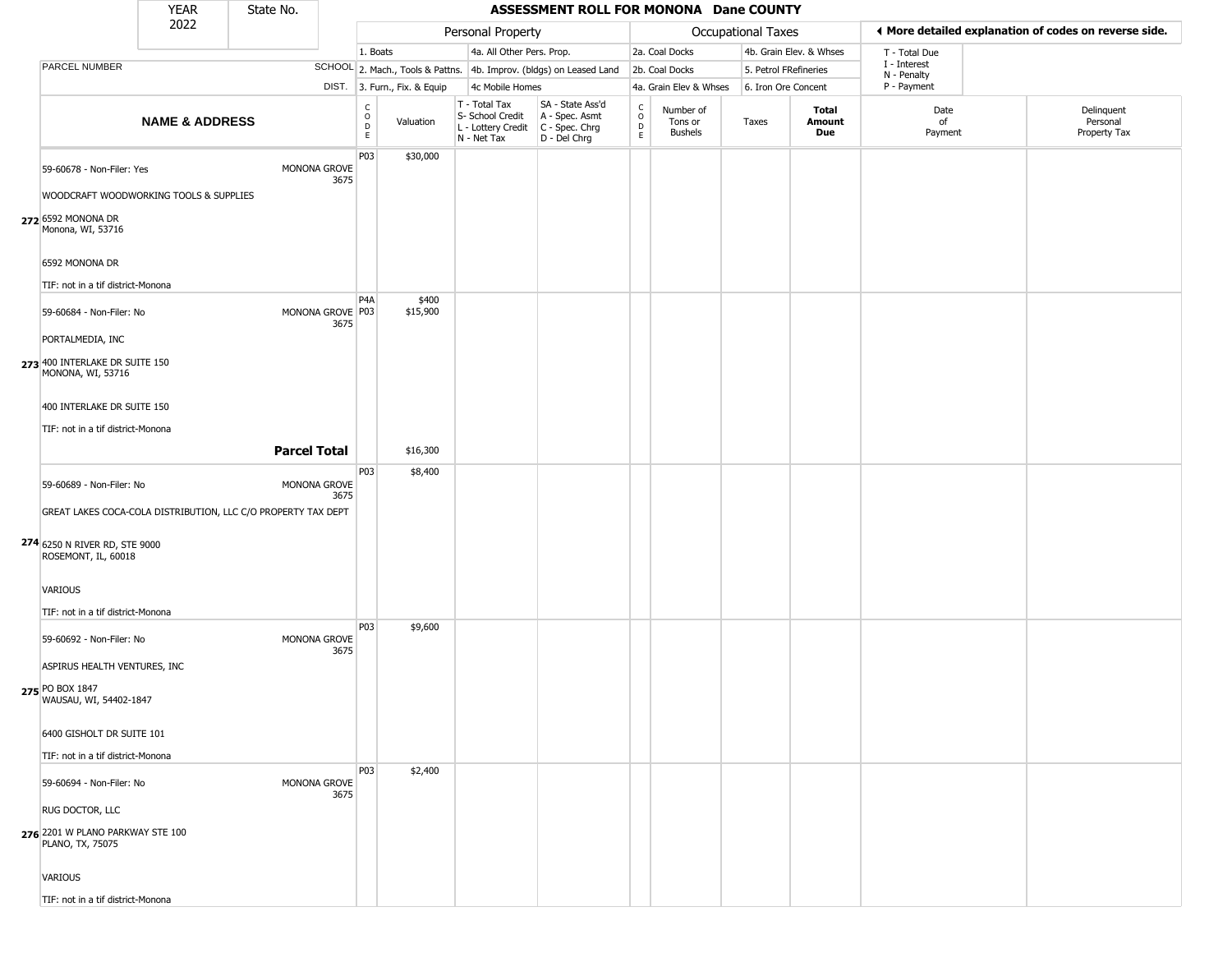|                                                               | YEAR                      | State No.           |                          |                                             |                              |                                                                        | ASSESSMENT ROLL FOR MONONA Dane COUNTY                                   |                                              |                                        |                       |                         |                             |                                                       |
|---------------------------------------------------------------|---------------------------|---------------------|--------------------------|---------------------------------------------|------------------------------|------------------------------------------------------------------------|--------------------------------------------------------------------------|----------------------------------------------|----------------------------------------|-----------------------|-------------------------|-----------------------------|-------------------------------------------------------|
|                                                               | 2022                      |                     |                          |                                             |                              | Personal Property                                                      |                                                                          |                                              |                                        | Occupational Taxes    |                         |                             | ♦ More detailed explanation of codes on reverse side. |
|                                                               |                           |                     |                          | 1. Boats                                    |                              | 4a. All Other Pers. Prop.                                              |                                                                          |                                              | 2a. Coal Docks                         |                       | 4b. Grain Elev. & Whses | T - Total Due               |                                                       |
| PARCEL NUMBER                                                 |                           |                     |                          |                                             |                              |                                                                        | SCHOOL 2. Mach., Tools & Pattns. 4b. Improv. (bldgs) on Leased Land      |                                              | 2b. Coal Docks                         | 5. Petrol FRefineries |                         | I - Interest<br>N - Penalty |                                                       |
|                                                               |                           |                     |                          |                                             | DIST. 3. Furn., Fix. & Equip | 4c Mobile Homes                                                        |                                                                          |                                              | 4a. Grain Elev & Whses                 | 6. Iron Ore Concent   |                         | P - Payment                 |                                                       |
|                                                               | <b>NAME &amp; ADDRESS</b> |                     |                          | $\frac{C}{O}$<br>$\mathsf D$<br>$\mathsf E$ | Valuation                    | T - Total Tax<br>S- School Credit<br>L - Lottery Credit<br>N - Net Tax | SA - State Ass'd<br>A - Spec. Asmt<br>$C - Spec. Chrg$<br>$D - Del Chrg$ | $\begin{array}{c}\nC \\ D \\ E\n\end{array}$ | Number of<br>Tons or<br><b>Bushels</b> | Taxes                 | Total<br>Amount<br>Due  | Date<br>of<br>Payment       | Delinquent<br>Personal<br>Property Tax                |
| 59-60678 - Non-Filer: Yes                                     |                           |                     | MONONA GROVE<br>3675     | P03                                         | \$30,000                     |                                                                        |                                                                          |                                              |                                        |                       |                         |                             |                                                       |
| WOODCRAFT WOODWORKING TOOLS & SUPPLIES                        |                           |                     |                          |                                             |                              |                                                                        |                                                                          |                                              |                                        |                       |                         |                             |                                                       |
| 272 6592 MONONA DR<br>Monona, WI, 53716                       |                           |                     |                          |                                             |                              |                                                                        |                                                                          |                                              |                                        |                       |                         |                             |                                                       |
| 6592 MONONA DR                                                |                           |                     |                          |                                             |                              |                                                                        |                                                                          |                                              |                                        |                       |                         |                             |                                                       |
| TIF: not in a tif district-Monona                             |                           |                     |                          | P4A                                         | \$400                        |                                                                        |                                                                          |                                              |                                        |                       |                         |                             |                                                       |
| 59-60684 - Non-Filer: No                                      |                           |                     | MONONA GROVE P03<br>3675 |                                             | \$15,900                     |                                                                        |                                                                          |                                              |                                        |                       |                         |                             |                                                       |
| PORTALMEDIA, INC<br>273 400 INTERLAKE DR SUITE 150            |                           |                     |                          |                                             |                              |                                                                        |                                                                          |                                              |                                        |                       |                         |                             |                                                       |
| MONONA, WI, 53716                                             |                           |                     |                          |                                             |                              |                                                                        |                                                                          |                                              |                                        |                       |                         |                             |                                                       |
| 400 INTERLAKE DR SUITE 150                                    |                           |                     |                          |                                             |                              |                                                                        |                                                                          |                                              |                                        |                       |                         |                             |                                                       |
| TIF: not in a tif district-Monona                             |                           |                     |                          |                                             |                              |                                                                        |                                                                          |                                              |                                        |                       |                         |                             |                                                       |
|                                                               |                           | <b>Parcel Total</b> |                          |                                             | \$16,300                     |                                                                        |                                                                          |                                              |                                        |                       |                         |                             |                                                       |
| 59-60689 - Non-Filer: No                                      |                           |                     | MONONA GROVE             | P03                                         | \$8,400                      |                                                                        |                                                                          |                                              |                                        |                       |                         |                             |                                                       |
|                                                               |                           |                     | 3675                     |                                             |                              |                                                                        |                                                                          |                                              |                                        |                       |                         |                             |                                                       |
| GREAT LAKES COCA-COLA DISTRIBUTION, LLC C/O PROPERTY TAX DEPT |                           |                     |                          |                                             |                              |                                                                        |                                                                          |                                              |                                        |                       |                         |                             |                                                       |
| 274 6250 N RIVER RD, STE 9000<br>ROSEMONT, IL, 60018          |                           |                     |                          |                                             |                              |                                                                        |                                                                          |                                              |                                        |                       |                         |                             |                                                       |
| <b>VARIOUS</b>                                                |                           |                     |                          |                                             |                              |                                                                        |                                                                          |                                              |                                        |                       |                         |                             |                                                       |
| TIF: not in a tif district-Monona                             |                           |                     |                          |                                             |                              |                                                                        |                                                                          |                                              |                                        |                       |                         |                             |                                                       |
| 59-60692 - Non-Filer: No                                      |                           |                     | MONONA GROVE<br>3675     | P03                                         | \$9,600                      |                                                                        |                                                                          |                                              |                                        |                       |                         |                             |                                                       |
| ASPIRUS HEALTH VENTURES, INC                                  |                           |                     |                          |                                             |                              |                                                                        |                                                                          |                                              |                                        |                       |                         |                             |                                                       |
| 275 PO BOX 1847<br>WAUSAU, WI, 54402-1847                     |                           |                     |                          |                                             |                              |                                                                        |                                                                          |                                              |                                        |                       |                         |                             |                                                       |
| 6400 GISHOLT DR SUITE 101                                     |                           |                     |                          |                                             |                              |                                                                        |                                                                          |                                              |                                        |                       |                         |                             |                                                       |
| TIF: not in a tif district-Monona                             |                           |                     |                          |                                             |                              |                                                                        |                                                                          |                                              |                                        |                       |                         |                             |                                                       |
| 59-60694 - Non-Filer: No                                      |                           |                     | MONONA GROVE<br>3675     | P03                                         | \$2,400                      |                                                                        |                                                                          |                                              |                                        |                       |                         |                             |                                                       |
| RUG DOCTOR, LLC                                               |                           |                     |                          |                                             |                              |                                                                        |                                                                          |                                              |                                        |                       |                         |                             |                                                       |
| <b>276</b> 2201 W PLANO PARKWAY STE 100<br>PLANO, TX, 75075   |                           |                     |                          |                                             |                              |                                                                        |                                                                          |                                              |                                        |                       |                         |                             |                                                       |
| <b>VARIOUS</b>                                                |                           |                     |                          |                                             |                              |                                                                        |                                                                          |                                              |                                        |                       |                         |                             |                                                       |
| TIF: not in a tif district-Monona                             |                           |                     |                          |                                             |                              |                                                                        |                                                                          |                                              |                                        |                       |                         |                             |                                                       |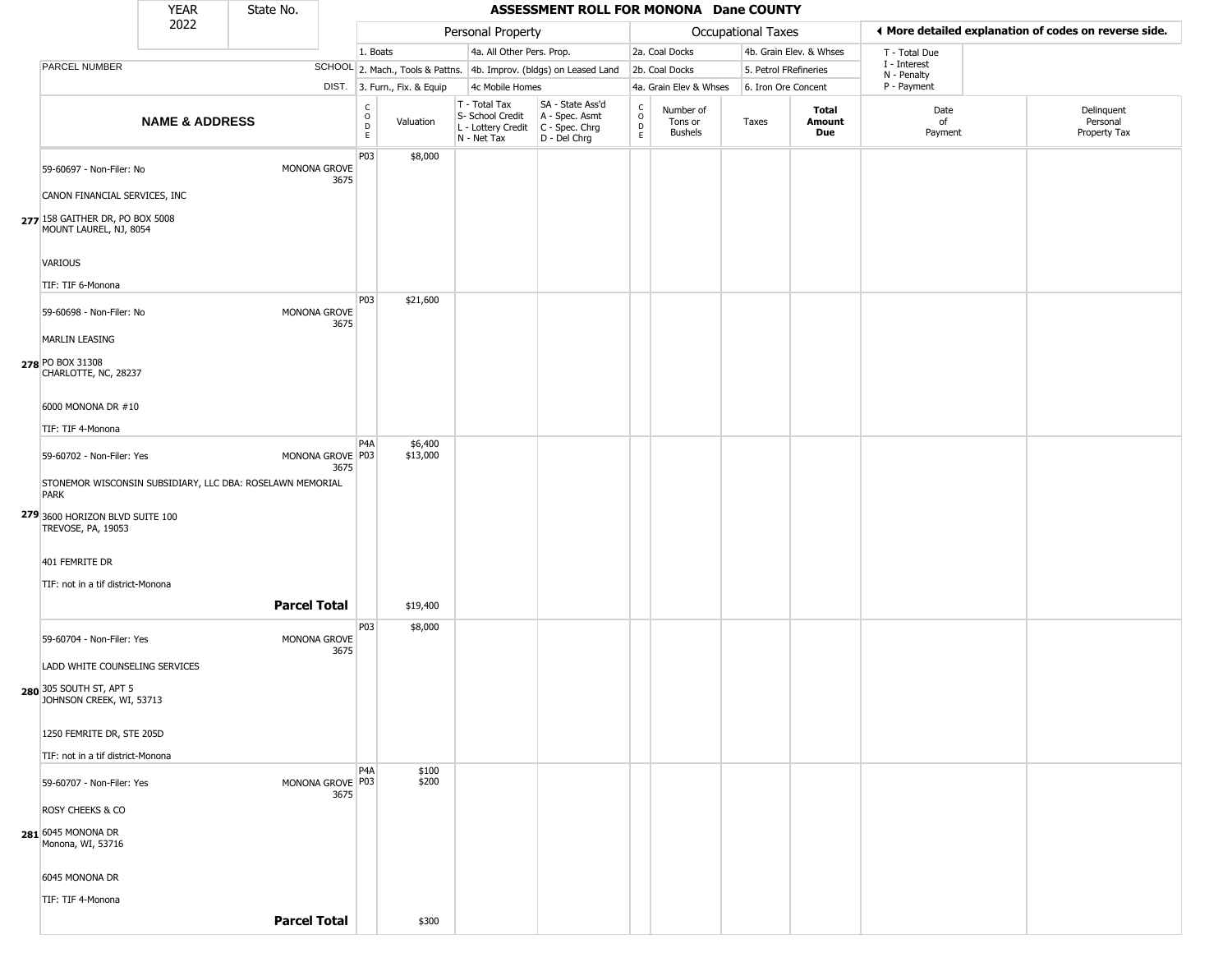|                                                                                            | <b>YEAR</b>               | State No.           |                          |                                                 |                              |                                                                                         | ASSESSMENT ROLL FOR MONONA Dane COUNTY                              |                  |                                 |                     |                         |                             |                                                       |
|--------------------------------------------------------------------------------------------|---------------------------|---------------------|--------------------------|-------------------------------------------------|------------------------------|-----------------------------------------------------------------------------------------|---------------------------------------------------------------------|------------------|---------------------------------|---------------------|-------------------------|-----------------------------|-------------------------------------------------------|
|                                                                                            | 2022                      |                     |                          |                                                 |                              | Personal Property                                                                       |                                                                     |                  |                                 | Occupational Taxes  |                         |                             | ◀ More detailed explanation of codes on reverse side. |
|                                                                                            |                           |                     |                          | 1. Boats                                        |                              | 4a. All Other Pers. Prop.                                                               |                                                                     |                  | 2a. Coal Docks                  |                     | 4b. Grain Elev. & Whses | T - Total Due               |                                                       |
| PARCEL NUMBER                                                                              |                           |                     |                          |                                                 |                              |                                                                                         | SCHOOL 2. Mach., Tools & Pattns. 4b. Improv. (bldgs) on Leased Land |                  | 2b. Coal Docks                  |                     | 5. Petrol FRefineries   | I - Interest<br>N - Penalty |                                                       |
|                                                                                            |                           |                     |                          |                                                 | DIST. 3. Furn., Fix. & Equip | 4c Mobile Homes                                                                         |                                                                     |                  | 4a. Grain Elev & Whses          | 6. Iron Ore Concent |                         | P - Payment                 |                                                       |
|                                                                                            | <b>NAME &amp; ADDRESS</b> |                     |                          | $\begin{array}{c} C \\ O \\ D \\ E \end{array}$ | Valuation                    | T - Total Tax<br>S- School Credit<br>L - Lottery Credit   C - Spec. Chrg<br>N - Net Tax | SA - State Ass'd<br>A - Spec. Asmt<br>D - Del Chrg                  | C<br>D<br>D<br>E | Number of<br>Tons or<br>Bushels | Taxes               | Total<br>Amount<br>Due  | Date<br>of<br>Payment       | Delinquent<br>Personal<br>Property Tax                |
| 59-60697 - Non-Filer: No                                                                   |                           |                     | MONONA GROVE<br>3675     | P03                                             | \$8,000                      |                                                                                         |                                                                     |                  |                                 |                     |                         |                             |                                                       |
| CANON FINANCIAL SERVICES, INC<br>277 158 GAITHER DR, PO BOX 5008<br>MOUNT LAUREL, NJ, 8054 |                           |                     |                          |                                                 |                              |                                                                                         |                                                                     |                  |                                 |                     |                         |                             |                                                       |
| VARIOUS                                                                                    |                           |                     |                          |                                                 |                              |                                                                                         |                                                                     |                  |                                 |                     |                         |                             |                                                       |
| TIF: TIF 6-Monona                                                                          |                           |                     |                          |                                                 |                              |                                                                                         |                                                                     |                  |                                 |                     |                         |                             |                                                       |
| 59-60698 - Non-Filer: No                                                                   |                           |                     | MONONA GROVE<br>3675     | P03                                             | \$21,600                     |                                                                                         |                                                                     |                  |                                 |                     |                         |                             |                                                       |
| <b>MARLIN LEASING</b>                                                                      |                           |                     |                          |                                                 |                              |                                                                                         |                                                                     |                  |                                 |                     |                         |                             |                                                       |
| 278 PO BOX 31308<br>CHARLOTTE, NC, 28237                                                   |                           |                     |                          |                                                 |                              |                                                                                         |                                                                     |                  |                                 |                     |                         |                             |                                                       |
| 6000 MONONA DR #10                                                                         |                           |                     |                          |                                                 |                              |                                                                                         |                                                                     |                  |                                 |                     |                         |                             |                                                       |
| TIF: TIF 4-Monona                                                                          |                           |                     |                          | P <sub>4</sub> A                                | \$6,400                      |                                                                                         |                                                                     |                  |                                 |                     |                         |                             |                                                       |
| 59-60702 - Non-Filer: Yes                                                                  |                           |                     | MONONA GROVE P03<br>3675 |                                                 | \$13,000                     |                                                                                         |                                                                     |                  |                                 |                     |                         |                             |                                                       |
| STONEMOR WISCONSIN SUBSIDIARY, LLC DBA: ROSELAWN MEMORIAL<br><b>PARK</b>                   |                           |                     |                          |                                                 |                              |                                                                                         |                                                                     |                  |                                 |                     |                         |                             |                                                       |
| 279 3600 HORIZON BLVD SUITE 100<br>TREVOSE, PA, 19053                                      |                           |                     |                          |                                                 |                              |                                                                                         |                                                                     |                  |                                 |                     |                         |                             |                                                       |
| 401 FEMRITE DR                                                                             |                           |                     |                          |                                                 |                              |                                                                                         |                                                                     |                  |                                 |                     |                         |                             |                                                       |
| TIF: not in a tif district-Monona                                                          |                           |                     |                          |                                                 |                              |                                                                                         |                                                                     |                  |                                 |                     |                         |                             |                                                       |
|                                                                                            |                           | <b>Parcel Total</b> |                          |                                                 | \$19,400                     |                                                                                         |                                                                     |                  |                                 |                     |                         |                             |                                                       |
| 59-60704 - Non-Filer: Yes                                                                  |                           |                     | MONONA GROVE<br>3675     | P03                                             | \$8,000                      |                                                                                         |                                                                     |                  |                                 |                     |                         |                             |                                                       |
| LADD WHITE COUNSELING SERVICES                                                             |                           |                     |                          |                                                 |                              |                                                                                         |                                                                     |                  |                                 |                     |                         |                             |                                                       |
| 280 305 SOUTH ST, APT 5<br>JOHNSON CREEK, WI, 53713                                        |                           |                     |                          |                                                 |                              |                                                                                         |                                                                     |                  |                                 |                     |                         |                             |                                                       |
| 1250 FEMRITE DR, STE 205D                                                                  |                           |                     |                          |                                                 |                              |                                                                                         |                                                                     |                  |                                 |                     |                         |                             |                                                       |
| TIF: not in a tif district-Monona                                                          |                           |                     |                          |                                                 |                              |                                                                                         |                                                                     |                  |                                 |                     |                         |                             |                                                       |
| 59-60707 - Non-Filer: Yes                                                                  |                           |                     | MONONA GROVE P03<br>3675 | P <sub>4</sub> A                                | \$100<br>\$200               |                                                                                         |                                                                     |                  |                                 |                     |                         |                             |                                                       |
| ROSY CHEEKS & CO                                                                           |                           |                     |                          |                                                 |                              |                                                                                         |                                                                     |                  |                                 |                     |                         |                             |                                                       |
| <b>281</b> 6045 MONONA DR<br>Monona, WI, 53716                                             |                           |                     |                          |                                                 |                              |                                                                                         |                                                                     |                  |                                 |                     |                         |                             |                                                       |
| 6045 MONONA DR                                                                             |                           |                     |                          |                                                 |                              |                                                                                         |                                                                     |                  |                                 |                     |                         |                             |                                                       |
| TIF: TIF 4-Monona                                                                          |                           |                     |                          |                                                 |                              |                                                                                         |                                                                     |                  |                                 |                     |                         |                             |                                                       |
|                                                                                            |                           | <b>Parcel Total</b> |                          |                                                 | \$300                        |                                                                                         |                                                                     |                  |                                 |                     |                         |                             |                                                       |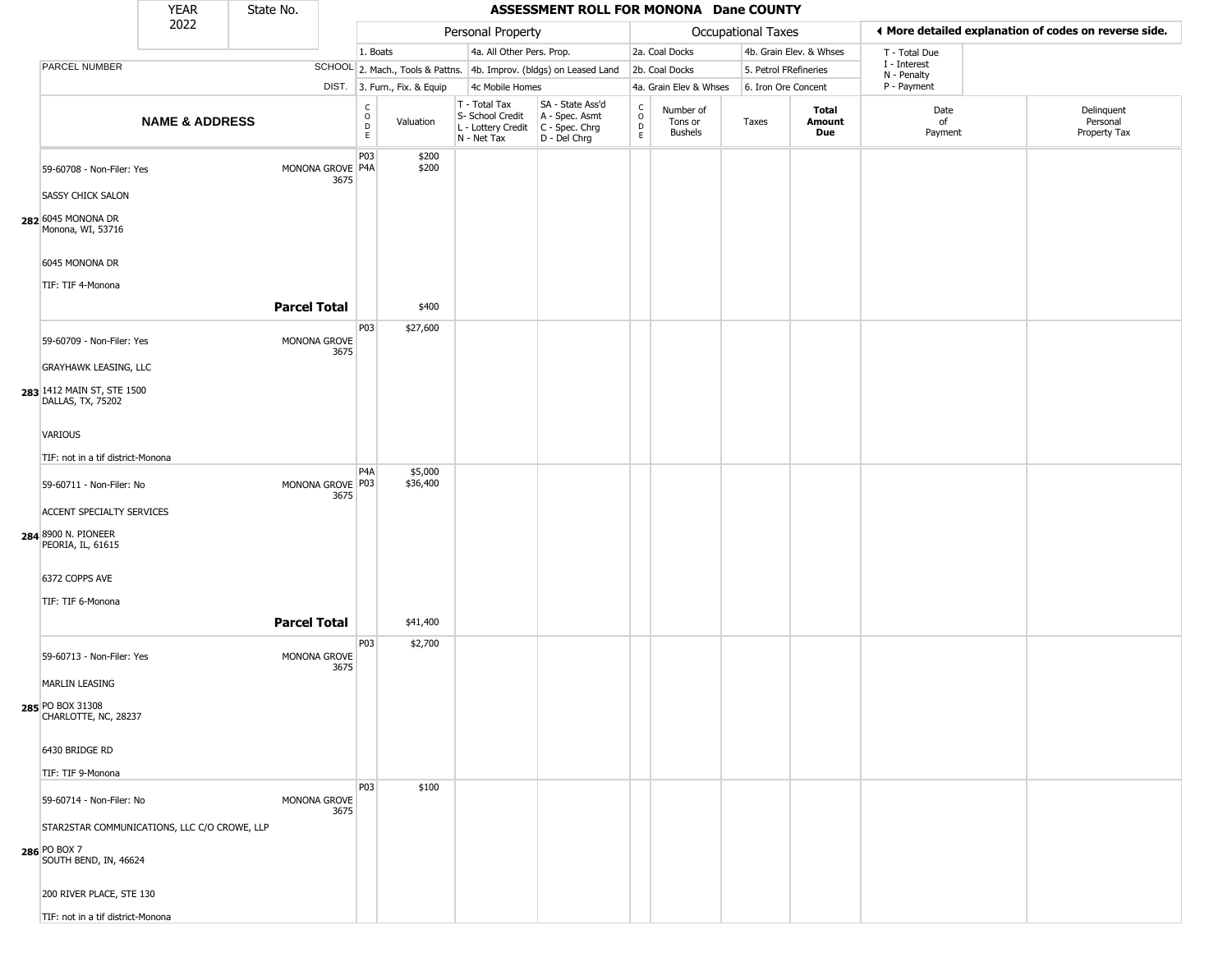|                                                                                       | <b>YEAR</b>               | State No.           |                          |                                                          |                              |                                                                        | ASSESSMENT ROLL FOR MONONA Dane COUNTY                               |                                                          |                                        |                       |                         |                             |                                                       |
|---------------------------------------------------------------------------------------|---------------------------|---------------------|--------------------------|----------------------------------------------------------|------------------------------|------------------------------------------------------------------------|----------------------------------------------------------------------|----------------------------------------------------------|----------------------------------------|-----------------------|-------------------------|-----------------------------|-------------------------------------------------------|
|                                                                                       | 2022                      |                     |                          |                                                          |                              | Personal Property                                                      |                                                                      |                                                          |                                        | Occupational Taxes    |                         |                             | ◀ More detailed explanation of codes on reverse side. |
|                                                                                       |                           |                     |                          | 1. Boats                                                 |                              | 4a. All Other Pers. Prop.                                              |                                                                      |                                                          | 2a. Coal Docks                         |                       | 4b. Grain Elev. & Whses | T - Total Due               |                                                       |
| PARCEL NUMBER                                                                         |                           |                     |                          |                                                          |                              |                                                                        | SCHOOL 2. Mach., Tools & Pattns. 4b. Improv. (bldgs) on Leased Land  |                                                          | 2b. Coal Docks                         | 5. Petrol FRefineries |                         | I - Interest<br>N - Penalty |                                                       |
|                                                                                       |                           |                     |                          |                                                          | DIST. 3. Furn., Fix. & Equip | 4c Mobile Homes                                                        |                                                                      |                                                          | 4a. Grain Elev & Whses                 | 6. Iron Ore Concent   |                         | P - Payment                 |                                                       |
|                                                                                       | <b>NAME &amp; ADDRESS</b> |                     |                          | $\begin{matrix} C \\ O \\ D \end{matrix}$<br>$\mathsf E$ | Valuation                    | T - Total Tax<br>S- School Credit<br>L - Lottery Credit<br>N - Net Tax | SA - State Ass'd<br>A - Spec. Asmt<br>C - Spec. Chrg<br>D - Del Chrg | $\begin{matrix} C \\ O \\ D \end{matrix}$<br>$\mathsf E$ | Number of<br>Tons or<br><b>Bushels</b> | Taxes                 | Total<br>Amount<br>Due  | Date<br>of<br>Payment       | Delinquent<br>Personal<br>Property Tax                |
| 59-60708 - Non-Filer: Yes                                                             |                           |                     | MONONA GROVE P4A<br>3675 | P03                                                      | \$200<br>\$200               |                                                                        |                                                                      |                                                          |                                        |                       |                         |                             |                                                       |
| <b>SASSY CHICK SALON</b>                                                              |                           |                     |                          |                                                          |                              |                                                                        |                                                                      |                                                          |                                        |                       |                         |                             |                                                       |
| 282 6045 MONONA DR<br>Monona, WI, 53716                                               |                           |                     |                          |                                                          |                              |                                                                        |                                                                      |                                                          |                                        |                       |                         |                             |                                                       |
| 6045 MONONA DR<br>TIF: TIF 4-Monona                                                   |                           |                     |                          |                                                          |                              |                                                                        |                                                                      |                                                          |                                        |                       |                         |                             |                                                       |
|                                                                                       |                           | <b>Parcel Total</b> |                          |                                                          | \$400                        |                                                                        |                                                                      |                                                          |                                        |                       |                         |                             |                                                       |
| 59-60709 - Non-Filer: Yes                                                             |                           |                     | MONONA GROVE<br>3675     | P <sub>03</sub>                                          | \$27,600                     |                                                                        |                                                                      |                                                          |                                        |                       |                         |                             |                                                       |
| <b>GRAYHAWK LEASING, LLC</b>                                                          |                           |                     |                          |                                                          |                              |                                                                        |                                                                      |                                                          |                                        |                       |                         |                             |                                                       |
| 283 1412 MAIN ST, STE 1500<br>DALLAS, TX, 75202                                       |                           |                     |                          |                                                          |                              |                                                                        |                                                                      |                                                          |                                        |                       |                         |                             |                                                       |
| VARIOUS                                                                               |                           |                     |                          |                                                          |                              |                                                                        |                                                                      |                                                          |                                        |                       |                         |                             |                                                       |
| TIF: not in a tif district-Monona                                                     |                           |                     |                          |                                                          |                              |                                                                        |                                                                      |                                                          |                                        |                       |                         |                             |                                                       |
| 59-60711 - Non-Filer: No                                                              |                           |                     | MONONA GROVE P03<br>3675 | P4A                                                      | \$5,000<br>\$36,400          |                                                                        |                                                                      |                                                          |                                        |                       |                         |                             |                                                       |
| ACCENT SPECIALTY SERVICES                                                             |                           |                     |                          |                                                          |                              |                                                                        |                                                                      |                                                          |                                        |                       |                         |                             |                                                       |
| 284 8900 N. PIONEER<br>PEORIA, IL, 61615                                              |                           |                     |                          |                                                          |                              |                                                                        |                                                                      |                                                          |                                        |                       |                         |                             |                                                       |
| 6372 COPPS AVE                                                                        |                           |                     |                          |                                                          |                              |                                                                        |                                                                      |                                                          |                                        |                       |                         |                             |                                                       |
| TIF: TIF 6-Monona                                                                     |                           |                     |                          |                                                          |                              |                                                                        |                                                                      |                                                          |                                        |                       |                         |                             |                                                       |
|                                                                                       |                           | <b>Parcel Total</b> |                          |                                                          | \$41,400                     |                                                                        |                                                                      |                                                          |                                        |                       |                         |                             |                                                       |
| 59-60713 - Non-Filer: Yes                                                             |                           |                     | MONONA GROVE<br>3675     | P03                                                      | \$2,700                      |                                                                        |                                                                      |                                                          |                                        |                       |                         |                             |                                                       |
| <b>MARLIN LEASING</b>                                                                 |                           |                     |                          |                                                          |                              |                                                                        |                                                                      |                                                          |                                        |                       |                         |                             |                                                       |
| 285 PO BOX 31308<br>CHARLOTTE, NC, 28237                                              |                           |                     |                          |                                                          |                              |                                                                        |                                                                      |                                                          |                                        |                       |                         |                             |                                                       |
| 6430 BRIDGE RD                                                                        |                           |                     |                          |                                                          |                              |                                                                        |                                                                      |                                                          |                                        |                       |                         |                             |                                                       |
| TIF: TIF 9-Monona                                                                     |                           |                     |                          |                                                          |                              |                                                                        |                                                                      |                                                          |                                        |                       |                         |                             |                                                       |
| 59-60714 - Non-Filer: No                                                              |                           |                     | MONONA GROVE<br>3675     | P03                                                      | \$100                        |                                                                        |                                                                      |                                                          |                                        |                       |                         |                             |                                                       |
| STAR2STAR COMMUNICATIONS, LLC C/O CROWE, LLP<br>286 PO BOX 7<br>SOUTH BEND, IN, 46624 |                           |                     |                          |                                                          |                              |                                                                        |                                                                      |                                                          |                                        |                       |                         |                             |                                                       |
| 200 RIVER PLACE, STE 130                                                              |                           |                     |                          |                                                          |                              |                                                                        |                                                                      |                                                          |                                        |                       |                         |                             |                                                       |
| TIF: not in a tif district-Monona                                                     |                           |                     |                          |                                                          |                              |                                                                        |                                                                      |                                                          |                                        |                       |                         |                             |                                                       |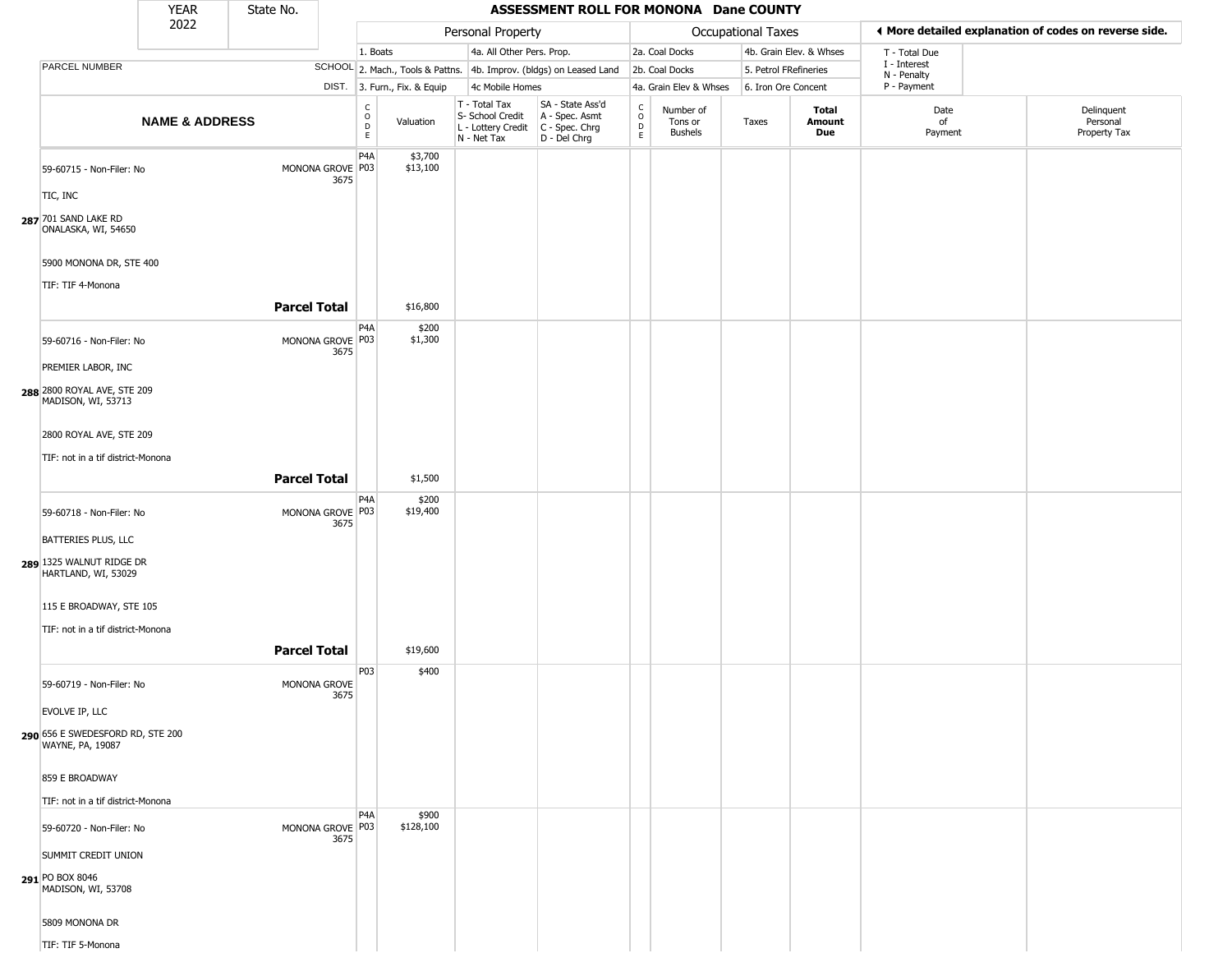|                                                                                     | <b>YEAR</b>               | State No.           |                          |                                             |                              |                                                                        | ASSESSMENT ROLL FOR MONONA Dane COUNTY                                 |                                                 |                                        |                           |                         |                             |                                                       |
|-------------------------------------------------------------------------------------|---------------------------|---------------------|--------------------------|---------------------------------------------|------------------------------|------------------------------------------------------------------------|------------------------------------------------------------------------|-------------------------------------------------|----------------------------------------|---------------------------|-------------------------|-----------------------------|-------------------------------------------------------|
|                                                                                     | 2022                      |                     |                          |                                             |                              | Personal Property                                                      |                                                                        |                                                 |                                        | <b>Occupational Taxes</b> |                         |                             | ◀ More detailed explanation of codes on reverse side. |
|                                                                                     |                           |                     |                          | 1. Boats                                    |                              | 4a. All Other Pers. Prop.                                              |                                                                        |                                                 | 2a. Coal Docks                         |                           | 4b. Grain Elev. & Whses | T - Total Due               |                                                       |
| PARCEL NUMBER                                                                       |                           |                     |                          |                                             |                              |                                                                        | SCHOOL 2. Mach., Tools & Pattns. 4b. Improv. (bldgs) on Leased Land    |                                                 | 2b. Coal Docks                         | 5. Petrol FRefineries     |                         | I - Interest<br>N - Penalty |                                                       |
|                                                                                     |                           |                     |                          |                                             | DIST. 3. Furn., Fix. & Equip | 4c Mobile Homes                                                        |                                                                        |                                                 | 4a. Grain Elev & Whses                 | 6. Iron Ore Concent       |                         | P - Payment                 |                                                       |
|                                                                                     | <b>NAME &amp; ADDRESS</b> |                     |                          | $\frac{c}{0}$<br>$\mathsf D$<br>$\mathsf E$ | Valuation                    | T - Total Tax<br>S- School Credit<br>L - Lottery Credit<br>N - Net Tax | SA - State Ass'd<br>A - Spec. Asmt<br>$C - Spec. Chrg$<br>D - Del Chrg | $\begin{array}{c} C \\ O \\ D \\ E \end{array}$ | Number of<br>Tons or<br><b>Bushels</b> | Taxes                     | Total<br>Amount<br>Due  | Date<br>of<br>Payment       | Delinquent<br>Personal<br>Property Tax                |
| 59-60715 - Non-Filer: No<br>TIC, INC<br>287 701 SAND LAKE RD<br>ONALASKA, WI, 54650 |                           |                     | MONONA GROVE P03<br>3675 | P4A                                         | \$3,700<br>\$13,100          |                                                                        |                                                                        |                                                 |                                        |                           |                         |                             |                                                       |
| 5900 MONONA DR, STE 400<br>TIF: TIF 4-Monona                                        |                           |                     |                          |                                             |                              |                                                                        |                                                                        |                                                 |                                        |                           |                         |                             |                                                       |
|                                                                                     |                           | <b>Parcel Total</b> |                          |                                             | \$16,800                     |                                                                        |                                                                        |                                                 |                                        |                           |                         |                             |                                                       |
| 59-60716 - Non-Filer: No                                                            |                           |                     | MONONA GROVE P03<br>3675 | P <sub>4</sub> A                            | \$200<br>\$1,300             |                                                                        |                                                                        |                                                 |                                        |                           |                         |                             |                                                       |
| PREMIER LABOR, INC                                                                  |                           |                     |                          |                                             |                              |                                                                        |                                                                        |                                                 |                                        |                           |                         |                             |                                                       |
| 288 2800 ROYAL AVE, STE 209<br>MADISON, WI, 53713                                   |                           |                     |                          |                                             |                              |                                                                        |                                                                        |                                                 |                                        |                           |                         |                             |                                                       |
| 2800 ROYAL AVE, STE 209                                                             |                           |                     |                          |                                             |                              |                                                                        |                                                                        |                                                 |                                        |                           |                         |                             |                                                       |
| TIF: not in a tif district-Monona                                                   |                           |                     |                          |                                             |                              |                                                                        |                                                                        |                                                 |                                        |                           |                         |                             |                                                       |
|                                                                                     |                           | <b>Parcel Total</b> |                          |                                             | \$1,500                      |                                                                        |                                                                        |                                                 |                                        |                           |                         |                             |                                                       |
|                                                                                     |                           |                     |                          |                                             |                              |                                                                        |                                                                        |                                                 |                                        |                           |                         |                             |                                                       |
| 59-60718 - Non-Filer: No                                                            |                           |                     | MONONA GROVE P03         | P4A                                         | \$200<br>\$19,400            |                                                                        |                                                                        |                                                 |                                        |                           |                         |                             |                                                       |
|                                                                                     |                           |                     | 3675                     |                                             |                              |                                                                        |                                                                        |                                                 |                                        |                           |                         |                             |                                                       |
| BATTERIES PLUS, LLC                                                                 |                           |                     |                          |                                             |                              |                                                                        |                                                                        |                                                 |                                        |                           |                         |                             |                                                       |
| 289 1325 WALNUT RIDGE DR<br>HARTLAND, WI, 53029                                     |                           |                     |                          |                                             |                              |                                                                        |                                                                        |                                                 |                                        |                           |                         |                             |                                                       |
| 115 E BROADWAY, STE 105                                                             |                           |                     |                          |                                             |                              |                                                                        |                                                                        |                                                 |                                        |                           |                         |                             |                                                       |
| TIF: not in a tif district-Monona                                                   |                           |                     |                          |                                             |                              |                                                                        |                                                                        |                                                 |                                        |                           |                         |                             |                                                       |
|                                                                                     |                           | <b>Parcel Total</b> |                          |                                             | \$19,600                     |                                                                        |                                                                        |                                                 |                                        |                           |                         |                             |                                                       |
|                                                                                     |                           |                     |                          | P03                                         | \$400                        |                                                                        |                                                                        |                                                 |                                        |                           |                         |                             |                                                       |
| 59-60719 - Non-Filer: No                                                            |                           |                     | MONONA GROVE<br>3675     |                                             |                              |                                                                        |                                                                        |                                                 |                                        |                           |                         |                             |                                                       |
| EVOLVE IP, LLC                                                                      |                           |                     |                          |                                             |                              |                                                                        |                                                                        |                                                 |                                        |                           |                         |                             |                                                       |
| 290 656 E SWEDESFORD RD, STE 200<br>WAYNE, PA, 19087                                |                           |                     |                          |                                             |                              |                                                                        |                                                                        |                                                 |                                        |                           |                         |                             |                                                       |
| 859 E BROADWAY                                                                      |                           |                     |                          |                                             |                              |                                                                        |                                                                        |                                                 |                                        |                           |                         |                             |                                                       |
| TIF: not in a tif district-Monona                                                   |                           |                     |                          |                                             |                              |                                                                        |                                                                        |                                                 |                                        |                           |                         |                             |                                                       |
| 59-60720 - Non-Filer: No                                                            |                           |                     | MONONA GROVE P03<br>3675 | P4A                                         | \$900<br>\$128,100           |                                                                        |                                                                        |                                                 |                                        |                           |                         |                             |                                                       |
| SUMMIT CREDIT UNION                                                                 |                           |                     |                          |                                             |                              |                                                                        |                                                                        |                                                 |                                        |                           |                         |                             |                                                       |
| 291 PO BOX 8046<br>MADISON, WI, 53708                                               |                           |                     |                          |                                             |                              |                                                                        |                                                                        |                                                 |                                        |                           |                         |                             |                                                       |
| 5809 MONONA DR                                                                      |                           |                     |                          |                                             |                              |                                                                        |                                                                        |                                                 |                                        |                           |                         |                             |                                                       |
| TIF: TIF 5-Monona                                                                   |                           |                     |                          |                                             |                              |                                                                        |                                                                        |                                                 |                                        |                           |                         |                             |                                                       |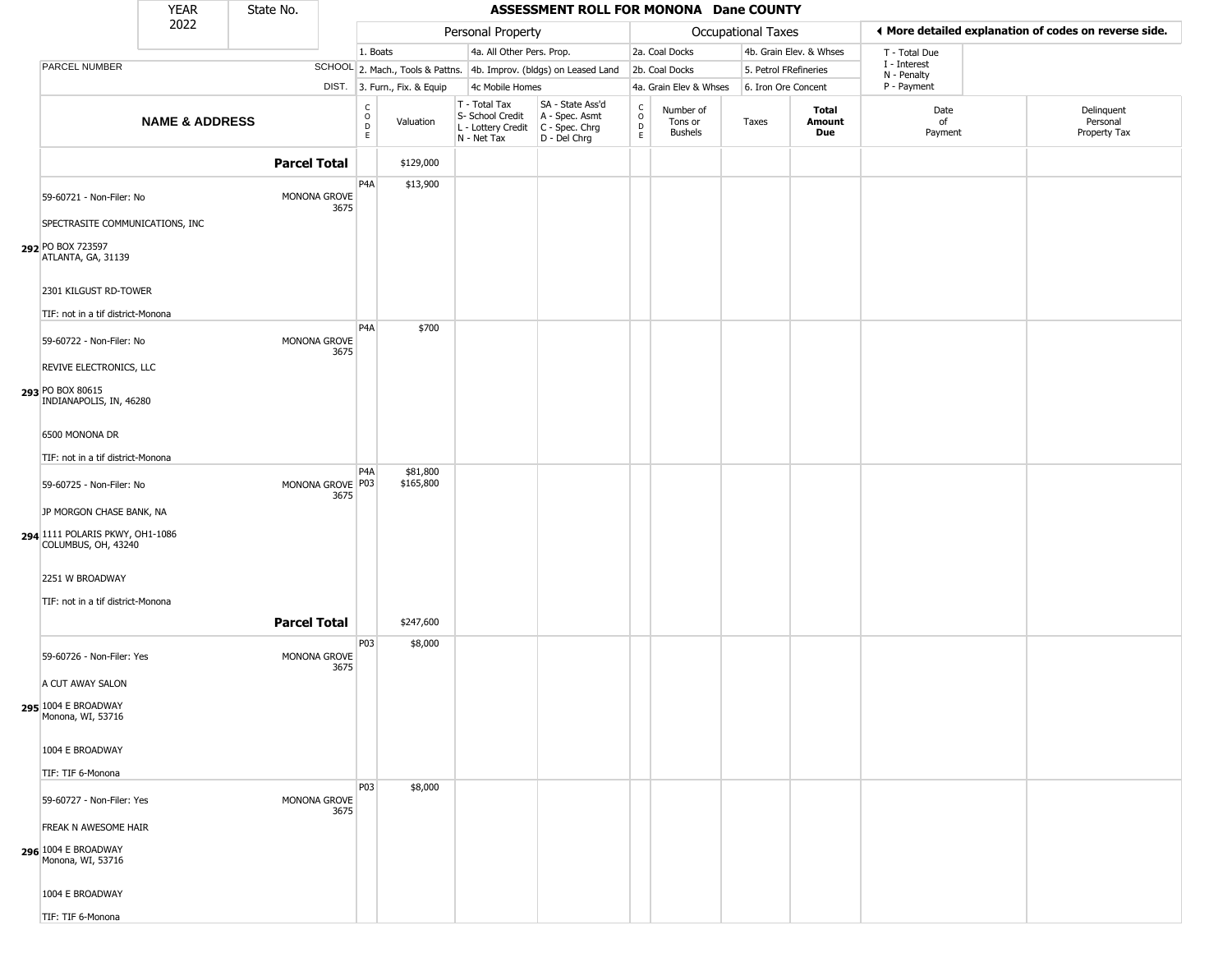|                                                            | <b>YEAR</b>               | State No.           |                          |                                                                    |                              |                                                                                         | ASSESSMENT ROLL FOR MONONA Dane COUNTY                              |                                                |                                        |                     |                         |                             |                                                       |
|------------------------------------------------------------|---------------------------|---------------------|--------------------------|--------------------------------------------------------------------|------------------------------|-----------------------------------------------------------------------------------------|---------------------------------------------------------------------|------------------------------------------------|----------------------------------------|---------------------|-------------------------|-----------------------------|-------------------------------------------------------|
|                                                            | 2022                      |                     |                          |                                                                    |                              | Personal Property                                                                       |                                                                     |                                                |                                        | Occupational Taxes  |                         |                             | ◀ More detailed explanation of codes on reverse side. |
|                                                            |                           |                     |                          | 1. Boats                                                           |                              | 4a. All Other Pers. Prop.                                                               |                                                                     |                                                | 2a. Coal Docks                         |                     | 4b. Grain Elev. & Whses | T - Total Due               |                                                       |
| PARCEL NUMBER                                              |                           |                     |                          |                                                                    |                              |                                                                                         | SCHOOL 2. Mach., Tools & Pattns. 4b. Improv. (bldgs) on Leased Land |                                                | 2b. Coal Docks                         |                     | 5. Petrol FRefineries   | I - Interest<br>N - Penalty |                                                       |
|                                                            |                           |                     |                          |                                                                    | DIST. 3. Furn., Fix. & Equip | 4c Mobile Homes                                                                         |                                                                     |                                                | 4a. Grain Elev & Whses                 | 6. Iron Ore Concent |                         | P - Payment                 |                                                       |
|                                                            | <b>NAME &amp; ADDRESS</b> |                     |                          | $\begin{smallmatrix} C \\ O \\ D \end{smallmatrix}$<br>$\mathsf E$ | Valuation                    | T - Total Tax<br>S- School Credit<br>L - Lottery Credit   C - Spec. Chrg<br>N - Net Tax | SA - State Ass'd<br>A - Spec. Asmt<br>D - Del Chrg                  | $\begin{matrix} 0 \\ 0 \\ D \end{matrix}$<br>E | Number of<br>Tons or<br><b>Bushels</b> | Taxes               | Total<br>Amount<br>Due  | Date<br>of<br>Payment       | Delinquent<br>Personal<br>Property Tax                |
|                                                            |                           | <b>Parcel Total</b> |                          |                                                                    | \$129,000                    |                                                                                         |                                                                     |                                                |                                        |                     |                         |                             |                                                       |
| 59-60721 - Non-Filer: No                                   |                           |                     | MONONA GROVE<br>3675     | P4A                                                                | \$13,900                     |                                                                                         |                                                                     |                                                |                                        |                     |                         |                             |                                                       |
| SPECTRASITE COMMUNICATIONS, INC                            |                           |                     |                          |                                                                    |                              |                                                                                         |                                                                     |                                                |                                        |                     |                         |                             |                                                       |
| 292 PO BOX 723597<br>ATLANTA, GA, 31139                    |                           |                     |                          |                                                                    |                              |                                                                                         |                                                                     |                                                |                                        |                     |                         |                             |                                                       |
| 2301 KILGUST RD-TOWER<br>TIF: not in a tif district-Monona |                           |                     |                          |                                                                    |                              |                                                                                         |                                                                     |                                                |                                        |                     |                         |                             |                                                       |
|                                                            |                           |                     |                          | P <sub>4</sub> A                                                   | \$700                        |                                                                                         |                                                                     |                                                |                                        |                     |                         |                             |                                                       |
| 59-60722 - Non-Filer: No<br>REVIVE ELECTRONICS, LLC        |                           |                     | MONONA GROVE<br>3675     |                                                                    |                              |                                                                                         |                                                                     |                                                |                                        |                     |                         |                             |                                                       |
| 293 PO BOX 80615<br>INDIANAPOLIS, IN, 46280                |                           |                     |                          |                                                                    |                              |                                                                                         |                                                                     |                                                |                                        |                     |                         |                             |                                                       |
| 6500 MONONA DR                                             |                           |                     |                          |                                                                    |                              |                                                                                         |                                                                     |                                                |                                        |                     |                         |                             |                                                       |
| TIF: not in a tif district-Monona                          |                           |                     |                          |                                                                    |                              |                                                                                         |                                                                     |                                                |                                        |                     |                         |                             |                                                       |
| 59-60725 - Non-Filer: No                                   |                           |                     | MONONA GROVE P03<br>3675 | P <sub>4</sub> A                                                   | \$81,800<br>\$165,800        |                                                                                         |                                                                     |                                                |                                        |                     |                         |                             |                                                       |
| JP MORGON CHASE BANK, NA                                   |                           |                     |                          |                                                                    |                              |                                                                                         |                                                                     |                                                |                                        |                     |                         |                             |                                                       |
| 294 1111 POLARIS PKWY, OH1-1086<br>COLUMBUS, OH, 43240     |                           |                     |                          |                                                                    |                              |                                                                                         |                                                                     |                                                |                                        |                     |                         |                             |                                                       |
| 2251 W BROADWAY                                            |                           |                     |                          |                                                                    |                              |                                                                                         |                                                                     |                                                |                                        |                     |                         |                             |                                                       |
| TIF: not in a tif district-Monona                          |                           |                     |                          |                                                                    |                              |                                                                                         |                                                                     |                                                |                                        |                     |                         |                             |                                                       |
|                                                            |                           | <b>Parcel Total</b> |                          |                                                                    | \$247,600                    |                                                                                         |                                                                     |                                                |                                        |                     |                         |                             |                                                       |
| 59-60726 - Non-Filer: Yes                                  |                           |                     | MONONA GROVE<br>3675     | P03                                                                | \$8,000                      |                                                                                         |                                                                     |                                                |                                        |                     |                         |                             |                                                       |
| A CUT AWAY SALON                                           |                           |                     |                          |                                                                    |                              |                                                                                         |                                                                     |                                                |                                        |                     |                         |                             |                                                       |
| 295 1004 E BROADWAY<br>Monona, WI, 53716                   |                           |                     |                          |                                                                    |                              |                                                                                         |                                                                     |                                                |                                        |                     |                         |                             |                                                       |
| 1004 E BROADWAY                                            |                           |                     |                          |                                                                    |                              |                                                                                         |                                                                     |                                                |                                        |                     |                         |                             |                                                       |
| TIF: TIF 6-Monona                                          |                           |                     |                          |                                                                    |                              |                                                                                         |                                                                     |                                                |                                        |                     |                         |                             |                                                       |
| 59-60727 - Non-Filer: Yes                                  |                           |                     | MONONA GROVE<br>3675     | P03                                                                | \$8,000                      |                                                                                         |                                                                     |                                                |                                        |                     |                         |                             |                                                       |
| FREAK N AWESOME HAIR                                       |                           |                     |                          |                                                                    |                              |                                                                                         |                                                                     |                                                |                                        |                     |                         |                             |                                                       |
| 296 1004 E BROADWAY<br>Monona, WI, 53716                   |                           |                     |                          |                                                                    |                              |                                                                                         |                                                                     |                                                |                                        |                     |                         |                             |                                                       |
| 1004 E BROADWAY                                            |                           |                     |                          |                                                                    |                              |                                                                                         |                                                                     |                                                |                                        |                     |                         |                             |                                                       |
| TIF: TIF 6-Monona                                          |                           |                     |                          |                                                                    |                              |                                                                                         |                                                                     |                                                |                                        |                     |                         |                             |                                                       |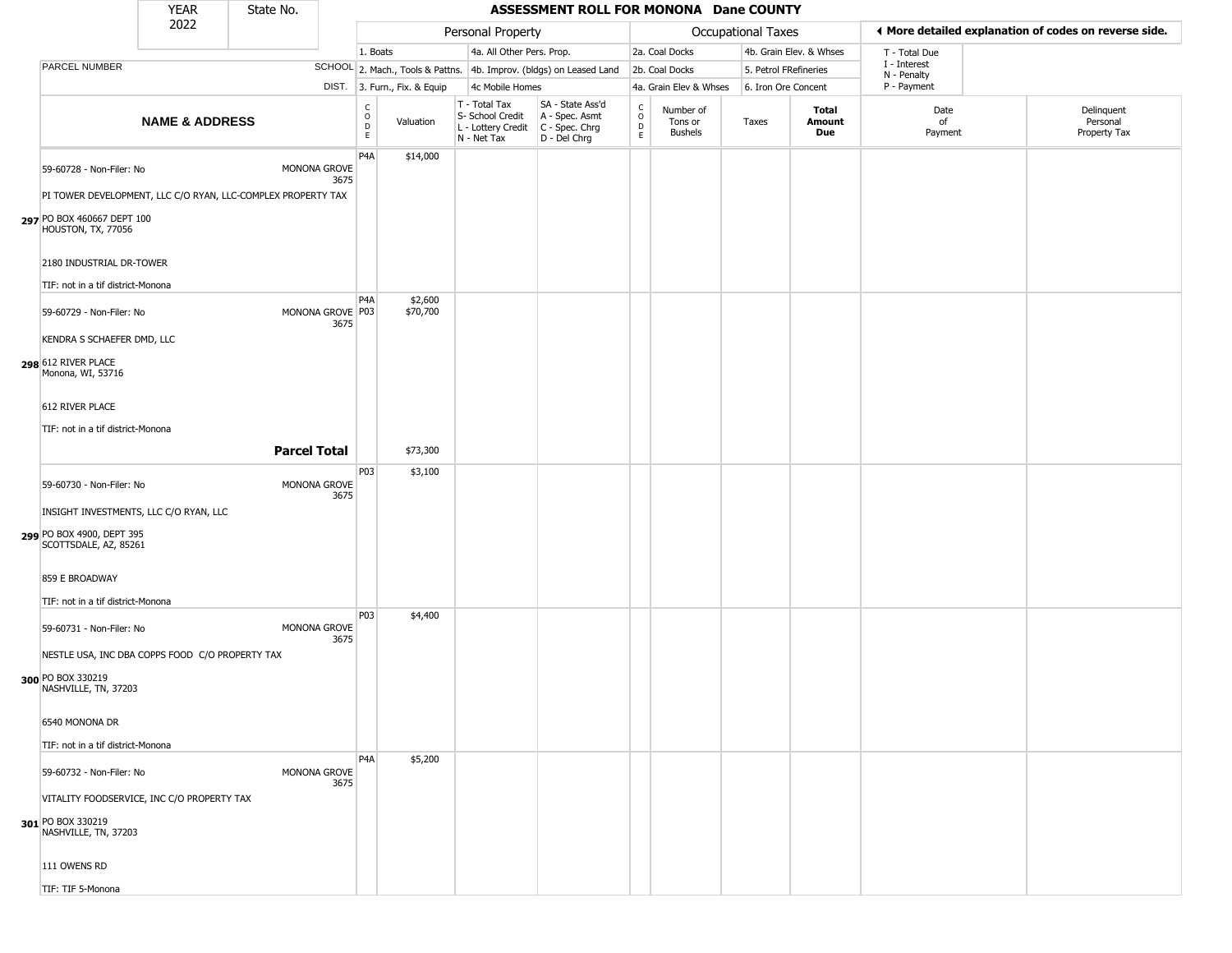|                                                              | <b>YEAR</b>               | State No.           |                          |                                  |                              |                                                                        | ASSESSMENT ROLL FOR MONONA Dane COUNTY                               |                                  |                                 |                       |                         |                             |                                                       |  |
|--------------------------------------------------------------|---------------------------|---------------------|--------------------------|----------------------------------|------------------------------|------------------------------------------------------------------------|----------------------------------------------------------------------|----------------------------------|---------------------------------|-----------------------|-------------------------|-----------------------------|-------------------------------------------------------|--|
|                                                              | 2022                      |                     |                          |                                  |                              | Personal Property                                                      |                                                                      |                                  |                                 | Occupational Taxes    |                         |                             | I More detailed explanation of codes on reverse side. |  |
|                                                              |                           |                     |                          | 1. Boats                         |                              | 4a. All Other Pers. Prop.                                              |                                                                      |                                  | 2a. Coal Docks                  |                       | 4b. Grain Elev. & Whses | T - Total Due               |                                                       |  |
| PARCEL NUMBER                                                |                           |                     |                          |                                  |                              |                                                                        | SCHOOL 2. Mach., Tools & Pattns. 4b. Improv. (bldgs) on Leased Land  |                                  | 2b. Coal Docks                  | 5. Petrol FRefineries |                         | I - Interest<br>N - Penalty |                                                       |  |
|                                                              |                           |                     |                          |                                  | DIST. 3. Furn., Fix. & Equip | 4c Mobile Homes                                                        |                                                                      |                                  | 4a. Grain Elev & Whses          | 6. Iron Ore Concent   |                         | P - Payment                 |                                                       |  |
|                                                              | <b>NAME &amp; ADDRESS</b> |                     |                          | C<br>$\circ$<br>$\mathsf D$<br>E | Valuation                    | T - Total Tax<br>S- School Credit<br>L - Lottery Credit<br>N - Net Tax | SA - State Ass'd<br>A - Spec. Asmt<br>C - Spec. Chrg<br>D - Del Chrg | C<br>$\circ$<br>D<br>$\mathsf E$ | Number of<br>Tons or<br>Bushels | Taxes                 | Total<br>Amount<br>Due  | Date<br>οf<br>Payment       | Delinquent<br>Personal<br>Property Tax                |  |
| 59-60728 - Non-Filer: No                                     |                           |                     | MONONA GROVE<br>3675     | P <sub>4</sub> A                 | \$14,000                     |                                                                        |                                                                      |                                  |                                 |                       |                         |                             |                                                       |  |
| PI TOWER DEVELOPMENT, LLC C/O RYAN, LLC-COMPLEX PROPERTY TAX |                           |                     |                          |                                  |                              |                                                                        |                                                                      |                                  |                                 |                       |                         |                             |                                                       |  |
| 297 PO BOX 460667 DEPT 100<br>HOUSTON, TX, 77056             |                           |                     |                          |                                  |                              |                                                                        |                                                                      |                                  |                                 |                       |                         |                             |                                                       |  |
| 2180 INDUSTRIAL DR-TOWER                                     |                           |                     |                          |                                  |                              |                                                                        |                                                                      |                                  |                                 |                       |                         |                             |                                                       |  |
| TIF: not in a tif district-Monona                            |                           |                     |                          |                                  |                              |                                                                        |                                                                      |                                  |                                 |                       |                         |                             |                                                       |  |
| 59-60729 - Non-Filer: No                                     |                           |                     | MONONA GROVE P03<br>3675 | P <sub>4</sub> A                 | \$2,600<br>\$70,700          |                                                                        |                                                                      |                                  |                                 |                       |                         |                             |                                                       |  |
| KENDRA S SCHAEFER DMD, LLC                                   |                           |                     |                          |                                  |                              |                                                                        |                                                                      |                                  |                                 |                       |                         |                             |                                                       |  |
| 298 612 RIVER PLACE<br>Monona, WI, 53716                     |                           |                     |                          |                                  |                              |                                                                        |                                                                      |                                  |                                 |                       |                         |                             |                                                       |  |
| 612 RIVER PLACE                                              |                           |                     |                          |                                  |                              |                                                                        |                                                                      |                                  |                                 |                       |                         |                             |                                                       |  |
| TIF: not in a tif district-Monona                            |                           |                     |                          |                                  |                              |                                                                        |                                                                      |                                  |                                 |                       |                         |                             |                                                       |  |
|                                                              |                           | <b>Parcel Total</b> |                          |                                  | \$73,300                     |                                                                        |                                                                      |                                  |                                 |                       |                         |                             |                                                       |  |
|                                                              |                           |                     |                          | P03                              | \$3,100                      |                                                                        |                                                                      |                                  |                                 |                       |                         |                             |                                                       |  |
| 59-60730 - Non-Filer: No                                     |                           |                     | MONONA GROVE<br>3675     |                                  |                              |                                                                        |                                                                      |                                  |                                 |                       |                         |                             |                                                       |  |
| INSIGHT INVESTMENTS, LLC C/O RYAN, LLC                       |                           |                     |                          |                                  |                              |                                                                        |                                                                      |                                  |                                 |                       |                         |                             |                                                       |  |
| 299 PO BOX 4900, DEPT 395<br>SCOTTSDALE, AZ, 85261           |                           |                     |                          |                                  |                              |                                                                        |                                                                      |                                  |                                 |                       |                         |                             |                                                       |  |
| 859 E BROADWAY                                               |                           |                     |                          |                                  |                              |                                                                        |                                                                      |                                  |                                 |                       |                         |                             |                                                       |  |
| TIF: not in a tif district-Monona                            |                           |                     |                          |                                  |                              |                                                                        |                                                                      |                                  |                                 |                       |                         |                             |                                                       |  |
| 59-60731 - Non-Filer: No                                     |                           |                     | MONONA GROVE<br>3675     | P03                              | \$4,400                      |                                                                        |                                                                      |                                  |                                 |                       |                         |                             |                                                       |  |
| NESTLE USA, INC DBA COPPS FOOD C/O PROPERTY TAX              |                           |                     |                          |                                  |                              |                                                                        |                                                                      |                                  |                                 |                       |                         |                             |                                                       |  |
| 300 PO BOX 330219<br>NASHVILLE, TN, 37203                    |                           |                     |                          |                                  |                              |                                                                        |                                                                      |                                  |                                 |                       |                         |                             |                                                       |  |
| 6540 MONONA DR                                               |                           |                     |                          |                                  |                              |                                                                        |                                                                      |                                  |                                 |                       |                         |                             |                                                       |  |
| TIF: not in a tif district-Monona                            |                           |                     |                          |                                  |                              |                                                                        |                                                                      |                                  |                                 |                       |                         |                             |                                                       |  |
| 59-60732 - Non-Filer: No                                     |                           |                     | MONONA GROVE<br>3675     | P <sub>4</sub> A                 | \$5,200                      |                                                                        |                                                                      |                                  |                                 |                       |                         |                             |                                                       |  |
| VITALITY FOODSERVICE, INC C/O PROPERTY TAX                   |                           |                     |                          |                                  |                              |                                                                        |                                                                      |                                  |                                 |                       |                         |                             |                                                       |  |
| 301 PO BOX 330219<br>NASHVILLE, TN, 37203                    |                           |                     |                          |                                  |                              |                                                                        |                                                                      |                                  |                                 |                       |                         |                             |                                                       |  |
| 111 OWENS RD                                                 |                           |                     |                          |                                  |                              |                                                                        |                                                                      |                                  |                                 |                       |                         |                             |                                                       |  |
| TIF: TIF 5-Monona                                            |                           |                     |                          |                                  |                              |                                                                        |                                                                      |                                  |                                 |                       |                         |                             |                                                       |  |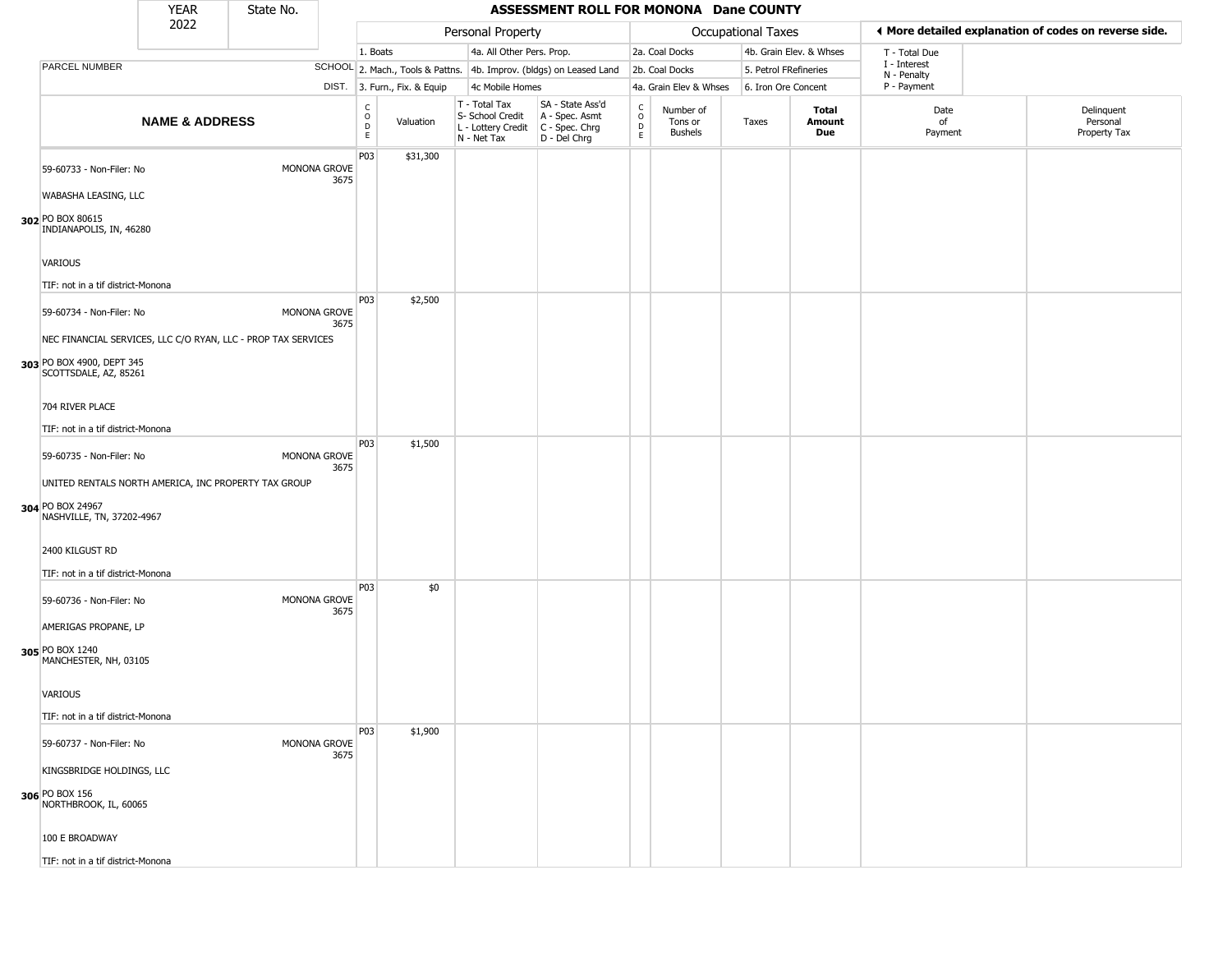|                                                                                                                                                 | <b>YEAR</b>               | State No. |                      |                                  |                              |                                                                        | ASSESSMENT ROLL FOR MONONA Dane COUNTY                               |                                      |                                        |                       |                         |                             |                                                       |
|-------------------------------------------------------------------------------------------------------------------------------------------------|---------------------------|-----------|----------------------|----------------------------------|------------------------------|------------------------------------------------------------------------|----------------------------------------------------------------------|--------------------------------------|----------------------------------------|-----------------------|-------------------------|-----------------------------|-------------------------------------------------------|
|                                                                                                                                                 | 2022                      |           |                      |                                  |                              | Personal Property                                                      |                                                                      |                                      |                                        | Occupational Taxes    |                         |                             | ♦ More detailed explanation of codes on reverse side. |
|                                                                                                                                                 |                           |           |                      | 1. Boats                         |                              | 4a. All Other Pers. Prop.                                              |                                                                      |                                      | 2a. Coal Docks                         |                       | 4b. Grain Elev. & Whses | T - Total Due               |                                                       |
| PARCEL NUMBER                                                                                                                                   |                           |           |                      |                                  |                              |                                                                        | SCHOOL 2. Mach., Tools & Pattns. 4b. Improv. (bldgs) on Leased Land  |                                      | 2b. Coal Docks                         | 5. Petrol FRefineries |                         | I - Interest<br>N - Penalty |                                                       |
|                                                                                                                                                 |                           |           |                      |                                  | DIST. 3. Furn., Fix. & Equip | 4c Mobile Homes                                                        |                                                                      |                                      | 4a. Grain Elev & Whses                 | 6. Iron Ore Concent   |                         | P - Payment                 |                                                       |
|                                                                                                                                                 | <b>NAME &amp; ADDRESS</b> |           |                      | C<br>$\circ$<br>D<br>$\mathsf E$ | Valuation                    | T - Total Tax<br>S- School Credit<br>L - Lottery Credit<br>N - Net Tax | SA - State Ass'd<br>A - Spec. Asmt<br>C - Spec. Chrg<br>D - Del Chrg | C<br>$\mathsf O$<br>D<br>$\mathsf E$ | Number of<br>Tons or<br><b>Bushels</b> | Taxes                 | Total<br>Amount<br>Due  | Date<br>of<br>Payment       | Delinquent<br>Personal<br>Property Tax                |
| 59-60733 - Non-Filer: No<br>WABASHA LEASING, LLC<br>302 PO BOX 80615<br>INDIANAPOLIS, IN, 46280                                                 |                           |           | MONONA GROVE<br>3675 | P03                              | \$31,300                     |                                                                        |                                                                      |                                      |                                        |                       |                         |                             |                                                       |
| <b>VARIOUS</b><br>TIF: not in a tif district-Monona                                                                                             |                           |           |                      |                                  |                              |                                                                        |                                                                      |                                      |                                        |                       |                         |                             |                                                       |
| 59-60734 - Non-Filer: No<br>NEC FINANCIAL SERVICES, LLC C/O RYAN, LLC - PROP TAX SERVICES<br>303 PO BOX 4900, DEPT 345<br>SCOTTSDALE, AZ, 85261 |                           |           | MONONA GROVE<br>3675 | P03                              | \$2,500                      |                                                                        |                                                                      |                                      |                                        |                       |                         |                             |                                                       |
| 704 RIVER PLACE<br>TIF: not in a tif district-Monona                                                                                            |                           |           |                      |                                  |                              |                                                                        |                                                                      |                                      |                                        |                       |                         |                             |                                                       |
| 59-60735 - Non-Filer: No<br>UNITED RENTALS NORTH AMERICA, INC PROPERTY TAX GROUP<br>304 PO BOX 24967<br>NASHVILLE, TN, 37202-4967               |                           |           | MONONA GROVE<br>3675 | P03                              | \$1,500                      |                                                                        |                                                                      |                                      |                                        |                       |                         |                             |                                                       |
| 2400 KILGUST RD<br>TIF: not in a tif district-Monona                                                                                            |                           |           |                      |                                  |                              |                                                                        |                                                                      |                                      |                                        |                       |                         |                             |                                                       |
| 59-60736 - Non-Filer: No<br>AMERIGAS PROPANE, LP                                                                                                |                           |           | MONONA GROVE<br>3675 | P03                              | \$0                          |                                                                        |                                                                      |                                      |                                        |                       |                         |                             |                                                       |
| 305 PO BOX 1240<br>MANCHESTER, NH, 03105                                                                                                        |                           |           |                      |                                  |                              |                                                                        |                                                                      |                                      |                                        |                       |                         |                             |                                                       |
| VARIOUS<br>TIF: not in a tif district-Monona                                                                                                    |                           |           |                      |                                  |                              |                                                                        |                                                                      |                                      |                                        |                       |                         |                             |                                                       |
| 59-60737 - Non-Filer: No                                                                                                                        |                           |           | MONONA GROVE<br>3675 | P03                              | \$1,900                      |                                                                        |                                                                      |                                      |                                        |                       |                         |                             |                                                       |
| KINGSBRIDGE HOLDINGS, LLC<br><b>306</b> PO BOX 156<br>NORTHBROOK, IL, 60065                                                                     |                           |           |                      |                                  |                              |                                                                        |                                                                      |                                      |                                        |                       |                         |                             |                                                       |
| 100 E BROADWAY                                                                                                                                  |                           |           |                      |                                  |                              |                                                                        |                                                                      |                                      |                                        |                       |                         |                             |                                                       |
| TIF: not in a tif district-Monona                                                                                                               |                           |           |                      |                                  |                              |                                                                        |                                                                      |                                      |                                        |                       |                         |                             |                                                       |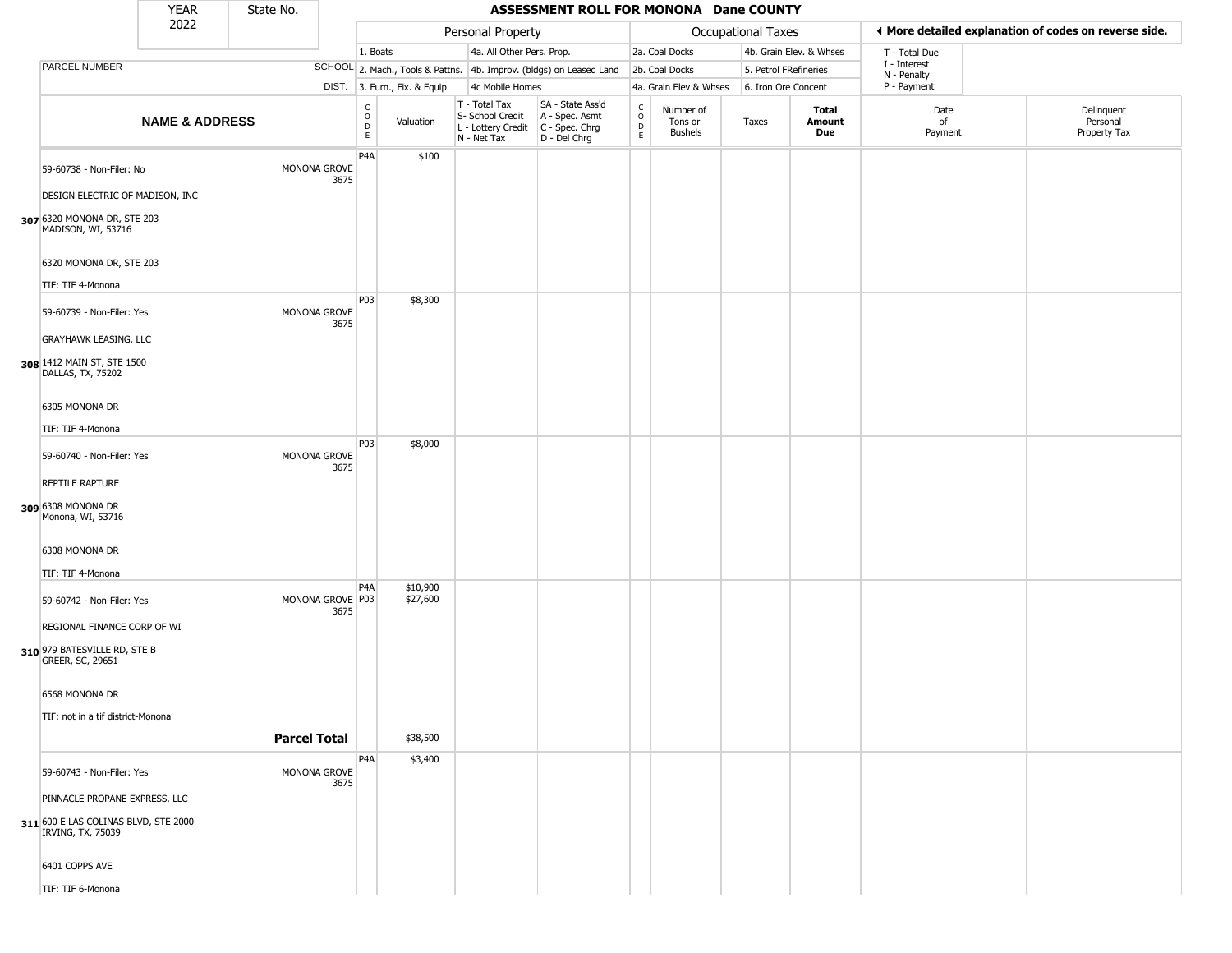|                                                           | <b>YEAR</b>               | State No.           |                          |                                     |                              |                                                                        | ASSESSMENT ROLL FOR MONONA Dane COUNTY                               |                                              |                                 |                       |                         |                             |                                                       |
|-----------------------------------------------------------|---------------------------|---------------------|--------------------------|-------------------------------------|------------------------------|------------------------------------------------------------------------|----------------------------------------------------------------------|----------------------------------------------|---------------------------------|-----------------------|-------------------------|-----------------------------|-------------------------------------------------------|
|                                                           | 2022                      |                     |                          |                                     |                              | Personal Property                                                      |                                                                      |                                              |                                 | Occupational Taxes    |                         |                             | ♦ More detailed explanation of codes on reverse side. |
|                                                           |                           |                     |                          | 1. Boats                            |                              | 4a. All Other Pers. Prop.                                              |                                                                      |                                              | 2a. Coal Docks                  |                       | 4b. Grain Elev. & Whses | T - Total Due               |                                                       |
| PARCEL NUMBER                                             |                           |                     |                          |                                     |                              |                                                                        | SCHOOL 2. Mach., Tools & Pattns. 4b. Improv. (bldgs) on Leased Land  |                                              | 2b. Coal Docks                  | 5. Petrol FRefineries |                         | I - Interest<br>N - Penalty |                                                       |
|                                                           |                           |                     |                          |                                     | DIST. 3. Furn., Fix. & Equip | 4c Mobile Homes                                                        |                                                                      |                                              | 4a. Grain Elev & Whses          | 6. Iron Ore Concent   |                         | P - Payment                 |                                                       |
|                                                           | <b>NAME &amp; ADDRESS</b> |                     |                          | $\mathsf{C}$<br>$\overline{D}$<br>E | Valuation                    | T - Total Tax<br>S- School Credit<br>L - Lottery Credit<br>N - Net Tax | SA - State Ass'd<br>A - Spec. Asmt<br>C - Spec. Chrg<br>D - Del Chrg | $\begin{array}{c}\nC \\ O \\ D\n\end{array}$ | Number of<br>Tons or<br>Bushels | Taxes                 | Total<br>Amount<br>Due  | Date<br>of<br>Payment       | Delinquent<br>Personal<br>Property Tax                |
| 59-60738 - Non-Filer: No                                  |                           |                     | MONONA GROVE<br>3675     | P4A                                 | \$100                        |                                                                        |                                                                      |                                              |                                 |                       |                         |                             |                                                       |
| DESIGN ELECTRIC OF MADISON, INC                           |                           |                     |                          |                                     |                              |                                                                        |                                                                      |                                              |                                 |                       |                         |                             |                                                       |
| 307 6320 MONONA DR, STE 203<br>MADISON, WI, 53716         |                           |                     |                          |                                     |                              |                                                                        |                                                                      |                                              |                                 |                       |                         |                             |                                                       |
| 6320 MONONA DR, STE 203                                   |                           |                     |                          |                                     |                              |                                                                        |                                                                      |                                              |                                 |                       |                         |                             |                                                       |
| TIF: TIF 4-Monona                                         |                           |                     |                          |                                     |                              |                                                                        |                                                                      |                                              |                                 |                       |                         |                             |                                                       |
| 59-60739 - Non-Filer: Yes                                 |                           |                     | MONONA GROVE<br>3675     | P03                                 | \$8,300                      |                                                                        |                                                                      |                                              |                                 |                       |                         |                             |                                                       |
| <b>GRAYHAWK LEASING, LLC</b>                              |                           |                     |                          |                                     |                              |                                                                        |                                                                      |                                              |                                 |                       |                         |                             |                                                       |
| 308 1412 MAIN ST, STE 1500<br>DALLAS, TX, 75202           |                           |                     |                          |                                     |                              |                                                                        |                                                                      |                                              |                                 |                       |                         |                             |                                                       |
| 6305 MONONA DR                                            |                           |                     |                          |                                     |                              |                                                                        |                                                                      |                                              |                                 |                       |                         |                             |                                                       |
| TIF: TIF 4-Monona                                         |                           |                     |                          |                                     |                              |                                                                        |                                                                      |                                              |                                 |                       |                         |                             |                                                       |
| 59-60740 - Non-Filer: Yes                                 |                           |                     | MONONA GROVE<br>3675     | P03                                 | \$8,000                      |                                                                        |                                                                      |                                              |                                 |                       |                         |                             |                                                       |
| REPTILE RAPTURE                                           |                           |                     |                          |                                     |                              |                                                                        |                                                                      |                                              |                                 |                       |                         |                             |                                                       |
| 309 6308 MONONA DR<br>Monona, WI, 53716                   |                           |                     |                          |                                     |                              |                                                                        |                                                                      |                                              |                                 |                       |                         |                             |                                                       |
| 6308 MONONA DR                                            |                           |                     |                          |                                     |                              |                                                                        |                                                                      |                                              |                                 |                       |                         |                             |                                                       |
| TIF: TIF 4-Monona                                         |                           |                     |                          |                                     |                              |                                                                        |                                                                      |                                              |                                 |                       |                         |                             |                                                       |
| 59-60742 - Non-Filer: Yes                                 |                           |                     | MONONA GROVE P03<br>3675 | P <sub>4</sub> A                    | \$10,900<br>\$27,600         |                                                                        |                                                                      |                                              |                                 |                       |                         |                             |                                                       |
| REGIONAL FINANCE CORP OF WI                               |                           |                     |                          |                                     |                              |                                                                        |                                                                      |                                              |                                 |                       |                         |                             |                                                       |
| 310 979 BATESVILLE RD, STE B<br>GREER, SC, 29651          |                           |                     |                          |                                     |                              |                                                                        |                                                                      |                                              |                                 |                       |                         |                             |                                                       |
| 6568 MONONA DR                                            |                           |                     |                          |                                     |                              |                                                                        |                                                                      |                                              |                                 |                       |                         |                             |                                                       |
| TIF: not in a tif district-Monona                         |                           |                     |                          |                                     |                              |                                                                        |                                                                      |                                              |                                 |                       |                         |                             |                                                       |
|                                                           |                           | <b>Parcel Total</b> |                          |                                     | \$38,500                     |                                                                        |                                                                      |                                              |                                 |                       |                         |                             |                                                       |
| 59-60743 - Non-Filer: Yes                                 |                           |                     | MONONA GROVE<br>3675     | P4A                                 | \$3,400                      |                                                                        |                                                                      |                                              |                                 |                       |                         |                             |                                                       |
| PINNACLE PROPANE EXPRESS, LLC                             |                           |                     |                          |                                     |                              |                                                                        |                                                                      |                                              |                                 |                       |                         |                             |                                                       |
| 311 600 E LAS COLINAS BLVD, STE 2000<br>IRVING, TX, 75039 |                           |                     |                          |                                     |                              |                                                                        |                                                                      |                                              |                                 |                       |                         |                             |                                                       |
| 6401 COPPS AVE                                            |                           |                     |                          |                                     |                              |                                                                        |                                                                      |                                              |                                 |                       |                         |                             |                                                       |
| TIF: TIF 6-Monona                                         |                           |                     |                          |                                     |                              |                                                                        |                                                                      |                                              |                                 |                       |                         |                             |                                                       |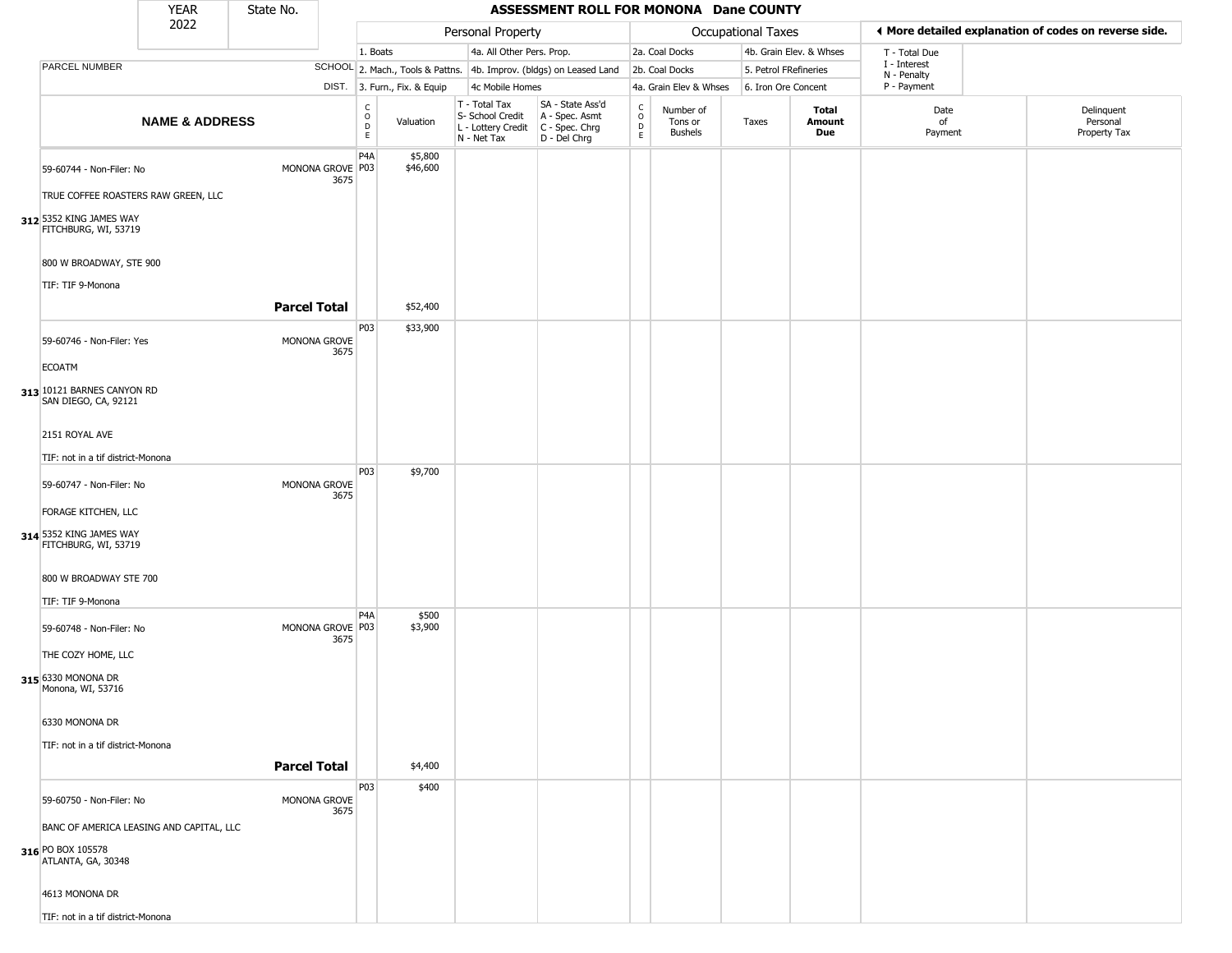|                                                                                     | <b>YEAR</b>               | State No.           |                          |                         |                              |                                                                        | ASSESSMENT ROLL FOR MONONA Dane COUNTY                               |                                            |                                        |                       |                         |                             |                                                       |
|-------------------------------------------------------------------------------------|---------------------------|---------------------|--------------------------|-------------------------|------------------------------|------------------------------------------------------------------------|----------------------------------------------------------------------|--------------------------------------------|----------------------------------------|-----------------------|-------------------------|-----------------------------|-------------------------------------------------------|
|                                                                                     | 2022                      |                     |                          |                         |                              | Personal Property                                                      |                                                                      |                                            |                                        | Occupational Taxes    |                         |                             | ◀ More detailed explanation of codes on reverse side. |
|                                                                                     |                           |                     |                          | 1. Boats                |                              | 4a. All Other Pers. Prop.                                              |                                                                      |                                            | 2a. Coal Docks                         |                       | 4b. Grain Elev. & Whses | T - Total Due               |                                                       |
| PARCEL NUMBER                                                                       |                           |                     |                          |                         |                              |                                                                        | SCHOOL 2. Mach., Tools & Pattns. 4b. Improv. (bldgs) on Leased Land  |                                            | 2b. Coal Docks                         | 5. Petrol FRefineries |                         | I - Interest<br>N - Penalty |                                                       |
|                                                                                     |                           |                     |                          |                         | DIST. 3. Furn., Fix. & Equip | 4c Mobile Homes                                                        |                                                                      |                                            | 4a. Grain Elev & Whses                 | 6. Iron Ore Concent   |                         | P - Payment                 |                                                       |
|                                                                                     | <b>NAME &amp; ADDRESS</b> |                     |                          | c<br>$\circ$<br>D<br>E. | Valuation                    | T - Total Tax<br>S- School Credit<br>L - Lottery Credit<br>N - Net Tax | SA - State Ass'd<br>A - Spec. Asmt<br>C - Spec. Chrg<br>D - Del Chrg | $\begin{array}{c} C \\ 0 \\ E \end{array}$ | Number of<br>Tons or<br><b>Bushels</b> | Taxes                 | Total<br>Amount<br>Due  | Date<br>of<br>Payment       | Delinquent<br>Personal<br>Property Tax                |
| 59-60744 - Non-Filer: No<br>TRUE COFFEE ROASTERS RAW GREEN, LLC                     |                           |                     | MONONA GROVE P03<br>3675 | P <sub>4</sub> A        | \$5,800<br>\$46,600          |                                                                        |                                                                      |                                            |                                        |                       |                         |                             |                                                       |
| 312 5352 KING JAMES WAY<br>FITCHBURG, WI, 53719                                     |                           |                     |                          |                         |                              |                                                                        |                                                                      |                                            |                                        |                       |                         |                             |                                                       |
| 800 W BROADWAY, STE 900<br>TIF: TIF 9-Monona                                        |                           |                     |                          |                         |                              |                                                                        |                                                                      |                                            |                                        |                       |                         |                             |                                                       |
|                                                                                     |                           | <b>Parcel Total</b> |                          |                         | \$52,400                     |                                                                        |                                                                      |                                            |                                        |                       |                         |                             |                                                       |
| 59-60746 - Non-Filer: Yes<br><b>ECOATM</b>                                          |                           |                     | MONONA GROVE<br>3675     | P03                     | \$33,900                     |                                                                        |                                                                      |                                            |                                        |                       |                         |                             |                                                       |
| 313 10121 BARNES CANYON RD<br>SAN DIEGO, CA, 92121                                  |                           |                     |                          |                         |                              |                                                                        |                                                                      |                                            |                                        |                       |                         |                             |                                                       |
| 2151 ROYAL AVE                                                                      |                           |                     |                          |                         |                              |                                                                        |                                                                      |                                            |                                        |                       |                         |                             |                                                       |
| TIF: not in a tif district-Monona                                                   |                           |                     |                          |                         |                              |                                                                        |                                                                      |                                            |                                        |                       |                         |                             |                                                       |
| 59-60747 - Non-Filer: No                                                            |                           |                     | MONONA GROVE<br>3675     | P03                     | \$9,700                      |                                                                        |                                                                      |                                            |                                        |                       |                         |                             |                                                       |
| FORAGE KITCHEN, LLC                                                                 |                           |                     |                          |                         |                              |                                                                        |                                                                      |                                            |                                        |                       |                         |                             |                                                       |
| 314 5352 KING JAMES WAY<br>FITCHBURG, WI, 53719                                     |                           |                     |                          |                         |                              |                                                                        |                                                                      |                                            |                                        |                       |                         |                             |                                                       |
| 800 W BROADWAY STE 700                                                              |                           |                     |                          |                         |                              |                                                                        |                                                                      |                                            |                                        |                       |                         |                             |                                                       |
| TIF: TIF 9-Monona                                                                   |                           |                     |                          | P4A                     | \$500                        |                                                                        |                                                                      |                                            |                                        |                       |                         |                             |                                                       |
| 59-60748 - Non-Filer: No                                                            |                           |                     | MONONA GROVE P03<br>3675 |                         | \$3,900                      |                                                                        |                                                                      |                                            |                                        |                       |                         |                             |                                                       |
| THE COZY HOME, LLC<br>315 6330 MONONA DR<br>Monona, WI, 53716                       |                           |                     |                          |                         |                              |                                                                        |                                                                      |                                            |                                        |                       |                         |                             |                                                       |
| 6330 MONONA DR                                                                      |                           |                     |                          |                         |                              |                                                                        |                                                                      |                                            |                                        |                       |                         |                             |                                                       |
| TIF: not in a tif district-Monona                                                   |                           | <b>Parcel Total</b> |                          |                         | \$4,400                      |                                                                        |                                                                      |                                            |                                        |                       |                         |                             |                                                       |
| 59-60750 - Non-Filer: No                                                            |                           |                     | MONONA GROVE<br>3675     | P03                     | \$400                        |                                                                        |                                                                      |                                            |                                        |                       |                         |                             |                                                       |
| BANC OF AMERICA LEASING AND CAPITAL, LLC<br>316 PO BOX 105578<br>ATLANTA, GA, 30348 |                           |                     |                          |                         |                              |                                                                        |                                                                      |                                            |                                        |                       |                         |                             |                                                       |
| 4613 MONONA DR                                                                      |                           |                     |                          |                         |                              |                                                                        |                                                                      |                                            |                                        |                       |                         |                             |                                                       |
| TIF: not in a tif district-Monona                                                   |                           |                     |                          |                         |                              |                                                                        |                                                                      |                                            |                                        |                       |                         |                             |                                                       |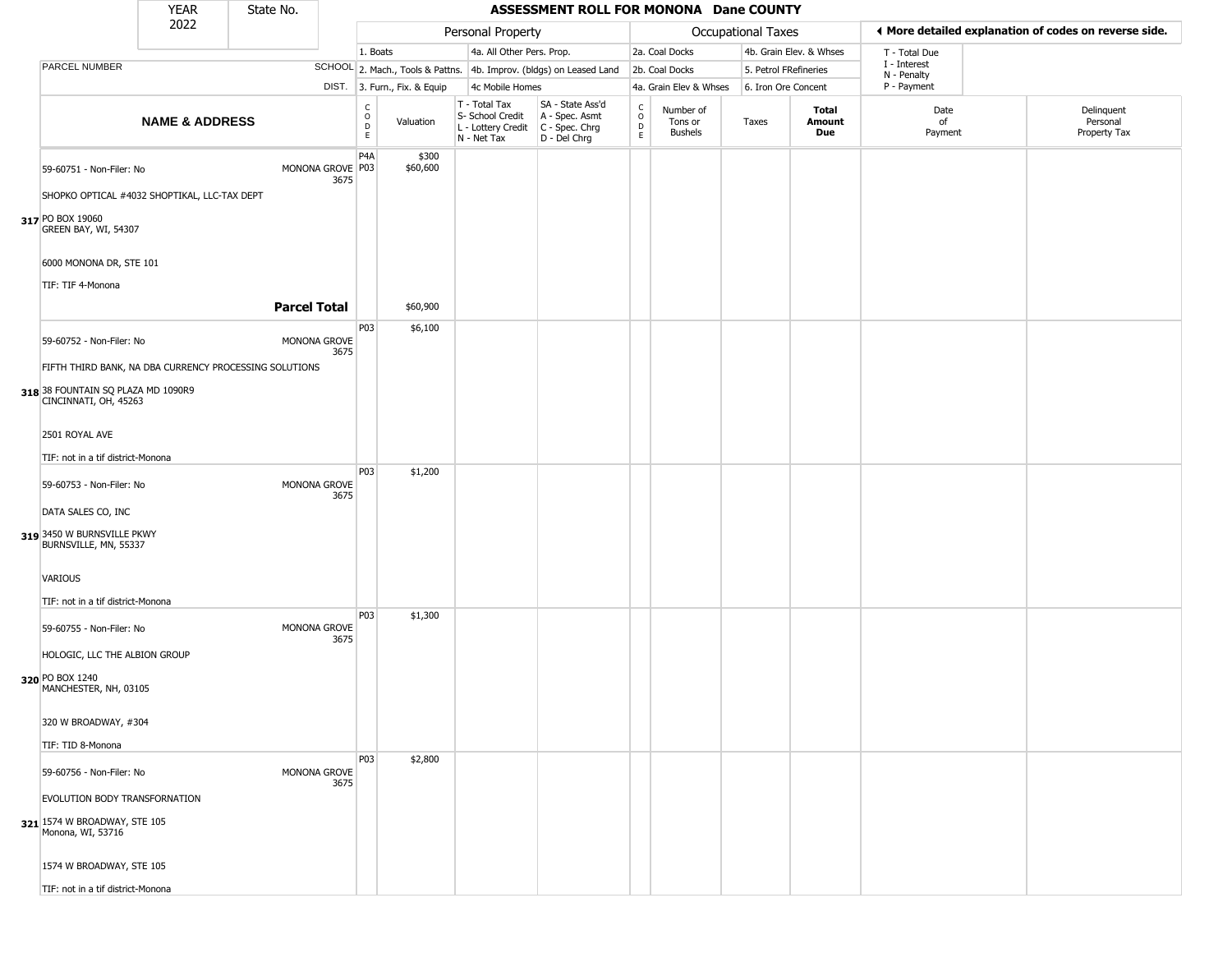|                                                             | <b>YEAR</b>               | State No.           |                          |                                        |                              |                                                                        | ASSESSMENT ROLL FOR MONONA Dane COUNTY                               |                  |                                 |                       |                         |                             |                                                       |
|-------------------------------------------------------------|---------------------------|---------------------|--------------------------|----------------------------------------|------------------------------|------------------------------------------------------------------------|----------------------------------------------------------------------|------------------|---------------------------------|-----------------------|-------------------------|-----------------------------|-------------------------------------------------------|
|                                                             | 2022                      |                     |                          |                                        |                              | Personal Property                                                      |                                                                      |                  |                                 | Occupational Taxes    |                         |                             | ◀ More detailed explanation of codes on reverse side. |
|                                                             |                           |                     |                          | 1. Boats                               |                              | 4a. All Other Pers. Prop.                                              |                                                                      |                  | 2a. Coal Docks                  |                       | 4b. Grain Elev. & Whses | T - Total Due               |                                                       |
| PARCEL NUMBER                                               |                           |                     |                          |                                        |                              |                                                                        | SCHOOL 2. Mach., Tools & Pattns. 4b. Improv. (bldgs) on Leased Land  |                  | 2b. Coal Docks                  | 5. Petrol FRefineries |                         | I - Interest<br>N - Penalty |                                                       |
|                                                             |                           |                     |                          |                                        | DIST. 3. Furn., Fix. & Equip | 4c Mobile Homes                                                        |                                                                      |                  | 4a. Grain Elev & Whses          | 6. Iron Ore Concent   |                         | P - Payment                 |                                                       |
|                                                             | <b>NAME &amp; ADDRESS</b> |                     |                          | C<br>$_{\rm D}^{\rm O}$<br>$\mathsf E$ | Valuation                    | T - Total Tax<br>S- School Credit<br>L - Lottery Credit<br>N - Net Tax | SA - State Ass'd<br>A - Spec. Asmt<br>C - Spec. Chrg<br>D - Del Chrg | C<br>D<br>D<br>E | Number of<br>Tons or<br>Bushels | Taxes                 | Total<br>Amount<br>Due  | Date<br>of<br>Payment       | Delinquent<br>Personal<br>Property Tax                |
| 59-60751 - Non-Filer: No                                    |                           |                     | MONONA GROVE P03<br>3675 | P <sub>4</sub> A                       | \$300<br>\$60,600            |                                                                        |                                                                      |                  |                                 |                       |                         |                             |                                                       |
| SHOPKO OPTICAL #4032 SHOPTIKAL, LLC-TAX DEPT                |                           |                     |                          |                                        |                              |                                                                        |                                                                      |                  |                                 |                       |                         |                             |                                                       |
| 317 PO BOX 19060<br>GREEN BAY, WI, 54307                    |                           |                     |                          |                                        |                              |                                                                        |                                                                      |                  |                                 |                       |                         |                             |                                                       |
| 6000 MONONA DR, STE 101                                     |                           |                     |                          |                                        |                              |                                                                        |                                                                      |                  |                                 |                       |                         |                             |                                                       |
| TIF: TIF 4-Monona                                           |                           |                     |                          |                                        |                              |                                                                        |                                                                      |                  |                                 |                       |                         |                             |                                                       |
|                                                             |                           | <b>Parcel Total</b> |                          |                                        | \$60,900                     |                                                                        |                                                                      |                  |                                 |                       |                         |                             |                                                       |
|                                                             |                           |                     |                          | P03                                    | \$6,100                      |                                                                        |                                                                      |                  |                                 |                       |                         |                             |                                                       |
| 59-60752 - Non-Filer: No                                    |                           |                     | MONONA GROVE<br>3675     |                                        |                              |                                                                        |                                                                      |                  |                                 |                       |                         |                             |                                                       |
| FIFTH THIRD BANK, NA DBA CURRENCY PROCESSING SOLUTIONS      |                           |                     |                          |                                        |                              |                                                                        |                                                                      |                  |                                 |                       |                         |                             |                                                       |
| 318 38 FOUNTAIN SQ PLAZA MD 1090R9<br>CINCINNATI, OH, 45263 |                           |                     |                          |                                        |                              |                                                                        |                                                                      |                  |                                 |                       |                         |                             |                                                       |
| 2501 ROYAL AVE                                              |                           |                     |                          |                                        |                              |                                                                        |                                                                      |                  |                                 |                       |                         |                             |                                                       |
| TIF: not in a tif district-Monona                           |                           |                     |                          |                                        |                              |                                                                        |                                                                      |                  |                                 |                       |                         |                             |                                                       |
| 59-60753 - Non-Filer: No                                    |                           |                     | MONONA GROVE<br>3675     | P03                                    | \$1,200                      |                                                                        |                                                                      |                  |                                 |                       |                         |                             |                                                       |
| DATA SALES CO, INC                                          |                           |                     |                          |                                        |                              |                                                                        |                                                                      |                  |                                 |                       |                         |                             |                                                       |
| 319 3450 W BURNSVILLE PKWY<br>BURNSVILLE, MN, 55337         |                           |                     |                          |                                        |                              |                                                                        |                                                                      |                  |                                 |                       |                         |                             |                                                       |
| VARIOUS                                                     |                           |                     |                          |                                        |                              |                                                                        |                                                                      |                  |                                 |                       |                         |                             |                                                       |
| TIF: not in a tif district-Monona                           |                           |                     |                          |                                        |                              |                                                                        |                                                                      |                  |                                 |                       |                         |                             |                                                       |
| 59-60755 - Non-Filer: No                                    |                           |                     | MONONA GROVE<br>3675     | P03                                    | \$1,300                      |                                                                        |                                                                      |                  |                                 |                       |                         |                             |                                                       |
| HOLOGIC, LLC THE ALBION GROUP                               |                           |                     |                          |                                        |                              |                                                                        |                                                                      |                  |                                 |                       |                         |                             |                                                       |
| 320 PO BOX 1240<br>MANCHESTER, NH, 03105                    |                           |                     |                          |                                        |                              |                                                                        |                                                                      |                  |                                 |                       |                         |                             |                                                       |
| 320 W BROADWAY, #304                                        |                           |                     |                          |                                        |                              |                                                                        |                                                                      |                  |                                 |                       |                         |                             |                                                       |
| TIF: TID 8-Monona                                           |                           |                     |                          |                                        |                              |                                                                        |                                                                      |                  |                                 |                       |                         |                             |                                                       |
| 59-60756 - Non-Filer: No                                    |                           |                     | MONONA GROVE<br>3675     | P03                                    | \$2,800                      |                                                                        |                                                                      |                  |                                 |                       |                         |                             |                                                       |
| EVOLUTION BODY TRANSFORNATION                               |                           |                     |                          |                                        |                              |                                                                        |                                                                      |                  |                                 |                       |                         |                             |                                                       |
| 321 1574 W BROADWAY, STE 105<br>Monona, WI, 53716           |                           |                     |                          |                                        |                              |                                                                        |                                                                      |                  |                                 |                       |                         |                             |                                                       |
| 1574 W BROADWAY, STE 105                                    |                           |                     |                          |                                        |                              |                                                                        |                                                                      |                  |                                 |                       |                         |                             |                                                       |
| TIF: not in a tif district-Monona                           |                           |                     |                          |                                        |                              |                                                                        |                                                                      |                  |                                 |                       |                         |                             |                                                       |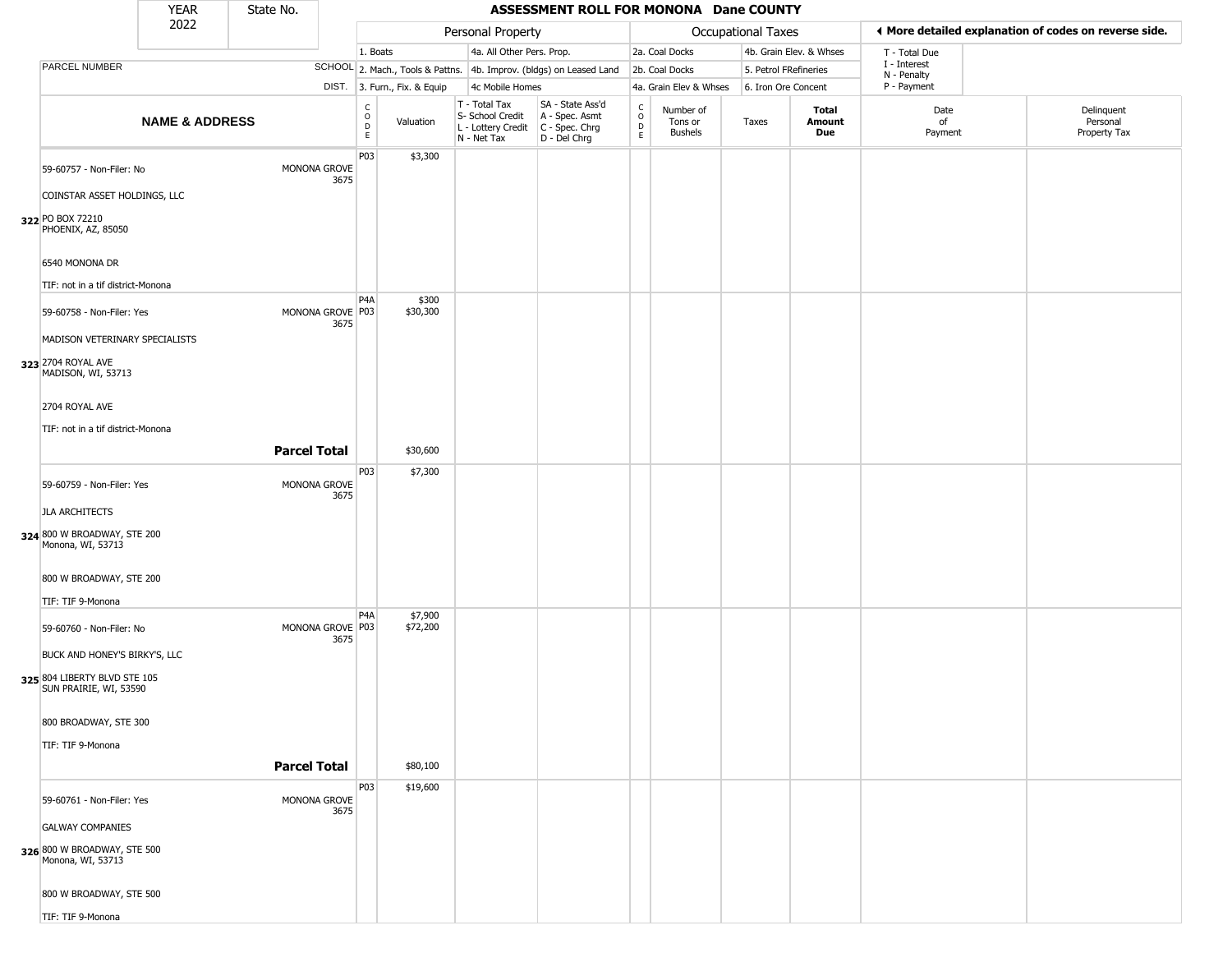|                                                                             | <b>YEAR</b>               | State No.           |                          |                                                 |                              |                                                                        | ASSESSMENT ROLL FOR MONONA Dane COUNTY                               |                                   |                                        |                           |                         |                             |                                                       |
|-----------------------------------------------------------------------------|---------------------------|---------------------|--------------------------|-------------------------------------------------|------------------------------|------------------------------------------------------------------------|----------------------------------------------------------------------|-----------------------------------|----------------------------------------|---------------------------|-------------------------|-----------------------------|-------------------------------------------------------|
|                                                                             | 2022                      |                     |                          |                                                 |                              | Personal Property                                                      |                                                                      |                                   |                                        | <b>Occupational Taxes</b> |                         |                             | ◀ More detailed explanation of codes on reverse side. |
|                                                                             |                           |                     |                          | 1. Boats                                        |                              | 4a. All Other Pers. Prop.                                              |                                                                      |                                   | 2a. Coal Docks                         |                           | 4b. Grain Elev. & Whses | T - Total Due               |                                                       |
| PARCEL NUMBER                                                               |                           |                     |                          |                                                 |                              |                                                                        | SCHOOL 2. Mach., Tools & Pattns. 4b. Improv. (bldgs) on Leased Land  |                                   | 2b. Coal Docks                         | 5. Petrol FRefineries     |                         | I - Interest<br>N - Penalty |                                                       |
|                                                                             |                           |                     |                          |                                                 | DIST. 3. Furn., Fix. & Equip | 4c Mobile Homes                                                        |                                                                      |                                   | 4a. Grain Elev & Whses                 | 6. Iron Ore Concent       |                         | P - Payment                 |                                                       |
|                                                                             | <b>NAME &amp; ADDRESS</b> |                     |                          | C<br>$\mathsf{o}$<br>$\mathsf D$<br>$\mathsf E$ | Valuation                    | T - Total Tax<br>S- School Credit<br>L - Lottery Credit<br>N - Net Tax | SA - State Ass'd<br>A - Spec. Asmt<br>C - Spec. Chrg<br>D - Del Chrg | C<br>$\circ$<br>$\mathsf{D}$<br>E | Number of<br>Tons or<br><b>Bushels</b> | Taxes                     | Total<br>Amount<br>Due  | Date<br>of<br>Payment       | Delinquent<br>Personal<br>Property Tax                |
| 59-60757 - Non-Filer: No<br>COINSTAR ASSET HOLDINGS, LLC                    |                           |                     | MONONA GROVE<br>3675     | P03                                             | \$3,300                      |                                                                        |                                                                      |                                   |                                        |                           |                         |                             |                                                       |
| 322 PO BOX 72210<br>PHOENIX, AZ, 85050                                      |                           |                     |                          |                                                 |                              |                                                                        |                                                                      |                                   |                                        |                           |                         |                             |                                                       |
| 6540 MONONA DR<br>TIF: not in a tif district-Monona                         |                           |                     |                          |                                                 |                              |                                                                        |                                                                      |                                   |                                        |                           |                         |                             |                                                       |
| 59-60758 - Non-Filer: Yes                                                   |                           |                     | MONONA GROVE P03<br>3675 | P <sub>4</sub> A                                | \$300<br>\$30,300            |                                                                        |                                                                      |                                   |                                        |                           |                         |                             |                                                       |
| MADISON VETERINARY SPECIALISTS<br>323 2704 ROYAL AVE<br>MADISON, WI, 53713  |                           |                     |                          |                                                 |                              |                                                                        |                                                                      |                                   |                                        |                           |                         |                             |                                                       |
| 2704 ROYAL AVE                                                              |                           |                     |                          |                                                 |                              |                                                                        |                                                                      |                                   |                                        |                           |                         |                             |                                                       |
| TIF: not in a tif district-Monona                                           |                           | <b>Parcel Total</b> |                          |                                                 | \$30,600                     |                                                                        |                                                                      |                                   |                                        |                           |                         |                             |                                                       |
| 59-60759 - Non-Filer: Yes                                                   |                           |                     | MONONA GROVE<br>3675     | P03                                             | \$7,300                      |                                                                        |                                                                      |                                   |                                        |                           |                         |                             |                                                       |
| <b>JLA ARCHITECTS</b>                                                       |                           |                     |                          |                                                 |                              |                                                                        |                                                                      |                                   |                                        |                           |                         |                             |                                                       |
| 324 800 W BROADWAY, STE 200<br>Monona, WI, 53713                            |                           |                     |                          |                                                 |                              |                                                                        |                                                                      |                                   |                                        |                           |                         |                             |                                                       |
| 800 W BROADWAY, STE 200<br>TIF: TIF 9-Monona                                |                           |                     |                          |                                                 |                              |                                                                        |                                                                      |                                   |                                        |                           |                         |                             |                                                       |
| 59-60760 - Non-Filer: No<br>BUCK AND HONEY'S BIRKY'S, LLC                   |                           |                     | MONONA GROVE P03<br>3675 | P4A                                             | \$7,900<br>\$72,200          |                                                                        |                                                                      |                                   |                                        |                           |                         |                             |                                                       |
| 325 804 LIBERTY BLVD STE 105<br>SUN PRAIRIE, WI, 53590                      |                           |                     |                          |                                                 |                              |                                                                        |                                                                      |                                   |                                        |                           |                         |                             |                                                       |
| 800 BROADWAY, STE 300                                                       |                           |                     |                          |                                                 |                              |                                                                        |                                                                      |                                   |                                        |                           |                         |                             |                                                       |
| TIF: TIF 9-Monona                                                           |                           | <b>Parcel Total</b> |                          |                                                 | \$80,100                     |                                                                        |                                                                      |                                   |                                        |                           |                         |                             |                                                       |
| 59-60761 - Non-Filer: Yes                                                   |                           |                     | MONONA GROVE<br>3675     | P03                                             | \$19,600                     |                                                                        |                                                                      |                                   |                                        |                           |                         |                             |                                                       |
| <b>GALWAY COMPANIES</b><br>326 800 W BROADWAY, STE 500<br>Monona, WI, 53713 |                           |                     |                          |                                                 |                              |                                                                        |                                                                      |                                   |                                        |                           |                         |                             |                                                       |
| 800 W BROADWAY, STE 500<br>TIF: TIF 9-Monona                                |                           |                     |                          |                                                 |                              |                                                                        |                                                                      |                                   |                                        |                           |                         |                             |                                                       |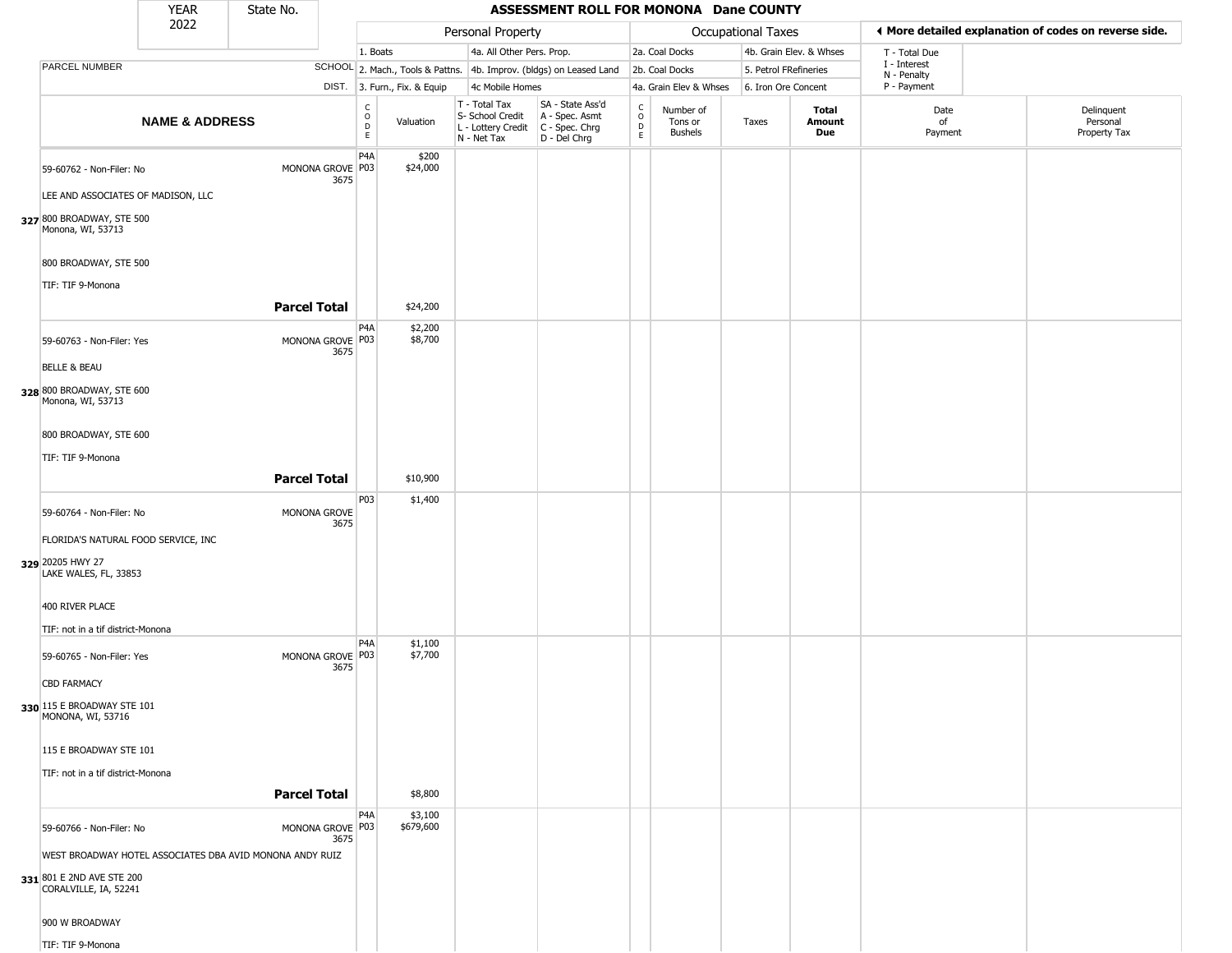|                                                                                                                  | <b>YEAR</b>               | State No.           |                          |                              |                              |                                                                        | ASSESSMENT ROLL FOR MONONA Dane COUNTY                                 |                                |                                        |                       |                         |                            |                                                       |
|------------------------------------------------------------------------------------------------------------------|---------------------------|---------------------|--------------------------|------------------------------|------------------------------|------------------------------------------------------------------------|------------------------------------------------------------------------|--------------------------------|----------------------------------------|-----------------------|-------------------------|----------------------------|-------------------------------------------------------|
|                                                                                                                  | 2022                      |                     |                          |                              |                              | Personal Property                                                      |                                                                        |                                |                                        | Occupational Taxes    |                         |                            | ♦ More detailed explanation of codes on reverse side. |
|                                                                                                                  |                           |                     |                          | 1. Boats                     |                              | 4a. All Other Pers. Prop.                                              |                                                                        |                                | 2a. Coal Docks                         |                       | 4b. Grain Elev. & Whses | T - Total Due              |                                                       |
| PARCEL NUMBER                                                                                                    |                           |                     |                          |                              |                              |                                                                        | SCHOOL 2. Mach., Tools & Pattns. 4b. Improv. (bldgs) on Leased Land    |                                | 2b. Coal Docks                         | 5. Petrol FRefineries |                         | I - Interest               |                                                       |
|                                                                                                                  |                           |                     |                          |                              | DIST. 3. Furn., Fix. & Equip | 4c Mobile Homes                                                        |                                                                        |                                | 4a. Grain Elev & Whses                 | 6. Iron Ore Concent   |                         | N - Penalty<br>P - Payment |                                                       |
|                                                                                                                  | <b>NAME &amp; ADDRESS</b> |                     |                          | $_{\rm o}^{\rm c}$<br>D<br>E | Valuation                    | T - Total Tax<br>S- School Credit<br>L - Lottery Credit<br>N - Net Tax | SA - State Ass'd<br>A - Spec. Asmt<br>$C - Spec. Chrg$<br>D - Del Chrg | $\frac{c}{0}$<br>$\frac{D}{E}$ | Number of<br>Tons or<br><b>Bushels</b> | Taxes                 | Total<br>Amount<br>Due  | Date<br>of<br>Payment      | Delinquent<br>Personal<br>Property Tax                |
| 59-60762 - Non-Filer: No<br>LEE AND ASSOCIATES OF MADISON, LLC<br>327 800 BROADWAY, STE 500<br>Monona, WI, 53713 |                           |                     | MONONA GROVE P03<br>3675 | P <sub>4</sub> A             | \$200<br>\$24,000            |                                                                        |                                                                        |                                |                                        |                       |                         |                            |                                                       |
| 800 BROADWAY, STE 500<br>TIF: TIF 9-Monona                                                                       |                           |                     |                          |                              |                              |                                                                        |                                                                        |                                |                                        |                       |                         |                            |                                                       |
|                                                                                                                  |                           | <b>Parcel Total</b> |                          |                              | \$24,200                     |                                                                        |                                                                        |                                |                                        |                       |                         |                            |                                                       |
| 59-60763 - Non-Filer: Yes                                                                                        |                           |                     | MONONA GROVE P03<br>3675 | P <sub>4</sub> A             | \$2,200<br>\$8,700           |                                                                        |                                                                        |                                |                                        |                       |                         |                            |                                                       |
| <b>BELLE &amp; BEAU</b>                                                                                          |                           |                     |                          |                              |                              |                                                                        |                                                                        |                                |                                        |                       |                         |                            |                                                       |
| 328 800 BROADWAY, STE 600<br>Monona, WI, 53713                                                                   |                           |                     |                          |                              |                              |                                                                        |                                                                        |                                |                                        |                       |                         |                            |                                                       |
| 800 BROADWAY, STE 600                                                                                            |                           |                     |                          |                              |                              |                                                                        |                                                                        |                                |                                        |                       |                         |                            |                                                       |
| TIF: TIF 9-Monona                                                                                                |                           |                     |                          |                              |                              |                                                                        |                                                                        |                                |                                        |                       |                         |                            |                                                       |
|                                                                                                                  |                           | <b>Parcel Total</b> |                          |                              | \$10,900                     |                                                                        |                                                                        |                                |                                        |                       |                         |                            |                                                       |
| 59-60764 - Non-Filer: No                                                                                         |                           |                     | MONONA GROVE<br>3675     | P03                          | \$1,400                      |                                                                        |                                                                        |                                |                                        |                       |                         |                            |                                                       |
| FLORIDA'S NATURAL FOOD SERVICE, INC<br>329 20205 HWY 27<br>LAKE WALES, FL, 33853                                 |                           |                     |                          |                              |                              |                                                                        |                                                                        |                                |                                        |                       |                         |                            |                                                       |
| 400 RIVER PLACE                                                                                                  |                           |                     |                          |                              |                              |                                                                        |                                                                        |                                |                                        |                       |                         |                            |                                                       |
| TIF: not in a tif district-Monona<br>59-60765 - Non-Filer: Yes                                                   |                           |                     | MONONA GROVE P03<br>3675 | P <sub>4</sub> A             | \$1,100<br>\$7,700           |                                                                        |                                                                        |                                |                                        |                       |                         |                            |                                                       |
| <b>CBD FARMACY</b><br>330 115 E BROADWAY STE 101                                                                 |                           |                     |                          |                              |                              |                                                                        |                                                                        |                                |                                        |                       |                         |                            |                                                       |
| MONONA, WI, 53716                                                                                                |                           |                     |                          |                              |                              |                                                                        |                                                                        |                                |                                        |                       |                         |                            |                                                       |
| 115 E BROADWAY STE 101                                                                                           |                           |                     |                          |                              |                              |                                                                        |                                                                        |                                |                                        |                       |                         |                            |                                                       |
| TIF: not in a tif district-Monona                                                                                |                           | <b>Parcel Total</b> |                          |                              | \$8,800                      |                                                                        |                                                                        |                                |                                        |                       |                         |                            |                                                       |
| 59-60766 - Non-Filer: No                                                                                         |                           |                     | MONONA GROVE P03<br>3675 | P <sub>4</sub> A             | \$3,100<br>\$679,600         |                                                                        |                                                                        |                                |                                        |                       |                         |                            |                                                       |
| WEST BROADWAY HOTEL ASSOCIATES DBA AVID MONONA ANDY RUIZ<br>331 801 E 2ND AVE STE 200<br>CORALVILLE, IA, 52241   |                           |                     |                          |                              |                              |                                                                        |                                                                        |                                |                                        |                       |                         |                            |                                                       |
| 900 W BROADWAY                                                                                                   |                           |                     |                          |                              |                              |                                                                        |                                                                        |                                |                                        |                       |                         |                            |                                                       |
| TIF: TIF 9-Monona                                                                                                |                           |                     |                          |                              |                              |                                                                        |                                                                        |                                |                                        |                       |                         |                            |                                                       |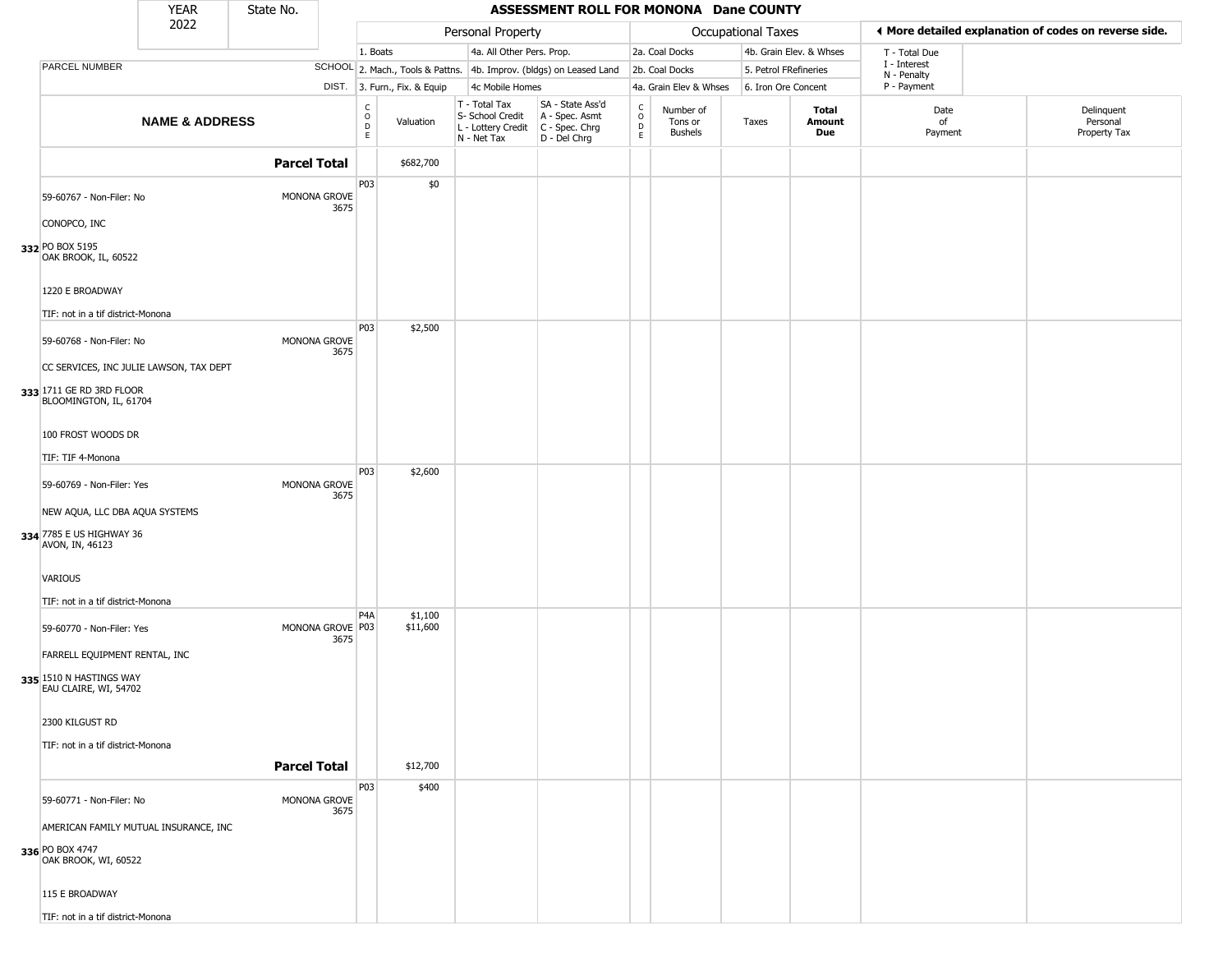|                                                                               | <b>YEAR</b>               | State No.           |      |                                      |                              |                                                                                         | ASSESSMENT ROLL FOR MONONA Dane COUNTY                              |                                    |                                 |                           |                         |                             |                                                       |
|-------------------------------------------------------------------------------|---------------------------|---------------------|------|--------------------------------------|------------------------------|-----------------------------------------------------------------------------------------|---------------------------------------------------------------------|------------------------------------|---------------------------------|---------------------------|-------------------------|-----------------------------|-------------------------------------------------------|
|                                                                               | 2022                      |                     |      |                                      |                              | Personal Property                                                                       |                                                                     |                                    |                                 | <b>Occupational Taxes</b> |                         |                             | ◀ More detailed explanation of codes on reverse side. |
|                                                                               |                           |                     |      | 1. Boats                             |                              | 4a. All Other Pers. Prop.                                                               |                                                                     |                                    | 2a. Coal Docks                  |                           | 4b. Grain Elev. & Whses | T - Total Due               |                                                       |
| PARCEL NUMBER                                                                 |                           |                     |      |                                      |                              |                                                                                         | SCHOOL 2. Mach., Tools & Pattns. 4b. Improv. (bldgs) on Leased Land |                                    | 2b. Coal Docks                  | 5. Petrol FRefineries     |                         | I - Interest<br>N - Penalty |                                                       |
|                                                                               |                           |                     |      |                                      | DIST. 3. Furn., Fix. & Equip | 4c Mobile Homes                                                                         |                                                                     |                                    | 4a. Grain Elev & Whses          | 6. Iron Ore Concent       |                         | P - Payment                 |                                                       |
|                                                                               | <b>NAME &amp; ADDRESS</b> |                     |      | C<br>$\mathsf O$<br>$\mathsf D$<br>E | Valuation                    | T - Total Tax<br>S- School Credit<br>L - Lottery Credit   C - Spec. Chrg<br>N - Net Tax | SA - State Ass'd<br>A - Spec. Asmt<br>D - Del Chrg                  | $\int_{0}^{c}$<br>$\mathsf D$<br>E | Number of<br>Tons or<br>Bushels | Taxes                     | Total<br>Amount<br>Due  | Date<br>of<br>Payment       | Delinquent<br>Personal<br>Property Tax                |
|                                                                               |                           | <b>Parcel Total</b> |      |                                      | \$682,700                    |                                                                                         |                                                                     |                                    |                                 |                           |                         |                             |                                                       |
| 59-60767 - Non-Filer: No                                                      |                           | MONONA GROVE        | 3675 | P03                                  | \$0                          |                                                                                         |                                                                     |                                    |                                 |                           |                         |                             |                                                       |
| CONOPCO, INC<br>332 PO BOX 5195<br>OAK BROOK, IL, 60522                       |                           |                     |      |                                      |                              |                                                                                         |                                                                     |                                    |                                 |                           |                         |                             |                                                       |
| 1220 E BROADWAY<br>TIF: not in a tif district-Monona                          |                           |                     |      |                                      |                              |                                                                                         |                                                                     |                                    |                                 |                           |                         |                             |                                                       |
| 59-60768 - Non-Filer: No<br>CC SERVICES, INC JULIE LAWSON, TAX DEPT           |                           | MONONA GROVE        | 3675 | <b>P03</b>                           | \$2,500                      |                                                                                         |                                                                     |                                    |                                 |                           |                         |                             |                                                       |
| 333 1711 GE RD 3RD FLOOR<br>BLOOMINGTON, IL, 61704<br>100 FROST WOODS DR      |                           |                     |      |                                      |                              |                                                                                         |                                                                     |                                    |                                 |                           |                         |                             |                                                       |
|                                                                               |                           |                     |      |                                      |                              |                                                                                         |                                                                     |                                    |                                 |                           |                         |                             |                                                       |
| TIF: TIF 4-Monona<br>59-60769 - Non-Filer: Yes                                |                           | MONONA GROVE        | 3675 | P03                                  | \$2,600                      |                                                                                         |                                                                     |                                    |                                 |                           |                         |                             |                                                       |
| NEW AQUA, LLC DBA AQUA SYSTEMS<br>334 7785 E US HIGHWAY 36<br>AVON, IN, 46123 |                           |                     |      |                                      |                              |                                                                                         |                                                                     |                                    |                                 |                           |                         |                             |                                                       |
| <b>VARIOUS</b><br>TIF: not in a tif district-Monona                           |                           |                     |      |                                      |                              |                                                                                         |                                                                     |                                    |                                 |                           |                         |                             |                                                       |
| 59-60770 - Non-Filer: Yes<br>FARRELL EQUIPMENT RENTAL, INC                    |                           | MONONA GROVE P03    | 3675 | P <sub>4</sub> A                     | \$1,100<br>\$11,600          |                                                                                         |                                                                     |                                    |                                 |                           |                         |                             |                                                       |
| 335 1510 N HASTINGS WAY<br>EAU CLAIRE, WI, 54702                              |                           |                     |      |                                      |                              |                                                                                         |                                                                     |                                    |                                 |                           |                         |                             |                                                       |
| 2300 KILGUST RD                                                               |                           |                     |      |                                      |                              |                                                                                         |                                                                     |                                    |                                 |                           |                         |                             |                                                       |
| TIF: not in a tif district-Monona                                             |                           | <b>Parcel Total</b> |      |                                      | \$12,700                     |                                                                                         |                                                                     |                                    |                                 |                           |                         |                             |                                                       |
| 59-60771 - Non-Filer: No<br>AMERICAN FAMILY MUTUAL INSURANCE, INC             |                           | MONONA GROVE        | 3675 | P03                                  | \$400                        |                                                                                         |                                                                     |                                    |                                 |                           |                         |                             |                                                       |
| 336 PO BOX 4747<br>OAK BROOK, WI, 60522<br>115 E BROADWAY                     |                           |                     |      |                                      |                              |                                                                                         |                                                                     |                                    |                                 |                           |                         |                             |                                                       |
| TIF: not in a tif district-Monona                                             |                           |                     |      |                                      |                              |                                                                                         |                                                                     |                                    |                                 |                           |                         |                             |                                                       |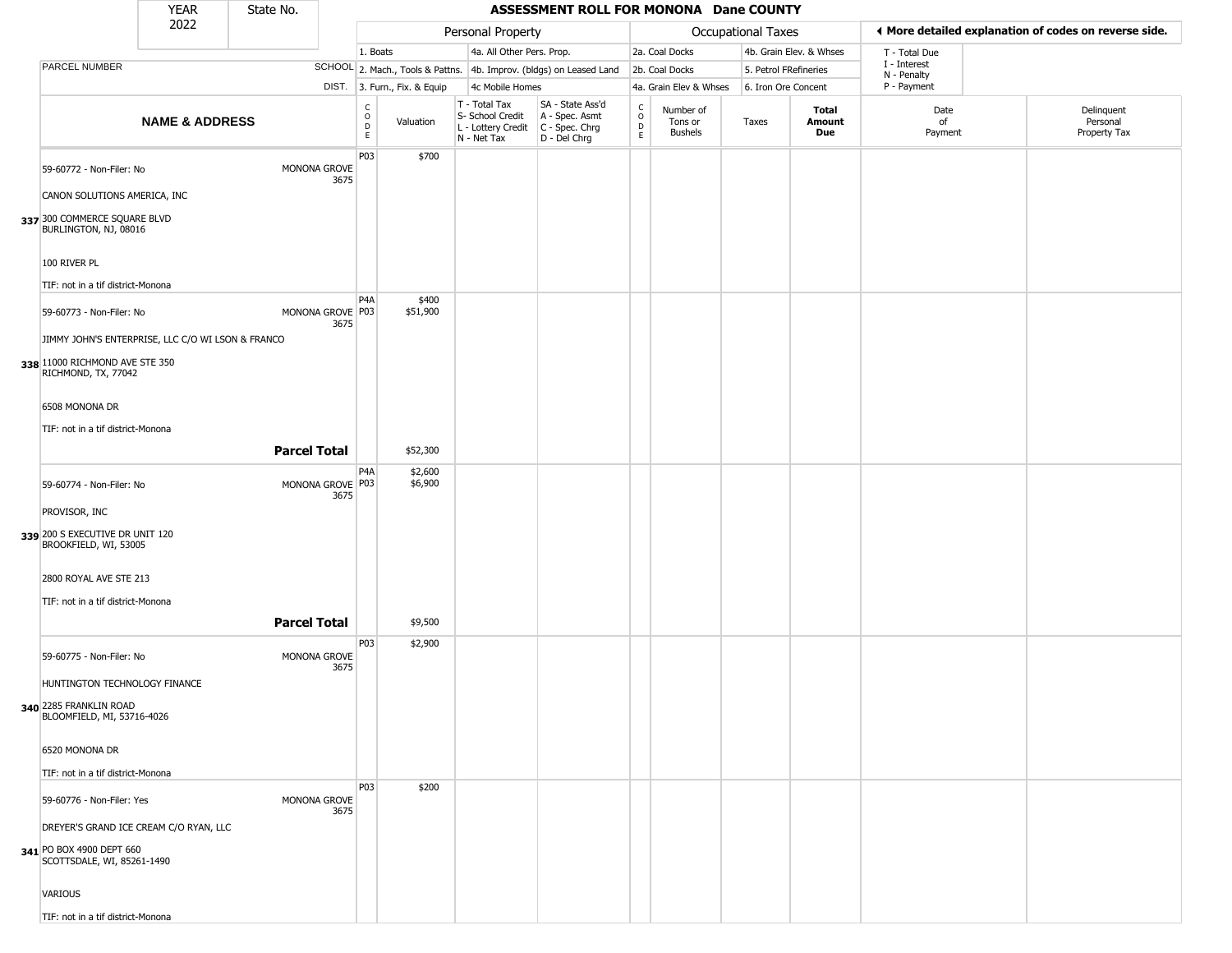|                                                          | <b>YEAR</b>               | State No.           |                          |                                          |                              |                                                                        | ASSESSMENT ROLL FOR MONONA Dane COUNTY                                 |                                   |                                        |                           |                         |                             |                                                       |
|----------------------------------------------------------|---------------------------|---------------------|--------------------------|------------------------------------------|------------------------------|------------------------------------------------------------------------|------------------------------------------------------------------------|-----------------------------------|----------------------------------------|---------------------------|-------------------------|-----------------------------|-------------------------------------------------------|
|                                                          | 2022                      |                     |                          |                                          |                              | Personal Property                                                      |                                                                        |                                   |                                        | <b>Occupational Taxes</b> |                         |                             | ♦ More detailed explanation of codes on reverse side. |
|                                                          |                           |                     |                          | 1. Boats                                 |                              | 4a. All Other Pers. Prop.                                              |                                                                        |                                   | 2a. Coal Docks                         |                           | 4b. Grain Elev. & Whses | T - Total Due               |                                                       |
| PARCEL NUMBER                                            |                           |                     |                          |                                          |                              |                                                                        | SCHOOL 2. Mach., Tools & Pattns. 4b. Improv. (bldgs) on Leased Land    |                                   | 2b. Coal Docks                         |                           | 5. Petrol FRefineries   | I - Interest<br>N - Penalty |                                                       |
|                                                          |                           |                     |                          |                                          | DIST. 3. Furn., Fix. & Equip | 4c Mobile Homes                                                        |                                                                        |                                   | 4a. Grain Elev & Whses                 | 6. Iron Ore Concent       |                         | P - Payment                 |                                                       |
|                                                          | <b>NAME &amp; ADDRESS</b> |                     |                          | $\rm _o^C$<br>$\mathsf D$<br>$\mathsf E$ | Valuation                    | T - Total Tax<br>S- School Credit<br>L - Lottery Credit<br>N - Net Tax | SA - State Ass'd<br>A - Spec. Asmt<br>$C - Spec. Chrg$<br>D - Del Chrg | C<br>$\circ$<br>$\mathsf{D}$<br>E | Number of<br>Tons or<br><b>Bushels</b> | Taxes                     | Total<br>Amount<br>Due  | Date<br>of<br>Payment       | Delinquent<br>Personal<br>Property Tax                |
| 59-60772 - Non-Filer: No<br>CANON SOLUTIONS AMERICA, INC |                           |                     | MONONA GROVE<br>3675     | P03                                      | \$700                        |                                                                        |                                                                        |                                   |                                        |                           |                         |                             |                                                       |
| 337 300 COMMERCE SQUARE BLVD<br>BURLINGTON, NJ, 08016    |                           |                     |                          |                                          |                              |                                                                        |                                                                        |                                   |                                        |                           |                         |                             |                                                       |
| 100 RIVER PL                                             |                           |                     |                          |                                          |                              |                                                                        |                                                                        |                                   |                                        |                           |                         |                             |                                                       |
| TIF: not in a tif district-Monona                        |                           |                     |                          | P <sub>4</sub> A                         |                              |                                                                        |                                                                        |                                   |                                        |                           |                         |                             |                                                       |
| 59-60773 - Non-Filer: No                                 |                           |                     | MONONA GROVE P03<br>3675 |                                          | \$400<br>\$51,900            |                                                                        |                                                                        |                                   |                                        |                           |                         |                             |                                                       |
| JIMMY JOHN'S ENTERPRISE, LLC C/O WI LSON & FRANCO        |                           |                     |                          |                                          |                              |                                                                        |                                                                        |                                   |                                        |                           |                         |                             |                                                       |
| 338 11000 RICHMOND AVE STE 350<br>RICHMOND, TX, 77042    |                           |                     |                          |                                          |                              |                                                                        |                                                                        |                                   |                                        |                           |                         |                             |                                                       |
| 6508 MONONA DR                                           |                           |                     |                          |                                          |                              |                                                                        |                                                                        |                                   |                                        |                           |                         |                             |                                                       |
| TIF: not in a tif district-Monona                        |                           |                     |                          |                                          |                              |                                                                        |                                                                        |                                   |                                        |                           |                         |                             |                                                       |
|                                                          |                           | <b>Parcel Total</b> |                          |                                          | \$52,300                     |                                                                        |                                                                        |                                   |                                        |                           |                         |                             |                                                       |
| 59-60774 - Non-Filer: No                                 |                           |                     | MONONA GROVE P03         | P <sub>4</sub> A                         | \$2,600<br>\$6,900           |                                                                        |                                                                        |                                   |                                        |                           |                         |                             |                                                       |
| PROVISOR, INC                                            |                           |                     | 3675                     |                                          |                              |                                                                        |                                                                        |                                   |                                        |                           |                         |                             |                                                       |
| 339 200 S EXECUTIVE DR UNIT 120<br>BROOKFIELD, WI, 53005 |                           |                     |                          |                                          |                              |                                                                        |                                                                        |                                   |                                        |                           |                         |                             |                                                       |
| 2800 ROYAL AVE STE 213                                   |                           |                     |                          |                                          |                              |                                                                        |                                                                        |                                   |                                        |                           |                         |                             |                                                       |
| TIF: not in a tif district-Monona                        |                           |                     |                          |                                          |                              |                                                                        |                                                                        |                                   |                                        |                           |                         |                             |                                                       |
|                                                          |                           | <b>Parcel Total</b> |                          |                                          | \$9,500                      |                                                                        |                                                                        |                                   |                                        |                           |                         |                             |                                                       |
| 59-60775 - Non-Filer: No                                 |                           |                     | MONONA GROVE<br>3675     | P03                                      | \$2,900                      |                                                                        |                                                                        |                                   |                                        |                           |                         |                             |                                                       |
| HUNTINGTON TECHNOLOGY FINANCE                            |                           |                     |                          |                                          |                              |                                                                        |                                                                        |                                   |                                        |                           |                         |                             |                                                       |
| 340 2285 FRANKLIN ROAD<br>BLOOMFIELD, MI, 53716-4026     |                           |                     |                          |                                          |                              |                                                                        |                                                                        |                                   |                                        |                           |                         |                             |                                                       |
| 6520 MONONA DR                                           |                           |                     |                          |                                          |                              |                                                                        |                                                                        |                                   |                                        |                           |                         |                             |                                                       |
| TIF: not in a tif district-Monona                        |                           |                     |                          |                                          |                              |                                                                        |                                                                        |                                   |                                        |                           |                         |                             |                                                       |
| 59-60776 - Non-Filer: Yes                                |                           |                     | MONONA GROVE             | P03                                      | \$200                        |                                                                        |                                                                        |                                   |                                        |                           |                         |                             |                                                       |
| DREYER'S GRAND ICE CREAM C/O RYAN, LLC                   |                           |                     | 3675                     |                                          |                              |                                                                        |                                                                        |                                   |                                        |                           |                         |                             |                                                       |
| 341 PO BOX 4900 DEPT 660<br>SCOTTSDALE, WI, 85261-1490   |                           |                     |                          |                                          |                              |                                                                        |                                                                        |                                   |                                        |                           |                         |                             |                                                       |
| VARIOUS                                                  |                           |                     |                          |                                          |                              |                                                                        |                                                                        |                                   |                                        |                           |                         |                             |                                                       |
| TIF: not in a tif district-Monona                        |                           |                     |                          |                                          |                              |                                                                        |                                                                        |                                   |                                        |                           |                         |                             |                                                       |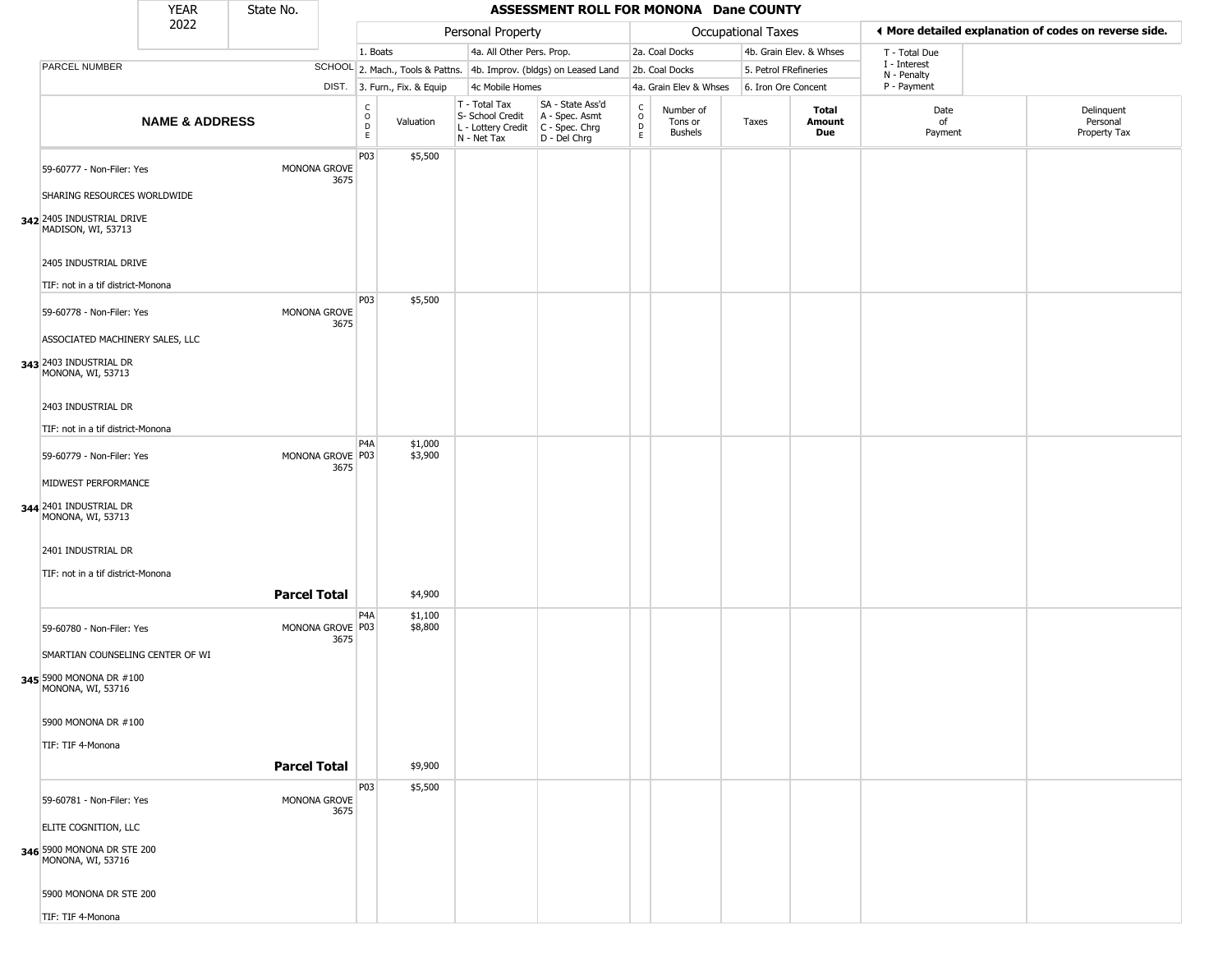|                                                                                  | <b>YEAR</b>               | State No.           |                          |                                   |                              |                                                                        | ASSESSMENT ROLL FOR MONONA Dane COUNTY                               |                        |                                        |                     |                         |                             |                                                       |
|----------------------------------------------------------------------------------|---------------------------|---------------------|--------------------------|-----------------------------------|------------------------------|------------------------------------------------------------------------|----------------------------------------------------------------------|------------------------|----------------------------------------|---------------------|-------------------------|-----------------------------|-------------------------------------------------------|
|                                                                                  | 2022                      |                     |                          |                                   |                              | Personal Property                                                      |                                                                      |                        |                                        | Occupational Taxes  |                         |                             | ◀ More detailed explanation of codes on reverse side. |
|                                                                                  |                           |                     |                          | 1. Boats                          |                              | 4a. All Other Pers. Prop.                                              |                                                                      |                        | 2a. Coal Docks                         |                     | 4b. Grain Elev. & Whses | T - Total Due               |                                                       |
| PARCEL NUMBER                                                                    |                           |                     |                          |                                   |                              |                                                                        | SCHOOL 2. Mach., Tools & Pattns. 4b. Improv. (bldgs) on Leased Land  |                        | 2b. Coal Docks                         |                     | 5. Petrol FRefineries   | I - Interest<br>N - Penalty |                                                       |
|                                                                                  |                           |                     |                          |                                   | DIST. 3. Furn., Fix. & Equip | 4c Mobile Homes                                                        |                                                                      |                        | 4a. Grain Elev & Whses                 | 6. Iron Ore Concent |                         | P - Payment                 |                                                       |
|                                                                                  | <b>NAME &amp; ADDRESS</b> |                     |                          | $\mathsf{C}$<br>$\circ$<br>D<br>E | Valuation                    | T - Total Tax<br>S- School Credit<br>L - Lottery Credit<br>N - Net Tax | SA - State Ass'd<br>A - Spec. Asmt<br>C - Spec. Chrg<br>D - Del Chrg | C<br>$\circ$<br>D<br>E | Number of<br>Tons or<br><b>Bushels</b> | Taxes               | Total<br>Amount<br>Due  | Date<br>of<br>Payment       | Delinquent<br>Personal<br>Property Tax                |
| 59-60777 - Non-Filer: Yes<br>SHARING RESOURCES WORLDWIDE                         |                           |                     | MONONA GROVE<br>3675     | P03                               | \$5,500                      |                                                                        |                                                                      |                        |                                        |                     |                         |                             |                                                       |
| 342 2405 INDUSTRIAL DRIVE<br>MADISON, WI, 53713                                  |                           |                     |                          |                                   |                              |                                                                        |                                                                      |                        |                                        |                     |                         |                             |                                                       |
| 2405 INDUSTRIAL DRIVE                                                            |                           |                     |                          |                                   |                              |                                                                        |                                                                      |                        |                                        |                     |                         |                             |                                                       |
| TIF: not in a tif district-Monona                                                |                           |                     |                          | P03                               | \$5,500                      |                                                                        |                                                                      |                        |                                        |                     |                         |                             |                                                       |
| 59-60778 - Non-Filer: Yes<br>ASSOCIATED MACHINERY SALES, LLC                     |                           |                     | MONONA GROVE<br>3675     |                                   |                              |                                                                        |                                                                      |                        |                                        |                     |                         |                             |                                                       |
| 343 2403 INDUSTRIAL DR<br>MONONA, WI, 53713                                      |                           |                     |                          |                                   |                              |                                                                        |                                                                      |                        |                                        |                     |                         |                             |                                                       |
| 2403 INDUSTRIAL DR<br>TIF: not in a tif district-Monona                          |                           |                     |                          |                                   |                              |                                                                        |                                                                      |                        |                                        |                     |                         |                             |                                                       |
|                                                                                  |                           |                     |                          | P <sub>4</sub> A                  | \$1,000                      |                                                                        |                                                                      |                        |                                        |                     |                         |                             |                                                       |
| 59-60779 - Non-Filer: Yes<br>MIDWEST PERFORMANCE                                 |                           |                     | MONONA GROVE P03<br>3675 |                                   | \$3,900                      |                                                                        |                                                                      |                        |                                        |                     |                         |                             |                                                       |
| 344 2401 INDUSTRIAL DR<br>MONONA, WI, 53713                                      |                           |                     |                          |                                   |                              |                                                                        |                                                                      |                        |                                        |                     |                         |                             |                                                       |
| 2401 INDUSTRIAL DR<br>TIF: not in a tif district-Monona                          |                           |                     |                          |                                   |                              |                                                                        |                                                                      |                        |                                        |                     |                         |                             |                                                       |
|                                                                                  |                           | <b>Parcel Total</b> |                          |                                   | \$4,900                      |                                                                        |                                                                      |                        |                                        |                     |                         |                             |                                                       |
| 59-60780 - Non-Filer: Yes                                                        |                           |                     | MONONA GROVE P03<br>3675 | P4A                               | \$1,100<br>\$8,800           |                                                                        |                                                                      |                        |                                        |                     |                         |                             |                                                       |
| SMARTIAN COUNSELING CENTER OF WI<br>345 5900 MONONA DR #100<br>MONONA, WI, 53716 |                           |                     |                          |                                   |                              |                                                                        |                                                                      |                        |                                        |                     |                         |                             |                                                       |
| 5900 MONONA DR #100                                                              |                           |                     |                          |                                   |                              |                                                                        |                                                                      |                        |                                        |                     |                         |                             |                                                       |
| TIF: TIF 4-Monona                                                                |                           | <b>Parcel Total</b> |                          |                                   | \$9,900                      |                                                                        |                                                                      |                        |                                        |                     |                         |                             |                                                       |
| 59-60781 - Non-Filer: Yes                                                        |                           |                     | MONONA GROVE<br>3675     | P03                               | \$5,500                      |                                                                        |                                                                      |                        |                                        |                     |                         |                             |                                                       |
| ELITE COGNITION, LLC<br>346 5900 MONONA DR STE 200<br>MONONA, WI, 53716          |                           |                     |                          |                                   |                              |                                                                        |                                                                      |                        |                                        |                     |                         |                             |                                                       |
| 5900 MONONA DR STE 200                                                           |                           |                     |                          |                                   |                              |                                                                        |                                                                      |                        |                                        |                     |                         |                             |                                                       |
| TIF: TIF 4-Monona                                                                |                           |                     |                          |                                   |                              |                                                                        |                                                                      |                        |                                        |                     |                         |                             |                                                       |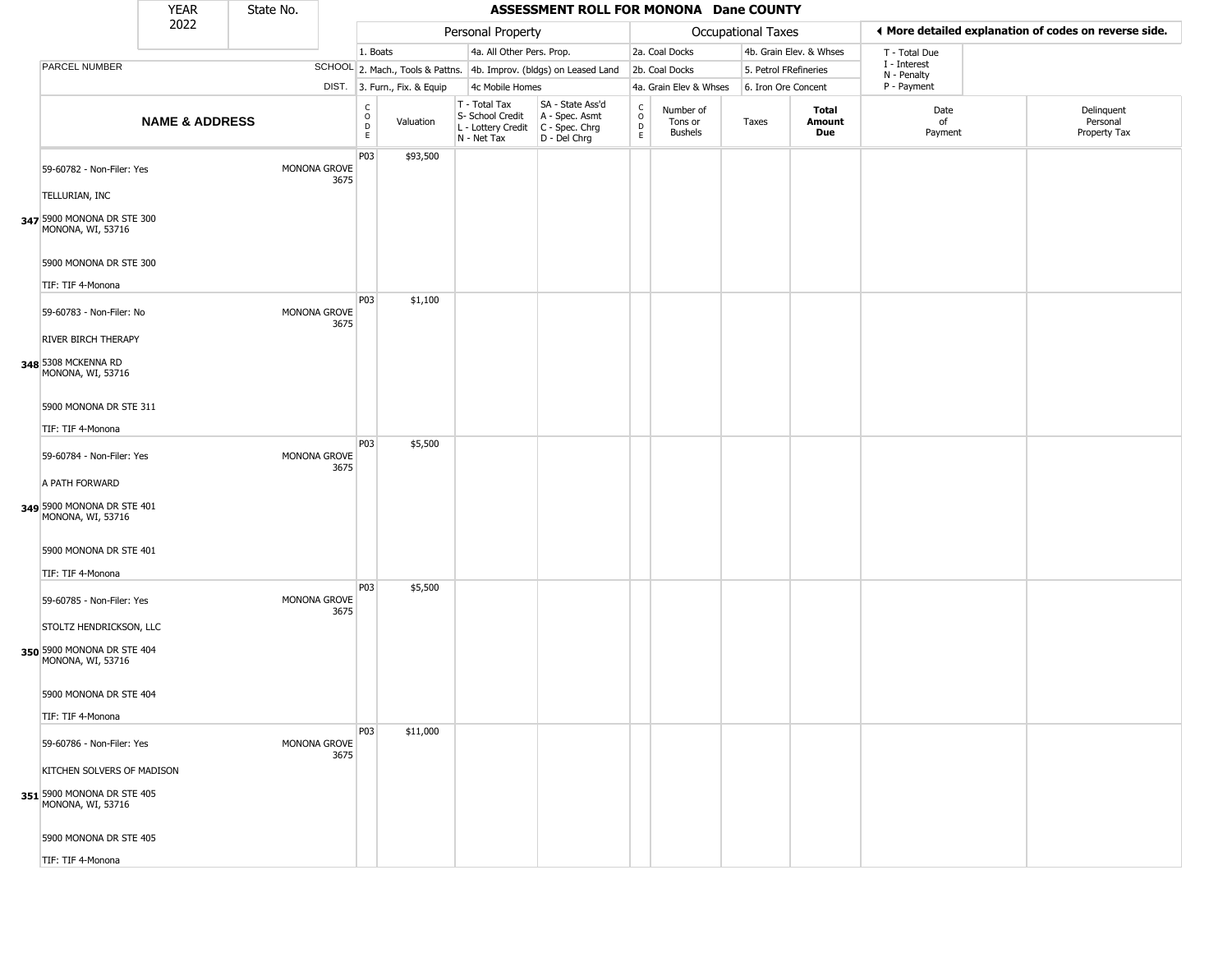|                                                                               | <b>YEAR</b>               | State No. |                      |                                                          |                              |                                                                        | ASSESSMENT ROLL FOR MONONA Dane COUNTY                                 |                                              |                                        |                       |                         |                             |                                                       |
|-------------------------------------------------------------------------------|---------------------------|-----------|----------------------|----------------------------------------------------------|------------------------------|------------------------------------------------------------------------|------------------------------------------------------------------------|----------------------------------------------|----------------------------------------|-----------------------|-------------------------|-----------------------------|-------------------------------------------------------|
|                                                                               | 2022                      |           |                      |                                                          |                              | Personal Property                                                      |                                                                        |                                              |                                        | Occupational Taxes    |                         |                             | ♦ More detailed explanation of codes on reverse side. |
|                                                                               |                           |           |                      | 1. Boats                                                 |                              | 4a. All Other Pers. Prop.                                              |                                                                        |                                              | 2a. Coal Docks                         |                       | 4b. Grain Elev. & Whses | T - Total Due               |                                                       |
| PARCEL NUMBER                                                                 |                           |           |                      |                                                          |                              |                                                                        | SCHOOL 2. Mach., Tools & Pattns. 4b. Improv. (bldgs) on Leased Land    |                                              | 2b. Coal Docks                         | 5. Petrol FRefineries |                         | I - Interest<br>N - Penalty |                                                       |
|                                                                               |                           |           |                      |                                                          | DIST. 3. Furn., Fix. & Equip | 4c Mobile Homes                                                        |                                                                        |                                              | 4a. Grain Elev & Whses                 | 6. Iron Ore Concent   |                         | P - Payment                 |                                                       |
|                                                                               | <b>NAME &amp; ADDRESS</b> |           |                      | $\begin{matrix} 0 \\ 0 \\ 0 \end{matrix}$<br>$\mathsf E$ | Valuation                    | T - Total Tax<br>S- School Credit<br>L - Lottery Credit<br>N - Net Tax | SA - State Ass'd<br>A - Spec. Asmt<br>C - Spec. Chrg<br>$D - Del Chrg$ | $\begin{array}{c}\nC \\ O \\ D\n\end{array}$ | Number of<br>Tons or<br><b>Bushels</b> | Taxes                 | Total<br>Amount<br>Due  | Date<br>of<br>Payment       | Delinquent<br>Personal<br>Property Tax                |
| 59-60782 - Non-Filer: Yes<br>TELLURIAN, INC                                   |                           |           | MONONA GROVE<br>3675 | P03                                                      | \$93,500                     |                                                                        |                                                                        |                                              |                                        |                       |                         |                             |                                                       |
| 347 5900 MONONA DR STE 300<br>MONONA, WI, 53716                               |                           |           |                      |                                                          |                              |                                                                        |                                                                        |                                              |                                        |                       |                         |                             |                                                       |
| 5900 MONONA DR STE 300<br>TIF: TIF 4-Monona                                   |                           |           |                      |                                                          |                              |                                                                        |                                                                        |                                              |                                        |                       |                         |                             |                                                       |
| 59-60783 - Non-Filer: No<br>RIVER BIRCH THERAPY                               |                           |           | MONONA GROVE<br>3675 | P03                                                      | \$1,100                      |                                                                        |                                                                        |                                              |                                        |                       |                         |                             |                                                       |
| 348 5308 MCKENNA RD<br>MONONA, WI, 53716                                      |                           |           |                      |                                                          |                              |                                                                        |                                                                        |                                              |                                        |                       |                         |                             |                                                       |
| 5900 MONONA DR STE 311<br>TIF: TIF 4-Monona                                   |                           |           |                      |                                                          |                              |                                                                        |                                                                        |                                              |                                        |                       |                         |                             |                                                       |
| 59-60784 - Non-Filer: Yes                                                     |                           |           | MONONA GROVE<br>3675 | P03                                                      | \$5,500                      |                                                                        |                                                                        |                                              |                                        |                       |                         |                             |                                                       |
| A PATH FORWARD<br>349 5900 MONONA DR STE 401<br>MONONA, WI, 53716             |                           |           |                      |                                                          |                              |                                                                        |                                                                        |                                              |                                        |                       |                         |                             |                                                       |
| 5900 MONONA DR STE 401<br>TIF: TIF 4-Monona                                   |                           |           |                      |                                                          |                              |                                                                        |                                                                        |                                              |                                        |                       |                         |                             |                                                       |
| 59-60785 - Non-Filer: Yes                                                     |                           |           | MONONA GROVE<br>3675 | P03                                                      | \$5,500                      |                                                                        |                                                                        |                                              |                                        |                       |                         |                             |                                                       |
| STOLTZ HENDRICKSON, LLC<br>350 5900 MONONA DR STE 404<br>MONONA, WI, 53716    |                           |           |                      |                                                          |                              |                                                                        |                                                                        |                                              |                                        |                       |                         |                             |                                                       |
| 5900 MONONA DR STE 404                                                        |                           |           |                      |                                                          |                              |                                                                        |                                                                        |                                              |                                        |                       |                         |                             |                                                       |
| TIF: TIF 4-Monona                                                             |                           |           |                      | P03                                                      | \$11,000                     |                                                                        |                                                                        |                                              |                                        |                       |                         |                             |                                                       |
| 59-60786 - Non-Filer: Yes                                                     |                           |           | MONONA GROVE<br>3675 |                                                          |                              |                                                                        |                                                                        |                                              |                                        |                       |                         |                             |                                                       |
| KITCHEN SOLVERS OF MADISON<br>351 5900 MONONA DR STE 405<br>MONONA, WI, 53716 |                           |           |                      |                                                          |                              |                                                                        |                                                                        |                                              |                                        |                       |                         |                             |                                                       |
| 5900 MONONA DR STE 405                                                        |                           |           |                      |                                                          |                              |                                                                        |                                                                        |                                              |                                        |                       |                         |                             |                                                       |
| TIF: TIF 4-Monona                                                             |                           |           |                      |                                                          |                              |                                                                        |                                                                        |                                              |                                        |                       |                         |                             |                                                       |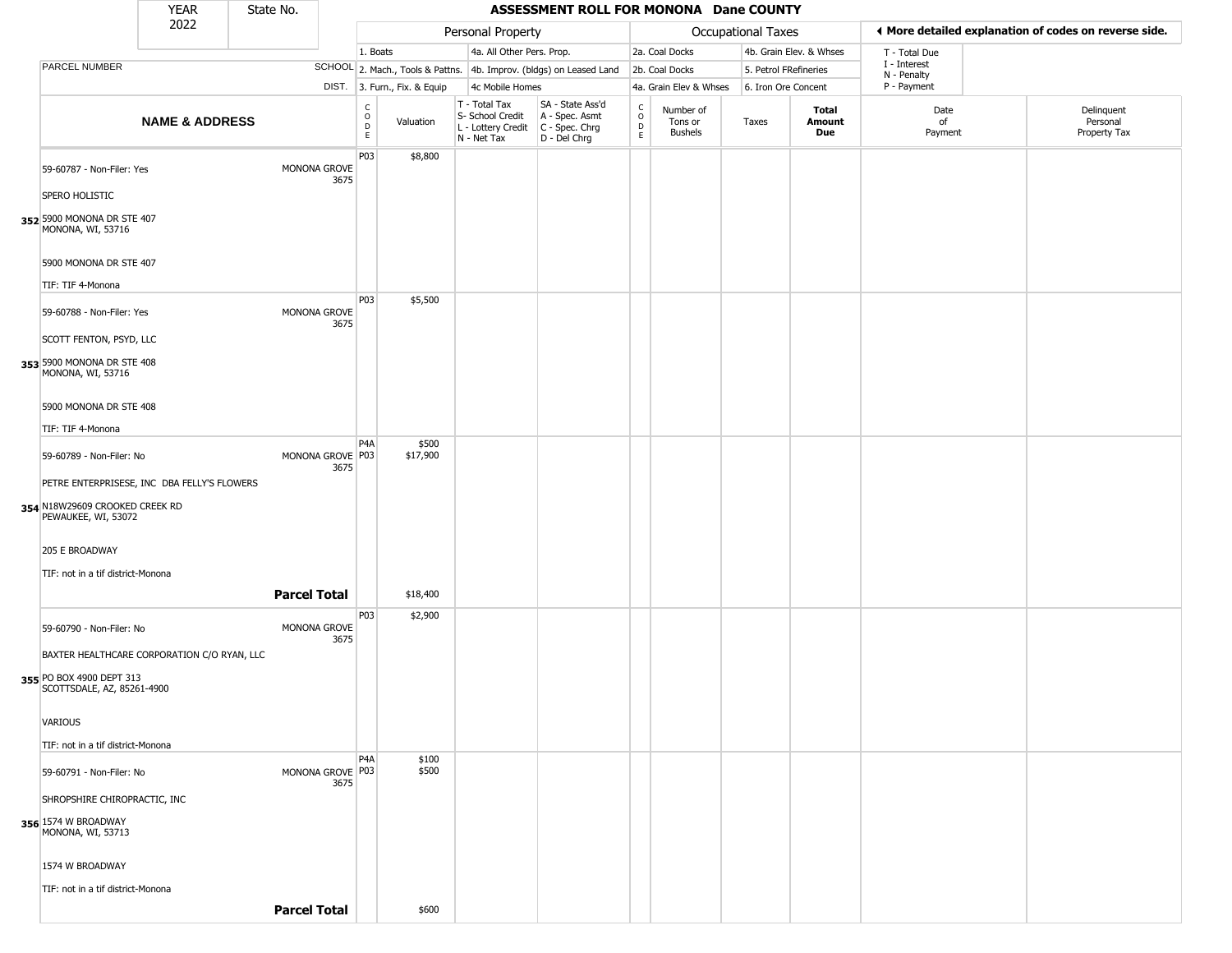|                                                                                                       | <b>YEAR</b>               | State No. |                            |                                                       |                              |                                                                        | ASSESSMENT ROLL FOR MONONA Dane COUNTY                               |                        |                                        |                       |                         |                             |                                                       |
|-------------------------------------------------------------------------------------------------------|---------------------------|-----------|----------------------------|-------------------------------------------------------|------------------------------|------------------------------------------------------------------------|----------------------------------------------------------------------|------------------------|----------------------------------------|-----------------------|-------------------------|-----------------------------|-------------------------------------------------------|
|                                                                                                       | 2022                      |           |                            |                                                       |                              | Personal Property                                                      |                                                                      |                        |                                        | Occupational Taxes    |                         |                             | ◀ More detailed explanation of codes on reverse side. |
|                                                                                                       |                           |           |                            | 1. Boats                                              |                              | 4a. All Other Pers. Prop.                                              |                                                                      |                        | 2a. Coal Docks                         |                       | 4b. Grain Elev. & Whses | T - Total Due               |                                                       |
| PARCEL NUMBER                                                                                         |                           |           |                            |                                                       |                              |                                                                        | SCHOOL 2. Mach., Tools & Pattns. 4b. Improv. (bldgs) on Leased Land  |                        | 2b. Coal Docks                         | 5. Petrol FRefineries |                         | I - Interest<br>N - Penalty |                                                       |
|                                                                                                       |                           |           |                            |                                                       | DIST. 3. Furn., Fix. & Equip | 4c Mobile Homes                                                        |                                                                      |                        | 4a. Grain Elev & Whses                 | 6. Iron Ore Concent   |                         | P - Payment                 |                                                       |
|                                                                                                       | <b>NAME &amp; ADDRESS</b> |           |                            | $\mathsf{C}$<br>$\circ$<br>$\mathsf D$<br>$\mathsf E$ | Valuation                    | T - Total Tax<br>S- School Credit<br>L - Lottery Credit<br>N - Net Tax | SA - State Ass'd<br>A - Spec. Asmt<br>C - Spec. Chrg<br>D - Del Chrg | C<br>$\circ$<br>D<br>E | Number of<br>Tons or<br><b>Bushels</b> | Taxes                 | Total<br>Amount<br>Due  | Date<br>of<br>Payment       | Delinquent<br>Personal<br>Property Tax                |
| 59-60787 - Non-Filer: Yes                                                                             |                           |           | MONONA GROVE<br>3675       | P <sub>0</sub> 3                                      | \$8,800                      |                                                                        |                                                                      |                        |                                        |                       |                         |                             |                                                       |
| SPERO HOLISTIC                                                                                        |                           |           |                            |                                                       |                              |                                                                        |                                                                      |                        |                                        |                       |                         |                             |                                                       |
| 352 5900 MONONA DR STE 407<br>MONONA, WI, 53716                                                       |                           |           |                            |                                                       |                              |                                                                        |                                                                      |                        |                                        |                       |                         |                             |                                                       |
| 5900 MONONA DR STE 407<br>TIF: TIF 4-Monona                                                           |                           |           |                            |                                                       |                              |                                                                        |                                                                      |                        |                                        |                       |                         |                             |                                                       |
| 59-60788 - Non-Filer: Yes                                                                             |                           |           | MONONA GROVE<br>3675       | P03                                                   | \$5,500                      |                                                                        |                                                                      |                        |                                        |                       |                         |                             |                                                       |
| SCOTT FENTON, PSYD, LLC<br>353 5900 MONONA DR STE 408<br>MONONA, WI, 53716                            |                           |           |                            |                                                       |                              |                                                                        |                                                                      |                        |                                        |                       |                         |                             |                                                       |
| 5900 MONONA DR STE 408<br>TIF: TIF 4-Monona                                                           |                           |           |                            |                                                       |                              |                                                                        |                                                                      |                        |                                        |                       |                         |                             |                                                       |
| 59-60789 - Non-Filer: No                                                                              |                           |           | MONONA GROVE P03<br>3675   | P4A                                                   | \$500<br>\$17,900            |                                                                        |                                                                      |                        |                                        |                       |                         |                             |                                                       |
| PETRE ENTERPRISESE, INC DBA FELLY'S FLOWERS<br>354 N18W29609 CROOKED CREEK RD<br>PEWAUKEE, WI, 53072  |                           |           |                            |                                                       |                              |                                                                        |                                                                      |                        |                                        |                       |                         |                             |                                                       |
| 205 E BROADWAY<br>TIF: not in a tif district-Monona                                                   |                           |           |                            |                                                       |                              |                                                                        |                                                                      |                        |                                        |                       |                         |                             |                                                       |
|                                                                                                       |                           |           | <b>Parcel Total</b>        |                                                       | \$18,400                     |                                                                        |                                                                      |                        |                                        |                       |                         |                             |                                                       |
| 59-60790 - Non-Filer: No                                                                              |                           |           | MONONA GROVE<br>3675       | P <sub>0</sub> 3                                      | \$2,900                      |                                                                        |                                                                      |                        |                                        |                       |                         |                             |                                                       |
| BAXTER HEALTHCARE CORPORATION C/O RYAN, LLC<br>355 PO BOX 4900 DEPT 313<br>SCOTTSDALE, AZ, 85261-4900 |                           |           |                            |                                                       |                              |                                                                        |                                                                      |                        |                                        |                       |                         |                             |                                                       |
| <b>VARIOUS</b>                                                                                        |                           |           |                            |                                                       |                              |                                                                        |                                                                      |                        |                                        |                       |                         |                             |                                                       |
| TIF: not in a tif district-Monona                                                                     |                           |           |                            |                                                       |                              |                                                                        |                                                                      |                        |                                        |                       |                         |                             |                                                       |
| 59-60791 - Non-Filer: No                                                                              |                           |           | MONONA GROVE   P03<br>3675 | P4A                                                   | \$100<br>\$500               |                                                                        |                                                                      |                        |                                        |                       |                         |                             |                                                       |
| SHROPSHIRE CHIROPRACTIC, INC                                                                          |                           |           |                            |                                                       |                              |                                                                        |                                                                      |                        |                                        |                       |                         |                             |                                                       |
| 356 1574 W BROADWAY<br>MONONA, WI, 53713                                                              |                           |           |                            |                                                       |                              |                                                                        |                                                                      |                        |                                        |                       |                         |                             |                                                       |
| 1574 W BROADWAY                                                                                       |                           |           |                            |                                                       |                              |                                                                        |                                                                      |                        |                                        |                       |                         |                             |                                                       |
| TIF: not in a tif district-Monona                                                                     |                           |           |                            |                                                       |                              |                                                                        |                                                                      |                        |                                        |                       |                         |                             |                                                       |
|                                                                                                       |                           |           | <b>Parcel Total</b>        |                                                       | \$600                        |                                                                        |                                                                      |                        |                                        |                       |                         |                             |                                                       |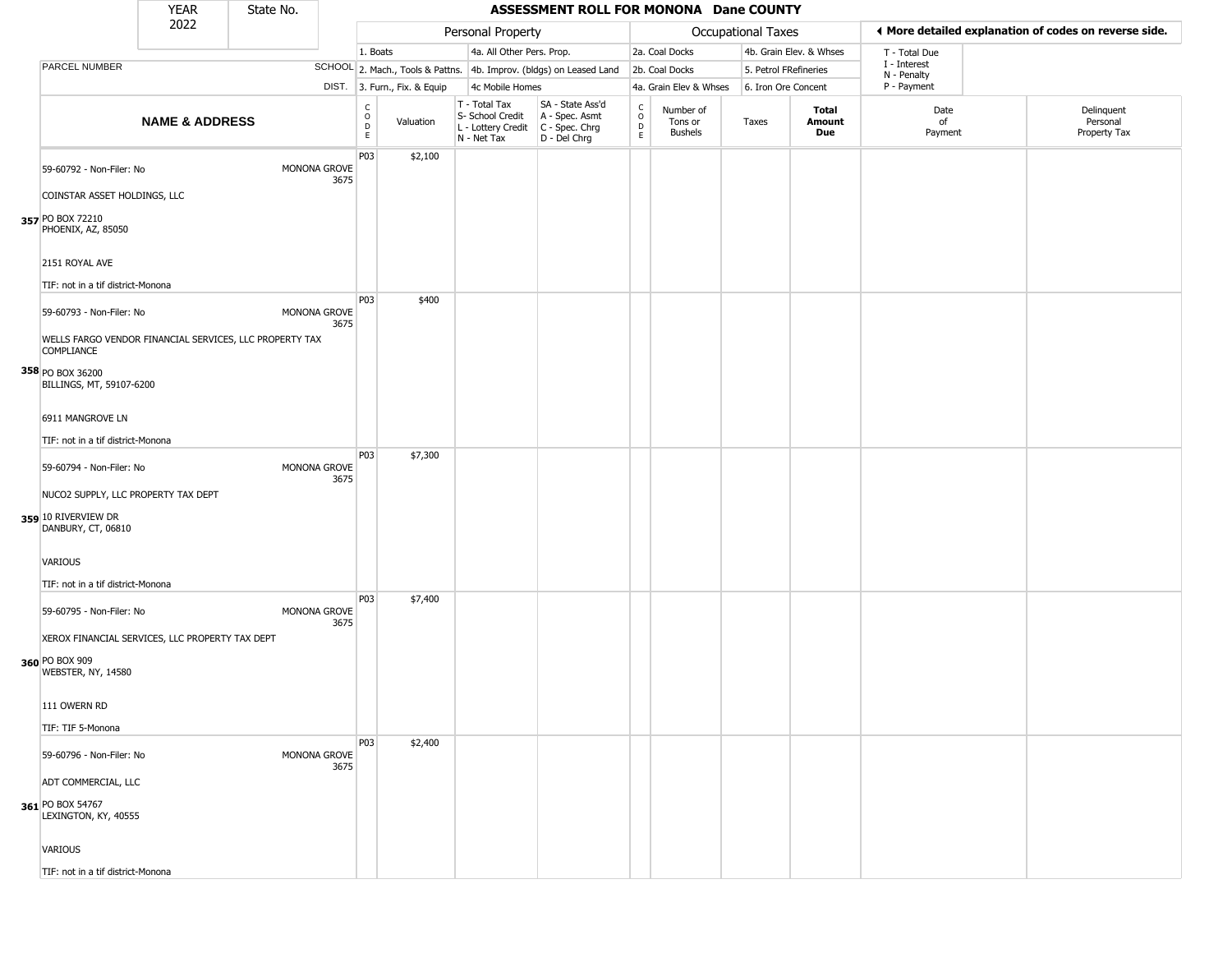|                                                                                  | <b>YEAR</b>               | State No. |                      |                   |                              |                                                                        | ASSESSMENT ROLL FOR MONONA Dane COUNTY                               |                                   |                                        |                           |                         |                             |                                                       |
|----------------------------------------------------------------------------------|---------------------------|-----------|----------------------|-------------------|------------------------------|------------------------------------------------------------------------|----------------------------------------------------------------------|-----------------------------------|----------------------------------------|---------------------------|-------------------------|-----------------------------|-------------------------------------------------------|
|                                                                                  | 2022                      |           |                      |                   |                              | Personal Property                                                      |                                                                      |                                   |                                        | <b>Occupational Taxes</b> |                         |                             | ◀ More detailed explanation of codes on reverse side. |
|                                                                                  |                           |           |                      | 1. Boats          |                              | 4a. All Other Pers. Prop.                                              |                                                                      |                                   | 2a. Coal Docks                         |                           | 4b. Grain Elev. & Whses | T - Total Due               |                                                       |
| PARCEL NUMBER                                                                    |                           |           |                      |                   |                              |                                                                        | SCHOOL 2. Mach., Tools & Pattns. 4b. Improv. (bldgs) on Leased Land  |                                   | 2b. Coal Docks                         |                           | 5. Petrol FRefineries   | I - Interest<br>N - Penalty |                                                       |
|                                                                                  |                           |           |                      |                   | DIST. 3. Furn., Fix. & Equip | 4c Mobile Homes                                                        |                                                                      |                                   | 4a. Grain Elev & Whses                 |                           | 6. Iron Ore Concent     | P - Payment                 |                                                       |
|                                                                                  | <b>NAME &amp; ADDRESS</b> |           |                      | C<br>O<br>D<br>E. | Valuation                    | T - Total Tax<br>S- School Credit<br>L - Lottery Credit<br>N - Net Tax | SA - State Ass'd<br>A - Spec. Asmt<br>C - Spec. Chrg<br>D - Del Chrg | $\frac{c}{0}$<br>D<br>$\mathsf E$ | Number of<br>Tons or<br><b>Bushels</b> | Taxes                     | Total<br>Amount<br>Due  | Date<br>of<br>Payment       | Delinquent<br>Personal<br>Property Tax                |
| 59-60792 - Non-Filer: No                                                         |                           |           | MONONA GROVE<br>3675 | P03               | \$2,100                      |                                                                        |                                                                      |                                   |                                        |                           |                         |                             |                                                       |
| COINSTAR ASSET HOLDINGS, LLC<br>357 PO BOX 72210<br>PHOENIX, AZ, 85050           |                           |           |                      |                   |                              |                                                                        |                                                                      |                                   |                                        |                           |                         |                             |                                                       |
| 2151 ROYAL AVE                                                                   |                           |           |                      |                   |                              |                                                                        |                                                                      |                                   |                                        |                           |                         |                             |                                                       |
| TIF: not in a tif district-Monona<br>59-60793 - Non-Filer: No                    |                           |           | MONONA GROVE<br>3675 | P03               | \$400                        |                                                                        |                                                                      |                                   |                                        |                           |                         |                             |                                                       |
| WELLS FARGO VENDOR FINANCIAL SERVICES, LLC PROPERTY TAX<br><b>COMPLIANCE</b>     |                           |           |                      |                   |                              |                                                                        |                                                                      |                                   |                                        |                           |                         |                             |                                                       |
| 358 PO BOX 36200<br>BILLINGS, MT, 59107-6200                                     |                           |           |                      |                   |                              |                                                                        |                                                                      |                                   |                                        |                           |                         |                             |                                                       |
| 6911 MANGROVE LN                                                                 |                           |           |                      |                   |                              |                                                                        |                                                                      |                                   |                                        |                           |                         |                             |                                                       |
| TIF: not in a tif district-Monona                                                |                           |           |                      | P03               | \$7,300                      |                                                                        |                                                                      |                                   |                                        |                           |                         |                             |                                                       |
| 59-60794 - Non-Filer: No                                                         |                           |           | MONONA GROVE<br>3675 |                   |                              |                                                                        |                                                                      |                                   |                                        |                           |                         |                             |                                                       |
| NUCO2 SUPPLY, LLC PROPERTY TAX DEPT<br>359 10 RIVERVIEW DR<br>DANBURY, CT, 06810 |                           |           |                      |                   |                              |                                                                        |                                                                      |                                   |                                        |                           |                         |                             |                                                       |
| VARIOUS                                                                          |                           |           |                      |                   |                              |                                                                        |                                                                      |                                   |                                        |                           |                         |                             |                                                       |
| TIF: not in a tif district-Monona                                                |                           |           |                      | P03               | \$7,400                      |                                                                        |                                                                      |                                   |                                        |                           |                         |                             |                                                       |
| 59-60795 - Non-Filer: No                                                         |                           |           | MONONA GROVE<br>3675 |                   |                              |                                                                        |                                                                      |                                   |                                        |                           |                         |                             |                                                       |
| XEROX FINANCIAL SERVICES, LLC PROPERTY TAX DEPT                                  |                           |           |                      |                   |                              |                                                                        |                                                                      |                                   |                                        |                           |                         |                             |                                                       |
| 360 PO BOX 909<br>WEBSTER, NY, 14580                                             |                           |           |                      |                   |                              |                                                                        |                                                                      |                                   |                                        |                           |                         |                             |                                                       |
| 111 OWERN RD                                                                     |                           |           |                      |                   |                              |                                                                        |                                                                      |                                   |                                        |                           |                         |                             |                                                       |
| TIF: TIF 5-Monona                                                                |                           |           |                      | P03               | \$2,400                      |                                                                        |                                                                      |                                   |                                        |                           |                         |                             |                                                       |
| 59-60796 - Non-Filer: No                                                         |                           |           | MONONA GROVE<br>3675 |                   |                              |                                                                        |                                                                      |                                   |                                        |                           |                         |                             |                                                       |
| ADT COMMERCIAL, LLC                                                              |                           |           |                      |                   |                              |                                                                        |                                                                      |                                   |                                        |                           |                         |                             |                                                       |
| 361 PO BOX 54767<br>LEXINGTON, KY, 40555                                         |                           |           |                      |                   |                              |                                                                        |                                                                      |                                   |                                        |                           |                         |                             |                                                       |
| VARIOUS                                                                          |                           |           |                      |                   |                              |                                                                        |                                                                      |                                   |                                        |                           |                         |                             |                                                       |

TIF: not in a tif district-Monona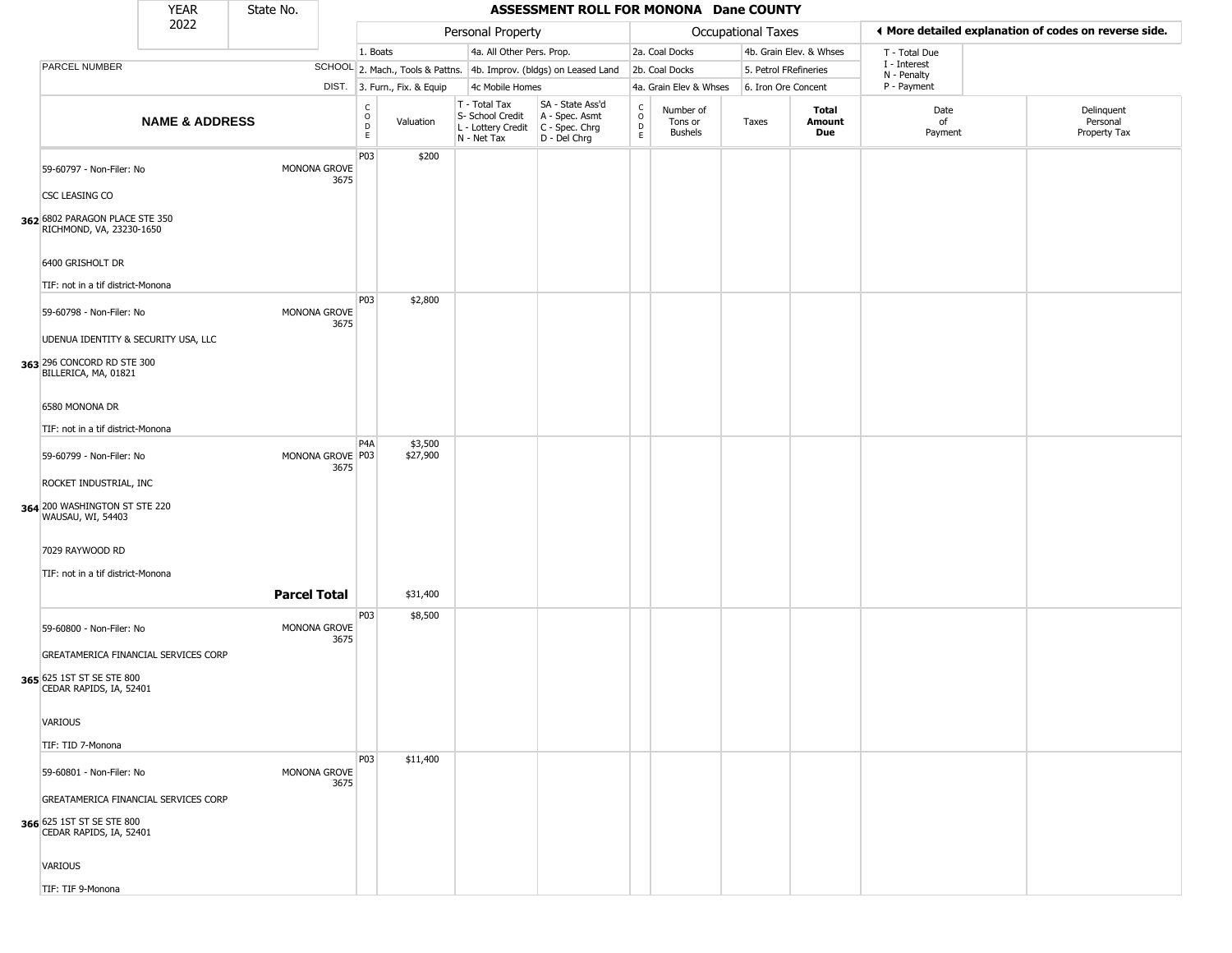|                                                                                              | <b>YEAR</b>               | State No. |                          |                  |                              |                                                                        | ASSESSMENT ROLL FOR MONONA Dane COUNTY                                 |                                                          |                                        |                    |                         |                             |                                                       |
|----------------------------------------------------------------------------------------------|---------------------------|-----------|--------------------------|------------------|------------------------------|------------------------------------------------------------------------|------------------------------------------------------------------------|----------------------------------------------------------|----------------------------------------|--------------------|-------------------------|-----------------------------|-------------------------------------------------------|
|                                                                                              | 2022                      |           |                          |                  |                              | Personal Property                                                      |                                                                        |                                                          |                                        | Occupational Taxes |                         |                             | ♦ More detailed explanation of codes on reverse side. |
|                                                                                              |                           |           |                          | 1. Boats         |                              | 4a. All Other Pers. Prop.                                              |                                                                        |                                                          | 2a. Coal Docks                         |                    | 4b. Grain Elev. & Whses | T - Total Due               |                                                       |
| PARCEL NUMBER                                                                                |                           |           |                          |                  |                              |                                                                        | SCHOOL 2. Mach., Tools & Pattns. 4b. Improv. (bldgs) on Leased Land    |                                                          | 2b. Coal Docks                         |                    | 5. Petrol FRefineries   | I - Interest<br>N - Penalty |                                                       |
|                                                                                              |                           |           |                          |                  | DIST. 3. Furn., Fix. & Equip | 4c Mobile Homes                                                        |                                                                        |                                                          | 4a. Grain Elev & Whses                 |                    | 6. Iron Ore Concent     | P - Payment                 |                                                       |
|                                                                                              | <b>NAME &amp; ADDRESS</b> |           |                          | С<br>0<br>D<br>E | Valuation                    | T - Total Tax<br>S- School Credit<br>L - Lottery Credit<br>N - Net Tax | SA - State Ass'd<br>A - Spec. Asmt<br>$C - Spec. Chrg$<br>D - Del Chrg | $\begin{matrix} 0 \\ 0 \\ 0 \end{matrix}$<br>$\mathsf E$ | Number of<br>Tons or<br><b>Bushels</b> | Taxes              | Total<br>Amount<br>Due  | Date<br>of<br>Payment       | Delinquent<br>Personal<br>Property Tax                |
| 59-60797 - Non-Filer: No                                                                     |                           |           | MONONA GROVE<br>3675     | P03              | \$200                        |                                                                        |                                                                        |                                                          |                                        |                    |                         |                             |                                                       |
| CSC LEASING CO<br>362 6802 PARAGON PLACE STE 350<br>RICHMOND, VA, 23230-1650                 |                           |           |                          |                  |                              |                                                                        |                                                                        |                                                          |                                        |                    |                         |                             |                                                       |
| 6400 GRISHOLT DR                                                                             |                           |           |                          |                  |                              |                                                                        |                                                                        |                                                          |                                        |                    |                         |                             |                                                       |
| TIF: not in a tif district-Monona                                                            |                           |           |                          |                  |                              |                                                                        |                                                                        |                                                          |                                        |                    |                         |                             |                                                       |
| 59-60798 - Non-Filer: No                                                                     |                           |           | MONONA GROVE<br>3675     | <b>P03</b>       | \$2,800                      |                                                                        |                                                                        |                                                          |                                        |                    |                         |                             |                                                       |
| UDENUA IDENTITY & SECURITY USA, LLC<br>363 296 CONCORD RD STE 300<br>BILLERICA, MA, 01821    |                           |           |                          |                  |                              |                                                                        |                                                                        |                                                          |                                        |                    |                         |                             |                                                       |
| 6580 MONONA DR                                                                               |                           |           |                          |                  |                              |                                                                        |                                                                        |                                                          |                                        |                    |                         |                             |                                                       |
| TIF: not in a tif district-Monona                                                            |                           |           |                          |                  |                              |                                                                        |                                                                        |                                                          |                                        |                    |                         |                             |                                                       |
| 59-60799 - Non-Filer: No                                                                     |                           |           | MONONA GROVE P03<br>3675 | P4A              | \$3,500<br>\$27,900          |                                                                        |                                                                        |                                                          |                                        |                    |                         |                             |                                                       |
| ROCKET INDUSTRIAL, INC<br>364 200 WASHINGTON ST STE 220<br>WAUSAU, WI, 54403                 |                           |           |                          |                  |                              |                                                                        |                                                                        |                                                          |                                        |                    |                         |                             |                                                       |
| 7029 RAYWOOD RD                                                                              |                           |           |                          |                  |                              |                                                                        |                                                                        |                                                          |                                        |                    |                         |                             |                                                       |
| TIF: not in a tif district-Monona                                                            |                           |           |                          |                  |                              |                                                                        |                                                                        |                                                          |                                        |                    |                         |                             |                                                       |
|                                                                                              |                           |           | <b>Parcel Total</b>      |                  | \$31,400                     |                                                                        |                                                                        |                                                          |                                        |                    |                         |                             |                                                       |
| 59-60800 - Non-Filer: No                                                                     |                           |           | MONONA GROVE<br>3675     | P03              | \$8,500                      |                                                                        |                                                                        |                                                          |                                        |                    |                         |                             |                                                       |
| GREATAMERICA FINANCIAL SERVICES CORP<br>365 625 1ST ST SE STE 800<br>CEDAR RAPIDS, IA, 52401 |                           |           |                          |                  |                              |                                                                        |                                                                        |                                                          |                                        |                    |                         |                             |                                                       |
| <b>VARIOUS</b>                                                                               |                           |           |                          |                  |                              |                                                                        |                                                                        |                                                          |                                        |                    |                         |                             |                                                       |
| TIF: TID 7-Monona                                                                            |                           |           |                          |                  |                              |                                                                        |                                                                        |                                                          |                                        |                    |                         |                             |                                                       |
| 59-60801 - Non-Filer: No                                                                     |                           |           | MONONA GROVE<br>3675     | P03              | \$11,400                     |                                                                        |                                                                        |                                                          |                                        |                    |                         |                             |                                                       |
| GREATAMERICA FINANCIAL SERVICES CORP<br>366 625 1ST ST SE STE 800<br>CEDAR RAPIDS, IA, 52401 |                           |           |                          |                  |                              |                                                                        |                                                                        |                                                          |                                        |                    |                         |                             |                                                       |
| VARIOUS                                                                                      |                           |           |                          |                  |                              |                                                                        |                                                                        |                                                          |                                        |                    |                         |                             |                                                       |

TIF: TIF 9-Monona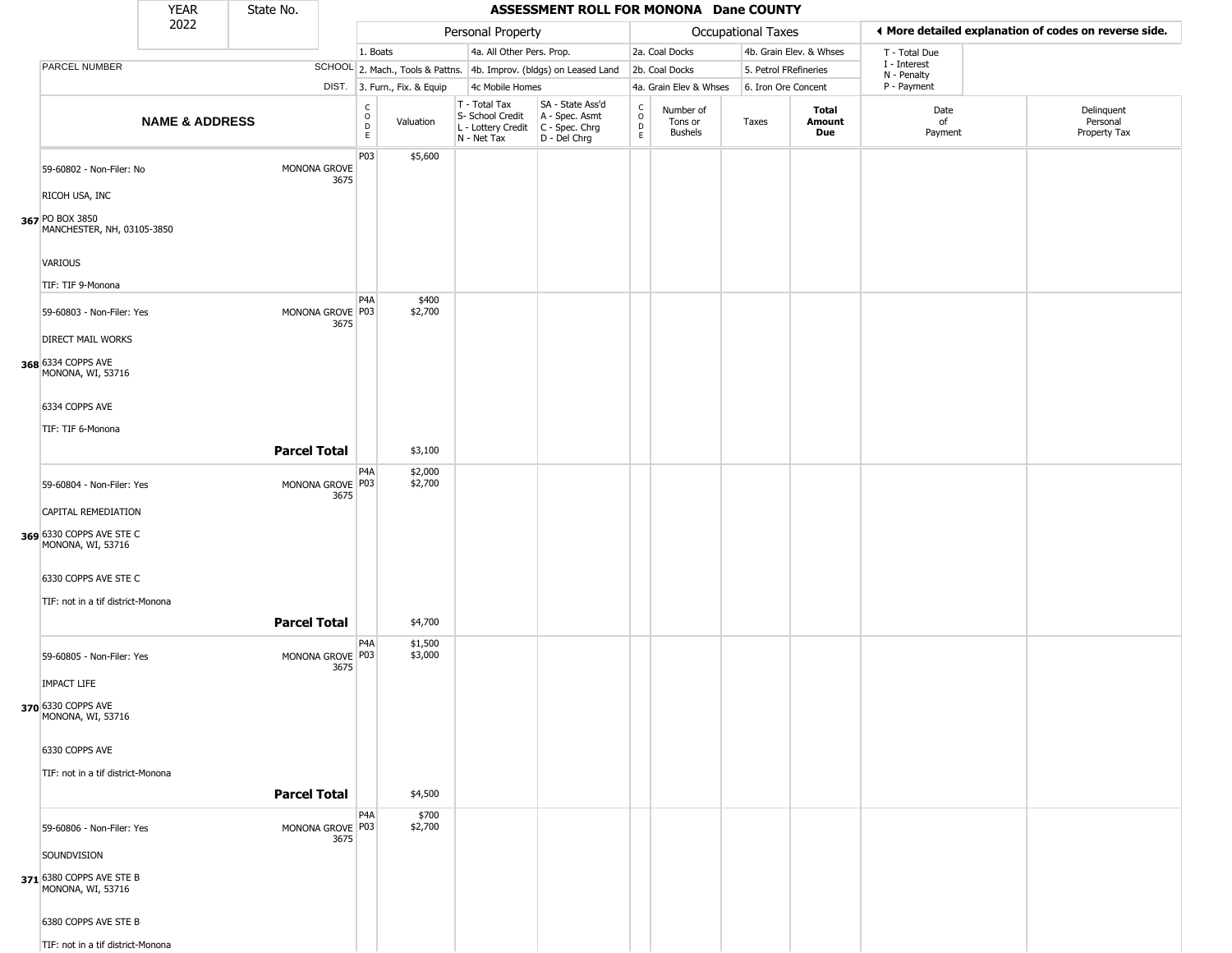|                                                 | <b>YEAR</b>               | State No.           |                          |                                  |                              |                                                                        | ASSESSMENT ROLL FOR MONONA Dane COUNTY                                 |                                                  |                                        |                    |                         |                             |                                                       |
|-------------------------------------------------|---------------------------|---------------------|--------------------------|----------------------------------|------------------------------|------------------------------------------------------------------------|------------------------------------------------------------------------|--------------------------------------------------|----------------------------------------|--------------------|-------------------------|-----------------------------|-------------------------------------------------------|
|                                                 | 2022                      |                     |                          |                                  |                              | Personal Property                                                      |                                                                        |                                                  |                                        | Occupational Taxes |                         |                             | ♦ More detailed explanation of codes on reverse side. |
|                                                 |                           |                     |                          | 1. Boats                         |                              | 4a. All Other Pers. Prop.                                              |                                                                        |                                                  | 2a. Coal Docks                         |                    | 4b. Grain Elev. & Whses | T - Total Due               |                                                       |
| PARCEL NUMBER                                   |                           |                     |                          |                                  |                              |                                                                        | SCHOOL 2. Mach., Tools & Pattns. 4b. Improv. (bldgs) on Leased Land    |                                                  | 2b. Coal Docks                         |                    | 5. Petrol FRefineries   | I - Interest<br>N - Penalty |                                                       |
|                                                 |                           |                     |                          |                                  | DIST. 3. Furn., Fix. & Equip | 4c Mobile Homes                                                        |                                                                        |                                                  | 4a. Grain Elev & Whses                 |                    | 6. Iron Ore Concent     | P - Payment                 |                                                       |
|                                                 | <b>NAME &amp; ADDRESS</b> |                     |                          | C<br>$\circ$<br>$\mathsf D$<br>E | Valuation                    | T - Total Tax<br>S- School Credit<br>L - Lottery Credit<br>N - Net Tax | SA - State Ass'd<br>A - Spec. Asmt<br>$C - Spec. Chrg$<br>D - Del Chrg | $_{\rm o}^{\rm c}$<br>$\mathsf D$<br>$\mathsf E$ | Number of<br>Tons or<br><b>Bushels</b> | Taxes              | Total<br>Amount<br>Due  | Date<br>of<br>Payment       | Delinquent<br>Personal<br>Property Tax                |
| 59-60802 - Non-Filer: No<br>RICOH USA, INC      |                           |                     | MONONA GROVE<br>3675     | P03                              | \$5,600                      |                                                                        |                                                                        |                                                  |                                        |                    |                         |                             |                                                       |
| 367 PO BOX 3850<br>MANCHESTER, NH, 03105-3850   |                           |                     |                          |                                  |                              |                                                                        |                                                                        |                                                  |                                        |                    |                         |                             |                                                       |
| VARIOUS<br>TIF: TIF 9-Monona                    |                           |                     |                          |                                  |                              |                                                                        |                                                                        |                                                  |                                        |                    |                         |                             |                                                       |
| 59-60803 - Non-Filer: Yes                       |                           |                     | MONONA GROVE P03<br>3675 | P4A                              | \$400<br>\$2,700             |                                                                        |                                                                        |                                                  |                                        |                    |                         |                             |                                                       |
| <b>DIRECT MAIL WORKS</b>                        |                           |                     |                          |                                  |                              |                                                                        |                                                                        |                                                  |                                        |                    |                         |                             |                                                       |
| 368 6334 COPPS AVE<br>MONONA, WI, 53716         |                           |                     |                          |                                  |                              |                                                                        |                                                                        |                                                  |                                        |                    |                         |                             |                                                       |
| 6334 COPPS AVE                                  |                           |                     |                          |                                  |                              |                                                                        |                                                                        |                                                  |                                        |                    |                         |                             |                                                       |
| TIF: TIF 6-Monona                               |                           | <b>Parcel Total</b> |                          |                                  | \$3,100                      |                                                                        |                                                                        |                                                  |                                        |                    |                         |                             |                                                       |
| 59-60804 - Non-Filer: Yes                       |                           |                     | MONONA GROVE P03<br>3675 | P4A                              | \$2,000<br>\$2,700           |                                                                        |                                                                        |                                                  |                                        |                    |                         |                             |                                                       |
| CAPITAL REMEDIATION<br>369 6330 COPPS AVE STE C |                           |                     |                          |                                  |                              |                                                                        |                                                                        |                                                  |                                        |                    |                         |                             |                                                       |
| MONONA, WI, 53716                               |                           |                     |                          |                                  |                              |                                                                        |                                                                        |                                                  |                                        |                    |                         |                             |                                                       |
| 6330 COPPS AVE STE C                            |                           |                     |                          |                                  |                              |                                                                        |                                                                        |                                                  |                                        |                    |                         |                             |                                                       |
| TIF: not in a tif district-Monona               |                           | <b>Parcel Total</b> |                          |                                  | \$4,700                      |                                                                        |                                                                        |                                                  |                                        |                    |                         |                             |                                                       |
| 59-60805 - Non-Filer: Yes                       |                           |                     | MONONA GROVE P03<br>3675 | P4A                              | \$1,500<br>\$3,000           |                                                                        |                                                                        |                                                  |                                        |                    |                         |                             |                                                       |
| <b>IMPACT LIFE</b>                              |                           |                     |                          |                                  |                              |                                                                        |                                                                        |                                                  |                                        |                    |                         |                             |                                                       |
| <b>370</b> 6330 COPPS AVE<br>MONONA, WI, 53716  |                           |                     |                          |                                  |                              |                                                                        |                                                                        |                                                  |                                        |                    |                         |                             |                                                       |
| 6330 COPPS AVE                                  |                           |                     |                          |                                  |                              |                                                                        |                                                                        |                                                  |                                        |                    |                         |                             |                                                       |
| TIF: not in a tif district-Monona               |                           | <b>Parcel Total</b> |                          |                                  | \$4,500                      |                                                                        |                                                                        |                                                  |                                        |                    |                         |                             |                                                       |
| 59-60806 - Non-Filer: Yes                       |                           |                     | MONONA GROVE P03<br>3675 | P4A                              | \$700<br>\$2,700             |                                                                        |                                                                        |                                                  |                                        |                    |                         |                             |                                                       |
| SOUNDVISION                                     |                           |                     |                          |                                  |                              |                                                                        |                                                                        |                                                  |                                        |                    |                         |                             |                                                       |
| 371 6380 COPPS AVE STE B<br>MONONA, WI, 53716   |                           |                     |                          |                                  |                              |                                                                        |                                                                        |                                                  |                                        |                    |                         |                             |                                                       |
| 6380 COPPS AVE STE B                            |                           |                     |                          |                                  |                              |                                                                        |                                                                        |                                                  |                                        |                    |                         |                             |                                                       |

TIF: not in a tif district-Monona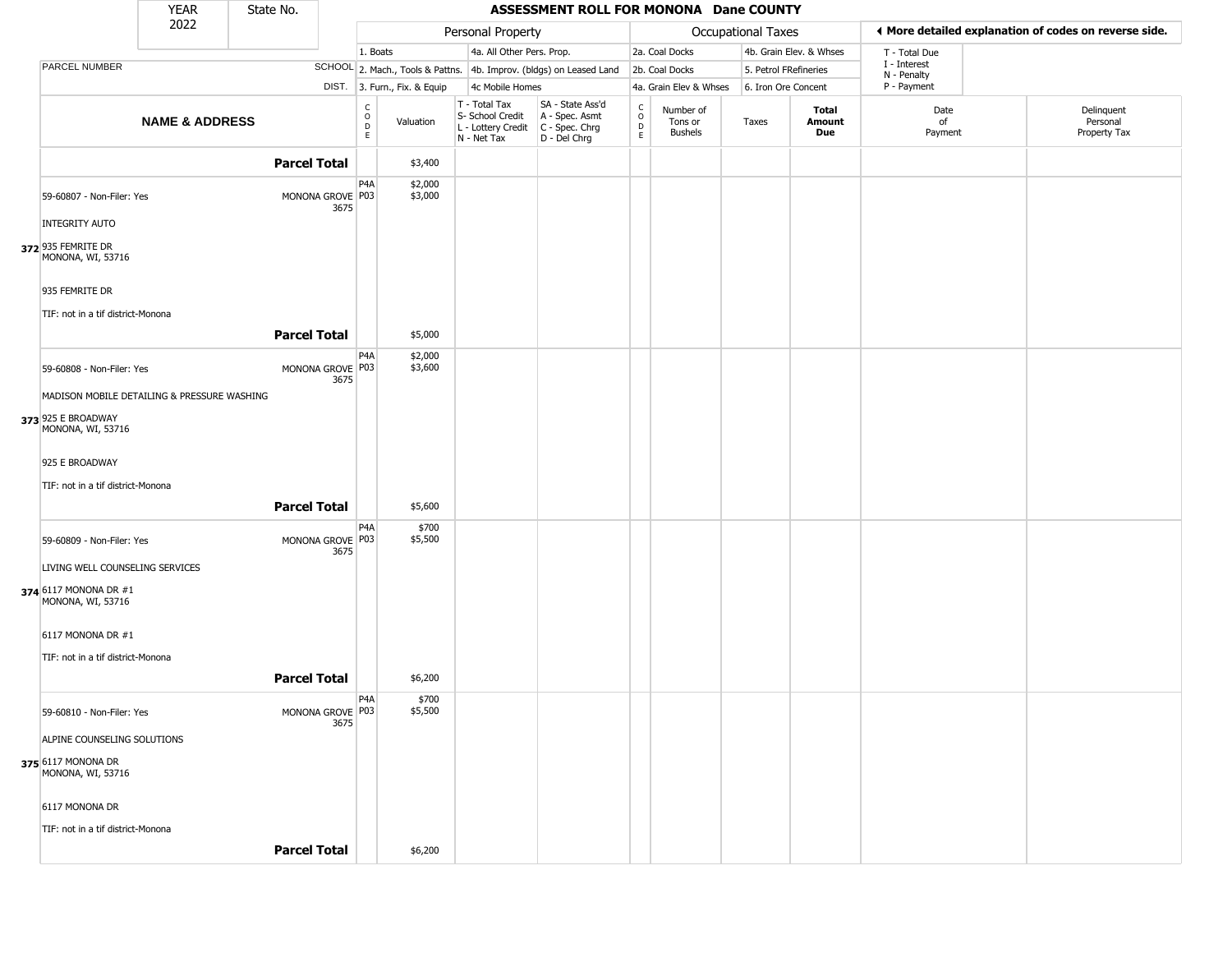|                                             | <b>YEAR</b>               | State No. |                          |                        |                              |                                                                        | ASSESSMENT ROLL FOR MONONA Dane COUNTY                                 |                                              |                                        |                       |                         |                             |                                                       |
|---------------------------------------------|---------------------------|-----------|--------------------------|------------------------|------------------------------|------------------------------------------------------------------------|------------------------------------------------------------------------|----------------------------------------------|----------------------------------------|-----------------------|-------------------------|-----------------------------|-------------------------------------------------------|
|                                             | 2022                      |           |                          |                        |                              | Personal Property                                                      |                                                                        |                                              |                                        | Occupational Taxes    |                         |                             | ♦ More detailed explanation of codes on reverse side. |
|                                             |                           |           |                          |                        | 1. Boats                     | 4a. All Other Pers. Prop.                                              |                                                                        |                                              | 2a. Coal Docks                         |                       | 4b. Grain Elev. & Whses | T - Total Due               |                                                       |
| PARCEL NUMBER                               |                           |           |                          |                        |                              |                                                                        | SCHOOL 2. Mach., Tools & Pattns. 4b. Improv. (bldgs) on Leased Land    |                                              | 2b. Coal Docks                         | 5. Petrol FRefineries |                         | I - Interest<br>N - Penalty |                                                       |
|                                             |                           |           |                          |                        | DIST. 3. Furn., Fix. & Equip | 4c Mobile Homes                                                        |                                                                        |                                              | 4a. Grain Elev & Whses                 | 6. Iron Ore Concent   |                         | P - Payment                 |                                                       |
|                                             | <b>NAME &amp; ADDRESS</b> |           |                          | C<br>$\circ$<br>D<br>E | Valuation                    | T - Total Tax<br>S- School Credit<br>L - Lottery Credit<br>N - Net Tax | SA - State Ass'd<br>A - Spec. Asmt<br>$C - Spec. Chrg$<br>D - Del Chrg | $\begin{array}{c}\nC \\ D \\ E\n\end{array}$ | Number of<br>Tons or<br><b>Bushels</b> | Taxes                 | Total<br>Amount<br>Due  | Date<br>of<br>Payment       | Delinquent<br>Personal<br>Property Tax                |
|                                             |                           |           | <b>Parcel Total</b>      |                        | \$3,400                      |                                                                        |                                                                        |                                              |                                        |                       |                         |                             |                                                       |
| 59-60807 - Non-Filer: Yes                   |                           |           | MONONA GROVE P03<br>3675 | P4A                    | \$2,000<br>\$3,000           |                                                                        |                                                                        |                                              |                                        |                       |                         |                             |                                                       |
| <b>INTEGRITY AUTO</b>                       |                           |           |                          |                        |                              |                                                                        |                                                                        |                                              |                                        |                       |                         |                             |                                                       |
| 372 935 FEMRITE DR<br>MONONA, WI, 53716     |                           |           |                          |                        |                              |                                                                        |                                                                        |                                              |                                        |                       |                         |                             |                                                       |
| 935 FEMRITE DR                              |                           |           |                          |                        |                              |                                                                        |                                                                        |                                              |                                        |                       |                         |                             |                                                       |
| TIF: not in a tif district-Monona           |                           |           |                          |                        |                              |                                                                        |                                                                        |                                              |                                        |                       |                         |                             |                                                       |
|                                             |                           |           | <b>Parcel Total</b>      |                        | \$5,000                      |                                                                        |                                                                        |                                              |                                        |                       |                         |                             |                                                       |
| 59-60808 - Non-Filer: Yes                   |                           |           | MONONA GROVE P03<br>3675 | P4A                    | \$2,000<br>\$3,600           |                                                                        |                                                                        |                                              |                                        |                       |                         |                             |                                                       |
| MADISON MOBILE DETAILING & PRESSURE WASHING |                           |           |                          |                        |                              |                                                                        |                                                                        |                                              |                                        |                       |                         |                             |                                                       |
| 373 925 E BROADWAY<br>MONONA, WI, 53716     |                           |           |                          |                        |                              |                                                                        |                                                                        |                                              |                                        |                       |                         |                             |                                                       |
| 925 E BROADWAY                              |                           |           |                          |                        |                              |                                                                        |                                                                        |                                              |                                        |                       |                         |                             |                                                       |
| TIF: not in a tif district-Monona           |                           |           |                          |                        |                              |                                                                        |                                                                        |                                              |                                        |                       |                         |                             |                                                       |
|                                             |                           |           | <b>Parcel Total</b>      |                        | \$5,600                      |                                                                        |                                                                        |                                              |                                        |                       |                         |                             |                                                       |
|                                             |                           |           |                          | P <sub>4</sub> A       | \$700                        |                                                                        |                                                                        |                                              |                                        |                       |                         |                             |                                                       |
| 59-60809 - Non-Filer: Yes                   |                           |           | MONONA GROVE P03<br>3675 |                        | \$5,500                      |                                                                        |                                                                        |                                              |                                        |                       |                         |                             |                                                       |
| LIVING WELL COUNSELING SERVICES             |                           |           |                          |                        |                              |                                                                        |                                                                        |                                              |                                        |                       |                         |                             |                                                       |
| 374 6117 MONONA DR #1<br>MONONA, WI, 53716  |                           |           |                          |                        |                              |                                                                        |                                                                        |                                              |                                        |                       |                         |                             |                                                       |
| 6117 MONONA DR #1                           |                           |           |                          |                        |                              |                                                                        |                                                                        |                                              |                                        |                       |                         |                             |                                                       |
| TIF: not in a tif district-Monona           |                           |           |                          |                        |                              |                                                                        |                                                                        |                                              |                                        |                       |                         |                             |                                                       |
|                                             |                           |           | <b>Parcel Total</b>      |                        | \$6,200                      |                                                                        |                                                                        |                                              |                                        |                       |                         |                             |                                                       |
| 59-60810 - Non-Filer: Yes                   |                           |           | MONONA GROVE P03<br>3675 | P <sub>4</sub> A       | \$700<br>\$5,500             |                                                                        |                                                                        |                                              |                                        |                       |                         |                             |                                                       |
| ALPINE COUNSELING SOLUTIONS                 |                           |           |                          |                        |                              |                                                                        |                                                                        |                                              |                                        |                       |                         |                             |                                                       |
| 375 6117 MONONA DR<br>MONONA, WI, 53716     |                           |           |                          |                        |                              |                                                                        |                                                                        |                                              |                                        |                       |                         |                             |                                                       |
| 6117 MONONA DR                              |                           |           |                          |                        |                              |                                                                        |                                                                        |                                              |                                        |                       |                         |                             |                                                       |
| TIF: not in a tif district-Monona           |                           |           |                          |                        |                              |                                                                        |                                                                        |                                              |                                        |                       |                         |                             |                                                       |
|                                             |                           |           | <b>Parcel Total</b>      |                        | \$6,200                      |                                                                        |                                                                        |                                              |                                        |                       |                         |                             |                                                       |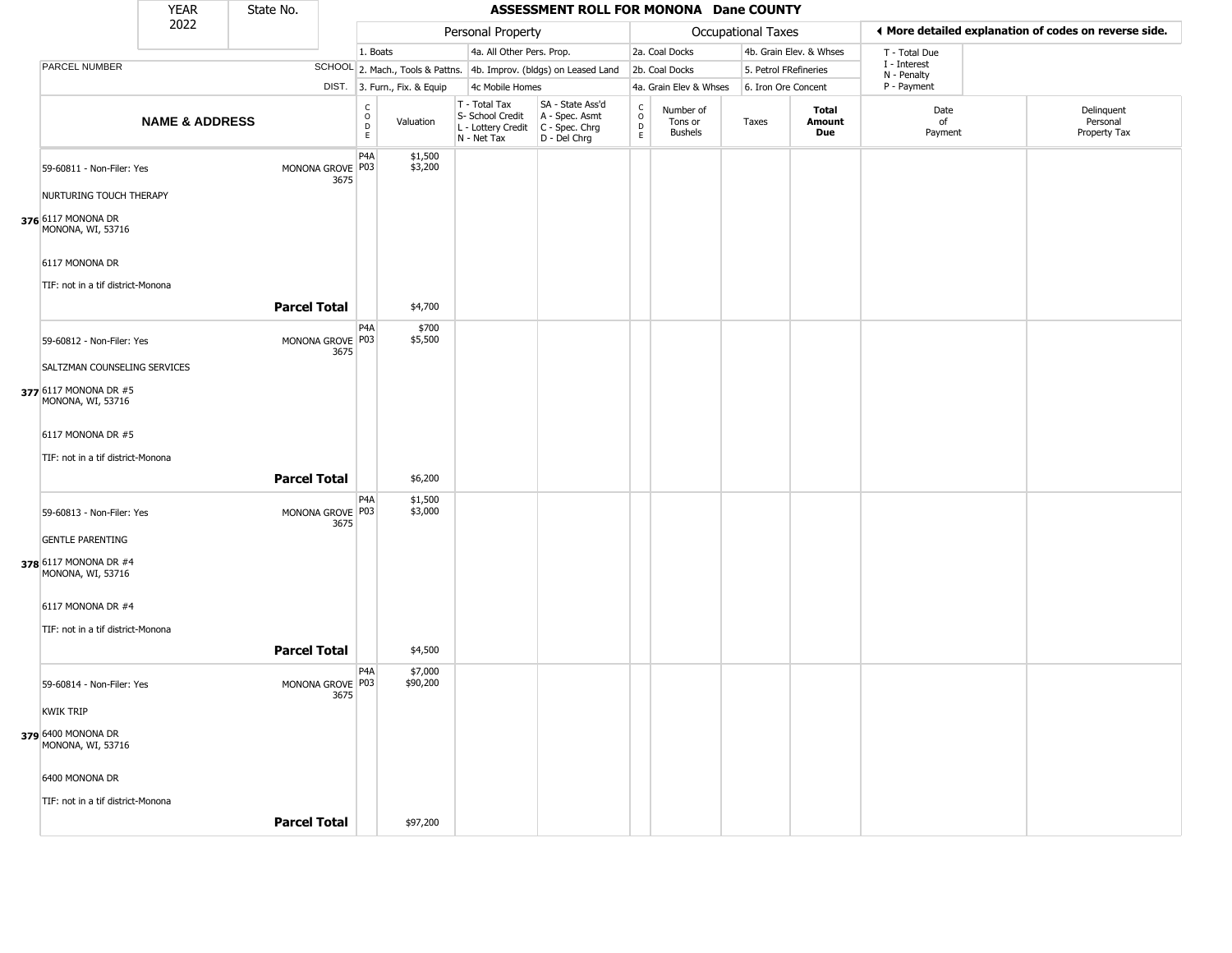|                                            | <b>YEAR</b>               | State No.           |                          |                                                  |                              |                                                                        | ASSESSMENT ROLL FOR MONONA Dane COUNTY                               |                                      |                                        |                       |                         |                             |                                                       |
|--------------------------------------------|---------------------------|---------------------|--------------------------|--------------------------------------------------|------------------------------|------------------------------------------------------------------------|----------------------------------------------------------------------|--------------------------------------|----------------------------------------|-----------------------|-------------------------|-----------------------------|-------------------------------------------------------|
|                                            | 2022                      |                     |                          |                                                  |                              | Personal Property                                                      |                                                                      |                                      |                                        | Occupational Taxes    |                         |                             | I More detailed explanation of codes on reverse side. |
|                                            |                           |                     |                          | 1. Boats                                         |                              | 4a. All Other Pers. Prop.                                              |                                                                      |                                      | 2a. Coal Docks                         |                       | 4b. Grain Elev. & Whses | T - Total Due               |                                                       |
| PARCEL NUMBER                              |                           |                     |                          |                                                  |                              |                                                                        | SCHOOL 2. Mach., Tools & Pattns. 4b. Improv. (bldgs) on Leased Land  |                                      | 2b. Coal Docks                         | 5. Petrol FRefineries |                         | I - Interest<br>N - Penalty |                                                       |
|                                            |                           |                     |                          |                                                  | DIST. 3. Furn., Fix. & Equip | 4c Mobile Homes                                                        |                                                                      |                                      | 4a. Grain Elev & Whses                 | 6. Iron Ore Concent   |                         | P - Payment                 |                                                       |
|                                            | <b>NAME &amp; ADDRESS</b> |                     |                          | $_{\rm o}^{\rm c}$<br>$\mathsf D$<br>$\mathsf E$ | Valuation                    | T - Total Tax<br>S- School Credit<br>L - Lottery Credit<br>N - Net Tax | SA - State Ass'd<br>A - Spec. Asmt<br>C - Spec. Chrg<br>D - Del Chrg | C<br>$\mathsf O$<br>D<br>$\mathsf E$ | Number of<br>Tons or<br><b>Bushels</b> | Taxes                 | Total<br>Amount<br>Due  | Date<br>of<br>Payment       | Delinquent<br>Personal<br>Property Tax                |
| 59-60811 - Non-Filer: Yes                  |                           |                     | MONONA GROVE P03<br>3675 | P4A                                              | \$1,500<br>\$3,200           |                                                                        |                                                                      |                                      |                                        |                       |                         |                             |                                                       |
| NURTURING TOUCH THERAPY                    |                           |                     |                          |                                                  |                              |                                                                        |                                                                      |                                      |                                        |                       |                         |                             |                                                       |
| 376 6117 MONONA DR<br>MONONA, WI, 53716    |                           |                     |                          |                                                  |                              |                                                                        |                                                                      |                                      |                                        |                       |                         |                             |                                                       |
| 6117 MONONA DR                             |                           |                     |                          |                                                  |                              |                                                                        |                                                                      |                                      |                                        |                       |                         |                             |                                                       |
| TIF: not in a tif district-Monona          |                           |                     |                          |                                                  |                              |                                                                        |                                                                      |                                      |                                        |                       |                         |                             |                                                       |
|                                            |                           | <b>Parcel Total</b> |                          |                                                  | \$4,700                      |                                                                        |                                                                      |                                      |                                        |                       |                         |                             |                                                       |
| 59-60812 - Non-Filer: Yes                  |                           |                     | MONONA GROVE P03<br>3675 | P <sub>4</sub> A                                 | \$700<br>\$5,500             |                                                                        |                                                                      |                                      |                                        |                       |                         |                             |                                                       |
| SALTZMAN COUNSELING SERVICES               |                           |                     |                          |                                                  |                              |                                                                        |                                                                      |                                      |                                        |                       |                         |                             |                                                       |
| 377 6117 MONONA DR #5<br>MONONA, WI, 53716 |                           |                     |                          |                                                  |                              |                                                                        |                                                                      |                                      |                                        |                       |                         |                             |                                                       |
| 6117 MONONA DR #5                          |                           |                     |                          |                                                  |                              |                                                                        |                                                                      |                                      |                                        |                       |                         |                             |                                                       |
| TIF: not in a tif district-Monona          |                           |                     |                          |                                                  |                              |                                                                        |                                                                      |                                      |                                        |                       |                         |                             |                                                       |
|                                            |                           | <b>Parcel Total</b> |                          |                                                  | \$6,200                      |                                                                        |                                                                      |                                      |                                        |                       |                         |                             |                                                       |
| 59-60813 - Non-Filer: Yes                  |                           |                     | MONONA GROVE P03<br>3675 | P4A                                              | \$1,500<br>\$3,000           |                                                                        |                                                                      |                                      |                                        |                       |                         |                             |                                                       |
| <b>GENTLE PARENTING</b>                    |                           |                     |                          |                                                  |                              |                                                                        |                                                                      |                                      |                                        |                       |                         |                             |                                                       |
| 378 6117 MONONA DR #4<br>MONONA, WI, 53716 |                           |                     |                          |                                                  |                              |                                                                        |                                                                      |                                      |                                        |                       |                         |                             |                                                       |
| 6117 MONONA DR #4                          |                           |                     |                          |                                                  |                              |                                                                        |                                                                      |                                      |                                        |                       |                         |                             |                                                       |
| TIF: not in a tif district-Monona          |                           |                     |                          |                                                  |                              |                                                                        |                                                                      |                                      |                                        |                       |                         |                             |                                                       |
|                                            |                           | <b>Parcel Total</b> |                          |                                                  | \$4,500                      |                                                                        |                                                                      |                                      |                                        |                       |                         |                             |                                                       |
| 59-60814 - Non-Filer: Yes                  |                           |                     | MONONA GROVE P03<br>3675 | P <sub>4</sub> A                                 | \$7,000<br>\$90,200          |                                                                        |                                                                      |                                      |                                        |                       |                         |                             |                                                       |
| <b>KWIK TRIP</b>                           |                           |                     |                          |                                                  |                              |                                                                        |                                                                      |                                      |                                        |                       |                         |                             |                                                       |
| 379 6400 MONONA DR<br>MONONA, WI, 53716    |                           |                     |                          |                                                  |                              |                                                                        |                                                                      |                                      |                                        |                       |                         |                             |                                                       |
| 6400 MONONA DR                             |                           |                     |                          |                                                  |                              |                                                                        |                                                                      |                                      |                                        |                       |                         |                             |                                                       |
| TIF: not in a tif district-Monona          |                           |                     |                          |                                                  |                              |                                                                        |                                                                      |                                      |                                        |                       |                         |                             |                                                       |
|                                            |                           | <b>Parcel Total</b> |                          |                                                  | \$97,200                     |                                                                        |                                                                      |                                      |                                        |                       |                         |                             |                                                       |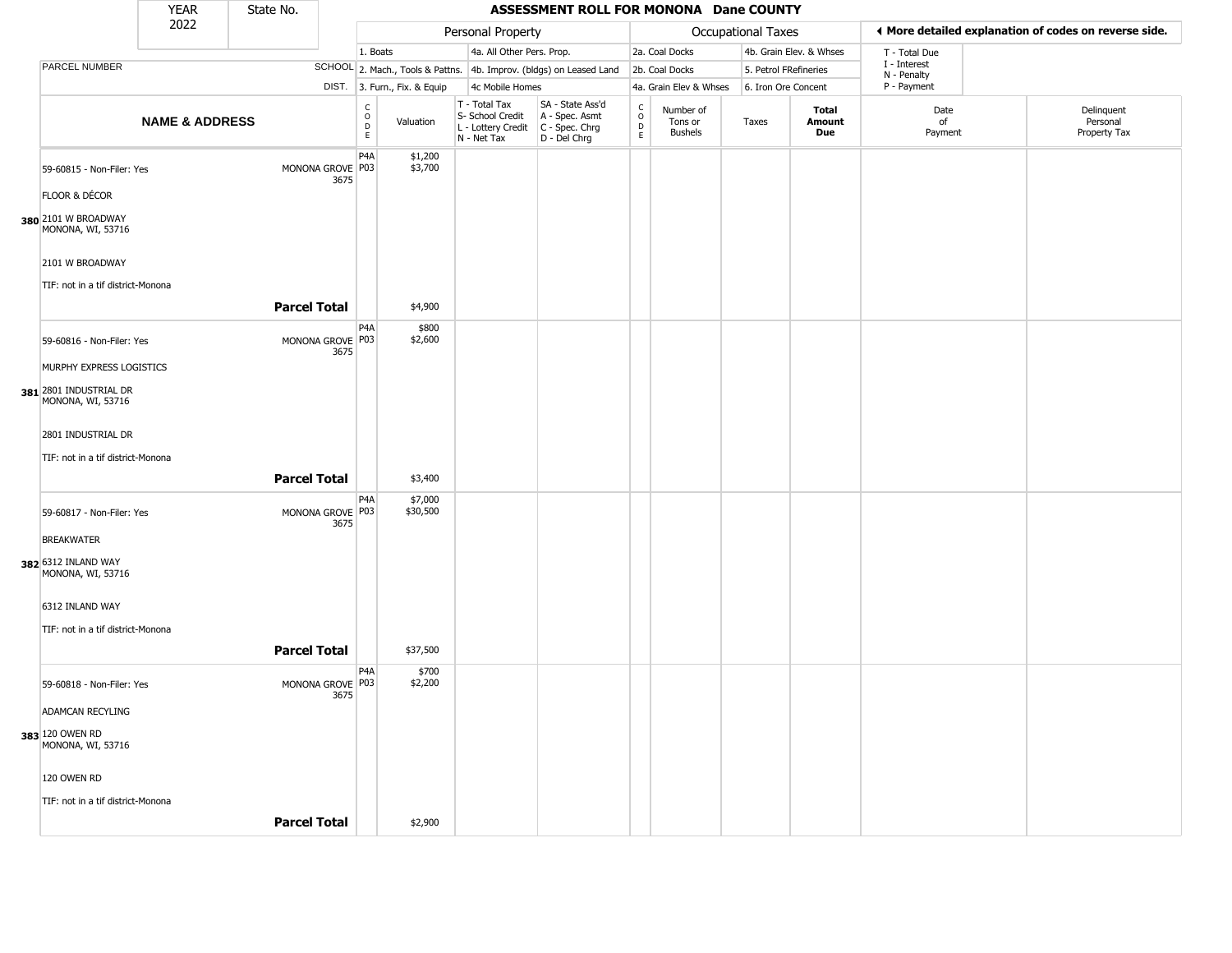|                                             | YEAR                      | State No.           |                          |                                                    |                                                                        | ASSESSMENT ROLL FOR MONONA Dane COUNTY                               |                                   |                                        |                       |                         |                             |                                                       |
|---------------------------------------------|---------------------------|---------------------|--------------------------|----------------------------------------------------|------------------------------------------------------------------------|----------------------------------------------------------------------|-----------------------------------|----------------------------------------|-----------------------|-------------------------|-----------------------------|-------------------------------------------------------|
|                                             | 2022                      |                     |                          |                                                    | Personal Property                                                      |                                                                      |                                   |                                        | Occupational Taxes    |                         |                             | ◀ More detailed explanation of codes on reverse side. |
|                                             |                           |                     |                          | 1. Boats                                           | 4a. All Other Pers. Prop.                                              |                                                                      |                                   | 2a. Coal Docks                         |                       | 4b. Grain Elev. & Whses | T - Total Due               |                                                       |
| PARCEL NUMBER                               |                           |                     |                          |                                                    |                                                                        | SCHOOL 2. Mach., Tools & Pattns. 4b. Improv. (bldgs) on Leased Land  |                                   | 2b. Coal Docks                         | 5. Petrol FRefineries |                         | I - Interest<br>N - Penalty |                                                       |
|                                             |                           |                     |                          | DIST. 3. Furn., Fix. & Equip                       | 4c Mobile Homes                                                        |                                                                      |                                   | 4a. Grain Elev & Whses                 | 6. Iron Ore Concent   |                         | P - Payment                 |                                                       |
|                                             | <b>NAME &amp; ADDRESS</b> |                     |                          | $\rm ^c_{\rm o}$<br>Valuation<br>$\mathsf{D}$<br>E | T - Total Tax<br>S- School Credit<br>L - Lottery Credit<br>N - Net Tax | SA - State Ass'd<br>A - Spec. Asmt<br>C - Spec. Chrg<br>D - Del Chrg | $\frac{C}{O}$<br>$\mathsf D$<br>E | Number of<br>Tons or<br><b>Bushels</b> | Taxes                 | Total<br>Amount<br>Due  | Date<br>of<br>Payment       | Delinquent<br>Personal<br>Property Tax                |
| 59-60815 - Non-Filer: Yes                   |                           | MONONA GROVE P03    | P <sub>4</sub> A<br>3675 | \$1,200<br>\$3,700                                 |                                                                        |                                                                      |                                   |                                        |                       |                         |                             |                                                       |
| FLOOR & DÉCOR                               |                           |                     |                          |                                                    |                                                                        |                                                                      |                                   |                                        |                       |                         |                             |                                                       |
| 380 2101 W BROADWAY<br>MONONA, WI, 53716    |                           |                     |                          |                                                    |                                                                        |                                                                      |                                   |                                        |                       |                         |                             |                                                       |
| 2101 W BROADWAY                             |                           |                     |                          |                                                    |                                                                        |                                                                      |                                   |                                        |                       |                         |                             |                                                       |
| TIF: not in a tif district-Monona           |                           |                     |                          |                                                    |                                                                        |                                                                      |                                   |                                        |                       |                         |                             |                                                       |
|                                             |                           | <b>Parcel Total</b> |                          | \$4,900                                            |                                                                        |                                                                      |                                   |                                        |                       |                         |                             |                                                       |
| 59-60816 - Non-Filer: Yes                   |                           | MONONA GROVE P03    | P <sub>4</sub> A<br>3675 | \$800<br>\$2,600                                   |                                                                        |                                                                      |                                   |                                        |                       |                         |                             |                                                       |
| MURPHY EXPRESS LOGISTICS                    |                           |                     |                          |                                                    |                                                                        |                                                                      |                                   |                                        |                       |                         |                             |                                                       |
| 381 2801 INDUSTRIAL DR<br>MONONA, WI, 53716 |                           |                     |                          |                                                    |                                                                        |                                                                      |                                   |                                        |                       |                         |                             |                                                       |
| 2801 INDUSTRIAL DR                          |                           |                     |                          |                                                    |                                                                        |                                                                      |                                   |                                        |                       |                         |                             |                                                       |
| TIF: not in a tif district-Monona           |                           |                     |                          |                                                    |                                                                        |                                                                      |                                   |                                        |                       |                         |                             |                                                       |
|                                             |                           | <b>Parcel Total</b> |                          | \$3,400                                            |                                                                        |                                                                      |                                   |                                        |                       |                         |                             |                                                       |
| 59-60817 - Non-Filer: Yes                   |                           | MONONA GROVE P03    | P <sub>4</sub> A<br>3675 | \$7,000<br>\$30,500                                |                                                                        |                                                                      |                                   |                                        |                       |                         |                             |                                                       |
| <b>BREAKWATER</b>                           |                           |                     |                          |                                                    |                                                                        |                                                                      |                                   |                                        |                       |                         |                             |                                                       |
| 382 6312 INLAND WAY<br>MONONA, WI, 53716    |                           |                     |                          |                                                    |                                                                        |                                                                      |                                   |                                        |                       |                         |                             |                                                       |
| 6312 INLAND WAY                             |                           |                     |                          |                                                    |                                                                        |                                                                      |                                   |                                        |                       |                         |                             |                                                       |
| TIF: not in a tif district-Monona           |                           |                     |                          |                                                    |                                                                        |                                                                      |                                   |                                        |                       |                         |                             |                                                       |
|                                             |                           | <b>Parcel Total</b> |                          | \$37,500                                           |                                                                        |                                                                      |                                   |                                        |                       |                         |                             |                                                       |
| 59-60818 - Non-Filer: Yes                   |                           | MONONA GROVE P03    | P <sub>4</sub> A<br>3675 | \$700<br>\$2,200                                   |                                                                        |                                                                      |                                   |                                        |                       |                         |                             |                                                       |
| ADAMCAN RECYLING                            |                           |                     |                          |                                                    |                                                                        |                                                                      |                                   |                                        |                       |                         |                             |                                                       |
| 383 120 OWEN RD<br>MONONA, WI, 53716        |                           |                     |                          |                                                    |                                                                        |                                                                      |                                   |                                        |                       |                         |                             |                                                       |
| 120 OWEN RD                                 |                           |                     |                          |                                                    |                                                                        |                                                                      |                                   |                                        |                       |                         |                             |                                                       |
| TIF: not in a tif district-Monona           |                           |                     |                          |                                                    |                                                                        |                                                                      |                                   |                                        |                       |                         |                             |                                                       |
|                                             |                           | <b>Parcel Total</b> |                          | \$2,900                                            |                                                                        |                                                                      |                                   |                                        |                       |                         |                             |                                                       |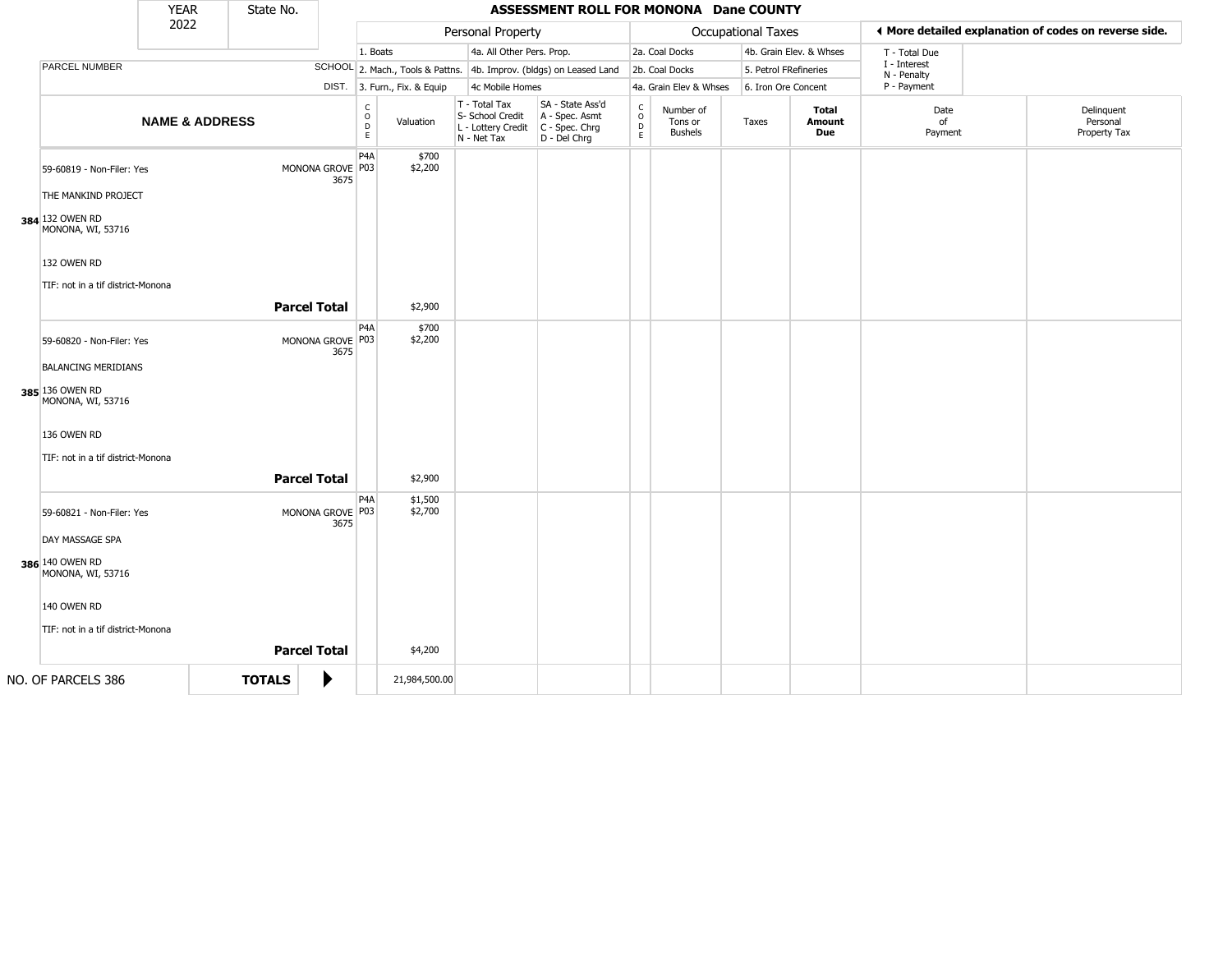|                                                         | <b>YEAR</b>               | State No.     |                     |                          |                              |                                                                        | ASSESSMENT ROLL FOR MONONA Dane COUNTY                               |                         |                                        |                       |                               |                             |                                                       |
|---------------------------------------------------------|---------------------------|---------------|---------------------|--------------------------|------------------------------|------------------------------------------------------------------------|----------------------------------------------------------------------|-------------------------|----------------------------------------|-----------------------|-------------------------------|-----------------------------|-------------------------------------------------------|
|                                                         | 2022                      |               |                     |                          |                              | Personal Property                                                      |                                                                      |                         |                                        | Occupational Taxes    |                               |                             | ◀ More detailed explanation of codes on reverse side. |
|                                                         |                           |               |                     |                          | 1. Boats                     | 4a. All Other Pers. Prop.                                              |                                                                      |                         | 2a. Coal Docks                         |                       | 4b. Grain Elev. & Whses       | T - Total Due               |                                                       |
| PARCEL NUMBER                                           |                           |               |                     |                          |                              |                                                                        | SCHOOL 2. Mach., Tools & Pattns. 4b. Improv. (bldgs) on Leased Land  |                         | 2b. Coal Docks                         | 5. Petrol FRefineries |                               | I - Interest<br>N - Penalty |                                                       |
|                                                         |                           |               |                     |                          | DIST. 3. Furn., Fix. & Equip | 4c Mobile Homes                                                        |                                                                      |                         | 4a. Grain Elev & Whses                 | 6. Iron Ore Concent   |                               | P - Payment                 |                                                       |
|                                                         | <b>NAME &amp; ADDRESS</b> |               |                     | c<br>D                   | $\circ$<br>Valuation<br>E    | T - Total Tax<br>S- School Credit<br>L - Lottery Credit<br>N - Net Tax | SA - State Ass'd<br>A - Spec. Asmt<br>C - Spec. Chrg<br>D - Del Chrg | $\frac{c}{0}$<br>D<br>E | Number of<br>Tons or<br><b>Bushels</b> | Taxes                 | <b>Total</b><br>Amount<br>Due | Date<br>of<br>Payment       | Delinquent<br>Personal<br>Property Tax                |
| 59-60819 - Non-Filer: Yes<br>THE MANKIND PROJECT        |                           |               | MONONA GROVE P03    | P <sub>4</sub> A<br>3675 | \$700<br>\$2,200             |                                                                        |                                                                      |                         |                                        |                       |                               |                             |                                                       |
| 384 132 OWEN RD<br>MONONA, WI, 53716                    |                           |               |                     |                          |                              |                                                                        |                                                                      |                         |                                        |                       |                               |                             |                                                       |
| 132 OWEN RD<br>TIF: not in a tif district-Monona        |                           |               |                     |                          |                              |                                                                        |                                                                      |                         |                                        |                       |                               |                             |                                                       |
|                                                         |                           |               | <b>Parcel Total</b> |                          | \$2,900                      |                                                                        |                                                                      |                         |                                        |                       |                               |                             |                                                       |
| 59-60820 - Non-Filer: Yes<br><b>BALANCING MERIDIANS</b> |                           |               | MONONA GROVE P03    | P <sub>4</sub> A<br>3675 | \$700<br>\$2,200             |                                                                        |                                                                      |                         |                                        |                       |                               |                             |                                                       |
| 385 136 OWEN RD<br>MONONA, WI, 53716                    |                           |               |                     |                          |                              |                                                                        |                                                                      |                         |                                        |                       |                               |                             |                                                       |
| 136 OWEN RD<br>TIF: not in a tif district-Monona        |                           |               |                     |                          |                              |                                                                        |                                                                      |                         |                                        |                       |                               |                             |                                                       |
|                                                         |                           |               | <b>Parcel Total</b> |                          | \$2,900                      |                                                                        |                                                                      |                         |                                        |                       |                               |                             |                                                       |
| 59-60821 - Non-Filer: Yes                               |                           |               | MONONA GROVE P03    | P4A<br>3675              | \$1,500<br>\$2,700           |                                                                        |                                                                      |                         |                                        |                       |                               |                             |                                                       |
| DAY MASSAGE SPA                                         |                           |               |                     |                          |                              |                                                                        |                                                                      |                         |                                        |                       |                               |                             |                                                       |
| 386 140 OWEN RD<br>MONONA, WI, 53716                    |                           |               |                     |                          |                              |                                                                        |                                                                      |                         |                                        |                       |                               |                             |                                                       |
| 140 OWEN RD                                             |                           |               |                     |                          |                              |                                                                        |                                                                      |                         |                                        |                       |                               |                             |                                                       |
| TIF: not in a tif district-Monona                       |                           |               |                     |                          |                              |                                                                        |                                                                      |                         |                                        |                       |                               |                             |                                                       |
|                                                         |                           |               | <b>Parcel Total</b> |                          | \$4,200                      |                                                                        |                                                                      |                         |                                        |                       |                               |                             |                                                       |
| NO. OF PARCELS 386                                      |                           | <b>TOTALS</b> | ▶                   |                          | 21,984,500.00                |                                                                        |                                                                      |                         |                                        |                       |                               |                             |                                                       |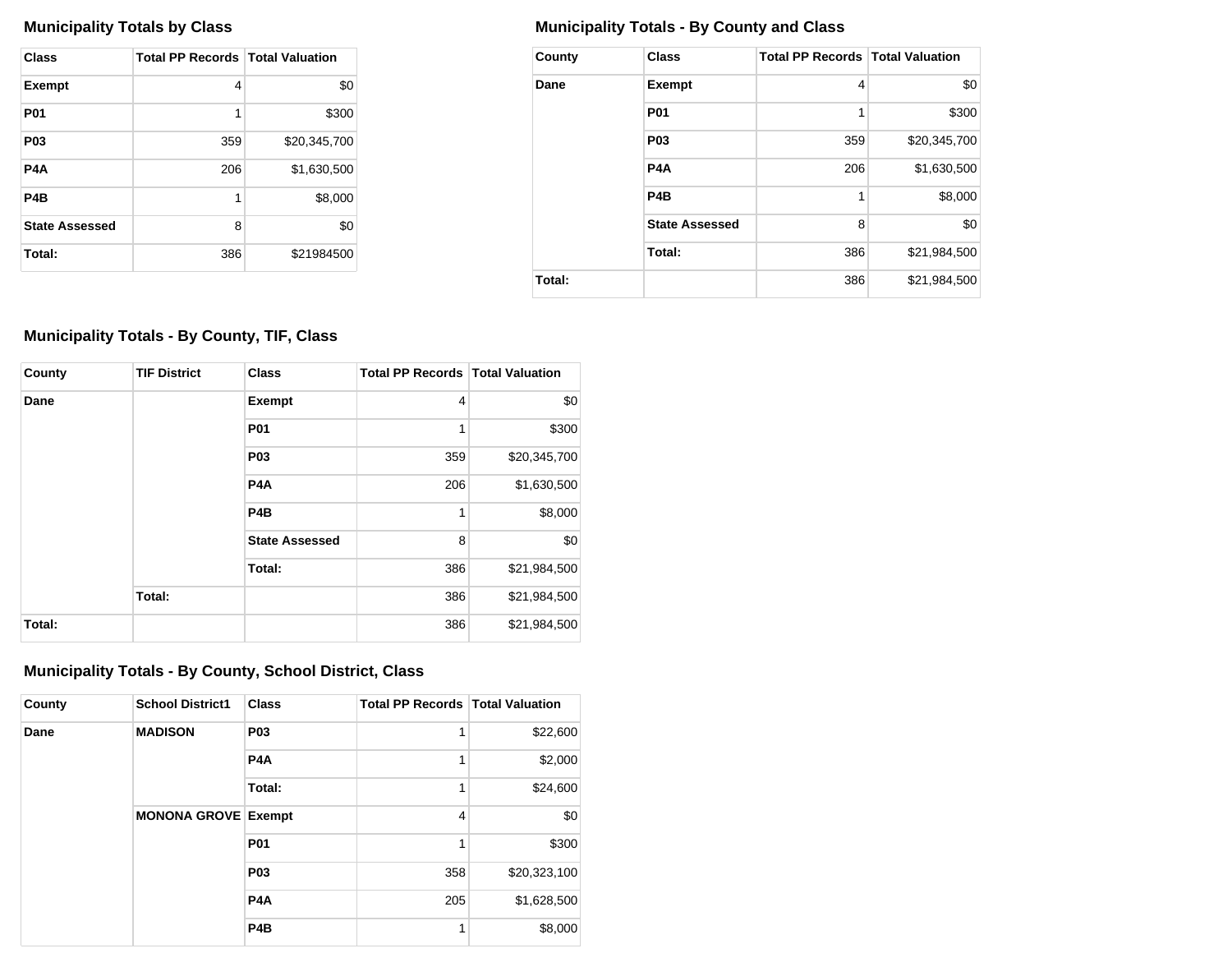| <b>Class</b>          | <b>Total PP Records   Total Valuation</b> |              |
|-----------------------|-------------------------------------------|--------------|
| <b>Exempt</b>         | 4                                         | \$0          |
| <b>P01</b>            | 1                                         | \$300        |
| P <sub>0</sub> 3      | 359                                       | \$20,345,700 |
| P4A                   | 206                                       | \$1,630,500  |
| P <sub>4</sub> B      | 1                                         | \$8,000      |
| <b>State Assessed</b> | 8                                         | \$0          |
| Total:                | 386                                       | \$21984500   |

## **Municipality Totals by Class Municipality Totals - By County and Class**

| County | <b>Class</b>          | <b>Total PP Records Total Valuation</b> |              |
|--------|-----------------------|-----------------------------------------|--------------|
| Dane   | <b>Exempt</b>         | 4                                       | \$0          |
|        | <b>P01</b>            | 1                                       | \$300        |
|        | P <sub>0</sub> 3      | 359                                     | \$20,345,700 |
|        | P <sub>4</sub> A      | 206                                     | \$1,630,500  |
|        | P <sub>4</sub> B      | 1                                       | \$8,000      |
|        | <b>State Assessed</b> | 8                                       | \$0          |
|        | Total:                | 386                                     | \$21,984,500 |
| Total: |                       | 386                                     | \$21,984,500 |

## **Municipality Totals - By County, TIF, Class**

| County | <b>TIF District</b> | <b>Class</b>          | <b>Total PP Records   Total Valuation</b> |              |
|--------|---------------------|-----------------------|-------------------------------------------|--------------|
| Dane   |                     | <b>Exempt</b>         | 4                                         | \$0          |
|        |                     | P01                   | 1                                         | \$300        |
|        |                     | P <sub>03</sub>       | 359                                       | \$20,345,700 |
|        |                     | P <sub>4</sub> A      | 206                                       | \$1,630,500  |
|        |                     | P <sub>4</sub> B      | 1                                         | \$8,000      |
|        |                     | <b>State Assessed</b> | 8                                         | \$0          |
|        |                     | Total:                | 386                                       | \$21,984,500 |
|        | Total:              |                       | 386                                       | \$21,984,500 |
| Total: |                     |                       | 386                                       | \$21,984,500 |

## **Municipality Totals - By County, School District, Class**

| County | <b>School District1</b>    | <b>Class</b>     | <b>Total PP Records   Total Valuation</b> |              |
|--------|----------------------------|------------------|-------------------------------------------|--------------|
| Dane   | <b>MADISON</b>             | <b>P03</b>       |                                           | \$22,600     |
|        |                            | P <sub>4</sub> A | 1                                         | \$2,000      |
|        |                            | Total:           | 1                                         | \$24,600     |
|        | <b>MONONA GROVE Exempt</b> |                  | $\overline{4}$                            | \$0          |
|        |                            | <b>P01</b>       |                                           | \$300        |
|        |                            | <b>P03</b>       | 358                                       | \$20,323,100 |
|        |                            | P <sub>4</sub> A | 205                                       | \$1,628,500  |
|        |                            | P <sub>4</sub> B |                                           | \$8,000      |